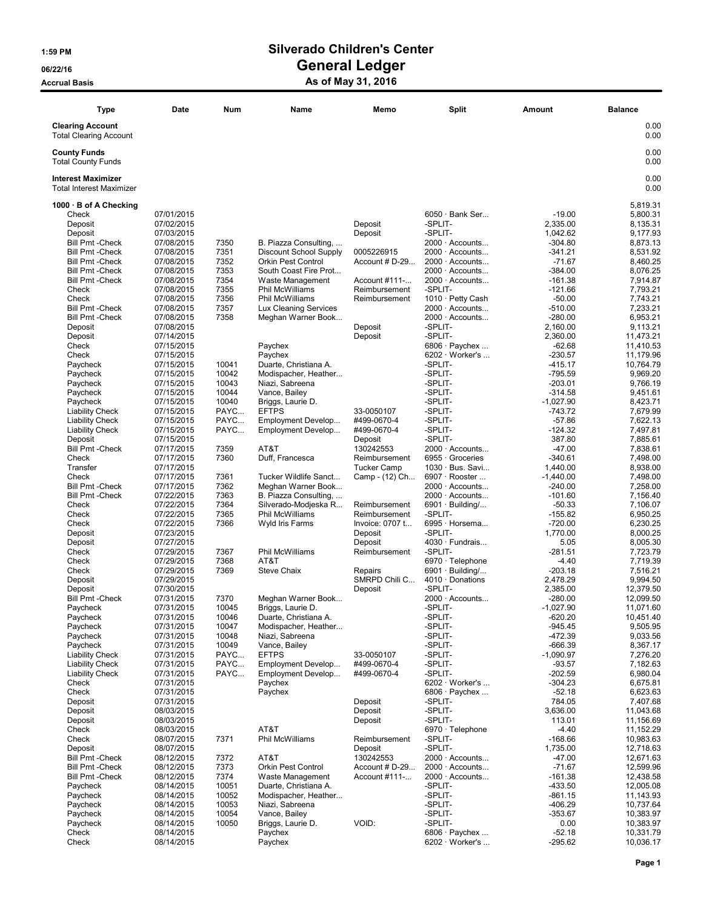### 1:59 PM Silverado Children's Center 06/22/16 OS/22/16 General Ledger

### Accrual Basis **Accrual Basis** As of May 31, 2016

| <b>Type</b>                                                                                                                                                                                                                                                                                                                                                                                                                                                                                                                                                                                                                                                             | Date                                                                                                                                                                                                                                                                                                                                                                                                                                                                                                                                                                         | Num                                                                                                                                                                                                                               | Name                                                                                                                                                                                                                                                                                                                                                                                                                                                                                                                                                                                                                                | Memo                                                                                                                                                                                                                                                                                                                                                                             | <b>Split</b>                                                                                                                                                                                                                                                                                                                                                                                                                                                                                                                                                                                                                                                                                                              | Amount                                                                                                                                                                                                                                                                                                                                                                                                                                                                                                 | <b>Balance</b>                                                                                                                                                                                                                                                                                                                                                                                                                                                                                               |
|-------------------------------------------------------------------------------------------------------------------------------------------------------------------------------------------------------------------------------------------------------------------------------------------------------------------------------------------------------------------------------------------------------------------------------------------------------------------------------------------------------------------------------------------------------------------------------------------------------------------------------------------------------------------------|------------------------------------------------------------------------------------------------------------------------------------------------------------------------------------------------------------------------------------------------------------------------------------------------------------------------------------------------------------------------------------------------------------------------------------------------------------------------------------------------------------------------------------------------------------------------------|-----------------------------------------------------------------------------------------------------------------------------------------------------------------------------------------------------------------------------------|-------------------------------------------------------------------------------------------------------------------------------------------------------------------------------------------------------------------------------------------------------------------------------------------------------------------------------------------------------------------------------------------------------------------------------------------------------------------------------------------------------------------------------------------------------------------------------------------------------------------------------------|----------------------------------------------------------------------------------------------------------------------------------------------------------------------------------------------------------------------------------------------------------------------------------------------------------------------------------------------------------------------------------|---------------------------------------------------------------------------------------------------------------------------------------------------------------------------------------------------------------------------------------------------------------------------------------------------------------------------------------------------------------------------------------------------------------------------------------------------------------------------------------------------------------------------------------------------------------------------------------------------------------------------------------------------------------------------------------------------------------------------|--------------------------------------------------------------------------------------------------------------------------------------------------------------------------------------------------------------------------------------------------------------------------------------------------------------------------------------------------------------------------------------------------------------------------------------------------------------------------------------------------------|--------------------------------------------------------------------------------------------------------------------------------------------------------------------------------------------------------------------------------------------------------------------------------------------------------------------------------------------------------------------------------------------------------------------------------------------------------------------------------------------------------------|
| <b>Clearing Account</b><br><b>Total Clearing Account</b>                                                                                                                                                                                                                                                                                                                                                                                                                                                                                                                                                                                                                |                                                                                                                                                                                                                                                                                                                                                                                                                                                                                                                                                                              |                                                                                                                                                                                                                                   |                                                                                                                                                                                                                                                                                                                                                                                                                                                                                                                                                                                                                                     |                                                                                                                                                                                                                                                                                                                                                                                  |                                                                                                                                                                                                                                                                                                                                                                                                                                                                                                                                                                                                                                                                                                                           |                                                                                                                                                                                                                                                                                                                                                                                                                                                                                                        | 0.00<br>0.00                                                                                                                                                                                                                                                                                                                                                                                                                                                                                                 |
| <b>County Funds</b><br><b>Total County Funds</b>                                                                                                                                                                                                                                                                                                                                                                                                                                                                                                                                                                                                                        |                                                                                                                                                                                                                                                                                                                                                                                                                                                                                                                                                                              |                                                                                                                                                                                                                                   |                                                                                                                                                                                                                                                                                                                                                                                                                                                                                                                                                                                                                                     |                                                                                                                                                                                                                                                                                                                                                                                  |                                                                                                                                                                                                                                                                                                                                                                                                                                                                                                                                                                                                                                                                                                                           |                                                                                                                                                                                                                                                                                                                                                                                                                                                                                                        | 0.00<br>0.00                                                                                                                                                                                                                                                                                                                                                                                                                                                                                                 |
| <b>Interest Maximizer</b><br><b>Total Interest Maximizer</b>                                                                                                                                                                                                                                                                                                                                                                                                                                                                                                                                                                                                            |                                                                                                                                                                                                                                                                                                                                                                                                                                                                                                                                                                              |                                                                                                                                                                                                                                   |                                                                                                                                                                                                                                                                                                                                                                                                                                                                                                                                                                                                                                     |                                                                                                                                                                                                                                                                                                                                                                                  |                                                                                                                                                                                                                                                                                                                                                                                                                                                                                                                                                                                                                                                                                                                           |                                                                                                                                                                                                                                                                                                                                                                                                                                                                                                        | 0.00<br>0.00                                                                                                                                                                                                                                                                                                                                                                                                                                                                                                 |
| 1000 · B of A Checking<br>Check<br>Deposit<br>Deposit<br><b>Bill Pmt - Check</b><br><b>Bill Pmt - Check</b><br><b>Bill Pmt - Check</b><br><b>Bill Pmt - Check</b><br><b>Bill Pmt - Check</b><br>Check<br>Check<br><b>Bill Pmt - Check</b><br><b>Bill Pmt - Check</b><br>Deposit<br>Deposit<br>Check<br>Check<br>Paycheck<br>Paycheck<br>Paycheck<br>Paycheck<br>Paycheck<br><b>Liability Check</b><br><b>Liability Check</b><br><b>Liability Check</b><br>Deposit<br><b>Bill Pmt - Check</b><br>Check<br>Transfer<br>Check<br><b>Bill Pmt - Check</b><br><b>Bill Pmt - Check</b><br>Check<br>Check<br>Check<br>Deposit<br>Deposit<br>Check<br>Check<br>Check<br>Deposit | 07/01/2015<br>07/02/2015<br>07/03/2015<br>07/08/2015<br>07/08/2015<br>07/08/2015<br>07/08/2015<br>07/08/2015<br>07/08/2015<br>07/08/2015<br>07/08/2015<br>07/08/2015<br>07/08/2015<br>07/14/2015<br>07/15/2015<br>07/15/2015<br>07/15/2015<br>07/15/2015<br>07/15/2015<br>07/15/2015<br>07/15/2015<br>07/15/2015<br>07/15/2015<br>07/15/2015<br>07/15/2015<br>07/17/2015<br>07/17/2015<br>07/17/2015<br>07/17/2015<br>07/17/2015<br>07/22/2015<br>07/22/2015<br>07/22/2015<br>07/22/2015<br>07/23/2015<br>07/27/2015<br>07/29/2015<br>07/29/2015<br>07/29/2015<br>07/29/2015 | 7350<br>7351<br>7352<br>7353<br>7354<br>7355<br>7356<br>7357<br>7358<br>10041<br>10042<br>10043<br>10044<br>10040<br>PAYC<br>PAYC<br>PAYC<br>7359<br>7360<br>7361<br>7362<br>7363<br>7364<br>7365<br>7366<br>7367<br>7368<br>7369 | B. Piazza Consulting,<br><b>Discount School Supply</b><br><b>Orkin Pest Control</b><br>South Coast Fire Prot<br>Waste Management<br>Phil McWilliams<br>Phil McWilliams<br>Lux Cleaning Services<br>Meghan Warner Book<br>Paychex<br>Paychex<br>Duarte, Christiana A.<br>Modispacher, Heather<br>Niazi, Sabreena<br>Vance, Bailey<br>Briggs, Laurie D.<br><b>EFTPS</b><br>Employment Develop<br>Employment Develop<br>AT&T<br>Duff, Francesca<br>Tucker Wildlife Sanct<br>Meghan Warner Book<br>B. Piazza Consulting,<br>Silverado-Modjeska R<br>Phil McWilliams<br>Wyld Iris Farms<br>Phil McWilliams<br>AT&T<br><b>Steve Chaix</b> | Deposit<br>Deposit<br>0005226915<br>Account # D-29<br>Account #111-<br>Reimbursement<br>Reimbursement<br>Deposit<br>Deposit<br>33-0050107<br>#499-0670-4<br>#499-0670-4<br>Deposit<br>130242553<br>Reimbursement<br><b>Tucker Camp</b><br>Camp - (12) Ch<br>Reimbursement<br>Reimbursement<br>Invoice: 0707 t<br>Deposit<br>Deposit<br>Reimbursement<br>Repairs<br>SMRPD Chili C | $6050 \cdot$ Bank Ser<br>-SPLIT-<br>-SPLIT-<br>$2000 \cdot$ Accounts<br>$2000 \cdot$ Accounts<br>$2000 \cdot$ Accounts<br>$2000 \cdot$ Accounts<br>2000 · Accounts<br>-SPLIT-<br>1010 · Petty Cash<br>2000 · Accounts<br>2000 · Accounts<br>-SPLIT-<br>-SPLIT-<br>$6806 \cdot$ Paychex<br>$6202 \cdot \text{Wor}$ ker's<br>-SPLIT-<br>-SPLIT-<br>-SPLIT-<br>-SPLIT-<br>-SPLIT-<br>-SPLIT-<br>-SPLIT-<br>-SPLIT-<br>-SPLIT-<br>2000 · Accounts<br>6955 Groceries<br>1030 · Bus. Savi<br>6907 · Rooster<br>2000 · Accounts<br>$2000 \cdot$ Accounts<br>$6901 \cdot$ Building/<br>-SPLIT-<br>6995 · Horsema<br>-SPLIT-<br>4030 · Fundrais<br>-SPLIT-<br>6970 · Telephone<br>$6901 \cdot$ Building/<br>$4010 \cdot$ Donations | $-19.00$<br>2,335.00<br>1,042.62<br>$-304.80$<br>$-341.21$<br>$-71.67$<br>-384.00<br>$-161.38$<br>$-121.66$<br>$-50.00$<br>-510.00<br>$-280.00$<br>2,160.00<br>2,360.00<br>$-62.68$<br>$-230.57$<br>-415.17<br>$-795.59$<br>$-203.01$<br>$-314.58$<br>$-1,027.90$<br>-743.72<br>$-57.86$<br>-124.32<br>387.80<br>$-47.00$<br>$-340.61$<br>1,440.00<br>$-1,440.00$<br>$-240.00$<br>$-101.60$<br>$-50.33$<br>$-155.82$<br>$-720.00$<br>1,770.00<br>5.05<br>$-281.51$<br>$-4.40$<br>$-203.18$<br>2,478.29 | 5,819.31<br>5,800.31<br>8,135.31<br>9,177.93<br>8,873.13<br>8,531.92<br>8,460.25<br>8,076.25<br>7,914.87<br>7,793.21<br>7,743.21<br>7,233.21<br>6,953.21<br>9,113.21<br>11,473.21<br>11,410.53<br>11,179.96<br>10,764.79<br>9,969.20<br>9,766.19<br>9,451.61<br>8,423.71<br>7,679.99<br>7,622.13<br>7,497.81<br>7,885.61<br>7,838.61<br>7,498.00<br>8,938.00<br>7,498.00<br>7,258.00<br>7,156.40<br>7,106.07<br>6,950.25<br>6,230.25<br>8,000.25<br>8,005.30<br>7,723.79<br>7,719.39<br>7,516.21<br>9,994.50 |
| Deposit<br><b>Bill Pmt - Check</b><br>Paycheck<br>Paycheck<br>Paycheck<br>Paycheck<br>Paycheck<br><b>Liability Check</b><br><b>Liability Check</b><br><b>Liability Check</b>                                                                                                                                                                                                                                                                                                                                                                                                                                                                                            | 07/30/2015<br>07/31/2015<br>07/31/2015<br>07/31/2015<br>07/31/2015<br>07/31/2015<br>07/31/2015<br>07/31/2015<br>07/31/2015<br>07/31/2015                                                                                                                                                                                                                                                                                                                                                                                                                                     | 7370<br>10045<br>10046<br>10047<br>10048<br>10049<br>PAYC<br>PAYC<br>PAYC                                                                                                                                                         | Meghan Warner Book<br>Briggs, Laurie D.<br>Duarte, Christiana A.<br>Modispacher. Heather<br>Niazi, Sabreena<br>Vance, Bailey<br><b>EFTPS</b><br>Employment Develop<br>Employment Develop                                                                                                                                                                                                                                                                                                                                                                                                                                            | Deposit<br>33-0050107<br>#499-0670-4<br>#499-0670-4                                                                                                                                                                                                                                                                                                                              | -SPLIT-<br>$2000 \cdot$ Accounts<br>-SPLIT-<br>-SPLIT-<br>-SPLIT-<br>-SPLIT-<br>-SPLIT-<br>-SPLIT-<br>-SPLIT-<br>-SPLIT-                                                                                                                                                                                                                                                                                                                                                                                                                                                                                                                                                                                                  | 2,385.00<br>-280.00<br>$-1,027.90$<br>$-620.20$<br>$-945.45$<br>-472.39<br>-666.39<br>$-1,090.97$<br>$-93.57$<br>$-202.59$                                                                                                                                                                                                                                                                                                                                                                             | 12,379.50<br>12,099.50<br>11,071.60<br>10,451.40<br>9,505.95<br>9,033.56<br>8,367.17<br>7,276.20<br>7,182.63<br>6,980.04                                                                                                                                                                                                                                                                                                                                                                                     |
| Check<br>Check<br>Deposit<br>Deposit<br>Deposit<br>Check<br>Check<br>Deposit<br><b>Bill Pmt - Check</b><br><b>Bill Pmt - Check</b>                                                                                                                                                                                                                                                                                                                                                                                                                                                                                                                                      | 07/31/2015<br>07/31/2015<br>07/31/2015<br>08/03/2015<br>08/03/2015<br>08/03/2015<br>08/07/2015<br>08/07/2015<br>08/12/2015<br>08/12/2015                                                                                                                                                                                                                                                                                                                                                                                                                                     | 7371<br>7372<br>7373                                                                                                                                                                                                              | Paychex<br>Paychex<br>AT&T<br>Phil McWilliams<br>AT&T<br>Orkin Pest Control                                                                                                                                                                                                                                                                                                                                                                                                                                                                                                                                                         | Deposit<br>Deposit<br>Deposit<br>Reimbursement<br>Deposit<br>130242553<br>Account # D-29                                                                                                                                                                                                                                                                                         | $6202 \cdot \text{Wor}$ ker's<br>$6806 \cdot$ Paychex<br>-SPLIT-<br>-SPLIT-<br>-SPLIT-<br>6970 · Telephone<br>-SPLIT-<br>-SPLIT-<br>$2000 \cdot$ Accounts<br>$2000 \cdot$ Accounts                                                                                                                                                                                                                                                                                                                                                                                                                                                                                                                                        | $-304.23$<br>$-52.18$<br>784.05<br>3,636.00<br>113.01<br>$-4.40$<br>$-168.66$<br>1,735.00<br>$-47.00$<br>$-71.67$                                                                                                                                                                                                                                                                                                                                                                                      | 6,675.81<br>6,623.63<br>7,407.68<br>11,043.68<br>11,156.69<br>11,152.29<br>10,983.63<br>12,718.63<br>12,671.63<br>12,599.96                                                                                                                                                                                                                                                                                                                                                                                  |
| <b>Bill Pmt - Check</b><br>Paycheck<br>Paycheck<br>Paycheck<br>Paycheck<br>Paycheck<br>Check<br>Check                                                                                                                                                                                                                                                                                                                                                                                                                                                                                                                                                                   | 08/12/2015<br>08/14/2015<br>08/14/2015<br>08/14/2015<br>08/14/2015<br>08/14/2015<br>08/14/2015<br>08/14/2015                                                                                                                                                                                                                                                                                                                                                                                                                                                                 | 7374<br>10051<br>10052<br>10053<br>10054<br>10050                                                                                                                                                                                 | Waste Management<br>Duarte, Christiana A.<br>Modispacher, Heather<br>Niazi, Sabreena<br>Vance, Bailey<br>Briggs, Laurie D.<br>Paychex<br>Paychex                                                                                                                                                                                                                                                                                                                                                                                                                                                                                    | Account #111-<br>VOID:                                                                                                                                                                                                                                                                                                                                                           | $2000 \cdot$ Accounts<br>-SPLIT-<br>-SPLIT-<br>-SPLIT-<br>-SPLIT-<br>-SPLIT-<br>$6806 \cdot$ Paychex<br>$6202 \cdot \text{Wor}$ ker's                                                                                                                                                                                                                                                                                                                                                                                                                                                                                                                                                                                     | $-161.38$<br>$-433.50$<br>-861.15<br>-406.29<br>$-353.67$<br>0.00<br>$-52.18$<br>$-295.62$                                                                                                                                                                                                                                                                                                                                                                                                             | 12,438.58<br>12,005.08<br>11,143.93<br>10,737.64<br>10,383.97<br>10,383.97<br>10,331.79<br>10,036.17                                                                                                                                                                                                                                                                                                                                                                                                         |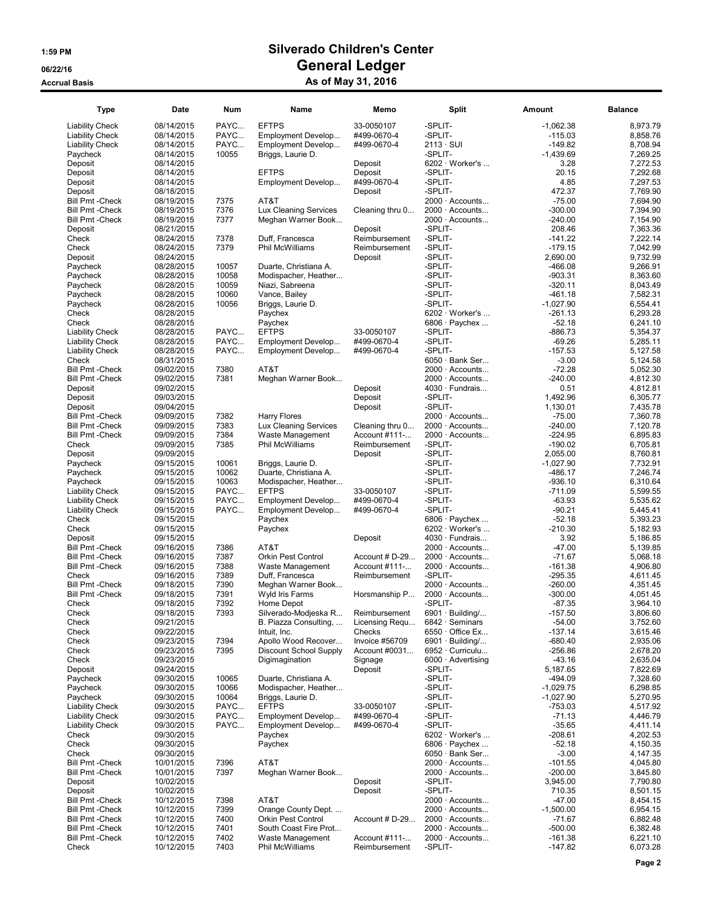| <b>Type</b>             | Date       | <b>Num</b> | Name                         | Memo            | <b>Split</b>                  | Amount      | <b>Balance</b> |
|-------------------------|------------|------------|------------------------------|-----------------|-------------------------------|-------------|----------------|
| <b>Liability Check</b>  | 08/14/2015 | PAYC       | <b>EFTPS</b>                 | 33-0050107      | -SPLIT-                       | $-1,062.38$ | 8,973.79       |
| <b>Liability Check</b>  | 08/14/2015 | PAYC       | Employment Develop           | #499-0670-4     | -SPLIT-                       | $-115.03$   | 8,858.76       |
| <b>Liability Check</b>  | 08/14/2015 | PAYC       | Employment Develop           | #499-0670-4     | $2113 \cdot \text{SUI}$       | $-149.82$   | 8.708.94       |
| Paycheck                | 08/14/2015 | 10055      | Briggs, Laurie D.            |                 | -SPLIT-                       | $-1,439.69$ | 7,269.25       |
| Deposit                 | 08/14/2015 |            |                              | Deposit         | 6202 · Worker's               | 3.28        | 7,272.53       |
| Deposit                 | 08/14/2015 |            | <b>EFTPS</b>                 | Deposit         | -SPLIT-                       | 20.15       | 7,292.68       |
| Deposit                 | 08/14/2015 |            | Employment Develop           | #499-0670-4     | -SPLIT-                       | 4.85        | 7,297.53       |
| Deposit                 | 08/18/2015 |            |                              | Deposit         | -SPLIT-                       | 472.37      | 7,769.90       |
| <b>Bill Pmt - Check</b> | 08/19/2015 | 7375       | AT&T                         |                 | 2000 · Accounts               | $-75.00$    | 7,694.90       |
| <b>Bill Pmt - Check</b> | 08/19/2015 | 7376       | <b>Lux Cleaning Services</b> | Cleaning thru 0 | 2000 · Accounts               | $-300.00$   | 7,394.90       |
| <b>Bill Pmt - Check</b> | 08/19/2015 | 7377       | Meghan Warner Book           |                 | $2000 \cdot$ Accounts         | $-240.00$   | 7,154.90       |
| Deposit                 | 08/21/2015 |            |                              | Deposit         | -SPLIT-                       | 208.46      | 7,363.36       |
| Check                   | 08/24/2015 | 7378       | Duff, Francesca              | Reimbursement   | -SPLIT-                       | $-141.22$   | 7.222.14       |
| Check                   | 08/24/2015 | 7379       | Phil McWilliams              | Reimbursement   | -SPLIT-                       | $-179.15$   | 7,042.99       |
| Deposit                 | 08/24/2015 |            |                              | Deposit         | -SPLIT-                       | 2,690.00    | 9,732.99       |
| Paycheck                | 08/28/2015 | 10057      | Duarte, Christiana A.        |                 | -SPLIT-                       | $-466.08$   | 9,266.91       |
| Paycheck                | 08/28/2015 | 10058      | Modispacher, Heather         |                 | -SPLIT-                       | $-903.31$   | 8,363.60       |
| Paycheck                | 08/28/2015 | 10059      | Niazi, Sabreena              |                 | -SPLIT-                       | $-320.11$   | 8,043.49       |
| Paycheck                | 08/28/2015 | 10060      | Vance, Bailey                |                 | -SPLIT-                       | $-461.18$   | 7,582.31       |
| Paycheck                | 08/28/2015 | 10056      | Briggs, Laurie D.            |                 | -SPLIT-                       | $-1,027.90$ | 6,554.41       |
| Check                   | 08/28/2015 |            | Paychex                      |                 | 6202 · Worker's               | $-261.13$   | 6,293.28       |
| Check                   | 08/28/2015 |            | Paychex                      |                 | $6806 \cdot$ Paychex          | $-52.18$    | 6,241.10       |
| <b>Liability Check</b>  | 08/28/2015 | PAYC       | <b>EFTPS</b>                 | 33-0050107      | -SPLIT-                       | $-886.73$   | 5,354.37       |
| <b>Liability Check</b>  | 08/28/2015 | PAYC       | Employment Develop           | #499-0670-4     | -SPLIT-                       | $-69.26$    | 5,285.11       |
| <b>Liability Check</b>  | 08/28/2015 | PAYC       | Employment Develop           | #499-0670-4     | -SPLIT-                       | $-157.53$   | 5,127.58       |
| Check                   | 08/31/2015 |            |                              |                 | $6050 \cdot$ Bank Ser         | $-3.00$     | 5,124.58       |
| <b>Bill Pmt - Check</b> | 09/02/2015 | 7380       | AT&T                         |                 | $2000 \cdot$ Accounts         | $-72.28$    | 5,052.30       |
| <b>Bill Pmt - Check</b> | 09/02/2015 | 7381       | Meghan Warner Book           |                 | $2000 \cdot$ Accounts         | $-240.00$   | 4,812.30       |
| Deposit                 | 09/02/2015 |            |                              | Deposit         | $4030 \cdot$ Fundrais         | 0.51        | 4,812.81       |
| Deposit                 | 09/03/2015 |            |                              | Deposit         | -SPLIT-                       | 1.492.96    | 6.305.77       |
| Deposit                 | 09/04/2015 |            |                              | Deposit         | -SPLIT-                       | 1,130.01    | 7,435.78       |
| <b>Bill Pmt - Check</b> | 09/09/2015 | 7382       | Harry Flores                 |                 | $2000 \cdot$ Accounts         | $-75.00$    | 7,360.78       |
| <b>Bill Pmt - Check</b> | 09/09/2015 | 7383       | Lux Cleaning Services        | Cleaning thru 0 | $2000 \cdot$ Accounts         | $-240.00$   | 7,120.78       |
| <b>Bill Pmt - Check</b> | 09/09/2015 | 7384       | Waste Management             | Account #111-   | 2000 · Accounts               | $-224.95$   | 6,895.83       |
| Check                   | 09/09/2015 | 7385       | Phil McWilliams              | Reimbursement   | -SPLIT-                       | $-190.02$   | 6,705.81       |
| Deposit                 | 09/09/2015 |            |                              | Deposit         | -SPLIT-                       | 2,055.00    | 8,760.81       |
| Paycheck                | 09/15/2015 | 10061      | Briggs, Laurie D.            |                 | -SPLIT-                       | $-1,027.90$ | 7,732.91       |
| Paycheck                | 09/15/2015 | 10062      | Duarte, Christiana A.        |                 | -SPLIT-                       | $-486.17$   | 7,246.74       |
| Paycheck                | 09/15/2015 | 10063      | Modispacher, Heather         |                 | -SPLIT-                       | $-936.10$   | 6,310.64       |
| <b>Liability Check</b>  | 09/15/2015 | PAYC       | <b>EFTPS</b>                 | 33-0050107      | -SPLIT-                       | $-711.09$   | 5,599.55       |
| <b>Liability Check</b>  | 09/15/2015 | PAYC       | Employment Develop           | #499-0670-4     | -SPLIT-                       | $-63.93$    | 5,535.62       |
| <b>Liability Check</b>  | 09/15/2015 | PAYC       | Employment Develop           | #499-0670-4     | -SPLIT-                       | $-90.21$    | 5,445.41       |
| Check                   | 09/15/2015 |            | Paychex                      |                 | $6806 \cdot$ Paychex          | $-52.18$    | 5,393.23       |
| Check                   | 09/15/2015 |            | Paychex                      |                 | $6202 \cdot \text{Wor}$ ker's | $-210.30$   | 5,182.93       |
| Deposit                 | 09/15/2015 |            |                              | Deposit         | $4030 \cdot$ Fundrais         | 3.92        | 5,186.85       |
| <b>Bill Pmt - Check</b> | 09/16/2015 | 7386       | AT&T                         |                 | 2000 · Accounts               | $-47.00$    | 5,139.85       |
| <b>Bill Pmt - Check</b> | 09/16/2015 | 7387       | Orkin Pest Control           | Account # D-29  | $2000 \cdot$ Accounts         | $-71.67$    | 5,068.18       |
| <b>Bill Pmt - Check</b> | 09/16/2015 | 7388       | Waste Management             | Account #111-   | 2000 · Accounts               | $-161.38$   | 4,906.80       |
| Check                   | 09/16/2015 | 7389       | Duff, Francesca              | Reimbursement   | -SPLIT-                       | $-295.35$   | 4,611.45       |
| <b>Bill Pmt - Check</b> | 09/18/2015 | 7390       | Meghan Warner Book           |                 | $2000 \cdot$ Accounts         | $-260.00$   | 4,351.45       |
| <b>Bill Pmt - Check</b> | 09/18/2015 | 7391       | Wyld Iris Farms              | Horsmanship P   | $2000 \cdot$ Accounts         | $-300.00$   | 4,051.45       |
| Check                   | 09/18/2015 | 7392       | Home Depot                   |                 | -SPLIT-                       | $-87.35$    | 3,964.10       |
| Check                   | 09/18/2015 | 7393       | Silverado-Modjeska R         | Reimbursement   | 6901 · Building/              | $-157.50$   | 3,806.60       |
| Check                   | 09/21/2015 |            | B. Piazza Consulting,        | Licensing Regu  | 6842 · Seminars               | $-54.00$    | 3,752.60       |
| Check                   | 09/22/2015 |            | Intuit. Inc.                 | Checks          | $6550 \cdot$ Office Ex        | $-137.14$   | 3,615.46       |
| Check                   | 09/23/2015 | 7394       | Apollo Wood Recover          | Invoice #56709  | $6901 \cdot$ Building/        | $-680.40$   | 2,935.06       |
| Check                   | 09/23/2015 | 7395       | Discount School Supply       | Account #0031   | 6952 · Curriculu              | $-256.86$   | 2,678.20       |
| Check                   | 09/23/2015 |            | Digimagination               | Signage         | 6000 · Advertising            | -43.16      | 2,635.04       |
| Deposit                 | 09/24/2015 |            |                              | Deposit         | -SPLIT-                       | 5,187.65    | 7,822.69       |
| Paycheck                | 09/30/2015 | 10065      | Duarte, Christiana A.        |                 | -SPLIT-                       | $-494.09$   | 7,328.60       |
| Paycheck                | 09/30/2015 | 10066      | Modispacher, Heather         |                 | -SPLIT-                       | $-1,029.75$ | 6,298.85       |
| Paycheck                | 09/30/2015 | 10064      | Briggs, Laurie D.            |                 | -SPLIT-                       | $-1,027.90$ | 5,270.95       |
| <b>Liability Check</b>  | 09/30/2015 | PAYC       | <b>EFTPS</b>                 | 33-0050107      | -SPLIT-                       | $-753.03$   | 4,517.92       |
| <b>Liability Check</b>  | 09/30/2015 | PAYC       | Employment Develop           | #499-0670-4     | -SPLIT-                       | $-71.13$    | 4,446.79       |
| <b>Liability Check</b>  | 09/30/2015 | PAYC       | Employment Develop           | #499-0670-4     | -SPLIT-                       | $-35.65$    | 4,411.14       |
| Check                   | 09/30/2015 |            | Paychex                      |                 | $6202 \cdot \text{Wor}$ ker's | $-208.61$   | 4,202.53       |
| Check                   | 09/30/2015 |            | Paychex                      |                 | $6806 \cdot$ Paychex          | $-52.18$    | 4,150.35       |
| Check                   | 09/30/2015 |            |                              |                 | $6050 \cdot$ Bank Ser         | $-3.00$     | 4,147.35       |
| <b>Bill Pmt - Check</b> | 10/01/2015 | 7396       | AT&T                         |                 | $2000 \cdot$ Accounts         | $-101.55$   | 4,045.80       |
| <b>Bill Pmt - Check</b> | 10/01/2015 | 7397       | Meghan Warner Book           |                 | $2000 \cdot$ Accounts         | $-200.00$   | 3,845.80       |
| Deposit                 | 10/02/2015 |            |                              | Deposit         | -SPLIT-                       | 3,945.00    | 7,790.80       |
| Deposit                 | 10/02/2015 |            |                              | Deposit         | -SPLIT-                       | 710.35      | 8,501.15       |
| <b>Bill Pmt - Check</b> | 10/12/2015 | 7398       | AT&T                         |                 | $2000 \cdot$ Accounts         | $-47.00$    | 8,454.15       |
| <b>Bill Pmt - Check</b> | 10/12/2015 | 7399       | Orange County Dept.          |                 | 2000 · Accounts               | $-1,500.00$ | 6,954.15       |
| <b>Bill Pmt - Check</b> | 10/12/2015 | 7400       | <b>Orkin Pest Control</b>    | Account # D-29  | $2000 \cdot$ Accounts         | $-71.67$    | 6,882.48       |
| <b>Bill Pmt - Check</b> | 10/12/2015 | 7401       | South Coast Fire Prot        |                 | $2000 \cdot$ Accounts         | $-500.00$   | 6,382.48       |
| <b>Bill Pmt - Check</b> | 10/12/2015 | 7402       | Waste Management             | Account #111-   | $2000 \cdot$ Accounts         | $-161.38$   | 6,221.10       |
| Check                   | 10/12/2015 | 7403       | Phil McWilliams              | Reimbursement   | -SPLIT-                       | $-147.82$   | 6,073.28       |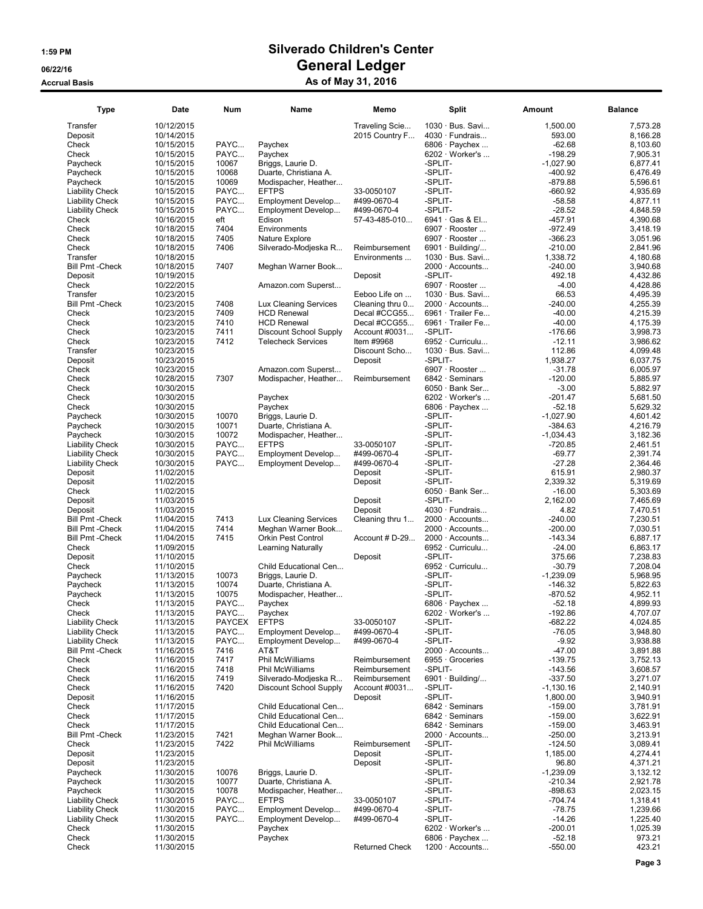| <b>Type</b>                     | Date                     | <b>Num</b>    | Name                                          | Memo                  | Split                              | Amount               | <b>Balance</b>       |
|---------------------------------|--------------------------|---------------|-----------------------------------------------|-----------------------|------------------------------------|----------------------|----------------------|
| Transfer                        | 10/12/2015               |               |                                               | Traveling Scie        | $1030 \cdot Bus.$ Savi             | 1,500.00             | 7,573.28             |
| Deposit                         | 10/14/2015               |               |                                               | 2015 Country F        | $4030 \cdot$ Fundrais              | 593.00               | 8,166.28             |
| Check                           | 10/15/2015               | PAYC          | Paychex                                       |                       | $6806 \cdot$ Paychex               | $-62.68$             | 8,103.60             |
| Check                           | 10/15/2015               | PAYC          | Paychex                                       |                       | $6202 \cdot \text{Worker's} \dots$ | $-198.29$            | 7,905.31             |
| Paycheck                        | 10/15/2015               | 10067         | Briggs, Laurie D.                             |                       | -SPLIT-                            | $-1,027.90$          | 6,877.41             |
| Paycheck                        | 10/15/2015               | 10068         | Duarte, Christiana A.                         |                       | -SPLIT-                            | -400.92              | 6,476.49             |
| Paycheck                        | 10/15/2015               | 10069         | Modispacher, Heather                          |                       | -SPLIT-                            | $-879.88$            | 5,596.61             |
| <b>Liability Check</b>          | 10/15/2015               | PAYC          | <b>EFTPS</b>                                  | 33-0050107            | -SPLIT-                            | $-660.92$            | 4,935.69             |
| <b>Liability Check</b>          | 10/15/2015               | PAYC          | Employment Develop                            | #499-0670-4           | -SPLIT-                            | $-58.58$             | 4,877.11             |
| <b>Liability Check</b>          | 10/15/2015               | PAYC          | Employment Develop                            | #499-0670-4           | -SPLIT-                            | $-28.52$             | 4,848.59             |
| Check                           | 10/16/2015               | eft           | Edison                                        | 57-43-485-010         | 6941 Gas & El                      | $-457.91$            | 4,390.68             |
| Check                           | 10/18/2015               | 7404          | Environments                                  |                       | 6907 · Rooster                     | $-972.49$            | 3,418.19             |
| Check                           | 10/18/2015               | 7405          | Nature Explore                                |                       | 6907 · Rooster                     | $-366.23$            | 3,051.96             |
| Check                           | 10/18/2015               | 7406          | Silverado-Modieska R                          | Reimbursement         | $6901 \cdot$ Building/             | $-210.00$            | 2,841.96             |
| Transfer                        | 10/18/2015               |               |                                               | Environments          | 1030 · Bus. Savi                   | 1,338.72             | 4,180.68             |
| <b>Bill Pmt - Check</b>         | 10/18/2015               | 7407          | Meghan Warner Book                            |                       | $2000 \cdot$ Accounts              | $-240.00$            | 3,940.68             |
| Deposit                         | 10/19/2015               |               |                                               | Deposit               | -SPLIT-                            | 492.18               | 4,432.86             |
| Check                           | 10/22/2015               |               | Amazon.com Superst                            |                       | 6907 · Rooster                     | $-4.00$              | 4,428.86             |
| Transfer                        | 10/23/2015               |               |                                               | Eeboo Life on         | 1030 · Bus. Savi                   | 66.53                | 4,495.39             |
| <b>Bill Pmt - Check</b>         | 10/23/2015               | 7408          | Lux Cleaning Services                         | Cleaning thru 0       | $2000 \cdot$ Accounts              | $-240.00$            | 4,255.39             |
| Check                           | 10/23/2015               | 7409          | <b>HCD Renewal</b>                            | Decal #CCG55          | 6961 · Trailer Fe                  | $-40.00$             | 4,215.39             |
| Check                           | 10/23/2015               | 7410          | <b>HCD Renewal</b>                            | Decal #CCG55          | 6961 · Trailer Fe                  | $-40.00$             | 4,175.39             |
| Check                           | 10/23/2015               | 7411          | Discount School Supply                        | Account #0031         | -SPLIT-                            | $-176.66$            | 3,998.73             |
| Check                           | 10/23/2015               | 7412          | <b>Telecheck Services</b>                     | Item #9968            | 6952 · Curriculu                   | $-12.11$             | 3,986.62             |
| Transfer                        | 10/23/2015               |               |                                               | Discount Scho         | $1030 \cdot Bus.$ Savi             | 112.86               | 4,099.48             |
| Deposit                         | 10/23/2015               |               |                                               | Deposit               | -SPLIT-                            | 1,938.27             | 6,037.75             |
| Check                           | 10/23/2015               |               | Amazon.com Superst                            |                       | 6907 · Rooster                     | $-31.78$             | 6,005.97             |
| Check                           | 10/28/2015               | 7307          | Modispacher, Heather                          | Reimbursement         | 6842 · Seminars                    | $-120.00$            | 5,885.97             |
| Check                           | 10/30/2015               |               |                                               |                       | $6050 \cdot$ Bank Ser              | $-3.00$              | 5,882.97             |
| Check                           | 10/30/2015               |               | Paychex                                       |                       | 6202 $\cdot$ Worker's              | $-201.47$            | 5,681.50             |
| Check                           | 10/30/2015               |               | Paychex                                       |                       | $6806 \cdot$ Paychex               | -52.18               | 5,629.32             |
| Paycheck                        | 10/30/2015               | 10070         | Briggs, Laurie D.                             |                       | -SPLIT-                            | $-1.027.90$          | 4,601.42             |
| Paycheck                        | 10/30/2015               | 10071         | Duarte, Christiana A.                         |                       | -SPLIT-                            | $-384.63$            | 4,216.79             |
| Paycheck                        | 10/30/2015               | 10072         | Modispacher, Heather                          |                       | -SPLIT-                            | $-1,034.43$          | 3,182.36             |
| <b>Liability Check</b>          | 10/30/2015               | PAYC          | <b>EFTPS</b>                                  | 33-0050107            | -SPLIT-                            | $-720.85$            | 2,461.51             |
| <b>Liability Check</b>          | 10/30/2015               | PAYC          | Employment Develop                            | #499-0670-4           | -SPLIT-                            | $-69.77$             | 2,391.74             |
| <b>Liability Check</b>          | 10/30/2015               | PAYC          | Employment Develop                            | #499-0670-4           | -SPLIT-                            | $-27.28$             | 2,364.46             |
| Deposit                         | 11/02/2015               |               |                                               | Deposit               | -SPLIT-                            | 615.91               | 2,980.37             |
| Deposit                         | 11/02/2015               |               |                                               | Deposit               | -SPLIT-                            | 2,339.32             | 5,319.69             |
| Check                           | 11/02/2015               |               |                                               |                       | $6050 \cdot$ Bank Ser              | $-16.00$             | 5,303.69             |
| Deposit                         | 11/03/2015               |               |                                               | Deposit               | -SPLIT-                            | 2,162.00             | 7,465.69             |
| Deposit                         | 11/03/2015               |               |                                               | Deposit               | $4030 \cdot$ Fundrais              | 4.82                 | 7,470.51             |
| <b>Bill Pmt - Check</b>         | 11/04/2015               | 7413          | Lux Cleaning Services                         | Cleaning thru 1       | $2000 \cdot$ Accounts              | $-240.00$            | 7,230.51             |
| <b>Bill Pmt - Check</b>         | 11/04/2015               | 7414          | Meghan Warner Book                            |                       | 2000 · Accounts                    | $-200.00$            | 7,030.51             |
| <b>Bill Pmt - Check</b>         | 11/04/2015               | 7415          | <b>Orkin Pest Control</b>                     | Account # D-29        | $2000 \cdot$ Accounts              | $-143.34$            | 6,887.17             |
| Check                           | 11/09/2015               |               | <b>Learning Naturally</b>                     |                       | 6952 · Curriculu                   | $-24.00$             | 6,863.17             |
| Deposit                         | 11/10/2015               |               |                                               | Deposit               | -SPLIT-                            | 375.66               | 7,238.83             |
| Check                           | 11/10/2015               |               | Child Educational Cen                         |                       | 6952 · Curriculu                   | $-30.79$             | 7,208.04             |
| Paycheck                        | 11/13/2015               | 10073         | Briggs, Laurie D.                             |                       | -SPLIT-                            | $-1,239.09$          | 5,968.95             |
| Paycheck                        | 11/13/2015               | 10074         | Duarte, Christiana A.                         |                       | -SPLIT-                            | $-146.32$            | 5,822.63             |
| Paycheck                        | 11/13/2015               | 10075         | Modispacher, Heather                          |                       | -SPLIT-                            | $-870.52$            | 4,952.11             |
| Check                           | 11/13/2015               | PAYC          | Paychex                                       |                       | 6806 $\cdot$ Paychex               | $-52.18$             | 4,899.93             |
| Check                           | 11/13/2015               | PAYC          | Paychex                                       |                       | 6202 · Worker's                    | $-192.86$            | 4,707.07             |
| <b>Liability Check</b>          | 11/13/2015               | <b>PAYCEX</b> | <b>EFTPS</b>                                  | 33-0050107            | -SPLIT-                            | $-682.22$            | 4,024.85             |
| <b>Liability Check</b>          | 11/13/2015               | PAYC          | Employment Develop                            | #499-0670-4           | -SPLIT-                            | $-76.05$             | 3,948.80             |
| <b>Liability Check</b>          | 11/13/2015               | PAYC          | Employment Develop                            | #499-0670-4           | -SPLIT-                            | $-9.92$              | 3,938.88             |
| <b>Bill Pmt - Check</b>         | 11/16/2015               | 7416          | AT&T                                          |                       | $2000 \cdot$ Accounts              | $-47.00$             | 3,891.88             |
| Check                           | 11/16/2015               | 7417          | Phil McWilliams                               | Reimbursement         | 6955 · Groceries                   | $-139.75$            | 3,752.13             |
| Check                           | 11/16/2015               | 7418          | Phil McWilliams                               | Reimbursement         | -SPLIT-                            | $-143.56$            | 3,608.57             |
| Check                           | 11/16/2015               | 7419          | Silverado-Modjeska R                          | Reimbursement         | $6901 \cdot$ Building/             | $-337.50$            | 3,271.07             |
| Check                           | 11/16/2015               | 7420          | <b>Discount School Supply</b>                 | Account #0031         | -SPLIT-                            | $-1,130.16$          | 2,140.91             |
| Deposit                         | 11/16/2015               |               |                                               | Deposit               | -SPLIT-                            | 1,800.00             | 3,940.91             |
| Check                           | 11/17/2015               |               | Child Educational Cen                         |                       | 6842 · Seminars                    | $-159.00$            | 3,781.91             |
| Check                           | 11/17/2015               |               | Child Educational Cen                         |                       | 6842 · Seminars                    | $-159.00$            | 3,622.91             |
| Check                           | 11/17/2015               |               | Child Educational Cen                         |                       | $6842 \cdot$ Seminars              | $-159.00$            | 3,463.91             |
| <b>Bill Pmt - Check</b>         | 11/23/2015               | 7421          | Meghan Warner Book                            |                       | 2000 · Accounts                    | $-250.00$            | 3,213.91             |
| Check                           | 11/23/2015               | 7422          | Phil McWilliams                               | Reimbursement         | -SPLIT-                            | $-124.50$            | 3,089.41             |
| Deposit                         | 11/23/2015               |               |                                               | Deposit               | -SPLIT-                            | 1,185.00             | 4,274.41             |
| Deposit                         | 11/23/2015               |               |                                               | Deposit               | -SPLIT-                            | 96.80                | 4,371.21             |
|                                 | 11/30/2015               | 10076         | Briggs, Laurie D.                             |                       | -SPLIT-                            | $-1,239.09$          | 3,132.12             |
| Paycheck                        | 11/30/2015               | 10077         |                                               |                       | -SPLIT-                            | $-210.34$            | 2,921.78             |
| Paycheck<br>Paycheck            | 11/30/2015               | 10078         | Duarte, Christiana A.<br>Modispacher, Heather |                       | -SPLIT-                            | -898.63              | 2,023.15             |
|                                 | 11/30/2015               | PAYC          | <b>EFTPS</b>                                  | 33-0050107            | -SPLIT-                            | $-704.74$            | 1,318.41             |
| <b>Liability Check</b>          |                          |               |                                               |                       | -SPLIT-                            |                      |                      |
| <b>Liability Check</b>          | 11/30/2015               | PAYC<br>PAYC  | Employment Develop                            | #499-0670-4           | -SPLIT-                            | $-78.75$<br>$-14.26$ | 1,239.66             |
| <b>Liability Check</b><br>Check | 11/30/2015<br>11/30/2015 |               | Employment Develop<br>Paychex                 | #499-0670-4           | $6202 \cdot \text{Worker's} \dots$ | $-200.01$            | 1,225.40<br>1,025.39 |
| Check                           | 11/30/2015               |               | Paychex                                       |                       | 6806 $\cdot$ Paychex               | $-52.18$             | 973.21               |
| Check                           | 11/30/2015               |               |                                               | <b>Returned Check</b> | $1200 \cdot$ Accounts              | $-550.00$            | 423.21               |
|                                 |                          |               |                                               |                       |                                    |                      |                      |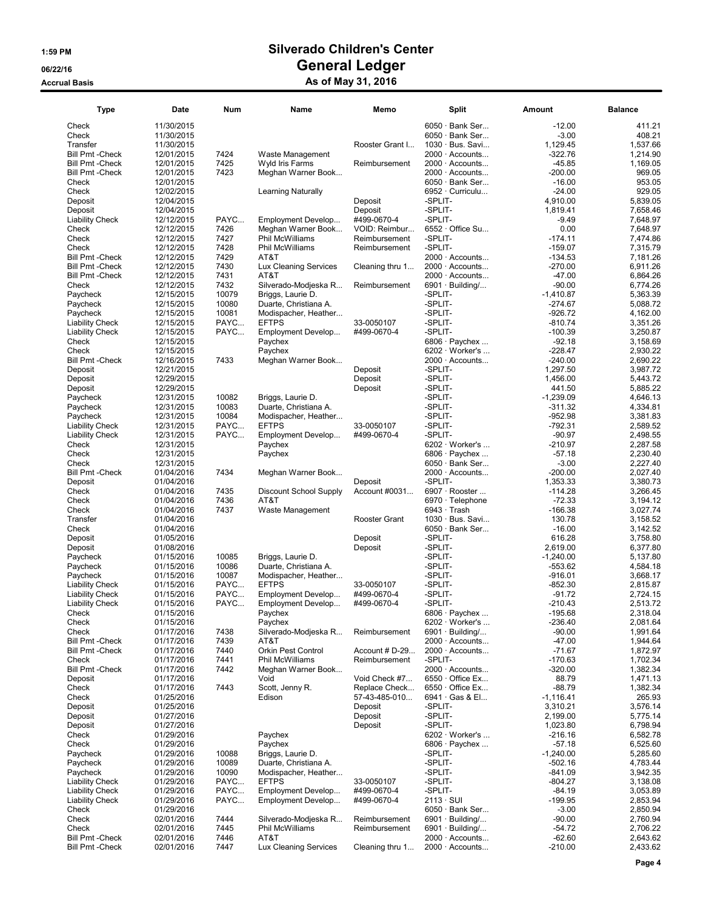| $6050 \cdot$ Bank Ser<br>$-12.00$<br>Check<br>11/30/2015<br>$6050 \cdot$ Bank Ser<br>$-3.00$<br>Check<br>11/30/2015<br>1,129.45<br>11/30/2015<br>Rooster Grant I<br>1030 · Bus. Savi<br>Transfer<br><b>Bill Pmt - Check</b><br>12/01/2015<br>7424<br>Waste Management<br>2000 · Accounts<br>$-322.76$<br>7425<br><b>Bill Pmt - Check</b><br>12/01/2015<br>Wyld Iris Farms<br>2000 · Accounts<br>$-45.85$<br>Reimbursement<br><b>Bill Pmt - Check</b><br>12/01/2015<br>7423<br>Meghan Warner Book<br>2000 · Accounts<br>$-200.00$<br>969.05<br>12/01/2015<br>$6050 \cdot$ Bank Ser<br>$-16.00$<br>953.05<br>Check<br>Check<br>12/02/2015<br>6952 · Curriculu<br>$-24.00$<br>929.05<br><b>Learning Naturally</b><br>-SPLIT-<br>12/04/2015<br>Deposit<br>4,910.00<br>5,839.05<br>Deposit<br>-SPLIT-<br>12/04/2015<br>Deposit<br>1,819.41<br>7,658.46<br>Deposit<br>12/12/2015<br>PAYC<br>#499-0670-4<br>-SPLIT-<br>$-9.49$<br>7,648.97<br><b>Liability Check</b><br>Employment Develop<br>7426<br>0.00<br>Check<br>12/12/2015<br>Meghan Warner Book<br>VOID: Reimbur<br>$6552 \cdot$ Office Su<br>7,648.97<br>Check<br>12/12/2015<br>7427<br>Phil McWilliams<br>Reimbursement<br>-SPLIT-<br>$-174.11$<br>7,474.86<br>-SPLIT-<br>Check<br>12/12/2015<br>7428<br>Phil McWilliams<br>$-159.07$<br>Reimbursement<br>7,315.79<br><b>Bill Pmt - Check</b><br>7429<br>AT&T<br>$2000 \cdot$ Accounts<br>$-134.53$<br>12/12/2015<br>7,181.26<br>7430<br>$-270.00$<br><b>Bill Pmt - Check</b><br>12/12/2015<br>Lux Cleaning Services<br>Cleaning thru 1<br>$2000 \cdot$ Accounts<br>6,911.26<br>$-47.00$<br><b>Bill Pmt - Check</b><br>12/12/2015<br>7431<br>AT&T<br>2000 · Accounts<br>6,864.26<br>Check<br>12/12/2015<br>7432<br>6901 · Building/<br>$-90.00$<br>6,774.26<br>Silverado-Modjeska R<br>Reimbursement<br>10079<br>12/15/2015<br>-SPLIT-<br>Paycheck<br>Briggs, Laurie D.<br>$-1,410.87$<br>5,363.39<br>12/15/2015<br>10080<br>Duarte, Christiana A.<br>-SPLIT-<br>$-274.67$<br>5,088.72<br>Paycheck<br>10081<br>-SPLIT-<br>$-926.72$<br>12/15/2015<br>Paycheck<br>Modispacher, Heather<br>PAYC<br><b>EFTPS</b><br>-SPLIT-<br>$-810.74$<br><b>Liability Check</b><br>12/15/2015<br>33-0050107<br>PAYC<br>-SPLIT-<br>12/15/2015<br>#499-0670-4<br>$-100.39$<br><b>Liability Check</b><br>Employment Develop<br>$-92.18$<br>12/15/2015<br>Paychex<br>6806 · Paychex<br>Check<br>$-228.47$<br>Check<br>12/15/2015<br>Paychex<br>$6202 \cdot \text{Wor}$ ker's<br>7433<br><b>Bill Pmt - Check</b><br>Meghan Warner Book<br>$-240.00$<br>12/16/2015<br>$2000 \cdot$ Accounts<br>12/21/2015<br>Deposit<br>-SPLIT-<br>1,297.50<br>Deposit<br>12/29/2015<br>Deposit<br>-SPLIT-<br>1,456.00<br>Deposit<br>12/29/2015<br>Deposit<br>-SPLIT-<br>441.50<br>Deposit<br>10082<br>-SPLIT-<br>$-1,239.09$<br>12/31/2015<br>Briggs, Laurie D.<br>Paycheck<br>10083<br>-SPLIT-<br>$-311.32$<br>12/31/2015<br>Duarte, Christiana A.<br>Paycheck<br>10084<br>$-952.98$<br>12/31/2015<br>-SPLIT-<br>3,381.83<br>Paycheck<br>Modispacher, Heather<br>PAYC<br><b>EFTPS</b><br>-SPLIT-<br>$-792.31$<br><b>Liability Check</b><br>12/31/2015<br>33-0050107<br>PAYC<br>-SPLIT-<br>$-90.97$<br><b>Liability Check</b><br>12/31/2015<br>#499-0670-4<br>2,498.55<br>Employment Develop<br>12/31/2015<br>$6202 \cdot \text{Wor}$ ker's<br>$-210.97$<br>2,287.58<br>Check<br>Paychex<br>Check<br>12/31/2015<br>Paychex<br>$6806 \cdot$ Paychex<br>$-57.18$<br>2,230.40<br>Check<br>12/31/2015<br>$6050 \cdot$ Bank Ser<br>$-3.00$<br>2,227.40<br><b>Bill Pmt - Check</b><br>01/04/2016<br>7434<br>2000 · Accounts<br>$-200.00$<br>2,027.40<br>Meghan Warner Book<br>-SPLIT-<br>01/04/2016<br>1,353.33<br>3,380.73<br>Deposit<br>Deposit<br>7435<br>Account #0031<br>6907 · Rooster<br>$-114.28$<br>Check<br>01/04/2016<br>Discount School Supply<br>3,266.45<br>7436<br>$-72.33$<br>Check<br>01/04/2016<br>AT&T<br>6970 · Telephone<br>3,194.12<br>7437<br>$6943 \cdot$ Trash<br>$-166.38$<br>Check<br>01/04/2016<br>Waste Management<br>3,027.74<br>01/04/2016<br>Rooster Grant<br>1030 · Bus. Savi<br>130.78<br>3,158.52<br>Transfer<br>Check<br>01/04/2016<br>$6050 \cdot$ Bank Ser<br>$-16.00$<br>3,142.52<br>01/05/2016<br>Deposit<br>-SPLIT-<br>616.28<br>3,758.80<br>Deposit<br>-SPLIT-<br>2,619.00<br>01/08/2016<br>Deposit<br>6,377.80<br>Deposit<br>10085<br>Briggs, Laurie D.<br>-SPLIT-<br>$-1,240.00$<br>Paycheck<br>01/15/2016<br>5,137.80<br>10086<br>01/15/2016<br>Duarte, Christiana A.<br>-SPLIT-<br>$-553.62$<br>Paycheck<br>4,584.18<br>10087<br>-SPLIT-<br>01/15/2016<br>$-916.01$<br>Paycheck<br>Modispacher, Heather<br>PAYC<br>$-852.30$<br><b>Liability Check</b><br>01/15/2016<br><b>EFTPS</b><br>33-0050107<br>-SPLIT-<br>PAYC<br>-SPLIT-<br>$-91.72$<br><b>Liability Check</b><br>01/15/2016<br>Employment Develop<br>#499-0670-4<br>01/15/2016<br>PAYC<br>Employment Develop<br>-SPLIT-<br>$-210.43$<br><b>Liability Check</b><br>#499-0670-4<br>Check<br>01/15/2016<br>6806 $\cdot$ Paychex<br>$-195.68$<br>Paychex<br>$6202 \cdot \text{Worker's} \dots$<br>Check<br>01/15/2016<br>Paychex<br>$-236.40$<br>Check<br>01/17/2016<br>7438<br>Silverado-Modieska R<br>$6901 \cdot$ Building/<br>$-90.00$<br>Reimbursement<br><b>Bill Pmt - Check</b><br>01/17/2016<br>7439<br>$2000 \cdot$ Accounts<br>$-47.00$<br>1,944.64<br>AT&T<br><b>Bill Pmt - Check</b><br>01/17/2016<br>7440<br>Orkin Pest Control<br>Account # D-29<br>$2000 \cdot$ Accounts<br>$-71.67$<br>1,872.97<br>7441<br>Phil McWilliams<br>Reimbursement<br>-SPLIT-<br>$-170.63$<br>Check<br>01/17/2016<br>1,702.34<br>2000 · Accounts<br><b>Bill Pmt - Check</b><br>01/17/2016<br>7442<br>Meghan Warner Book<br>$-320.00$<br>1,382.34<br>88.79<br>01/17/2016<br>Void<br>Void Check #7<br>$6550 \cdot$ Office Ex<br>1,471.13<br>Deposit<br>Check<br>01/17/2016<br>7443<br>Scott, Jenny R.<br>$6550 \cdot$ Office Ex<br>-88.79<br>1,382.34<br>Replace Check<br>Check<br>01/25/2016<br>Edison<br>57-43-485-010<br>6941 Gas & El<br>$-1,116.41$<br>265.93<br>-SPLIT-<br>3,310.21<br>Deposit<br>01/25/2016<br>Deposit<br>3,576.14<br>-SPLIT-<br>2,199.00<br>Deposit<br>01/27/2016<br>Deposit<br>5,775.14<br>-SPLIT-<br>1,023.80<br>Deposit<br>01/27/2016<br>Deposit<br>6,798.94<br>Check<br>01/29/2016<br>Paychex<br>6202 · Worker's<br>$-216.16$<br>6,582.78<br>Check<br>01/29/2016<br>Paychex<br>6806 $\cdot$ Paychex<br>$-57.18$<br>6,525.60<br>01/29/2016<br>10088<br>Briggs, Laurie D.<br>-SPLIT-<br>$-1,240.00$<br>Paycheck<br>5,285.60<br>-SPLIT-<br>10089<br>$-502.16$<br>Paycheck<br>01/29/2016<br>Duarte, Christiana A.<br>4,783.44<br>01/29/2016<br>10090<br>Modispacher, Heather<br>-SPLIT-<br>$-841.09$<br>3,942.35<br>Paycheck<br>PAYC<br><b>EFTPS</b><br>-SPLIT-<br>$-804.27$<br>01/29/2016<br>33-0050107<br>3,138.08<br><b>Liability Check</b><br>PAYC<br>Employment Develop<br>-SPLIT-<br>-84.19<br><b>Liability Check</b><br>01/29/2016<br>#499-0670-4<br>3,053.89<br>01/29/2016<br>PAYC<br>Employment Develop<br>#499-0670-4<br>$2113 \cdot SUI$<br>$-199.95$<br>2,853.94<br><b>Liability Check</b><br>$-3.00$<br>Check<br>01/29/2016<br>$6050 \cdot$ Bank Ser<br>2,850.94<br>Check<br>02/01/2016<br>7444<br>Silverado-Modjeska R<br>Reimbursement<br>$6901 \cdot$ Building/<br>$-90.00$<br>Check<br>7445<br>Phil McWilliams<br>$-54.72$<br>02/01/2016<br>Reimbursement<br>$6901 \cdot$ Building/<br><b>Bill Pmt - Check</b><br>02/01/2016<br>7446<br>AT&T<br>$2000 \cdot$ Accounts<br>$-62.60$<br>02/01/2016<br>7447<br>Lux Cleaning Services<br>$-210.00$<br><b>Bill Pmt - Check</b><br>Cleaning thru 1<br>$2000 \cdot$ Accounts | <b>Type</b> | Date | Num | Name | Memo | Split | Amount | <b>Balance</b> |
|-----------------------------------------------------------------------------------------------------------------------------------------------------------------------------------------------------------------------------------------------------------------------------------------------------------------------------------------------------------------------------------------------------------------------------------------------------------------------------------------------------------------------------------------------------------------------------------------------------------------------------------------------------------------------------------------------------------------------------------------------------------------------------------------------------------------------------------------------------------------------------------------------------------------------------------------------------------------------------------------------------------------------------------------------------------------------------------------------------------------------------------------------------------------------------------------------------------------------------------------------------------------------------------------------------------------------------------------------------------------------------------------------------------------------------------------------------------------------------------------------------------------------------------------------------------------------------------------------------------------------------------------------------------------------------------------------------------------------------------------------------------------------------------------------------------------------------------------------------------------------------------------------------------------------------------------------------------------------------------------------------------------------------------------------------------------------------------------------------------------------------------------------------------------------------------------------------------------------------------------------------------------------------------------------------------------------------------------------------------------------------------------------------------------------------------------------------------------------------------------------------------------------------------------------------------------------------------------------------------------------------------------------------------------------------------------------------------------------------------------------------------------------------------------------------------------------------------------------------------------------------------------------------------------------------------------------------------------------------------------------------------------------------------------------------------------------------------------------------------------------------------------------------------------------------------------------------------------------------------------------------------------------------------------------------------------------------------------------------------------------------------------------------------------------------------------------------------------------------------------------------------------------------------------------------------------------------------------------------------------------------------------------------------------------------------------------------------------------------------------------------------------------------------------------------------------------------------------------------------------------------------------------------------------------------------------------------------------------------------------------------------------------------------------------------------------------------------------------------------------------------------------------------------------------------------------------------------------------------------------------------------------------------------------------------------------------------------------------------------------------------------------------------------------------------------------------------------------------------------------------------------------------------------------------------------------------------------------------------------------------------------------------------------------------------------------------------------------------------------------------------------------------------------------------------------------------------------------------------------------------------------------------------------------------------------------------------------------------------------------------------------------------------------------------------------------------------------------------------------------------------------------------------------------------------------------------------------------------------------------------------------------------------------------------------------------------------------------------------------------------------------------------------------------------------------------------------------------------------------------------------------------------------------------------------------------------------------------------------------------------------------------------------------------------------------------------------------------------------------------------------------------------------------------------------------------------------------------------------------------------------------------------------------------------------------------------------------------------------------------------------------------------------------------------------------------------------------------------------------------------------------------------------------------------------------------------------------------------------------------------------------------------------------------------------------------------------------------------------------------------------------------------------------------------------------------------------------------------------------------------------------------------------------------------------------------------------------------------------------------------------------------------------------------------------------------------------------------------------------------------------------------------------------------------------------------------------------------------------------------------------------------------------------------------------------------------------------------------------------------------------------------------------------------------------------------------------------------------------------------------------------------------------------------------------------------------------------------------------------------------------------------------------------------------------------------------------------------------------------------------------------------------------------------------------------------------------------------------------------------------------------------------------------------------------------------------------------------------------------------|-------------|------|-----|------|------|-------|--------|----------------|
|                                                                                                                                                                                                                                                                                                                                                                                                                                                                                                                                                                                                                                                                                                                                                                                                                                                                                                                                                                                                                                                                                                                                                                                                                                                                                                                                                                                                                                                                                                                                                                                                                                                                                                                                                                                                                                                                                                                                                                                                                                                                                                                                                                                                                                                                                                                                                                                                                                                                                                                                                                                                                                                                                                                                                                                                                                                                                                                                                                                                                                                                                                                                                                                                                                                                                                                                                                                                                                                                                                                                                                                                                                                                                                                                                                                                                                                                                                                                                                                                                                                                                                                                                                                                                                                                                                                                                                                                                                                                                                                                                                                                                                                                                                                                                                                                                                                                                                                                                                                                                                                                                                                                                                                                                                                                                                                                                                                                                                                                                                                                                                                                                                                                                                                                                                                                                                                                                                                                                                                                                                                                                                                                                                                                                                                                                                                                                                                                                                                                                                                                                                                                                                                                                                                                                                                                                                                                                                                                                                                                                                                                                                                                                                                                                                                                                                                                                                                                                                                                                                                                                                                                                 |             |      |     |      |      |       |        | 411.21         |
|                                                                                                                                                                                                                                                                                                                                                                                                                                                                                                                                                                                                                                                                                                                                                                                                                                                                                                                                                                                                                                                                                                                                                                                                                                                                                                                                                                                                                                                                                                                                                                                                                                                                                                                                                                                                                                                                                                                                                                                                                                                                                                                                                                                                                                                                                                                                                                                                                                                                                                                                                                                                                                                                                                                                                                                                                                                                                                                                                                                                                                                                                                                                                                                                                                                                                                                                                                                                                                                                                                                                                                                                                                                                                                                                                                                                                                                                                                                                                                                                                                                                                                                                                                                                                                                                                                                                                                                                                                                                                                                                                                                                                                                                                                                                                                                                                                                                                                                                                                                                                                                                                                                                                                                                                                                                                                                                                                                                                                                                                                                                                                                                                                                                                                                                                                                                                                                                                                                                                                                                                                                                                                                                                                                                                                                                                                                                                                                                                                                                                                                                                                                                                                                                                                                                                                                                                                                                                                                                                                                                                                                                                                                                                                                                                                                                                                                                                                                                                                                                                                                                                                                                                 |             |      |     |      |      |       |        | 408.21         |
|                                                                                                                                                                                                                                                                                                                                                                                                                                                                                                                                                                                                                                                                                                                                                                                                                                                                                                                                                                                                                                                                                                                                                                                                                                                                                                                                                                                                                                                                                                                                                                                                                                                                                                                                                                                                                                                                                                                                                                                                                                                                                                                                                                                                                                                                                                                                                                                                                                                                                                                                                                                                                                                                                                                                                                                                                                                                                                                                                                                                                                                                                                                                                                                                                                                                                                                                                                                                                                                                                                                                                                                                                                                                                                                                                                                                                                                                                                                                                                                                                                                                                                                                                                                                                                                                                                                                                                                                                                                                                                                                                                                                                                                                                                                                                                                                                                                                                                                                                                                                                                                                                                                                                                                                                                                                                                                                                                                                                                                                                                                                                                                                                                                                                                                                                                                                                                                                                                                                                                                                                                                                                                                                                                                                                                                                                                                                                                                                                                                                                                                                                                                                                                                                                                                                                                                                                                                                                                                                                                                                                                                                                                                                                                                                                                                                                                                                                                                                                                                                                                                                                                                                                 |             |      |     |      |      |       |        | 1,537.66       |
|                                                                                                                                                                                                                                                                                                                                                                                                                                                                                                                                                                                                                                                                                                                                                                                                                                                                                                                                                                                                                                                                                                                                                                                                                                                                                                                                                                                                                                                                                                                                                                                                                                                                                                                                                                                                                                                                                                                                                                                                                                                                                                                                                                                                                                                                                                                                                                                                                                                                                                                                                                                                                                                                                                                                                                                                                                                                                                                                                                                                                                                                                                                                                                                                                                                                                                                                                                                                                                                                                                                                                                                                                                                                                                                                                                                                                                                                                                                                                                                                                                                                                                                                                                                                                                                                                                                                                                                                                                                                                                                                                                                                                                                                                                                                                                                                                                                                                                                                                                                                                                                                                                                                                                                                                                                                                                                                                                                                                                                                                                                                                                                                                                                                                                                                                                                                                                                                                                                                                                                                                                                                                                                                                                                                                                                                                                                                                                                                                                                                                                                                                                                                                                                                                                                                                                                                                                                                                                                                                                                                                                                                                                                                                                                                                                                                                                                                                                                                                                                                                                                                                                                                                 |             |      |     |      |      |       |        | 1,214.90       |
|                                                                                                                                                                                                                                                                                                                                                                                                                                                                                                                                                                                                                                                                                                                                                                                                                                                                                                                                                                                                                                                                                                                                                                                                                                                                                                                                                                                                                                                                                                                                                                                                                                                                                                                                                                                                                                                                                                                                                                                                                                                                                                                                                                                                                                                                                                                                                                                                                                                                                                                                                                                                                                                                                                                                                                                                                                                                                                                                                                                                                                                                                                                                                                                                                                                                                                                                                                                                                                                                                                                                                                                                                                                                                                                                                                                                                                                                                                                                                                                                                                                                                                                                                                                                                                                                                                                                                                                                                                                                                                                                                                                                                                                                                                                                                                                                                                                                                                                                                                                                                                                                                                                                                                                                                                                                                                                                                                                                                                                                                                                                                                                                                                                                                                                                                                                                                                                                                                                                                                                                                                                                                                                                                                                                                                                                                                                                                                                                                                                                                                                                                                                                                                                                                                                                                                                                                                                                                                                                                                                                                                                                                                                                                                                                                                                                                                                                                                                                                                                                                                                                                                                                                 |             |      |     |      |      |       |        | 1,169.05       |
|                                                                                                                                                                                                                                                                                                                                                                                                                                                                                                                                                                                                                                                                                                                                                                                                                                                                                                                                                                                                                                                                                                                                                                                                                                                                                                                                                                                                                                                                                                                                                                                                                                                                                                                                                                                                                                                                                                                                                                                                                                                                                                                                                                                                                                                                                                                                                                                                                                                                                                                                                                                                                                                                                                                                                                                                                                                                                                                                                                                                                                                                                                                                                                                                                                                                                                                                                                                                                                                                                                                                                                                                                                                                                                                                                                                                                                                                                                                                                                                                                                                                                                                                                                                                                                                                                                                                                                                                                                                                                                                                                                                                                                                                                                                                                                                                                                                                                                                                                                                                                                                                                                                                                                                                                                                                                                                                                                                                                                                                                                                                                                                                                                                                                                                                                                                                                                                                                                                                                                                                                                                                                                                                                                                                                                                                                                                                                                                                                                                                                                                                                                                                                                                                                                                                                                                                                                                                                                                                                                                                                                                                                                                                                                                                                                                                                                                                                                                                                                                                                                                                                                                                                 |             |      |     |      |      |       |        |                |
|                                                                                                                                                                                                                                                                                                                                                                                                                                                                                                                                                                                                                                                                                                                                                                                                                                                                                                                                                                                                                                                                                                                                                                                                                                                                                                                                                                                                                                                                                                                                                                                                                                                                                                                                                                                                                                                                                                                                                                                                                                                                                                                                                                                                                                                                                                                                                                                                                                                                                                                                                                                                                                                                                                                                                                                                                                                                                                                                                                                                                                                                                                                                                                                                                                                                                                                                                                                                                                                                                                                                                                                                                                                                                                                                                                                                                                                                                                                                                                                                                                                                                                                                                                                                                                                                                                                                                                                                                                                                                                                                                                                                                                                                                                                                                                                                                                                                                                                                                                                                                                                                                                                                                                                                                                                                                                                                                                                                                                                                                                                                                                                                                                                                                                                                                                                                                                                                                                                                                                                                                                                                                                                                                                                                                                                                                                                                                                                                                                                                                                                                                                                                                                                                                                                                                                                                                                                                                                                                                                                                                                                                                                                                                                                                                                                                                                                                                                                                                                                                                                                                                                                                                 |             |      |     |      |      |       |        |                |
|                                                                                                                                                                                                                                                                                                                                                                                                                                                                                                                                                                                                                                                                                                                                                                                                                                                                                                                                                                                                                                                                                                                                                                                                                                                                                                                                                                                                                                                                                                                                                                                                                                                                                                                                                                                                                                                                                                                                                                                                                                                                                                                                                                                                                                                                                                                                                                                                                                                                                                                                                                                                                                                                                                                                                                                                                                                                                                                                                                                                                                                                                                                                                                                                                                                                                                                                                                                                                                                                                                                                                                                                                                                                                                                                                                                                                                                                                                                                                                                                                                                                                                                                                                                                                                                                                                                                                                                                                                                                                                                                                                                                                                                                                                                                                                                                                                                                                                                                                                                                                                                                                                                                                                                                                                                                                                                                                                                                                                                                                                                                                                                                                                                                                                                                                                                                                                                                                                                                                                                                                                                                                                                                                                                                                                                                                                                                                                                                                                                                                                                                                                                                                                                                                                                                                                                                                                                                                                                                                                                                                                                                                                                                                                                                                                                                                                                                                                                                                                                                                                                                                                                                                 |             |      |     |      |      |       |        |                |
|                                                                                                                                                                                                                                                                                                                                                                                                                                                                                                                                                                                                                                                                                                                                                                                                                                                                                                                                                                                                                                                                                                                                                                                                                                                                                                                                                                                                                                                                                                                                                                                                                                                                                                                                                                                                                                                                                                                                                                                                                                                                                                                                                                                                                                                                                                                                                                                                                                                                                                                                                                                                                                                                                                                                                                                                                                                                                                                                                                                                                                                                                                                                                                                                                                                                                                                                                                                                                                                                                                                                                                                                                                                                                                                                                                                                                                                                                                                                                                                                                                                                                                                                                                                                                                                                                                                                                                                                                                                                                                                                                                                                                                                                                                                                                                                                                                                                                                                                                                                                                                                                                                                                                                                                                                                                                                                                                                                                                                                                                                                                                                                                                                                                                                                                                                                                                                                                                                                                                                                                                                                                                                                                                                                                                                                                                                                                                                                                                                                                                                                                                                                                                                                                                                                                                                                                                                                                                                                                                                                                                                                                                                                                                                                                                                                                                                                                                                                                                                                                                                                                                                                                                 |             |      |     |      |      |       |        |                |
|                                                                                                                                                                                                                                                                                                                                                                                                                                                                                                                                                                                                                                                                                                                                                                                                                                                                                                                                                                                                                                                                                                                                                                                                                                                                                                                                                                                                                                                                                                                                                                                                                                                                                                                                                                                                                                                                                                                                                                                                                                                                                                                                                                                                                                                                                                                                                                                                                                                                                                                                                                                                                                                                                                                                                                                                                                                                                                                                                                                                                                                                                                                                                                                                                                                                                                                                                                                                                                                                                                                                                                                                                                                                                                                                                                                                                                                                                                                                                                                                                                                                                                                                                                                                                                                                                                                                                                                                                                                                                                                                                                                                                                                                                                                                                                                                                                                                                                                                                                                                                                                                                                                                                                                                                                                                                                                                                                                                                                                                                                                                                                                                                                                                                                                                                                                                                                                                                                                                                                                                                                                                                                                                                                                                                                                                                                                                                                                                                                                                                                                                                                                                                                                                                                                                                                                                                                                                                                                                                                                                                                                                                                                                                                                                                                                                                                                                                                                                                                                                                                                                                                                                                 |             |      |     |      |      |       |        |                |
|                                                                                                                                                                                                                                                                                                                                                                                                                                                                                                                                                                                                                                                                                                                                                                                                                                                                                                                                                                                                                                                                                                                                                                                                                                                                                                                                                                                                                                                                                                                                                                                                                                                                                                                                                                                                                                                                                                                                                                                                                                                                                                                                                                                                                                                                                                                                                                                                                                                                                                                                                                                                                                                                                                                                                                                                                                                                                                                                                                                                                                                                                                                                                                                                                                                                                                                                                                                                                                                                                                                                                                                                                                                                                                                                                                                                                                                                                                                                                                                                                                                                                                                                                                                                                                                                                                                                                                                                                                                                                                                                                                                                                                                                                                                                                                                                                                                                                                                                                                                                                                                                                                                                                                                                                                                                                                                                                                                                                                                                                                                                                                                                                                                                                                                                                                                                                                                                                                                                                                                                                                                                                                                                                                                                                                                                                                                                                                                                                                                                                                                                                                                                                                                                                                                                                                                                                                                                                                                                                                                                                                                                                                                                                                                                                                                                                                                                                                                                                                                                                                                                                                                                                 |             |      |     |      |      |       |        |                |
|                                                                                                                                                                                                                                                                                                                                                                                                                                                                                                                                                                                                                                                                                                                                                                                                                                                                                                                                                                                                                                                                                                                                                                                                                                                                                                                                                                                                                                                                                                                                                                                                                                                                                                                                                                                                                                                                                                                                                                                                                                                                                                                                                                                                                                                                                                                                                                                                                                                                                                                                                                                                                                                                                                                                                                                                                                                                                                                                                                                                                                                                                                                                                                                                                                                                                                                                                                                                                                                                                                                                                                                                                                                                                                                                                                                                                                                                                                                                                                                                                                                                                                                                                                                                                                                                                                                                                                                                                                                                                                                                                                                                                                                                                                                                                                                                                                                                                                                                                                                                                                                                                                                                                                                                                                                                                                                                                                                                                                                                                                                                                                                                                                                                                                                                                                                                                                                                                                                                                                                                                                                                                                                                                                                                                                                                                                                                                                                                                                                                                                                                                                                                                                                                                                                                                                                                                                                                                                                                                                                                                                                                                                                                                                                                                                                                                                                                                                                                                                                                                                                                                                                                                 |             |      |     |      |      |       |        |                |
|                                                                                                                                                                                                                                                                                                                                                                                                                                                                                                                                                                                                                                                                                                                                                                                                                                                                                                                                                                                                                                                                                                                                                                                                                                                                                                                                                                                                                                                                                                                                                                                                                                                                                                                                                                                                                                                                                                                                                                                                                                                                                                                                                                                                                                                                                                                                                                                                                                                                                                                                                                                                                                                                                                                                                                                                                                                                                                                                                                                                                                                                                                                                                                                                                                                                                                                                                                                                                                                                                                                                                                                                                                                                                                                                                                                                                                                                                                                                                                                                                                                                                                                                                                                                                                                                                                                                                                                                                                                                                                                                                                                                                                                                                                                                                                                                                                                                                                                                                                                                                                                                                                                                                                                                                                                                                                                                                                                                                                                                                                                                                                                                                                                                                                                                                                                                                                                                                                                                                                                                                                                                                                                                                                                                                                                                                                                                                                                                                                                                                                                                                                                                                                                                                                                                                                                                                                                                                                                                                                                                                                                                                                                                                                                                                                                                                                                                                                                                                                                                                                                                                                                                                 |             |      |     |      |      |       |        |                |
|                                                                                                                                                                                                                                                                                                                                                                                                                                                                                                                                                                                                                                                                                                                                                                                                                                                                                                                                                                                                                                                                                                                                                                                                                                                                                                                                                                                                                                                                                                                                                                                                                                                                                                                                                                                                                                                                                                                                                                                                                                                                                                                                                                                                                                                                                                                                                                                                                                                                                                                                                                                                                                                                                                                                                                                                                                                                                                                                                                                                                                                                                                                                                                                                                                                                                                                                                                                                                                                                                                                                                                                                                                                                                                                                                                                                                                                                                                                                                                                                                                                                                                                                                                                                                                                                                                                                                                                                                                                                                                                                                                                                                                                                                                                                                                                                                                                                                                                                                                                                                                                                                                                                                                                                                                                                                                                                                                                                                                                                                                                                                                                                                                                                                                                                                                                                                                                                                                                                                                                                                                                                                                                                                                                                                                                                                                                                                                                                                                                                                                                                                                                                                                                                                                                                                                                                                                                                                                                                                                                                                                                                                                                                                                                                                                                                                                                                                                                                                                                                                                                                                                                                                 |             |      |     |      |      |       |        |                |
|                                                                                                                                                                                                                                                                                                                                                                                                                                                                                                                                                                                                                                                                                                                                                                                                                                                                                                                                                                                                                                                                                                                                                                                                                                                                                                                                                                                                                                                                                                                                                                                                                                                                                                                                                                                                                                                                                                                                                                                                                                                                                                                                                                                                                                                                                                                                                                                                                                                                                                                                                                                                                                                                                                                                                                                                                                                                                                                                                                                                                                                                                                                                                                                                                                                                                                                                                                                                                                                                                                                                                                                                                                                                                                                                                                                                                                                                                                                                                                                                                                                                                                                                                                                                                                                                                                                                                                                                                                                                                                                                                                                                                                                                                                                                                                                                                                                                                                                                                                                                                                                                                                                                                                                                                                                                                                                                                                                                                                                                                                                                                                                                                                                                                                                                                                                                                                                                                                                                                                                                                                                                                                                                                                                                                                                                                                                                                                                                                                                                                                                                                                                                                                                                                                                                                                                                                                                                                                                                                                                                                                                                                                                                                                                                                                                                                                                                                                                                                                                                                                                                                                                                                 |             |      |     |      |      |       |        |                |
|                                                                                                                                                                                                                                                                                                                                                                                                                                                                                                                                                                                                                                                                                                                                                                                                                                                                                                                                                                                                                                                                                                                                                                                                                                                                                                                                                                                                                                                                                                                                                                                                                                                                                                                                                                                                                                                                                                                                                                                                                                                                                                                                                                                                                                                                                                                                                                                                                                                                                                                                                                                                                                                                                                                                                                                                                                                                                                                                                                                                                                                                                                                                                                                                                                                                                                                                                                                                                                                                                                                                                                                                                                                                                                                                                                                                                                                                                                                                                                                                                                                                                                                                                                                                                                                                                                                                                                                                                                                                                                                                                                                                                                                                                                                                                                                                                                                                                                                                                                                                                                                                                                                                                                                                                                                                                                                                                                                                                                                                                                                                                                                                                                                                                                                                                                                                                                                                                                                                                                                                                                                                                                                                                                                                                                                                                                                                                                                                                                                                                                                                                                                                                                                                                                                                                                                                                                                                                                                                                                                                                                                                                                                                                                                                                                                                                                                                                                                                                                                                                                                                                                                                                 |             |      |     |      |      |       |        |                |
|                                                                                                                                                                                                                                                                                                                                                                                                                                                                                                                                                                                                                                                                                                                                                                                                                                                                                                                                                                                                                                                                                                                                                                                                                                                                                                                                                                                                                                                                                                                                                                                                                                                                                                                                                                                                                                                                                                                                                                                                                                                                                                                                                                                                                                                                                                                                                                                                                                                                                                                                                                                                                                                                                                                                                                                                                                                                                                                                                                                                                                                                                                                                                                                                                                                                                                                                                                                                                                                                                                                                                                                                                                                                                                                                                                                                                                                                                                                                                                                                                                                                                                                                                                                                                                                                                                                                                                                                                                                                                                                                                                                                                                                                                                                                                                                                                                                                                                                                                                                                                                                                                                                                                                                                                                                                                                                                                                                                                                                                                                                                                                                                                                                                                                                                                                                                                                                                                                                                                                                                                                                                                                                                                                                                                                                                                                                                                                                                                                                                                                                                                                                                                                                                                                                                                                                                                                                                                                                                                                                                                                                                                                                                                                                                                                                                                                                                                                                                                                                                                                                                                                                                                 |             |      |     |      |      |       |        |                |
|                                                                                                                                                                                                                                                                                                                                                                                                                                                                                                                                                                                                                                                                                                                                                                                                                                                                                                                                                                                                                                                                                                                                                                                                                                                                                                                                                                                                                                                                                                                                                                                                                                                                                                                                                                                                                                                                                                                                                                                                                                                                                                                                                                                                                                                                                                                                                                                                                                                                                                                                                                                                                                                                                                                                                                                                                                                                                                                                                                                                                                                                                                                                                                                                                                                                                                                                                                                                                                                                                                                                                                                                                                                                                                                                                                                                                                                                                                                                                                                                                                                                                                                                                                                                                                                                                                                                                                                                                                                                                                                                                                                                                                                                                                                                                                                                                                                                                                                                                                                                                                                                                                                                                                                                                                                                                                                                                                                                                                                                                                                                                                                                                                                                                                                                                                                                                                                                                                                                                                                                                                                                                                                                                                                                                                                                                                                                                                                                                                                                                                                                                                                                                                                                                                                                                                                                                                                                                                                                                                                                                                                                                                                                                                                                                                                                                                                                                                                                                                                                                                                                                                                                                 |             |      |     |      |      |       |        |                |
|                                                                                                                                                                                                                                                                                                                                                                                                                                                                                                                                                                                                                                                                                                                                                                                                                                                                                                                                                                                                                                                                                                                                                                                                                                                                                                                                                                                                                                                                                                                                                                                                                                                                                                                                                                                                                                                                                                                                                                                                                                                                                                                                                                                                                                                                                                                                                                                                                                                                                                                                                                                                                                                                                                                                                                                                                                                                                                                                                                                                                                                                                                                                                                                                                                                                                                                                                                                                                                                                                                                                                                                                                                                                                                                                                                                                                                                                                                                                                                                                                                                                                                                                                                                                                                                                                                                                                                                                                                                                                                                                                                                                                                                                                                                                                                                                                                                                                                                                                                                                                                                                                                                                                                                                                                                                                                                                                                                                                                                                                                                                                                                                                                                                                                                                                                                                                                                                                                                                                                                                                                                                                                                                                                                                                                                                                                                                                                                                                                                                                                                                                                                                                                                                                                                                                                                                                                                                                                                                                                                                                                                                                                                                                                                                                                                                                                                                                                                                                                                                                                                                                                                                                 |             |      |     |      |      |       |        |                |
|                                                                                                                                                                                                                                                                                                                                                                                                                                                                                                                                                                                                                                                                                                                                                                                                                                                                                                                                                                                                                                                                                                                                                                                                                                                                                                                                                                                                                                                                                                                                                                                                                                                                                                                                                                                                                                                                                                                                                                                                                                                                                                                                                                                                                                                                                                                                                                                                                                                                                                                                                                                                                                                                                                                                                                                                                                                                                                                                                                                                                                                                                                                                                                                                                                                                                                                                                                                                                                                                                                                                                                                                                                                                                                                                                                                                                                                                                                                                                                                                                                                                                                                                                                                                                                                                                                                                                                                                                                                                                                                                                                                                                                                                                                                                                                                                                                                                                                                                                                                                                                                                                                                                                                                                                                                                                                                                                                                                                                                                                                                                                                                                                                                                                                                                                                                                                                                                                                                                                                                                                                                                                                                                                                                                                                                                                                                                                                                                                                                                                                                                                                                                                                                                                                                                                                                                                                                                                                                                                                                                                                                                                                                                                                                                                                                                                                                                                                                                                                                                                                                                                                                                                 |             |      |     |      |      |       |        | 4,162.00       |
|                                                                                                                                                                                                                                                                                                                                                                                                                                                                                                                                                                                                                                                                                                                                                                                                                                                                                                                                                                                                                                                                                                                                                                                                                                                                                                                                                                                                                                                                                                                                                                                                                                                                                                                                                                                                                                                                                                                                                                                                                                                                                                                                                                                                                                                                                                                                                                                                                                                                                                                                                                                                                                                                                                                                                                                                                                                                                                                                                                                                                                                                                                                                                                                                                                                                                                                                                                                                                                                                                                                                                                                                                                                                                                                                                                                                                                                                                                                                                                                                                                                                                                                                                                                                                                                                                                                                                                                                                                                                                                                                                                                                                                                                                                                                                                                                                                                                                                                                                                                                                                                                                                                                                                                                                                                                                                                                                                                                                                                                                                                                                                                                                                                                                                                                                                                                                                                                                                                                                                                                                                                                                                                                                                                                                                                                                                                                                                                                                                                                                                                                                                                                                                                                                                                                                                                                                                                                                                                                                                                                                                                                                                                                                                                                                                                                                                                                                                                                                                                                                                                                                                                                                 |             |      |     |      |      |       |        | 3,351.26       |
|                                                                                                                                                                                                                                                                                                                                                                                                                                                                                                                                                                                                                                                                                                                                                                                                                                                                                                                                                                                                                                                                                                                                                                                                                                                                                                                                                                                                                                                                                                                                                                                                                                                                                                                                                                                                                                                                                                                                                                                                                                                                                                                                                                                                                                                                                                                                                                                                                                                                                                                                                                                                                                                                                                                                                                                                                                                                                                                                                                                                                                                                                                                                                                                                                                                                                                                                                                                                                                                                                                                                                                                                                                                                                                                                                                                                                                                                                                                                                                                                                                                                                                                                                                                                                                                                                                                                                                                                                                                                                                                                                                                                                                                                                                                                                                                                                                                                                                                                                                                                                                                                                                                                                                                                                                                                                                                                                                                                                                                                                                                                                                                                                                                                                                                                                                                                                                                                                                                                                                                                                                                                                                                                                                                                                                                                                                                                                                                                                                                                                                                                                                                                                                                                                                                                                                                                                                                                                                                                                                                                                                                                                                                                                                                                                                                                                                                                                                                                                                                                                                                                                                                                                 |             |      |     |      |      |       |        | 3,250.87       |
|                                                                                                                                                                                                                                                                                                                                                                                                                                                                                                                                                                                                                                                                                                                                                                                                                                                                                                                                                                                                                                                                                                                                                                                                                                                                                                                                                                                                                                                                                                                                                                                                                                                                                                                                                                                                                                                                                                                                                                                                                                                                                                                                                                                                                                                                                                                                                                                                                                                                                                                                                                                                                                                                                                                                                                                                                                                                                                                                                                                                                                                                                                                                                                                                                                                                                                                                                                                                                                                                                                                                                                                                                                                                                                                                                                                                                                                                                                                                                                                                                                                                                                                                                                                                                                                                                                                                                                                                                                                                                                                                                                                                                                                                                                                                                                                                                                                                                                                                                                                                                                                                                                                                                                                                                                                                                                                                                                                                                                                                                                                                                                                                                                                                                                                                                                                                                                                                                                                                                                                                                                                                                                                                                                                                                                                                                                                                                                                                                                                                                                                                                                                                                                                                                                                                                                                                                                                                                                                                                                                                                                                                                                                                                                                                                                                                                                                                                                                                                                                                                                                                                                                                                 |             |      |     |      |      |       |        | 3,158.69       |
|                                                                                                                                                                                                                                                                                                                                                                                                                                                                                                                                                                                                                                                                                                                                                                                                                                                                                                                                                                                                                                                                                                                                                                                                                                                                                                                                                                                                                                                                                                                                                                                                                                                                                                                                                                                                                                                                                                                                                                                                                                                                                                                                                                                                                                                                                                                                                                                                                                                                                                                                                                                                                                                                                                                                                                                                                                                                                                                                                                                                                                                                                                                                                                                                                                                                                                                                                                                                                                                                                                                                                                                                                                                                                                                                                                                                                                                                                                                                                                                                                                                                                                                                                                                                                                                                                                                                                                                                                                                                                                                                                                                                                                                                                                                                                                                                                                                                                                                                                                                                                                                                                                                                                                                                                                                                                                                                                                                                                                                                                                                                                                                                                                                                                                                                                                                                                                                                                                                                                                                                                                                                                                                                                                                                                                                                                                                                                                                                                                                                                                                                                                                                                                                                                                                                                                                                                                                                                                                                                                                                                                                                                                                                                                                                                                                                                                                                                                                                                                                                                                                                                                                                                 |             |      |     |      |      |       |        | 2,930.22       |
|                                                                                                                                                                                                                                                                                                                                                                                                                                                                                                                                                                                                                                                                                                                                                                                                                                                                                                                                                                                                                                                                                                                                                                                                                                                                                                                                                                                                                                                                                                                                                                                                                                                                                                                                                                                                                                                                                                                                                                                                                                                                                                                                                                                                                                                                                                                                                                                                                                                                                                                                                                                                                                                                                                                                                                                                                                                                                                                                                                                                                                                                                                                                                                                                                                                                                                                                                                                                                                                                                                                                                                                                                                                                                                                                                                                                                                                                                                                                                                                                                                                                                                                                                                                                                                                                                                                                                                                                                                                                                                                                                                                                                                                                                                                                                                                                                                                                                                                                                                                                                                                                                                                                                                                                                                                                                                                                                                                                                                                                                                                                                                                                                                                                                                                                                                                                                                                                                                                                                                                                                                                                                                                                                                                                                                                                                                                                                                                                                                                                                                                                                                                                                                                                                                                                                                                                                                                                                                                                                                                                                                                                                                                                                                                                                                                                                                                                                                                                                                                                                                                                                                                                                 |             |      |     |      |      |       |        | 2,690.22       |
|                                                                                                                                                                                                                                                                                                                                                                                                                                                                                                                                                                                                                                                                                                                                                                                                                                                                                                                                                                                                                                                                                                                                                                                                                                                                                                                                                                                                                                                                                                                                                                                                                                                                                                                                                                                                                                                                                                                                                                                                                                                                                                                                                                                                                                                                                                                                                                                                                                                                                                                                                                                                                                                                                                                                                                                                                                                                                                                                                                                                                                                                                                                                                                                                                                                                                                                                                                                                                                                                                                                                                                                                                                                                                                                                                                                                                                                                                                                                                                                                                                                                                                                                                                                                                                                                                                                                                                                                                                                                                                                                                                                                                                                                                                                                                                                                                                                                                                                                                                                                                                                                                                                                                                                                                                                                                                                                                                                                                                                                                                                                                                                                                                                                                                                                                                                                                                                                                                                                                                                                                                                                                                                                                                                                                                                                                                                                                                                                                                                                                                                                                                                                                                                                                                                                                                                                                                                                                                                                                                                                                                                                                                                                                                                                                                                                                                                                                                                                                                                                                                                                                                                                                 |             |      |     |      |      |       |        | 3,987.72       |
|                                                                                                                                                                                                                                                                                                                                                                                                                                                                                                                                                                                                                                                                                                                                                                                                                                                                                                                                                                                                                                                                                                                                                                                                                                                                                                                                                                                                                                                                                                                                                                                                                                                                                                                                                                                                                                                                                                                                                                                                                                                                                                                                                                                                                                                                                                                                                                                                                                                                                                                                                                                                                                                                                                                                                                                                                                                                                                                                                                                                                                                                                                                                                                                                                                                                                                                                                                                                                                                                                                                                                                                                                                                                                                                                                                                                                                                                                                                                                                                                                                                                                                                                                                                                                                                                                                                                                                                                                                                                                                                                                                                                                                                                                                                                                                                                                                                                                                                                                                                                                                                                                                                                                                                                                                                                                                                                                                                                                                                                                                                                                                                                                                                                                                                                                                                                                                                                                                                                                                                                                                                                                                                                                                                                                                                                                                                                                                                                                                                                                                                                                                                                                                                                                                                                                                                                                                                                                                                                                                                                                                                                                                                                                                                                                                                                                                                                                                                                                                                                                                                                                                                                                 |             |      |     |      |      |       |        | 5,443.72       |
|                                                                                                                                                                                                                                                                                                                                                                                                                                                                                                                                                                                                                                                                                                                                                                                                                                                                                                                                                                                                                                                                                                                                                                                                                                                                                                                                                                                                                                                                                                                                                                                                                                                                                                                                                                                                                                                                                                                                                                                                                                                                                                                                                                                                                                                                                                                                                                                                                                                                                                                                                                                                                                                                                                                                                                                                                                                                                                                                                                                                                                                                                                                                                                                                                                                                                                                                                                                                                                                                                                                                                                                                                                                                                                                                                                                                                                                                                                                                                                                                                                                                                                                                                                                                                                                                                                                                                                                                                                                                                                                                                                                                                                                                                                                                                                                                                                                                                                                                                                                                                                                                                                                                                                                                                                                                                                                                                                                                                                                                                                                                                                                                                                                                                                                                                                                                                                                                                                                                                                                                                                                                                                                                                                                                                                                                                                                                                                                                                                                                                                                                                                                                                                                                                                                                                                                                                                                                                                                                                                                                                                                                                                                                                                                                                                                                                                                                                                                                                                                                                                                                                                                                                 |             |      |     |      |      |       |        | 5,885.22       |
|                                                                                                                                                                                                                                                                                                                                                                                                                                                                                                                                                                                                                                                                                                                                                                                                                                                                                                                                                                                                                                                                                                                                                                                                                                                                                                                                                                                                                                                                                                                                                                                                                                                                                                                                                                                                                                                                                                                                                                                                                                                                                                                                                                                                                                                                                                                                                                                                                                                                                                                                                                                                                                                                                                                                                                                                                                                                                                                                                                                                                                                                                                                                                                                                                                                                                                                                                                                                                                                                                                                                                                                                                                                                                                                                                                                                                                                                                                                                                                                                                                                                                                                                                                                                                                                                                                                                                                                                                                                                                                                                                                                                                                                                                                                                                                                                                                                                                                                                                                                                                                                                                                                                                                                                                                                                                                                                                                                                                                                                                                                                                                                                                                                                                                                                                                                                                                                                                                                                                                                                                                                                                                                                                                                                                                                                                                                                                                                                                                                                                                                                                                                                                                                                                                                                                                                                                                                                                                                                                                                                                                                                                                                                                                                                                                                                                                                                                                                                                                                                                                                                                                                                                 |             |      |     |      |      |       |        | 4,646.13       |
|                                                                                                                                                                                                                                                                                                                                                                                                                                                                                                                                                                                                                                                                                                                                                                                                                                                                                                                                                                                                                                                                                                                                                                                                                                                                                                                                                                                                                                                                                                                                                                                                                                                                                                                                                                                                                                                                                                                                                                                                                                                                                                                                                                                                                                                                                                                                                                                                                                                                                                                                                                                                                                                                                                                                                                                                                                                                                                                                                                                                                                                                                                                                                                                                                                                                                                                                                                                                                                                                                                                                                                                                                                                                                                                                                                                                                                                                                                                                                                                                                                                                                                                                                                                                                                                                                                                                                                                                                                                                                                                                                                                                                                                                                                                                                                                                                                                                                                                                                                                                                                                                                                                                                                                                                                                                                                                                                                                                                                                                                                                                                                                                                                                                                                                                                                                                                                                                                                                                                                                                                                                                                                                                                                                                                                                                                                                                                                                                                                                                                                                                                                                                                                                                                                                                                                                                                                                                                                                                                                                                                                                                                                                                                                                                                                                                                                                                                                                                                                                                                                                                                                                                                 |             |      |     |      |      |       |        | 4,334.81       |
|                                                                                                                                                                                                                                                                                                                                                                                                                                                                                                                                                                                                                                                                                                                                                                                                                                                                                                                                                                                                                                                                                                                                                                                                                                                                                                                                                                                                                                                                                                                                                                                                                                                                                                                                                                                                                                                                                                                                                                                                                                                                                                                                                                                                                                                                                                                                                                                                                                                                                                                                                                                                                                                                                                                                                                                                                                                                                                                                                                                                                                                                                                                                                                                                                                                                                                                                                                                                                                                                                                                                                                                                                                                                                                                                                                                                                                                                                                                                                                                                                                                                                                                                                                                                                                                                                                                                                                                                                                                                                                                                                                                                                                                                                                                                                                                                                                                                                                                                                                                                                                                                                                                                                                                                                                                                                                                                                                                                                                                                                                                                                                                                                                                                                                                                                                                                                                                                                                                                                                                                                                                                                                                                                                                                                                                                                                                                                                                                                                                                                                                                                                                                                                                                                                                                                                                                                                                                                                                                                                                                                                                                                                                                                                                                                                                                                                                                                                                                                                                                                                                                                                                                                 |             |      |     |      |      |       |        |                |
|                                                                                                                                                                                                                                                                                                                                                                                                                                                                                                                                                                                                                                                                                                                                                                                                                                                                                                                                                                                                                                                                                                                                                                                                                                                                                                                                                                                                                                                                                                                                                                                                                                                                                                                                                                                                                                                                                                                                                                                                                                                                                                                                                                                                                                                                                                                                                                                                                                                                                                                                                                                                                                                                                                                                                                                                                                                                                                                                                                                                                                                                                                                                                                                                                                                                                                                                                                                                                                                                                                                                                                                                                                                                                                                                                                                                                                                                                                                                                                                                                                                                                                                                                                                                                                                                                                                                                                                                                                                                                                                                                                                                                                                                                                                                                                                                                                                                                                                                                                                                                                                                                                                                                                                                                                                                                                                                                                                                                                                                                                                                                                                                                                                                                                                                                                                                                                                                                                                                                                                                                                                                                                                                                                                                                                                                                                                                                                                                                                                                                                                                                                                                                                                                                                                                                                                                                                                                                                                                                                                                                                                                                                                                                                                                                                                                                                                                                                                                                                                                                                                                                                                                                 |             |      |     |      |      |       |        | 2,589.52       |
|                                                                                                                                                                                                                                                                                                                                                                                                                                                                                                                                                                                                                                                                                                                                                                                                                                                                                                                                                                                                                                                                                                                                                                                                                                                                                                                                                                                                                                                                                                                                                                                                                                                                                                                                                                                                                                                                                                                                                                                                                                                                                                                                                                                                                                                                                                                                                                                                                                                                                                                                                                                                                                                                                                                                                                                                                                                                                                                                                                                                                                                                                                                                                                                                                                                                                                                                                                                                                                                                                                                                                                                                                                                                                                                                                                                                                                                                                                                                                                                                                                                                                                                                                                                                                                                                                                                                                                                                                                                                                                                                                                                                                                                                                                                                                                                                                                                                                                                                                                                                                                                                                                                                                                                                                                                                                                                                                                                                                                                                                                                                                                                                                                                                                                                                                                                                                                                                                                                                                                                                                                                                                                                                                                                                                                                                                                                                                                                                                                                                                                                                                                                                                                                                                                                                                                                                                                                                                                                                                                                                                                                                                                                                                                                                                                                                                                                                                                                                                                                                                                                                                                                                                 |             |      |     |      |      |       |        |                |
|                                                                                                                                                                                                                                                                                                                                                                                                                                                                                                                                                                                                                                                                                                                                                                                                                                                                                                                                                                                                                                                                                                                                                                                                                                                                                                                                                                                                                                                                                                                                                                                                                                                                                                                                                                                                                                                                                                                                                                                                                                                                                                                                                                                                                                                                                                                                                                                                                                                                                                                                                                                                                                                                                                                                                                                                                                                                                                                                                                                                                                                                                                                                                                                                                                                                                                                                                                                                                                                                                                                                                                                                                                                                                                                                                                                                                                                                                                                                                                                                                                                                                                                                                                                                                                                                                                                                                                                                                                                                                                                                                                                                                                                                                                                                                                                                                                                                                                                                                                                                                                                                                                                                                                                                                                                                                                                                                                                                                                                                                                                                                                                                                                                                                                                                                                                                                                                                                                                                                                                                                                                                                                                                                                                                                                                                                                                                                                                                                                                                                                                                                                                                                                                                                                                                                                                                                                                                                                                                                                                                                                                                                                                                                                                                                                                                                                                                                                                                                                                                                                                                                                                                                 |             |      |     |      |      |       |        |                |
|                                                                                                                                                                                                                                                                                                                                                                                                                                                                                                                                                                                                                                                                                                                                                                                                                                                                                                                                                                                                                                                                                                                                                                                                                                                                                                                                                                                                                                                                                                                                                                                                                                                                                                                                                                                                                                                                                                                                                                                                                                                                                                                                                                                                                                                                                                                                                                                                                                                                                                                                                                                                                                                                                                                                                                                                                                                                                                                                                                                                                                                                                                                                                                                                                                                                                                                                                                                                                                                                                                                                                                                                                                                                                                                                                                                                                                                                                                                                                                                                                                                                                                                                                                                                                                                                                                                                                                                                                                                                                                                                                                                                                                                                                                                                                                                                                                                                                                                                                                                                                                                                                                                                                                                                                                                                                                                                                                                                                                                                                                                                                                                                                                                                                                                                                                                                                                                                                                                                                                                                                                                                                                                                                                                                                                                                                                                                                                                                                                                                                                                                                                                                                                                                                                                                                                                                                                                                                                                                                                                                                                                                                                                                                                                                                                                                                                                                                                                                                                                                                                                                                                                                                 |             |      |     |      |      |       |        |                |
|                                                                                                                                                                                                                                                                                                                                                                                                                                                                                                                                                                                                                                                                                                                                                                                                                                                                                                                                                                                                                                                                                                                                                                                                                                                                                                                                                                                                                                                                                                                                                                                                                                                                                                                                                                                                                                                                                                                                                                                                                                                                                                                                                                                                                                                                                                                                                                                                                                                                                                                                                                                                                                                                                                                                                                                                                                                                                                                                                                                                                                                                                                                                                                                                                                                                                                                                                                                                                                                                                                                                                                                                                                                                                                                                                                                                                                                                                                                                                                                                                                                                                                                                                                                                                                                                                                                                                                                                                                                                                                                                                                                                                                                                                                                                                                                                                                                                                                                                                                                                                                                                                                                                                                                                                                                                                                                                                                                                                                                                                                                                                                                                                                                                                                                                                                                                                                                                                                                                                                                                                                                                                                                                                                                                                                                                                                                                                                                                                                                                                                                                                                                                                                                                                                                                                                                                                                                                                                                                                                                                                                                                                                                                                                                                                                                                                                                                                                                                                                                                                                                                                                                                                 |             |      |     |      |      |       |        |                |
|                                                                                                                                                                                                                                                                                                                                                                                                                                                                                                                                                                                                                                                                                                                                                                                                                                                                                                                                                                                                                                                                                                                                                                                                                                                                                                                                                                                                                                                                                                                                                                                                                                                                                                                                                                                                                                                                                                                                                                                                                                                                                                                                                                                                                                                                                                                                                                                                                                                                                                                                                                                                                                                                                                                                                                                                                                                                                                                                                                                                                                                                                                                                                                                                                                                                                                                                                                                                                                                                                                                                                                                                                                                                                                                                                                                                                                                                                                                                                                                                                                                                                                                                                                                                                                                                                                                                                                                                                                                                                                                                                                                                                                                                                                                                                                                                                                                                                                                                                                                                                                                                                                                                                                                                                                                                                                                                                                                                                                                                                                                                                                                                                                                                                                                                                                                                                                                                                                                                                                                                                                                                                                                                                                                                                                                                                                                                                                                                                                                                                                                                                                                                                                                                                                                                                                                                                                                                                                                                                                                                                                                                                                                                                                                                                                                                                                                                                                                                                                                                                                                                                                                                                 |             |      |     |      |      |       |        |                |
|                                                                                                                                                                                                                                                                                                                                                                                                                                                                                                                                                                                                                                                                                                                                                                                                                                                                                                                                                                                                                                                                                                                                                                                                                                                                                                                                                                                                                                                                                                                                                                                                                                                                                                                                                                                                                                                                                                                                                                                                                                                                                                                                                                                                                                                                                                                                                                                                                                                                                                                                                                                                                                                                                                                                                                                                                                                                                                                                                                                                                                                                                                                                                                                                                                                                                                                                                                                                                                                                                                                                                                                                                                                                                                                                                                                                                                                                                                                                                                                                                                                                                                                                                                                                                                                                                                                                                                                                                                                                                                                                                                                                                                                                                                                                                                                                                                                                                                                                                                                                                                                                                                                                                                                                                                                                                                                                                                                                                                                                                                                                                                                                                                                                                                                                                                                                                                                                                                                                                                                                                                                                                                                                                                                                                                                                                                                                                                                                                                                                                                                                                                                                                                                                                                                                                                                                                                                                                                                                                                                                                                                                                                                                                                                                                                                                                                                                                                                                                                                                                                                                                                                                                 |             |      |     |      |      |       |        |                |
|                                                                                                                                                                                                                                                                                                                                                                                                                                                                                                                                                                                                                                                                                                                                                                                                                                                                                                                                                                                                                                                                                                                                                                                                                                                                                                                                                                                                                                                                                                                                                                                                                                                                                                                                                                                                                                                                                                                                                                                                                                                                                                                                                                                                                                                                                                                                                                                                                                                                                                                                                                                                                                                                                                                                                                                                                                                                                                                                                                                                                                                                                                                                                                                                                                                                                                                                                                                                                                                                                                                                                                                                                                                                                                                                                                                                                                                                                                                                                                                                                                                                                                                                                                                                                                                                                                                                                                                                                                                                                                                                                                                                                                                                                                                                                                                                                                                                                                                                                                                                                                                                                                                                                                                                                                                                                                                                                                                                                                                                                                                                                                                                                                                                                                                                                                                                                                                                                                                                                                                                                                                                                                                                                                                                                                                                                                                                                                                                                                                                                                                                                                                                                                                                                                                                                                                                                                                                                                                                                                                                                                                                                                                                                                                                                                                                                                                                                                                                                                                                                                                                                                                                                 |             |      |     |      |      |       |        |                |
|                                                                                                                                                                                                                                                                                                                                                                                                                                                                                                                                                                                                                                                                                                                                                                                                                                                                                                                                                                                                                                                                                                                                                                                                                                                                                                                                                                                                                                                                                                                                                                                                                                                                                                                                                                                                                                                                                                                                                                                                                                                                                                                                                                                                                                                                                                                                                                                                                                                                                                                                                                                                                                                                                                                                                                                                                                                                                                                                                                                                                                                                                                                                                                                                                                                                                                                                                                                                                                                                                                                                                                                                                                                                                                                                                                                                                                                                                                                                                                                                                                                                                                                                                                                                                                                                                                                                                                                                                                                                                                                                                                                                                                                                                                                                                                                                                                                                                                                                                                                                                                                                                                                                                                                                                                                                                                                                                                                                                                                                                                                                                                                                                                                                                                                                                                                                                                                                                                                                                                                                                                                                                                                                                                                                                                                                                                                                                                                                                                                                                                                                                                                                                                                                                                                                                                                                                                                                                                                                                                                                                                                                                                                                                                                                                                                                                                                                                                                                                                                                                                                                                                                                                 |             |      |     |      |      |       |        |                |
|                                                                                                                                                                                                                                                                                                                                                                                                                                                                                                                                                                                                                                                                                                                                                                                                                                                                                                                                                                                                                                                                                                                                                                                                                                                                                                                                                                                                                                                                                                                                                                                                                                                                                                                                                                                                                                                                                                                                                                                                                                                                                                                                                                                                                                                                                                                                                                                                                                                                                                                                                                                                                                                                                                                                                                                                                                                                                                                                                                                                                                                                                                                                                                                                                                                                                                                                                                                                                                                                                                                                                                                                                                                                                                                                                                                                                                                                                                                                                                                                                                                                                                                                                                                                                                                                                                                                                                                                                                                                                                                                                                                                                                                                                                                                                                                                                                                                                                                                                                                                                                                                                                                                                                                                                                                                                                                                                                                                                                                                                                                                                                                                                                                                                                                                                                                                                                                                                                                                                                                                                                                                                                                                                                                                                                                                                                                                                                                                                                                                                                                                                                                                                                                                                                                                                                                                                                                                                                                                                                                                                                                                                                                                                                                                                                                                                                                                                                                                                                                                                                                                                                                                                 |             |      |     |      |      |       |        |                |
|                                                                                                                                                                                                                                                                                                                                                                                                                                                                                                                                                                                                                                                                                                                                                                                                                                                                                                                                                                                                                                                                                                                                                                                                                                                                                                                                                                                                                                                                                                                                                                                                                                                                                                                                                                                                                                                                                                                                                                                                                                                                                                                                                                                                                                                                                                                                                                                                                                                                                                                                                                                                                                                                                                                                                                                                                                                                                                                                                                                                                                                                                                                                                                                                                                                                                                                                                                                                                                                                                                                                                                                                                                                                                                                                                                                                                                                                                                                                                                                                                                                                                                                                                                                                                                                                                                                                                                                                                                                                                                                                                                                                                                                                                                                                                                                                                                                                                                                                                                                                                                                                                                                                                                                                                                                                                                                                                                                                                                                                                                                                                                                                                                                                                                                                                                                                                                                                                                                                                                                                                                                                                                                                                                                                                                                                                                                                                                                                                                                                                                                                                                                                                                                                                                                                                                                                                                                                                                                                                                                                                                                                                                                                                                                                                                                                                                                                                                                                                                                                                                                                                                                                                 |             |      |     |      |      |       |        |                |
|                                                                                                                                                                                                                                                                                                                                                                                                                                                                                                                                                                                                                                                                                                                                                                                                                                                                                                                                                                                                                                                                                                                                                                                                                                                                                                                                                                                                                                                                                                                                                                                                                                                                                                                                                                                                                                                                                                                                                                                                                                                                                                                                                                                                                                                                                                                                                                                                                                                                                                                                                                                                                                                                                                                                                                                                                                                                                                                                                                                                                                                                                                                                                                                                                                                                                                                                                                                                                                                                                                                                                                                                                                                                                                                                                                                                                                                                                                                                                                                                                                                                                                                                                                                                                                                                                                                                                                                                                                                                                                                                                                                                                                                                                                                                                                                                                                                                                                                                                                                                                                                                                                                                                                                                                                                                                                                                                                                                                                                                                                                                                                                                                                                                                                                                                                                                                                                                                                                                                                                                                                                                                                                                                                                                                                                                                                                                                                                                                                                                                                                                                                                                                                                                                                                                                                                                                                                                                                                                                                                                                                                                                                                                                                                                                                                                                                                                                                                                                                                                                                                                                                                                                 |             |      |     |      |      |       |        |                |
|                                                                                                                                                                                                                                                                                                                                                                                                                                                                                                                                                                                                                                                                                                                                                                                                                                                                                                                                                                                                                                                                                                                                                                                                                                                                                                                                                                                                                                                                                                                                                                                                                                                                                                                                                                                                                                                                                                                                                                                                                                                                                                                                                                                                                                                                                                                                                                                                                                                                                                                                                                                                                                                                                                                                                                                                                                                                                                                                                                                                                                                                                                                                                                                                                                                                                                                                                                                                                                                                                                                                                                                                                                                                                                                                                                                                                                                                                                                                                                                                                                                                                                                                                                                                                                                                                                                                                                                                                                                                                                                                                                                                                                                                                                                                                                                                                                                                                                                                                                                                                                                                                                                                                                                                                                                                                                                                                                                                                                                                                                                                                                                                                                                                                                                                                                                                                                                                                                                                                                                                                                                                                                                                                                                                                                                                                                                                                                                                                                                                                                                                                                                                                                                                                                                                                                                                                                                                                                                                                                                                                                                                                                                                                                                                                                                                                                                                                                                                                                                                                                                                                                                                                 |             |      |     |      |      |       |        |                |
|                                                                                                                                                                                                                                                                                                                                                                                                                                                                                                                                                                                                                                                                                                                                                                                                                                                                                                                                                                                                                                                                                                                                                                                                                                                                                                                                                                                                                                                                                                                                                                                                                                                                                                                                                                                                                                                                                                                                                                                                                                                                                                                                                                                                                                                                                                                                                                                                                                                                                                                                                                                                                                                                                                                                                                                                                                                                                                                                                                                                                                                                                                                                                                                                                                                                                                                                                                                                                                                                                                                                                                                                                                                                                                                                                                                                                                                                                                                                                                                                                                                                                                                                                                                                                                                                                                                                                                                                                                                                                                                                                                                                                                                                                                                                                                                                                                                                                                                                                                                                                                                                                                                                                                                                                                                                                                                                                                                                                                                                                                                                                                                                                                                                                                                                                                                                                                                                                                                                                                                                                                                                                                                                                                                                                                                                                                                                                                                                                                                                                                                                                                                                                                                                                                                                                                                                                                                                                                                                                                                                                                                                                                                                                                                                                                                                                                                                                                                                                                                                                                                                                                                                                 |             |      |     |      |      |       |        |                |
|                                                                                                                                                                                                                                                                                                                                                                                                                                                                                                                                                                                                                                                                                                                                                                                                                                                                                                                                                                                                                                                                                                                                                                                                                                                                                                                                                                                                                                                                                                                                                                                                                                                                                                                                                                                                                                                                                                                                                                                                                                                                                                                                                                                                                                                                                                                                                                                                                                                                                                                                                                                                                                                                                                                                                                                                                                                                                                                                                                                                                                                                                                                                                                                                                                                                                                                                                                                                                                                                                                                                                                                                                                                                                                                                                                                                                                                                                                                                                                                                                                                                                                                                                                                                                                                                                                                                                                                                                                                                                                                                                                                                                                                                                                                                                                                                                                                                                                                                                                                                                                                                                                                                                                                                                                                                                                                                                                                                                                                                                                                                                                                                                                                                                                                                                                                                                                                                                                                                                                                                                                                                                                                                                                                                                                                                                                                                                                                                                                                                                                                                                                                                                                                                                                                                                                                                                                                                                                                                                                                                                                                                                                                                                                                                                                                                                                                                                                                                                                                                                                                                                                                                                 |             |      |     |      |      |       |        |                |
|                                                                                                                                                                                                                                                                                                                                                                                                                                                                                                                                                                                                                                                                                                                                                                                                                                                                                                                                                                                                                                                                                                                                                                                                                                                                                                                                                                                                                                                                                                                                                                                                                                                                                                                                                                                                                                                                                                                                                                                                                                                                                                                                                                                                                                                                                                                                                                                                                                                                                                                                                                                                                                                                                                                                                                                                                                                                                                                                                                                                                                                                                                                                                                                                                                                                                                                                                                                                                                                                                                                                                                                                                                                                                                                                                                                                                                                                                                                                                                                                                                                                                                                                                                                                                                                                                                                                                                                                                                                                                                                                                                                                                                                                                                                                                                                                                                                                                                                                                                                                                                                                                                                                                                                                                                                                                                                                                                                                                                                                                                                                                                                                                                                                                                                                                                                                                                                                                                                                                                                                                                                                                                                                                                                                                                                                                                                                                                                                                                                                                                                                                                                                                                                                                                                                                                                                                                                                                                                                                                                                                                                                                                                                                                                                                                                                                                                                                                                                                                                                                                                                                                                                                 |             |      |     |      |      |       |        | 3,668.17       |
|                                                                                                                                                                                                                                                                                                                                                                                                                                                                                                                                                                                                                                                                                                                                                                                                                                                                                                                                                                                                                                                                                                                                                                                                                                                                                                                                                                                                                                                                                                                                                                                                                                                                                                                                                                                                                                                                                                                                                                                                                                                                                                                                                                                                                                                                                                                                                                                                                                                                                                                                                                                                                                                                                                                                                                                                                                                                                                                                                                                                                                                                                                                                                                                                                                                                                                                                                                                                                                                                                                                                                                                                                                                                                                                                                                                                                                                                                                                                                                                                                                                                                                                                                                                                                                                                                                                                                                                                                                                                                                                                                                                                                                                                                                                                                                                                                                                                                                                                                                                                                                                                                                                                                                                                                                                                                                                                                                                                                                                                                                                                                                                                                                                                                                                                                                                                                                                                                                                                                                                                                                                                                                                                                                                                                                                                                                                                                                                                                                                                                                                                                                                                                                                                                                                                                                                                                                                                                                                                                                                                                                                                                                                                                                                                                                                                                                                                                                                                                                                                                                                                                                                                                 |             |      |     |      |      |       |        | 2,815.87       |
|                                                                                                                                                                                                                                                                                                                                                                                                                                                                                                                                                                                                                                                                                                                                                                                                                                                                                                                                                                                                                                                                                                                                                                                                                                                                                                                                                                                                                                                                                                                                                                                                                                                                                                                                                                                                                                                                                                                                                                                                                                                                                                                                                                                                                                                                                                                                                                                                                                                                                                                                                                                                                                                                                                                                                                                                                                                                                                                                                                                                                                                                                                                                                                                                                                                                                                                                                                                                                                                                                                                                                                                                                                                                                                                                                                                                                                                                                                                                                                                                                                                                                                                                                                                                                                                                                                                                                                                                                                                                                                                                                                                                                                                                                                                                                                                                                                                                                                                                                                                                                                                                                                                                                                                                                                                                                                                                                                                                                                                                                                                                                                                                                                                                                                                                                                                                                                                                                                                                                                                                                                                                                                                                                                                                                                                                                                                                                                                                                                                                                                                                                                                                                                                                                                                                                                                                                                                                                                                                                                                                                                                                                                                                                                                                                                                                                                                                                                                                                                                                                                                                                                                                                 |             |      |     |      |      |       |        | 2,724.15       |
|                                                                                                                                                                                                                                                                                                                                                                                                                                                                                                                                                                                                                                                                                                                                                                                                                                                                                                                                                                                                                                                                                                                                                                                                                                                                                                                                                                                                                                                                                                                                                                                                                                                                                                                                                                                                                                                                                                                                                                                                                                                                                                                                                                                                                                                                                                                                                                                                                                                                                                                                                                                                                                                                                                                                                                                                                                                                                                                                                                                                                                                                                                                                                                                                                                                                                                                                                                                                                                                                                                                                                                                                                                                                                                                                                                                                                                                                                                                                                                                                                                                                                                                                                                                                                                                                                                                                                                                                                                                                                                                                                                                                                                                                                                                                                                                                                                                                                                                                                                                                                                                                                                                                                                                                                                                                                                                                                                                                                                                                                                                                                                                                                                                                                                                                                                                                                                                                                                                                                                                                                                                                                                                                                                                                                                                                                                                                                                                                                                                                                                                                                                                                                                                                                                                                                                                                                                                                                                                                                                                                                                                                                                                                                                                                                                                                                                                                                                                                                                                                                                                                                                                                                 |             |      |     |      |      |       |        | 2,513.72       |
|                                                                                                                                                                                                                                                                                                                                                                                                                                                                                                                                                                                                                                                                                                                                                                                                                                                                                                                                                                                                                                                                                                                                                                                                                                                                                                                                                                                                                                                                                                                                                                                                                                                                                                                                                                                                                                                                                                                                                                                                                                                                                                                                                                                                                                                                                                                                                                                                                                                                                                                                                                                                                                                                                                                                                                                                                                                                                                                                                                                                                                                                                                                                                                                                                                                                                                                                                                                                                                                                                                                                                                                                                                                                                                                                                                                                                                                                                                                                                                                                                                                                                                                                                                                                                                                                                                                                                                                                                                                                                                                                                                                                                                                                                                                                                                                                                                                                                                                                                                                                                                                                                                                                                                                                                                                                                                                                                                                                                                                                                                                                                                                                                                                                                                                                                                                                                                                                                                                                                                                                                                                                                                                                                                                                                                                                                                                                                                                                                                                                                                                                                                                                                                                                                                                                                                                                                                                                                                                                                                                                                                                                                                                                                                                                                                                                                                                                                                                                                                                                                                                                                                                                                 |             |      |     |      |      |       |        | 2,318.04       |
|                                                                                                                                                                                                                                                                                                                                                                                                                                                                                                                                                                                                                                                                                                                                                                                                                                                                                                                                                                                                                                                                                                                                                                                                                                                                                                                                                                                                                                                                                                                                                                                                                                                                                                                                                                                                                                                                                                                                                                                                                                                                                                                                                                                                                                                                                                                                                                                                                                                                                                                                                                                                                                                                                                                                                                                                                                                                                                                                                                                                                                                                                                                                                                                                                                                                                                                                                                                                                                                                                                                                                                                                                                                                                                                                                                                                                                                                                                                                                                                                                                                                                                                                                                                                                                                                                                                                                                                                                                                                                                                                                                                                                                                                                                                                                                                                                                                                                                                                                                                                                                                                                                                                                                                                                                                                                                                                                                                                                                                                                                                                                                                                                                                                                                                                                                                                                                                                                                                                                                                                                                                                                                                                                                                                                                                                                                                                                                                                                                                                                                                                                                                                                                                                                                                                                                                                                                                                                                                                                                                                                                                                                                                                                                                                                                                                                                                                                                                                                                                                                                                                                                                                                 |             |      |     |      |      |       |        | 2,081.64       |
|                                                                                                                                                                                                                                                                                                                                                                                                                                                                                                                                                                                                                                                                                                                                                                                                                                                                                                                                                                                                                                                                                                                                                                                                                                                                                                                                                                                                                                                                                                                                                                                                                                                                                                                                                                                                                                                                                                                                                                                                                                                                                                                                                                                                                                                                                                                                                                                                                                                                                                                                                                                                                                                                                                                                                                                                                                                                                                                                                                                                                                                                                                                                                                                                                                                                                                                                                                                                                                                                                                                                                                                                                                                                                                                                                                                                                                                                                                                                                                                                                                                                                                                                                                                                                                                                                                                                                                                                                                                                                                                                                                                                                                                                                                                                                                                                                                                                                                                                                                                                                                                                                                                                                                                                                                                                                                                                                                                                                                                                                                                                                                                                                                                                                                                                                                                                                                                                                                                                                                                                                                                                                                                                                                                                                                                                                                                                                                                                                                                                                                                                                                                                                                                                                                                                                                                                                                                                                                                                                                                                                                                                                                                                                                                                                                                                                                                                                                                                                                                                                                                                                                                                                 |             |      |     |      |      |       |        | 1,991.64       |
|                                                                                                                                                                                                                                                                                                                                                                                                                                                                                                                                                                                                                                                                                                                                                                                                                                                                                                                                                                                                                                                                                                                                                                                                                                                                                                                                                                                                                                                                                                                                                                                                                                                                                                                                                                                                                                                                                                                                                                                                                                                                                                                                                                                                                                                                                                                                                                                                                                                                                                                                                                                                                                                                                                                                                                                                                                                                                                                                                                                                                                                                                                                                                                                                                                                                                                                                                                                                                                                                                                                                                                                                                                                                                                                                                                                                                                                                                                                                                                                                                                                                                                                                                                                                                                                                                                                                                                                                                                                                                                                                                                                                                                                                                                                                                                                                                                                                                                                                                                                                                                                                                                                                                                                                                                                                                                                                                                                                                                                                                                                                                                                                                                                                                                                                                                                                                                                                                                                                                                                                                                                                                                                                                                                                                                                                                                                                                                                                                                                                                                                                                                                                                                                                                                                                                                                                                                                                                                                                                                                                                                                                                                                                                                                                                                                                                                                                                                                                                                                                                                                                                                                                                 |             |      |     |      |      |       |        |                |
|                                                                                                                                                                                                                                                                                                                                                                                                                                                                                                                                                                                                                                                                                                                                                                                                                                                                                                                                                                                                                                                                                                                                                                                                                                                                                                                                                                                                                                                                                                                                                                                                                                                                                                                                                                                                                                                                                                                                                                                                                                                                                                                                                                                                                                                                                                                                                                                                                                                                                                                                                                                                                                                                                                                                                                                                                                                                                                                                                                                                                                                                                                                                                                                                                                                                                                                                                                                                                                                                                                                                                                                                                                                                                                                                                                                                                                                                                                                                                                                                                                                                                                                                                                                                                                                                                                                                                                                                                                                                                                                                                                                                                                                                                                                                                                                                                                                                                                                                                                                                                                                                                                                                                                                                                                                                                                                                                                                                                                                                                                                                                                                                                                                                                                                                                                                                                                                                                                                                                                                                                                                                                                                                                                                                                                                                                                                                                                                                                                                                                                                                                                                                                                                                                                                                                                                                                                                                                                                                                                                                                                                                                                                                                                                                                                                                                                                                                                                                                                                                                                                                                                                                                 |             |      |     |      |      |       |        |                |
|                                                                                                                                                                                                                                                                                                                                                                                                                                                                                                                                                                                                                                                                                                                                                                                                                                                                                                                                                                                                                                                                                                                                                                                                                                                                                                                                                                                                                                                                                                                                                                                                                                                                                                                                                                                                                                                                                                                                                                                                                                                                                                                                                                                                                                                                                                                                                                                                                                                                                                                                                                                                                                                                                                                                                                                                                                                                                                                                                                                                                                                                                                                                                                                                                                                                                                                                                                                                                                                                                                                                                                                                                                                                                                                                                                                                                                                                                                                                                                                                                                                                                                                                                                                                                                                                                                                                                                                                                                                                                                                                                                                                                                                                                                                                                                                                                                                                                                                                                                                                                                                                                                                                                                                                                                                                                                                                                                                                                                                                                                                                                                                                                                                                                                                                                                                                                                                                                                                                                                                                                                                                                                                                                                                                                                                                                                                                                                                                                                                                                                                                                                                                                                                                                                                                                                                                                                                                                                                                                                                                                                                                                                                                                                                                                                                                                                                                                                                                                                                                                                                                                                                                                 |             |      |     |      |      |       |        |                |
|                                                                                                                                                                                                                                                                                                                                                                                                                                                                                                                                                                                                                                                                                                                                                                                                                                                                                                                                                                                                                                                                                                                                                                                                                                                                                                                                                                                                                                                                                                                                                                                                                                                                                                                                                                                                                                                                                                                                                                                                                                                                                                                                                                                                                                                                                                                                                                                                                                                                                                                                                                                                                                                                                                                                                                                                                                                                                                                                                                                                                                                                                                                                                                                                                                                                                                                                                                                                                                                                                                                                                                                                                                                                                                                                                                                                                                                                                                                                                                                                                                                                                                                                                                                                                                                                                                                                                                                                                                                                                                                                                                                                                                                                                                                                                                                                                                                                                                                                                                                                                                                                                                                                                                                                                                                                                                                                                                                                                                                                                                                                                                                                                                                                                                                                                                                                                                                                                                                                                                                                                                                                                                                                                                                                                                                                                                                                                                                                                                                                                                                                                                                                                                                                                                                                                                                                                                                                                                                                                                                                                                                                                                                                                                                                                                                                                                                                                                                                                                                                                                                                                                                                                 |             |      |     |      |      |       |        |                |
|                                                                                                                                                                                                                                                                                                                                                                                                                                                                                                                                                                                                                                                                                                                                                                                                                                                                                                                                                                                                                                                                                                                                                                                                                                                                                                                                                                                                                                                                                                                                                                                                                                                                                                                                                                                                                                                                                                                                                                                                                                                                                                                                                                                                                                                                                                                                                                                                                                                                                                                                                                                                                                                                                                                                                                                                                                                                                                                                                                                                                                                                                                                                                                                                                                                                                                                                                                                                                                                                                                                                                                                                                                                                                                                                                                                                                                                                                                                                                                                                                                                                                                                                                                                                                                                                                                                                                                                                                                                                                                                                                                                                                                                                                                                                                                                                                                                                                                                                                                                                                                                                                                                                                                                                                                                                                                                                                                                                                                                                                                                                                                                                                                                                                                                                                                                                                                                                                                                                                                                                                                                                                                                                                                                                                                                                                                                                                                                                                                                                                                                                                                                                                                                                                                                                                                                                                                                                                                                                                                                                                                                                                                                                                                                                                                                                                                                                                                                                                                                                                                                                                                                                                 |             |      |     |      |      |       |        |                |
|                                                                                                                                                                                                                                                                                                                                                                                                                                                                                                                                                                                                                                                                                                                                                                                                                                                                                                                                                                                                                                                                                                                                                                                                                                                                                                                                                                                                                                                                                                                                                                                                                                                                                                                                                                                                                                                                                                                                                                                                                                                                                                                                                                                                                                                                                                                                                                                                                                                                                                                                                                                                                                                                                                                                                                                                                                                                                                                                                                                                                                                                                                                                                                                                                                                                                                                                                                                                                                                                                                                                                                                                                                                                                                                                                                                                                                                                                                                                                                                                                                                                                                                                                                                                                                                                                                                                                                                                                                                                                                                                                                                                                                                                                                                                                                                                                                                                                                                                                                                                                                                                                                                                                                                                                                                                                                                                                                                                                                                                                                                                                                                                                                                                                                                                                                                                                                                                                                                                                                                                                                                                                                                                                                                                                                                                                                                                                                                                                                                                                                                                                                                                                                                                                                                                                                                                                                                                                                                                                                                                                                                                                                                                                                                                                                                                                                                                                                                                                                                                                                                                                                                                                 |             |      |     |      |      |       |        |                |
|                                                                                                                                                                                                                                                                                                                                                                                                                                                                                                                                                                                                                                                                                                                                                                                                                                                                                                                                                                                                                                                                                                                                                                                                                                                                                                                                                                                                                                                                                                                                                                                                                                                                                                                                                                                                                                                                                                                                                                                                                                                                                                                                                                                                                                                                                                                                                                                                                                                                                                                                                                                                                                                                                                                                                                                                                                                                                                                                                                                                                                                                                                                                                                                                                                                                                                                                                                                                                                                                                                                                                                                                                                                                                                                                                                                                                                                                                                                                                                                                                                                                                                                                                                                                                                                                                                                                                                                                                                                                                                                                                                                                                                                                                                                                                                                                                                                                                                                                                                                                                                                                                                                                                                                                                                                                                                                                                                                                                                                                                                                                                                                                                                                                                                                                                                                                                                                                                                                                                                                                                                                                                                                                                                                                                                                                                                                                                                                                                                                                                                                                                                                                                                                                                                                                                                                                                                                                                                                                                                                                                                                                                                                                                                                                                                                                                                                                                                                                                                                                                                                                                                                                                 |             |      |     |      |      |       |        |                |
|                                                                                                                                                                                                                                                                                                                                                                                                                                                                                                                                                                                                                                                                                                                                                                                                                                                                                                                                                                                                                                                                                                                                                                                                                                                                                                                                                                                                                                                                                                                                                                                                                                                                                                                                                                                                                                                                                                                                                                                                                                                                                                                                                                                                                                                                                                                                                                                                                                                                                                                                                                                                                                                                                                                                                                                                                                                                                                                                                                                                                                                                                                                                                                                                                                                                                                                                                                                                                                                                                                                                                                                                                                                                                                                                                                                                                                                                                                                                                                                                                                                                                                                                                                                                                                                                                                                                                                                                                                                                                                                                                                                                                                                                                                                                                                                                                                                                                                                                                                                                                                                                                                                                                                                                                                                                                                                                                                                                                                                                                                                                                                                                                                                                                                                                                                                                                                                                                                                                                                                                                                                                                                                                                                                                                                                                                                                                                                                                                                                                                                                                                                                                                                                                                                                                                                                                                                                                                                                                                                                                                                                                                                                                                                                                                                                                                                                                                                                                                                                                                                                                                                                                                 |             |      |     |      |      |       |        |                |
|                                                                                                                                                                                                                                                                                                                                                                                                                                                                                                                                                                                                                                                                                                                                                                                                                                                                                                                                                                                                                                                                                                                                                                                                                                                                                                                                                                                                                                                                                                                                                                                                                                                                                                                                                                                                                                                                                                                                                                                                                                                                                                                                                                                                                                                                                                                                                                                                                                                                                                                                                                                                                                                                                                                                                                                                                                                                                                                                                                                                                                                                                                                                                                                                                                                                                                                                                                                                                                                                                                                                                                                                                                                                                                                                                                                                                                                                                                                                                                                                                                                                                                                                                                                                                                                                                                                                                                                                                                                                                                                                                                                                                                                                                                                                                                                                                                                                                                                                                                                                                                                                                                                                                                                                                                                                                                                                                                                                                                                                                                                                                                                                                                                                                                                                                                                                                                                                                                                                                                                                                                                                                                                                                                                                                                                                                                                                                                                                                                                                                                                                                                                                                                                                                                                                                                                                                                                                                                                                                                                                                                                                                                                                                                                                                                                                                                                                                                                                                                                                                                                                                                                                                 |             |      |     |      |      |       |        |                |
|                                                                                                                                                                                                                                                                                                                                                                                                                                                                                                                                                                                                                                                                                                                                                                                                                                                                                                                                                                                                                                                                                                                                                                                                                                                                                                                                                                                                                                                                                                                                                                                                                                                                                                                                                                                                                                                                                                                                                                                                                                                                                                                                                                                                                                                                                                                                                                                                                                                                                                                                                                                                                                                                                                                                                                                                                                                                                                                                                                                                                                                                                                                                                                                                                                                                                                                                                                                                                                                                                                                                                                                                                                                                                                                                                                                                                                                                                                                                                                                                                                                                                                                                                                                                                                                                                                                                                                                                                                                                                                                                                                                                                                                                                                                                                                                                                                                                                                                                                                                                                                                                                                                                                                                                                                                                                                                                                                                                                                                                                                                                                                                                                                                                                                                                                                                                                                                                                                                                                                                                                                                                                                                                                                                                                                                                                                                                                                                                                                                                                                                                                                                                                                                                                                                                                                                                                                                                                                                                                                                                                                                                                                                                                                                                                                                                                                                                                                                                                                                                                                                                                                                                                 |             |      |     |      |      |       |        |                |
|                                                                                                                                                                                                                                                                                                                                                                                                                                                                                                                                                                                                                                                                                                                                                                                                                                                                                                                                                                                                                                                                                                                                                                                                                                                                                                                                                                                                                                                                                                                                                                                                                                                                                                                                                                                                                                                                                                                                                                                                                                                                                                                                                                                                                                                                                                                                                                                                                                                                                                                                                                                                                                                                                                                                                                                                                                                                                                                                                                                                                                                                                                                                                                                                                                                                                                                                                                                                                                                                                                                                                                                                                                                                                                                                                                                                                                                                                                                                                                                                                                                                                                                                                                                                                                                                                                                                                                                                                                                                                                                                                                                                                                                                                                                                                                                                                                                                                                                                                                                                                                                                                                                                                                                                                                                                                                                                                                                                                                                                                                                                                                                                                                                                                                                                                                                                                                                                                                                                                                                                                                                                                                                                                                                                                                                                                                                                                                                                                                                                                                                                                                                                                                                                                                                                                                                                                                                                                                                                                                                                                                                                                                                                                                                                                                                                                                                                                                                                                                                                                                                                                                                                                 |             |      |     |      |      |       |        |                |
|                                                                                                                                                                                                                                                                                                                                                                                                                                                                                                                                                                                                                                                                                                                                                                                                                                                                                                                                                                                                                                                                                                                                                                                                                                                                                                                                                                                                                                                                                                                                                                                                                                                                                                                                                                                                                                                                                                                                                                                                                                                                                                                                                                                                                                                                                                                                                                                                                                                                                                                                                                                                                                                                                                                                                                                                                                                                                                                                                                                                                                                                                                                                                                                                                                                                                                                                                                                                                                                                                                                                                                                                                                                                                                                                                                                                                                                                                                                                                                                                                                                                                                                                                                                                                                                                                                                                                                                                                                                                                                                                                                                                                                                                                                                                                                                                                                                                                                                                                                                                                                                                                                                                                                                                                                                                                                                                                                                                                                                                                                                                                                                                                                                                                                                                                                                                                                                                                                                                                                                                                                                                                                                                                                                                                                                                                                                                                                                                                                                                                                                                                                                                                                                                                                                                                                                                                                                                                                                                                                                                                                                                                                                                                                                                                                                                                                                                                                                                                                                                                                                                                                                                                 |             |      |     |      |      |       |        |                |
|                                                                                                                                                                                                                                                                                                                                                                                                                                                                                                                                                                                                                                                                                                                                                                                                                                                                                                                                                                                                                                                                                                                                                                                                                                                                                                                                                                                                                                                                                                                                                                                                                                                                                                                                                                                                                                                                                                                                                                                                                                                                                                                                                                                                                                                                                                                                                                                                                                                                                                                                                                                                                                                                                                                                                                                                                                                                                                                                                                                                                                                                                                                                                                                                                                                                                                                                                                                                                                                                                                                                                                                                                                                                                                                                                                                                                                                                                                                                                                                                                                                                                                                                                                                                                                                                                                                                                                                                                                                                                                                                                                                                                                                                                                                                                                                                                                                                                                                                                                                                                                                                                                                                                                                                                                                                                                                                                                                                                                                                                                                                                                                                                                                                                                                                                                                                                                                                                                                                                                                                                                                                                                                                                                                                                                                                                                                                                                                                                                                                                                                                                                                                                                                                                                                                                                                                                                                                                                                                                                                                                                                                                                                                                                                                                                                                                                                                                                                                                                                                                                                                                                                                                 |             |      |     |      |      |       |        |                |
|                                                                                                                                                                                                                                                                                                                                                                                                                                                                                                                                                                                                                                                                                                                                                                                                                                                                                                                                                                                                                                                                                                                                                                                                                                                                                                                                                                                                                                                                                                                                                                                                                                                                                                                                                                                                                                                                                                                                                                                                                                                                                                                                                                                                                                                                                                                                                                                                                                                                                                                                                                                                                                                                                                                                                                                                                                                                                                                                                                                                                                                                                                                                                                                                                                                                                                                                                                                                                                                                                                                                                                                                                                                                                                                                                                                                                                                                                                                                                                                                                                                                                                                                                                                                                                                                                                                                                                                                                                                                                                                                                                                                                                                                                                                                                                                                                                                                                                                                                                                                                                                                                                                                                                                                                                                                                                                                                                                                                                                                                                                                                                                                                                                                                                                                                                                                                                                                                                                                                                                                                                                                                                                                                                                                                                                                                                                                                                                                                                                                                                                                                                                                                                                                                                                                                                                                                                                                                                                                                                                                                                                                                                                                                                                                                                                                                                                                                                                                                                                                                                                                                                                                                 |             |      |     |      |      |       |        |                |
|                                                                                                                                                                                                                                                                                                                                                                                                                                                                                                                                                                                                                                                                                                                                                                                                                                                                                                                                                                                                                                                                                                                                                                                                                                                                                                                                                                                                                                                                                                                                                                                                                                                                                                                                                                                                                                                                                                                                                                                                                                                                                                                                                                                                                                                                                                                                                                                                                                                                                                                                                                                                                                                                                                                                                                                                                                                                                                                                                                                                                                                                                                                                                                                                                                                                                                                                                                                                                                                                                                                                                                                                                                                                                                                                                                                                                                                                                                                                                                                                                                                                                                                                                                                                                                                                                                                                                                                                                                                                                                                                                                                                                                                                                                                                                                                                                                                                                                                                                                                                                                                                                                                                                                                                                                                                                                                                                                                                                                                                                                                                                                                                                                                                                                                                                                                                                                                                                                                                                                                                                                                                                                                                                                                                                                                                                                                                                                                                                                                                                                                                                                                                                                                                                                                                                                                                                                                                                                                                                                                                                                                                                                                                                                                                                                                                                                                                                                                                                                                                                                                                                                                                                 |             |      |     |      |      |       |        |                |
|                                                                                                                                                                                                                                                                                                                                                                                                                                                                                                                                                                                                                                                                                                                                                                                                                                                                                                                                                                                                                                                                                                                                                                                                                                                                                                                                                                                                                                                                                                                                                                                                                                                                                                                                                                                                                                                                                                                                                                                                                                                                                                                                                                                                                                                                                                                                                                                                                                                                                                                                                                                                                                                                                                                                                                                                                                                                                                                                                                                                                                                                                                                                                                                                                                                                                                                                                                                                                                                                                                                                                                                                                                                                                                                                                                                                                                                                                                                                                                                                                                                                                                                                                                                                                                                                                                                                                                                                                                                                                                                                                                                                                                                                                                                                                                                                                                                                                                                                                                                                                                                                                                                                                                                                                                                                                                                                                                                                                                                                                                                                                                                                                                                                                                                                                                                                                                                                                                                                                                                                                                                                                                                                                                                                                                                                                                                                                                                                                                                                                                                                                                                                                                                                                                                                                                                                                                                                                                                                                                                                                                                                                                                                                                                                                                                                                                                                                                                                                                                                                                                                                                                                                 |             |      |     |      |      |       |        |                |
|                                                                                                                                                                                                                                                                                                                                                                                                                                                                                                                                                                                                                                                                                                                                                                                                                                                                                                                                                                                                                                                                                                                                                                                                                                                                                                                                                                                                                                                                                                                                                                                                                                                                                                                                                                                                                                                                                                                                                                                                                                                                                                                                                                                                                                                                                                                                                                                                                                                                                                                                                                                                                                                                                                                                                                                                                                                                                                                                                                                                                                                                                                                                                                                                                                                                                                                                                                                                                                                                                                                                                                                                                                                                                                                                                                                                                                                                                                                                                                                                                                                                                                                                                                                                                                                                                                                                                                                                                                                                                                                                                                                                                                                                                                                                                                                                                                                                                                                                                                                                                                                                                                                                                                                                                                                                                                                                                                                                                                                                                                                                                                                                                                                                                                                                                                                                                                                                                                                                                                                                                                                                                                                                                                                                                                                                                                                                                                                                                                                                                                                                                                                                                                                                                                                                                                                                                                                                                                                                                                                                                                                                                                                                                                                                                                                                                                                                                                                                                                                                                                                                                                                                                 |             |      |     |      |      |       |        |                |
|                                                                                                                                                                                                                                                                                                                                                                                                                                                                                                                                                                                                                                                                                                                                                                                                                                                                                                                                                                                                                                                                                                                                                                                                                                                                                                                                                                                                                                                                                                                                                                                                                                                                                                                                                                                                                                                                                                                                                                                                                                                                                                                                                                                                                                                                                                                                                                                                                                                                                                                                                                                                                                                                                                                                                                                                                                                                                                                                                                                                                                                                                                                                                                                                                                                                                                                                                                                                                                                                                                                                                                                                                                                                                                                                                                                                                                                                                                                                                                                                                                                                                                                                                                                                                                                                                                                                                                                                                                                                                                                                                                                                                                                                                                                                                                                                                                                                                                                                                                                                                                                                                                                                                                                                                                                                                                                                                                                                                                                                                                                                                                                                                                                                                                                                                                                                                                                                                                                                                                                                                                                                                                                                                                                                                                                                                                                                                                                                                                                                                                                                                                                                                                                                                                                                                                                                                                                                                                                                                                                                                                                                                                                                                                                                                                                                                                                                                                                                                                                                                                                                                                                                                 |             |      |     |      |      |       |        |                |
|                                                                                                                                                                                                                                                                                                                                                                                                                                                                                                                                                                                                                                                                                                                                                                                                                                                                                                                                                                                                                                                                                                                                                                                                                                                                                                                                                                                                                                                                                                                                                                                                                                                                                                                                                                                                                                                                                                                                                                                                                                                                                                                                                                                                                                                                                                                                                                                                                                                                                                                                                                                                                                                                                                                                                                                                                                                                                                                                                                                                                                                                                                                                                                                                                                                                                                                                                                                                                                                                                                                                                                                                                                                                                                                                                                                                                                                                                                                                                                                                                                                                                                                                                                                                                                                                                                                                                                                                                                                                                                                                                                                                                                                                                                                                                                                                                                                                                                                                                                                                                                                                                                                                                                                                                                                                                                                                                                                                                                                                                                                                                                                                                                                                                                                                                                                                                                                                                                                                                                                                                                                                                                                                                                                                                                                                                                                                                                                                                                                                                                                                                                                                                                                                                                                                                                                                                                                                                                                                                                                                                                                                                                                                                                                                                                                                                                                                                                                                                                                                                                                                                                                                                 |             |      |     |      |      |       |        | 2,760.94       |
|                                                                                                                                                                                                                                                                                                                                                                                                                                                                                                                                                                                                                                                                                                                                                                                                                                                                                                                                                                                                                                                                                                                                                                                                                                                                                                                                                                                                                                                                                                                                                                                                                                                                                                                                                                                                                                                                                                                                                                                                                                                                                                                                                                                                                                                                                                                                                                                                                                                                                                                                                                                                                                                                                                                                                                                                                                                                                                                                                                                                                                                                                                                                                                                                                                                                                                                                                                                                                                                                                                                                                                                                                                                                                                                                                                                                                                                                                                                                                                                                                                                                                                                                                                                                                                                                                                                                                                                                                                                                                                                                                                                                                                                                                                                                                                                                                                                                                                                                                                                                                                                                                                                                                                                                                                                                                                                                                                                                                                                                                                                                                                                                                                                                                                                                                                                                                                                                                                                                                                                                                                                                                                                                                                                                                                                                                                                                                                                                                                                                                                                                                                                                                                                                                                                                                                                                                                                                                                                                                                                                                                                                                                                                                                                                                                                                                                                                                                                                                                                                                                                                                                                                                 |             |      |     |      |      |       |        | 2,706.22       |
|                                                                                                                                                                                                                                                                                                                                                                                                                                                                                                                                                                                                                                                                                                                                                                                                                                                                                                                                                                                                                                                                                                                                                                                                                                                                                                                                                                                                                                                                                                                                                                                                                                                                                                                                                                                                                                                                                                                                                                                                                                                                                                                                                                                                                                                                                                                                                                                                                                                                                                                                                                                                                                                                                                                                                                                                                                                                                                                                                                                                                                                                                                                                                                                                                                                                                                                                                                                                                                                                                                                                                                                                                                                                                                                                                                                                                                                                                                                                                                                                                                                                                                                                                                                                                                                                                                                                                                                                                                                                                                                                                                                                                                                                                                                                                                                                                                                                                                                                                                                                                                                                                                                                                                                                                                                                                                                                                                                                                                                                                                                                                                                                                                                                                                                                                                                                                                                                                                                                                                                                                                                                                                                                                                                                                                                                                                                                                                                                                                                                                                                                                                                                                                                                                                                                                                                                                                                                                                                                                                                                                                                                                                                                                                                                                                                                                                                                                                                                                                                                                                                                                                                                                 |             |      |     |      |      |       |        | 2,643.62       |
|                                                                                                                                                                                                                                                                                                                                                                                                                                                                                                                                                                                                                                                                                                                                                                                                                                                                                                                                                                                                                                                                                                                                                                                                                                                                                                                                                                                                                                                                                                                                                                                                                                                                                                                                                                                                                                                                                                                                                                                                                                                                                                                                                                                                                                                                                                                                                                                                                                                                                                                                                                                                                                                                                                                                                                                                                                                                                                                                                                                                                                                                                                                                                                                                                                                                                                                                                                                                                                                                                                                                                                                                                                                                                                                                                                                                                                                                                                                                                                                                                                                                                                                                                                                                                                                                                                                                                                                                                                                                                                                                                                                                                                                                                                                                                                                                                                                                                                                                                                                                                                                                                                                                                                                                                                                                                                                                                                                                                                                                                                                                                                                                                                                                                                                                                                                                                                                                                                                                                                                                                                                                                                                                                                                                                                                                                                                                                                                                                                                                                                                                                                                                                                                                                                                                                                                                                                                                                                                                                                                                                                                                                                                                                                                                                                                                                                                                                                                                                                                                                                                                                                                                                 |             |      |     |      |      |       |        | 2,433.62       |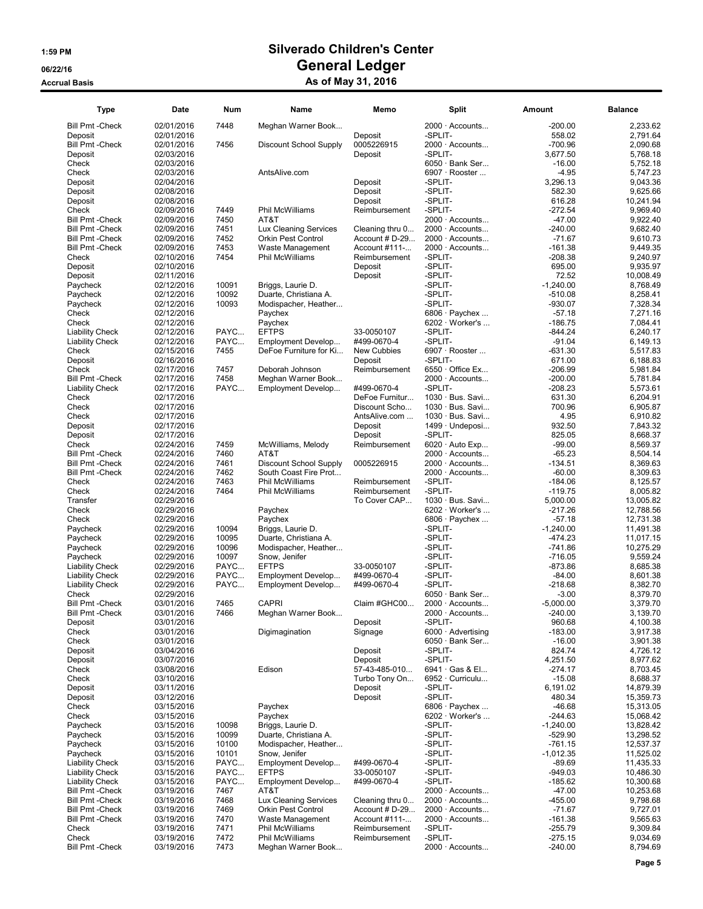| Type                                               | Date                     | <b>Num</b>   | Name                                               | Memo                              | Split                                           | Amount                 | <b>Balance</b>         |
|----------------------------------------------------|--------------------------|--------------|----------------------------------------------------|-----------------------------------|-------------------------------------------------|------------------------|------------------------|
| <b>Bill Pmt - Check</b>                            | 02/01/2016               | 7448         | Meghan Warner Book                                 |                                   | 2000 · Accounts                                 | $-200.00$              | 2,233.62               |
| Deposit                                            | 02/01/2016               |              |                                                    | Deposit                           | -SPLIT-                                         | 558.02                 | 2,791.64               |
| <b>Bill Pmt - Check</b>                            | 02/01/2016               | 7456         | Discount School Supply                             | 0005226915                        | $2000 \cdot$ Accounts                           | $-700.96$              | 2,090.68               |
| Deposit                                            | 02/03/2016               |              |                                                    | Deposit                           | -SPLIT-                                         | 3,677.50               | 5,768.18               |
| Check                                              | 02/03/2016               |              |                                                    |                                   | $6050 \cdot$ Bank Ser                           | $-16.00$               | 5,752.18               |
| Check                                              | 02/03/2016               |              | AntsAlive.com                                      |                                   | 6907 · Rooster                                  | $-4.95$                | 5,747.23               |
| Deposit                                            | 02/04/2016               |              |                                                    | Deposit                           | -SPLIT-                                         | 3,296.13               | 9,043.36               |
| Deposit                                            | 02/08/2016               |              |                                                    | Deposit                           | -SPLIT-                                         | 582.30                 | 9,625.66               |
| Deposit                                            | 02/08/2016               |              |                                                    | Deposit                           | -SPLIT-                                         | 616.28                 | 10,241.94              |
| Check                                              | 02/09/2016               | 7449         | Phil McWilliams                                    | Reimbursement                     | -SPLIT-<br>$2000 \cdot$ Accounts                | $-272.54$              | 9,969.40               |
| <b>Bill Pmt - Check</b><br><b>Bill Pmt - Check</b> | 02/09/2016               | 7450         | AT&T                                               |                                   | $2000 \cdot$ Accounts                           | $-47.00$               | 9,922.40<br>9,682.40   |
| <b>Bill Pmt - Check</b>                            | 02/09/2016<br>02/09/2016 | 7451<br>7452 | Lux Cleaning Services<br><b>Orkin Pest Control</b> | Cleaning thru 0<br>Account # D-29 | 2000 · Accounts                                 | $-240.00$<br>$-71.67$  | 9,610.73               |
| <b>Bill Pmt - Check</b>                            | 02/09/2016               | 7453         | Waste Management                                   | Account #111-                     | $2000 \cdot$ Accounts                           | $-161.38$              | 9,449.35               |
| Check                                              | 02/10/2016               | 7454         | Phil McWilliams                                    | Reimbursement                     | -SPLIT-                                         | $-208.38$              | 9.240.97               |
| Deposit                                            | 02/10/2016               |              |                                                    | Deposit                           | -SPLIT-                                         | 695.00                 | 9,935.97               |
| Deposit                                            | 02/11/2016               |              |                                                    | Deposit                           | -SPLIT-                                         | 72.52                  | 10,008.49              |
| Paycheck                                           | 02/12/2016               | 10091        | Briggs, Laurie D.                                  |                                   | -SPLIT-                                         | $-1,240.00$            | 8,768.49               |
| Paycheck                                           | 02/12/2016               | 10092        | Duarte, Christiana A.                              |                                   | -SPLIT-                                         | $-510.08$              | 8,258.41               |
| Paycheck                                           | 02/12/2016               | 10093        | Modispacher, Heather                               |                                   | -SPLIT-                                         | $-930.07$              | 7,328.34               |
| Check                                              | 02/12/2016               |              | Paychex                                            |                                   | $6806 \cdot$ Paychex                            | $-57.18$               | 7,271.16               |
| Check                                              | 02/12/2016               |              | Paychex                                            |                                   | $6202 \cdot \text{Wor}$ ker's                   | -186.75                | 7,084.41               |
| <b>Liability Check</b>                             | 02/12/2016               | PAYC         | <b>EFTPS</b>                                       | 33-0050107                        | -SPLIT-                                         | $-844.24$              | 6,240.17               |
| <b>Liability Check</b>                             | 02/12/2016               | PAYC         | Employment Develop                                 | #499-0670-4                       | -SPLIT-                                         | $-91.04$               | 6,149.13               |
| Check                                              | 02/15/2016               | 7455         | DeFoe Furniture for Ki                             | New Cubbies                       | 6907 · Rooster                                  | -631.30                | 5,517.83               |
| Deposit                                            | 02/16/2016               |              |                                                    | Deposit                           | -SPLIT-                                         | 671.00                 | 6,188.83               |
| Check                                              | 02/17/2016               | 7457         | Deborah Johnson                                    | Reimbursement                     | 6550 · Office Ex                                | $-206.99$              | 5,981.84               |
| <b>Bill Pmt - Check</b>                            | 02/17/2016               | 7458         | Meghan Warner Book                                 |                                   | 2000 · Accounts                                 | $-200.00$              | 5,781.84               |
| <b>Liability Check</b>                             | 02/17/2016               | PAYC         | Employment Develop                                 | #499-0670-4                       | -SPLIT-                                         | $-208.23$              | 5,573.61               |
| Check                                              | 02/17/2016               |              |                                                    | DeFoe Furnitur                    | 1030 · Bus. Savi                                | 631.30                 | 6,204.91               |
| Check                                              | 02/17/2016               |              |                                                    | Discount Scho                     | $1030 \cdot Bus.$ Savi                          | 700.96                 | 6,905.87               |
| Check                                              | 02/17/2016               |              |                                                    | AntsAlive.com                     | 1030 · Bus. Savi                                | 4.95                   | 6,910.82               |
| Deposit                                            | 02/17/2016               |              |                                                    | Deposit                           | 1499 · Undeposi                                 | 932.50                 | 7,843.32               |
| Deposit                                            | 02/17/2016               |              |                                                    | Deposit                           | -SPLIT-                                         | 825.05                 | 8,668.37               |
| Check                                              | 02/24/2016               | 7459         | McWilliams, Melody                                 | Reimbursement                     | 6020 · Auto Exp                                 | $-99.00$               | 8,569.37               |
| <b>Bill Pmt - Check</b>                            | 02/24/2016               | 7460         | AT&T                                               |                                   | 2000 · Accounts                                 | $-65.23$               | 8,504.14               |
| <b>Bill Pmt - Check</b>                            | 02/24/2016               | 7461         | <b>Discount School Supply</b>                      | 0005226915                        | $2000 \cdot$ Accounts                           | $-134.51$              | 8,369.63               |
| <b>Bill Pmt - Check</b>                            | 02/24/2016               | 7462         | South Coast Fire Prot                              |                                   | $2000 \cdot$ Accounts                           | $-60.00$               | 8,309.63               |
| Check                                              | 02/24/2016               | 7463         | Phil McWilliams                                    | Reimbursement                     | -SPLIT-                                         | $-184.06$              | 8,125.57               |
| Check                                              | 02/24/2016               | 7464         | Phil McWilliams                                    | Reimbursement                     | -SPLIT-                                         | $-119.75$              | 8,005.82               |
| Transfer                                           | 02/29/2016               |              |                                                    | To Cover CAP                      | $1030 \cdot Bus.$ Savi                          | 5,000.00               | 13,005.82              |
| Check<br>Check                                     | 02/29/2016<br>02/29/2016 |              | Paychex<br>Paychex                                 |                                   | $6202 \cdot \text{Wor}$ ker's<br>6806 · Paychex | $-217.26$<br>$-57.18$  | 12,788.56<br>12,731.38 |
| Paycheck                                           | 02/29/2016               | 10094        | Briggs, Laurie D.                                  |                                   | -SPLIT-                                         | $-1,240.00$            | 11,491.38              |
| Paycheck                                           | 02/29/2016               | 10095        | Duarte, Christiana A.                              |                                   | -SPLIT-                                         | $-474.23$              | 11,017.15              |
| Paycheck                                           | 02/29/2016               | 10096        | Modispacher, Heather                               |                                   | -SPLIT-                                         | $-741.86$              | 10,275.29              |
| Paycheck                                           | 02/29/2016               | 10097        | Snow, Jenifer                                      |                                   | -SPLIT-                                         | $-716.05$              | 9,559.24               |
| <b>Liability Check</b>                             | 02/29/2016               | PAYC         | <b>EFTPS</b>                                       | 33-0050107                        | -SPLIT-                                         | $-873.86$              | 8,685.38               |
| <b>Liability Check</b>                             | 02/29/2016               | PAYC         | Employment Develop                                 | #499-0670-4                       | -SPLIT-                                         | $-84.00$               | 8,601.38               |
| <b>Liability Check</b>                             | 02/29/2016               | PAYC         | Employment Develop                                 | #499-0670-4                       | -SPLIT-                                         | $-218.68$              | 8,382.70               |
| Check                                              | 02/29/2016               |              |                                                    |                                   | $6050 \cdot$ Bank Ser                           | $-3.00$                | 8,379.70               |
| <b>Bill Pmt - Check</b>                            | 03/01/2016               | 7465         | <b>CAPRI</b>                                       | Claim #GHC00                      | $2000 \cdot$ Accounts                           | $-5,000.00$            | 3,379.70               |
| <b>Bill Pmt - Check</b>                            | 03/01/2016               | 7466         | Meghan Warner Book                                 |                                   | 2000 · Accounts                                 | $-240.00$              | 3,139.70               |
| Deposit                                            | 03/01/2016               |              |                                                    | Deposit                           | -SPLIT-                                         | 960.68                 | 4,100.38               |
| Check                                              | 03/01/2016               |              | Digimagination                                     | Signage                           | $6000 \cdot$ Advertising                        | $-183.00$              | 3,917.38               |
| Check                                              | 03/01/2016               |              |                                                    |                                   | $6050 \cdot$ Bank Ser                           | $-16.00$               | 3,901.38               |
| Deposit                                            | 03/04/2016               |              |                                                    | Deposit                           | -SPLIT-                                         | 824.74                 | 4,726.12               |
| Deposit                                            | 03/07/2016               |              |                                                    | Deposit                           | -SPLIT-                                         | 4,251.50               | 8,977.62               |
| Check                                              | 03/08/2016               |              | Edison                                             | 57-43-485-010                     | 6941 Gas & El                                   | $-274.17$              | 8,703.45               |
| Check                                              | 03/10/2016               |              |                                                    | Turbo Tony On                     | 6952 · Curriculu                                | $-15.08$               | 8,688.37               |
| Deposit                                            | 03/11/2016               |              |                                                    | Deposit                           | -SPLIT-                                         | 6,191.02               | 14,879.39              |
| Deposit                                            | 03/12/2016               |              |                                                    | Deposit                           | -SPLIT-                                         | 480.34                 | 15,359.73              |
| Check                                              | 03/15/2016               |              | Paychex                                            |                                   | 6806 $\cdot$ Paychex                            | $-46.68$               | 15,313.05              |
| Check                                              | 03/15/2016               |              | Paychex                                            |                                   | 6202 · Worker's                                 | $-244.63$              | 15,068.42              |
| Paycheck                                           | 03/15/2016               | 10098        | Briggs, Laurie D.                                  |                                   | -SPLIT-                                         | $-1,240.00$            | 13,828.42              |
| Paycheck                                           | 03/15/2016               | 10099        | Duarte, Christiana A.                              |                                   | -SPLIT-                                         | -529.90                | 13,298.52              |
| Paycheck                                           | 03/15/2016               | 10100        | Modispacher, Heather                               |                                   | -SPLIT-                                         | $-761.15$              | 12,537.37              |
| Paycheck                                           | 03/15/2016               | 10101        | Snow, Jenifer                                      |                                   | -SPLIT-                                         | $-1,012.35$            | 11,525.02              |
| <b>Liability Check</b>                             | 03/15/2016               | PAYC         | Employment Develop                                 | #499-0670-4                       | -SPLIT-                                         | $-89.69$               | 11,435.33              |
| <b>Liability Check</b>                             | 03/15/2016               | PAYC         | <b>EFTPS</b>                                       | 33-0050107                        | -SPLIT-                                         | $-949.03$              | 10,486.30              |
| <b>Liability Check</b>                             | 03/15/2016               | PAYC         | Employment Develop                                 | #499-0670-4                       | -SPLIT-                                         | $-185.62$              | 10,300.68              |
| <b>Bill Pmt - Check</b>                            | 03/19/2016               | 7467         | AT&T                                               |                                   | $2000 \cdot$ Accounts                           | $-47.00$               | 10,253.68              |
| <b>Bill Pmt - Check</b>                            | 03/19/2016               | 7468         | Lux Cleaning Services                              | Cleaning thru 0                   | 2000 · Accounts                                 | -455.00                | 9,798.68               |
| <b>Bill Pmt - Check</b>                            | 03/19/2016               | 7469         | Orkin Pest Control                                 | Account # D-29                    | $2000 \cdot$ Accounts                           | $-71.67$               | 9,727.01               |
| <b>Bill Pmt - Check</b>                            | 03/19/2016               | 7470<br>7471 | Waste Management<br>Phil McWilliams                | Account #111-                     | 2000 · Accounts<br>-SPLIT-                      | $-161.38$<br>$-255.79$ | 9,565.63<br>9,309.84   |
| Check                                              | 03/19/2016               | 7472         | Phil McWilliams                                    | Reimbursement                     | -SPLIT-                                         | $-275.15$              |                        |
| Check<br><b>Bill Pmt - Check</b>                   | 03/19/2016<br>03/19/2016 | 7473         | Meghan Warner Book                                 | Reimbursement                     | $2000 \cdot$ Accounts                           | $-240.00$              | 9,034.69<br>8,794.69   |
|                                                    |                          |              |                                                    |                                   |                                                 |                        |                        |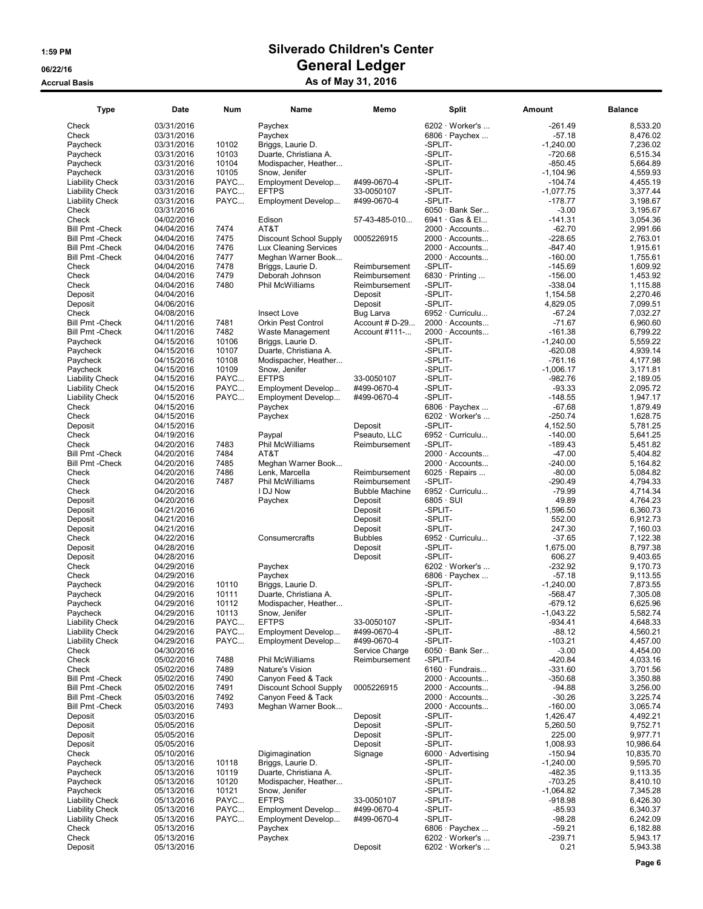| Type                                               | <b>Date</b>              | <b>Num</b>     | <b>Name</b>                                   | Memo                      | <b>Split</b>                                   | Amount                 | <b>Balance</b>       |
|----------------------------------------------------|--------------------------|----------------|-----------------------------------------------|---------------------------|------------------------------------------------|------------------------|----------------------|
| Check                                              | 03/31/2016               |                | Paychex                                       |                           | 6202 · Worker's                                | $-261.49$              | 8,533.20             |
| Check                                              | 03/31/2016               |                | Paychex                                       |                           | 6806 $\cdot$ Paychex                           | $-57.18$               | 8,476.02             |
| Paycheck                                           | 03/31/2016               | 10102          | Briggs, Laurie D.                             |                           | -SPLIT-                                        | $-1.240.00$            | 7,236.02             |
| Paycheck                                           | 03/31/2016               | 10103          | Duarte, Christiana A.                         |                           | -SPLIT-                                        | $-720.68$              | 6,515.34             |
| Paycheck                                           | 03/31/2016               | 10104          | Modispacher, Heather                          |                           | -SPLIT-                                        | $-850.45$              | 5,664.89             |
| Paycheck                                           | 03/31/2016               | 10105          | Snow, Jenifer                                 |                           | -SPLIT-                                        | $-1,104.96$            | 4,559.93             |
| <b>Liability Check</b>                             | 03/31/2016               | PAYC           | Employment Develop                            | #499-0670-4               | -SPLIT-                                        | $-104.74$              | 4,455.19             |
| <b>Liability Check</b>                             | 03/31/2016               | PAYC           | <b>EFTPS</b>                                  | 33-0050107                | -SPLIT-                                        | $-1,077.75$            | 3,377.44             |
| <b>Liability Check</b>                             | 03/31/2016               | PAYC           | Employment Develop                            | #499-0670-4               | -SPLIT-                                        | $-178.77$              | 3,198.67             |
| Check                                              | 03/31/2016               |                |                                               |                           | $6050 \cdot$ Bank Ser                          | $-3.00$                | 3,195.67             |
| Check                                              | 04/02/2016               |                | Edison                                        | 57-43-485-010             | 6941 Gas & El                                  | $-141.31$              | 3,054.36             |
| <b>Bill Pmt - Check</b>                            | 04/04/2016               | 7474           | AT&T                                          |                           | 2000 · Accounts                                | $-62.70$               | 2,991.66             |
| <b>Bill Pmt - Check</b>                            | 04/04/2016               | 7475           | <b>Discount School Supply</b>                 | 0005226915                | $2000 \cdot$ Accounts                          | $-228.65$              | 2,763.01             |
| <b>Bill Pmt - Check</b>                            | 04/04/2016               | 7476           | Lux Cleaning Services                         |                           | $2000 \cdot$ Accounts                          | $-847.40$              | 1,915.61             |
| <b>Bill Pmt - Check</b>                            | 04/04/2016               | 7477           | Meghan Warner Book                            |                           | 2000 · Accounts                                | $-160.00$              | 1,755.61             |
| Check                                              | 04/04/2016               | 7478           | Briggs, Laurie D.                             | Reimbursement             | -SPLIT-                                        | $-145.69$              | 1,609.92             |
| Check                                              | 04/04/2016               | 7479           | Deborah Johnson                               | Reimbursement             | 6830 · Printing                                | $-156.00$              | 1,453.92             |
| Check                                              | 04/04/2016               | 7480           | Phil McWilliams                               | Reimbursement             | -SPLIT-                                        | $-338.04$              | 1,115.88             |
| Deposit                                            | 04/04/2016               |                |                                               | Deposit                   | -SPLIT-                                        | 1,154.58               | 2,270.46             |
| Deposit                                            | 04/06/2016               |                |                                               | Deposit                   | -SPLIT-                                        | 4,829.05               | 7,099.51             |
| Check                                              | 04/08/2016               |                | Insect Love                                   | Bug Larva                 | 6952 · Curriculu                               | $-67.24$               | 7,032.27             |
| <b>Bill Pmt - Check</b>                            | 04/11/2016               | 7481           | <b>Orkin Pest Control</b>                     | Account # D-29            | $2000 \cdot$ Accounts                          | $-71.67$               | 6,960.60             |
| <b>Bill Pmt - Check</b>                            | 04/11/2016               | 7482           | Waste Management                              | Account #111-             | 2000 · Accounts                                | $-161.38$              | 6,799.22             |
| Paycheck                                           | 04/15/2016               | 10106          | Briggs, Laurie D.                             |                           | -SPLIT-                                        | $-1,240.00$            | 5,559.22             |
| Paycheck                                           | 04/15/2016               | 10107<br>10108 | Duarte, Christiana A.<br>Modispacher, Heather |                           | -SPLIT-                                        | $-620.08$<br>$-761.16$ | 4,939.14             |
| Paycheck                                           | 04/15/2016<br>04/15/2016 | 10109          |                                               |                           | -SPLIT-<br>-SPLIT-                             | $-1.006.17$            | 4,177.98<br>3,171.81 |
| Paycheck<br><b>Liability Check</b>                 | 04/15/2016               | PAYC           | Snow, Jenifer<br><b>EFTPS</b>                 | 33-0050107                | -SPLIT-                                        | $-982.76$              | 2,189.05             |
| <b>Liability Check</b>                             | 04/15/2016               | PAYC           | Employment Develop                            | #499-0670-4               | -SPLIT-                                        | $-93.33$               | 2,095.72             |
| <b>Liability Check</b>                             | 04/15/2016               | PAYC           | Employment Develop                            | #499-0670-4               | -SPLIT-                                        | $-148.55$              | 1,947.17             |
| Check                                              | 04/15/2016               |                | Paychex                                       |                           | 6806 · Paychex                                 | $-67.68$               | 1,879.49             |
| Check                                              | 04/15/2016               |                | Paychex                                       |                           | $6202 \cdot \text{Wor}$ ker's                  | $-250.74$              | 1,628.75             |
| Deposit                                            | 04/15/2016               |                |                                               | Deposit                   | -SPLIT-                                        | 4,152.50               | 5,781.25             |
| Check                                              | 04/19/2016               |                | Paypal                                        | Pseauto, LLC              | 6952 · Curriculu                               | $-140.00$              | 5,641.25             |
| Check                                              | 04/20/2016               | 7483           | Phil McWilliams                               | Reimbursement             | -SPLIT-                                        | $-189.43$              | 5,451.82             |
| <b>Bill Pmt - Check</b>                            | 04/20/2016               | 7484           | AT&T                                          |                           | 2000 · Accounts                                | $-47.00$               | 5,404.82             |
| <b>Bill Pmt - Check</b>                            | 04/20/2016               | 7485           | Meghan Warner Book                            |                           | 2000 · Accounts                                | $-240.00$              | 5,164.82             |
| Check                                              | 04/20/2016               | 7486           | Lenk, Marcella                                | Reimbursement             | 6025 $\cdot$ Repairs                           | $-80.00$               | 5,084.82             |
| Check                                              | 04/20/2016               | 7487           | Phil McWilliams                               | Reimbursement             | -SPLIT-                                        | $-290.49$              | 4,794.33             |
| Check                                              | 04/20/2016               |                | I DJ Now                                      | <b>Bubble Machine</b>     | 6952 · Curriculu                               | $-79.99$               | 4,714.34             |
| Deposit                                            | 04/20/2016               |                | Paychex                                       | Deposit                   | $6805 \cdot \text{SUI}$                        | 49.89                  | 4,764.23             |
| Deposit                                            | 04/21/2016               |                |                                               | Deposit                   | -SPLIT-                                        | 1,596.50               | 6,360.73             |
| Deposit                                            | 04/21/2016               |                |                                               | Deposit                   | -SPLIT-<br>-SPLIT-                             | 552.00                 | 6,912.73             |
| Deposit<br>Check                                   | 04/21/2016<br>04/22/2016 |                | Consumercrafts                                | Deposit<br><b>Bubbles</b> | 6952 · Curriculu                               | 247.30<br>$-37.65$     | 7,160.03<br>7,122.38 |
| Deposit                                            | 04/28/2016               |                |                                               | Deposit                   | -SPLIT-                                        | 1,675.00               | 8,797.38             |
| Deposit                                            | 04/28/2016               |                |                                               | Deposit                   | -SPLIT-                                        | 606.27                 | 9,403.65             |
| Check                                              | 04/29/2016               |                | Paychex                                       |                           | 6202 · Worker's                                | $-232.92$              | 9,170.73             |
| Check                                              | 04/29/2016               |                | Paychex                                       |                           | 6806 · Paychex                                 | $-57.18$               | 9,113.55             |
| Paycheck                                           | 04/29/2016               | 10110          | Briggs, Laurie D.                             |                           | -SPLIT-                                        | $-1,240.00$            | 7,873.55             |
| Paycheck                                           | 04/29/2016               | 10111          | Duarte, Christiana A.                         |                           | -SPLIT-                                        | $-568.47$              | 7,305.08             |
| Paycheck                                           | 04/29/2016               | 10112          | Modispacher, Heather                          |                           | -SPLIT-                                        | $-679.12$              | 6,625.96             |
| Paycheck                                           | 04/29/2016               | 10113          | Snow, Jenifer                                 |                           | -SPLIT-                                        | $-1,043.22$            | 5,582.74             |
| <b>Liability Check</b>                             | 04/29/2016               | PAYC           | <b>EFTPS</b>                                  | 33-0050107                | -SPLIT-                                        | $-934.41$              | 4,648.33             |
| <b>Liability Check</b>                             | 04/29/2016               | PAYC           | Employment Develop                            | #499-0670-4               | -SPLIT-                                        | $-88.12$               | 4,560.21             |
| <b>Liability Check</b>                             | 04/29/2016               | PAYC           | Employment Develop                            | #499-0670-4               | -SPLIT-                                        | $-103.21$              | 4,457.00             |
| Check                                              | 04/30/2016               |                |                                               | Service Charge            | $6050 \cdot$ Bank Ser                          | $-3.00$                | 4,454.00             |
| Check                                              | 05/02/2016               | 7488           | Phil McWilliams                               | Reimbursement             | -SPLIT-                                        | $-420.84$              | 4,033.16             |
| Check                                              | 05/02/2016               | 7489           | Nature's Vision                               |                           | 6160 · Fundrais                                | $-331.60$              | 3,701.56             |
| <b>Bill Pmt - Check</b>                            | 05/02/2016               | 7490           | Canyon Feed & Tack                            |                           | $2000 \cdot$ Accounts                          | $-350.68$              | 3,350.88             |
| <b>Bill Pmt - Check</b>                            | 05/02/2016               | 7491           | Discount School Supply                        | 0005226915                | $2000 \cdot$ Accounts<br>$2000 \cdot$ Accounts | $-94.88$               | 3,256.00             |
| <b>Bill Pmt - Check</b><br><b>Bill Pmt - Check</b> | 05/03/2016<br>05/03/2016 | 7492<br>7493   | Canyon Feed & Tack<br>Meghan Warner Book      |                           | 2000 · Accounts                                | $-30.26$<br>$-160.00$  | 3,225.74<br>3,065.74 |
| Deposit                                            | 05/03/2016               |                |                                               | Deposit                   | -SPLIT-                                        | 1,426.47               | 4,492.21             |
| Deposit                                            | 05/05/2016               |                |                                               | Deposit                   | -SPLIT-                                        | 5,260.50               | 9,752.71             |
| Deposit                                            | 05/05/2016               |                |                                               | Deposit                   | -SPLIT-                                        | 225.00                 | 9,977.71             |
| Deposit                                            | 05/05/2016               |                |                                               | Deposit                   | -SPLIT-                                        | 1,008.93               | 10.986.64            |
| Check                                              | 05/10/2016               |                | Digimagination                                | Signage                   | 6000 · Advertising                             | $-150.94$              | 10,835.70            |
| Paycheck                                           | 05/13/2016               | 10118          | Briggs, Laurie D.                             |                           | -SPLIT-                                        | $-1,240.00$            | 9,595.70             |
| Paycheck                                           | 05/13/2016               | 10119          | Duarte, Christiana A.                         |                           | -SPLIT-                                        | $-482.35$              | 9,113.35             |
| Paycheck                                           | 05/13/2016               | 10120          | Modispacher, Heather                          |                           | -SPLIT-                                        | $-703.25$              | 8,410.10             |
| Paycheck                                           | 05/13/2016               | 10121          | Snow, Jenifer                                 |                           | -SPLIT-                                        | $-1,064.82$            | 7,345.28             |
| <b>Liability Check</b>                             | 05/13/2016               | PAYC           | <b>EFTPS</b>                                  | 33-0050107                | -SPLIT-                                        | $-918.98$              | 6,426.30             |
| <b>Liability Check</b>                             | 05/13/2016               | PAYC           | Employment Develop                            | #499-0670-4               | -SPLIT-                                        | $-85.93$               | 6,340.37             |
| <b>Liability Check</b>                             | 05/13/2016               | PAYC           | Employment Develop                            | #499-0670-4               | -SPLIT-                                        | $-98.28$               | 6,242.09             |
| Check                                              | 05/13/2016               |                | Paychex                                       |                           | 6806 $\cdot$ Paychex                           | $-59.21$               | 6,182.88             |
| Check                                              | 05/13/2016<br>05/13/2016 |                | Paychex                                       | Deposit                   | 6202 · Worker's<br>6202 · Worker's             | $-239.71$<br>0.21      | 5,943.17<br>5,943.38 |
| Deposit                                            |                          |                |                                               |                           |                                                |                        |                      |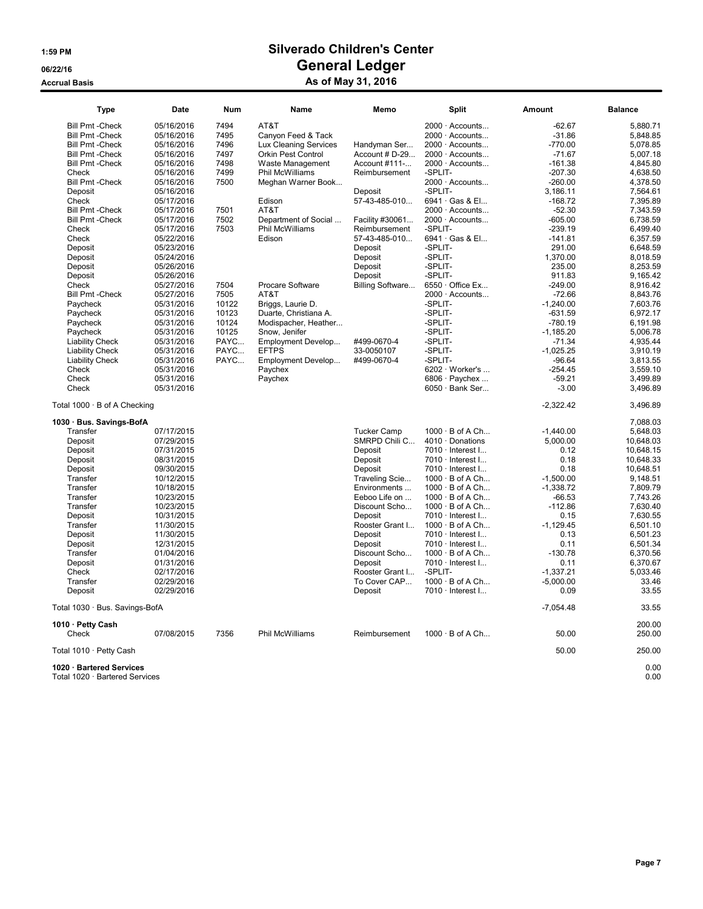| <b>Type</b>                                                | Date       | Num   | Name                  | Memo               | <b>Split</b>            | Amount      | <b>Balance</b> |
|------------------------------------------------------------|------------|-------|-----------------------|--------------------|-------------------------|-------------|----------------|
| <b>Bill Pmt - Check</b>                                    | 05/16/2016 | 7494  | AT&T                  |                    | 2000 · Accounts         | $-62.67$    | 5,880.71       |
| <b>Bill Pmt - Check</b>                                    | 05/16/2016 | 7495  | Canyon Feed & Tack    |                    | $2000 \cdot$ Accounts   | $-31.86$    | 5,848.85       |
| <b>Bill Pmt - Check</b>                                    | 05/16/2016 | 7496  | Lux Cleaning Services | Handyman Ser       | $2000 \cdot$ Accounts   | $-770.00$   | 5,078.85       |
| <b>Bill Pmt - Check</b>                                    | 05/16/2016 | 7497  | Orkin Pest Control    | Account # D-29     | 2000 · Accounts         | $-71.67$    | 5,007.18       |
| <b>Bill Pmt - Check</b>                                    | 05/16/2016 | 7498  | Waste Management      | Account #111-      | $2000 \cdot$ Accounts   | $-161.38$   | 4,845.80       |
| Check                                                      | 05/16/2016 | 7499  | Phil McWilliams       | Reimbursement      | -SPLIT-                 | $-207.30$   | 4,638.50       |
| <b>Bill Pmt - Check</b>                                    | 05/16/2016 | 7500  | Meghan Warner Book    |                    | 2000 · Accounts         | $-260.00$   | 4,378.50       |
| Deposit                                                    | 05/16/2016 |       |                       | Deposit            | -SPLIT-                 | 3,186.11    | 7,564.61       |
| Check                                                      | 05/17/2016 |       | Edison                | 57-43-485-010      | 6941 · Gas & El         | $-168.72$   | 7.395.89       |
| <b>Bill Pmt - Check</b>                                    | 05/17/2016 | 7501  | AT&T                  |                    | 2000 · Accounts         | $-52.30$    | 7,343.59       |
| <b>Bill Pmt - Check</b>                                    | 05/17/2016 | 7502  | Department of Social  | Facility #30061    | 2000 · Accounts         | $-605.00$   | 6,738.59       |
| Check                                                      | 05/17/2016 | 7503  | Phil McWilliams       | Reimbursement      | -SPLIT-                 | $-239.19$   | 6,499.40       |
| Check                                                      | 05/22/2016 |       | Edison                | 57-43-485-010      | 6941 · Gas & El         | $-141.81$   | 6,357.59       |
| Deposit                                                    | 05/23/2016 |       |                       | Deposit            | -SPLIT-                 | 291.00      | 6,648.59       |
| Deposit                                                    | 05/24/2016 |       |                       | Deposit            | -SPLIT-                 | 1.370.00    | 8,018.59       |
| Deposit                                                    | 05/26/2016 |       |                       | Deposit            | -SPLIT-                 | 235.00      | 8,253.59       |
| Deposit                                                    | 05/26/2016 |       |                       | Deposit            | -SPLIT-                 | 911.83      | 9,165.42       |
| Check                                                      | 05/27/2016 | 7504  | Procare Software      | Billing Software   | $6550 \cdot$ Office Ex  | $-249.00$   | 8,916.42       |
| <b>Bill Pmt - Check</b>                                    | 05/27/2016 | 7505  | AT&T                  |                    | $2000 \cdot$ Accounts   | $-72.66$    | 8,843.76       |
| Paycheck                                                   | 05/31/2016 | 10122 | Briggs, Laurie D.     |                    | -SPLIT-                 | $-1,240.00$ | 7,603.76       |
| Pavcheck                                                   | 05/31/2016 | 10123 | Duarte, Christiana A. |                    | -SPLIT-                 | $-631.59$   | 6.972.17       |
| Paycheck                                                   | 05/31/2016 | 10124 | Modispacher, Heather  |                    | -SPLIT-                 | $-780.19$   | 6,191.98       |
| Paycheck                                                   | 05/31/2016 | 10125 | Snow, Jenifer         |                    | -SPLIT-                 | $-1,185.20$ | 5,006.78       |
| <b>Liability Check</b>                                     | 05/31/2016 | PAYC  | Employment Develop    | #499-0670-4        | -SPLIT-                 | $-71.34$    | 4,935.44       |
| <b>Liability Check</b>                                     | 05/31/2016 | PAYC  | <b>EFTPS</b>          | 33-0050107         | -SPLIT-                 | $-1.025.25$ | 3,910.19       |
| <b>Liability Check</b>                                     | 05/31/2016 | PAYC  | Employment Develop    | #499-0670-4        | -SPLIT-                 | $-96.64$    | 3,813.55       |
| Check                                                      | 05/31/2016 |       | Paychex               |                    | 6202 · Worker's         | $-254.45$   | 3,559.10       |
| Check                                                      | 05/31/2016 |       | Paychex               |                    | $6806 \cdot$ Paychex    | $-59.21$    | 3,499.89       |
| Check                                                      | 05/31/2016 |       |                       |                    | $6050 \cdot$ Bank Ser   | $-3.00$     | 3,496.89       |
| Total 1000 · B of A Checking                               |            |       |                       |                    |                         | $-2,322.42$ | 3,496.89       |
|                                                            |            |       |                       |                    |                         |             |                |
| 1030 · Bus. Savings-BofA                                   |            |       |                       |                    |                         |             | 7,088.03       |
| Transfer                                                   | 07/17/2015 |       |                       | <b>Tucker Camp</b> | 1000 · B of A Ch        | $-1,440.00$ | 5,648.03       |
| Deposit                                                    | 07/29/2015 |       |                       | SMRPD Chili C      | 4010 · Donations        | 5,000.00    | 10,648.03      |
| Deposit                                                    | 07/31/2015 |       |                       | Deposit            | 7010 $\cdot$ Interest I | 0.12        | 10,648.15      |
| Deposit                                                    | 08/31/2015 |       |                       | Deposit            | $7010 \cdot$ Interest I | 0.18        | 10,648.33      |
| Deposit                                                    | 09/30/2015 |       |                       | Deposit            | 7010 · Interest I       | 0.18        | 10,648.51      |
| Transfer                                                   | 10/12/2015 |       |                       | Traveling Scie     | $1000 \cdot B$ of A Ch  | $-1,500.00$ | 9,148.51       |
| Transfer                                                   | 10/18/2015 |       |                       | Environments       | $1000 \cdot B$ of A Ch  | $-1,338.72$ | 7,809.79       |
| Transfer                                                   | 10/23/2015 |       |                       | Eeboo Life on      | $1000 \cdot B$ of A Ch  | $-66.53$    | 7,743.26       |
| Transfer                                                   | 10/23/2015 |       |                       | Discount Scho      | $1000 \cdot B$ of A Ch  | $-112.86$   | 7.630.40       |
| Deposit                                                    | 10/31/2015 |       |                       | Deposit            | 7010 $\cdot$ Interest I | 0.15        | 7,630.55       |
| Transfer                                                   | 11/30/2015 |       |                       | Rooster Grant I    | $1000 \cdot B$ of A Ch  | $-1,129.45$ | 6,501.10       |
| Deposit                                                    | 11/30/2015 |       |                       | Deposit            | 7010 · Interest I       | 0.13        | 6,501.23       |
| Deposit                                                    | 12/31/2015 |       |                       | Deposit            | $7010 \cdot$ Interest I | 0.11        | 6,501.34       |
| Transfer                                                   | 01/04/2016 |       |                       | Discount Scho      | $1000 \cdot B$ of A Ch  | $-130.78$   | 6,370.56       |
| Deposit                                                    | 01/31/2016 |       |                       | Deposit            | $7010 \cdot$ Interest I | 0.11        | 6,370.67       |
| Check                                                      | 02/17/2016 |       |                       | Rooster Grant I    | -SPLIT-                 | $-1,337.21$ | 5,033.46       |
| Transfer                                                   | 02/29/2016 |       |                       | To Cover CAP       | $1000 \cdot B$ of A Ch  | $-5,000.00$ | 33.46          |
| Deposit                                                    | 02/29/2016 |       |                       | Deposit            | 7010 · Interest I       | 0.09        | 33.55          |
| Total 1030 · Bus. Savings-BofA                             |            |       |                       |                    |                         | $-7.054.48$ | 33.55          |
| 1010 · Petty Cash                                          |            |       |                       |                    |                         |             | 200.00         |
| Check                                                      | 07/08/2015 | 7356  | Phil McWilliams       | Reimbursement      | $1000 \cdot B$ of A Ch  | 50.00       | 250.00         |
| Total 1010 · Petty Cash                                    |            |       |                       |                    |                         | 50.00       | 250.00         |
| 1020 · Bartered Services<br>Total 1020 · Bartered Services |            |       |                       |                    |                         |             | 0.00<br>0.00   |

Page 7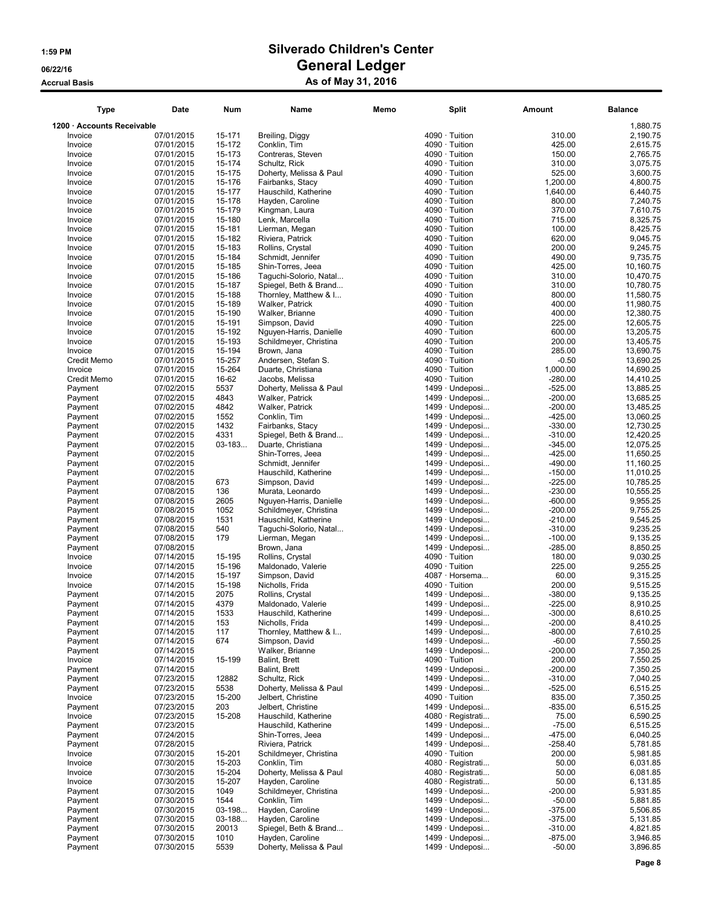| <b>Type</b>                | Date                     | <b>Num</b>       | Name                                           | Memo | <b>Split</b>                             | Amount                 | <b>Balance</b>        |
|----------------------------|--------------------------|------------------|------------------------------------------------|------|------------------------------------------|------------------------|-----------------------|
| 1200 · Accounts Receivable |                          |                  |                                                |      |                                          |                        | 1,880.75              |
| Invoice                    | 07/01/2015               | 15-171           | Breiling, Diggy                                |      | 4090 · Tuition                           | 310.00                 | 2,190.75              |
| Invoice                    | 07/01/2015               | 15-172           | Conklin, Tim                                   |      | $4090 \cdot$ Tuition                     | 425.00                 | 2,615.75              |
| Invoice                    | 07/01/2015               | 15-173           | Contreras, Steven                              |      | $4090 \cdot$ Tuition                     | 150.00                 | 2,765.75              |
| Invoice                    | 07/01/2015               | 15-174           | Schultz, Rick                                  |      | $4090 \cdot$ Tuition                     | 310.00                 | 3,075.75              |
| Invoice                    | 07/01/2015               | 15-175           | Doherty, Melissa & Paul                        |      | $4090 \cdot$ Tuition                     | 525.00                 | 3,600.75              |
| Invoice                    | 07/01/2015               | 15-176           | Fairbanks, Stacy                               |      | 4090 · Tuition                           | 1,200.00               | 4,800.75              |
| Invoice                    | 07/01/2015               | 15-177           | Hauschild, Katherine                           |      | $4090 \cdot$ Tuition                     | 1,640.00               | 6,440.75              |
| Invoice                    | 07/01/2015               | 15-178           | Hayden, Caroline                               |      | $4090 \cdot$ Tuition                     | 800.00                 | 7,240.75              |
| Invoice                    | 07/01/2015               | 15-179           | Kingman, Laura                                 |      | $4090 \cdot$ Tuition                     | 370.00                 | 7,610.75              |
| Invoice                    | 07/01/2015               | 15-180           | Lenk, Marcella                                 |      | $4090 \cdot$ Tuition                     | 715.00                 | 8,325.75              |
| Invoice                    | 07/01/2015               | 15-181           | Lierman, Megan                                 |      | 4090 · Tuition                           | 100.00                 | 8,425.75              |
| Invoice                    | 07/01/2015               | 15-182           | Riviera, Patrick                               |      | $4090 \cdot$ Tuition                     | 620.00                 | 9,045.75              |
| Invoice                    | 07/01/2015               | 15-183           | Rollins, Crystal                               |      | 4090 · Tuition                           | 200.00                 | 9,245.75              |
| Invoice                    | 07/01/2015<br>07/01/2015 | 15-184<br>15-185 | Schmidt, Jennifer<br>Shin-Torres, Jeea         |      | $4090 \cdot$ Tuition<br>4090 · Tuition   | 490.00<br>425.00       | 9,735.75<br>10,160.75 |
| Invoice                    | 07/01/2015               | 15-186           | Taguchi-Solorio, Natal                         |      | $4090 \cdot$ Tuition                     | 310.00                 | 10,470.75             |
| Invoice<br>Invoice         | 07/01/2015               | 15-187           | Spiegel, Beth & Brand                          |      | 4090 · Tuition                           | 310.00                 | 10,780.75             |
| Invoice                    | 07/01/2015               | 15-188           | Thornley, Matthew & I                          |      | 4090 · Tuition                           | 800.00                 | 11,580.75             |
| Invoice                    | 07/01/2015               | 15-189           | Walker, Patrick                                |      | $4090 \cdot$ Tuition                     | 400.00                 | 11,980.75             |
| Invoice                    | 07/01/2015               | 15-190           | Walker, Brianne                                |      | 4090 · Tuition                           | 400.00                 | 12,380.75             |
| Invoice                    | 07/01/2015               | 15-191           | Simpson, David                                 |      | $4090 \cdot$ Tuition                     | 225.00                 | 12,605.75             |
| Invoice                    | 07/01/2015               | 15-192           | Nguyen-Harris, Danielle                        |      | 4090 · Tuition                           | 600.00                 | 13,205.75             |
| Invoice                    | 07/01/2015               | 15-193           | Schildmeyer, Christina                         |      | $4090 \cdot$ Tuition                     | 200.00                 | 13,405.75             |
| Invoice                    | 07/01/2015               | 15-194           | Brown, Jana                                    |      | 4090 · Tuition                           | 285.00                 | 13.690.75             |
| Credit Memo                | 07/01/2015               | 15-257           | Andersen, Stefan S.                            |      | $4090 \cdot$ Tuition                     | $-0.50$                | 13,690.25             |
| Invoice                    | 07/01/2015               | 15-264           | Duarte, Christiana                             |      | 4090 · Tuition                           | 1,000.00               | 14,690.25             |
| Credit Memo                | 07/01/2015               | 16-62            | Jacobs, Melissa                                |      | 4090 · Tuition                           | $-280.00$              | 14,410.25             |
| Payment                    | 07/02/2015               | 5537             | Doherty, Melissa & Paul                        |      | 1499 · Undeposi                          | $-525.00$              | 13,885.25             |
| Payment                    | 07/02/2015               | 4843             | Walker, Patrick                                |      | 1499 · Undeposi                          | $-200.00$              | 13,685.25             |
| Payment                    | 07/02/2015               | 4842             | Walker, Patrick                                |      | 1499 · Undeposi                          | $-200.00$              | 13,485.25             |
| Payment                    | 07/02/2015               | 1552             | Conklin, Tim                                   |      | 1499 · Undeposi                          | $-425.00$              | 13,060.25             |
| Payment                    | 07/02/2015               | 1432             | Fairbanks, Stacy                               |      | 1499 · Undeposi                          | $-330.00$              | 12,730.25             |
| Payment                    | 07/02/2015               | 4331             | Spiegel, Beth & Brand                          |      | 1499 · Undeposi                          | $-310.00$              | 12,420.25             |
| Payment                    | 07/02/2015               | $03 - 183$       | Duarte, Christiana                             |      | 1499 · Undeposi                          | $-345.00$              | 12,075.25             |
| Payment                    | 07/02/2015               |                  | Shin-Torres, Jeea                              |      | 1499 · Undeposi                          | $-425.00$              | 11,650.25             |
| Payment                    | 07/02/2015               |                  | Schmidt, Jennifer                              |      | 1499 · Undeposi                          | $-490.00$              | 11,160.25             |
| Payment                    | 07/02/2015               |                  |                                                |      | $1499 \cdot$ Undeposi                    | $-150.00$              |                       |
|                            |                          | 673              | Hauschild, Katherine                           |      |                                          | $-225.00$              | 11,010.25             |
| Payment                    | 07/08/2015               | 136              | Simpson, David                                 |      | 1499 · Undeposi<br>1499 · Undeposi       |                        | 10,785.25             |
| Payment<br>Payment         | 07/08/2015               | 2605             | Murata, Leonardo                               |      | 1499 · Undeposi                          | $-230.00$<br>$-600.00$ | 10,555.25<br>9,955.25 |
|                            | 07/08/2015               | 1052             | Nguyen-Harris, Danielle                        |      |                                          |                        |                       |
| Payment<br>Payment         | 07/08/2015<br>07/08/2015 | 1531             | Schildmeyer, Christina<br>Hauschild, Katherine |      | 1499 · Undeposi<br>$1499 \cdot$ Undeposi | $-200.00$<br>$-210.00$ | 9,755.25<br>9,545.25  |
| Payment                    | 07/08/2015               | 540              | Taguchi-Solorio, Natal                         |      | 1499 · Undeposi                          | $-310.00$              | 9,235.25              |
| Payment                    | 07/08/2015               | 179              | Lierman, Megan                                 |      | 1499 · Undeposi                          | $-100.00$              | 9,135.25              |
| Payment                    | 07/08/2015               |                  | Brown, Jana                                    |      | 1499 · Undeposi                          | $-285.00$              | 8,850.25              |
| Invoice                    | 07/14/2015               | 15-195           | Rollins, Crystal                               |      | 4090 · Tuition                           | 180.00                 | 9,030.25              |
| Invoice                    | 07/14/2015               | 15-196           | Maldonado, Valerie                             |      | 4090 · Tuition                           | 225.00                 | 9,255.25              |
| Invoice                    | 07/14/2015               | 15-197           | Simpson, David                                 |      | 4087 · Horsema                           | 60.00                  | 9,315.25              |
| Invoice                    | 07/14/2015               | 15-198           | Nicholls, Frida                                |      | 4090 · Tuition                           | 200.00                 | 9,515.25              |
| Payment                    | 07/14/2015               | 2075             | Rollins, Crystal                               |      | 1499 · Undeposi                          | $-380.00$              | 9,135.25              |
| Payment                    | 07/14/2015               | 4379             | Maldonado, Valerie                             |      | 1499 · Undeposi                          | $-225.00$              | 8,910.25              |
| Payment                    | 07/14/2015               | 1533             | Hauschild, Katherine                           |      | 1499 · Undeposi.                         | $-300.00$              | 8,610.25              |
| Payment                    | 07/14/2015               | 153              | Nicholls, Frida                                |      | 1499 · Undeposi                          | $-200.00$              | 8,410.25              |
| Payment                    | 07/14/2015               | 117              | Thornley, Matthew & I                          |      | 1499 · Undeposi                          | $-800.00$              | 7,610.25              |
| Payment                    | 07/14/2015               | 674              | Simpson, David                                 |      | $1499 \cdot$ Undeposi                    | $-60.00$               | 7,550.25              |
| Payment                    | 07/14/2015               |                  | Walker, Brianne                                |      | 1499 · Undeposi                          | $-200.00$              | 7,350.25              |
| Invoice                    | 07/14/2015               | 15-199           | Balint, Brett                                  |      | $4090 \cdot$ Tuition                     | 200.00                 | 7,550.25              |
| Payment                    | 07/14/2015               |                  | Balint, Brett                                  |      | 1499 · Undeposi                          | $-200.00$              | 7,350.25              |
| Payment                    | 07/23/2015               | 12882            | Schultz, Rick                                  |      | 1499 · Undeposi                          | $-310.00$              | 7,040.25              |
| Payment                    | 07/23/2015               | 5538             | Doherty, Melissa & Paul                        |      | 1499 · Undeposi                          | $-525.00$              | 6,515.25              |
| Invoice                    | 07/23/2015               | 15-200           | Jelbert, Christine                             |      | $4090 \cdot$ Tuition                     | 835.00                 | 7,350.25              |
| Payment                    | 07/23/2015               | 203              | Jelbert, Christine                             |      | 1499 · Undeposi                          | $-835.00$              | 6,515.25              |
| Invoice                    | 07/23/2015               | 15-208           | Hauschild, Katherine                           |      | 4080 · Registrati                        | 75.00                  | 6,590.25              |
| Payment                    | 07/23/2015               |                  | Hauschild, Katherine                           |      | 1499 · Undeposi                          | $-75.00$               | 6,515.25              |
| Payment                    | 07/24/2015               |                  | Shin-Torres, Jeea                              |      | 1499 · Undeposi                          | $-475.00$              | 6,040.25              |
| Payment                    | 07/28/2015               |                  | Riviera, Patrick                               |      | 1499 · Undeposi                          | $-258.40$              | 5,781.85              |
| Invoice                    | 07/30/2015               | 15-201           | Schildmeyer, Christina                         |      | 4090 · Tuition                           | 200.00                 | 5,981.85              |
| Invoice                    | 07/30/2015               | 15-203           | Conklin, Tim                                   |      | 4080 · Registrati                        | 50.00                  | 6,031.85              |
| Invoice                    | 07/30/2015               | 15-204           | Doherty, Melissa & Paul                        |      | 4080 · Registrati                        | 50.00                  | 6,081.85              |
| Invoice                    | 07/30/2015               | 15-207           | Hayden, Caroline                               |      | 4080 · Registrati                        | 50.00                  | 6,131.85              |
| Payment                    | 07/30/2015               | 1049             | Schildmeyer, Christina                         |      | 1499 · Undeposi                          | $-200.00$              | 5,931.85              |
|                            |                          | 1544             |                                                |      |                                          |                        |                       |
| Payment<br>Payment         | 07/30/2015               | 03-198           | Conklin, Tim<br>Hayden, Caroline               |      | 1499 · Undeposi<br>1499 · Undeposi       | $-50.00$<br>$-375.00$  | 5,881.85<br>5,506.85  |
|                            | 07/30/2015               |                  |                                                |      |                                          |                        |                       |
| Payment<br>Payment         | 07/30/2015<br>07/30/2015 | 03-188<br>20013  | Hayden, Caroline<br>Spiegel, Beth & Brand      |      | 1499 · Undeposi<br>1499 · Undeposi       | $-375.00$<br>$-310.00$ | 5,131.85<br>4,821.85  |
| Payment                    |                          | 1010             | Hayden, Caroline                               |      | $1499 \cdot$ Undeposi                    | $-875.00$              | 3,946.85              |
| Payment                    | 07/30/2015<br>07/30/2015 | 5539             | Doherty, Melissa & Paul                        |      | 1499 · Undeposi                          | $-50.00$               | 3,896.85              |
|                            |                          |                  |                                                |      |                                          |                        |                       |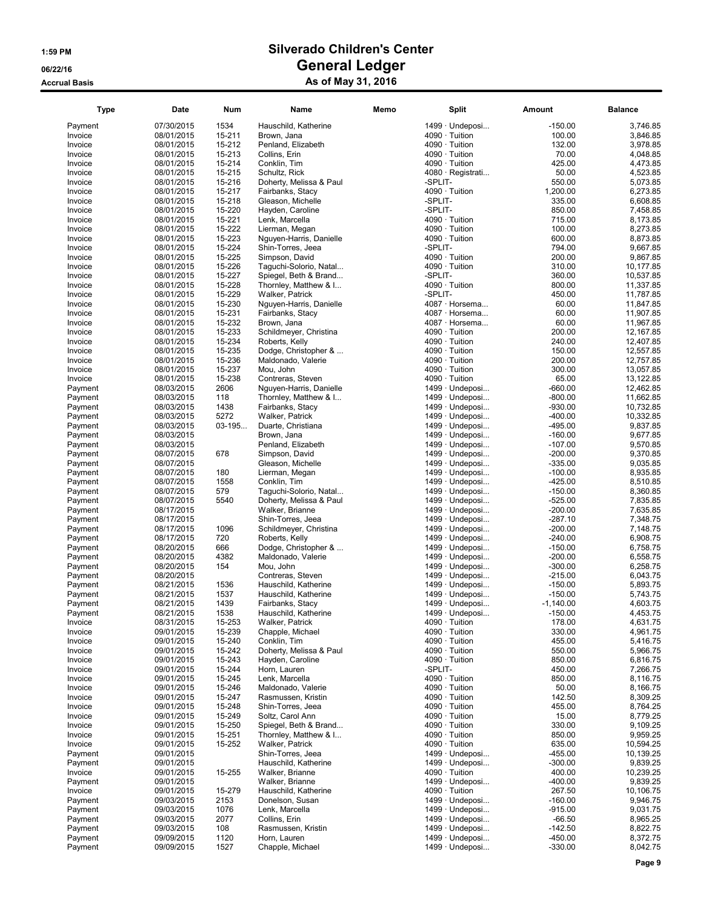| <b>Type</b> | Date       | Num      | Name                    | Memo | Split                 | Amount      | <b>Balance</b> |
|-------------|------------|----------|-------------------------|------|-----------------------|-------------|----------------|
| Payment     | 07/30/2015 | 1534     | Hauschild, Katherine    |      | 1499 · Undeposi       | $-150.00$   | 3,746.85       |
| Invoice     | 08/01/2015 | 15-211   | Brown, Jana             |      | 4090 · Tuition        | 100.00      | 3.846.85       |
| Invoice     | 08/01/2015 | 15-212   | Penland, Elizabeth      |      | 4090 · Tuition        | 132.00      | 3,978.85       |
| Invoice     | 08/01/2015 | 15-213   | Collins, Erin           |      | 4090 · Tuition        | 70.00       | 4,048.85       |
| Invoice     | 08/01/2015 | 15-214   | Conklin, Tim            |      | $4090 \cdot$ Tuition  | 425.00      | 4,473.85       |
| Invoice     | 08/01/2015 | 15-215   | Schultz, Rick           |      | 4080 · Registrati     | 50.00       | 4,523.85       |
| Invoice     | 08/01/2015 | 15-216   | Doherty, Melissa & Paul |      | -SPLIT-               | 550.00      | 5,073.85       |
| Invoice     | 08/01/2015 | 15-217   | Fairbanks, Stacy        |      | 4090 · Tuition        | 1,200.00    | 6,273.85       |
| Invoice     | 08/01/2015 | 15-218   | Gleason, Michelle       |      | -SPLIT-               | 335.00      | 6,608.85       |
| Invoice     | 08/01/2015 | 15-220   | Hayden, Caroline        |      | -SPLIT-               | 850.00      | 7,458.85       |
| Invoice     | 08/01/2015 | 15-221   | Lenk, Marcella          |      | 4090 · Tuition        | 715.00      | 8,173.85       |
| Invoice     | 08/01/2015 | 15-222   | Lierman, Megan          |      | 4090 · Tuition        | 100.00      | 8,273.85       |
| Invoice     | 08/01/2015 | 15-223   | Nguyen-Harris, Danielle |      | 4090 · Tuition        | 600.00      | 8,873.85       |
| Invoice     | 08/01/2015 | 15-224   | Shin-Torres, Jeea       |      | -SPLIT-               | 794.00      | 9,667.85       |
| Invoice     |            | 15-225   |                         |      | 4090 · Tuition        | 200.00      | 9,867.85       |
|             | 08/01/2015 |          | Simpson, David          |      |                       |             |                |
| Invoice     | 08/01/2015 | 15-226   | Taguchi-Solorio, Natal  |      | 4090 · Tuition        | 310.00      | 10,177.85      |
| Invoice     | 08/01/2015 | 15-227   | Spiegel, Beth & Brand   |      | -SPLIT-               | 360.00      | 10,537.85      |
| Invoice     | 08/01/2015 | 15-228   | Thornley, Matthew & I   |      | 4090 · Tuition        | 800.00      | 11,337.85      |
| Invoice     | 08/01/2015 | 15-229   | Walker, Patrick         |      | -SPLIT-               | 450.00      | 11,787.85      |
| Invoice     | 08/01/2015 | 15-230   | Nguyen-Harris, Danielle |      | 4087 · Horsema        | 60.00       | 11,847.85      |
| Invoice     | 08/01/2015 | 15-231   | Fairbanks, Stacy        |      | 4087 · Horsema        | 60.00       | 11,907.85      |
| Invoice     | 08/01/2015 | 15-232   | Brown, Jana             |      | 4087 · Horsema        | 60.00       | 11,967.85      |
| Invoice     | 08/01/2015 | 15-233   | Schildmeyer, Christina  |      | 4090 · Tuition        | 200.00      | 12,167.85      |
| Invoice     | 08/01/2015 | 15-234   | Roberts, Kelly          |      | 4090 · Tuition        | 240.00      | 12,407.85      |
| Invoice     | 08/01/2015 | 15-235   | Dodge, Christopher &    |      | 4090 · Tuition        | 150.00      | 12,557.85      |
| Invoice     | 08/01/2015 | 15-236   | Maldonado, Valerie      |      | 4090 · Tuition        | 200.00      | 12,757.85      |
| Invoice     | 08/01/2015 | 15-237   | Mou, John               |      | 4090 · Tuition        | 300.00      | 13,057.85      |
| Invoice     | 08/01/2015 | 15-238   | Contreras, Steven       |      | 4090 · Tuition        | 65.00       | 13,122.85      |
| Payment     | 08/03/2015 | 2606     | Nguyen-Harris, Danielle |      | 1499 · Undeposi       | $-660.00$   | 12,462.85      |
| Payment     | 08/03/2015 | 118      | Thornley, Matthew & I   |      | 1499 · Undeposi       | $-800.00$   | 11,662.85      |
| Payment     | 08/03/2015 | 1438     | Fairbanks, Stacy        |      | 1499 · Undeposi       | $-930.00$   | 10,732.85      |
| Payment     | 08/03/2015 | 5272     | Walker, Patrick         |      | $1499 \cdot$ Undeposi | $-400.00$   | 10,332.85      |
| Payment     | 08/03/2015 | $03-195$ | Duarte, Christiana      |      | 1499 · Undeposi       | $-495.00$   | 9,837.85       |
| Payment     | 08/03/2015 |          | Brown, Jana             |      | 1499 · Undeposi       | $-160.00$   | 9,677.85       |
| Payment     | 08/03/2015 |          | Penland, Elizabeth      |      | 1499 · Undeposi       | $-107.00$   | 9,570.85       |
| Payment     | 08/07/2015 | 678      | Simpson, David          |      | 1499 · Undeposi       | $-200.00$   | 9,370.85       |
| Payment     | 08/07/2015 |          | Gleason, Michelle       |      | 1499 · Undeposi       | $-335.00$   | 9,035.85       |
| Payment     | 08/07/2015 | 180      | Lierman, Megan          |      | 1499 · Undeposi       | $-100.00$   | 8,935.85       |
| Payment     | 08/07/2015 | 1558     | Conklin, Tim            |      | $1499 \cdot$ Undeposi | $-425.00$   | 8,510.85       |
| Payment     | 08/07/2015 | 579      | Taguchi-Solorio, Natal  |      | 1499 · Undeposi       | $-150.00$   | 8,360.85       |
|             |            | 5540     |                         |      | 1499 · Undeposi       |             |                |
| Payment     | 08/07/2015 |          | Doherty, Melissa & Paul |      |                       | $-525.00$   | 7,835.85       |
| Payment     | 08/17/2015 |          | Walker, Brianne         |      | 1499 · Undeposi       | $-200.00$   | 7,635.85       |
| Payment     | 08/17/2015 |          | Shin-Torres, Jeea       |      | 1499 · Undeposi       | $-287.10$   | 7,348.75       |
| Payment     | 08/17/2015 | 1096     | Schildmeyer, Christina  |      | 1499 · Undeposi       | $-200.00$   | 7,148.75       |
| Payment     | 08/17/2015 | 720      | Roberts, Kelly          |      | 1499 · Undeposi       | $-240.00$   | 6,908.75       |
| Payment     | 08/20/2015 | 666      | Dodge, Christopher &    |      | 1499 · Undeposi       | $-150.00$   | 6,758.75       |
| Payment     | 08/20/2015 | 4382     | Maldonado, Valerie      |      | 1499 · Undeposi       | $-200.00$   | 6,558.75       |
| Payment     | 08/20/2015 | 154      | Mou, John               |      | $1499 \cdot$ Undeposi | $-300.00$   | 6,258.75       |
| Payment     | 08/20/2015 |          | Contreras, Steven       |      | 1499 · Undeposi       | $-215.00$   | 6,043.75       |
| Payment     | 08/21/2015 | 1536     | Hauschild, Katherine    |      | 1499 · Undeposi       | $-150.00$   | 5,893.75       |
| Payment     | 08/21/2015 | 1537     | Hauschild, Katherine    |      | 1499 · Undeposi       | $-150.00$   | 5,743.75       |
| Payment     | 08/21/2015 | 1439     | Fairbanks, Stacy        |      | 1499 · Undeposi       | $-1,140.00$ | 4,603.75       |
| Payment     | 08/21/2015 | 1538     | Hauschild, Katherine    |      | 1499 · Undeposi       | $-150.00$   | 4,453.75       |
| Invoice     | 08/31/2015 | 15-253   | Walker, Patrick         |      | 4090 · Tuition        | 178.00      | 4,631.75       |
| Invoice     | 09/01/2015 | 15-239   | Chapple, Michael        |      | $4090 \cdot$ Tuition  | 330.00      | 4,961.75       |
| Invoice     | 09/01/2015 | 15-240   | Conklin, Tim            |      | $4090 \cdot$ Tuition  | 455.00      | 5,416.75       |
| Invoice     | 09/01/2015 | 15-242   | Doherty, Melissa & Paul |      | $4090 \cdot$ Tuition  | 550.00      | 5,966.75       |
| Invoice     | 09/01/2015 | 15-243   | Hayden, Caroline        |      | $4090 \cdot$ Tuition  | 850.00      | 6,816.75       |
| Invoice     | 09/01/2015 | 15-244   | Horn, Lauren            |      | -SPLIT-               | 450.00      | 7,266.75       |
| Invoice     | 09/01/2015 | 15-245   | Lenk, Marcella          |      | $4090 \cdot$ Tuition  | 850.00      | 8,116.75       |
| Invoice     | 09/01/2015 | 15-246   | Maldonado, Valerie      |      | 4090 · Tuition        | 50.00       | 8,166.75       |
| Invoice     | 09/01/2015 | 15-247   | Rasmussen, Kristin      |      | 4090 · Tuition        | 142.50      | 8,309.25       |
| Invoice     | 09/01/2015 | 15-248   | Shin-Torres, Jeea       |      | 4090 · Tuition        | 455.00      | 8,764.25       |
| Invoice     | 09/01/2015 | 15-249   | Soltz, Carol Ann        |      | $4090 \cdot$ Tuition  | 15.00       | 8,779.25       |
| Invoice     | 09/01/2015 | 15-250   | Spiegel, Beth & Brand   |      | $4090 \cdot$ Tuition  | 330.00      | 9,109.25       |
| Invoice     | 09/01/2015 | 15-251   | Thornley, Matthew & I   |      | $4090 \cdot$ Tuition  | 850.00      | 9,959.25       |
| Invoice     | 09/01/2015 | 15-252   | Walker, Patrick         |      | $4090 \cdot$ Tuition  | 635.00      | 10,594.25      |
| Payment     | 09/01/2015 |          | Shin-Torres, Jeea       |      | 1499 · Undeposi       | $-455.00$   | 10,139.25      |
| Payment     | 09/01/2015 |          | Hauschild, Katherine    |      | 1499 · Undeposi       | $-300.00$   | 9,839.25       |
|             |            |          |                         |      |                       |             |                |
| Invoice     | 09/01/2015 | 15-255   | Walker, Brianne         |      | 4090 · Tuition        | 400.00      | 10,239.25      |
| Payment     | 09/01/2015 |          | Walker, Brianne         |      | 1499 · Undeposi       | $-400.00$   | 9,839.25       |
| Invoice     | 09/01/2015 | 15-279   | Hauschild, Katherine    |      | $4090 \cdot$ Tuition  | 267.50      | 10,106.75      |
| Payment     | 09/03/2015 | 2153     | Donelson, Susan         |      | $1499 \cdot$ Undeposi | $-160.00$   | 9,946.75       |
| Payment     | 09/03/2015 | 1076     | Lenk, Marcella          |      | 1499 · Undeposi       | $-915.00$   | 9.031.75       |
| Payment     | 09/03/2015 | 2077     | Collins, Erin           |      | 1499 · Undeposi       | $-66.50$    | 8,965.25       |
| Payment     | 09/03/2015 | 108      | Rasmussen, Kristin      |      | 1499 · Undeposi       | $-142.50$   | 8,822.75       |
| Payment     | 09/09/2015 | 1120     | Horn, Lauren            |      | 1499 · Undeposi       | $-450.00$   | 8,372.75       |
| Payment     | 09/09/2015 | 1527     | Chapple, Michael        |      | 1499 · Undeposi       | $-330.00$   | 8,042.75       |
|             |            |          |                         |      |                       |             |                |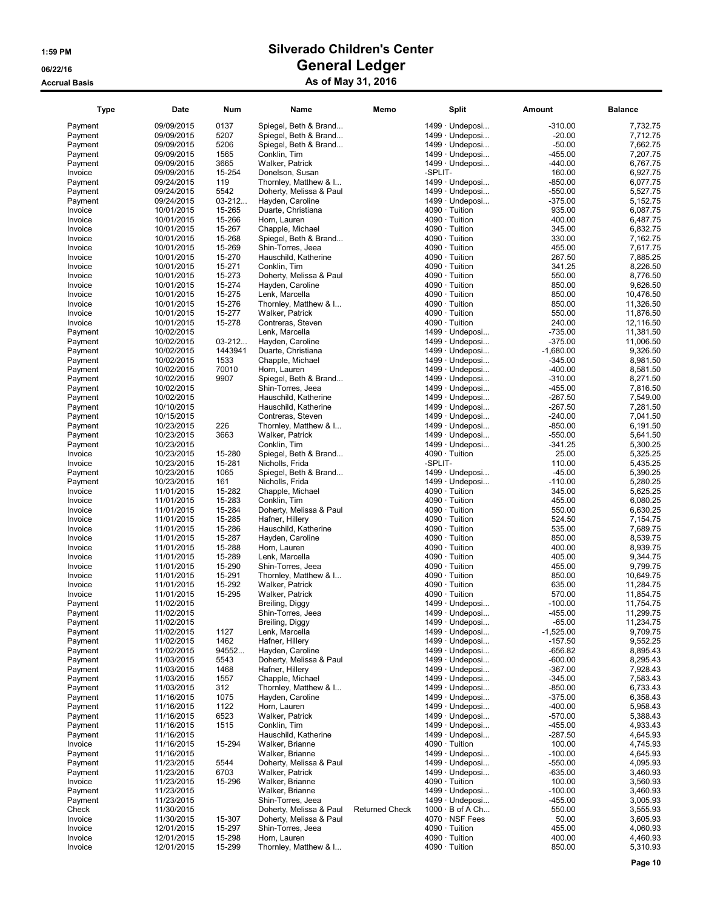| <b>Type</b>        | Date                     | <b>Num</b>       | Name                                 | Memo                  |         | <b>Split</b>                           | Amount                | <b>Balance</b>         |
|--------------------|--------------------------|------------------|--------------------------------------|-----------------------|---------|----------------------------------------|-----------------------|------------------------|
| Payment            | 09/09/2015               | 0137             | Spiegel, Beth & Brand                |                       |         | 1499 · Undeposi                        | $-310.00$             | 7,732.75               |
| Payment            | 09/09/2015               | 5207             | Spiegel, Beth & Brand                |                       |         | 1499 · Undeposi                        | $-20.00$              | 7,712.75               |
| Payment            | 09/09/2015               | 5206             | Spiegel, Beth & Brand                |                       |         | 1499 · Undeposi                        | $-50.00$              | 7,662.75               |
| Payment            | 09/09/2015               | 1565             | Conklin, Tim                         |                       |         | 1499 · Undeposi                        | $-455.00$             | 7,207.75               |
| Payment            | 09/09/2015               | 3665             | Walker, Patrick                      |                       |         | $1499 \cdot$ Undeposi                  | $-440.00$             | 6,767.75               |
| Invoice            | 09/09/2015               | 15-254           | Donelson, Susan                      |                       | -SPLIT- |                                        | 160.00                | 6,927.75               |
| Payment            | 09/24/2015               | 119              | Thornley, Matthew & I                |                       |         | 1499 · Undeposi                        | $-850.00$             | 6,077.75               |
| Payment            | 09/24/2015               | 5542             | Doherty, Melissa & Paul              |                       |         | 1499 · Undeposi                        | $-550.00$             | 5,527.75               |
| Payment            | 09/24/2015               | $03 - 212$       | Hayden, Caroline                     |                       |         | $1499 \cdot$ Undeposi                  | $-375.00$             | 5,152.75               |
| Invoice            | 10/01/2015               | 15-265           | Duarte, Christiana                   |                       |         | $4090 \cdot$ Tuition                   | 935.00                | 6,087.75               |
| Invoice            | 10/01/2015               | 15-266           | Horn, Lauren                         |                       |         | 4090 · Tuition                         | 400.00                | 6,487.75               |
| Invoice            | 10/01/2015               | 15-267           | Chapple, Michael                     |                       |         | 4090 · Tuition                         | 345.00                | 6.832.75               |
| Invoice            | 10/01/2015               | 15-268           | Spiegel, Beth & Brand                |                       |         | $4090 \cdot$ Tuition                   | 330.00                | 7,162.75               |
| Invoice            | 10/01/2015               | 15-269           | Shin-Torres, Jeea                    |                       |         | 4090 · Tuition                         | 455.00                | 7,617.75               |
| Invoice            | 10/01/2015               | 15-270           | Hauschild, Katherine                 |                       |         | $4090 \cdot$ Tuition                   | 267.50                | 7,885.25               |
| Invoice            | 10/01/2015               | 15-271           | Conklin, Tim                         |                       |         | 4090 · Tuition                         | 341.25                | 8,226.50               |
| Invoice            | 10/01/2015               | 15-273           | Doherty, Melissa & Paul              |                       |         | 4090 · Tuition                         | 550.00                | 8,776.50               |
| Invoice            | 10/01/2015               | 15-274           | Hayden, Caroline                     |                       |         | $4090 \cdot$ Tuition                   | 850.00                | 9,626.50               |
| Invoice            | 10/01/2015               | 15-275           | Lenk, Marcella                       |                       |         | $4090 \cdot$ Tuition                   | 850.00                | 10,476.50              |
| Invoice            | 10/01/2015               | 15-276           | Thornley, Matthew & I                |                       |         | $4090 \cdot$ Tuition                   | 850.00                | 11,326.50              |
| Invoice            | 10/01/2015               | 15-277           | Walker, Patrick                      |                       |         | 4090 · Tuition                         | 550.00                | 11,876.50              |
| Invoice            | 10/01/2015               | 15-278           | Contreras, Steven                    |                       |         | $4090 \cdot$ Tuition                   | 240.00                | 12,116.50              |
| Payment            | 10/02/2015               |                  | Lenk, Marcella                       |                       |         | 1499 · Undeposi                        | $-735.00$             | 11,381.50              |
| Payment            | 10/02/2015               | $03 - 212$       | Hayden, Caroline                     |                       |         | 1499 · Undeposi                        | $-375.00$             | 11,006.50              |
| Payment            | 10/02/2015               | 1443941          | Duarte, Christiana                   |                       |         | $1499 \cdot$ Undeposi                  | $-1,680.00$           | 9.326.50               |
| Payment            | 10/02/2015               | 1533             | Chapple, Michael                     |                       |         | 1499 · Undeposi                        | $-345.00$             | 8,981.50               |
| Payment            | 10/02/2015               | 70010            | Horn, Lauren                         |                       |         | 1499 · Undeposi                        | $-400.00$             | 8,581.50               |
| Payment            | 10/02/2015               | 9907             | Spiegel, Beth & Brand                |                       |         | 1499 · Undeposi                        | $-310.00$             | 8,271.50               |
| Payment            | 10/02/2015               |                  | Shin-Torres, Jeea                    |                       |         | 1499 · Undeposi                        | $-455.00$             | 7,816.50               |
| Payment            | 10/02/2015               |                  | Hauschild, Katherine                 |                       |         | 1499 · Undeposi                        | $-267.50$             | 7,549.00               |
| Payment            | 10/10/2015               |                  | Hauschild, Katherine                 |                       |         | 1499 · Undeposi                        | $-267.50$             | 7,281.50               |
| Payment            | 10/15/2015               |                  | Contreras, Steven                    |                       |         | 1499 · Undeposi                        | $-240.00$             | 7,041.50               |
| Payment            | 10/23/2015               | 226              | Thornley, Matthew & I                |                       |         | 1499 · Undeposi                        | $-850.00$             | 6,191.50               |
| Payment            | 10/23/2015               | 3663             | Walker, Patrick                      |                       |         | $1499 \cdot$ Undeposi                  | $-550.00$             | 5,641.50               |
| Payment            | 10/23/2015               |                  | Conklin, Tim                         |                       |         | 1499 · Undeposi                        | $-341.25$             | 5,300.25               |
| Invoice            | 10/23/2015               | 15-280           | Spiegel, Beth & Brand                |                       |         | $4090 \cdot$ Tuition                   | 25.00                 | 5,325.25               |
| Invoice            | 10/23/2015               | 15-281           | Nicholls, Frida                      |                       | -SPLIT- |                                        | 110.00                | 5,435.25               |
| Payment            | 10/23/2015               | 1065             | Spiegel, Beth & Brand                |                       |         | 1499 · Undeposi                        | $-45.00$              | 5,390.25               |
| Payment            | 10/23/2015               | 161              | Nicholls, Frida                      |                       |         | 1499 · Undeposi                        | $-110.00$             | 5,280.25               |
| Invoice            | 11/01/2015               | 15-282           | Chapple, Michael                     |                       |         | $4090 \cdot$ Tuition                   | 345.00                | 5,625.25               |
| Invoice            | 11/01/2015               | 15-283           | Conklin, Tim                         |                       |         | 4090 · Tuition                         | 455.00                | 6,080.25               |
| Invoice            | 11/01/2015               | 15-284           | Doherty, Melissa & Paul              |                       |         | $4090 \cdot$ Tuition                   | 550.00                | 6,630.25               |
| Invoice            | 11/01/2015               | 15-285           | Hafner, Hillery                      |                       |         | $4090 \cdot$ Tuition                   | 524.50                | 7,154.75               |
| Invoice            | 11/01/2015               | 15-286           | Hauschild, Katherine                 |                       |         | $4090 \cdot$ Tuition                   | 535.00                | 7,689.75               |
| Invoice            | 11/01/2015               | 15-287           | Hayden, Caroline                     |                       |         | $4090 \cdot$ Tuition                   | 850.00                | 8,539.75               |
| Invoice            | 11/01/2015               | 15-288           | Horn, Lauren                         |                       |         | 4090 · Tuition                         | 400.00                | 8,939.75               |
| Invoice            | 11/01/2015               | 15-289<br>15-290 | Lenk, Marcella<br>Shin-Torres, Jeea  |                       |         | $4090 \cdot$ Tuition<br>4090 · Tuition | 405.00                | 9,344.75<br>9,799.75   |
| Invoice            | 11/01/2015               | 15-291           | Thornley, Matthew & I                |                       |         | 4090 · Tuition                         | 455.00<br>850.00      | 10,649.75              |
| Invoice            | 11/01/2015               |                  | <b>Walker, Patrick</b>               |                       |         | 4090 · Tuition                         |                       |                        |
| Invoice            | 11/01/2015               | 15-292<br>15-295 |                                      |                       |         | 4090 · Tuition                         | 635.00                | 11,284.75              |
| Invoice<br>Payment | 11/01/2015               |                  | Walker, Patrick                      |                       |         |                                        | 570.00<br>$-100.00$   | 11,854.75              |
|                    | 11/02/2015               |                  | Breiling, Diggy<br>Shin-Torres, Jeea |                       |         | 1499 · Undeposi                        |                       | 11,754.75<br>11,299.75 |
| Payment<br>Payment | 11/02/2015<br>11/02/2015 |                  | Breiling, Diggy                      |                       |         | 1499 · Undeposi<br>1499 · Undeposi     | $-455.00$<br>$-65.00$ | 11,234.75              |
| Payment            | 11/02/2015               | 1127             | Lenk, Marcella                       |                       |         | 1499 · Undeposi                        | $-1,525.00$           | 9,709.75               |
| Payment            | 11/02/2015               | 1462             | Hafner, Hillery                      |                       |         | 1499 · Undeposi                        | $-157.50$             | 9,552.25               |
| Payment            | 11/02/2015               | 94552            | Hayden, Caroline                     |                       |         | 1499 · Undeposi                        | $-656.82$             | 8,895.43               |
| Payment            | 11/03/2015               | 5543             | Doherty, Melissa & Paul              |                       |         | 1499 · Undeposi                        | $-600.00$             | 8,295.43               |
| Payment            | 11/03/2015               | 1468             | Hafner, Hillery                      |                       |         | $1499 \cdot$ Undeposi                  | $-367.00$             | 7,928.43               |
| Payment            | 11/03/2015               | 1557             | Chapple, Michael                     |                       |         | 1499 · Undeposi                        | $-345.00$             | 7,583.43               |
| Payment            | 11/03/2015               | 312              | Thornley, Matthew & I                |                       |         | 1499 · Undeposi                        | $-850.00$             | 6,733.43               |
| Payment            | 11/16/2015               | 1075             | Hayden, Caroline                     |                       |         | 1499 · Undeposi                        | $-375.00$             | 6,358.43               |
| Payment            | 11/16/2015               | 1122             | Horn, Lauren                         |                       |         | 1499 · Undeposi                        | $-400.00$             | 5,958.43               |
| Payment            | 11/16/2015               | 6523             | Walker, Patrick                      |                       |         | 1499 · Undeposi                        | $-570.00$             | 5,388.43               |
| Payment            | 11/16/2015               | 1515             | Conklin, Tim                         |                       |         | 1499 · Undeposi                        | $-455.00$             | 4,933.43               |
| Payment            | 11/16/2015               |                  | Hauschild, Katherine                 |                       |         | 1499 · Undeposi                        | $-287.50$             | 4,645.93               |
| Invoice            | 11/16/2015               | 15-294           | Walker, Brianne                      |                       |         | 4090 · Tuition                         | 100.00                | 4,745.93               |
| Payment            | 11/16/2015               |                  | Walker, Brianne                      |                       |         | 1499 · Undeposi                        | $-100.00$             | 4,645.93               |
| Payment            | 11/23/2015               | 5544             | Doherty, Melissa & Paul              |                       |         | $1499 \cdot$ Undeposi                  | $-550.00$             | 4,095.93               |
| Payment            | 11/23/2015               | 6703             | Walker, Patrick                      |                       |         | 1499 · Undeposi                        | $-635.00$             | 3,460.93               |
| Invoice            | 11/23/2015               | 15-296           | Walker, Brianne                      |                       |         | 4090 · Tuition                         | 100.00                | 3,560.93               |
| Payment            | 11/23/2015               |                  | Walker, Brianne                      |                       |         | 1499 · Undeposi                        | $-100.00$             | 3,460.93               |
| Payment            | 11/23/2015               |                  | Shin-Torres, Jeea                    |                       |         | 1499 · Undeposi                        | $-455.00$             | 3,005.93               |
| Check              | 11/30/2015               |                  | Doherty, Melissa & Paul              | <b>Returned Check</b> |         | $1000 \cdot B$ of A Ch                 | 550.00                | 3,555.93               |
| Invoice            | 11/30/2015               | 15-307           | Doherty, Melissa & Paul              |                       |         | 4070 · NSF Fees                        | 50.00                 | 3,605.93               |
| Invoice            | 12/01/2015               | 15-297           | Shin-Torres, Jeea                    |                       |         | $4090 \cdot$ Tuition                   | 455.00                | 4,060.93               |
| Invoice            | 12/01/2015               | 15-298           | Horn, Lauren                         |                       |         | 4090 · Tuition                         | 400.00                | 4,460.93               |
| Invoice            | 12/01/2015               | 15-299           | Thornley, Matthew & I                |                       |         | 4090 · Tuition                         | 850.00                | 5,310.93               |
|                    |                          |                  |                                      |                       |         |                                        |                       |                        |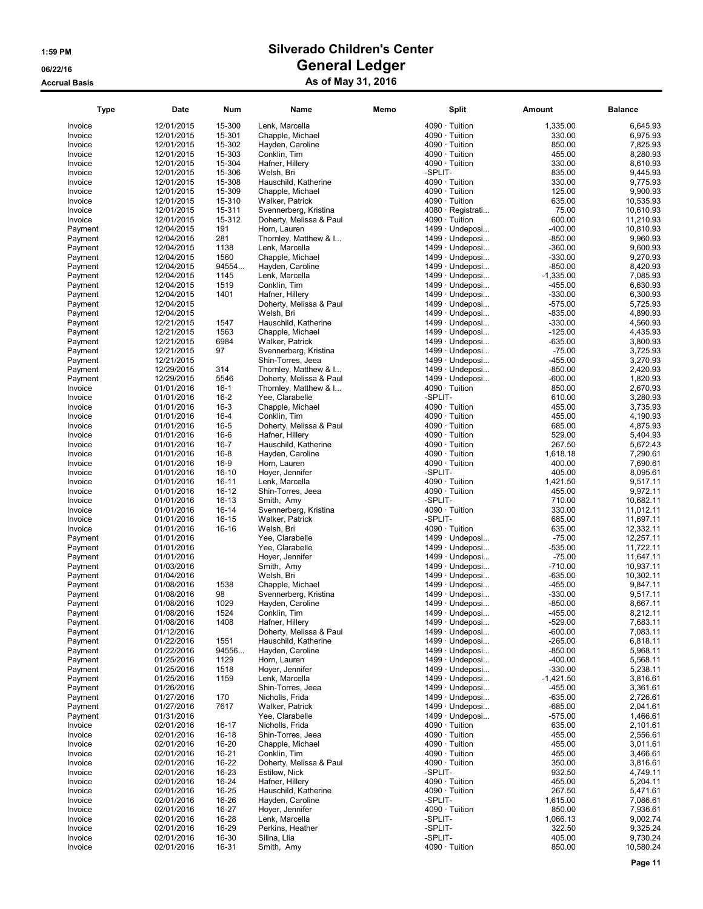| <b>Type</b> | Date       | Num       | Name                    | Memo | <b>Split</b>          | Amount      | <b>Balance</b> |
|-------------|------------|-----------|-------------------------|------|-----------------------|-------------|----------------|
| Invoice     | 12/01/2015 | 15-300    | Lenk, Marcella          |      | $4090 \cdot$ Tuition  | 1,335.00    | 6,645.93       |
| Invoice     | 12/01/2015 | 15-301    | Chapple, Michael        |      | $4090 \cdot$ Tuition  | 330.00      | 6,975.93       |
| Invoice     | 12/01/2015 | 15-302    | Hayden, Caroline        |      | $4090 \cdot$ Tuition  | 850.00      | 7,825.93       |
| Invoice     | 12/01/2015 | 15-303    | Conklin, Tim            |      | $4090 \cdot$ Tuition  | 455.00      | 8,280.93       |
| Invoice     | 12/01/2015 | 15-304    | Hafner, Hillery         |      | 4090 · Tuition        | 330.00      | 8.610.93       |
| Invoice     | 12/01/2015 | 15-306    | Welsh, Bri              |      | -SPLIT-               | 835.00      | 9,445.93       |
| Invoice     | 12/01/2015 | 15-308    | Hauschild, Katherine    |      | 4090 · Tuition        | 330.00      | 9,775.93       |
| Invoice     | 12/01/2015 | 15-309    | Chapple, Michael        |      | 4090 · Tuition        | 125.00      | 9,900.93       |
|             |            |           |                         |      | 4090 · Tuition        |             |                |
| Invoice     | 12/01/2015 | 15-310    | Walker, Patrick         |      |                       | 635.00      | 10,535.93      |
| Invoice     | 12/01/2015 | 15-311    | Svennerberg, Kristina   |      | 4080 · Registrati     | 75.00       | 10,610.93      |
| Invoice     | 12/01/2015 | 15-312    | Doherty, Melissa & Paul |      | $4090 \cdot$ Tuition  | 600.00      | 11,210.93      |
| Payment     | 12/04/2015 | 191       | Horn, Lauren            |      | 1499 · Undeposi       | $-400.00$   | 10,810.93      |
| Payment     | 12/04/2015 | 281       | Thornley, Matthew & I   |      | 1499 · Undeposi       | $-850.00$   | 9,960.93       |
| Payment     | 12/04/2015 | 1138      | Lenk, Marcella          |      | 1499 · Undeposi       | $-360.00$   | 9,600.93       |
| Payment     | 12/04/2015 | 1560      | Chapple, Michael        |      | 1499 · Undeposi       | $-330.00$   | 9,270.93       |
| Payment     | 12/04/2015 | 94554     | Hayden, Caroline        |      | 1499 · Undeposi       | $-850.00$   | 8,420.93       |
| Payment     | 12/04/2015 | 1145      | Lenk, Marcella          |      | 1499 · Undeposi       | $-1,335.00$ | 7,085.93       |
| Payment     | 12/04/2015 | 1519      | Conklin, Tim            |      | 1499 · Undeposi       | $-455.00$   | 6,630.93       |
| Payment     | 12/04/2015 | 1401      | Hafner, Hillery         |      | 1499 · Undeposi       | $-330.00$   | 6,300.93       |
| Payment     | 12/04/2015 |           | Doherty, Melissa & Paul |      | 1499 · Undeposi       | $-575.00$   | 5,725.93       |
| Payment     | 12/04/2015 |           | Welsh, Bri              |      | $1499 \cdot$ Undeposi | $-835.00$   | 4,890.93       |
| Payment     | 12/21/2015 | 1547      | Hauschild, Katherine    |      | 1499 · Undeposi       | $-330.00$   | 4,560.93       |
| Payment     | 12/21/2015 | 1563      | Chapple, Michael        |      | 1499 · Undeposi       | $-125.00$   | 4,435.93       |
|             | 12/21/2015 | 6984      |                         |      |                       | $-635.00$   | 3,800.93       |
| Payment     |            |           | Walker, Patrick         |      | 1499 · Undeposi       |             |                |
| Payment     | 12/21/2015 | 97        | Svennerberg, Kristina   |      | $1499 \cdot$ Undeposi | $-75.00$    | 3,725.93       |
| Payment     | 12/21/2015 |           | Shin-Torres, Jeea       |      | 1499 · Undeposi       | $-455.00$   | 3,270.93       |
| Payment     | 12/29/2015 | 314       | Thornley, Matthew & I   |      | 1499 · Undeposi       | $-850.00$   | 2,420.93       |
| Payment     | 12/29/2015 | 5546      | Doherty, Melissa & Paul |      | 1499 · Undeposi       | $-600.00$   | 1,820.93       |
| Invoice     | 01/01/2016 | $16-1$    | Thornley, Matthew & I   |      | $4090 \cdot$ Tuition  | 850.00      | 2,670.93       |
| Invoice     | 01/01/2016 | $16 - 2$  | Yee, Clarabelle         |      | -SPLIT-               | 610.00      | 3,280.93       |
| Invoice     | 01/01/2016 | $16 - 3$  | Chapple, Michael        |      | 4090 · Tuition        | 455.00      | 3,735.93       |
| Invoice     | 01/01/2016 | $16 - 4$  | Conklin, Tim            |      | $4090 \cdot$ Tuition  | 455.00      | 4,190.93       |
| Invoice     | 01/01/2016 | $16 - 5$  | Doherty, Melissa & Paul |      | $4090 \cdot$ Tuition  | 685.00      | 4,875.93       |
| Invoice     | 01/01/2016 | $16-6$    | Hafner, Hillery         |      | $4090 \cdot$ Tuition  | 529.00      | 5,404.93       |
| Invoice     | 01/01/2016 | $16 - 7$  | Hauschild, Katherine    |      | $4090 \cdot$ Tuition  | 267.50      | 5,672.43       |
| Invoice     |            | $16 - 8$  | Hayden, Caroline        |      | $4090 \cdot$ Tuition  | 1,618.18    | 7,290.61       |
|             | 01/01/2016 |           |                         |      |                       |             |                |
| Invoice     | 01/01/2016 | $16-9$    | Horn, Lauren            |      | 4090 · Tuition        | 400.00      | 7,690.61       |
| Invoice     | 01/01/2016 | $16 - 10$ | Hoyer, Jennifer         |      | -SPLIT-               | 405.00      | 8,095.61       |
| Invoice     | 01/01/2016 | 16-11     | Lenk, Marcella          |      | $4090 \cdot$ Tuition  | 1,421.50    | 9,517.11       |
| Invoice     | 01/01/2016 | 16-12     | Shin-Torres, Jeea       |      | 4090 · Tuition        | 455.00      | 9,972.11       |
| Invoice     | 01/01/2016 | 16-13     | Smith, Amy              |      | -SPLIT-               | 710.00      | 10,682.11      |
| Invoice     | 01/01/2016 | $16 - 14$ | Svennerberg, Kristina   |      | 4090 · Tuition        | 330.00      | 11,012.11      |
| Invoice     | 01/01/2016 | $16 - 15$ | Walker, Patrick         |      | -SPLIT-               | 685.00      | 11,697.11      |
| Invoice     | 01/01/2016 | 16-16     | Welsh, Bri              |      | $4090 \cdot$ Tuition  | 635.00      | 12,332.11      |
| Payment     | 01/01/2016 |           | Yee, Clarabelle         |      | 1499 · Undeposi       | $-75.00$    | 12,257.11      |
| Payment     | 01/01/2016 |           | Yee, Clarabelle         |      | $1499 \cdot$ Undeposi | $-535.00$   | 11,722.11      |
| Payment     | 01/01/2016 |           | Hoyer, Jennifer         |      | 1499 · Undeposi       | $-75.00$    | 11,647.11      |
| Payment     | 01/03/2016 |           | Smith, Amy              |      | 1499 · Undeposi       | $-710.00$   | 10,937.11      |
| Payment     | 01/04/2016 |           | Welsh, Bri              |      | 1499 · Undeposi       | $-635.00$   | 10,302.11      |
| Payment     | 01/08/2016 | 1538      | Chapple, Michael        |      | 1499 · Undeposi       | $-455.00$   | 9,847.11       |
| Payment     | 01/08/2016 | 98        | Svennerberg, Kristina   |      | 1499 · Undeposi       | $-330.00$   | 9,517.11       |
| Payment     | 01/08/2016 | 1029      | Hayden, Caroline        |      | 1499 · Undeposi       | $-850.00$   | 8,667.11       |
| Payment     | 01/08/2016 | 1524      | Conklin, Tim            |      | 1499 · Undeposi       | $-455.00$   | 8,212.11       |
|             |            |           |                         |      |                       |             |                |
| Payment     | 01/08/2016 | 1408      | Hafner, Hillery         |      | 1499 · Undeposi       | $-529.00$   | 7,683.11       |
| Payment     | 01/12/2016 |           | Doherty, Melissa & Paul |      | $1499 \cdot$ Undeposi | $-600.00$   | 7,083.11       |
| Payment     | 01/22/2016 | 1551      | Hauschild, Katherine    |      | 1499 · Undeposi       | $-265.00$   | 6,818.11       |
| Payment     | 01/22/2016 | 94556     | Hayden, Caroline        |      | 1499 · Undeposi       | $-850.00$   | 5,968.11       |
| Payment     | 01/25/2016 | 1129      | Horn, Lauren            |      | $1499 \cdot$ Undeposi | -400.00     | 5,568.11       |
| Payment     | 01/25/2016 | 1518      | Hoyer, Jennifer         |      | 1499 · Undeposi       | $-330.00$   | 5,238.11       |
| Payment     | 01/25/2016 | 1159      | Lenk, Marcella          |      | 1499 · Undeposi       | $-1,421.50$ | 3,816.61       |
| Payment     | 01/26/2016 |           | Shin-Torres, Jeea       |      | 1499 · Undeposi       | $-455.00$   | 3,361.61       |
| Payment     | 01/27/2016 | 170       | Nicholls, Frida         |      | $1499 \cdot$ Undeposi | $-635.00$   | 2,726.61       |
| Payment     | 01/27/2016 | 7617      | Walker, Patrick         |      | 1499 · Undeposi       | $-685.00$   | 2,041.61       |
| Payment     | 01/31/2016 |           | Yee, Clarabelle         |      | 1499 · Undeposi       | $-575.00$   | 1,466.61       |
| Invoice     | 02/01/2016 | 16-17     | Nicholls, Frida         |      | $4090 \cdot$ Tuition  | 635.00      | 2,101.61       |
| Invoice     | 02/01/2016 | 16-18     | Shin-Torres, Jeea       |      | 4090 · Tuition        | 455.00      | 2,556.61       |
| Invoice     | 02/01/2016 | 16-20     | Chapple, Michael        |      | 4090 · Tuition        | 455.00      | 3,011.61       |
| Invoice     | 02/01/2016 | 16-21     | Conklin, Tim            |      | $4090 \cdot$ Tuition  | 455.00      | 3,466.61       |
| Invoice     | 02/01/2016 | 16-22     | Doherty, Melissa & Paul |      | $4090 \cdot$ Tuition  | 350.00      | 3,816.61       |
| Invoice     | 02/01/2016 | 16-23     | Estilow, Nick           |      | -SPLIT-               | 932.50      | 4,749.11       |
| Invoice     | 02/01/2016 | 16-24     | Hafner, Hillery         |      | $4090 \cdot$ Tuition  | 455.00      | 5,204.11       |
| Invoice     |            | 16-25     | Hauschild, Katherine    |      | $4090 \cdot$ Tuition  | 267.50      | 5,471.61       |
|             | 02/01/2016 |           |                         |      |                       |             |                |
| Invoice     | 02/01/2016 | 16-26     | Hayden, Caroline        |      | -SPLIT-               | 1,615.00    | 7,086.61       |
| Invoice     | 02/01/2016 | 16-27     | Hoyer, Jennifer         |      | 4090 · Tuition        | 850.00      | 7,936.61       |
| Invoice     | 02/01/2016 | 16-28     | Lenk, Marcella          |      | -SPLIT-               | 1,066.13    | 9,002.74       |
| Invoice     | 02/01/2016 | 16-29     | Perkins, Heather        |      | -SPLIT-               | 322.50      | 9,325.24       |
| Invoice     | 02/01/2016 | 16-30     | Silina, Llia            |      | -SPLIT-               | 405.00      | 9,730.24       |
| Invoice     | 02/01/2016 | 16-31     | Smith, Amy              |      | 4090 · Tuition        | 850.00      | 10,580.24      |
|             |            |           |                         |      |                       |             |                |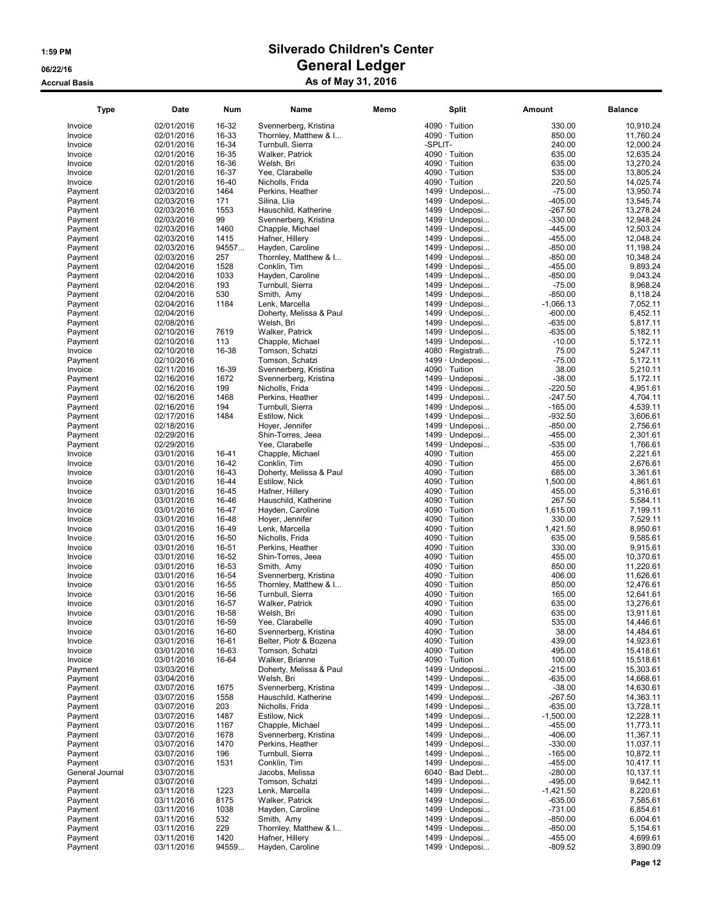| <b>Type</b>     | Date       | Num   | Name                    | Memo |                      | Split                 | Amount      | Balance   |
|-----------------|------------|-------|-------------------------|------|----------------------|-----------------------|-------------|-----------|
| Invoice         | 02/01/2016 | 16-32 | Svennerberg, Kristina   |      | 4090 · Tuition       |                       | 330.00      | 10,910.24 |
| Invoice         | 02/01/2016 | 16-33 | Thornley, Matthew & I   |      | $4090 \cdot$ Tuition |                       | 850.00      | 11,760.24 |
| Invoice         | 02/01/2016 | 16-34 | Turnbull, Sierra        |      | -SPLIT-              |                       | 240.00      | 12,000.24 |
| Invoice         | 02/01/2016 | 16-35 | Walker, Patrick         |      | 4090 · Tuition       |                       | 635.00      | 12,635.24 |
| Invoice         | 02/01/2016 | 16-36 | Welsh, Bri              |      | $4090 \cdot$ Tuition |                       | 635.00      | 13,270.24 |
| Invoice         | 02/01/2016 | 16-37 | Yee, Clarabelle         |      | $4090 \cdot$ Tuition |                       | 535.00      | 13.805.24 |
| Invoice         | 02/01/2016 | 16-40 | Nicholls, Frida         |      | 4090 · Tuition       |                       | 220.50      | 14,025.74 |
| Payment         | 02/03/2016 | 1464  | Perkins, Heather        |      |                      | 1499 · Undeposi       | $-75.00$    | 13,950.74 |
| Payment         | 02/03/2016 | 171   | Silina, Llia            |      |                      | $1499 \cdot$ Undeposi | $-405.00$   | 13,545.74 |
| Payment         | 02/03/2016 | 1553  | Hauschild, Katherine    |      |                      | 1499 · Undeposi       | $-267.50$   | 13,278.24 |
| Payment         | 02/03/2016 | 99    | Svennerberg, Kristina   |      |                      | 1499 · Undeposi       | $-330.00$   | 12,948.24 |
| Payment         | 02/03/2016 | 1460  | Chapple, Michael        |      |                      | 1499 · Undeposi       | $-445.00$   | 12,503.24 |
| Payment         | 02/03/2016 | 1415  | Hafner, Hillery         |      |                      | 1499 · Undeposi       | $-455.00$   | 12,048.24 |
| Payment         | 02/03/2016 | 94557 | Hayden, Caroline        |      |                      | 1499 · Undeposi       | $-850.00$   | 11,198.24 |
| Payment         | 02/03/2016 | 257   | Thornley, Matthew & I   |      |                      | 1499 · Undeposi       | $-850.00$   | 10,348.24 |
| Payment         | 02/04/2016 | 1528  | Conklin, Tim            |      |                      | 1499 · Undeposi       | $-455.00$   | 9,893.24  |
| Payment         | 02/04/2016 | 1033  | Hayden, Caroline        |      |                      | 1499 · Undeposi       | $-850.00$   | 9,043.24  |
| Payment         | 02/04/2016 | 193   | Turnbull, Sierra        |      |                      | $1499 \cdot$ Undeposi | $-75.00$    | 8,968.24  |
| Payment         | 02/04/2016 | 530   | Smith, Amy              |      |                      | 1499 · Undeposi       | $-850.00$   | 8,118.24  |
| Payment         | 02/04/2016 | 1184  | Lenk, Marcella          |      |                      | 1499 · Undeposi       | $-1,066.13$ | 7,052.11  |
| Payment         | 02/04/2016 |       | Doherty, Melissa & Paul |      |                      | $1499 \cdot$ Undeposi | $-600.00$   | 6,452.11  |
| Payment         | 02/08/2016 |       | Welsh, Bri              |      |                      | 1499 · Undeposi       | $-635.00$   | 5,817.11  |
| Payment         | 02/10/2016 | 7619  | Walker, Patrick         |      |                      | 1499 · Undeposi       | $-635.00$   | 5,182.11  |
| Payment         | 02/10/2016 | 113   | Chapple, Michael        |      |                      | 1499 · Undeposi       | $-10.00$    | 5,172.11  |
| Invoice         | 02/10/2016 | 16-38 | Tomson, Schatzi         |      |                      | 4080 · Registrati     | 75.00       | 5,247.11  |
|                 | 02/10/2016 |       |                         |      |                      |                       | $-75.00$    | 5,172.11  |
| Payment         |            |       | Tomson, Schatzi         |      |                      | 1499 · Undeposi       |             |           |
| Invoice         | 02/11/2016 | 16-39 | Svennerberg, Kristina   |      | 4090 · Tuition       |                       | 38.00       | 5,210.11  |
| Payment         | 02/16/2016 | 1672  | Svennerberg, Kristina   |      |                      | 1499 · Undeposi       | $-38.00$    | 5,172.11  |
| Payment         | 02/16/2016 | 199   | Nicholls, Frida         |      |                      | 1499 · Undeposi       | $-220.50$   | 4,951.61  |
| Payment         | 02/16/2016 | 1468  | Perkins. Heather        |      |                      | $1499 \cdot$ Undeposi | $-247.50$   | 4,704.11  |
| Payment         | 02/16/2016 | 194   | Turnbull, Sierra        |      |                      | 1499 · Undeposi       | $-165.00$   | 4,539.11  |
| Payment         | 02/17/2016 | 1484  | Estilow, Nick           |      |                      | 1499 · Undeposi       | $-932.50$   | 3,606.61  |
| Payment         | 02/18/2016 |       | Hoyer, Jennifer         |      |                      | 1499 · Undeposi       | $-850.00$   | 2,756.61  |
| Payment         | 02/29/2016 |       | Shin-Torres, Jeea       |      |                      | $1499 \cdot$ Undeposi | $-455.00$   | 2,301.61  |
| Payment         | 02/29/2016 |       | Yee, Clarabelle         |      |                      | 1499 · Undeposi       | $-535.00$   | 1,766.61  |
| Invoice         | 03/01/2016 | 16-41 | Chapple, Michael        |      | $4090 \cdot$ Tuition |                       | 455.00      | 2,221.61  |
| Invoice         | 03/01/2016 | 16-42 | Conklin, Tim            |      | 4090 · Tuition       |                       | 455.00      | 2,676.61  |
| Invoice         | 03/01/2016 | 16-43 | Doherty, Melissa & Paul |      | 4090 · Tuition       |                       | 685.00      | 3,361.61  |
| Invoice         | 03/01/2016 | 16-44 | Estilow, Nick           |      | 4090 · Tuition       |                       | 1,500.00    | 4,861.61  |
| Invoice         | 03/01/2016 | 16-45 | Hafner, Hillery         |      | 4090 · Tuition       |                       | 455.00      | 5,316.61  |
| Invoice         | 03/01/2016 | 16-46 | Hauschild, Katherine    |      | 4090 · Tuition       |                       | 267.50      | 5,584.11  |
| Invoice         | 03/01/2016 | 16-47 | Hayden, Caroline        |      | 4090 · Tuition       |                       | 1,615.00    | 7,199.11  |
| Invoice         | 03/01/2016 | 16-48 | Hoyer, Jennifer         |      | $4090 \cdot$ Tuition |                       | 330.00      | 7,529.11  |
| Invoice         | 03/01/2016 | 16-49 | Lenk, Marcella          |      | $4090 \cdot$ Tuition |                       | 1,421.50    | 8,950.61  |
| Invoice         | 03/01/2016 | 16-50 | Nicholls, Frida         |      | 4090 · Tuition       |                       | 635.00      | 9,585.61  |
| Invoice         | 03/01/2016 | 16-51 | Perkins, Heather        |      | $4090 \cdot$ Tuition |                       | 330.00      | 9.915.61  |
| Invoice         | 03/01/2016 | 16-52 | Shin-Torres, Jeea       |      | $4090 \cdot$ Tuition |                       | 455.00      | 10,370.61 |
| Invoice         | 03/01/2016 | 16-53 | Smith, Amy              |      | 4090 · Tuition       |                       | 850.00      | 11,220.61 |
| Invoice         | 03/01/2016 | 16-54 | Svennerberg, Kristina   |      | 4090 · Tuition       |                       | 406.00      | 11,626.61 |
| Invoice         | 03/01/2016 | 16-55 | Thornley, Matthew & I   |      | $4090 \cdot$ Tuition |                       | 850.00      | 12,476.61 |
| Invoice         | 03/01/2016 | 16-56 | Turnbull, Sierra        |      | 4090 · Tuition       |                       | 165.00      | 12,641.61 |
| Invoice         | 03/01/2016 | 16-57 | Walker, Patrick         |      | 4090 · Tuition       |                       | 635.00      | 13,276.61 |
| Invoice         | 03/01/2016 | 16-58 | Welsh, Bri              |      | 4090 · Tuition       |                       | 635.00      | 13,911.61 |
| Invoice         | 03/01/2016 | 16-59 | Yee, Clarabelle         |      | $4090 \cdot$ Tuition |                       | 535.00      | 14,446.61 |
| Invoice         | 03/01/2016 | 16-60 | Svennerberg, Kristina   |      | $4090 \cdot$ Tuition |                       | 38.00       | 14,484.61 |
| Invoice         | 03/01/2016 | 16-61 | Belter, Piotr & Bozena  |      | $4090 \cdot$ Tuition |                       | 439.00      | 14,923.61 |
| Invoice         | 03/01/2016 | 16-63 | Tomson, Schatzi         |      | $4090 \cdot$ Tuition |                       | 495.00      | 15,418.61 |
| Invoice         | 03/01/2016 | 16-64 | Walker, Brianne         |      | $4090 \cdot$ Tuition |                       | 100.00      | 15,518.61 |
| Payment         | 03/03/2016 |       | Doherty, Melissa & Paul |      |                      | 1499 · Undeposi       | $-215.00$   | 15,303.61 |
| Payment         | 03/04/2016 |       | Welsh, Bri              |      |                      | $1499 \cdot$ Undeposi | $-635.00$   | 14,668.61 |
| Payment         | 03/07/2016 | 1675  | Svennerberg, Kristina   |      |                      | 1499 · Undeposi       | $-38.00$    | 14,630.61 |
| Payment         | 03/07/2016 | 1558  | Hauschild, Katherine    |      |                      | 1499 · Undeposi       | $-267.50$   | 14,363.11 |
| Payment         | 03/07/2016 | 203   | Nicholls, Frida         |      |                      | 1499 · Undeposi       | $-635.00$   | 13,728.11 |
| Payment         | 03/07/2016 | 1487  | Estilow, Nick           |      |                      | 1499 · Undeposi       | $-1,500.00$ | 12,228.11 |
| Payment         | 03/07/2016 | 1167  | Chapple, Michael        |      |                      | 1499 · Undeposi       | $-455.00$   | 11,773.11 |
| Payment         | 03/07/2016 | 1678  | Svennerberg, Kristina   |      |                      | 1499 · Undeposi       | $-406.00$   | 11,367.11 |
| Payment         | 03/07/2016 | 1470  | Perkins, Heather        |      |                      | $1499 \cdot$ Undeposi | $-330.00$   | 11,037.11 |
| Payment         | 03/07/2016 | 196   | Turnbull, Sierra        |      |                      | $1499 \cdot$ Undeposi | $-165.00$   | 10,872.11 |
| Payment         | 03/07/2016 | 1531  | Conklin, Tim            |      |                      | 1499 · Undeposi       | $-455.00$   | 10,417.11 |
|                 |            |       | Jacobs, Melissa         |      |                      | $6040 \cdot$ Bad Debt | $-280.00$   | 10,137.11 |
| General Journal | 03/07/2016 |       |                         |      |                      |                       |             |           |
| Payment         | 03/07/2016 |       | Tomson, Schatzi         |      |                      | 1499 · Undeposi       | $-495.00$   | 9,642.11  |
| Payment         | 03/11/2016 | 1223  | Lenk, Marcella          |      |                      | 1499 · Undeposi       | $-1,421.50$ | 8,220.61  |
| Payment         | 03/11/2016 | 8175  | Walker, Patrick         |      |                      | 1499 · Undeposi       | $-635.00$   | 7,585.61  |
| Payment         | 03/11/2016 | 1038  | Hayden, Caroline        |      |                      | 1499 · Undeposi       | $-731.00$   | 6,854.61  |
| Payment         | 03/11/2016 | 532   | Smith, Amy              |      |                      | 1499 · Undeposi       | $-850.00$   | 6,004.61  |
| Payment         | 03/11/2016 | 229   | Thornley, Matthew & I   |      |                      | 1499 · Undeposi       | $-850.00$   | 5,154.61  |
| Payment         | 03/11/2016 | 1420  | Hafner, Hillery         |      |                      | 1499 · Undeposi       | $-455.00$   | 4,699.61  |
| Payment         | 03/11/2016 | 94559 | Hayden, Caroline        |      |                      | 1499 · Undeposi       | $-809.52$   | 3,890.09  |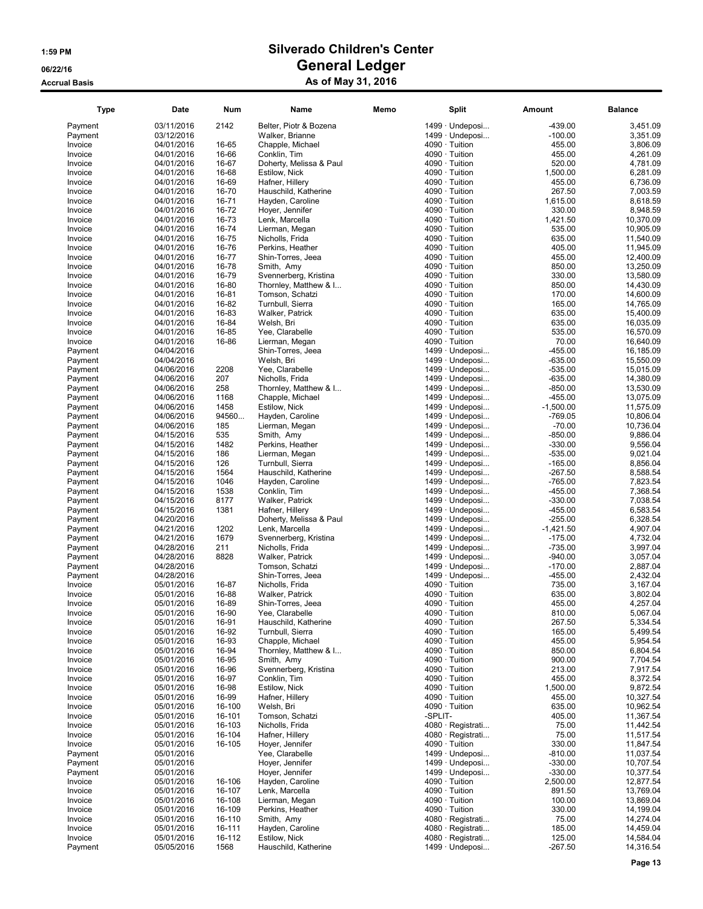| <b>Type</b>        | Date                     | Num              | Name                               | Memo    | <b>Split</b>                                 | Amount             | <b>Balance</b>         |
|--------------------|--------------------------|------------------|------------------------------------|---------|----------------------------------------------|--------------------|------------------------|
| Payment            | 03/11/2016               | 2142             | Belter, Piotr & Bozena             |         | 1499 · Undeposi                              | $-439.00$          | 3,451.09               |
| Payment            | 03/12/2016               |                  | Walker, Brianne                    |         | 1499 · Undeposi                              | $-100.00$          | 3,351.09               |
| Invoice            | 04/01/2016               | 16-65            | Chapple, Michael                   |         | 4090 · Tuition                               | 455.00             | 3,806.09               |
| Invoice            | 04/01/2016               | 16-66            | Conklin, Tim                       |         | $4090 \cdot$ Tuition                         | 455.00             | 4,261.09               |
| Invoice            | 04/01/2016               | 16-67            | Doherty, Melissa & Paul            |         | 4090 · Tuition                               | 520.00             | 4,781.09               |
| Invoice            | 04/01/2016               | 16-68            | Estilow, Nick                      |         | $4090 \cdot$ Tuition                         | 1,500.00           | 6,281.09               |
| Invoice            | 04/01/2016               | 16-69            | Hafner, Hillery                    |         | $4090 \cdot$ Tuition                         | 455.00             | 6,736.09               |
| Invoice            | 04/01/2016               | 16-70            | Hauschild, Katherine               |         | $4090 \cdot$ Tuition                         | 267.50             | 7,003.59               |
| Invoice            | 04/01/2016               | 16-71            | Hayden, Caroline                   |         | $4090 \cdot$ Tuition                         | 1,615.00           | 8,618.59               |
| Invoice            | 04/01/2016               | 16-72            | Hoyer, Jennifer                    |         | $4090 \cdot$ Tuition                         | 330.00             | 8,948.59               |
| Invoice            | 04/01/2016               | 16-73            | Lenk, Marcella                     |         | $4090 \cdot$ Tuition                         | 1,421.50           | 10,370.09              |
| Invoice            | 04/01/2016               | 16-74            | Lierman, Megan                     |         | $4090 \cdot$ Tuition                         | 535.00             | 10,905.09              |
| Invoice            | 04/01/2016               | 16-75            | Nicholls, Frida                    |         | $4090 \cdot$ Tuition                         | 635.00             | 11,540.09              |
| Invoice            | 04/01/2016               | 16-76            | Perkins, Heather                   |         | $4090 \cdot$ Tuition                         | 405.00             | 11,945.09              |
| Invoice            | 04/01/2016               | 16-77            | Shin-Torres, Jeea                  |         | $4090 \cdot$ Tuition                         | 455.00             | 12,400.09              |
| Invoice            | 04/01/2016               | 16-78            | Smith, Amy                         |         | $4090 \cdot$ Tuition                         | 850.00             | 13,250.09              |
| Invoice            | 04/01/2016               | 16-79            | Svennerberg, Kristina              |         | $4090 \cdot$ Tuition                         | 330.00             | 13,580.09              |
| Invoice            | 04/01/2016               | 16-80            | Thornley, Matthew & I              |         | $4090 \cdot$ Tuition                         | 850.00             | 14,430.09              |
| Invoice            | 04/01/2016               | 16-81            | Tomson, Schatzi                    |         | $4090 \cdot$ Tuition                         | 170.00             | 14,600.09              |
| Invoice            | 04/01/2016               | 16-82            | Turnbull, Sierra                   |         | $4090 \cdot$ Tuition                         | 165.00             | 14,765.09              |
| Invoice            | 04/01/2016               | 16-83            | Walker, Patrick                    |         | 4090 · Tuition                               | 635.00             | 15,400.09              |
| Invoice            | 04/01/2016               | 16-84            | Welsh, Bri                         |         | $4090 \cdot$ Tuition                         | 635.00             | 16,035.09              |
| Invoice            | 04/01/2016               | 16-85            | Yee, Clarabelle                    |         | $4090 \cdot$ Tuition                         | 535.00             | 16,570.09              |
| Invoice            | 04/01/2016               | 16-86            | Lierman, Megan                     |         | 4090 · Tuition                               | 70.00              | 16,640.09              |
| Payment            | 04/04/2016               |                  | Shin-Torres, Jeea                  |         | $1499 \cdot$ Undeposi                        | -455.00            | 16,185.09              |
| Payment            | 04/04/2016               |                  | Welsh, Bri                         |         | 1499 · Undeposi                              | -635.00            | 15,550.09              |
| Payment            | 04/06/2016               | 2208             | Yee, Clarabelle                    |         | 1499 · Undeposi                              | $-535.00$          | 15,015.09              |
| Payment            | 04/06/2016               | 207              | Nicholls, Frida                    |         | 1499 · Undeposi                              | $-635.00$          | 14,380.09              |
| Payment            | 04/06/2016               | 258              | Thornley, Matthew & I              |         | 1499 · Undeposi                              | $-850.00$          | 13,530.09              |
| Payment            | 04/06/2016               | 1168             | Chapple, Michael                   |         | $1499 \cdot$ Undeposi                        | $-455.00$          | 13,075.09              |
| Payment            | 04/06/2016               | 1458             | Estilow, Nick                      |         | 1499 · Undeposi                              | $-1,500.00$        | 11,575.09              |
| Payment            | 04/06/2016               | 94560            | Hayden, Caroline                   |         | 1499 · Undeposi                              | $-769.05$          | 10,806.04              |
| Payment            | 04/06/2016               | 185              | Lierman, Megan                     |         | 1499 · Undeposi                              | $-70.00$           | 10,736.04              |
| Payment            | 04/15/2016               | 535              | Smith, Amy                         |         | $1499 \cdot$ Undeposi                        | $-850.00$          | 9,886.04               |
| Payment            | 04/15/2016               | 1482             | Perkins, Heather                   |         | 1499 · Undeposi                              | $-330.00$          | 9,556.04               |
| Payment            | 04/15/2016               | 186              | Lierman, Megan                     |         | 1499 · Undeposi                              | $-535.00$          | 9,021.04               |
| Payment            | 04/15/2016               | 126              | Turnbull, Sierra                   |         | 1499 · Undeposi                              | $-165.00$          | 8,856.04               |
| Payment            | 04/15/2016               | 1564             | Hauschild, Katherine               |         | 1499 · Undeposi                              | $-267.50$          | 8,588.54               |
| Payment            | 04/15/2016               | 1046             | Hayden, Caroline                   |         | 1499 · Undeposi                              | $-765.00$          | 7,823.54               |
| Payment            | 04/15/2016               | 1538             | Conklin, Tim                       |         | 1499 · Undeposi                              | $-455.00$          | 7,368.54               |
| Payment            | 04/15/2016               | 8177             | Walker, Patrick                    |         | 1499 · Undeposi                              | $-330.00$          | 7,038.54               |
| Payment            | 04/15/2016               | 1381             | Hafner, Hillery                    |         | 1499 · Undeposi                              | $-455.00$          | 6,583.54               |
| Payment            | 04/20/2016               |                  | Doherty, Melissa & Paul            |         | 1499 · Undeposi                              | $-255.00$          | 6,328.54               |
| Payment            | 04/21/2016               | 1202             | Lenk, Marcella                     |         | 1499 · Undeposi                              | $-1,421.50$        | 4,907.04               |
| Payment            | 04/21/2016               | 1679             | Svennerberg, Kristina              |         | 1499 · Undeposi                              | $-175.00$          | 4,732.04               |
| Payment            | 04/28/2016               | 211              | Nicholls, Frida                    |         | 1499 · Undeposi                              | $-735.00$          | 3.997.04               |
| Payment            | 04/28/2016               | 8828             | Walker, Patrick                    |         | 1499 · Undeposi                              | $-940.00$          | 3,057.04               |
| Payment            | 04/28/2016               |                  | Tomson, Schatzi                    |         | 1499 · Undeposi                              | $-170.00$          | 2,887.04               |
| Payment            | 04/28/2016               |                  | Shin-Torres, Jeea                  |         | 1499 · Undeposi                              | $-455.00$          | 2,432.04               |
| Invoice            | 05/01/2016               | 16-87            | Nicholls, Frida                    |         | 4090 · Tuition                               | 735.00             | 3,167.04               |
| Invoice            | 05/01/2016               | 16-88            | Walker, Patrick                    |         | 4090 · Tuition                               | 635.00             | 3,802.04               |
| Invoice            | 05/01/2016               | 16-89            | Shin-Torres, Jeea                  |         | 4090 · Tuition                               | 455.00             | 4,257.04               |
| Invoice            | 05/01/2016               | 16-90            | Yee, Clarabelle                    |         | 4090 · Tuition                               | 810.00             | 5,067.04               |
| Invoice            | 05/01/2016               | 16-91            | Hauschild, Katherine               |         | $4090 \cdot$ Tuition                         | 267.50             | 5,334.54               |
| Invoice            | 05/01/2016               | 16-92            | Turnbull, Sierra                   |         | $4090 \cdot$ Tuition                         | 165.00             | 5,499.54               |
| Invoice            | 05/01/2016               | 16-93            | Chapple, Michael                   |         | $4090 \cdot$ Tuition                         | 455.00             | 5,954.54               |
| Invoice            | 05/01/2016               | 16-94            | Thornley, Matthew & I              |         | $4090 \cdot$ Tuition                         | 850.00             | 6,804.54               |
| Invoice            | 05/01/2016               | 16-95            | Smith, Amy                         |         | $4090 \cdot$ Tuition                         | 900.00             | 7,704.54               |
| Invoice            | 05/01/2016               | 16-96            | Svennerberg, Kristina              |         | $4090 \cdot$ Tuition                         | 213.00             | 7,917.54               |
| Invoice            | 05/01/2016               | 16-97            | Conklin, Tim                       |         | $4090 \cdot$ Tuition                         | 455.00             | 8,372.54               |
| Invoice            | 05/01/2016               | 16-98            | Estilow, Nick                      |         | $4090 \cdot$ Tuition                         | 1,500.00           | 9,872.54               |
| Invoice            | 05/01/2016               | 16-99            | Hafner, Hillery                    |         | $4090 \cdot$ Tuition                         | 455.00             | 10,327.54              |
| Invoice            | 05/01/2016               | 16-100           | Welsh, Bri                         |         | 4090 · Tuition                               | 635.00             | 10,962.54              |
| Invoice            | 05/01/2016               | 16-101           | Tomson, Schatzi                    | -SPLIT- |                                              | 405.00             | 11,367.54              |
| Invoice            | 05/01/2016               | 16-103           | Nicholls, Frida                    |         | 4080 · Registrati                            | 75.00              | 11,442.54              |
| Invoice            | 05/01/2016               | 16-104           | Hafner, Hillery                    |         | 4080 · Registrati                            | 75.00              | 11,517.54              |
| Invoice            | 05/01/2016<br>05/01/2016 | 16-105           | Hover, Jennifer                    |         | $4090 \cdot$ Tuition                         | 330.00             | 11,847.54<br>11,037.54 |
| Payment            |                          |                  | Yee, Clarabelle                    |         | 1499 · Undeposi<br>$1499 \cdot$ Undeposi     | $-810.00$          |                        |
| Payment            | 05/01/2016               |                  | Hoyer, Jennifer                    |         |                                              | $-330.00$          | 10,707.54              |
| Payment            | 05/01/2016               |                  | Hoyer, Jennifer                    |         | 1499 · Undeposi<br>4090 · Tuition            | $-330.00$          | 10,377.54              |
| Invoice<br>Invoice | 05/01/2016<br>05/01/2016 | 16-106<br>16-107 | Hayden, Caroline<br>Lenk, Marcella |         | $4090 \cdot$ Tuition                         | 2,500.00<br>891.50 | 12,877.54<br>13,769.04 |
| Invoice            | 05/01/2016               | 16-108           | Lierman, Megan                     |         | $4090 \cdot$ Tuition                         | 100.00             | 13,869.04              |
| Invoice            | 05/01/2016               | 16-109           |                                    |         | $4090 \cdot$ Tuition                         | 330.00             | 14,199.04              |
| Invoice            |                          | 16-110           | Perkins, Heather                   |         |                                              |                    | 14,274.04              |
| Invoice            | 05/01/2016<br>05/01/2016 | 16-111           | Smith, Amy<br>Hayden, Caroline     |         | 4080 · Registrati<br>$4080 \cdot$ Registrati | 75.00<br>185.00    | 14,459.04              |
| Invoice            | 05/01/2016               | 16-112           | Estilow, Nick                      |         | 4080 · Registrati                            | 125.00             | 14,584.04              |
| Payment            | 05/05/2016               | 1568             | Hauschild, Katherine               |         | 1499 · Undeposi                              | -267.50            | 14,316.54              |
|                    |                          |                  |                                    |         |                                              |                    |                        |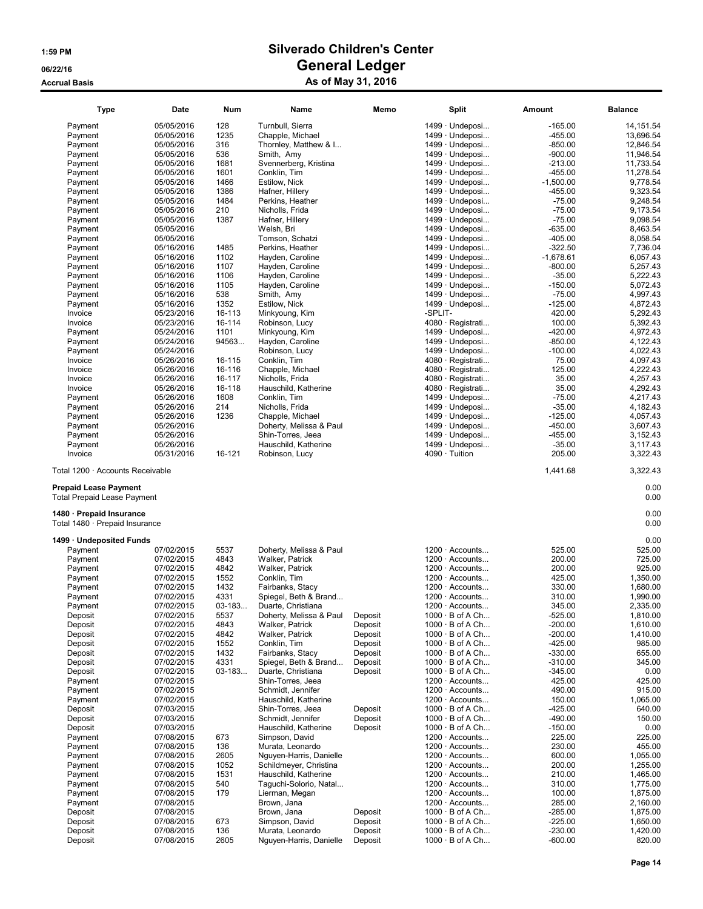| <b>Type</b>                                                                                    | Date                     | Num          | Name                             | Memo               |         | Split                                            | Amount                 | <b>Balance</b>       |
|------------------------------------------------------------------------------------------------|--------------------------|--------------|----------------------------------|--------------------|---------|--------------------------------------------------|------------------------|----------------------|
| Payment                                                                                        | 05/05/2016               | 128          | Turnbull, Sierra                 |                    |         | 1499 · Undeposi                                  | $-165.00$              | 14, 151.54           |
| Payment                                                                                        | 05/05/2016               | 1235         | Chapple, Michael                 |                    |         | 1499 · Undeposi                                  | $-455.00$              | 13,696.54            |
| Payment                                                                                        | 05/05/2016               | 316          | Thornley, Matthew & I            |                    |         | 1499 · Undeposi                                  | $-850.00$              | 12,846.54            |
| Payment                                                                                        | 05/05/2016               | 536          | Smith, Amy                       |                    |         | 1499 · Undeposi                                  | $-900.00$              | 11,946.54            |
| Payment                                                                                        | 05/05/2016               | 1681         | Svennerberg, Kristina            |                    |         | 1499 · Undeposi                                  | $-213.00$              | 11,733.54            |
| Payment                                                                                        | 05/05/2016               | 1601         | Conklin, Tim                     |                    |         | $1499 \cdot$ Undeposi                            | $-455.00$              | 11,278.54            |
| Payment                                                                                        | 05/05/2016               | 1466         | Estilow, Nick                    |                    |         | $1499 \cdot$ Undeposi                            | $-1,500.00$            | 9,778.54             |
| Payment                                                                                        | 05/05/2016               | 1386         | Hafner, Hillery                  |                    |         | 1499 · Undeposi                                  | $-455.00$              | 9,323.54             |
| Payment                                                                                        | 05/05/2016               | 1484         | Perkins, Heather                 |                    |         | $1499 \cdot$ Undeposi                            | $-75.00$               | 9,248.54             |
| Payment                                                                                        | 05/05/2016               | 210          | Nicholls, Frida                  |                    |         | $1499 \cdot$ Undeposi                            | $-75.00$               | 9,173.54             |
| Payment                                                                                        | 05/05/2016               | 1387         | Hafner, Hillery                  |                    |         | $1499 \cdot$ Undeposi                            | $-75.00$               | 9.098.54             |
| Payment                                                                                        | 05/05/2016               |              | Welsh, Bri                       |                    |         | 1499 · Undeposi                                  | $-635.00$              | 8,463.54             |
| Payment                                                                                        | 05/05/2016               |              | Tomson, Schatzi                  |                    |         | 1499 · Undeposi                                  | $-405.00$              | 8,058.54             |
| Payment                                                                                        | 05/16/2016               | 1485         | Perkins, Heather                 |                    |         | $1499 \cdot$ Undeposi                            | $-322.50$              | 7,736.04             |
| Payment                                                                                        | 05/16/2016               | 1102         | Hayden, Caroline                 |                    |         | $1499 \cdot$ Undeposi                            | $-1,678.61$            | 6,057.43             |
| Payment                                                                                        | 05/16/2016               | 1107         | Hayden, Caroline                 |                    |         | $1499 \cdot$ Undeposi                            | $-800.00$              | 5,257.43             |
| Payment                                                                                        | 05/16/2016               | 1106         | Hayden, Caroline                 |                    |         | 1499 · Undeposi                                  | $-35.00$               | 5,222.43             |
| Payment                                                                                        | 05/16/2016               | 1105         | Hayden, Caroline                 |                    |         | $1499 \cdot$ Undeposi                            | $-150.00$              | 5,072.43             |
| Payment                                                                                        | 05/16/2016               | 538          | Smith, Amy                       |                    |         | 1499 · Undeposi                                  | $-75.00$               | 4,997.43             |
| Payment                                                                                        | 05/16/2016               | 1352         | Estilow, Nick                    |                    |         | $1499 \cdot$ Undeposi                            | $-125.00$              | 4,872.43             |
| Invoice                                                                                        | 05/23/2016               | 16-113       | Minkyoung, Kim                   |                    | -SPLIT- |                                                  | 420.00                 | 5,292.43             |
| Invoice                                                                                        | 05/23/2016               | 16-114       | Robinson, Lucy                   |                    |         | 4080 · Registrati                                | 100.00                 | 5,392.43             |
| Payment                                                                                        | 05/24/2016               | 1101         | Minkyoung, Kim                   |                    |         | $1499 \cdot$ Undeposi                            | -420.00                | 4,972.43             |
| Payment                                                                                        | 05/24/2016               | 94563        | Hayden, Caroline                 |                    |         | 1499 · Undeposi                                  | $-850.00$              | 4,122.43             |
| Payment                                                                                        | 05/24/2016               |              | Robinson, Lucy                   |                    |         | $1499 \cdot$ Undeposi                            | $-100.00$              | 4,022.43             |
| Invoice                                                                                        | 05/26/2016               | 16-115       | Conklin, Tim                     |                    |         | $4080 \cdot$ Registrati                          | 75.00                  | 4,097.43             |
| Invoice                                                                                        | 05/26/2016               | 16-116       | Chapple, Michael                 |                    |         | 4080 · Registrati                                | 125.00                 | 4,222.43             |
| Invoice                                                                                        | 05/26/2016               | 16-117       | Nicholls, Frida                  |                    |         | 4080 · Registrati                                | 35.00                  | 4,257.43             |
| Invoice                                                                                        | 05/26/2016               | 16-118       | Hauschild, Katherine             |                    |         | 4080 · Registrati                                | 35.00                  | 4,292.43             |
| Payment                                                                                        | 05/26/2016               | 1608         | Conklin, Tim                     |                    |         | 1499 · Undeposi                                  | $-75.00$               | 4,217.43             |
| Payment                                                                                        | 05/26/2016               | 214          | Nicholls, Frida                  |                    |         | $1499 \cdot$ Undeposi                            | $-35.00$               | 4,182.43             |
| Payment                                                                                        | 05/26/2016               | 1236         | Chapple, Michael                 |                    |         | $1499 \cdot$ Undeposi                            | $-125.00$              | 4,057.43             |
| Payment                                                                                        | 05/26/2016               |              | Doherty, Melissa & Paul          |                    |         | 1499 · Undeposi                                  | $-450.00$              | 3,607.43             |
| Payment                                                                                        | 05/26/2016               |              | Shin-Torres, Jeea                |                    |         | $1499 \cdot$ Undeposi                            | $-455.00$              | 3,152.43             |
| Payment                                                                                        | 05/26/2016               |              | Hauschild, Katherine             |                    |         | 1499 · Undeposi                                  | $-35.00$               | 3,117.43             |
| Invoice                                                                                        | 05/31/2016               | 16-121       | Robinson, Lucy                   |                    |         | 4090 · Tuition                                   | 205.00                 | 3,322.43             |
| <b>Prepaid Lease Payment</b><br><b>Total Prepaid Lease Payment</b><br>1480 · Prepaid Insurance |                          |              |                                  |                    |         |                                                  |                        | 0.00<br>0.00<br>0.00 |
| Total 1480 · Prepaid Insurance                                                                 |                          |              |                                  |                    |         |                                                  |                        | 0.00                 |
| 1499 · Undeposited Funds                                                                       |                          |              |                                  |                    |         |                                                  |                        | 0.00                 |
| Payment                                                                                        | 07/02/2015               | 5537         | Doherty, Melissa & Paul          |                    |         | $1200 \cdot$ Accounts                            | 525.00                 | 525.00               |
| Payment                                                                                        | 07/02/2015               | 4843         | Walker, Patrick                  |                    |         | $1200 \cdot$ Accounts                            | 200.00                 | 725.00               |
| Payment                                                                                        | 07/02/2015               | 4842         | Walker, Patrick                  |                    |         | $1200 \cdot$ Accounts                            | 200.00                 | 925.00               |
| Payment                                                                                        | 07/02/2015               | 1552         | Conklin, Tim                     |                    |         | $1200 \cdot$ Accounts                            | 425.00                 | 1,350.00             |
| Payment                                                                                        | 07/02/2015               | 1432         | Fairbanks, Stacy                 |                    |         | $1200 \cdot$ Accounts                            | 330.00                 | 1,680.00             |
| Payment                                                                                        | 07/02/2015               | 4331         | Spiegel, Beth & Brand            |                    |         | $1200 \cdot$ Accounts                            | 310.00                 | 1,990.00             |
| Payment                                                                                        | 07/02/2015               | $03 - 183$   | Duarte, Christiana               |                    |         | $1200 \cdot$ Accounts                            | 345.00                 | 2,335.00             |
| Deposit                                                                                        | 07/02/2015               | 5537         | Doherty, Melissa & Paul          | Deposit            |         | $1000 \cdot B$ of A Ch                           | $-525.00$              | 1,810.00             |
| Deposit                                                                                        | 07/02/2015               | 4843<br>4842 | Walker, Patrick                  | Deposit            |         | $1000 \cdot B$ of A Ch                           | $-200.00$              | 1,610.00<br>1,410.00 |
| Deposit<br>Deposit                                                                             | 07/02/2015               |              | Walker, Patrick                  | Deposit            |         | $1000 \cdot B$ of A Ch                           | $-200.00$              | 985.00               |
| Deposit                                                                                        | 07/02/2015<br>07/02/2015 | 1552<br>1432 | Conklin, Tim<br>Fairbanks, Stacy | Deposit<br>Deposit |         | $1000 \cdot B$ of A Ch<br>$1000 \cdot B$ of A Ch | $-425.00$<br>$-330.00$ | 655.00               |
| Deposit                                                                                        | 07/02/2015               | 4331         | Spiegel, Beth & Brand            | Deposit            |         | $1000 \cdot B$ of A Ch                           | $-310.00$              | 345.00               |
| Deposit                                                                                        | 07/02/2015               | $03 - 183$   | Duarte, Christiana               | Deposit            |         | $1000 \cdot B$ of A Ch                           | $-345.00$              | 0.00                 |
| Payment                                                                                        | 07/02/2015               |              | Shin-Torres, Jeea                |                    |         | $1200 \cdot$ Accounts                            | 425.00                 | 425.00               |
| Payment                                                                                        | 07/02/2015               |              | Schmidt, Jennifer                |                    |         | $1200 \cdot$ Accounts                            | 490.00                 | 915.00               |
| Payment                                                                                        | 07/02/2015               |              | Hauschild, Katherine             |                    |         | 1200 · Accounts                                  | 150.00                 | 1,065.00             |
| Deposit                                                                                        | 07/03/2015               |              | Shin-Torres, Jeea                | Deposit            |         | $1000 \cdot B$ of A Ch                           | -425.00                | 640.00               |
| Deposit                                                                                        | 07/03/2015               |              | Schmidt, Jennifer                | Deposit            |         | $1000 \cdot B$ of A Ch                           | $-490.00$              | 150.00               |
| Deposit                                                                                        | 07/03/2015               |              | Hauschild, Katherine             | Deposit            |         | $1000 \cdot B$ of A Ch                           | $-150.00$              | 0.00                 |
| Payment                                                                                        | 07/08/2015               | 673          | Simpson, David                   |                    |         | $1200 \cdot$ Accounts                            | 225.00                 | 225.00               |
| Payment                                                                                        | 07/08/2015               | 136          | Murata, Leonardo                 |                    |         | $1200 \cdot$ Accounts                            | 230.00                 | 455.00               |
| Payment                                                                                        | 07/08/2015               | 2605         | Nguyen-Harris, Danielle          |                    |         | 1200 · Accounts                                  | 600.00                 | 1,055.00             |
| Payment                                                                                        | 07/08/2015               | 1052         | Schildmeyer, Christina           |                    |         | $1200 \cdot$ Accounts                            | 200.00                 | 1,255.00             |
| Payment                                                                                        | 07/08/2015               | 1531         | Hauschild, Katherine             |                    |         | $1200 \cdot$ Accounts                            | 210.00                 | 1,465.00             |
| Payment                                                                                        | 07/08/2015               | 540          | Taguchi-Solorio, Natal           |                    |         | $1200 \cdot$ Accounts                            | 310.00                 | 1,775.00             |
| Payment                                                                                        | 07/08/2015               | 179          | Lierman, Megan                   |                    |         | $1200 \cdot$ Accounts                            | 100.00                 | 1,875.00             |
| Payment                                                                                        | 07/08/2015               |              | Brown, Jana                      |                    |         | $1200 \cdot$ Accounts                            | 285.00                 | 2,160.00             |
| Deposit                                                                                        | 07/08/2015               |              | Brown, Jana                      | Deposit            |         | $1000 \cdot B$ of A Ch                           | $-285.00$              | 1,875.00             |
| Deposit                                                                                        | 07/08/2015               | 673          | Simpson, David                   | Deposit            |         | $1000 \cdot B$ of A Ch                           | $-225.00$              | 1,650.00             |
| Deposit                                                                                        | 07/08/2015               | 136          | Murata, Leonardo                 | Deposit            |         | $1000 \cdot B$ of A Ch                           | $-230.00$              | 1,420.00             |
| Deposit                                                                                        | 07/08/2015               | 2605         | Nguyen-Harris, Danielle          | Deposit            |         | $1000 \cdot B$ of A Ch                           | $-600.00$              | 820.00               |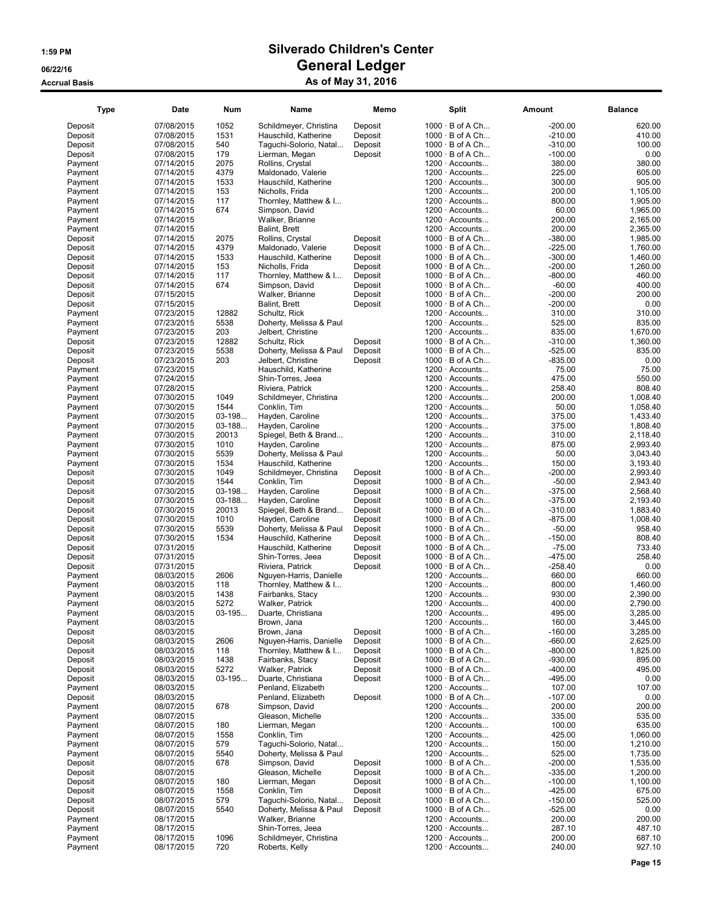|                    |                          |          |                                             |         |                                                  |                       | <b>Balance</b>   |
|--------------------|--------------------------|----------|---------------------------------------------|---------|--------------------------------------------------|-----------------------|------------------|
| Deposit            | 07/08/2015               | 1052     | Schildmeyer, Christina                      | Deposit | $1000 \cdot B$ of A Ch                           | $-200.00$             | 620.00           |
| Deposit            | 07/08/2015               | 1531     | Hauschild, Katherine                        | Deposit | $1000 \cdot B$ of A Ch                           | $-210.00$             | 410.00           |
| Deposit            | 07/08/2015               | 540      | Taguchi-Solorio, Natal                      | Deposit | $1000 \cdot B$ of A Ch                           | $-310.00$             | 100.00           |
| Deposit            | 07/08/2015               | 179      | Lierman, Megan                              | Deposit | $1000 \cdot B$ of A Ch                           | $-100.00$             | 0.00             |
| Payment            | 07/14/2015               | 2075     | Rollins, Crystal                            |         | $1200 \cdot$ Accounts                            | 380.00                | 380.00           |
| Payment            | 07/14/2015               | 4379     | Maldonado, Valerie                          |         | $1200 \cdot$ Accounts                            | 225.00                | 605.00           |
| Payment            | 07/14/2015               | 1533     | Hauschild, Katherine                        |         | $1200 \cdot$ Accounts                            | 300.00                | 905.00           |
| Payment            | 07/14/2015               | 153      | Nicholls, Frida                             |         | $1200 \cdot$ Accounts                            | 200.00                | 1,105.00         |
| Payment            | 07/14/2015               | 117      | Thornley, Matthew & I                       |         | $1200 \cdot$ Accounts                            | 800.00                | 1,905.00         |
| Payment            | 07/14/2015               | 674      | Simpson, David                              |         | $1200 \cdot$ Accounts                            | 60.00                 | 1,965.00         |
| Payment            | 07/14/2015               |          | Walker, Brianne                             |         | $1200 \cdot$ Accounts                            | 200.00                | 2,165.00         |
| Payment            | 07/14/2015               |          | Balint, Brett                               |         | $1200 \cdot$ Accounts                            | 200.00                | 2,365.00         |
| Deposit            | 07/14/2015               | 2075     | Rollins, Crystal                            | Deposit | $1000 \cdot B$ of A Ch                           | $-380.00$             | 1,985.00         |
| Deposit            | 07/14/2015               | 4379     | Maldonado, Valerie                          | Deposit | $1000 \cdot B$ of A Ch                           | $-225.00$             | 1,760.00         |
| Deposit            | 07/14/2015               | 1533     | Hauschild, Katherine                        | Deposit | $1000 \cdot B$ of A Ch                           | $-300.00$             | 1,460.00         |
| Deposit            | 07/14/2015               | 153      | Nicholls, Frida                             | Deposit | $1000 \cdot B$ of A Ch                           | $-200.00$             | 1,260.00         |
| Deposit            | 07/14/2015               | 117      | Thornley, Matthew & I                       | Deposit | $1000 \cdot B$ of A Ch                           | $-800.00$             | 460.00           |
| Deposit            | 07/14/2015               | 674      | Simpson, David                              | Deposit | $1000 \cdot B$ of A Ch                           | $-60.00$              | 400.00           |
| Deposit            | 07/15/2015               |          | Walker, Brianne                             | Deposit | $1000 \cdot B$ of A Ch                           | $-200.00$             | 200.00           |
| Deposit            | 07/15/2015               |          | Balint, Brett                               | Deposit | $1000 \cdot B$ of A Ch                           | $-200.00$             | 0.00             |
| Payment            | 07/23/2015               | 12882    | Schultz, Rick                               |         | $1200 \cdot$ Accounts                            | 310.00                | 310.00           |
| Payment            | 07/23/2015               | 5538     | Doherty, Melissa & Paul                     |         | $1200 \cdot$ Accounts                            | 525.00                | 835.00           |
| Payment            | 07/23/2015               | 203      | Jelbert, Christine                          |         | $1200 \cdot$ Accounts                            | 835.00                | 1,670.00         |
| Deposit            | 07/23/2015               | 12882    | Schultz, Rick                               | Deposit | $1000 \cdot B$ of A Ch                           | $-310.00$             | 1,360.00         |
| Deposit            | 07/23/2015               | 5538     | Doherty, Melissa & Paul                     | Deposit | $1000 \cdot B$ of A Ch                           | $-525.00$             | 835.00           |
| Deposit            | 07/23/2015               | 203      | Jelbert, Christine                          | Deposit | $1000 \cdot B$ of A Ch                           | $-835.00$             | 0.00             |
| Payment            | 07/23/2015               |          | Hauschild, Katherine                        |         | $1200 \cdot$ Accounts                            | 75.00                 | 75.00            |
| Payment            | 07/24/2015               |          | Shin-Torres, Jeea                           |         | $1200 \cdot$ Accounts                            | 475.00                | 550.00           |
| Payment            | 07/28/2015               |          | Riviera, Patrick                            |         | $1200 \cdot$ Accounts                            | 258.40                | 808.40           |
| Payment            | 07/30/2015               | 1049     | Schildmeyer, Christina                      |         | $1200 \cdot$ Accounts                            | 200.00                | 1,008.40         |
| Payment            | 07/30/2015               | 1544     | Conklin, Tim                                |         | $1200 \cdot$ Accounts                            | 50.00                 | 1,058.40         |
| Payment            | 07/30/2015               | $03-198$ | Hayden, Caroline                            |         | 1200 · Accounts                                  | 375.00                | 1,433.40         |
| Payment            | 07/30/2015               | $03-188$ | Hayden, Caroline                            |         | $1200 \cdot$ Accounts                            | 375.00                | 1,808.40         |
| Payment            | 07/30/2015               | 20013    | Spiegel, Beth & Brand                       |         | $1200 \cdot$ Accounts                            | 310.00                | 2,118.40         |
| Payment            | 07/30/2015               | 1010     | Hayden, Caroline                            |         | $1200 \cdot$ Accounts                            | 875.00                | 2,993.40         |
| Payment            | 07/30/2015               | 5539     | Doherty, Melissa & Paul                     |         | $1200 \cdot$ Accounts                            | 50.00                 | 3,043.40         |
| Payment            | 07/30/2015               | 1534     | Hauschild, Katherine                        |         | $1200 \cdot$ Accounts                            | 150.00                | 3,193.40         |
| Deposit            | 07/30/2015               | 1049     | Schildmeyer, Christina                      | Deposit | $1000 \cdot B$ of A Ch                           | $-200.00$             | 2,993.40         |
| Deposit            | 07/30/2015               | 1544     | Conklin, Tim                                | Deposit | $1000 \cdot B$ of A Ch                           | $-50.00$              | 2,943.40         |
| Deposit            | 07/30/2015               | $03-198$ | Hayden, Caroline                            | Deposit | $1000 \cdot B$ of A Ch                           | $-375.00$             | 2,568.40         |
| Deposit            | 07/30/2015               | $03-188$ | Hayden, Caroline                            | Deposit | $1000 \cdot B$ of A Ch                           | $-375.00$             | 2,193.40         |
| Deposit            | 07/30/2015               | 20013    | Spiegel, Beth & Brand                       | Deposit | $1000 \cdot B$ of A Ch                           | $-310.00$             | 1,883.40         |
| Deposit            | 07/30/2015               | 1010     | Hayden, Caroline                            | Deposit | $1000 \cdot B$ of A Ch                           | $-875.00$             | 1,008.40         |
| Deposit            | 07/30/2015               | 5539     | Doherty, Melissa & Paul                     | Deposit | $1000 \cdot B$ of A Ch                           | $-50.00$              | 958.40           |
| Deposit            | 07/30/2015               | 1534     | Hauschild, Katherine                        | Deposit | $1000 \cdot B$ of A Ch                           | $-150.00$             | 808.40<br>733.40 |
| Deposit            | 07/31/2015               |          | Hauschild, Katherine                        | Deposit | $1000 \cdot B$ of A Ch                           | $-75.00$<br>$-475.00$ | 258.40           |
| Deposit            | 07/31/2015<br>07/31/2015 |          | Shin-Torres, Jeea                           | Deposit | $1000 \cdot B$ of A Ch<br>$1000 \cdot B$ of A Ch | $-258.40$             | 0.00             |
| Deposit<br>Payment | 08/03/2015               | 2606     | Riviera, Patrick<br>Nguyen-Harris, Danielle | Deposit | $1200 \cdot$ Accounts                            | 660.00                | 660.00           |
| Payment            | 08/03/2015               | 118      | Thornley, Matthew & I                       |         | $1200 \cdot$ Accounts                            | 800.00                | 1,460.00         |
| Payment            | 08/03/2015               | 1438     | Fairbanks, Stacy                            |         | 1200 · Accounts                                  | 930.00                | 2,390.00         |
| Payment            | 08/03/2015               | 5272     | Walker, Patrick                             |         | $1200 \cdot$ Accounts                            | 400.00                | 2,790.00         |
| Payment            | 08/03/2015               | $03-195$ | Duarte, Christiana                          |         | $1200 \cdot$ Accounts                            | 495.00                | 3,285.00         |
| Payment            | 08/03/2015               |          | Brown, Jana                                 |         | 1200 · Accounts                                  | 160.00                | 3,445.00         |
| Deposit            | 08/03/2015               |          | Brown, Jana                                 | Deposit | $1000 \cdot B$ of A Ch                           | $-160.00$             | 3,285.00         |
| Deposit            | 08/03/2015               | 2606     | Nguyen-Harris, Danielle                     | Deposit | $1000 \cdot B$ of A Ch                           | $-660.00$             | 2,625.00         |
| Deposit            | 08/03/2015               | 118      | Thornley, Matthew & I                       | Deposit | $1000 \cdot B$ of A Ch                           | $-800.00$             | 1,825.00         |
| Deposit            | 08/03/2015               | 1438     | Fairbanks, Stacy                            | Deposit | $1000 \cdot B$ of A Ch                           | $-930.00$             | 895.00           |
| Deposit            | 08/03/2015               | 5272     | Walker, Patrick                             | Deposit | $1000 \cdot B$ of A Ch                           | $-400.00$             | 495.00           |
| Deposit            | 08/03/2015               | $03-195$ | Duarte, Christiana                          | Deposit | $1000 \cdot B$ of A Ch                           | $-495.00$             | 0.00             |
| Payment            | 08/03/2015               |          | Penland, Elizabeth                          |         | $1200 \cdot$ Accounts                            | 107.00                | 107.00           |
| Deposit            | 08/03/2015               |          | Penland, Elizabeth                          | Deposit | $1000 \cdot B$ of A Ch                           | $-107.00$             | 0.00             |
| Payment            | 08/07/2015               | 678      | Simpson, David                              |         | $1200 \cdot$ Accounts                            | 200.00                | 200.00           |
| Payment            | 08/07/2015               |          | Gleason, Michelle                           |         | $1200 \cdot$ Accounts                            | 335.00                | 535.00           |
| Payment            | 08/07/2015               | 180      | Lierman, Megan                              |         | $1200 \cdot$ Accounts                            | 100.00                | 635.00           |
| Payment            | 08/07/2015               | 1558     | Conklin, Tim                                |         | $1200 \cdot$ Accounts                            | 425.00                | 1,060.00         |
| Payment            | 08/07/2015               | 579      | Taquchi-Solorio, Natal                      |         | 1200 · Accounts                                  | 150.00                | 1,210.00         |
| Payment            | 08/07/2015               | 5540     | Doherty, Melissa & Paul                     |         | 1200 · Accounts                                  | 525.00                | 1,735.00         |
| Deposit            | 08/07/2015               | 678      | Simpson, David                              | Deposit | $1000 \cdot B$ of A Ch                           | $-200.00$             | 1,535.00         |
| Deposit            | 08/07/2015               |          | Gleason, Michelle                           | Deposit | $1000 \cdot B$ of A Ch                           | $-335.00$             | 1,200.00         |
| Deposit            | 08/07/2015               | 180      | Lierman, Megan                              | Deposit | $1000 \cdot B$ of A Ch                           | $-100.00$             | 1,100.00         |
| Deposit            | 08/07/2015               | 1558     | Conklin, Tim                                | Deposit | $1000 \cdot B$ of A Ch                           | $-425.00$             | 675.00           |
| Deposit            | 08/07/2015               | 579      | Taguchi-Solorio, Natal                      | Deposit | $1000 \cdot B$ of A Ch                           | $-150.00$             | 525.00           |
| Deposit            | 08/07/2015               | 5540     | Doherty, Melissa & Paul                     | Deposit | $1000 \cdot B$ of A Ch                           | $-525.00$             | 0.00             |
| Payment            | 08/17/2015               |          | Walker, Brianne                             |         | $1200 \cdot$ Accounts                            | 200.00                | 200.00           |
| Payment            | 08/17/2015               |          | Shin-Torres, Jeea                           |         | $1200 \cdot$ Accounts                            | 287.10                | 487.10           |
| Payment            | 08/17/2015               | 1096     | Schildmeyer, Christina                      |         | $1200 \cdot$ Accounts                            | 200.00                | 687.10           |
| Payment            | 08/17/2015               | 720      | Roberts, Kelly                              |         | $1200 \cdot$ Accounts                            | 240.00                | 927.10           |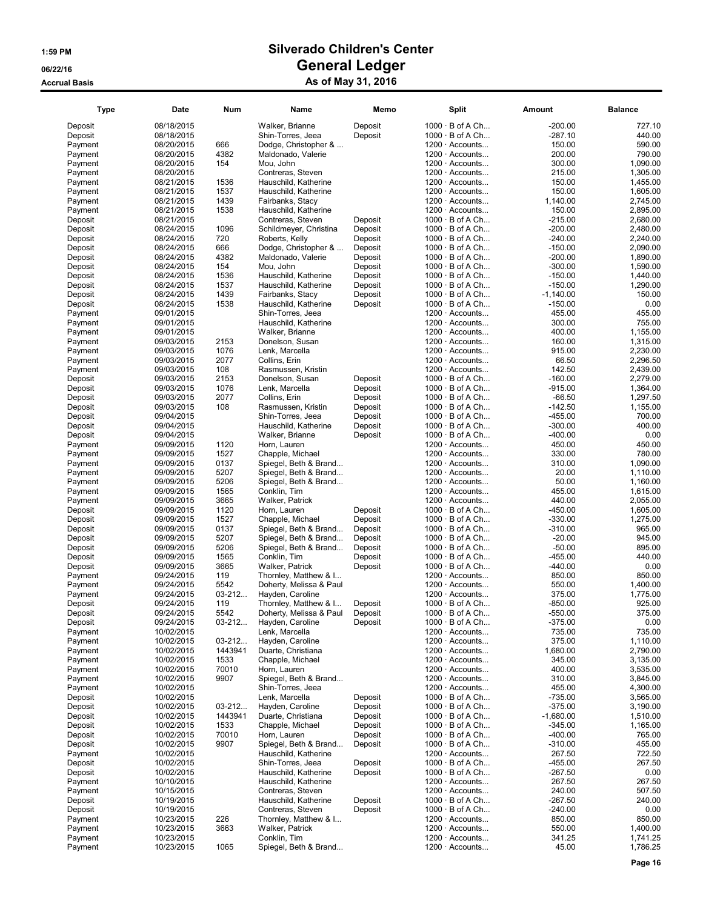| <b>Type</b>        | Date                     | Num        | Name                                    | Memo    | Split                                            | Amount              | <b>Balance</b>     |
|--------------------|--------------------------|------------|-----------------------------------------|---------|--------------------------------------------------|---------------------|--------------------|
| Deposit            | 08/18/2015               |            | Walker, Brianne                         | Deposit | $1000 \cdot B$ of A Ch                           | $-200.00$           | 727.10             |
| Deposit            | 08/18/2015               |            | Shin-Torres, Jeea                       | Deposit | $1000 \cdot B$ of A Ch                           | $-287.10$           | 440.00             |
| Payment            | 08/20/2015               | 666        | Dodge, Christopher &                    |         | 1200 · Accounts                                  | 150.00              | 590.00             |
| Payment            | 08/20/2015               | 4382       | Maldonado, Valerie                      |         | $1200 \cdot$ Accounts                            | 200.00              | 790.00             |
| Payment            | 08/20/2015               | 154        | Mou, John                               |         | $1200 \cdot$ Accounts                            | 300.00              | 1.090.00           |
| Payment            | 08/20/2015               |            | Contreras, Steven                       |         | $1200 \cdot$ Accounts                            | 215.00              | 1,305.00           |
| Payment            | 08/21/2015               | 1536       | Hauschild, Katherine                    |         | $1200 \cdot$ Accounts                            | 150.00              | 1,455.00           |
| Payment            | 08/21/2015               | 1537       | Hauschild, Katherine                    |         | $1200 \cdot$ Accounts                            | 150.00              | 1,605.00           |
| Payment            | 08/21/2015               | 1439       | Fairbanks, Stacy                        |         | 1200 · Accounts                                  | 1,140.00            | 2,745.00           |
| Payment            | 08/21/2015               | 1538       | Hauschild, Katherine                    |         | 1200 · Accounts                                  | 150.00              | 2,895.00           |
| Deposit            | 08/21/2015               |            | Contreras, Steven                       | Deposit | $1000 \cdot B$ of A Ch                           | $-215.00$           | 2,680.00           |
| Deposit            | 08/24/2015               | 1096       | Schildmeyer, Christina                  | Deposit | $1000 \cdot B$ of A Ch                           | $-200.00$           | 2,480.00           |
| Deposit            | 08/24/2015               | 720        | Roberts, Kelly                          | Deposit | $1000 \cdot B$ of A Ch                           | $-240.00$           | 2,240.00           |
| Deposit            | 08/24/2015               | 666        | Dodge, Christopher &                    | Deposit | $1000 \cdot B$ of A Ch                           | $-150.00$           | 2,090.00           |
| Deposit            | 08/24/2015               | 4382       | Maldonado, Valerie                      | Deposit | $1000 \cdot B$ of A Ch                           | $-200.00$           | 1,890.00           |
| Deposit            | 08/24/2015               | 154        | Mou, John                               | Deposit | $1000 \cdot B$ of A Ch                           | $-300.00$           | 1.590.00           |
| Deposit            | 08/24/2015               | 1536       | Hauschild, Katherine                    | Deposit | $1000 \cdot B$ of A Ch                           | $-150.00$           | 1,440.00           |
| Deposit            | 08/24/2015               | 1537       | Hauschild, Katherine                    | Deposit | $1000 \cdot B$ of A Ch                           | $-150.00$           | 1,290.00           |
| Deposit            | 08/24/2015               | 1439       | Fairbanks, Stacy                        | Deposit | $1000 \cdot B$ of A Ch                           | $-1,140.00$         | 150.00             |
| Deposit            | 08/24/2015               | 1538       | Hauschild, Katherine                    | Deposit | $1000 \cdot B$ of A Ch                           | $-150.00$           | 0.00               |
| Payment            | 09/01/2015               |            | Shin-Torres, Jeea                       |         | $1200 \cdot$ Accounts                            | 455.00              | 455.00             |
| Payment            | 09/01/2015               |            | Hauschild, Katherine                    |         | $1200 \cdot$ Accounts                            | 300.00              | 755.00             |
| Payment            | 09/01/2015               |            | Walker, Brianne                         |         | $1200 \cdot$ Accounts                            | 400.00              | 1,155.00           |
| Payment            | 09/03/2015               | 2153       | Donelson, Susan                         |         | $1200 \cdot$ Accounts                            | 160.00              | 1,315.00           |
| Payment            | 09/03/2015               | 1076       | Lenk, Marcella                          |         | $1200 \cdot$ Accounts                            | 915.00              | 2,230.00           |
| Payment            | 09/03/2015               | 2077       | Collins, Erin                           |         | $1200 \cdot$ Accounts                            | 66.50               | 2,296.50           |
| Payment            | 09/03/2015               | 108        | Rasmussen, Kristin                      |         | $1200 \cdot$ Accounts                            | 142.50              | 2,439.00           |
| Deposit            | 09/03/2015               | 2153       | Donelson, Susan                         | Deposit | $1000 \cdot B$ of A Ch                           | $-160.00$           | 2,279.00           |
| Deposit            | 09/03/2015               | 1076       | Lenk, Marcella                          | Deposit | $1000 \cdot B$ of A Ch                           | $-915.00$           | 1,364.00           |
| Deposit            | 09/03/2015               | 2077       | Collins, Erin                           | Deposit | $1000 \cdot B$ of A Ch                           | $-66.50$            | 1,297.50           |
| Deposit            | 09/03/2015               | 108        | Rasmussen, Kristin                      | Deposit | $1000 \cdot B$ of A Ch                           | $-142.50$           | 1,155.00           |
| Deposit            | 09/04/2015               |            | Shin-Torres, Jeea                       | Deposit | $1000 \cdot B$ of A Ch                           | $-455.00$           | 700.00<br>400.00   |
| Deposit            | 09/04/2015               |            | Hauschild, Katherine<br>Walker, Brianne | Deposit | $1000 \cdot B$ of A Ch<br>$1000 \cdot B$ of A Ch | $-300.00$           | 0.00               |
| Deposit<br>Payment | 09/04/2015<br>09/09/2015 | 1120       | Horn, Lauren                            | Deposit | 1200 · Accounts                                  | $-400.00$<br>450.00 | 450.00             |
| Payment            | 09/09/2015               | 1527       | Chapple, Michael                        |         | $1200 \cdot$ Accounts                            | 330.00              | 780.00             |
| Payment            | 09/09/2015               | 0137       | Spiegel, Beth & Brand                   |         | $1200 \cdot$ Accounts                            | 310.00              | 1,090.00           |
| Payment            | 09/09/2015               | 5207       | Spiegel, Beth & Brand                   |         | $1200 \cdot$ Accounts                            | 20.00               | 1,110.00           |
| Payment            | 09/09/2015               | 5206       | Spiegel, Beth & Brand                   |         | 1200 · Accounts                                  | 50.00               | 1,160.00           |
| Payment            | 09/09/2015               | 1565       | Conklin, Tim                            |         | $1200 \cdot$ Accounts                            | 455.00              | 1,615.00           |
| Payment            | 09/09/2015               | 3665       | Walker, Patrick                         |         | 1200 · Accounts                                  | 440.00              | 2,055.00           |
| Deposit            | 09/09/2015               | 1120       | Horn, Lauren                            | Deposit | $1000 \cdot B$ of A Ch                           | $-450.00$           | 1,605.00           |
| Deposit            | 09/09/2015               | 1527       | Chapple, Michael                        | Deposit | $1000 \cdot B$ of A Ch                           | $-330.00$           | 1,275.00           |
| Deposit            | 09/09/2015               | 0137       | Spiegel, Beth & Brand                   | Deposit | $1000 \cdot B$ of A Ch                           | $-310.00$           | 965.00             |
| Deposit            | 09/09/2015               | 5207       | Spiegel, Beth & Brand                   | Deposit | $1000 \cdot B$ of A Ch                           | $-20.00$            | 945.00             |
| Deposit            | 09/09/2015               | 5206       | Spiegel, Beth & Brand                   | Deposit | $1000 \cdot B$ of A Ch                           | $-50.00$            | 895.00             |
| Deposit            | 09/09/2015               | 1565       | Conklin, Tim                            | Deposit | $1000 \cdot B$ of A Ch                           | -455.00             | 440.00             |
| Deposit            | 09/09/2015               | 3665       | Walker, Patrick                         | Deposit | $1000 \cdot B$ of A Ch                           | $-440.00$           | 0.00               |
| Payment            | 09/24/2015               | 119        | Thornley, Matthew & I                   |         | $1200 \cdot$ Accounts                            | 850.00              | 850.00             |
| Payment            | 09/24/2015               | 5542       | Doherty, Melissa & Paul                 |         | $1200 \cdot$ Accounts                            | 550.00              | 1.400.00           |
| Payment            | 09/24/2015               | 03-212     | Hayden, Caroline                        |         | $1200 \cdot$ Accounts                            | 375.00              | 1,775.00           |
| Deposit            | 09/24/2015               | 119        | Thornley, Matthew & I                   | Deposit | $1000 \cdot B$ of A Ch                           | $-850.00$           | 925.00             |
| Deposit            | 09/24/2015               | 5542       | Doherty, Melissa & Paul                 | Deposit | $1000 \cdot B$ of A Ch                           | $-550.00$           | 375.00             |
| Deposit<br>Payment | 09/24/2015               | 03-212     | Hayden, Caroline<br>Lenk, Marcella      | Deposit | $1000 \cdot B$ of A Ch                           | $-375.00$           | 0.00               |
| Payment            | 10/02/2015<br>10/02/2015 | $03 - 212$ | Hayden, Caroline                        |         | $1200 \cdot$ Accounts<br>1200 · Accounts         | 735.00<br>375.00    | 735.00<br>1,110.00 |
| Payment            | 10/02/2015               | 1443941    | Duarte, Christiana                      |         | 1200 · Accounts                                  | 1,680.00            | 2,790.00           |
| Payment            | 10/02/2015               | 1533       | Chapple, Michael                        |         | $1200 \cdot$ Accounts                            | 345.00              | 3,135.00           |
| Payment            | 10/02/2015               | 70010      | Horn, Lauren                            |         | $1200 \cdot$ Accounts                            | 400.00              | 3,535.00           |
| Payment            | 10/02/2015               | 9907       | Spiegel, Beth & Brand                   |         | 1200 · Accounts                                  | 310.00              | 3,845.00           |
| Payment            | 10/02/2015               |            | Shin-Torres, Jeea                       |         | $1200 \cdot$ Accounts                            | 455.00              | 4,300.00           |
| Deposit            | 10/02/2015               |            | Lenk, Marcella                          | Deposit | $1000 \cdot B$ of A Ch                           | $-735.00$           | 3,565.00           |
| Deposit            | 10/02/2015               | $03 - 212$ | Hayden, Caroline                        | Deposit | $1000 \cdot B$ of A Ch                           | $-375.00$           | 3,190.00           |
| Deposit            | 10/02/2015               | 1443941    | Duarte, Christiana                      | Deposit | $1000 \cdot B$ of A Ch                           | $-1,680.00$         | 1,510.00           |
| Deposit            | 10/02/2015               | 1533       | Chapple, Michael                        | Deposit | $1000 \cdot B$ of A Ch                           | $-345.00$           | 1,165.00           |
| Deposit            | 10/02/2015               | 70010      | Horn, Lauren                            | Deposit | $1000 \cdot B$ of A Ch                           | $-400.00$           | 765.00             |
| Deposit            | 10/02/2015               | 9907       | Spiegel, Beth & Brand                   | Deposit | $1000 \cdot B$ of A Ch                           | $-310.00$           | 455.00             |
| Payment            | 10/02/2015               |            | Hauschild, Katherine                    |         | 1200 · Accounts                                  | 267.50              | 722.50             |
| Deposit            | 10/02/2015               |            | Shin-Torres, Jeea                       | Deposit | $1000 \cdot B$ of A Ch                           | $-455.00$           | 267.50             |
| Deposit            | 10/02/2015               |            | Hauschild, Katherine                    | Deposit | $1000 \cdot B$ of A Ch                           | $-267.50$           | 0.00               |
| Payment            | 10/10/2015               |            | Hauschild, Katherine                    |         | $1200 \cdot$ Accounts                            | 267.50              | 267.50             |
| Payment            | 10/15/2015               |            | Contreras, Steven                       |         | $1200 \cdot$ Accounts                            | 240.00              | 507.50             |
| Deposit            | 10/19/2015               |            | Hauschild, Katherine                    | Deposit | $1000 \cdot B$ of A Ch                           | $-267.50$           | 240.00             |
| Deposit            | 10/19/2015               |            | Contreras, Steven                       | Deposit | $1000 \cdot B$ of A Ch                           | $-240.00$           | 0.00               |
| Payment            | 10/23/2015               | 226        | Thornley, Matthew & I                   |         | $1200 \cdot$ Accounts                            | 850.00              | 850.00             |
| Payment            | 10/23/2015               | 3663       | Walker, Patrick                         |         | $1200 \cdot$ Accounts                            | 550.00              | 1,400.00           |
| Payment            | 10/23/2015               |            | Conklin, Tim                            |         | $1200 \cdot$ Accounts                            | 341.25              | 1,741.25           |
| Payment            | 10/23/2015               | 1065       | Spiegel, Beth & Brand                   |         | $1200 \cdot$ Accounts                            | 45.00               | 1,786.25           |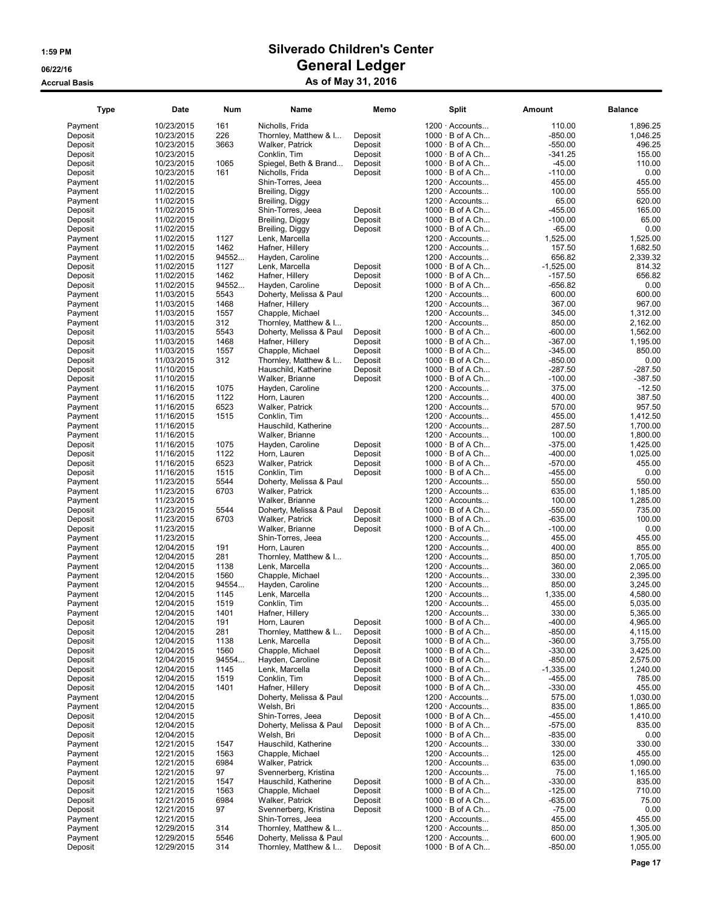| <b>Type</b>        | <b>Date</b>              | Num   | Name                            | Memo    | <b>Split</b>                                    | Amount            | <b>Balance</b>       |
|--------------------|--------------------------|-------|---------------------------------|---------|-------------------------------------------------|-------------------|----------------------|
| Payment            | 10/23/2015               | 161   | Nicholls, Frida                 |         | $1200 \cdot$ Accounts                           | 110.00            | 1,896.25             |
| Deposit            | 10/23/2015               | 226   | Thornley, Matthew & I           | Deposit | $1000 \cdot B$ of A Ch                          | $-850.00$         | 1,046.25             |
| Deposit            | 10/23/2015               | 3663  | Walker, Patrick                 | Deposit | $1000 \cdot B$ of A Ch                          | $-550.00$         | 496.25               |
| Deposit            | 10/23/2015               |       | Conklin, Tim                    | Deposit | $1000 \cdot B$ of A Ch                          | $-341.25$         | 155.00               |
| Deposit            | 10/23/2015               | 1065  | Spiegel, Beth & Brand           | Deposit | $1000 \cdot B$ of A Ch                          | $-45.00$          | 110.00               |
| Deposit            | 10/23/2015               | 161   | Nicholls, Frida                 | Deposit | $1000 \cdot B$ of A Ch                          | $-110.00$         | 0.00                 |
| Payment            | 11/02/2015               |       | Shin-Torres, Jeea               |         | $1200 \cdot$ Accounts                           | 455.00            | 455.00               |
| Payment            | 11/02/2015               |       | Breiling, Diggy                 |         | $1200 \cdot$ Accounts                           | 100.00            | 555.00               |
| Payment            | 11/02/2015               |       | Breiling, Diggy                 |         | $1200 \cdot$ Accounts                           | 65.00             | 620.00               |
| Deposit            | 11/02/2015               |       | Shin-Torres, Jeea               | Deposit | $1000 \cdot B$ of A Ch                          | $-455.00$         | 165.00               |
| Deposit            | 11/02/2015               |       | Breiling, Diggy                 | Deposit | $1000 \cdot B$ of A Ch                          | $-100.00$         | 65.00                |
| Deposit            | 11/02/2015               |       | Breiling, Diggy                 | Deposit | $1000 \cdot B$ of A Ch                          | $-65.00$          | 0.00                 |
| Payment            | 11/02/2015               | 1127  | Lenk, Marcella                  |         | $1200 \cdot$ Accounts                           | 1,525.00          | 1,525.00             |
| Payment            | 11/02/2015               | 1462  | Hafner, Hillery                 |         | $1200 \cdot$ Accounts                           | 157.50            | 1,682.50             |
| Payment            | 11/02/2015               | 94552 | Hayden, Caroline                |         | $1200 \cdot$ Accounts                           | 656.82            | 2,339.32             |
| Deposit            | 11/02/2015               | 1127  | Lenk, Marcella                  | Deposit | $1000 \cdot B$ of A Ch                          | $-1,525.00$       | 814.32               |
| Deposit            | 11/02/2015               | 1462  | Hafner, Hillery                 | Deposit | $1000 \cdot B$ of A Ch                          | $-157.50$         | 656.82               |
| Deposit            | 11/02/2015               | 94552 | Hayden, Caroline                | Deposit | $1000 \cdot B$ of A Ch                          | -656.82           | 0.00                 |
| Payment            | 11/03/2015               | 5543  | Doherty, Melissa & Paul         |         | $1200 \cdot$ Accounts                           | 600.00            | 600.00               |
| Payment            | 11/03/2015               | 1468  | Hafner, Hillery                 |         | $1200 \cdot$ Accounts                           | 367.00            | 967.00               |
| Payment            | 11/03/2015               | 1557  | Chapple, Michael                |         | $1200 \cdot$ Accounts                           | 345.00            | 1,312.00             |
| Payment            | 11/03/2015               | 312   | Thornley, Matthew & I           |         | $1200 \cdot$ Accounts                           | 850.00            | 2,162.00             |
| Deposit            | 11/03/2015               | 5543  | Doherty, Melissa & Paul         | Deposit | $1000 \cdot B$ of A Ch                          | $-600.00$         | 1,562.00             |
| Deposit            | 11/03/2015               | 1468  | Hafner, Hillery                 | Deposit | 1000 · B of A Ch                                | $-367.00$         | 1.195.00             |
| Deposit            | 11/03/2015               | 1557  | Chapple, Michael                | Deposit | $1000 \cdot B$ of A Ch                          | $-345.00$         | 850.00               |
| Deposit            | 11/03/2015               | 312   | Thornley, Matthew & I           | Deposit | $1000 \cdot B$ of A Ch                          | $-850.00$         | 0.00                 |
| Deposit            | 11/10/2015               |       | Hauschild, Katherine            | Deposit | $1000 \cdot B$ of A Ch                          | $-287.50$         | $-287.50$            |
| Deposit            | 11/10/2015               |       | Walker, Brianne                 | Deposit | $1000 \cdot B$ of A Ch                          | $-100.00$         | $-387.50$            |
| Payment            | 11/16/2015               | 1075  | Hayden, Caroline                |         | $1200 \cdot$ Accounts                           | 375.00            | $-12.50$             |
| Payment            | 11/16/2015               | 1122  | Horn, Lauren                    |         | $1200 \cdot$ Accounts                           | 400.00            | 387.50               |
| Payment            | 11/16/2015               | 6523  | Walker, Patrick                 |         | $1200 \cdot$ Accounts                           | 570.00            | 957.50               |
| Payment            | 11/16/2015               | 1515  | Conklin, Tim                    |         | $1200 \cdot$ Accounts                           | 455.00            | 1,412.50             |
| Payment            | 11/16/2015               |       | Hauschild, Katherine            |         | $1200 \cdot$ Accounts                           | 287.50            | 1,700.00             |
| Payment            | 11/16/2015               |       | Walker, Brianne                 |         | $1200 \cdot$ Accounts                           | 100.00            | 1,800.00             |
| Deposit            | 11/16/2015               | 1075  | Hayden, Caroline                | Deposit | $1000 \cdot B$ of A Ch                          | $-375.00$         | 1,425.00             |
| Deposit            | 11/16/2015               | 1122  | Horn, Lauren                    | Deposit | $1000 \cdot B$ of A Ch                          | $-400.00$         | 1,025.00             |
| Deposit            | 11/16/2015               | 6523  | Walker, Patrick                 | Deposit | $1000 \cdot B$ of A Ch                          | $-570.00$         | 455.00               |
| Deposit            | 11/16/2015               | 1515  | Conklin, Tim                    | Deposit | $1000 \cdot B$ of A Ch                          | -455.00           | 0.00                 |
| Payment            | 11/23/2015               | 5544  | Doherty, Melissa & Paul         |         | 1200 · Accounts                                 | 550.00            | 550.00               |
| Payment            | 11/23/2015               | 6703  | Walker, Patrick                 |         | $1200 \cdot$ Accounts                           | 635.00            | 1,185.00             |
| Payment            | 11/23/2015               |       | Walker, Brianne                 |         | $1200 \cdot$ Accounts                           | 100.00            | 1,285.00             |
| Deposit            | 11/23/2015               | 5544  | Doherty, Melissa & Paul         | Deposit | $1000 \cdot B$ of A Ch                          | $-550.00$         | 735.00               |
| Deposit            | 11/23/2015               | 6703  | Walker, Patrick                 | Deposit | $1000 \cdot B$ of A Ch                          | $-635.00$         | 100.00               |
| Deposit            | 11/23/2015               |       | Walker, Brianne                 | Deposit | $1000 \cdot B$ of A Ch                          | $-100.00$         | 0.00                 |
| Payment            | 11/23/2015               |       | Shin-Torres, Jeea               |         | $1200 \cdot$ Accounts                           | 455.00            | 455.00               |
| Payment            | 12/04/2015               | 191   | Horn, Lauren                    |         | $1200 \cdot$ Accounts                           | 400.00            | 855.00               |
| Payment            | 12/04/2015               | 281   | Thornley, Matthew & I           |         | $1200 \cdot$ Accounts                           | 850.00            | 1,705.00             |
| Payment            | 12/04/2015               | 1138  | Lenk, Marcella                  |         | $1200 \cdot$ Accounts                           | 360.00            | 2,065.00             |
| Payment            | 12/04/2015               | 1560  | Chapple, Michael                |         | $1200 \cdot$ Accounts                           | 330.00            | 2,395.00             |
| Payment            | 12/04/2015               | 94554 | Hayden, Caroline                |         | $1200 \cdot$ Accounts                           | 850.00            | 3,245.00             |
| Payment            | 12/04/2015               | 1145  | Lenk, Marcella                  |         | 1200 · Accounts                                 | 1,335.00          | 4,580.00             |
| Payment            | 12/04/2015               | 1519  | Conklin, Tim                    |         | 1200 · Accounts                                 | 455.00            | 5,035.00             |
| Payment            | 12/04/2015               | 1401  | Hafner, Hillery                 |         | 1200 · Accounts                                 | 330.00            | 5,365.00             |
| Deposit            | 12/04/2015               | 191   | Horn, Lauren                    | Deposit | $1000 \cdot B$ of A Ch                          | $-400.00$         | 4,965.00             |
| Deposit            | 12/04/2015               | 281   | Thornley, Matthew & I           | Deposit | $1000 \cdot B$ of A Ch                          | $-850.00$         | 4,115.00             |
| Deposit            | 12/04/2015               | 1138  | Lenk, Marcella                  | Deposit | $1000 \cdot B$ of A Ch                          | $-360.00$         | 3,755.00             |
| Deposit            | 12/04/2015               | 1560  | Chapple, Michael                | Deposit | $1000 \cdot B$ of A Ch                          | $-330.00$         | 3,425.00             |
| Deposit            | 12/04/2015               | 94554 | Hayden, Caroline                | Deposit | $1000 \cdot B$ of A Ch                          | $-850.00$         | 2,575.00             |
| Deposit            | 12/04/2015               | 1145  | Lenk, Marcella                  | Deposit | $1000 \cdot B$ of A Ch                          | $-1,335.00$       | 1,240.00             |
| Deposit            | 12/04/2015               | 1519  | Conklin, Tim                    | Deposit | $1000 \cdot B$ of A Ch                          | $-455.00$         | 785.00               |
| Deposit            | 12/04/2015               | 1401  | Hafner, Hillery                 | Deposit | $1000 \cdot B$ of A Ch                          | $-330.00$         | 455.00               |
| Payment            | 12/04/2015               |       | Doherty, Melissa & Paul         |         | 1200 · Accounts                                 | 575.00            | 1,030.00             |
| Payment<br>Deposit | 12/04/2015<br>12/04/2015 |       | Welsh, Bri<br>Shin-Torres, Jeea | Deposit | $1200 \cdot$ Accounts<br>$1000 \cdot B$ of A Ch | 835.00<br>-455.00 | 1,865.00<br>1,410.00 |
| Deposit            | 12/04/2015               |       | Doherty, Melissa & Paul         | Deposit | $1000 \cdot B$ of A Ch                          | $-575.00$         | 835.00               |
| Deposit            | 12/04/2015               |       | Welsh, Bri                      | Deposit | $1000 \cdot B$ of A Ch                          | $-835.00$         | 0.00                 |
| Payment            | 12/21/2015               | 1547  | Hauschild, Katherine            |         | $1200 \cdot$ Accounts                           | 330.00            | 330.00               |
| Payment            | 12/21/2015               | 1563  | Chapple, Michael                |         | $1200 \cdot$ Accounts                           | 125.00            | 455.00               |
| Payment            | 12/21/2015               | 6984  | Walker, Patrick                 |         | $1200 \cdot$ Accounts                           | 635.00            | 1,090.00             |
| Payment            | 12/21/2015               | 97    | Svennerberg, Kristina           |         | $1200 \cdot$ Accounts                           | 75.00             | 1,165.00             |
| Deposit            | 12/21/2015               | 1547  | Hauschild, Katherine            | Deposit | $1000 \cdot B$ of A Ch                          | $-330.00$         | 835.00               |
| Deposit            | 12/21/2015               | 1563  | Chapple, Michael                | Deposit | $1000 \cdot B$ of A Ch                          | $-125.00$         | 710.00               |
| Deposit            | 12/21/2015               | 6984  | Walker, Patrick                 | Deposit | $1000 \cdot B$ of A Ch                          | $-635.00$         | 75.00                |
| Deposit            | 12/21/2015               | 97    | Svennerberg, Kristina           | Deposit | $1000 \cdot B$ of A Ch                          | $-75.00$          | 0.00                 |
| Payment            | 12/21/2015               |       | Shin-Torres, Jeea               |         | $1200 \cdot$ Accounts                           | 455.00            | 455.00               |
| Payment            | 12/29/2015               | 314   | Thornley, Matthew & I           |         | $1200 \cdot$ Accounts                           | 850.00            | 1,305.00             |
| Payment            | 12/29/2015               | 5546  | Doherty, Melissa & Paul         |         | $1200 \cdot$ Accounts                           | 600.00            | 1,905.00             |
| Deposit            | 12/29/2015               | 314   | Thornley, Matthew & I           | Deposit | $1000 \cdot B$ of A Ch                          | -850.00           | 1,055.00             |
|                    |                          |       |                                 |         |                                                 |                   |                      |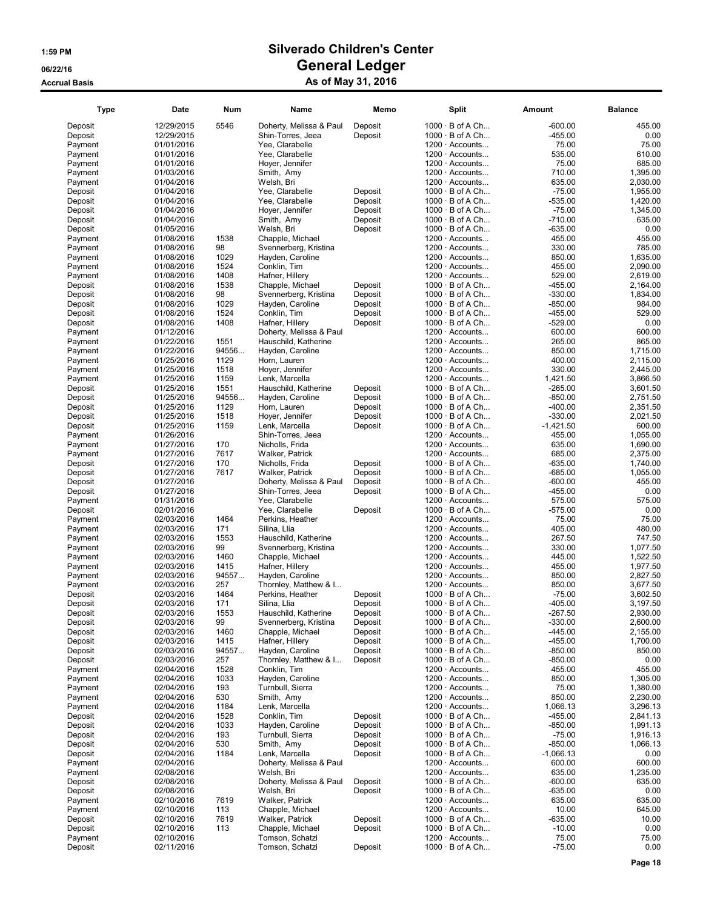| <b>Type</b>        | Date                     | <b>Num</b>   | Name                                      | Memo    | <b>Split</b>                                     | Amount                | <b>Balance</b>     |
|--------------------|--------------------------|--------------|-------------------------------------------|---------|--------------------------------------------------|-----------------------|--------------------|
| Deposit            | 12/29/2015               | 5546         | Doherty, Melissa & Paul                   | Deposit | $1000 \cdot B$ of A Ch                           | $-600.00$             | 455.00             |
| Deposit            | 12/29/2015               |              | Shin-Torres, Jeea                         | Deposit | $1000 \cdot B$ of A Ch                           | $-455.00$             | 0.00               |
| Payment            | 01/01/2016               |              | Yee, Clarabelle                           |         | $1200 \cdot$ Accounts                            | 75.00                 | 75.00              |
| Payment            | 01/01/2016               |              | Yee, Clarabelle                           |         | $1200 \cdot$ Accounts                            | 535.00                | 610.00             |
| Payment            | 01/01/2016               |              | Hoyer, Jennifer                           |         | $1200 \cdot$ Accounts                            | 75.00                 | 685.00             |
| Payment            | 01/03/2016               |              | Smith, Amy                                |         | 1200 · Accounts                                  | 710.00                | 1,395.00           |
| Payment            | 01/04/2016               |              | Welsh, Bri                                |         | $1200 \cdot$ Accounts                            | 635.00                | 2,030.00           |
| Deposit            | 01/04/2016               |              | Yee, Clarabelle                           | Deposit | $1000 \cdot B$ of A Ch                           | $-75.00$              | 1,955.00           |
| Deposit            | 01/04/2016               |              | Yee, Clarabelle                           | Deposit | $1000 \cdot B$ of A Ch                           | $-535.00$             | 1,420.00           |
| Deposit            | 01/04/2016               |              | Hoyer, Jennifer                           | Deposit | $1000 \cdot B$ of A Ch                           | $-75.00$              | 1,345.00           |
| Deposit            | 01/04/2016               |              | Smith, Amy                                | Deposit | $1000 \cdot B$ of A Ch                           | $-710.00$             | 635.00             |
| Deposit            | 01/05/2016               |              | Welsh, Bri                                | Deposit | $1000 \cdot B$ of A Ch                           | -635.00               | 0.00               |
| Payment            | 01/08/2016               | 1538         | Chapple, Michael                          |         | $1200 \cdot$ Accounts                            | 455.00                | 455.00             |
| Payment            | 01/08/2016               | 98           | Svennerberg, Kristina                     |         | $1200 \cdot$ Accounts                            | 330.00                | 785.00             |
| Payment            | 01/08/2016               | 1029         | Hayden, Caroline                          |         | $1200 \cdot$ Accounts                            | 850.00                | 1,635.00           |
| Payment            | 01/08/2016               | 1524         | Conklin, Tim                              |         | $1200 \cdot$ Accounts                            | 455.00                | 2.090.00           |
| Payment            | 01/08/2016               | 1408         | Hafner, Hillery                           |         | $1200 \cdot$ Accounts                            | 529.00                | 2,619.00           |
| Deposit            | 01/08/2016               | 1538         | Chapple, Michael                          | Deposit | $1000 \cdot B$ of A Ch                           | -455.00               | 2,164.00           |
| Deposit            | 01/08/2016               | 98           | Svennerberg, Kristina                     | Deposit | $1000 \cdot B$ of A Ch                           | $-330.00$             | 1,834.00           |
| Deposit            | 01/08/2016               | 1029         | Hayden, Caroline                          | Deposit | $1000 \cdot B$ of A Ch                           | $-850.00$             | 984.00             |
| Deposit            | 01/08/2016               | 1524         | Conklin, Tim                              | Deposit | 1000 · B of A Ch                                 | $-455.00$             | 529.00             |
| Deposit            | 01/08/2016               | 1408         | Hafner, Hillery                           | Deposit | $1000 \cdot B$ of A Ch                           | $-529.00$             | 0.00               |
| Payment            | 01/12/2016               |              | Doherty, Melissa & Paul                   |         | $1200 \cdot$ Accounts                            | 600.00                | 600.00             |
| Payment            | 01/22/2016               | 1551         | Hauschild, Katherine                      |         | $1200 \cdot$ Accounts                            | 265.00                | 865.00             |
| Payment            | 01/22/2016               | 94556        | Hayden, Caroline                          |         | $1200 \cdot$ Accounts                            | 850.00                | 1,715.00           |
| Payment            | 01/25/2016               | 1129         | Horn, Lauren                              |         | 1200 · Accounts                                  | 400.00                | 2,115.00           |
| Payment            | 01/25/2016               | 1518         | Hoyer, Jennifer                           |         | $1200 \cdot$ Accounts                            | 330.00                | 2,445.00           |
| Payment            | 01/25/2016               | 1159         | Lenk, Marcella                            |         | 1200 · Accounts                                  | 1,421.50              | 3,866.50           |
| Deposit            | 01/25/2016               | 1551         | Hauschild, Katherine                      | Deposit | $1000 \cdot B$ of A Ch                           | $-265.00$             | 3,601.50           |
| Deposit            | 01/25/2016               | 94556        | Hayden, Caroline                          | Deposit | $1000 \cdot B$ of A Ch                           | $-850.00$             | 2,751.50           |
| Deposit            | 01/25/2016               | 1129         | Horn, Lauren                              | Deposit | $1000 \cdot B$ of A Ch                           | $-400.00$             | 2,351.50           |
| Deposit            | 01/25/2016               | 1518<br>1159 | Hoyer, Jennifer                           | Deposit | $1000 \cdot B$ of A Ch<br>$1000 \cdot B$ of A Ch | $-330.00$             | 2,021.50<br>600.00 |
| Deposit<br>Payment | 01/25/2016<br>01/26/2016 |              | Lenk, Marcella<br>Shin-Torres, Jeea       | Deposit | $1200 \cdot$ Accounts                            | $-1,421.50$<br>455.00 | 1,055.00           |
| Payment            | 01/27/2016               | 170          | Nicholls, Frida                           |         | 1200 · Accounts                                  | 635.00                | 1,690.00           |
| Payment            | 01/27/2016               | 7617         | Walker, Patrick                           |         | $1200 \cdot$ Accounts                            | 685.00                | 2,375.00           |
| Deposit            | 01/27/2016               | 170          | Nicholls, Frida                           | Deposit | $1000 \cdot B$ of A Ch                           | -635.00               | 1,740.00           |
| Deposit            | 01/27/2016               | 7617         | Walker, Patrick                           | Deposit | $1000 \cdot B$ of A Ch                           | $-685.00$             | 1,055.00           |
| Deposit            | 01/27/2016               |              | Doherty, Melissa & Paul                   | Deposit | $1000 \cdot B$ of A Ch                           | $-600.00$             | 455.00             |
| Deposit            | 01/27/2016               |              | Shin-Torres, Jeea                         | Deposit | $1000 \cdot B$ of A Ch                           | $-455.00$             | 0.00               |
| Payment            | 01/31/2016               |              | Yee, Clarabelle                           |         | $1200 \cdot$ Accounts                            | 575.00                | 575.00             |
| Deposit            | 02/01/2016               |              | Yee, Clarabelle                           | Deposit | $1000 \cdot B$ of A Ch                           | $-575.00$             | 0.00               |
| Payment            | 02/03/2016               | 1464         | Perkins, Heather                          |         | 1200 · Accounts                                  | 75.00                 | 75.00              |
| Payment            | 02/03/2016               | 171          | Silina, Llia                              |         | $1200 \cdot$ Accounts                            | 405.00                | 480.00             |
| Payment            | 02/03/2016               | 1553         | Hauschild, Katherine                      |         | $1200 \cdot$ Accounts                            | 267.50                | 747.50             |
| Payment            | 02/03/2016               | 99           | Svennerberg, Kristina                     |         | 1200 · Accounts                                  | 330.00                | 1,077.50           |
| Payment            | 02/03/2016               | 1460         | Chapple, Michael                          |         | 1200 · Accounts                                  | 445.00                | 1,522.50           |
| Payment            | 02/03/2016               | 1415         | Hafner, Hillery                           |         | $1200 \cdot$ Accounts                            | 455.00                | 1,977.50           |
| Payment            | 02/03/2016               | 94557        | Hayden, Caroline                          |         | $1200 \cdot$ Accounts                            | 850.00                | 2,827.50           |
| Payment            | 02/03/2016               | 257          | Thornley, Matthew & I                     |         | $1200 \cdot$ Accounts                            | 850.00                | 3,677.50           |
| Deposit            | 02/03/2016               | 1464         | Perkins, Heather                          | Deposit | $1000 \cdot B$ of A Ch                           | $-75.00$              | 3,602.50           |
| Deposit            | 02/03/2016               | 171          | Silina, Llia                              | Deposit | $1000 \cdot B$ of A Ch                           | $-405.00$             | 3,197.50           |
| Deposit            | 02/03/2016               | 1553         | Hauschild, Katherine                      | Deposit | $1000 \cdot B$ of A Ch                           | -267.50               | 2,930.00           |
| Deposit            | 02/03/2016               | 99           | Svennerberg, Kristina                     | Deposit | $1000 \cdot B$ of A Ch                           | $-330.00$             | 2,600.00           |
| Deposit            | 02/03/2016               | 1460         | Chapple, Michael                          | Deposit | $1000 \cdot B$ of A Ch                           | $-445.00$             | 2,155.00           |
| Deposit            | 02/03/2016               | 1415         | Hafner, Hillery                           | Deposit | $1000 \cdot B$ of A Ch                           | -455.00               | 1,700.00           |
| Deposit            | 02/03/2016<br>02/03/2016 | 94557        | Hayden, Caroline<br>Thornley, Matthew & I | Deposit | $1000 \cdot B$ of A Ch<br>$1000 \cdot B$ of A Ch | $-850.00$             | 850.00             |
| Deposit            |                          | 257          | Conklin, Tim                              | Deposit | $1200 \cdot$ Accounts                            | $-850.00$<br>455.00   | 0.00               |
| Payment<br>Payment | 02/04/2016<br>02/04/2016 | 1528<br>1033 | Hayden, Caroline                          |         | $1200 \cdot$ Accounts                            | 850.00                | 455.00<br>1,305.00 |
| Payment            | 02/04/2016               | 193          | Turnbull, Sierra                          |         | $1200 \cdot$ Accounts                            | 75.00                 | 1,380.00           |
| Payment            | 02/04/2016               | 530          | Smith, Amy                                |         | $1200 \cdot$ Accounts                            | 850.00                | 2,230.00           |
| Payment            | 02/04/2016               | 1184         | Lenk, Marcella                            |         | $1200 \cdot$ Accounts                            | 1,066.13              | 3,296.13           |
| Deposit            | 02/04/2016               | 1528         | Conklin, Tim                              | Deposit | $1000 \cdot B$ of A Ch                           | $-455.00$             | 2,841.13           |
| Deposit            | 02/04/2016               | 1033         | Hayden, Caroline                          | Deposit | $1000 \cdot B$ of A Ch                           | $-850.00$             | 1,991.13           |
| Deposit            | 02/04/2016               | 193          | Turnbull, Sierra                          | Deposit | $1000 \cdot B$ of A Ch                           | $-75.00$              | 1,916.13           |
| Deposit            | 02/04/2016               | 530          | Smith, Amy                                | Deposit | $1000 \cdot B$ of A Ch                           | $-850.00$             | 1,066.13           |
| Deposit            | 02/04/2016               | 1184         | Lenk, Marcella                            | Deposit | $1000 \cdot B$ of A Ch                           | $-1,066.13$           | 0.00               |
| Payment            | 02/04/2016               |              | Doherty, Melissa & Paul                   |         | $1200 \cdot$ Accounts                            | 600.00                | 600.00             |
| Payment            | 02/08/2016               |              | Welsh, Bri                                |         | $1200 \cdot$ Accounts                            | 635.00                | 1,235.00           |
| Deposit            | 02/08/2016               |              | Doherty, Melissa & Paul                   | Deposit | $1000 \cdot B$ of A Ch                           | $-600.00$             | 635.00             |
| Deposit            | 02/08/2016               |              | Welsh, Bri                                | Deposit | $1000 \cdot B$ of A Ch                           | $-635.00$             | 0.00               |
| Payment            | 02/10/2016               | 7619         | Walker, Patrick                           |         | $1200 \cdot$ Accounts                            | 635.00                | 635.00             |
| Payment<br>Deposit | 02/10/2016<br>02/10/2016 | 113<br>7619  | Chapple, Michael<br>Walker, Patrick       | Deposit | 1200 · Accounts<br>$1000 \cdot B$ of A Ch        | 10.00<br>-635.00      | 645.00<br>10.00    |
| Deposit            | 02/10/2016               | 113          | Chapple, Michael                          | Deposit | $1000 \cdot B$ of A Ch                           | $-10.00$              | 0.00               |
| Payment            | 02/10/2016               |              | Tomson, Schatzi                           |         | $1200 \cdot$ Accounts                            | 75.00                 | 75.00              |
| Deposit            | 02/11/2016               |              | Tomson, Schatzi                           | Deposit | $1000 \cdot B$ of A Ch                           | $-75.00$              | 0.00               |
|                    |                          |              |                                           |         |                                                  |                       |                    |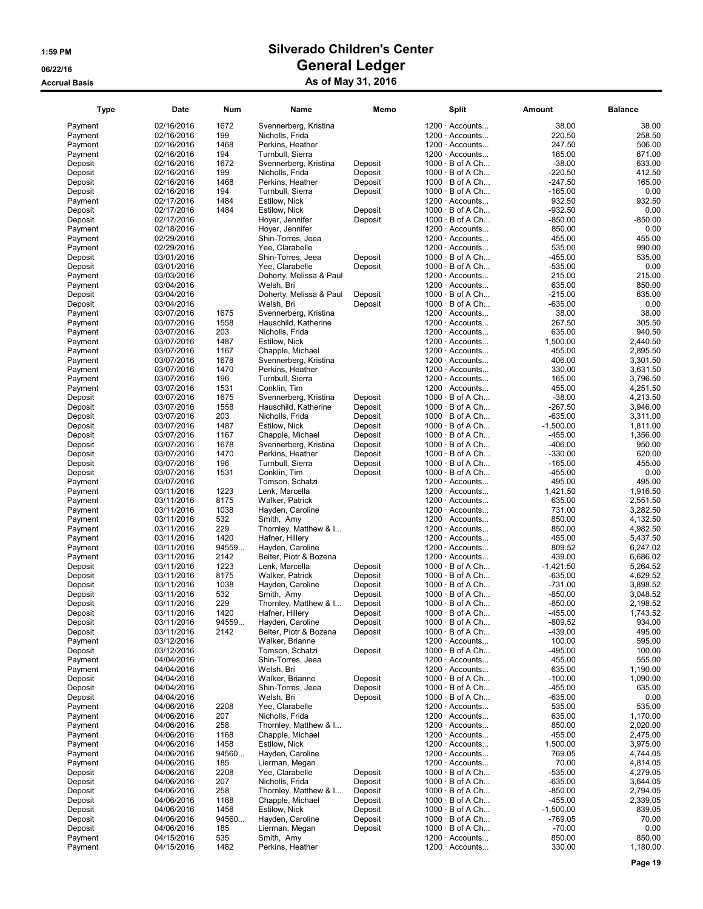| <b>Type</b>        | Date                     | <b>Num</b> | Name                                     | Memo    | <b>Split</b>                             | Amount           | <b>Balance</b>       |
|--------------------|--------------------------|------------|------------------------------------------|---------|------------------------------------------|------------------|----------------------|
| Payment            | 02/16/2016               | 1672       | Svennerberg, Kristina                    |         | $1200 \cdot$ Accounts                    | 38.00            | 38.00                |
| Payment            | 02/16/2016               | 199        | Nicholls, Frida                          |         | $1200 \cdot$ Accounts                    | 220.50           | 258.50               |
| Payment            | 02/16/2016               | 1468       | Perkins. Heather                         |         | $1200 \cdot$ Accounts                    | 247.50           | 506.00               |
| Payment            | 02/16/2016               | 194        | Turnbull, Sierra                         |         | $1200 \cdot$ Accounts                    | 165.00           | 671.00               |
| Deposit            | 02/16/2016               | 1672       | Svennerberg, Kristina                    | Deposit | $1000 \cdot B$ of A Ch                   | $-38.00$         | 633.00               |
| Deposit            | 02/16/2016               | 199        | Nicholls, Frida                          | Deposit | $1000 \cdot B$ of A Ch                   | $-220.50$        | 412.50               |
| Deposit            | 02/16/2016               | 1468       | Perkins, Heather                         | Deposit | $1000 \cdot B$ of A Ch                   | $-247.50$        | 165.00               |
| Deposit            | 02/16/2016               | 194        | Turnbull, Sierra                         | Deposit | $1000 \cdot B$ of A Ch                   | $-165.00$        | 0.00                 |
| Payment            | 02/17/2016               | 1484       | Estilow, Nick                            |         | $1200 \cdot$ Accounts                    | 932.50           | 932.50               |
| Deposit            | 02/17/2016               | 1484       | Estilow, Nick                            | Deposit | $1000 \cdot B$ of A Ch                   | $-932.50$        | 0.00                 |
| Deposit            | 02/17/2016               |            | Hover, Jennifer                          | Deposit | $1000 \cdot B$ of A Ch                   | $-850.00$        | $-850.00$            |
| Payment            | 02/18/2016               |            | Hover, Jennifer                          |         | $1200 \cdot$ Accounts                    | 850.00           | 0.00                 |
| Payment            | 02/29/2016               |            | Shin-Torres, Jeea                        |         | $1200 \cdot$ Accounts                    | 455.00           | 455.00               |
| Payment            | 02/29/2016               |            | Yee, Clarabelle                          |         | 1200 · Accounts                          | 535.00           | 990.00               |
| Deposit            | 03/01/2016               |            | Shin-Torres, Jeea                        | Deposit | $1000 \cdot B$ of A Ch                   | $-455.00$        | 535.00               |
| Deposit            | 03/01/2016               |            | Yee, Clarabelle                          | Deposit | $1000 \cdot B$ of A Ch                   | $-535.00$        | 0.00                 |
| Payment            | 03/03/2016               |            | Doherty, Melissa & Paul                  |         | $1200 \cdot$ Accounts                    | 215.00           | 215.00               |
| Payment            | 03/04/2016               |            | Welsh, Bri                               |         | 1200 · Accounts                          | 635.00           | 850.00               |
| Deposit            | 03/04/2016               |            | Doherty, Melissa & Paul                  | Deposit | $1000 \cdot B$ of A Ch                   | $-215.00$        | 635.00               |
| Deposit            | 03/04/2016               |            | Welsh, Bri                               | Deposit | $1000 \cdot B$ of A Ch                   | $-635.00$        | 0.00                 |
| Payment            | 03/07/2016               | 1675       | Svennerberg, Kristina                    |         | $1200 \cdot$ Accounts                    | 38.00            | 38.00                |
| Payment            | 03/07/2016               | 1558       | Hauschild, Katherine                     |         | $1200 \cdot$ Accounts                    | 267.50           | 305.50               |
| Payment            | 03/07/2016               | 203        | Nicholls, Frida                          |         | $1200 \cdot$ Accounts                    | 635.00           | 940.50               |
| Payment            | 03/07/2016               | 1487       | Estilow, Nick                            |         | 1200 · Accounts                          | 1,500.00         | 2,440.50             |
| Payment            | 03/07/2016               | 1167       | Chapple, Michael                         |         | $1200 \cdot$ Accounts                    | 455.00           | 2,895.50             |
| Payment            | 03/07/2016               | 1678       | Svennerberg, Kristina                    |         | $1200 \cdot$ Accounts                    | 406.00           | 3,301.50             |
| Payment            | 03/07/2016               | 1470       | Perkins, Heather                         |         | $1200 \cdot$ Accounts                    | 330.00           | 3,631.50             |
| Payment            | 03/07/2016               | 196        | Turnbull, Sierra                         |         | $1200 \cdot$ Accounts                    | 165.00           | 3,796.50             |
| Payment            | 03/07/2016               | 1531       | Conklin, Tim                             |         | $1200 \cdot$ Accounts                    | 455.00           | 4,251.50             |
| Deposit            | 03/07/2016               | 1675       | Svennerberg, Kristina                    | Deposit | $1000 \cdot B$ of A Ch                   | $-38.00$         | 4,213.50             |
| Deposit            | 03/07/2016               | 1558       | Hauschild, Katherine                     | Deposit | $1000 \cdot B$ of A Ch                   | $-267.50$        | 3,946.00             |
| Deposit            | 03/07/2016               | 203        | Nicholls, Frida                          | Deposit | $1000 \cdot B$ of A Ch                   | $-635.00$        | 3,311.00             |
| Deposit            | 03/07/2016               | 1487       | Estilow, Nick                            | Deposit | $1000 \cdot B$ of A Ch                   | $-1,500.00$      | 1,811.00             |
| Deposit            | 03/07/2016               | 1167       | Chapple, Michael                         | Deposit | $1000 \cdot B$ of A Ch                   | $-455.00$        | 1,356.00             |
| Deposit            | 03/07/2016               | 1678       | Svennerberg, Kristina                    | Deposit | $1000 \cdot B$ of A Ch                   | $-406.00$        | 950.00               |
| Deposit            | 03/07/2016               | 1470       | Perkins, Heather                         | Deposit | $1000 \cdot B$ of A Ch                   | $-330.00$        | 620.00               |
| Deposit            | 03/07/2016               | 196        | Turnbull, Sierra                         | Deposit | $1000 \cdot B$ of A Ch                   | $-165.00$        | 455.00               |
| Deposit            | 03/07/2016               | 1531       | Conklin, Tim                             | Deposit | $1000 \cdot B$ of A Ch                   | $-455.00$        | 0.00                 |
| Payment            | 03/07/2016               |            | Tomson, Schatzi                          |         | 1200 · Accounts                          | 495.00           | 495.00               |
| Payment            | 03/11/2016               | 1223       | Lenk, Marcella                           |         | $1200 \cdot$ Accounts                    | 1,421.50         | 1,916.50             |
| Payment            | 03/11/2016               | 8175       | Walker, Patrick                          |         | $1200 \cdot$ Accounts<br>1200 · Accounts | 635.00<br>731.00 | 2,551.50             |
| Payment            | 03/11/2016               | 1038       | Hayden, Caroline                         |         |                                          |                  | 3,282.50             |
| Payment            | 03/11/2016<br>03/11/2016 | 532<br>229 | Smith, Amy                               |         | 1200 · Accounts<br>$1200 \cdot$ Accounts | 850.00<br>850.00 | 4,132.50             |
| Payment<br>Payment | 03/11/2016               | 1420       | Thornley, Matthew & I<br>Hafner, Hillery |         | $1200 \cdot$ Accounts                    | 455.00           | 4,982.50<br>5,437.50 |
| Payment            | 03/11/2016               | 94559      | Hayden, Caroline                         |         | $1200 \cdot$ Accounts                    | 809.52           | 6,247.02             |
| Payment            | 03/11/2016               | 2142       | Belter, Piotr & Bozena                   |         | $1200 \cdot$ Accounts                    | 439.00           | 6,686.02             |
| Deposit            | 03/11/2016               | 1223       | Lenk, Marcella                           | Deposit | $1000 \cdot B$ of A Ch                   | $-1,421.50$      | 5,264.52             |
| Deposit            | 03/11/2016               | 8175       | Walker, Patrick                          | Deposit | 1000 · B of A Ch                         | $-635.00$        | 4,629.52             |
| Deposit            | 03/11/2016               | 1038       | Hayden, Caroline                         | Deposit | $1000 \cdot B$ of A Ch                   | $-731.00$        | 3,898.52             |
| Deposit            | 03/11/2016               | 532        | Smith, Amy                               | Deposit | $1000 \cdot B$ of A Ch                   | $-850.00$        | 3,048.52             |
| Deposit            | 03/11/2016               | 229        | Thornley, Matthew & I                    | Deposit | $1000 \cdot B$ of A Ch                   | $-850.00$        | 2,198.52             |
| Deposit            | 03/11/2016               | 1420       | Hafner, Hillery                          | Deposit | 1000 · B of A Ch                         | $-455.00$        | 1,743.52             |
| Deposit            | 03/11/2016               | 94559      | Hayden, Caroline                         | Deposit | 1000 · B of A Ch                         | $-809.52$        | 934.00               |
| Deposit            | 03/11/2016               | 2142       | Belter, Piotr & Bozena                   | Deposit | $1000 \cdot B$ of A Ch                   | $-439.00$        | 495.00               |
| Payment            | 03/12/2016               |            | Walker, Brianne                          |         | $1200 \cdot$ Accounts                    | 100.00           | 595.00               |
| Deposit            | 03/12/2016               |            | Tomson, Schatzi                          | Deposit | $1000 \cdot B$ of A Ch                   | -495.00          | 100.00               |
| Payment            | 04/04/2016               |            | Shin-Torres, Jeea                        |         | $1200 \cdot$ Accounts                    | 455.00           | 555.00               |
| Payment            | 04/04/2016               |            | Welsh, Bri                               |         | $1200 \cdot$ Accounts                    | 635.00           | 1,190.00             |
| Deposit            | 04/04/2016               |            | Walker, Brianne                          | Deposit | $1000 \cdot B$ of A Ch                   | $-100.00$        | 1,090.00             |
| Deposit            | 04/04/2016               |            | Shin-Torres, Jeea                        | Deposit | $1000 \cdot B$ of A Ch                   | $-455.00$        | 635.00               |
| Deposit            | 04/04/2016               |            | Welsh, Bri                               | Deposit | $1000 \cdot B$ of A Ch                   | $-635.00$        | 0.00                 |
| Payment            | 04/06/2016               | 2208       | Yee, Clarabelle                          |         | $1200 \cdot$ Accounts                    | 535.00           | 535.00               |
| Payment            | 04/06/2016               | 207        | Nicholls, Frida                          |         | $1200 \cdot$ Accounts                    | 635.00           | 1,170.00             |
| Payment            | 04/06/2016               | 258        | Thornley, Matthew & I                    |         | $1200 \cdot$ Accounts                    | 850.00           | 2,020.00             |
| Payment            | 04/06/2016               | 1168       | Chapple, Michael                         |         | $1200 \cdot$ Accounts                    | 455.00           | 2,475.00             |
| Payment            | 04/06/2016               | 1458       | Estilow, Nick                            |         | $1200 \cdot$ Accounts                    | 1,500.00         | 3,975.00             |
| Payment            | 04/06/2016               | 94560      | Hayden, Caroline                         |         | 1200 · Accounts                          | 769.05           | 4,744.05             |
| Payment            | 04/06/2016               | 185        | Lierman, Megan                           |         | $1200 \cdot$ Accounts                    | 70.00            | 4,814.05             |
| Deposit            | 04/06/2016               | 2208       | Yee, Clarabelle                          | Deposit | $1000 \cdot B$ of A Ch                   | $-535.00$        | 4,279.05             |
| Deposit            | 04/06/2016               | 207        | Nicholls, Frida                          | Deposit | $1000 \cdot B$ of A Ch                   | $-635.00$        | 3,644.05             |
| Deposit            | 04/06/2016               | 258        | Thornley, Matthew & I                    | Deposit | $1000 \cdot B$ of A Ch                   | $-850.00$        | 2,794.05             |
| Deposit            | 04/06/2016               | 1168       | Chapple, Michael                         | Deposit | $1000 \cdot B$ of A Ch                   | $-455.00$        | 2,339.05             |
| Deposit            | 04/06/2016               | 1458       | Estilow, Nick                            | Deposit | $1000 \cdot B$ of A Ch                   | $-1,500.00$      | 839.05               |
| Deposit            | 04/06/2016               | 94560      | Hayden, Caroline                         | Deposit | $1000 \cdot B$ of A Ch                   | $-769.05$        | 70.00                |
| Deposit            | 04/06/2016               | 185        | Lierman, Megan                           | Deposit | $1000 \cdot B$ of A Ch                   | $-70.00$         | 0.00                 |
| Payment            | 04/15/2016               | 535        | Smith, Amy                               |         | $1200 \cdot$ Accounts                    | 850.00           | 850.00               |
| Payment            | 04/15/2016               | 1482       | Perkins, Heather                         |         | $1200 \cdot$ Accounts                    | 330.00           | 1,180.00             |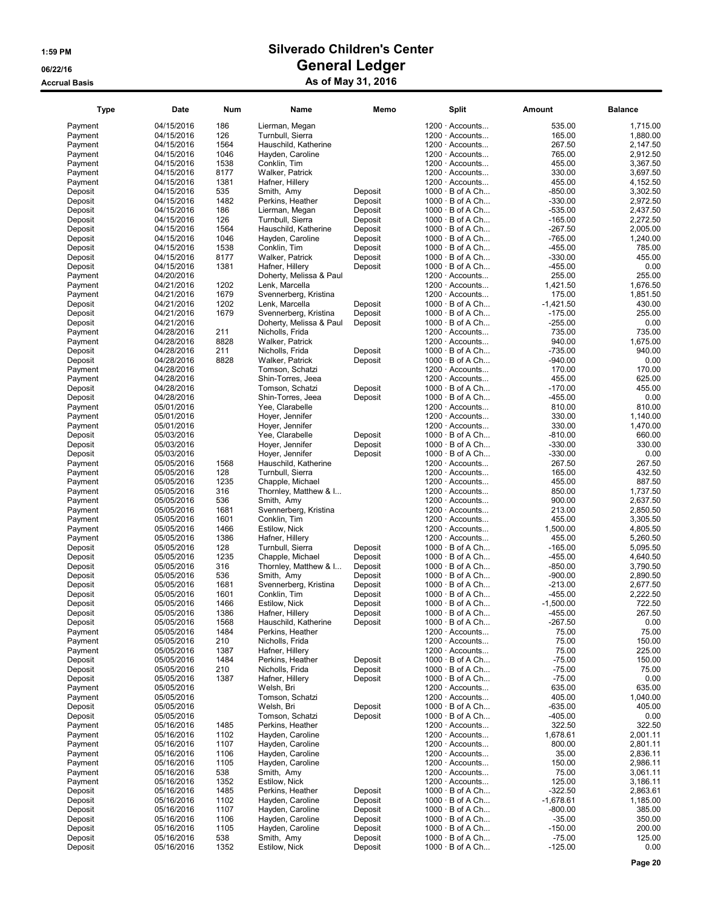| <b>Type</b>        | Date                     | Num         | Name                                | Memo    | <b>Split</b>                                   | Amount           | <b>Balance</b>   |
|--------------------|--------------------------|-------------|-------------------------------------|---------|------------------------------------------------|------------------|------------------|
| Payment            | 04/15/2016               | 186         | Lierman, Megan                      |         | $1200 \cdot$ Accounts                          | 535.00           | 1,715.00         |
| Payment            | 04/15/2016               | 126         | Turnbull, Sierra                    |         | $1200 \cdot$ Accounts                          | 165.00           | 1,880.00         |
| Payment            | 04/15/2016               | 1564        | Hauschild, Katherine                |         | $1200 \cdot$ Accounts                          | 267.50           | 2.147.50         |
| Payment            | 04/15/2016               | 1046        | Hayden, Caroline                    |         | $1200 \cdot$ Accounts                          | 765.00           | 2,912.50         |
| Payment            | 04/15/2016               | 1538        | Conklin, Tim                        |         | $1200 \cdot$ Accounts                          | 455.00           | 3,367.50         |
| Payment            | 04/15/2016               | 8177        | Walker, Patrick                     |         | 1200 · Accounts                                | 330.00           | 3,697.50         |
| Payment            | 04/15/2016               | 1381        | Hafner, Hillery                     |         | $1200 \cdot$ Accounts                          | 455.00           | 4,152.50         |
| Deposit            | 04/15/2016               | 535         | Smith, Amy                          | Deposit | $1000 \cdot B$ of A Ch                         | -850.00          | 3,302.50         |
| Deposit            | 04/15/2016               | 1482        | Perkins, Heather                    | Deposit | $1000 \cdot B$ of A Ch                         | $-330.00$        | 2,972.50         |
| Deposit            | 04/15/2016               | 186         | Lierman, Megan                      | Deposit | $1000 \cdot B$ of A Ch                         | $-535.00$        | 2,437.50         |
| Deposit            | 04/15/2016               | 126         | Turnbull, Sierra                    | Deposit | $1000 \cdot B$ of A Ch                         | $-165.00$        | 2,272.50         |
| Deposit            | 04/15/2016               | 1564        | Hauschild, Katherine                | Deposit | $1000 \cdot B$ of A Ch                         | $-267.50$        | 2,005.00         |
| Deposit            | 04/15/2016               | 1046        | Hayden, Caroline                    | Deposit | $1000 \cdot B$ of A Ch                         | $-765.00$        | 1,240.00         |
| Deposit            | 04/15/2016               | 1538        | Conklin, Tim                        | Deposit | $1000 \cdot B$ of A Ch                         | $-455.00$        | 785.00           |
| Deposit            | 04/15/2016               | 8177        | Walker, Patrick                     | Deposit | $1000 \cdot B$ of A Ch                         | $-330.00$        | 455.00           |
| Deposit            | 04/15/2016               | 1381        | Hafner, Hillery                     | Deposit | $1000 \cdot B$ of A Ch                         | $-455.00$        | 0.00             |
| Payment            | 04/20/2016               |             | Doherty, Melissa & Paul             |         | $1200 \cdot$ Accounts                          | 255.00           | 255.00           |
| Payment            | 04/21/2016               | 1202        | Lenk, Marcella                      |         | $1200 \cdot$ Accounts                          | 1,421.50         | 1,676.50         |
| Payment            | 04/21/2016               | 1679        | Svennerberg, Kristina               |         | $1200 \cdot$ Accounts                          | 175.00           | 1,851.50         |
| Deposit            | 04/21/2016               | 1202        | Lenk, Marcella                      | Deposit | $1000 \cdot B$ of A Ch                         | $-1,421.50$      | 430.00           |
| Deposit            | 04/21/2016               | 1679        | Svennerberg, Kristina               | Deposit | 1000 · B of A Ch                               | $-175.00$        | 255.00           |
| Deposit            | 04/21/2016               |             | Doherty, Melissa & Paul             | Deposit | $1000 \cdot B$ of A Ch                         | $-255.00$        | 0.00             |
| Payment            | 04/28/2016               | 211         | Nicholls, Frida                     |         | $1200 \cdot$ Accounts                          | 735.00           | 735.00           |
| Payment            | 04/28/2016               | 8828        | Walker, Patrick                     |         | $1200 \cdot$ Accounts                          | 940.00           | 1,675.00         |
| Deposit            | 04/28/2016               | 211         | Nicholls, Frida                     | Deposit | $1000 \cdot B$ of A Ch                         | $-735.00$        | 940.00           |
| Deposit            | 04/28/2016               | 8828        | Walker, Patrick                     | Deposit | $1000 \cdot B$ of A Ch                         | $-940.00$        | 0.00             |
| Payment            | 04/28/2016               |             | Tomson, Schatzi                     |         | $1200 \cdot$ Accounts                          | 170.00           | 170.00           |
| Payment            | 04/28/2016               |             | Shin-Torres, Jeea                   |         | 1200 · Accounts                                | 455.00           | 625.00           |
| Deposit            | 04/28/2016               |             | Tomson, Schatzi                     | Deposit | $1000 \cdot B$ of A Ch                         | $-170.00$        | 455.00           |
| Deposit            | 04/28/2016               |             | Shin-Torres, Jeea                   | Deposit | $1000 \cdot B$ of A Ch                         | $-455.00$        | 0.00             |
| Payment            | 05/01/2016               |             | Yee, Clarabelle                     |         | 1200 · Accounts                                | 810.00           | 810.00           |
| Payment            | 05/01/2016               |             | Hoyer, Jennifer                     |         | $1200 \cdot$ Accounts                          | 330.00           | 1,140.00         |
| Payment            | 05/01/2016               |             | Hoyer, Jennifer                     |         | $1200 \cdot$ Accounts                          | 330.00           | 1,470.00         |
| Deposit            | 05/03/2016               |             | Yee, Clarabelle                     | Deposit | $1000 \cdot B$ of A Ch                         | $-810.00$        | 660.00           |
| Deposit            | 05/03/2016               |             | Hoyer, Jennifer                     | Deposit | $1000 \cdot B$ of A Ch                         | $-330.00$        | 330.00           |
| Deposit            | 05/03/2016               |             | Hoyer, Jennifer                     | Deposit | $1000 \cdot B$ of A Ch                         | $-330.00$        | 0.00             |
| Payment            | 05/05/2016               | 1568        | Hauschild, Katherine                |         | $1200 \cdot$ Accounts                          | 267.50           | 267.50           |
| Payment<br>Payment | 05/05/2016<br>05/05/2016 | 128<br>1235 | Turnbull, Sierra                    |         | $1200 \cdot$ Accounts<br>$1200 \cdot$ Accounts | 165.00<br>455.00 | 432.50<br>887.50 |
|                    |                          | 316         | Chapple, Michael                    |         | $1200 \cdot$ Accounts                          | 850.00           | 1,737.50         |
| Payment<br>Payment | 05/05/2016<br>05/05/2016 | 536         | Thornley, Matthew & I<br>Smith, Amy |         | $1200 \cdot$ Accounts                          | 900.00           | 2,637.50         |
| Payment            | 05/05/2016               | 1681        | Svennerberg, Kristina               |         | $1200 \cdot$ Accounts                          | 213.00           | 2,850.50         |
| Payment            | 05/05/2016               | 1601        | Conklin, Tim                        |         | $1200 \cdot$ Accounts                          | 455.00           | 3,305.50         |
| Payment            | 05/05/2016               | 1466        | Estilow, Nick                       |         | 1200 · Accounts                                | 1,500.00         | 4,805.50         |
| Payment            | 05/05/2016               | 1386        | Hafner, Hillery                     |         | $1200 \cdot$ Accounts                          | 455.00           | 5,260.50         |
| Deposit            | 05/05/2016               | 128         | Turnbull, Sierra                    | Deposit | $1000 \cdot B$ of A Ch                         | $-165.00$        | 5,095.50         |
| Deposit            | 05/05/2016               | 1235        | Chapple, Michael                    | Deposit | $1000 \cdot B$ of A Ch                         | $-455.00$        | 4,640.50         |
| Deposit            | 05/05/2016               | 316         | Thornley, Matthew & I               | Deposit | $1000 \cdot B$ of A Ch                         | $-850.00$        | 3,790.50         |
| Deposit            | 05/05/2016               | 536         | Smith, Amy                          | Deposit | $1000 \cdot B$ of A Ch                         | $-900.00$        | 2,890.50         |
| Deposit            | 05/05/2016               | 1681        | Svennerberg, Kristina               | Deposit | $1000 \cdot B$ of A Ch                         | $-213.00$        | 2,677.50         |
| Deposit            | 05/05/2016               | 1601        | Conklin, Tim                        | Deposit | $1000 \cdot B$ of A Ch                         | $-455.00$        | 2,222.50         |
| Deposit            | 05/05/2016               | 1466        | Estilow, Nick                       | Deposit | $1000 \cdot B$ of A Ch                         | $-1,500.00$      | 722.50           |
| Deposit            | 05/05/2016               | 1386        | Hafner, Hillery                     | Deposit | $1000 \cdot B$ of A Ch                         | $-455.00$        | 267.50           |
| Deposit            | 05/05/2016               | 1568        | Hauschild, Katherine                | Deposit | $1000 \cdot B$ of A Ch                         | $-267.50$        | 0.00             |
| Payment            | 05/05/2016               | 1484        | Perkins, Heather                    |         | $1200 \cdot$ Accounts                          | 75.00            | 75.00            |
| Payment            | 05/05/2016               | 210         | Nicholls, Frida                     |         | 1200 · Accounts                                | 75.00            | 150.00           |
| Payment            | 05/05/2016               | 1387        | Hafner, Hillery                     |         | 1200 · Accounts                                | 75.00            | 225.00           |
| Deposit            | 05/05/2016               | 1484        | Perkins, Heather                    | Deposit | $1000 \cdot B$ of A Ch                         | $-75.00$         | 150.00           |
| Deposit            | 05/05/2016               | 210         | Nicholls, Frida                     | Deposit | $1000 \cdot B$ of A Ch                         | $-75.00$         | 75.00            |
| Deposit            | 05/05/2016               | 1387        | Hafner, Hillery                     | Deposit | $1000 \cdot B$ of A Ch                         | $-75.00$         | 0.00             |
| Payment            | 05/05/2016               |             | Welsh, Bri                          |         | $1200 \cdot$ Accounts                          | 635.00           | 635.00           |
| Payment            | 05/05/2016               |             | Tomson, Schatzi                     |         | 1200 · Accounts                                | 405.00           | 1,040.00         |
| Deposit            | 05/05/2016               |             | Welsh, Bri                          | Deposit | $1000 \cdot B$ of A Ch                         | $-635.00$        | 405.00           |
| Deposit            | 05/05/2016               |             | Tomson, Schatzi                     | Deposit | $1000 \cdot B$ of A Ch                         | $-405.00$        | 0.00             |
| Payment            | 05/16/2016               | 1485        | Perkins, Heather                    |         | 1200 · Accounts                                | 322.50           | 322.50           |
| Payment            | 05/16/2016               | 1102        | Hayden, Caroline                    |         | $1200 \cdot$ Accounts                          | 1,678.61         | 2,001.11         |
| Payment            | 05/16/2016               | 1107        | Hayden, Caroline                    |         | $1200 \cdot$ Accounts                          | 800.00           | 2,801.11         |
| Payment            | 05/16/2016               | 1106        | Hayden, Caroline                    |         | 1200 · Accounts                                | 35.00            | 2,836.11         |
| Payment            | 05/16/2016               | 1105        | Hayden, Caroline                    |         | $1200 \cdot$ Accounts                          | 150.00           | 2,986.11         |
| Payment            | 05/16/2016               | 538         | Smith, Amy                          |         | $1200 \cdot$ Accounts                          | 75.00            | 3,061.11         |
| Payment            | 05/16/2016               | 1352        | Estilow, Nick                       |         | $1200 \cdot$ Accounts                          | 125.00           | 3,186.11         |
| Deposit            | 05/16/2016               | 1485        | Perkins, Heather                    | Deposit | $1000 \cdot B$ of A Ch                         | $-322.50$        | 2,863.61         |
| Deposit            | 05/16/2016               | 1102        | Hayden, Caroline                    | Deposit | $1000 \cdot B$ of A Ch                         | $-1,678.61$      | 1,185.00         |
| Deposit            | 05/16/2016               | 1107        | Hayden, Caroline                    | Deposit | $1000 \cdot B$ of A Ch                         | $-800.00$        | 385.00           |
| Deposit            | 05/16/2016               | 1106        | Hayden, Caroline                    | Deposit | $1000 \cdot B$ of A Ch                         | $-35.00$         | 350.00           |
| Deposit            | 05/16/2016               | 1105        | Hayden, Caroline                    | Deposit | $1000 \cdot B$ of A Ch                         | $-150.00$        | 200.00           |
| Deposit            | 05/16/2016               | 538         | Smith, Amy                          | Deposit | $1000 \cdot B$ of A Ch                         | $-75.00$         | 125.00           |
| Deposit            | 05/16/2016               | 1352        | Estilow, Nick                       | Deposit | $1000 \cdot B$ of A Ch                         | $-125.00$        | 0.00             |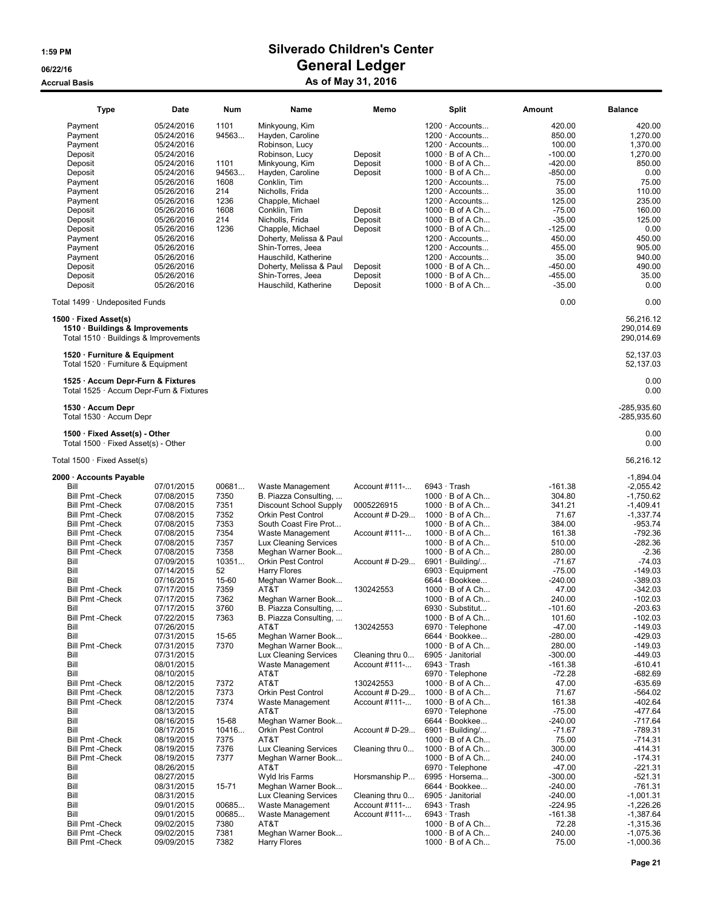| <b>Type</b>                                                        | Date                                   | <b>Num</b>    | Name                                                 | Memo                             |                    | <b>Split</b>                                                            | Amount                     | <b>Balance</b>                 |
|--------------------------------------------------------------------|----------------------------------------|---------------|------------------------------------------------------|----------------------------------|--------------------|-------------------------------------------------------------------------|----------------------------|--------------------------------|
| Payment<br>Payment<br>Payment                                      | 05/24/2016<br>05/24/2016<br>05/24/2016 | 1101<br>94563 | Minkyoung, Kim<br>Hayden, Caroline<br>Robinson, Lucy |                                  |                    | $1200 \cdot$ Accounts<br>$1200 \cdot$ Accounts<br>$1200 \cdot$ Accounts | 420.00<br>850.00<br>100.00 | 420.00<br>1,270.00<br>1,370.00 |
| Deposit                                                            | 05/24/2016                             |               | Robinson, Lucy                                       | Deposit                          |                    | $1000 \cdot B$ of A Ch                                                  | $-100.00$                  | 1,270.00                       |
| Deposit                                                            | 05/24/2016                             | 1101          | Minkyoung, Kim                                       | Deposit                          |                    | $1000 \cdot B$ of A Ch                                                  | $-420.00$                  | 850.00                         |
| Deposit<br>Payment                                                 | 05/24/2016<br>05/26/2016               | 94563<br>1608 | Hayden, Caroline<br>Conklin, Tim                     | Deposit                          |                    | $1000 \cdot B$ of A Ch<br>$1200 \cdot$ Accounts                         | $-850.00$<br>75.00         | 0.00<br>75.00                  |
| Payment                                                            | 05/26/2016                             | 214           | Nicholls, Frida                                      |                                  |                    | $1200 \cdot$ Accounts                                                   | 35.00                      | 110.00                         |
| Payment                                                            | 05/26/2016                             | 1236          | Chapple, Michael                                     |                                  |                    | $1200 \cdot$ Accounts                                                   | 125.00                     | 235.00                         |
| Deposit                                                            | 05/26/2016                             | 1608          | Conklin, Tim                                         | Deposit                          |                    | $1000 \cdot B$ of A Ch                                                  | $-75.00$                   | 160.00                         |
| Deposit                                                            | 05/26/2016                             | 214           | Nicholls, Frida                                      | Deposit                          |                    | $1000 \cdot B$ of A Ch                                                  | $-35.00$                   | 125.00                         |
| Deposit                                                            | 05/26/2016                             | 1236          | Chapple, Michael                                     | Deposit                          |                    | $1000 \cdot B$ of A Ch                                                  | $-125.00$                  | 0.00                           |
| Payment<br>Payment                                                 | 05/26/2016<br>05/26/2016               |               | Doherty, Melissa & Paul<br>Shin-Torres, Jeea         |                                  |                    | $1200 \cdot$ Accounts<br>$1200 \cdot$ Accounts                          | 450.00<br>455.00           | 450.00<br>905.00               |
| Payment                                                            | 05/26/2016                             |               | Hauschild, Katherine                                 |                                  |                    | $1200 \cdot$ Accounts                                                   | 35.00                      | 940.00                         |
| Deposit                                                            | 05/26/2016                             |               | Doherty, Melissa & Paul                              | Deposit                          |                    | $1000 \cdot B$ of A Ch                                                  | $-450.00$                  | 490.00                         |
| Deposit                                                            | 05/26/2016                             |               | Shin-Torres, Jeea                                    | Deposit                          |                    | $1000 \cdot B$ of A Ch                                                  | $-455.00$                  | 35.00                          |
| Deposit                                                            | 05/26/2016                             |               | Hauschild, Katherine                                 | Deposit                          |                    | $1000 \cdot B$ of A Ch                                                  | $-35.00$                   | 0.00                           |
| Total 1499 · Undeposited Funds                                     |                                        |               |                                                      |                                  |                    |                                                                         | 0.00                       | 0.00                           |
| $1500 \cdot$ Fixed Asset(s)<br>1510 · Buildings & Improvements     |                                        |               |                                                      |                                  |                    |                                                                         |                            | 56,216.12<br>290,014.69        |
| Total 1510 · Buildings & Improvements                              |                                        |               |                                                      |                                  |                    |                                                                         |                            | 290,014.69                     |
|                                                                    |                                        |               |                                                      |                                  |                    |                                                                         |                            | 52,137.03                      |
| 1520 · Furniture & Equipment<br>Total 1520 · Furniture & Equipment |                                        |               |                                                      |                                  |                    |                                                                         |                            | 52,137.03                      |
| 1525 · Accum Depr-Furn & Fixtures                                  |                                        |               |                                                      |                                  |                    |                                                                         |                            | 0.00                           |
| Total 1525 · Accum Depr-Furn & Fixtures                            |                                        |               |                                                      |                                  |                    |                                                                         |                            | 0.00                           |
| 1530 · Accum Depr<br>Total 1530 · Accum Depr                       |                                        |               |                                                      |                                  |                    |                                                                         |                            | -285,935.60<br>-285,935.60     |
| 1500 · Fixed Asset(s) - Other                                      |                                        |               |                                                      |                                  |                    |                                                                         |                            | 0.00                           |
| Total $1500 \cdot$ Fixed Asset(s) - Other                          |                                        |               |                                                      |                                  |                    |                                                                         |                            | 0.00                           |
| Total $1500 \cdot$ Fixed Asset(s)                                  |                                        |               |                                                      |                                  |                    |                                                                         |                            | 56,216.12                      |
| 2000 · Accounts Payable                                            |                                        |               |                                                      |                                  |                    |                                                                         |                            | $-1,894.04$                    |
| Bill                                                               | 07/01/2015                             | 00681         | Waste Management                                     | Account #111-                    | $6943 \cdot$ Trash |                                                                         | $-161.38$                  | $-2,055.42$                    |
| <b>Bill Pmt - Check</b>                                            | 07/08/2015<br>07/08/2015               | 7350<br>7351  | B. Piazza Consulting,                                | 0005226915                       |                    | $1000 \cdot B$ of A Ch<br>$1000 \cdot B$ of A Ch                        | 304.80<br>341.21           | $-1,750.62$                    |
| <b>Bill Pmt - Check</b><br><b>Bill Pmt - Check</b>                 | 07/08/2015                             | 7352          | Discount School Supply<br><b>Orkin Pest Control</b>  | Account # D-29                   |                    | $1000 \cdot B$ of A Ch                                                  | 71.67                      | $-1,409.41$<br>$-1,337.74$     |
| <b>Bill Pmt - Check</b>                                            | 07/08/2015                             | 7353          | South Coast Fire Prot                                |                                  |                    | $1000 \cdot B$ of A Ch                                                  | 384.00                     | -953.74                        |
| <b>Bill Pmt - Check</b>                                            | 07/08/2015                             | 7354          | Waste Management                                     | Account #111-                    |                    | $1000 \cdot B$ of A Ch                                                  | 161.38                     | $-792.36$                      |
| <b>Bill Pmt - Check</b>                                            | 07/08/2015                             | 7357          | Lux Cleaning Services                                |                                  |                    | $1000 \cdot B$ of A Ch                                                  | 510.00                     | $-282.36$                      |
| <b>Bill Pmt - Check</b><br>Bill                                    | 07/08/2015                             | 7358<br>10351 | Meghan Warner Book<br>Orkin Pest Control             | Account # D-29                   |                    | $1000 \cdot B$ of A Ch<br>$6901 \cdot$ Building/                        | 280.00<br>$-71.67$         | $-2.36$<br>$-74.03$            |
| Bill                                                               | 07/09/2015<br>07/14/2015               | 52            | <b>Harry Flores</b>                                  |                                  |                    | $6903 \cdot$ Equipment                                                  | $-75.00$                   | $-149.03$                      |
| Bill                                                               | 07/16/2015                             | 15-60         | Meghan Warner Book                                   |                                  |                    | 6644 · Bookkee                                                          | $-240.00$                  | $-389.03$                      |
| <b>Bill Pmt - Check</b>                                            | 07/17/2015                             | 7359          | AT&T                                                 | 130242553                        |                    | $1000 \cdot B$ of A Ch                                                  | 47.00                      | $-342.03$                      |
| <b>Bill Pmt - Check</b>                                            | 07/17/2015                             | 7362          | Meghan Warner Book                                   |                                  |                    | $1000 \cdot B$ of A Ch                                                  | 240.00                     | $-102.03$                      |
| Bill                                                               | 07/17/2015                             | 3760          | B. Piazza Consulting,                                |                                  |                    | $6930 \cdot$ Substitut                                                  | $-101.60$                  | -203.63                        |
| <b>Bill Pmt -Check</b><br>Bill                                     | 07/22/2015<br>07/26/2015               | 7363          | B. Piazza Consulting,<br>AT&T                        | 130242553                        |                    | $1000 \cdot B$ of A Ch<br>6970 · Telephone                              | 101.60<br>$-47.00$         | $-102.03$<br>$-149.03$         |
| Bill                                                               | 07/31/2015                             | 15-65         | Meghan Warner Book                                   |                                  |                    | 6644 · Bookkee                                                          | $-280.00$                  | $-429.03$                      |
| <b>Bill Pmt - Check</b>                                            | 07/31/2015                             | 7370          | Meghan Warner Book                                   |                                  |                    | $1000 \cdot B$ of A Ch                                                  | 280.00                     | $-149.03$                      |
| Bill                                                               | 07/31/2015                             |               | Lux Cleaning Services                                | Cleaning thru 0                  |                    | 6905 · Janitorial                                                       | $-300.00$                  | $-449.03$                      |
| Bill                                                               | 08/01/2015                             |               | Waste Management                                     | Account #111-                    | $6943 \cdot$ Trash |                                                                         | $-161.38$                  | $-610.41$                      |
| Bill<br><b>Bill Pmt - Check</b>                                    | 08/10/2015<br>08/12/2015               | 7372          | AT&T<br>AT&T                                         | 130242553                        |                    | $6970 \cdot$ Telephone<br>$1000 \cdot B$ of A Ch                        | $-72.28$<br>47.00          | $-682.69$<br>$-635.69$         |
| <b>Bill Pmt - Check</b>                                            | 08/12/2015                             | 7373          | <b>Orkin Pest Control</b>                            | Account # D-29                   |                    | $1000 \cdot B$ of A Ch                                                  | 71.67                      | $-564.02$                      |
| <b>Bill Pmt - Check</b>                                            | 08/12/2015                             | 7374          | Waste Management                                     | Account #111-                    |                    | $1000 \cdot B$ of A Ch                                                  | 161.38                     | $-402.64$                      |
| Bill                                                               | 08/13/2015                             |               | AT&T                                                 |                                  |                    | $6970 \cdot$ Telephone                                                  | $-75.00$                   | -477.64                        |
| Bill                                                               | 08/16/2015                             | 15-68         | Meghan Warner Book                                   |                                  |                    | 6644 · Bookkee                                                          | $-240.00$                  | $-717.64$                      |
| Bill                                                               | 08/17/2015                             | 10416         | <b>Orkin Pest Control</b><br>AT&T                    | Account # D-29                   |                    | $6901 \cdot$ Building/                                                  | $-71.67$                   | $-789.31$                      |
| <b>Bill Pmt - Check</b><br><b>Bill Pmt - Check</b>                 | 08/19/2015<br>08/19/2015               | 7375<br>7376  | Lux Cleaning Services                                | Cleaning thru 0                  |                    | $1000 \cdot B$ of A Ch<br>$1000 \cdot B$ of A Ch                        | 75.00<br>300.00            | $-714.31$<br>$-414.31$         |
| <b>Bill Pmt - Check</b>                                            | 08/19/2015                             | 7377          | Meghan Warner Book                                   |                                  |                    | $1000 \cdot B$ of A Ch                                                  | 240.00                     | $-174.31$                      |
| Bill                                                               | 08/26/2015                             |               | AT&T                                                 |                                  |                    | 6970 · Telephone                                                        | $-47.00$                   | $-221.31$                      |
| Bill                                                               | 08/27/2015                             |               | Wyld Iris Farms                                      | Horsmanship P                    |                    | 6995 · Horsema                                                          | $-300.00$                  | $-521.31$                      |
| Bill<br>Bill                                                       | 08/31/2015                             | 15-71         | Meghan Warner Book                                   |                                  |                    | 6644 · Bookkee<br>6905 · Janitorial                                     | $-240.00$<br>$-240.00$     | $-761.31$<br>$-1,001.31$       |
| Bill                                                               | 08/31/2015<br>09/01/2015               | 00685         | Lux Cleaning Services<br>Waste Management            | Cleaning thru 0<br>Account #111- |                    | $6943 \cdot$ Trash                                                      | $-224.95$                  | $-1,226.26$                    |
| Bill                                                               | 09/01/2015                             | 00685         | Waste Management                                     | Account #111-                    | $6943 \cdot$ Trash |                                                                         | $-161.38$                  | -1,387.64                      |
| <b>Bill Pmt - Check</b>                                            | 09/02/2015                             | 7380          | AT&T                                                 |                                  |                    | $1000 \cdot B$ of A Ch                                                  | 72.28                      | $-1,315.36$                    |
| <b>Bill Pmt - Check</b>                                            | 09/02/2015                             | 7381          | Meghan Warner Book                                   |                                  |                    | $1000 \cdot B$ of A Ch                                                  | 240.00                     | $-1,075.36$                    |
| <b>Bill Pmt - Check</b>                                            | 09/09/2015                             | 7382          | Harry Flores                                         |                                  |                    | $1000 \cdot B$ of A Ch                                                  | 75.00                      | $-1,000.36$                    |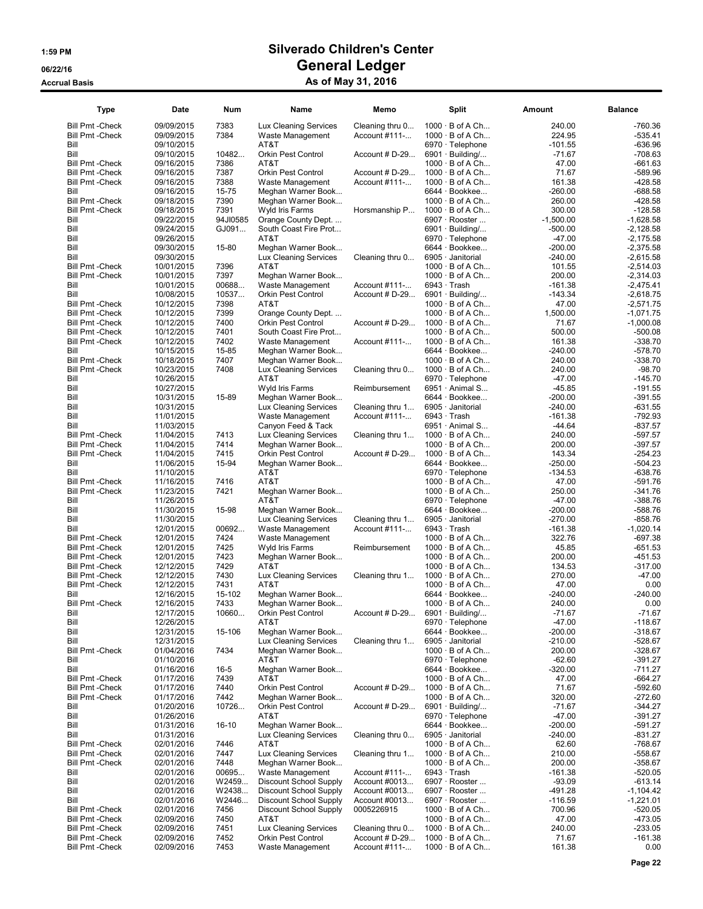| Type                                               | Date                     | <b>Num</b>        | Name                                         | Memo                           | <b>Split</b>                                         | Amount                   | <b>Balance</b>             |
|----------------------------------------------------|--------------------------|-------------------|----------------------------------------------|--------------------------------|------------------------------------------------------|--------------------------|----------------------------|
| <b>Bill Pmt - Check</b>                            | 09/09/2015               | 7383              | Lux Cleaning Services                        | Cleaning thru 0                | $1000 \cdot B$ of A Ch                               | 240.00                   | -760.36                    |
| <b>Bill Pmt - Check</b>                            | 09/09/2015               | 7384              | Waste Management                             | Account #111-                  | $1000 \cdot B$ of A Ch                               | 224.95                   | $-535.41$                  |
| Bill<br>Bill                                       | 09/10/2015<br>09/10/2015 | 10482             | AT&T<br>Orkin Pest Control                   |                                | 6970 · Telephone<br>$6901 \cdot$ Building/           | $-101.55$<br>-71.67      | $-636.96$<br>$-708.63$     |
| <b>Bill Pmt - Check</b>                            | 09/16/2015               | 7386              | AT&T                                         | Account $#D-29$                | $1000 \cdot B$ of A Ch                               | 47.00                    | $-661.63$                  |
| <b>Bill Pmt - Check</b>                            | 09/16/2015               | 7387              | Orkin Pest Control                           | Account # D-29                 | $1000 \cdot B$ of A Ch                               | 71.67                    | $-589.96$                  |
| <b>Bill Pmt - Check</b>                            | 09/16/2015               | 7388              | Waste Management                             | Account #111-                  | $1000 \cdot B$ of A Ch                               | 161.38                   | $-428.58$                  |
| Bill                                               | 09/16/2015               | 15-75             | Meghan Warner Book                           |                                | 6644 · Bookkee                                       | $-260.00$                | $-688.58$                  |
| <b>Bill Pmt - Check</b>                            | 09/18/2015               | 7390              | Meghan Warner Book                           |                                | $1000 \cdot B$ of A Ch                               | 260.00                   | $-428.58$                  |
| <b>Bill Pmt - Check</b>                            | 09/18/2015               | 7391              | Wyld Iris Farms                              | Horsmanship P                  | $1000 \cdot B$ of A Ch                               | 300.00                   | $-128.58$                  |
| Bill<br>Bill                                       | 09/22/2015<br>09/24/2015 | 94JI0585<br>GJ091 | Orange County Dept.<br>South Coast Fire Prot |                                | $6907 \cdot \text{Rooter} \dots$<br>6901 · Building/ | $-1,500.00$<br>$-500.00$ | $-1,628.58$<br>$-2,128.58$ |
| Bill                                               | 09/26/2015               |                   | AT&T                                         |                                | 6970 · Telephone                                     | $-47.00$                 | $-2,175.58$                |
| Bill                                               | 09/30/2015               | 15-80             | Meghan Warner Book                           |                                | 6644 · Bookkee                                       | $-200.00$                | $-2,375.58$                |
| Bill                                               | 09/30/2015               |                   | Lux Cleaning Services                        | Cleaning thru 0                | 6905 · Janitorial                                    | $-240.00$                | $-2,615.58$                |
| <b>Bill Pmt - Check</b>                            | 10/01/2015               | 7396              | AT&T                                         |                                | $1000 \cdot B$ of A Ch                               | 101.55                   | $-2,514.03$                |
| <b>Bill Pmt - Check</b>                            | 10/01/2015               | 7397              | Meghan Warner Book                           |                                | $1000 \cdot B$ of A Ch                               | 200.00                   | $-2,314.03$                |
| Bill                                               | 10/01/2015               | 00688             | Waste Management                             | Account #111-                  | $6943 \cdot$ Trash                                   | $-161.38$                | $-2,475.41$                |
| Bill                                               | 10/08/2015               | 10537<br>7398     | Orkin Pest Control                           | Account $#D-29$                | $6901 \cdot$ Building/                               | $-143.34$                | $-2,618.75$                |
| <b>Bill Pmt - Check</b><br><b>Bill Pmt - Check</b> | 10/12/2015<br>10/12/2015 | 7399              | AT&T<br>Orange County Dept                   |                                | $1000 \cdot B$ of A Ch<br>$1000 \cdot B$ of A Ch     | 47.00<br>1,500.00        | $-2,571.75$<br>$-1,071.75$ |
| <b>Bill Pmt - Check</b>                            | 10/12/2015               | 7400              | Orkin Pest Control                           | Account $#D-29$                | $1000 \cdot B$ of A Ch                               | 71.67                    | $-1,000.08$                |
| <b>Bill Pmt - Check</b>                            | 10/12/2015               | 7401              | South Coast Fire Prot                        |                                | $1000 \cdot B$ of A Ch                               | 500.00                   | $-500.08$                  |
| <b>Bill Pmt - Check</b>                            | 10/12/2015               | 7402              | Waste Management                             | Account #111-                  | $1000 \cdot B$ of A Ch                               | 161.38                   | $-338.70$                  |
| Bill                                               | 10/15/2015               | 15-85             | Meghan Warner Book                           |                                | 6644 · Bookkee                                       | $-240.00$                | -578.70                    |
| <b>Bill Pmt - Check</b>                            | 10/18/2015               | 7407              | Meghan Warner Book                           |                                | $1000 \cdot B$ of A Ch                               | 240.00                   | $-338.70$                  |
| <b>Bill Pmt - Check</b>                            | 10/23/2015               | 7408              | Lux Cleaning Services                        | Cleaning thru 0                | $1000 \cdot B$ of A Ch                               | 240.00                   | $-98.70$                   |
| Bill                                               | 10/26/2015               |                   | AT&T                                         |                                | 6970 · Telephone                                     | $-47.00$                 | $-145.70$                  |
| Bill                                               | 10/27/2015               |                   | Wyld Iris Farms                              | Reimbursement                  | 6951 · Animal S                                      | $-45.85$                 | $-191.55$                  |
| Bill<br>Bill                                       | 10/31/2015<br>10/31/2015 | 15-89             | Meghan Warner Book                           | Cleaning thru 1                | 6644 · Bookkee<br>6905 · Janitorial                  | $-200.00$<br>$-240.00$   | $-391.55$                  |
| Bill                                               | 11/01/2015               |                   | Lux Cleaning Services<br>Waste Management    | Account #111-                  | $6943 \cdot$ Trash                                   | $-161.38$                | $-631.55$<br>-792.93       |
| Bill                                               | 11/03/2015               |                   | Canyon Feed & Tack                           |                                | 6951 Animal S                                        | $-44.64$                 | -837.57                    |
| <b>Bill Pmt - Check</b>                            | 11/04/2015               | 7413              | Lux Cleaning Services                        | Cleaning thru 1                | $1000 \cdot B$ of A Ch                               | 240.00                   | -597.57                    |
| <b>Bill Pmt - Check</b>                            | 11/04/2015               | 7414              | Meghan Warner Book                           |                                | $1000 \cdot B$ of A Ch                               | 200.00                   | $-397.57$                  |
| <b>Bill Pmt - Check</b>                            | 11/04/2015               | 7415              | Orkin Pest Control                           | Account # D-29                 | $1000 \cdot B$ of A Ch                               | 143.34                   | $-254.23$                  |
| Bill                                               | 11/06/2015               | 15-94             | Meghan Warner Book                           |                                | 6644 · Bookkee                                       | $-250.00$                | $-504.23$                  |
| Bill                                               | 11/10/2015               |                   | AT&T                                         |                                | 6970 · Telephone                                     | $-134.53$                | $-638.76$                  |
| <b>Bill Pmt - Check</b>                            | 11/16/2015               | 7416              | AT&T                                         |                                | $1000 \cdot B$ of A Ch                               | 47.00                    | $-591.76$                  |
| <b>Bill Pmt - Check</b>                            | 11/23/2015               | 7421              | Meghan Warner Book                           |                                | $1000 \cdot B$ of A Ch<br>6970 · Telephone           | 250.00                   | -341.76                    |
| Bill<br>Bill                                       | 11/26/2015<br>11/30/2015 | 15-98             | AT&T<br>Meghan Warner Book                   |                                | 6644 · Bookkee                                       | $-47.00$<br>$-200.00$    | $-388.76$<br>-588.76       |
| Bill                                               | 11/30/2015               |                   | Lux Cleaning Services                        | Cleaning thru 1                | 6905 · Janitorial                                    | $-270.00$                | -858.76                    |
| Bill                                               | 12/01/2015               | 00692             | Waste Management                             | Account #111-                  | $6943 \cdot$ Trash                                   | $-161.38$                | $-1,020.14$                |
| <b>Bill Pmt - Check</b>                            | 12/01/2015               | 7424              | Waste Management                             |                                | $1000 \cdot B$ of A Ch                               | 322.76                   | -697.38                    |
| <b>Bill Pmt - Check</b>                            | 12/01/2015               | 7425              | Wyld Iris Farms                              | Reimbursement                  | $1000 \cdot B$ of A Ch                               | 45.85                    | $-651.53$                  |
| <b>Bill Pmt - Check</b>                            | 12/01/2015               | 7423              | Meghan Warner Book                           |                                | $1000 \cdot B$ of A Ch                               | 200.00                   | -451.53                    |
| <b>Bill Pmt - Check</b>                            | 12/12/2015               | 7429              | AT&T                                         |                                | $1000 \cdot B$ of A Ch                               | 134.53                   | $-317.00$                  |
| <b>Bill Pmt - Check</b>                            | 12/12/2015               | 7430              | Lux Cleaning Services                        | Cleaning thru 1                | $1000 \cdot B$ of A Ch                               | 270.00                   | $-47.00$                   |
| <b>Bill Pmt - Check</b><br>Bill                    | 12/12/2015<br>12/16/2015 | 7431<br>15-102    | AT&T<br>Meghan Warner Book                   |                                | $1000 \cdot B$ of A Ch<br>6644 · Bookkee             | 47.00<br>$-240.00$       | 0.00<br>$-240.00$          |
| <b>Bill Pmt - Check</b>                            | 12/16/2015               | 7433              | Meghan Warner Book                           |                                | $1000 \cdot B$ of A Ch                               | 240.00                   | 0.00                       |
| Bill                                               | 12/17/2015               | 10660             | Orkin Pest Control                           | Account # D-29                 | $6901 \cdot$ Building/                               | $-71.67$                 | $-71.67$                   |
| Bill                                               | 12/26/2015               |                   | AT&T                                         |                                | 6970 · Telephone                                     | $-47.00$                 | $-118.67$                  |
| Bill                                               | 12/31/2015               | 15-106            | Meghan Warner Book                           |                                | 6644 · Bookkee                                       | $-200.00$                | -318.67                    |
| Bill                                               | 12/31/2015               |                   | Lux Cleaning Services                        | Cleaning thru 1                | 6905 · Janitorial                                    | $-210.00$                | $-528.67$                  |
| <b>Bill Pmt - Check</b>                            | 01/04/2016               | 7434              | Meghan Warner Book                           |                                | $1000 \cdot B$ of A Ch                               | 200.00                   | $-328.67$                  |
| Bill                                               | 01/10/2016               |                   | AT&T                                         |                                | $6970 \cdot$ Telephone                               | $-62.60$                 | -391.27                    |
| Bill<br><b>Bill Pmt - Check</b>                    | 01/16/2016               | $16 - 5$          | Meghan Warner Book                           |                                | 6644 · Bookkee                                       | $-320.00$                | $-711.27$                  |
| <b>Bill Pmt - Check</b>                            | 01/17/2016<br>01/17/2016 | 7439<br>7440      | AT&T<br>Orkin Pest Control                   | Account # D-29                 | $1000 \cdot B$ of A Ch<br>$1000 \cdot B$ of A Ch     | 47.00<br>71.67           | -664.27<br>$-592.60$       |
| <b>Bill Pmt - Check</b>                            | 01/17/2016               | 7442              | Meghan Warner Book                           |                                | $1000 \cdot B$ of A Ch                               | 320.00                   | -272.60                    |
| Bill                                               | 01/20/2016               | 10726             | Orkin Pest Control                           | Account # D-29                 | $6901 \cdot$ Building/                               | $-71.67$                 | $-344.27$                  |
| Bill                                               | 01/26/2016               |                   | AT&T                                         |                                | 6970 · Telephone                                     | $-47.00$                 | -391.27                    |
| Bill                                               | 01/31/2016               | 16-10             | Meghan Warner Book                           |                                | 6644 · Bookkee                                       | $-200.00$                | -591.27                    |
| Bill                                               | 01/31/2016               |                   | Lux Cleaning Services                        | Cleaning thru 0                | 6905 · Janitorial                                    | $-240.00$                | $-831.27$                  |
| <b>Bill Pmt - Check</b>                            | 02/01/2016               | 7446              | AT&T                                         |                                | $1000 \cdot B$ of A Ch                               | 62.60                    | $-768.67$                  |
| Bill Pmt - Check                                   | 02/01/2016               | 7447              | Lux Cleaning Services                        | Cleaning thru 1                | $1000 \cdot B$ of A Ch                               | 210.00                   | $-558.67$                  |
| <b>Bill Pmt - Check</b>                            | 02/01/2016               | 7448              | Meghan Warner Book                           |                                | $1000 \cdot B$ of A Ch                               | 200.00                   | -358.67                    |
| Bill<br>Bill                                       | 02/01/2016<br>02/01/2016 | 00695<br>W2459    | Waste Management<br>Discount School Supply   | Account #111-<br>Account #0013 | $6943 \cdot$ Trash<br>6907 · Rooster                 | $-161.38$<br>$-93.09$    | $-520.05$<br>$-613.14$     |
| Bill                                               | 02/01/2016               | W2438             | Discount School Supply                       | Account #0013                  | $6907 \cdot$ Rooster                                 | -491.28                  | $-1,104.42$                |
| Bill                                               | 02/01/2016               | W2446             | Discount School Supply                       | Account #0013                  | $6907 \cdot$ Rooster                                 | $-116.59$                | $-1,221.01$                |
| <b>Bill Pmt - Check</b>                            | 02/01/2016               | 7456              | Discount School Supply                       | 0005226915                     | $1000 \cdot B$ of A Ch                               | 700.96                   | $-520.05$                  |
| <b>Bill Pmt - Check</b>                            | 02/09/2016               | 7450              | AT&T                                         |                                | $1000 \cdot B$ of A Ch                               | 47.00                    | -473.05                    |

Bill Pmt -Check 02/09/2016 7451 Lux Cleaning Services Cleaning thru 0... 1000 · B of A Ch... 240.00 -233.05 Bill Pmt -Check 02/09/2016 7452 Orkin Pest Control Account # D-29... 1000 · B of A Ch... 71.67 -161.38 Bill Pmt -Check 02/09/2016 7453 Waste Management Account #111-... 1000 · B of A Ch... 161.38 0.00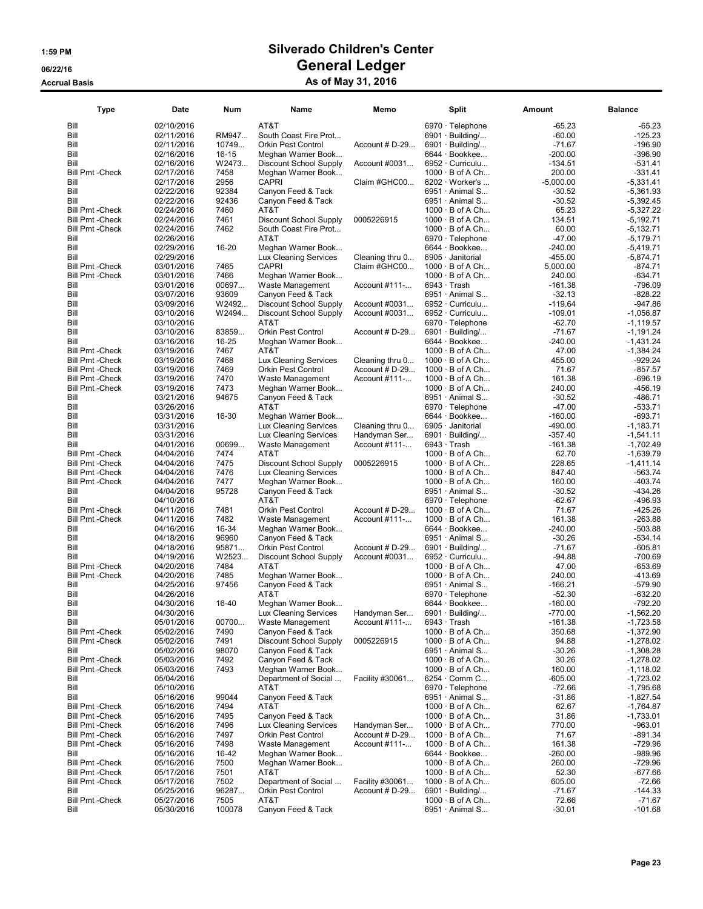| Type                            | Date                     | Num       | Name                                       | Memo            | Split                                         | Amount              | <b>Balance</b>             |
|---------------------------------|--------------------------|-----------|--------------------------------------------|-----------------|-----------------------------------------------|---------------------|----------------------------|
| Bill                            | 02/10/2016               |           | AT&T                                       |                 | 6970 · Telephone                              | $-65.23$            | -65.23                     |
| Bill                            | 02/11/2016               | RM947     | South Coast Fire Prot                      |                 | $6901 \cdot$ Building/                        | $-60.00$            | $-125.23$                  |
| Bill                            | 02/11/2016               | 10749     | <b>Orkin Pest Control</b>                  | Account # D-29  | $6901 \cdot$ Building/                        | $-71.67$            | $-196.90$                  |
| Bill                            | 02/16/2016               | $16 - 15$ | Meghan Warner Book                         |                 | 6644 · Bookkee                                | $-200.00$           | -396.90                    |
| Bill                            | 02/16/2016               | W2473     | <b>Discount School Supply</b>              | Account #0031   | 6952 · Curriculu                              | $-134.51$           | -531.41                    |
| <b>Bill Pmt - Check</b>         | 02/17/2016               | 7458      | Meghan Warner Book                         |                 | $1000 \cdot B$ of A Ch                        | 200.00              | -331.41                    |
| Bill                            | 02/17/2016               | 2956      | CAPRI                                      | Claim #GHC00    | $6202 \cdot \text{Wor}$ ker's                 | $-5,000.00$         | $-5,331.41$                |
| Bill                            | 02/22/2016               | 92384     | Canyon Feed & Tack                         |                 | 6951 Animal S                                 | $-30.52$            | $-5,361.93$                |
| Bill                            | 02/22/2016               | 92436     | Canyon Feed & Tack                         |                 | 6951 · Animal S                               | $-30.52$            | $-5,392.45$                |
| <b>Bill Pmt - Check</b>         | 02/24/2016               | 7460      | AT&T                                       |                 | $1000 \cdot B$ of A Ch                        | 65.23               | $-5,327.22$                |
| <b>Bill Pmt - Check</b>         | 02/24/2016               | 7461      | <b>Discount School Supply</b>              | 0005226915      | $1000 \cdot B$ of A Ch                        | 134.51              | $-5,192.71$                |
| <b>Bill Pmt - Check</b>         | 02/24/2016               | 7462      | South Coast Fire Prot                      |                 | $1000 \cdot B$ of A Ch                        | 60.00               | $-5,132.71$                |
| Bill                            | 02/26/2016               |           | AT&T                                       |                 | $6970 \cdot$ Telephone                        | $-47.00$            | $-5,179.71$                |
| Bill                            | 02/29/2016               | 16-20     | Meghan Warner Book                         |                 | 6644 · Bookkee                                | $-240.00$           | $-5,419.71$                |
| Bill                            | 02/29/2016               |           | <b>Lux Cleaning Services</b>               | Cleaning thru 0 | 6905 · Janitorial                             | $-455.00$           | $-5,874.71$                |
| <b>Bill Pmt - Check</b>         | 03/01/2016               | 7465      | <b>CAPRI</b>                               | Claim #GHC00    | $1000 \cdot B$ of A Ch                        | 5,000.00            | $-874.71$                  |
| <b>Bill Pmt - Check</b>         | 03/01/2016               | 7466      | Meghan Warner Book                         |                 | 1000 · B of A Ch                              | 240.00              | $-634.71$                  |
| Bill                            | 03/01/2016               | 00697     | Waste Management                           | Account #111-   | 6943 · Trash                                  | $-161.38$           | $-796.09$                  |
| Bill                            | 03/07/2016               | 93609     | Canyon Feed & Tack                         |                 | 6951 Animal S                                 | $-32.13$            | $-828.22$                  |
| Bill                            | 03/09/2016               | W2492     | <b>Discount School Supply</b>              | Account #0031   | 6952 · Curriculu                              | $-119.64$           | -947.86                    |
| Bill                            | 03/10/2016               | W2494     | <b>Discount School Supply</b>              | Account #0031   | 6952 · Curriculu                              | $-109.01$           | $-1,056.87$                |
| Bill                            | 03/10/2016               |           | AT&T                                       |                 | 6970 · Telephone                              | $-62.70$            | $-1,119.57$                |
| Bill                            | 03/10/2016               | 83859     | <b>Orkin Pest Control</b>                  | Account # D-29  | $6901 \cdot$ Building/                        | $-71.67$            | $-1,191.24$                |
| Bill                            | 03/16/2016               | 16-25     | Meghan Warner Book                         |                 | 6644 · Bookkee                                | $-240.00$           | $-1,431.24$                |
| <b>Bill Pmt - Check</b>         | 03/19/2016               | 7467      | AT&T                                       |                 | $1000 \cdot B$ of A Ch                        | 47.00               | $-1,384.24$                |
| <b>Bill Pmt - Check</b>         | 03/19/2016               | 7468      | Lux Cleaning Services                      | Cleaning thru 0 | $1000 \cdot B$ of A Ch                        | 455.00              | $-929.24$                  |
| <b>Bill Pmt - Check</b>         | 03/19/2016               | 7469      | Orkin Pest Control                         | Account # D-29  | $1000 \cdot B$ of A Ch                        | 71.67               | $-857.57$                  |
| <b>Bill Pmt - Check</b>         | 03/19/2016               | 7470      | Waste Management                           | Account #111-   | $1000 \cdot B$ of A Ch                        | 161.38              | $-696.19$                  |
| <b>Bill Pmt - Check</b>         | 03/19/2016               | 7473      | Meghan Warner Book                         |                 | $1000 \cdot B$ of A Ch                        | 240.00              | -456.19                    |
| Bill                            | 03/21/2016               | 94675     | Canyon Feed & Tack                         |                 | 6951 Animal S                                 | $-30.52$            | -486.71                    |
| Bill                            | 03/26/2016               |           | AT&T                                       |                 | $6970 \cdot$ Telephone                        | $-47.00$            | $-533.71$                  |
| Bill                            | 03/31/2016               | 16-30     | Meghan Warner Book                         |                 | 6644 · Bookkee                                | $-160.00$           | $-693.71$                  |
| Bill                            | 03/31/2016               |           | <b>Lux Cleaning Services</b>               | Cleaning thru 0 | 6905 · Janitorial                             | $-490.00$           | $-1,183.71$                |
| Bill                            | 03/31/2016               |           | Lux Cleaning Services                      | Handyman Ser    | 6901 · Building/                              | -357.40             | $-1,541.11$                |
| Bill                            | 04/01/2016               | 00699     | Waste Management                           | Account #111-   | $6943 \cdot$ Trash                            | $-161.38$           | $-1,702.49$                |
| <b>Bill Pmt - Check</b>         | 04/04/2016               | 7474      | AT&T                                       |                 | $1000 \cdot B$ of A Ch                        | 62.70               | $-1,639.79$                |
| <b>Bill Pmt - Check</b>         | 04/04/2016               | 7475      | <b>Discount School Supply</b>              | 0005226915      | $1000 \cdot B$ of A Ch                        | 228.65              | $-1,411.14$                |
| <b>Bill Pmt - Check</b>         | 04/04/2016               | 7476      | Lux Cleaning Services                      |                 | $1000 \cdot B$ of A Ch                        | 847.40              | -563.74                    |
| <b>Bill Pmt - Check</b>         | 04/04/2016               | 7477      | Meghan Warner Book                         |                 | $1000 \cdot B$ of A Ch                        | 160.00              | $-403.74$                  |
| Bill                            | 04/04/2016               | 95728     | Canyon Feed & Tack                         |                 | 6951 Animal S                                 | $-30.52$            | $-434.26$                  |
| Bill                            | 04/10/2016               |           | AT&T                                       |                 | 6970 · Telephone                              | $-62.67$            | -496.93                    |
| <b>Bill Pmt - Check</b>         | 04/11/2016               | 7481      | <b>Orkin Pest Control</b>                  | Account # D-29  | $1000 \cdot B$ of A Ch                        | 71.67               | $-425.26$                  |
| <b>Bill Pmt - Check</b>         | 04/11/2016               | 7482      | Waste Management                           | Account #111-   | $1000 \cdot B$ of A Ch                        | 161.38              | $-263.88$                  |
| Bill                            | 04/16/2016               | 16-34     | Meghan Warner Book                         |                 | 6644 · Bookkee                                | $-240.00$           | $-503.88$                  |
| Bill                            | 04/18/2016               | 96960     | Canyon Feed & Tack                         |                 | 6951 Animal S                                 | $-30.26$            | -534.14                    |
| Bill                            | 04/18/2016               | 95871     | <b>Orkin Pest Control</b>                  | Account # D-29  | $6901 \cdot$ Building/                        | $-71.67$            | $-605.81$                  |
| Bill                            | 04/19/2016               | W2523     | <b>Discount School Supply</b>              | Account #0031   | 6952 · Curriculu                              | $-94.88$            | $-700.69$                  |
| <b>Bill Pmt - Check</b>         | 04/20/2016               | 7484      | AT&T                                       |                 | $1000 \cdot B$ of A Ch                        | 47.00               | $-653.69$                  |
| <b>Bill Pmt - Check</b>         | 04/20/2016               | 7485      | Meghan Warner Book                         |                 | $1000 \cdot B$ of A Ch                        | 240.00              | -413.69                    |
| Bill                            | 04/25/2016               | 97456     | Canyon Feed & Tack                         |                 | 6951 Animal S                                 | $-166.21$           | $-579.90$                  |
| Bill                            | 04/26/2016               |           | AT&T                                       |                 | 6970 · Telephone                              | $-52.30$            | $-632.20$                  |
| Bill                            | 04/30/2016               | 16-40     | Meghan Warner Book                         |                 | 6644 · Bookkee                                | $-160.00$           | $-792.20$                  |
| Bill                            | 04/30/2016               |           | Lux Cleaning Services                      | Handyman Ser    | 6901 · Building/                              | $-770.00$           | $-1,562.20$                |
| Bill                            | 05/01/2016               | 00700     | Waste Management                           | Account #111-   | $6943 \cdot$ Trash                            | $-161.38$           | $-1,723.58$                |
| <b>Bill Pmt - Check</b>         | 05/02/2016               | 7490      | Canyon Feed & Tack                         |                 | $1000 \cdot B$ of A Ch                        | 350.68              | $-1,372.90$                |
| <b>Bill Pmt - Check</b>         | 05/02/2016<br>05/02/2016 | 7491      | Discount School Supply                     | 0005226915      | $1000 \cdot B$ of A Ch<br>6951 · Animal S     | 94.88               | $-1,278.02$                |
| Bill                            | 05/03/2016               | 98070     | Canyon Feed & Tack                         |                 |                                               | $-30.26$            | $-1,308.28$                |
| <b>Bill Pmt - Check</b>         |                          | 7492      | Canyon Feed & Tack                         |                 | $1000 \cdot B$ of A Ch                        | 30.26               | $-1,278.02$                |
| <b>Bill Pmt - Check</b><br>Bill | 05/03/2016<br>05/04/2016 | 7493      | Meghan Warner Book<br>Department of Social | Facility #30061 | $1000 \cdot B$ of A Ch<br>$6254 \cdot$ Comm C | 160.00<br>$-605.00$ | $-1,118.02$<br>$-1,723.02$ |
| Bill                            | 05/10/2016               |           | AT&T                                       |                 | 6970 · Telephone                              | $-72.66$            | $-1,795.68$                |
| Bill                            | 05/16/2016               | 99044     | Canyon Feed & Tack                         |                 | 6951 · Animal S                               | $-31.86$            | $-1,827.54$                |
| <b>Bill Pmt - Check</b>         | 05/16/2016               | 7494      | AT&T                                       |                 | $1000 \cdot B$ of A Ch                        | 62.67               | $-1,764.87$                |
| <b>Bill Pmt - Check</b>         | 05/16/2016               | 7495      | Canyon Feed & Tack                         |                 | $1000 \cdot B$ of A Ch                        | 31.86               | $-1,733.01$                |
| <b>Bill Pmt - Check</b>         | 05/16/2016               | 7496      | Lux Cleaning Services                      | Handyman Ser    | $1000 \cdot B$ of A Ch                        | 770.00              | $-963.01$                  |
| <b>Bill Pmt - Check</b>         | 05/16/2016               | 7497      | Orkin Pest Control                         | Account # D-29  | $1000 \cdot B$ of A Ch                        | 71.67               | $-891.34$                  |
| <b>Bill Pmt - Check</b>         | 05/16/2016               | 7498      | Waste Management                           | Account #111-   | $1000 \cdot B$ of A Ch                        | 161.38              | $-729.96$                  |
| Bill                            | 05/16/2016               | 16-42     | Meghan Warner Book                         |                 | 6644 · Bookkee                                | $-260.00$           | -989.96                    |
| <b>Bill Pmt - Check</b>         | 05/16/2016               | 7500      | Meghan Warner Book                         |                 | $1000 \cdot B$ of A Ch                        | 260.00              | -729.96                    |
| <b>Bill Pmt - Check</b>         | 05/17/2016               | 7501      | AT&T                                       |                 | $1000 \cdot B$ of A Ch                        | 52.30               | -677.66                    |
| <b>Bill Pmt - Check</b>         | 05/17/2016               | 7502      | Department of Social                       | Facility #30061 | $1000 \cdot B$ of A Ch                        | 605.00              | $-72.66$                   |
| Bill                            | 05/25/2016               | 96287     | Orkin Pest Control                         | Account # D-29  | $6901 \cdot$ Building/                        | $-71.67$            | $-144.33$                  |
| <b>Bill Pmt - Check</b>         | 05/27/2016               | 7505      | AT&T                                       |                 | $1000 \cdot B$ of A Ch                        | 72.66               | $-71.67$                   |
| Bill                            | 05/30/2016               | 100078    | Canyon Feed & Tack                         |                 | 6951 · Animal S                               | $-30.01$            | $-101.68$                  |
|                                 |                          |           |                                            |                 |                                               |                     |                            |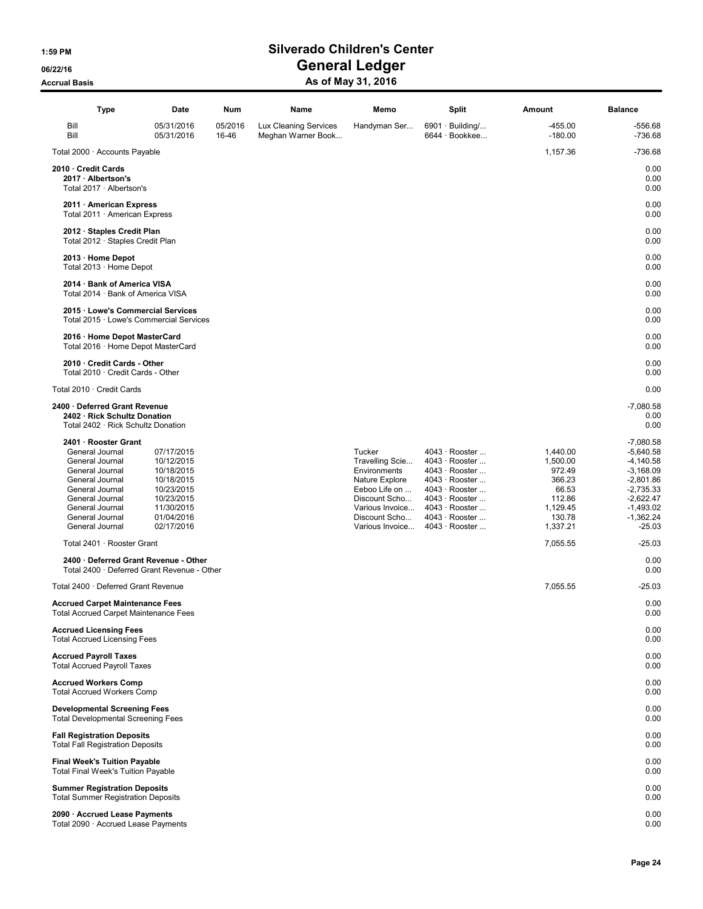| <b>Type</b>                                                                                                                                                                                     | Date                                                                                                                       | Num              | Name                                        | Memo                                                                                                                                                 | <b>Split</b>                                                                                                                                                   | Amount                                                                                        | <b>Balance</b>                                                                                                                                  |
|-------------------------------------------------------------------------------------------------------------------------------------------------------------------------------------------------|----------------------------------------------------------------------------------------------------------------------------|------------------|---------------------------------------------|------------------------------------------------------------------------------------------------------------------------------------------------------|----------------------------------------------------------------------------------------------------------------------------------------------------------------|-----------------------------------------------------------------------------------------------|-------------------------------------------------------------------------------------------------------------------------------------------------|
| Bill<br>Bill                                                                                                                                                                                    | 05/31/2016<br>05/31/2016                                                                                                   | 05/2016<br>16-46 | Lux Cleaning Services<br>Meghan Warner Book | Handyman Ser                                                                                                                                         | $6901 \cdot$ Building/<br>6644 · Bookkee                                                                                                                       | $-455.00$<br>$-180.00$                                                                        | $-556.68$<br>$-736.68$                                                                                                                          |
| Total 2000 · Accounts Payable                                                                                                                                                                   |                                                                                                                            |                  |                                             |                                                                                                                                                      |                                                                                                                                                                | 1,157.36                                                                                      | $-736.68$                                                                                                                                       |
| 2010 · Credit Cards<br>2017 · Albertson's<br>Total 2017 · Albertson's                                                                                                                           |                                                                                                                            |                  |                                             |                                                                                                                                                      |                                                                                                                                                                |                                                                                               | 0.00<br>0.00<br>0.00                                                                                                                            |
| 2011 · American Express<br>Total 2011 · American Express                                                                                                                                        |                                                                                                                            |                  |                                             |                                                                                                                                                      |                                                                                                                                                                |                                                                                               | 0.00<br>0.00                                                                                                                                    |
| 2012 · Staples Credit Plan<br>Total 2012 · Staples Credit Plan                                                                                                                                  |                                                                                                                            |                  |                                             |                                                                                                                                                      |                                                                                                                                                                |                                                                                               | 0.00<br>0.00                                                                                                                                    |
| 2013 · Home Depot<br>Total 2013 · Home Depot                                                                                                                                                    |                                                                                                                            |                  |                                             |                                                                                                                                                      |                                                                                                                                                                |                                                                                               | 0.00<br>0.00                                                                                                                                    |
| 2014 · Bank of America VISA<br>Total 2014 · Bank of America VISA                                                                                                                                |                                                                                                                            |                  |                                             |                                                                                                                                                      |                                                                                                                                                                |                                                                                               | 0.00<br>0.00                                                                                                                                    |
| 2015 · Lowe's Commercial Services<br>Total 2015 · Lowe's Commercial Services                                                                                                                    |                                                                                                                            |                  |                                             |                                                                                                                                                      |                                                                                                                                                                |                                                                                               | 0.00<br>0.00                                                                                                                                    |
| 2016 · Home Depot MasterCard<br>Total 2016 · Home Depot MasterCard                                                                                                                              |                                                                                                                            |                  |                                             |                                                                                                                                                      |                                                                                                                                                                |                                                                                               | 0.00<br>0.00                                                                                                                                    |
| 2010 Credit Cards - Other<br>Total 2010 · Credit Cards - Other                                                                                                                                  |                                                                                                                            |                  |                                             |                                                                                                                                                      |                                                                                                                                                                |                                                                                               | 0.00<br>0.00                                                                                                                                    |
| Total 2010 · Credit Cards                                                                                                                                                                       |                                                                                                                            |                  |                                             |                                                                                                                                                      |                                                                                                                                                                |                                                                                               | 0.00                                                                                                                                            |
| 2400 · Deferred Grant Revenue<br>2402 · Rick Schultz Donation<br>Total 2402 · Rick Schultz Donation                                                                                             |                                                                                                                            |                  |                                             |                                                                                                                                                      |                                                                                                                                                                |                                                                                               | $-7,080.58$<br>0.00<br>0.00                                                                                                                     |
| 2401 · Rooster Grant<br>General Journal<br>General Journal<br>General Journal<br>General Journal<br>General Journal<br>General Journal<br>General Journal<br>General Journal<br>General Journal | 07/17/2015<br>10/12/2015<br>10/18/2015<br>10/18/2015<br>10/23/2015<br>10/23/2015<br>11/30/2015<br>01/04/2016<br>02/17/2016 |                  |                                             | Tucker<br>Travelling Scie<br>Environments<br>Nature Explore<br>Eeboo Life on<br>Discount Scho<br>Various Invoice<br>Discount Scho<br>Various Invoice | 4043 · Rooster<br>4043 · Rooster<br>4043 · Rooster<br>4043 · Rooster<br>4043 · Rooster<br>4043 · Rooster<br>4043 · Rooster<br>4043 · Rooster<br>4043 · Rooster | 1,440.00<br>1,500.00<br>972.49<br>366.23<br>66.53<br>112.86<br>1,129.45<br>130.78<br>1,337.21 | $-7,080.58$<br>$-5,640.58$<br>$-4,140.58$<br>$-3,168.09$<br>$-2,801.86$<br>$-2,735.33$<br>$-2,622.47$<br>$-1,493.02$<br>$-1,362.24$<br>$-25.03$ |
| Total 2401 · Rooster Grant                                                                                                                                                                      |                                                                                                                            |                  |                                             |                                                                                                                                                      |                                                                                                                                                                | 7.055.55                                                                                      | $-25.03$                                                                                                                                        |
| 2400 · Deferred Grant Revenue - Other<br>Total 2400 · Deferred Grant Revenue - Other                                                                                                            |                                                                                                                            |                  |                                             |                                                                                                                                                      |                                                                                                                                                                |                                                                                               | 0.00<br>0.00                                                                                                                                    |
| Total 2400 · Deferred Grant Revenue                                                                                                                                                             |                                                                                                                            |                  |                                             |                                                                                                                                                      |                                                                                                                                                                | 7,055.55                                                                                      | -25.03                                                                                                                                          |
| <b>Accrued Carpet Maintenance Fees</b><br><b>Total Accrued Carpet Maintenance Fees</b>                                                                                                          |                                                                                                                            |                  |                                             |                                                                                                                                                      |                                                                                                                                                                |                                                                                               | 0.00<br>0.00                                                                                                                                    |
| <b>Accrued Licensing Fees</b><br><b>Total Accrued Licensing Fees</b>                                                                                                                            |                                                                                                                            |                  |                                             |                                                                                                                                                      |                                                                                                                                                                |                                                                                               | 0.00<br>0.00                                                                                                                                    |
| <b>Accrued Payroll Taxes</b><br><b>Total Accrued Payroll Taxes</b>                                                                                                                              |                                                                                                                            |                  |                                             |                                                                                                                                                      |                                                                                                                                                                |                                                                                               | 0.00<br>0.00                                                                                                                                    |
| <b>Accrued Workers Comp</b><br><b>Total Accrued Workers Comp</b>                                                                                                                                |                                                                                                                            |                  |                                             |                                                                                                                                                      |                                                                                                                                                                |                                                                                               | 0.00<br>0.00                                                                                                                                    |
| <b>Developmental Screening Fees</b><br><b>Total Developmental Screening Fees</b>                                                                                                                |                                                                                                                            |                  |                                             |                                                                                                                                                      |                                                                                                                                                                |                                                                                               | 0.00<br>0.00                                                                                                                                    |
| <b>Fall Registration Deposits</b><br><b>Total Fall Registration Deposits</b>                                                                                                                    |                                                                                                                            |                  |                                             |                                                                                                                                                      |                                                                                                                                                                |                                                                                               | 0.00<br>0.00                                                                                                                                    |
| <b>Final Week's Tuition Payable</b><br><b>Total Final Week's Tuition Payable</b>                                                                                                                |                                                                                                                            |                  |                                             |                                                                                                                                                      |                                                                                                                                                                |                                                                                               | 0.00<br>0.00                                                                                                                                    |
| <b>Summer Registration Deposits</b><br><b>Total Summer Registration Deposits</b>                                                                                                                |                                                                                                                            |                  |                                             |                                                                                                                                                      |                                                                                                                                                                |                                                                                               | 0.00<br>0.00                                                                                                                                    |
| 2090 · Accrued Lease Payments<br>Total 2090 · Accrued Lease Payments                                                                                                                            |                                                                                                                            |                  |                                             |                                                                                                                                                      |                                                                                                                                                                |                                                                                               | 0.00<br>0.00                                                                                                                                    |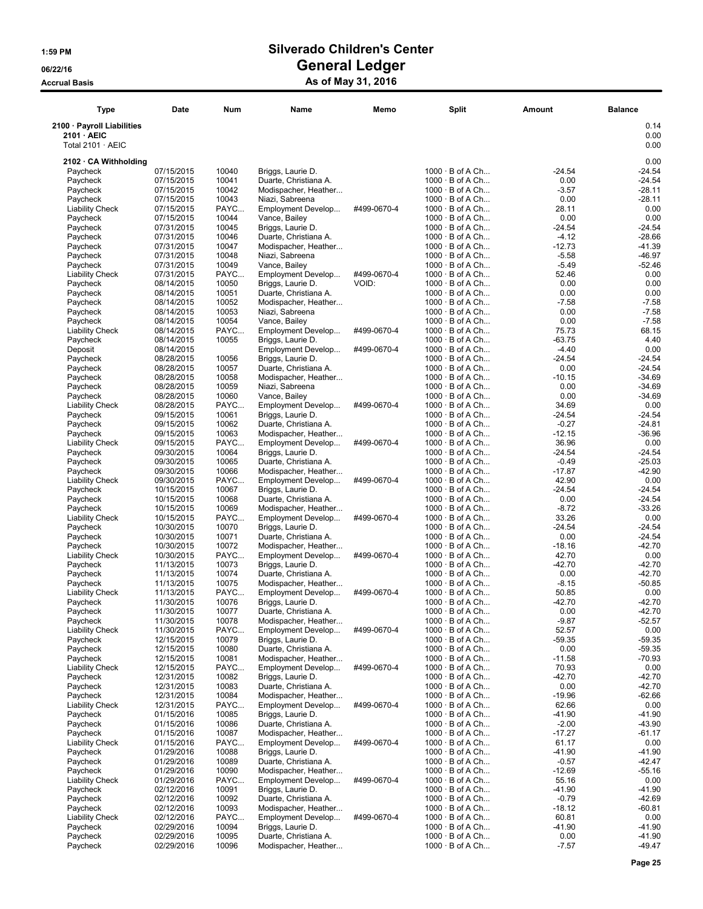| <b>Type</b>                                                          | Date                     | Num            | Name                                          | Memo        | Split                                            | Amount              | <b>Balance</b>       |
|----------------------------------------------------------------------|--------------------------|----------------|-----------------------------------------------|-------------|--------------------------------------------------|---------------------|----------------------|
| 2100 · Payroll Liabilities<br>2101 · AEIC<br>Total $2101 \cdot AEIC$ |                          |                |                                               |             |                                                  |                     | 0.14<br>0.00<br>0.00 |
| 2102 · CA Withholding                                                |                          |                |                                               |             |                                                  |                     | 0.00                 |
| Paycheck                                                             | 07/15/2015               | 10040          | Briggs, Laurie D.                             |             | $1000 \cdot B$ of A Ch                           | -24.54              | $-24.54$             |
| Paycheck                                                             | 07/15/2015               | 10041          | Duarte, Christiana A.                         |             | $1000 \cdot B$ of A Ch                           | 0.00                | $-24.54$             |
| Paycheck                                                             | 07/15/2015               | 10042          | Modispacher, Heather                          |             | $1000 \cdot B$ of A Ch                           | $-3.57$             | $-28.11$             |
| Paycheck                                                             | 07/15/2015               | 10043          | Niazi, Sabreena                               |             | $1000 \cdot B$ of A Ch                           | 0.00                | $-28.11$             |
| <b>Liability Check</b>                                               | 07/15/2015               | PAYC           | Employment Develop                            | #499-0670-4 | $1000 \cdot B$ of A Ch                           | 28.11               | 0.00                 |
| Paycheck                                                             | 07/15/2015               | 10044          | Vance, Bailey                                 |             | $1000 \cdot B$ of A Ch                           | 0.00                | 0.00                 |
| Paycheck                                                             | 07/31/2015<br>07/31/2015 | 10045<br>10046 | Briggs, Laurie D.                             |             | $1000 \cdot B$ of A Ch<br>$1000 \cdot B$ of A Ch | $-24.54$<br>$-4.12$ | $-24.54$<br>$-28.66$ |
| Paycheck<br>Paycheck                                                 | 07/31/2015               | 10047          | Duarte, Christiana A.<br>Modispacher, Heather |             | $1000 \cdot B$ of A Ch                           | $-12.73$            | $-41.39$             |
| Paycheck                                                             | 07/31/2015               | 10048          | Niazi, Sabreena                               |             | $1000 \cdot B$ of A Ch                           | $-5.58$             | $-46.97$             |
| Paycheck                                                             | 07/31/2015               | 10049          | Vance, Bailey                                 |             | $1000 \cdot B$ of A Ch                           | $-5.49$             | $-52.46$             |
| <b>Liability Check</b>                                               | 07/31/2015               | PAYC           | Employment Develop                            | #499-0670-4 | $1000 \cdot B$ of A Ch                           | 52.46               | 0.00                 |
| Paycheck                                                             | 08/14/2015               | 10050          | Briggs, Laurie D.                             | VOID:       | $1000 \cdot B$ of A Ch                           | 0.00                | 0.00                 |
| Paycheck                                                             | 08/14/2015               | 10051          | Duarte, Christiana A.                         |             | $1000 \cdot B$ of A Ch                           | 0.00                | 0.00                 |
| Paycheck                                                             | 08/14/2015               | 10052          | Modispacher, Heather                          |             | $1000 \cdot B$ of A Ch                           | $-7.58$             | $-7.58$              |
| Paycheck                                                             | 08/14/2015               | 10053          | Niazi, Sabreena                               |             | $1000 \cdot B$ of A Ch                           | 0.00                | $-7.58$              |
| Paycheck<br><b>Liability Check</b>                                   | 08/14/2015<br>08/14/2015 | 10054<br>PAYC  | Vance, Bailey<br>Employment Develop           | #499-0670-4 | $1000 \cdot B$ of A Ch<br>$1000 \cdot B$ of A Ch | 0.00<br>75.73       | $-7.58$<br>68.15     |
| Paycheck                                                             | 08/14/2015               | 10055          | Briggs, Laurie D.                             |             | $1000 \cdot B$ of A Ch                           | $-63.75$            | 4.40                 |
| Deposit                                                              | 08/14/2015               |                | Employment Develop                            | #499-0670-4 | $1000 \cdot B$ of A Ch                           | $-4.40$             | 0.00                 |
| Paycheck                                                             | 08/28/2015               | 10056          | Briggs, Laurie D.                             |             | $1000 \cdot B$ of A Ch                           | -24.54              | $-24.54$             |
| Paycheck                                                             | 08/28/2015               | 10057          | Duarte. Christiana A.                         |             | $1000 \cdot B$ of A Ch                           | 0.00                | $-24.54$             |
| Paycheck                                                             | 08/28/2015               | 10058          | Modispacher, Heather                          |             | $1000 \cdot B$ of A Ch                           | $-10.15$            | $-34.69$             |
| Paycheck                                                             | 08/28/2015               | 10059          | Niazi, Sabreena                               |             | $1000 \cdot B$ of A Ch                           | 0.00                | $-34.69$             |
| Paycheck                                                             | 08/28/2015               | 10060          | Vance, Bailey                                 |             | $1000 \cdot B$ of A Ch                           | 0.00                | $-34.69$             |
| <b>Liability Check</b>                                               | 08/28/2015               | PAYC           | Employment Develop                            | #499-0670-4 | $1000 \cdot B$ of A Ch<br>$1000 \cdot B$ of A Ch | 34.69               | 0.00<br>$-24.54$     |
| Paycheck<br>Paycheck                                                 | 09/15/2015<br>09/15/2015 | 10061<br>10062 | Briggs, Laurie D.<br>Duarte, Christiana A.    |             | $1000 \cdot B$ of A Ch                           | $-24.54$<br>$-0.27$ | $-24.81$             |
| Paycheck                                                             | 09/15/2015               | 10063          | Modispacher, Heather                          |             | $1000 \cdot B$ of A Ch                           | $-12.15$            | $-36.96$             |
| <b>Liability Check</b>                                               | 09/15/2015               | PAYC           | Employment Develop                            | #499-0670-4 | $1000 \cdot B$ of A Ch                           | 36.96               | 0.00                 |
| Paycheck                                                             | 09/30/2015               | 10064          | Briggs, Laurie D.                             |             | $1000 \cdot B$ of A Ch                           | -24.54              | $-24.54$             |
| Paycheck                                                             | 09/30/2015               | 10065          | Duarte, Christiana A.                         |             | $1000 \cdot B$ of A Ch                           | $-0.49$             | $-25.03$             |
| Paycheck                                                             | 09/30/2015               | 10066          | Modispacher, Heather                          |             | $1000 \cdot B$ of A Ch                           | -17.87              | $-42.90$             |
| <b>Liability Check</b>                                               | 09/30/2015               | PAYC           | Employment Develop                            | #499-0670-4 | $1000 \cdot B$ of A Ch                           | 42.90               | 0.00                 |
| Paycheck                                                             | 10/15/2015               | 10067          | Briggs, Laurie D.                             |             | $1000 \cdot B$ of A Ch                           | $-24.54$<br>0.00    | $-24.54$             |
| Paycheck<br>Paycheck                                                 | 10/15/2015<br>10/15/2015 | 10068<br>10069 | Duarte, Christiana A.<br>Modispacher, Heather |             | $1000 \cdot B$ of A Ch<br>$1000 \cdot B$ of A Ch | $-8.72$             | $-24.54$<br>$-33.26$ |
| <b>Liability Check</b>                                               | 10/15/2015               | PAYC           | Employment Develop                            | #499-0670-4 | $1000 \cdot B$ of A Ch                           | 33.26               | 0.00                 |
| Paycheck                                                             | 10/30/2015               | 10070          | Briggs, Laurie D.                             |             | $1000 \cdot B$ of A Ch                           | -24.54              | $-24.54$             |
| Paycheck                                                             | 10/30/2015               | 10071          | Duarte, Christiana A.                         |             | $1000 \cdot B$ of A Ch                           | 0.00                | $-24.54$             |
| Paycheck                                                             | 10/30/2015               | 10072          | Modispacher, Heather                          |             | $1000 \cdot B$ of A Ch                           | $-18.16$            | $-42.70$             |
| <b>Liability Check</b>                                               | 10/30/2015               | PAYC           | Employment Develop                            | #499-0670-4 | $1000 \cdot B$ of A Ch                           | 42.70               | 0.00                 |
| Paycheck                                                             | 11/13/2015               | 10073          | Briggs, Laurie D.                             |             | $1000 \cdot B$ of A Ch                           | $-42.70$            | $-42.70$             |
| Paycheck                                                             | 11/13/2015               | 10074          | Duarte, Christiana A.                         |             | $1000 \cdot B$ of A Ch<br>$1000 \cdot B$ of A Ch | 0.00                | $-42.70$             |
| Paycheck<br><b>Liability Check</b>                                   | 11/13/2015<br>11/13/2015 | 10075<br>PAYC  | Modispacher, Heather<br>Employment Develop    | #499-0670-4 | $1000 \cdot B$ of A Ch                           | $-8.15$<br>50.85    | $-50.85$<br>0.00     |
| Paycheck                                                             | 11/30/2015               | 10076          | Briggs, Laurie D.                             |             | $1000 \cdot B$ of A Ch                           | $-42.70$            | $-42.70$             |
| Paycheck                                                             | 11/30/2015               | 10077          | Duarte, Christiana A.                         |             | 1000 · B of A Ch                                 | 0.00                | $-42.70$             |
| Paycheck                                                             | 11/30/2015               | 10078          | Modispacher, Heather                          |             | 1000 · B of A Ch                                 | $-9.87$             | $-52.57$             |
| <b>Liability Check</b>                                               | 11/30/2015               | PAYC           | Employment Develop                            | #499-0670-4 | $1000 \cdot B$ of A Ch                           | 52.57               | 0.00                 |
| Paycheck                                                             | 12/15/2015               | 10079          | Briggs, Laurie D.                             |             | $1000 \cdot B$ of A Ch                           | -59.35              | $-59.35$             |
| Paycheck                                                             | 12/15/2015               | 10080          | Duarte, Christiana A.                         |             | $1000 \cdot B$ of A Ch                           | 0.00                | $-59.35$             |
| Paycheck<br><b>Liability Check</b>                                   | 12/15/2015<br>12/15/2015 | 10081<br>PAYC  | Modispacher, Heather<br>Employment Develop    | #499-0670-4 | $1000 \cdot B$ of A Ch<br>$1000 \cdot B$ of A Ch | $-11.58$<br>70.93   | $-70.93$<br>0.00     |
| Paycheck                                                             | 12/31/2015               | 10082          | Briggs, Laurie D.                             |             | $1000 \cdot B$ of A Ch                           | $-42.70$            | $-42.70$             |
| Pavcheck                                                             | 12/31/2015               | 10083          | Duarte, Christiana A.                         |             | $1000 \cdot B$ of A Ch                           | 0.00                | $-42.70$             |
| Paycheck                                                             | 12/31/2015               | 10084          | Modispacher, Heather                          |             | $1000 \cdot B$ of A Ch                           | $-19.96$            | $-62.66$             |
| <b>Liability Check</b>                                               | 12/31/2015               | PAYC           | Employment Develop                            | #499-0670-4 | $1000 \cdot B$ of A Ch                           | 62.66               | 0.00                 |
| Paycheck                                                             | 01/15/2016               | 10085          | Briggs, Laurie D.                             |             | $1000 \cdot B$ of A Ch                           | $-41.90$            | $-41.90$             |
| Paycheck                                                             | 01/15/2016               | 10086          | Duarte, Christiana A.                         |             | $1000 \cdot B$ of A Ch                           | $-2.00$             | $-43.90$             |
| Paycheck                                                             | 01/15/2016               | 10087          | Modispacher, Heather                          |             | $1000 \cdot B$ of A Ch                           | $-17.27$            | -61.17               |
| <b>Liability Check</b><br>Paycheck                                   | 01/15/2016<br>01/29/2016 | PAYC<br>10088  | Employment Develop<br>Briggs, Laurie D.       | #499-0670-4 | $1000 \cdot B$ of A Ch<br>$1000 \cdot B$ of A Ch | 61.17<br>$-41.90$   | 0.00<br>$-41.90$     |
| Paycheck                                                             | 01/29/2016               | 10089          | Duarte, Christiana A.                         |             | $1000 \cdot B$ of A Ch                           | $-0.57$             | $-42.47$             |
| Paycheck                                                             | 01/29/2016               | 10090          | Modispacher, Heather                          |             | $1000 \cdot B$ of A Ch                           | $-12.69$            | -55.16               |
| <b>Liability Check</b>                                               | 01/29/2016               | PAYC           | Employment Develop                            | #499-0670-4 | $1000 \cdot B$ of A Ch                           | 55.16               | 0.00                 |
| Paycheck                                                             | 02/12/2016               | 10091          | Briggs, Laurie D.                             |             | $1000 \cdot B$ of A Ch                           | -41.90              | $-41.90$             |
| Paycheck                                                             | 02/12/2016               | 10092          | Duarte, Christiana A.                         |             | $1000 \cdot B$ of A Ch                           | $-0.79$             | $-42.69$             |
| Paycheck                                                             | 02/12/2016               | 10093          | Modispacher, Heather                          |             | $1000 \cdot B$ of A Ch                           | $-18.12$            | $-60.81$             |
| <b>Liability Check</b><br>Paycheck                                   | 02/12/2016               | PAYC<br>10094  | Employment Develop<br>Briggs, Laurie D.       | #499-0670-4 | $1000 \cdot B$ of A Ch<br>$1000 \cdot B$ of A Ch | 60.81<br>-41.90     | 0.00<br>$-41.90$     |
| Paycheck                                                             | 02/29/2016<br>02/29/2016 | 10095          | Duarte, Christiana A.                         |             | $1000 \cdot B$ of A Ch                           | 0.00                | $-41.90$             |
| Paycheck                                                             | 02/29/2016               | 10096          | Modispacher, Heather                          |             | $1000 \cdot B$ of A Ch                           | $-7.57$             | $-49.47$             |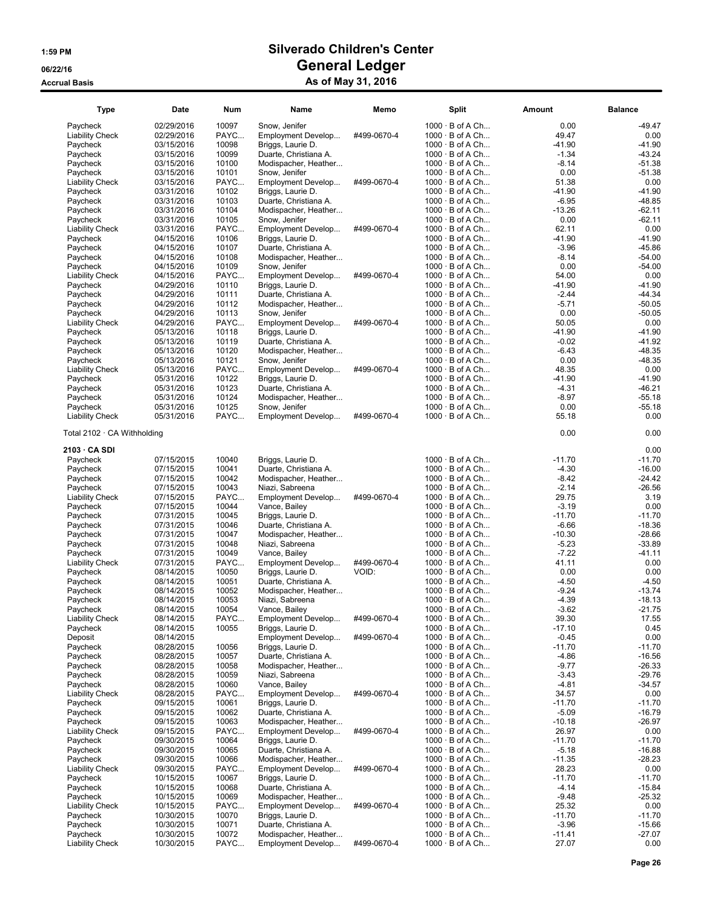| 1000 · B of A Ch<br>02/29/2016<br>10097<br>Snow, Jenifer<br>0.00<br>Paycheck<br>PAYC<br>02/29/2016<br>Employment Develop<br>#499-0670-4<br>$1000 \cdot B$ of A Ch<br>49.47<br><b>Liability Check</b><br>Paycheck<br>03/15/2016<br>10098<br>Briggs, Laurie D.<br>$1000 \cdot B$ of A Ch<br>-41.90<br>10099<br>$-1.34$<br>$-43.24$<br>Duarte, Christiana A.<br>$1000 \cdot B$ of A Ch<br>Paycheck<br>03/15/2016<br>$-8.14$<br>$-51.38$<br>03/15/2016<br>10100<br>$1000 \cdot B$ of A Ch<br>Paycheck<br>Modispacher, Heather<br>$-51.38$<br>03/15/2016<br>10101<br>$1000 \cdot B$ of A Ch<br>0.00<br>Paycheck<br>Snow, Jenifer<br>PAYC<br>#499-0670-4<br>$1000 \cdot B$ of A Ch<br>51.38<br>0.00<br><b>Liability Check</b><br>03/15/2016<br>Employment Develop<br>$-41.90$<br>$-41.90$<br>03/31/2016<br>10102<br>Briggs, Laurie D.<br>$1000 \cdot B$ of A Ch<br>Paycheck<br>10103<br>$-48.85$<br>03/31/2016<br>Duarte, Christiana A.<br>$1000 \cdot B$ of A Ch<br>$-6.95$<br>Paycheck<br>10104<br>$1000 \cdot B$ of A Ch<br>$-13.26$<br>$-62.11$<br>Paycheck<br>03/31/2016<br>Modispacher, Heather<br>0.00<br>$-62.11$<br>10105<br>$1000 \cdot B$ of A Ch<br>Paycheck<br>03/31/2016<br>Snow, Jenifer<br>PAYC<br>0.00<br>03/31/2016<br>Employment Develop<br>#499-0670-4<br>$1000 \cdot B$ of A Ch<br>62.11<br><b>Liability Check</b><br>10106<br>$-41.90$<br>$-41.90$<br>04/15/2016<br>Briggs, Laurie D.<br>$1000 \cdot B$ of A Ch<br>Paycheck<br>10107<br>$1000 \cdot B$ of A Ch<br>$-3.96$<br>$-45.86$<br>Paycheck<br>04/15/2016<br>Duarte, Christiana A.<br>$-54.00$<br>04/15/2016<br>10108<br>$1000 \cdot B$ of A Ch<br>$-8.14$<br>Paycheck<br>Modispacher, Heather<br>10109<br>0.00<br>$-54.00$<br>04/15/2016<br>$1000 \cdot B$ of A Ch<br>Paycheck<br>Snow, Jenifer<br>54.00<br>04/15/2016<br>PAYC<br>Employment Develop<br>#499-0670-4<br>$1000 \cdot B$ of A Ch<br><b>Liability Check</b><br>10110<br>$1000 \cdot B$ of A Ch<br>-41.90<br>Paycheck<br>04/29/2016<br>Briggs, Laurie D.<br>04/29/2016<br>10111<br>Duarte, Christiana A.<br>$1000 \cdot B$ of A Ch<br>$-2.44$<br>Paycheck<br>10112<br>$-5.71$<br>04/29/2016<br>$1000 \cdot B$ of A Ch<br>Paycheck<br>Modispacher, Heather<br>04/29/2016<br>10113<br>$1000 \cdot B$ of A Ch<br>0.00<br>Paycheck<br>Snow, Jenifer<br>PAYC<br>04/29/2016<br>#499-0670-4<br>$1000 \cdot B$ of A Ch<br>50.05<br><b>Liability Check</b><br>Employment Develop<br>$-41.90$<br>10118<br>$1000 \cdot B$ of A Ch<br>Paycheck<br>05/13/2016<br>Briggs, Laurie D.<br>$-0.02$<br>$-41.92$<br>05/13/2016<br>10119<br>Duarte, Christiana A.<br>$1000 \cdot B$ of A Ch<br>Paycheck<br>10120<br>$1000 \cdot B$ of A Ch<br>$-6.43$<br>$-48.35$<br>Paycheck<br>05/13/2016<br>Modispacher, Heather<br>$-48.35$<br>05/13/2016<br>10121<br>$1000 \cdot B$ of A Ch<br>0.00<br>Paycheck<br>Snow, Jenifer<br>PAYC<br>48.35<br>0.00<br>05/13/2016<br>#499-0670-4<br>$1000 \cdot B$ of A Ch<br><b>Liability Check</b><br>Employment Develop<br>$-41.90$<br>Paycheck<br>05/31/2016<br>10122<br>Briggs, Laurie D.<br>$1000 \cdot B$ of A Ch<br>$-41.90$<br>10123<br>$-4.31$<br>$-46.21$<br>Duarte, Christiana A.<br>$1000 \cdot B$ of A Ch<br>Paycheck<br>05/31/2016<br>10124<br>$-8.97$<br>$-55.18$<br>05/31/2016<br>$1000 \cdot B$ of A Ch<br>Paycheck<br>Modispacher, Heather<br>0.00<br>05/31/2016<br>10125<br>$1000 \cdot B$ of A Ch<br>$-55.18$<br>Paycheck<br>Snow, Jenifer<br>PAYC<br>#499-0670-4<br>$1000 \cdot B$ of A Ch<br>55.18<br>0.00<br><b>Liability Check</b><br>05/31/2016<br>Employment Develop<br>0.00<br>0.00<br>Total $2102 \cdot CA$ Withholding<br>0.00<br>2103 · CA SDI<br>$-11.70$<br>Paycheck<br>07/15/2015<br>10040<br>Briggs, Laurie D.<br>$1000 \cdot B$ of A Ch<br>$-11.70$<br>10041<br>$-4.30$<br>$-16.00$<br>07/15/2015<br>Duarte, Christiana A.<br>$1000 \cdot B$ of A Ch<br>Paycheck<br>10042<br>$1000 \cdot B$ of A Ch<br>$-8.42$<br>$-24.42$<br>Paycheck<br>07/15/2015<br>Modispacher, Heather<br>10043<br>07/15/2015<br>Niazi, Sabreena<br>$1000 \cdot B$ of A Ch<br>$-2.14$<br>$-26.56$<br>Paycheck<br>PAYC<br>29.75<br>3.19<br>07/15/2015<br>Employment Develop<br>#499-0670-4<br>$1000 \cdot B$ of A Ch<br><b>Liability Check</b><br>07/15/2015<br>10044<br>Vance, Bailey<br>$1000 \cdot B$ of A Ch<br>$-3.19$<br>0.00<br>Paycheck<br>10045<br>$1000 \cdot B$ of A Ch<br>$-11.70$<br>Paycheck<br>07/31/2015<br>Briggs, Laurie D.<br>$-6.66$<br>07/31/2015<br>10046<br>Duarte, Christiana A.<br>$1000 \cdot B$ of A Ch<br>Paycheck<br>10047<br>$-10.30$<br>07/31/2015<br>$1000 \cdot B$ of A Ch<br>Paycheck<br>Modispacher, Heather<br>10048<br>$1000 \cdot B$ of A Ch<br>$-5.23$<br>Paycheck<br>07/31/2015<br>Niazi, Sabreena<br>10049<br>$-7.22$<br>07/31/2015<br>$1000 \cdot B$ of A Ch<br>Paycheck<br>Vance, Bailey<br>0.00<br>07/31/2015<br>PAYC<br>#499-0670-4<br>$1000 \cdot B$ of A Ch<br>41.11<br><b>Liability Check</b><br>Employment Develop<br>1000 · B of A Ch<br>0.00<br>0.00<br>08/14/2015<br>10050<br>Briggs, Laurie D.<br>VOID:<br>Paycheck<br>$-4.50$<br>10051<br>$1000 \cdot B$ of A Ch<br>$-4.50$<br>Paycheck<br>08/14/2015<br>Duarte, Christiana A.<br>$-9.24$<br>$-13.74$<br>08/14/2015<br>10052<br>$1000 \cdot B$ of A Ch<br>Paycheck<br>Modispacher, Heather<br>10053<br>$-4.39$<br>$-18.13$<br>08/14/2015<br>$1000 \cdot B$ of A Ch<br>Paycheck<br>Niazi, Sabreena<br>10054<br>$-3.62$<br>08/14/2015<br>$1000 \cdot B$ of A Ch<br>$-21.75$<br>Paycheck<br>Vance, Bailey<br>Liability Check<br>PAYC<br>39.30<br>08/14/2015<br>Employment Develop<br>#499-0670-4<br>$1000 \cdot B$ of A Ch<br>17.55<br>$-17.10$<br>0.45<br>Paycheck<br>08/14/2015<br>10055<br>Briggs, Laurie D.<br>$1000 \cdot B$ of A Ch<br>0.00<br>Deposit<br>08/14/2015<br>Employment Develop<br>#499-0670-4<br>$1000 \cdot B$ of A Ch<br>$-0.45$<br>Paycheck<br>10056<br>Briggs, Laurie D.<br>$1000 \cdot B$ of A Ch<br>$-11.70$<br>$-11.70$<br>08/28/2015<br>$-16.56$<br>Paycheck<br>08/28/2015<br>10057<br>Duarte, Christiana A.<br>$1000 \cdot B$ of A Ch<br>$-4.86$<br>$-9.77$<br>$-26.33$<br>Paycheck<br>08/28/2015<br>10058<br>$1000 \cdot B$ of A Ch<br>Modispacher, Heather<br>Paycheck<br>08/28/2015<br>10059<br>Niazi, Sabreena<br>$1000 \cdot B$ of A Ch<br>$-3.43$<br>$-29.76$<br>10060<br>$-4.81$<br>$-34.57$<br>Paycheck<br>08/28/2015<br>Vance, Bailey<br>$1000 \cdot B$ of A Ch<br>34.57<br><b>Liability Check</b><br>08/28/2015<br>PAYC<br>Employment Develop<br>#499-0670-4<br>$1000 \cdot B$ of A Ch<br>09/15/2015<br>10061<br>$1000 \cdot B$ of A Ch<br>$-11.70$<br>Paycheck<br>Briggs, Laurie D.<br>Paycheck<br>10062<br>$1000 \cdot B$ of A Ch<br>$-5.09$<br>09/15/2015<br>Duarte, Christiana A.<br>Paycheck<br>09/15/2015<br>10063<br>Modispacher, Heather<br>$1000 \cdot B$ of A Ch<br>$-10.18$<br>PAYC<br>26.97<br><b>Liability Check</b><br>09/15/2015<br>Employment Develop<br>#499-0670-4<br>$1000 \cdot B$ of A Ch<br>Paycheck<br>09/30/2015<br>10064<br>Briggs, Laurie D.<br>$1000 \cdot B$ of A Ch<br>$-11.70$<br>$-11.70$<br>10065<br>Duarte, Christiana A.<br>$1000 \cdot B$ of A Ch<br>$-5.18$<br>$-16.88$<br>Paycheck<br>09/30/2015<br>10066<br>$-11.35$<br>$-28.23$<br>Paycheck<br>09/30/2015<br>Modispacher, Heather<br>$1000 \cdot B$ of A Ch<br>28.23<br>0.00<br><b>Liability Check</b><br>09/30/2015<br>PAYC<br>Employment Develop<br>#499-0670-4<br>$1000 \cdot B$ of A Ch<br>$1000 \cdot B$ of A Ch<br>$-11.70$<br>$-11.70$<br>Paycheck<br>10/15/2015<br>10067<br>Briggs, Laurie D.<br>$-15.84$<br>10/15/2015<br>10068<br>Duarte, Christiana A.<br>$1000 \cdot B$ of A Ch<br>$-4.14$<br>Paycheck<br>10069<br>$-9.48$<br>$-25.32$<br>10/15/2015<br>Modispacher, Heather<br>$1000 \cdot B$ of A Ch<br>Paycheck<br>25.32<br><b>Liability Check</b><br>10/15/2015<br>PAYC<br>Employment Develop<br>#499-0670-4<br>$1000 \cdot B$ of A Ch<br>0.00<br>$1000 \cdot B$ of A Ch<br>$-11.70$<br>$-11.70$<br>Paycheck<br>10/30/2015<br>10070<br>Briggs, Laurie D.<br>$-15.66$<br>Paycheck<br>10/30/2015<br>10071<br>Duarte, Christiana A.<br>$1000 \cdot B$ of A Ch<br>$-3.96$<br>10072<br>$-11.41$<br>$-27.07$<br>Paycheck<br>10/30/2015<br>Modispacher, Heather<br>$1000 \cdot B$ of A Ch | <b>Type</b>            | Date       | <b>Num</b> | Name               | Memo        | <b>Split</b>           | Amount | <b>Balance</b> |
|------------------------------------------------------------------------------------------------------------------------------------------------------------------------------------------------------------------------------------------------------------------------------------------------------------------------------------------------------------------------------------------------------------------------------------------------------------------------------------------------------------------------------------------------------------------------------------------------------------------------------------------------------------------------------------------------------------------------------------------------------------------------------------------------------------------------------------------------------------------------------------------------------------------------------------------------------------------------------------------------------------------------------------------------------------------------------------------------------------------------------------------------------------------------------------------------------------------------------------------------------------------------------------------------------------------------------------------------------------------------------------------------------------------------------------------------------------------------------------------------------------------------------------------------------------------------------------------------------------------------------------------------------------------------------------------------------------------------------------------------------------------------------------------------------------------------------------------------------------------------------------------------------------------------------------------------------------------------------------------------------------------------------------------------------------------------------------------------------------------------------------------------------------------------------------------------------------------------------------------------------------------------------------------------------------------------------------------------------------------------------------------------------------------------------------------------------------------------------------------------------------------------------------------------------------------------------------------------------------------------------------------------------------------------------------------------------------------------------------------------------------------------------------------------------------------------------------------------------------------------------------------------------------------------------------------------------------------------------------------------------------------------------------------------------------------------------------------------------------------------------------------------------------------------------------------------------------------------------------------------------------------------------------------------------------------------------------------------------------------------------------------------------------------------------------------------------------------------------------------------------------------------------------------------------------------------------------------------------------------------------------------------------------------------------------------------------------------------------------------------------------------------------------------------------------------------------------------------------------------------------------------------------------------------------------------------------------------------------------------------------------------------------------------------------------------------------------------------------------------------------------------------------------------------------------------------------------------------------------------------------------------------------------------------------------------------------------------------------------------------------------------------------------------------------------------------------------------------------------------------------------------------------------------------------------------------------------------------------------------------------------------------------------------------------------------------------------------------------------------------------------------------------------------------------------------------------------------------------------------------------------------------------------------------------------------------------------------------------------------------------------------------------------------------------------------------------------------------------------------------------------------------------------------------------------------------------------------------------------------------------------------------------------------------------------------------------------------------------------------------------------------------------------------------------------------------------------------------------------------------------------------------------------------------------------------------------------------------------------------------------------------------------------------------------------------------------------------------------------------------------------------------------------------------------------------------------------------------------------------------------------------------------------------------------------------------------------------------------------------------------------------------------------------------------------------------------------------------------------------------------------------------------------------------------------------------------------------------------------------------------------------------------------------------------------------------------------------------------------------------------------------------------------------------------------------------------------------------------------------------------------------------------------------------------------------------------------------------------------------------------------------------------------------------------------------------------------------------------------------------------------------------------------------------------------------------------------------------------------------------------------------------------------------------------------------------------------------------------------------------------------------------------------------------------------------------------------------------------------------------------------------------------------------------------------------------------------------------------------------------------------------------------------------------------------------------------------------------------------------------------------------------------------------------------------------------------------------------------------------------------------------------------------------------------------------------------------------------------------------------------------------------------------------------------------------------------------------------------------------------------------------------------------------------------------------------------------------------------------------------------------------------------------------------------------------------------------------------------------------------------------------------------------------------------------------------------------------------------------------------------------------------------------------------------------|------------------------|------------|------------|--------------------|-------------|------------------------|--------|----------------|
|                                                                                                                                                                                                                                                                                                                                                                                                                                                                                                                                                                                                                                                                                                                                                                                                                                                                                                                                                                                                                                                                                                                                                                                                                                                                                                                                                                                                                                                                                                                                                                                                                                                                                                                                                                                                                                                                                                                                                                                                                                                                                                                                                                                                                                                                                                                                                                                                                                                                                                                                                                                                                                                                                                                                                                                                                                                                                                                                                                                                                                                                                                                                                                                                                                                                                                                                                                                                                                                                                                                                                                                                                                                                                                                                                                                                                                                                                                                                                                                                                                                                                                                                                                                                                                                                                                                                                                                                                                                                                                                                                                                                                                                                                                                                                                                                                                                                                                                                                                                                                                                                                                                                                                                                                                                                                                                                                                                                                                                                                                                                                                                                                                                                                                                                                                                                                                                                                                                                                                                                                                                                                                                                                                                                                                                                                                                                                                                                                                                                                                                                                                                                                                                                                                                                                                                                                                                                                                                                                                                                                                                                                                                                                                                                                                                                                                                                                                                                                                                                                                                                                                                                                                                                                                                                                                                                                                                                                                                                                                                                                                                                                                                                                                                    |                        |            |            |                    |             |                        |        | $-49.47$       |
|                                                                                                                                                                                                                                                                                                                                                                                                                                                                                                                                                                                                                                                                                                                                                                                                                                                                                                                                                                                                                                                                                                                                                                                                                                                                                                                                                                                                                                                                                                                                                                                                                                                                                                                                                                                                                                                                                                                                                                                                                                                                                                                                                                                                                                                                                                                                                                                                                                                                                                                                                                                                                                                                                                                                                                                                                                                                                                                                                                                                                                                                                                                                                                                                                                                                                                                                                                                                                                                                                                                                                                                                                                                                                                                                                                                                                                                                                                                                                                                                                                                                                                                                                                                                                                                                                                                                                                                                                                                                                                                                                                                                                                                                                                                                                                                                                                                                                                                                                                                                                                                                                                                                                                                                                                                                                                                                                                                                                                                                                                                                                                                                                                                                                                                                                                                                                                                                                                                                                                                                                                                                                                                                                                                                                                                                                                                                                                                                                                                                                                                                                                                                                                                                                                                                                                                                                                                                                                                                                                                                                                                                                                                                                                                                                                                                                                                                                                                                                                                                                                                                                                                                                                                                                                                                                                                                                                                                                                                                                                                                                                                                                                                                                                                    |                        |            |            |                    |             |                        |        | 0.00           |
|                                                                                                                                                                                                                                                                                                                                                                                                                                                                                                                                                                                                                                                                                                                                                                                                                                                                                                                                                                                                                                                                                                                                                                                                                                                                                                                                                                                                                                                                                                                                                                                                                                                                                                                                                                                                                                                                                                                                                                                                                                                                                                                                                                                                                                                                                                                                                                                                                                                                                                                                                                                                                                                                                                                                                                                                                                                                                                                                                                                                                                                                                                                                                                                                                                                                                                                                                                                                                                                                                                                                                                                                                                                                                                                                                                                                                                                                                                                                                                                                                                                                                                                                                                                                                                                                                                                                                                                                                                                                                                                                                                                                                                                                                                                                                                                                                                                                                                                                                                                                                                                                                                                                                                                                                                                                                                                                                                                                                                                                                                                                                                                                                                                                                                                                                                                                                                                                                                                                                                                                                                                                                                                                                                                                                                                                                                                                                                                                                                                                                                                                                                                                                                                                                                                                                                                                                                                                                                                                                                                                                                                                                                                                                                                                                                                                                                                                                                                                                                                                                                                                                                                                                                                                                                                                                                                                                                                                                                                                                                                                                                                                                                                                                                                    |                        |            |            |                    |             |                        |        | $-41.90$       |
|                                                                                                                                                                                                                                                                                                                                                                                                                                                                                                                                                                                                                                                                                                                                                                                                                                                                                                                                                                                                                                                                                                                                                                                                                                                                                                                                                                                                                                                                                                                                                                                                                                                                                                                                                                                                                                                                                                                                                                                                                                                                                                                                                                                                                                                                                                                                                                                                                                                                                                                                                                                                                                                                                                                                                                                                                                                                                                                                                                                                                                                                                                                                                                                                                                                                                                                                                                                                                                                                                                                                                                                                                                                                                                                                                                                                                                                                                                                                                                                                                                                                                                                                                                                                                                                                                                                                                                                                                                                                                                                                                                                                                                                                                                                                                                                                                                                                                                                                                                                                                                                                                                                                                                                                                                                                                                                                                                                                                                                                                                                                                                                                                                                                                                                                                                                                                                                                                                                                                                                                                                                                                                                                                                                                                                                                                                                                                                                                                                                                                                                                                                                                                                                                                                                                                                                                                                                                                                                                                                                                                                                                                                                                                                                                                                                                                                                                                                                                                                                                                                                                                                                                                                                                                                                                                                                                                                                                                                                                                                                                                                                                                                                                                                                    |                        |            |            |                    |             |                        |        |                |
|                                                                                                                                                                                                                                                                                                                                                                                                                                                                                                                                                                                                                                                                                                                                                                                                                                                                                                                                                                                                                                                                                                                                                                                                                                                                                                                                                                                                                                                                                                                                                                                                                                                                                                                                                                                                                                                                                                                                                                                                                                                                                                                                                                                                                                                                                                                                                                                                                                                                                                                                                                                                                                                                                                                                                                                                                                                                                                                                                                                                                                                                                                                                                                                                                                                                                                                                                                                                                                                                                                                                                                                                                                                                                                                                                                                                                                                                                                                                                                                                                                                                                                                                                                                                                                                                                                                                                                                                                                                                                                                                                                                                                                                                                                                                                                                                                                                                                                                                                                                                                                                                                                                                                                                                                                                                                                                                                                                                                                                                                                                                                                                                                                                                                                                                                                                                                                                                                                                                                                                                                                                                                                                                                                                                                                                                                                                                                                                                                                                                                                                                                                                                                                                                                                                                                                                                                                                                                                                                                                                                                                                                                                                                                                                                                                                                                                                                                                                                                                                                                                                                                                                                                                                                                                                                                                                                                                                                                                                                                                                                                                                                                                                                                                                    |                        |            |            |                    |             |                        |        |                |
|                                                                                                                                                                                                                                                                                                                                                                                                                                                                                                                                                                                                                                                                                                                                                                                                                                                                                                                                                                                                                                                                                                                                                                                                                                                                                                                                                                                                                                                                                                                                                                                                                                                                                                                                                                                                                                                                                                                                                                                                                                                                                                                                                                                                                                                                                                                                                                                                                                                                                                                                                                                                                                                                                                                                                                                                                                                                                                                                                                                                                                                                                                                                                                                                                                                                                                                                                                                                                                                                                                                                                                                                                                                                                                                                                                                                                                                                                                                                                                                                                                                                                                                                                                                                                                                                                                                                                                                                                                                                                                                                                                                                                                                                                                                                                                                                                                                                                                                                                                                                                                                                                                                                                                                                                                                                                                                                                                                                                                                                                                                                                                                                                                                                                                                                                                                                                                                                                                                                                                                                                                                                                                                                                                                                                                                                                                                                                                                                                                                                                                                                                                                                                                                                                                                                                                                                                                                                                                                                                                                                                                                                                                                                                                                                                                                                                                                                                                                                                                                                                                                                                                                                                                                                                                                                                                                                                                                                                                                                                                                                                                                                                                                                                                                    |                        |            |            |                    |             |                        |        |                |
|                                                                                                                                                                                                                                                                                                                                                                                                                                                                                                                                                                                                                                                                                                                                                                                                                                                                                                                                                                                                                                                                                                                                                                                                                                                                                                                                                                                                                                                                                                                                                                                                                                                                                                                                                                                                                                                                                                                                                                                                                                                                                                                                                                                                                                                                                                                                                                                                                                                                                                                                                                                                                                                                                                                                                                                                                                                                                                                                                                                                                                                                                                                                                                                                                                                                                                                                                                                                                                                                                                                                                                                                                                                                                                                                                                                                                                                                                                                                                                                                                                                                                                                                                                                                                                                                                                                                                                                                                                                                                                                                                                                                                                                                                                                                                                                                                                                                                                                                                                                                                                                                                                                                                                                                                                                                                                                                                                                                                                                                                                                                                                                                                                                                                                                                                                                                                                                                                                                                                                                                                                                                                                                                                                                                                                                                                                                                                                                                                                                                                                                                                                                                                                                                                                                                                                                                                                                                                                                                                                                                                                                                                                                                                                                                                                                                                                                                                                                                                                                                                                                                                                                                                                                                                                                                                                                                                                                                                                                                                                                                                                                                                                                                                                                    |                        |            |            |                    |             |                        |        |                |
|                                                                                                                                                                                                                                                                                                                                                                                                                                                                                                                                                                                                                                                                                                                                                                                                                                                                                                                                                                                                                                                                                                                                                                                                                                                                                                                                                                                                                                                                                                                                                                                                                                                                                                                                                                                                                                                                                                                                                                                                                                                                                                                                                                                                                                                                                                                                                                                                                                                                                                                                                                                                                                                                                                                                                                                                                                                                                                                                                                                                                                                                                                                                                                                                                                                                                                                                                                                                                                                                                                                                                                                                                                                                                                                                                                                                                                                                                                                                                                                                                                                                                                                                                                                                                                                                                                                                                                                                                                                                                                                                                                                                                                                                                                                                                                                                                                                                                                                                                                                                                                                                                                                                                                                                                                                                                                                                                                                                                                                                                                                                                                                                                                                                                                                                                                                                                                                                                                                                                                                                                                                                                                                                                                                                                                                                                                                                                                                                                                                                                                                                                                                                                                                                                                                                                                                                                                                                                                                                                                                                                                                                                                                                                                                                                                                                                                                                                                                                                                                                                                                                                                                                                                                                                                                                                                                                                                                                                                                                                                                                                                                                                                                                                                                    |                        |            |            |                    |             |                        |        |                |
|                                                                                                                                                                                                                                                                                                                                                                                                                                                                                                                                                                                                                                                                                                                                                                                                                                                                                                                                                                                                                                                                                                                                                                                                                                                                                                                                                                                                                                                                                                                                                                                                                                                                                                                                                                                                                                                                                                                                                                                                                                                                                                                                                                                                                                                                                                                                                                                                                                                                                                                                                                                                                                                                                                                                                                                                                                                                                                                                                                                                                                                                                                                                                                                                                                                                                                                                                                                                                                                                                                                                                                                                                                                                                                                                                                                                                                                                                                                                                                                                                                                                                                                                                                                                                                                                                                                                                                                                                                                                                                                                                                                                                                                                                                                                                                                                                                                                                                                                                                                                                                                                                                                                                                                                                                                                                                                                                                                                                                                                                                                                                                                                                                                                                                                                                                                                                                                                                                                                                                                                                                                                                                                                                                                                                                                                                                                                                                                                                                                                                                                                                                                                                                                                                                                                                                                                                                                                                                                                                                                                                                                                                                                                                                                                                                                                                                                                                                                                                                                                                                                                                                                                                                                                                                                                                                                                                                                                                                                                                                                                                                                                                                                                                                                    |                        |            |            |                    |             |                        |        |                |
|                                                                                                                                                                                                                                                                                                                                                                                                                                                                                                                                                                                                                                                                                                                                                                                                                                                                                                                                                                                                                                                                                                                                                                                                                                                                                                                                                                                                                                                                                                                                                                                                                                                                                                                                                                                                                                                                                                                                                                                                                                                                                                                                                                                                                                                                                                                                                                                                                                                                                                                                                                                                                                                                                                                                                                                                                                                                                                                                                                                                                                                                                                                                                                                                                                                                                                                                                                                                                                                                                                                                                                                                                                                                                                                                                                                                                                                                                                                                                                                                                                                                                                                                                                                                                                                                                                                                                                                                                                                                                                                                                                                                                                                                                                                                                                                                                                                                                                                                                                                                                                                                                                                                                                                                                                                                                                                                                                                                                                                                                                                                                                                                                                                                                                                                                                                                                                                                                                                                                                                                                                                                                                                                                                                                                                                                                                                                                                                                                                                                                                                                                                                                                                                                                                                                                                                                                                                                                                                                                                                                                                                                                                                                                                                                                                                                                                                                                                                                                                                                                                                                                                                                                                                                                                                                                                                                                                                                                                                                                                                                                                                                                                                                                                                    |                        |            |            |                    |             |                        |        |                |
|                                                                                                                                                                                                                                                                                                                                                                                                                                                                                                                                                                                                                                                                                                                                                                                                                                                                                                                                                                                                                                                                                                                                                                                                                                                                                                                                                                                                                                                                                                                                                                                                                                                                                                                                                                                                                                                                                                                                                                                                                                                                                                                                                                                                                                                                                                                                                                                                                                                                                                                                                                                                                                                                                                                                                                                                                                                                                                                                                                                                                                                                                                                                                                                                                                                                                                                                                                                                                                                                                                                                                                                                                                                                                                                                                                                                                                                                                                                                                                                                                                                                                                                                                                                                                                                                                                                                                                                                                                                                                                                                                                                                                                                                                                                                                                                                                                                                                                                                                                                                                                                                                                                                                                                                                                                                                                                                                                                                                                                                                                                                                                                                                                                                                                                                                                                                                                                                                                                                                                                                                                                                                                                                                                                                                                                                                                                                                                                                                                                                                                                                                                                                                                                                                                                                                                                                                                                                                                                                                                                                                                                                                                                                                                                                                                                                                                                                                                                                                                                                                                                                                                                                                                                                                                                                                                                                                                                                                                                                                                                                                                                                                                                                                                                    |                        |            |            |                    |             |                        |        |                |
|                                                                                                                                                                                                                                                                                                                                                                                                                                                                                                                                                                                                                                                                                                                                                                                                                                                                                                                                                                                                                                                                                                                                                                                                                                                                                                                                                                                                                                                                                                                                                                                                                                                                                                                                                                                                                                                                                                                                                                                                                                                                                                                                                                                                                                                                                                                                                                                                                                                                                                                                                                                                                                                                                                                                                                                                                                                                                                                                                                                                                                                                                                                                                                                                                                                                                                                                                                                                                                                                                                                                                                                                                                                                                                                                                                                                                                                                                                                                                                                                                                                                                                                                                                                                                                                                                                                                                                                                                                                                                                                                                                                                                                                                                                                                                                                                                                                                                                                                                                                                                                                                                                                                                                                                                                                                                                                                                                                                                                                                                                                                                                                                                                                                                                                                                                                                                                                                                                                                                                                                                                                                                                                                                                                                                                                                                                                                                                                                                                                                                                                                                                                                                                                                                                                                                                                                                                                                                                                                                                                                                                                                                                                                                                                                                                                                                                                                                                                                                                                                                                                                                                                                                                                                                                                                                                                                                                                                                                                                                                                                                                                                                                                                                                                    |                        |            |            |                    |             |                        |        |                |
|                                                                                                                                                                                                                                                                                                                                                                                                                                                                                                                                                                                                                                                                                                                                                                                                                                                                                                                                                                                                                                                                                                                                                                                                                                                                                                                                                                                                                                                                                                                                                                                                                                                                                                                                                                                                                                                                                                                                                                                                                                                                                                                                                                                                                                                                                                                                                                                                                                                                                                                                                                                                                                                                                                                                                                                                                                                                                                                                                                                                                                                                                                                                                                                                                                                                                                                                                                                                                                                                                                                                                                                                                                                                                                                                                                                                                                                                                                                                                                                                                                                                                                                                                                                                                                                                                                                                                                                                                                                                                                                                                                                                                                                                                                                                                                                                                                                                                                                                                                                                                                                                                                                                                                                                                                                                                                                                                                                                                                                                                                                                                                                                                                                                                                                                                                                                                                                                                                                                                                                                                                                                                                                                                                                                                                                                                                                                                                                                                                                                                                                                                                                                                                                                                                                                                                                                                                                                                                                                                                                                                                                                                                                                                                                                                                                                                                                                                                                                                                                                                                                                                                                                                                                                                                                                                                                                                                                                                                                                                                                                                                                                                                                                                                                    |                        |            |            |                    |             |                        |        |                |
|                                                                                                                                                                                                                                                                                                                                                                                                                                                                                                                                                                                                                                                                                                                                                                                                                                                                                                                                                                                                                                                                                                                                                                                                                                                                                                                                                                                                                                                                                                                                                                                                                                                                                                                                                                                                                                                                                                                                                                                                                                                                                                                                                                                                                                                                                                                                                                                                                                                                                                                                                                                                                                                                                                                                                                                                                                                                                                                                                                                                                                                                                                                                                                                                                                                                                                                                                                                                                                                                                                                                                                                                                                                                                                                                                                                                                                                                                                                                                                                                                                                                                                                                                                                                                                                                                                                                                                                                                                                                                                                                                                                                                                                                                                                                                                                                                                                                                                                                                                                                                                                                                                                                                                                                                                                                                                                                                                                                                                                                                                                                                                                                                                                                                                                                                                                                                                                                                                                                                                                                                                                                                                                                                                                                                                                                                                                                                                                                                                                                                                                                                                                                                                                                                                                                                                                                                                                                                                                                                                                                                                                                                                                                                                                                                                                                                                                                                                                                                                                                                                                                                                                                                                                                                                                                                                                                                                                                                                                                                                                                                                                                                                                                                                                    |                        |            |            |                    |             |                        |        |                |
|                                                                                                                                                                                                                                                                                                                                                                                                                                                                                                                                                                                                                                                                                                                                                                                                                                                                                                                                                                                                                                                                                                                                                                                                                                                                                                                                                                                                                                                                                                                                                                                                                                                                                                                                                                                                                                                                                                                                                                                                                                                                                                                                                                                                                                                                                                                                                                                                                                                                                                                                                                                                                                                                                                                                                                                                                                                                                                                                                                                                                                                                                                                                                                                                                                                                                                                                                                                                                                                                                                                                                                                                                                                                                                                                                                                                                                                                                                                                                                                                                                                                                                                                                                                                                                                                                                                                                                                                                                                                                                                                                                                                                                                                                                                                                                                                                                                                                                                                                                                                                                                                                                                                                                                                                                                                                                                                                                                                                                                                                                                                                                                                                                                                                                                                                                                                                                                                                                                                                                                                                                                                                                                                                                                                                                                                                                                                                                                                                                                                                                                                                                                                                                                                                                                                                                                                                                                                                                                                                                                                                                                                                                                                                                                                                                                                                                                                                                                                                                                                                                                                                                                                                                                                                                                                                                                                                                                                                                                                                                                                                                                                                                                                                                                    |                        |            |            |                    |             |                        |        |                |
|                                                                                                                                                                                                                                                                                                                                                                                                                                                                                                                                                                                                                                                                                                                                                                                                                                                                                                                                                                                                                                                                                                                                                                                                                                                                                                                                                                                                                                                                                                                                                                                                                                                                                                                                                                                                                                                                                                                                                                                                                                                                                                                                                                                                                                                                                                                                                                                                                                                                                                                                                                                                                                                                                                                                                                                                                                                                                                                                                                                                                                                                                                                                                                                                                                                                                                                                                                                                                                                                                                                                                                                                                                                                                                                                                                                                                                                                                                                                                                                                                                                                                                                                                                                                                                                                                                                                                                                                                                                                                                                                                                                                                                                                                                                                                                                                                                                                                                                                                                                                                                                                                                                                                                                                                                                                                                                                                                                                                                                                                                                                                                                                                                                                                                                                                                                                                                                                                                                                                                                                                                                                                                                                                                                                                                                                                                                                                                                                                                                                                                                                                                                                                                                                                                                                                                                                                                                                                                                                                                                                                                                                                                                                                                                                                                                                                                                                                                                                                                                                                                                                                                                                                                                                                                                                                                                                                                                                                                                                                                                                                                                                                                                                                                                    |                        |            |            |                    |             |                        |        | 0.00           |
|                                                                                                                                                                                                                                                                                                                                                                                                                                                                                                                                                                                                                                                                                                                                                                                                                                                                                                                                                                                                                                                                                                                                                                                                                                                                                                                                                                                                                                                                                                                                                                                                                                                                                                                                                                                                                                                                                                                                                                                                                                                                                                                                                                                                                                                                                                                                                                                                                                                                                                                                                                                                                                                                                                                                                                                                                                                                                                                                                                                                                                                                                                                                                                                                                                                                                                                                                                                                                                                                                                                                                                                                                                                                                                                                                                                                                                                                                                                                                                                                                                                                                                                                                                                                                                                                                                                                                                                                                                                                                                                                                                                                                                                                                                                                                                                                                                                                                                                                                                                                                                                                                                                                                                                                                                                                                                                                                                                                                                                                                                                                                                                                                                                                                                                                                                                                                                                                                                                                                                                                                                                                                                                                                                                                                                                                                                                                                                                                                                                                                                                                                                                                                                                                                                                                                                                                                                                                                                                                                                                                                                                                                                                                                                                                                                                                                                                                                                                                                                                                                                                                                                                                                                                                                                                                                                                                                                                                                                                                                                                                                                                                                                                                                                                    |                        |            |            |                    |             |                        |        | $-41.90$       |
|                                                                                                                                                                                                                                                                                                                                                                                                                                                                                                                                                                                                                                                                                                                                                                                                                                                                                                                                                                                                                                                                                                                                                                                                                                                                                                                                                                                                                                                                                                                                                                                                                                                                                                                                                                                                                                                                                                                                                                                                                                                                                                                                                                                                                                                                                                                                                                                                                                                                                                                                                                                                                                                                                                                                                                                                                                                                                                                                                                                                                                                                                                                                                                                                                                                                                                                                                                                                                                                                                                                                                                                                                                                                                                                                                                                                                                                                                                                                                                                                                                                                                                                                                                                                                                                                                                                                                                                                                                                                                                                                                                                                                                                                                                                                                                                                                                                                                                                                                                                                                                                                                                                                                                                                                                                                                                                                                                                                                                                                                                                                                                                                                                                                                                                                                                                                                                                                                                                                                                                                                                                                                                                                                                                                                                                                                                                                                                                                                                                                                                                                                                                                                                                                                                                                                                                                                                                                                                                                                                                                                                                                                                                                                                                                                                                                                                                                                                                                                                                                                                                                                                                                                                                                                                                                                                                                                                                                                                                                                                                                                                                                                                                                                                                    |                        |            |            |                    |             |                        |        | $-44.34$       |
|                                                                                                                                                                                                                                                                                                                                                                                                                                                                                                                                                                                                                                                                                                                                                                                                                                                                                                                                                                                                                                                                                                                                                                                                                                                                                                                                                                                                                                                                                                                                                                                                                                                                                                                                                                                                                                                                                                                                                                                                                                                                                                                                                                                                                                                                                                                                                                                                                                                                                                                                                                                                                                                                                                                                                                                                                                                                                                                                                                                                                                                                                                                                                                                                                                                                                                                                                                                                                                                                                                                                                                                                                                                                                                                                                                                                                                                                                                                                                                                                                                                                                                                                                                                                                                                                                                                                                                                                                                                                                                                                                                                                                                                                                                                                                                                                                                                                                                                                                                                                                                                                                                                                                                                                                                                                                                                                                                                                                                                                                                                                                                                                                                                                                                                                                                                                                                                                                                                                                                                                                                                                                                                                                                                                                                                                                                                                                                                                                                                                                                                                                                                                                                                                                                                                                                                                                                                                                                                                                                                                                                                                                                                                                                                                                                                                                                                                                                                                                                                                                                                                                                                                                                                                                                                                                                                                                                                                                                                                                                                                                                                                                                                                                                                    |                        |            |            |                    |             |                        |        | $-50.05$       |
|                                                                                                                                                                                                                                                                                                                                                                                                                                                                                                                                                                                                                                                                                                                                                                                                                                                                                                                                                                                                                                                                                                                                                                                                                                                                                                                                                                                                                                                                                                                                                                                                                                                                                                                                                                                                                                                                                                                                                                                                                                                                                                                                                                                                                                                                                                                                                                                                                                                                                                                                                                                                                                                                                                                                                                                                                                                                                                                                                                                                                                                                                                                                                                                                                                                                                                                                                                                                                                                                                                                                                                                                                                                                                                                                                                                                                                                                                                                                                                                                                                                                                                                                                                                                                                                                                                                                                                                                                                                                                                                                                                                                                                                                                                                                                                                                                                                                                                                                                                                                                                                                                                                                                                                                                                                                                                                                                                                                                                                                                                                                                                                                                                                                                                                                                                                                                                                                                                                                                                                                                                                                                                                                                                                                                                                                                                                                                                                                                                                                                                                                                                                                                                                                                                                                                                                                                                                                                                                                                                                                                                                                                                                                                                                                                                                                                                                                                                                                                                                                                                                                                                                                                                                                                                                                                                                                                                                                                                                                                                                                                                                                                                                                                                                    |                        |            |            |                    |             |                        |        | $-50.05$       |
|                                                                                                                                                                                                                                                                                                                                                                                                                                                                                                                                                                                                                                                                                                                                                                                                                                                                                                                                                                                                                                                                                                                                                                                                                                                                                                                                                                                                                                                                                                                                                                                                                                                                                                                                                                                                                                                                                                                                                                                                                                                                                                                                                                                                                                                                                                                                                                                                                                                                                                                                                                                                                                                                                                                                                                                                                                                                                                                                                                                                                                                                                                                                                                                                                                                                                                                                                                                                                                                                                                                                                                                                                                                                                                                                                                                                                                                                                                                                                                                                                                                                                                                                                                                                                                                                                                                                                                                                                                                                                                                                                                                                                                                                                                                                                                                                                                                                                                                                                                                                                                                                                                                                                                                                                                                                                                                                                                                                                                                                                                                                                                                                                                                                                                                                                                                                                                                                                                                                                                                                                                                                                                                                                                                                                                                                                                                                                                                                                                                                                                                                                                                                                                                                                                                                                                                                                                                                                                                                                                                                                                                                                                                                                                                                                                                                                                                                                                                                                                                                                                                                                                                                                                                                                                                                                                                                                                                                                                                                                                                                                                                                                                                                                                                    |                        |            |            |                    |             |                        |        | 0.00           |
|                                                                                                                                                                                                                                                                                                                                                                                                                                                                                                                                                                                                                                                                                                                                                                                                                                                                                                                                                                                                                                                                                                                                                                                                                                                                                                                                                                                                                                                                                                                                                                                                                                                                                                                                                                                                                                                                                                                                                                                                                                                                                                                                                                                                                                                                                                                                                                                                                                                                                                                                                                                                                                                                                                                                                                                                                                                                                                                                                                                                                                                                                                                                                                                                                                                                                                                                                                                                                                                                                                                                                                                                                                                                                                                                                                                                                                                                                                                                                                                                                                                                                                                                                                                                                                                                                                                                                                                                                                                                                                                                                                                                                                                                                                                                                                                                                                                                                                                                                                                                                                                                                                                                                                                                                                                                                                                                                                                                                                                                                                                                                                                                                                                                                                                                                                                                                                                                                                                                                                                                                                                                                                                                                                                                                                                                                                                                                                                                                                                                                                                                                                                                                                                                                                                                                                                                                                                                                                                                                                                                                                                                                                                                                                                                                                                                                                                                                                                                                                                                                                                                                                                                                                                                                                                                                                                                                                                                                                                                                                                                                                                                                                                                                                                    |                        |            |            |                    |             |                        |        | $-41.90$       |
|                                                                                                                                                                                                                                                                                                                                                                                                                                                                                                                                                                                                                                                                                                                                                                                                                                                                                                                                                                                                                                                                                                                                                                                                                                                                                                                                                                                                                                                                                                                                                                                                                                                                                                                                                                                                                                                                                                                                                                                                                                                                                                                                                                                                                                                                                                                                                                                                                                                                                                                                                                                                                                                                                                                                                                                                                                                                                                                                                                                                                                                                                                                                                                                                                                                                                                                                                                                                                                                                                                                                                                                                                                                                                                                                                                                                                                                                                                                                                                                                                                                                                                                                                                                                                                                                                                                                                                                                                                                                                                                                                                                                                                                                                                                                                                                                                                                                                                                                                                                                                                                                                                                                                                                                                                                                                                                                                                                                                                                                                                                                                                                                                                                                                                                                                                                                                                                                                                                                                                                                                                                                                                                                                                                                                                                                                                                                                                                                                                                                                                                                                                                                                                                                                                                                                                                                                                                                                                                                                                                                                                                                                                                                                                                                                                                                                                                                                                                                                                                                                                                                                                                                                                                                                                                                                                                                                                                                                                                                                                                                                                                                                                                                                                                    |                        |            |            |                    |             |                        |        |                |
|                                                                                                                                                                                                                                                                                                                                                                                                                                                                                                                                                                                                                                                                                                                                                                                                                                                                                                                                                                                                                                                                                                                                                                                                                                                                                                                                                                                                                                                                                                                                                                                                                                                                                                                                                                                                                                                                                                                                                                                                                                                                                                                                                                                                                                                                                                                                                                                                                                                                                                                                                                                                                                                                                                                                                                                                                                                                                                                                                                                                                                                                                                                                                                                                                                                                                                                                                                                                                                                                                                                                                                                                                                                                                                                                                                                                                                                                                                                                                                                                                                                                                                                                                                                                                                                                                                                                                                                                                                                                                                                                                                                                                                                                                                                                                                                                                                                                                                                                                                                                                                                                                                                                                                                                                                                                                                                                                                                                                                                                                                                                                                                                                                                                                                                                                                                                                                                                                                                                                                                                                                                                                                                                                                                                                                                                                                                                                                                                                                                                                                                                                                                                                                                                                                                                                                                                                                                                                                                                                                                                                                                                                                                                                                                                                                                                                                                                                                                                                                                                                                                                                                                                                                                                                                                                                                                                                                                                                                                                                                                                                                                                                                                                                                                    |                        |            |            |                    |             |                        |        |                |
|                                                                                                                                                                                                                                                                                                                                                                                                                                                                                                                                                                                                                                                                                                                                                                                                                                                                                                                                                                                                                                                                                                                                                                                                                                                                                                                                                                                                                                                                                                                                                                                                                                                                                                                                                                                                                                                                                                                                                                                                                                                                                                                                                                                                                                                                                                                                                                                                                                                                                                                                                                                                                                                                                                                                                                                                                                                                                                                                                                                                                                                                                                                                                                                                                                                                                                                                                                                                                                                                                                                                                                                                                                                                                                                                                                                                                                                                                                                                                                                                                                                                                                                                                                                                                                                                                                                                                                                                                                                                                                                                                                                                                                                                                                                                                                                                                                                                                                                                                                                                                                                                                                                                                                                                                                                                                                                                                                                                                                                                                                                                                                                                                                                                                                                                                                                                                                                                                                                                                                                                                                                                                                                                                                                                                                                                                                                                                                                                                                                                                                                                                                                                                                                                                                                                                                                                                                                                                                                                                                                                                                                                                                                                                                                                                                                                                                                                                                                                                                                                                                                                                                                                                                                                                                                                                                                                                                                                                                                                                                                                                                                                                                                                                                                    |                        |            |            |                    |             |                        |        |                |
|                                                                                                                                                                                                                                                                                                                                                                                                                                                                                                                                                                                                                                                                                                                                                                                                                                                                                                                                                                                                                                                                                                                                                                                                                                                                                                                                                                                                                                                                                                                                                                                                                                                                                                                                                                                                                                                                                                                                                                                                                                                                                                                                                                                                                                                                                                                                                                                                                                                                                                                                                                                                                                                                                                                                                                                                                                                                                                                                                                                                                                                                                                                                                                                                                                                                                                                                                                                                                                                                                                                                                                                                                                                                                                                                                                                                                                                                                                                                                                                                                                                                                                                                                                                                                                                                                                                                                                                                                                                                                                                                                                                                                                                                                                                                                                                                                                                                                                                                                                                                                                                                                                                                                                                                                                                                                                                                                                                                                                                                                                                                                                                                                                                                                                                                                                                                                                                                                                                                                                                                                                                                                                                                                                                                                                                                                                                                                                                                                                                                                                                                                                                                                                                                                                                                                                                                                                                                                                                                                                                                                                                                                                                                                                                                                                                                                                                                                                                                                                                                                                                                                                                                                                                                                                                                                                                                                                                                                                                                                                                                                                                                                                                                                                                    |                        |            |            |                    |             |                        |        |                |
|                                                                                                                                                                                                                                                                                                                                                                                                                                                                                                                                                                                                                                                                                                                                                                                                                                                                                                                                                                                                                                                                                                                                                                                                                                                                                                                                                                                                                                                                                                                                                                                                                                                                                                                                                                                                                                                                                                                                                                                                                                                                                                                                                                                                                                                                                                                                                                                                                                                                                                                                                                                                                                                                                                                                                                                                                                                                                                                                                                                                                                                                                                                                                                                                                                                                                                                                                                                                                                                                                                                                                                                                                                                                                                                                                                                                                                                                                                                                                                                                                                                                                                                                                                                                                                                                                                                                                                                                                                                                                                                                                                                                                                                                                                                                                                                                                                                                                                                                                                                                                                                                                                                                                                                                                                                                                                                                                                                                                                                                                                                                                                                                                                                                                                                                                                                                                                                                                                                                                                                                                                                                                                                                                                                                                                                                                                                                                                                                                                                                                                                                                                                                                                                                                                                                                                                                                                                                                                                                                                                                                                                                                                                                                                                                                                                                                                                                                                                                                                                                                                                                                                                                                                                                                                                                                                                                                                                                                                                                                                                                                                                                                                                                                                                    |                        |            |            |                    |             |                        |        |                |
|                                                                                                                                                                                                                                                                                                                                                                                                                                                                                                                                                                                                                                                                                                                                                                                                                                                                                                                                                                                                                                                                                                                                                                                                                                                                                                                                                                                                                                                                                                                                                                                                                                                                                                                                                                                                                                                                                                                                                                                                                                                                                                                                                                                                                                                                                                                                                                                                                                                                                                                                                                                                                                                                                                                                                                                                                                                                                                                                                                                                                                                                                                                                                                                                                                                                                                                                                                                                                                                                                                                                                                                                                                                                                                                                                                                                                                                                                                                                                                                                                                                                                                                                                                                                                                                                                                                                                                                                                                                                                                                                                                                                                                                                                                                                                                                                                                                                                                                                                                                                                                                                                                                                                                                                                                                                                                                                                                                                                                                                                                                                                                                                                                                                                                                                                                                                                                                                                                                                                                                                                                                                                                                                                                                                                                                                                                                                                                                                                                                                                                                                                                                                                                                                                                                                                                                                                                                                                                                                                                                                                                                                                                                                                                                                                                                                                                                                                                                                                                                                                                                                                                                                                                                                                                                                                                                                                                                                                                                                                                                                                                                                                                                                                                                    |                        |            |            |                    |             |                        |        |                |
|                                                                                                                                                                                                                                                                                                                                                                                                                                                                                                                                                                                                                                                                                                                                                                                                                                                                                                                                                                                                                                                                                                                                                                                                                                                                                                                                                                                                                                                                                                                                                                                                                                                                                                                                                                                                                                                                                                                                                                                                                                                                                                                                                                                                                                                                                                                                                                                                                                                                                                                                                                                                                                                                                                                                                                                                                                                                                                                                                                                                                                                                                                                                                                                                                                                                                                                                                                                                                                                                                                                                                                                                                                                                                                                                                                                                                                                                                                                                                                                                                                                                                                                                                                                                                                                                                                                                                                                                                                                                                                                                                                                                                                                                                                                                                                                                                                                                                                                                                                                                                                                                                                                                                                                                                                                                                                                                                                                                                                                                                                                                                                                                                                                                                                                                                                                                                                                                                                                                                                                                                                                                                                                                                                                                                                                                                                                                                                                                                                                                                                                                                                                                                                                                                                                                                                                                                                                                                                                                                                                                                                                                                                                                                                                                                                                                                                                                                                                                                                                                                                                                                                                                                                                                                                                                                                                                                                                                                                                                                                                                                                                                                                                                                                                    |                        |            |            |                    |             |                        |        |                |
|                                                                                                                                                                                                                                                                                                                                                                                                                                                                                                                                                                                                                                                                                                                                                                                                                                                                                                                                                                                                                                                                                                                                                                                                                                                                                                                                                                                                                                                                                                                                                                                                                                                                                                                                                                                                                                                                                                                                                                                                                                                                                                                                                                                                                                                                                                                                                                                                                                                                                                                                                                                                                                                                                                                                                                                                                                                                                                                                                                                                                                                                                                                                                                                                                                                                                                                                                                                                                                                                                                                                                                                                                                                                                                                                                                                                                                                                                                                                                                                                                                                                                                                                                                                                                                                                                                                                                                                                                                                                                                                                                                                                                                                                                                                                                                                                                                                                                                                                                                                                                                                                                                                                                                                                                                                                                                                                                                                                                                                                                                                                                                                                                                                                                                                                                                                                                                                                                                                                                                                                                                                                                                                                                                                                                                                                                                                                                                                                                                                                                                                                                                                                                                                                                                                                                                                                                                                                                                                                                                                                                                                                                                                                                                                                                                                                                                                                                                                                                                                                                                                                                                                                                                                                                                                                                                                                                                                                                                                                                                                                                                                                                                                                                                                    |                        |            |            |                    |             |                        |        |                |
|                                                                                                                                                                                                                                                                                                                                                                                                                                                                                                                                                                                                                                                                                                                                                                                                                                                                                                                                                                                                                                                                                                                                                                                                                                                                                                                                                                                                                                                                                                                                                                                                                                                                                                                                                                                                                                                                                                                                                                                                                                                                                                                                                                                                                                                                                                                                                                                                                                                                                                                                                                                                                                                                                                                                                                                                                                                                                                                                                                                                                                                                                                                                                                                                                                                                                                                                                                                                                                                                                                                                                                                                                                                                                                                                                                                                                                                                                                                                                                                                                                                                                                                                                                                                                                                                                                                                                                                                                                                                                                                                                                                                                                                                                                                                                                                                                                                                                                                                                                                                                                                                                                                                                                                                                                                                                                                                                                                                                                                                                                                                                                                                                                                                                                                                                                                                                                                                                                                                                                                                                                                                                                                                                                                                                                                                                                                                                                                                                                                                                                                                                                                                                                                                                                                                                                                                                                                                                                                                                                                                                                                                                                                                                                                                                                                                                                                                                                                                                                                                                                                                                                                                                                                                                                                                                                                                                                                                                                                                                                                                                                                                                                                                                                                    |                        |            |            |                    |             |                        |        |                |
|                                                                                                                                                                                                                                                                                                                                                                                                                                                                                                                                                                                                                                                                                                                                                                                                                                                                                                                                                                                                                                                                                                                                                                                                                                                                                                                                                                                                                                                                                                                                                                                                                                                                                                                                                                                                                                                                                                                                                                                                                                                                                                                                                                                                                                                                                                                                                                                                                                                                                                                                                                                                                                                                                                                                                                                                                                                                                                                                                                                                                                                                                                                                                                                                                                                                                                                                                                                                                                                                                                                                                                                                                                                                                                                                                                                                                                                                                                                                                                                                                                                                                                                                                                                                                                                                                                                                                                                                                                                                                                                                                                                                                                                                                                                                                                                                                                                                                                                                                                                                                                                                                                                                                                                                                                                                                                                                                                                                                                                                                                                                                                                                                                                                                                                                                                                                                                                                                                                                                                                                                                                                                                                                                                                                                                                                                                                                                                                                                                                                                                                                                                                                                                                                                                                                                                                                                                                                                                                                                                                                                                                                                                                                                                                                                                                                                                                                                                                                                                                                                                                                                                                                                                                                                                                                                                                                                                                                                                                                                                                                                                                                                                                                                                                    |                        |            |            |                    |             |                        |        |                |
|                                                                                                                                                                                                                                                                                                                                                                                                                                                                                                                                                                                                                                                                                                                                                                                                                                                                                                                                                                                                                                                                                                                                                                                                                                                                                                                                                                                                                                                                                                                                                                                                                                                                                                                                                                                                                                                                                                                                                                                                                                                                                                                                                                                                                                                                                                                                                                                                                                                                                                                                                                                                                                                                                                                                                                                                                                                                                                                                                                                                                                                                                                                                                                                                                                                                                                                                                                                                                                                                                                                                                                                                                                                                                                                                                                                                                                                                                                                                                                                                                                                                                                                                                                                                                                                                                                                                                                                                                                                                                                                                                                                                                                                                                                                                                                                                                                                                                                                                                                                                                                                                                                                                                                                                                                                                                                                                                                                                                                                                                                                                                                                                                                                                                                                                                                                                                                                                                                                                                                                                                                                                                                                                                                                                                                                                                                                                                                                                                                                                                                                                                                                                                                                                                                                                                                                                                                                                                                                                                                                                                                                                                                                                                                                                                                                                                                                                                                                                                                                                                                                                                                                                                                                                                                                                                                                                                                                                                                                                                                                                                                                                                                                                                                                    |                        |            |            |                    |             |                        |        |                |
|                                                                                                                                                                                                                                                                                                                                                                                                                                                                                                                                                                                                                                                                                                                                                                                                                                                                                                                                                                                                                                                                                                                                                                                                                                                                                                                                                                                                                                                                                                                                                                                                                                                                                                                                                                                                                                                                                                                                                                                                                                                                                                                                                                                                                                                                                                                                                                                                                                                                                                                                                                                                                                                                                                                                                                                                                                                                                                                                                                                                                                                                                                                                                                                                                                                                                                                                                                                                                                                                                                                                                                                                                                                                                                                                                                                                                                                                                                                                                                                                                                                                                                                                                                                                                                                                                                                                                                                                                                                                                                                                                                                                                                                                                                                                                                                                                                                                                                                                                                                                                                                                                                                                                                                                                                                                                                                                                                                                                                                                                                                                                                                                                                                                                                                                                                                                                                                                                                                                                                                                                                                                                                                                                                                                                                                                                                                                                                                                                                                                                                                                                                                                                                                                                                                                                                                                                                                                                                                                                                                                                                                                                                                                                                                                                                                                                                                                                                                                                                                                                                                                                                                                                                                                                                                                                                                                                                                                                                                                                                                                                                                                                                                                                                                    |                        |            |            |                    |             |                        |        |                |
|                                                                                                                                                                                                                                                                                                                                                                                                                                                                                                                                                                                                                                                                                                                                                                                                                                                                                                                                                                                                                                                                                                                                                                                                                                                                                                                                                                                                                                                                                                                                                                                                                                                                                                                                                                                                                                                                                                                                                                                                                                                                                                                                                                                                                                                                                                                                                                                                                                                                                                                                                                                                                                                                                                                                                                                                                                                                                                                                                                                                                                                                                                                                                                                                                                                                                                                                                                                                                                                                                                                                                                                                                                                                                                                                                                                                                                                                                                                                                                                                                                                                                                                                                                                                                                                                                                                                                                                                                                                                                                                                                                                                                                                                                                                                                                                                                                                                                                                                                                                                                                                                                                                                                                                                                                                                                                                                                                                                                                                                                                                                                                                                                                                                                                                                                                                                                                                                                                                                                                                                                                                                                                                                                                                                                                                                                                                                                                                                                                                                                                                                                                                                                                                                                                                                                                                                                                                                                                                                                                                                                                                                                                                                                                                                                                                                                                                                                                                                                                                                                                                                                                                                                                                                                                                                                                                                                                                                                                                                                                                                                                                                                                                                                                                    |                        |            |            |                    |             |                        |        |                |
|                                                                                                                                                                                                                                                                                                                                                                                                                                                                                                                                                                                                                                                                                                                                                                                                                                                                                                                                                                                                                                                                                                                                                                                                                                                                                                                                                                                                                                                                                                                                                                                                                                                                                                                                                                                                                                                                                                                                                                                                                                                                                                                                                                                                                                                                                                                                                                                                                                                                                                                                                                                                                                                                                                                                                                                                                                                                                                                                                                                                                                                                                                                                                                                                                                                                                                                                                                                                                                                                                                                                                                                                                                                                                                                                                                                                                                                                                                                                                                                                                                                                                                                                                                                                                                                                                                                                                                                                                                                                                                                                                                                                                                                                                                                                                                                                                                                                                                                                                                                                                                                                                                                                                                                                                                                                                                                                                                                                                                                                                                                                                                                                                                                                                                                                                                                                                                                                                                                                                                                                                                                                                                                                                                                                                                                                                                                                                                                                                                                                                                                                                                                                                                                                                                                                                                                                                                                                                                                                                                                                                                                                                                                                                                                                                                                                                                                                                                                                                                                                                                                                                                                                                                                                                                                                                                                                                                                                                                                                                                                                                                                                                                                                                                                    |                        |            |            |                    |             |                        |        |                |
|                                                                                                                                                                                                                                                                                                                                                                                                                                                                                                                                                                                                                                                                                                                                                                                                                                                                                                                                                                                                                                                                                                                                                                                                                                                                                                                                                                                                                                                                                                                                                                                                                                                                                                                                                                                                                                                                                                                                                                                                                                                                                                                                                                                                                                                                                                                                                                                                                                                                                                                                                                                                                                                                                                                                                                                                                                                                                                                                                                                                                                                                                                                                                                                                                                                                                                                                                                                                                                                                                                                                                                                                                                                                                                                                                                                                                                                                                                                                                                                                                                                                                                                                                                                                                                                                                                                                                                                                                                                                                                                                                                                                                                                                                                                                                                                                                                                                                                                                                                                                                                                                                                                                                                                                                                                                                                                                                                                                                                                                                                                                                                                                                                                                                                                                                                                                                                                                                                                                                                                                                                                                                                                                                                                                                                                                                                                                                                                                                                                                                                                                                                                                                                                                                                                                                                                                                                                                                                                                                                                                                                                                                                                                                                                                                                                                                                                                                                                                                                                                                                                                                                                                                                                                                                                                                                                                                                                                                                                                                                                                                                                                                                                                                                                    |                        |            |            |                    |             |                        |        |                |
|                                                                                                                                                                                                                                                                                                                                                                                                                                                                                                                                                                                                                                                                                                                                                                                                                                                                                                                                                                                                                                                                                                                                                                                                                                                                                                                                                                                                                                                                                                                                                                                                                                                                                                                                                                                                                                                                                                                                                                                                                                                                                                                                                                                                                                                                                                                                                                                                                                                                                                                                                                                                                                                                                                                                                                                                                                                                                                                                                                                                                                                                                                                                                                                                                                                                                                                                                                                                                                                                                                                                                                                                                                                                                                                                                                                                                                                                                                                                                                                                                                                                                                                                                                                                                                                                                                                                                                                                                                                                                                                                                                                                                                                                                                                                                                                                                                                                                                                                                                                                                                                                                                                                                                                                                                                                                                                                                                                                                                                                                                                                                                                                                                                                                                                                                                                                                                                                                                                                                                                                                                                                                                                                                                                                                                                                                                                                                                                                                                                                                                                                                                                                                                                                                                                                                                                                                                                                                                                                                                                                                                                                                                                                                                                                                                                                                                                                                                                                                                                                                                                                                                                                                                                                                                                                                                                                                                                                                                                                                                                                                                                                                                                                                                                    |                        |            |            |                    |             |                        |        |                |
|                                                                                                                                                                                                                                                                                                                                                                                                                                                                                                                                                                                                                                                                                                                                                                                                                                                                                                                                                                                                                                                                                                                                                                                                                                                                                                                                                                                                                                                                                                                                                                                                                                                                                                                                                                                                                                                                                                                                                                                                                                                                                                                                                                                                                                                                                                                                                                                                                                                                                                                                                                                                                                                                                                                                                                                                                                                                                                                                                                                                                                                                                                                                                                                                                                                                                                                                                                                                                                                                                                                                                                                                                                                                                                                                                                                                                                                                                                                                                                                                                                                                                                                                                                                                                                                                                                                                                                                                                                                                                                                                                                                                                                                                                                                                                                                                                                                                                                                                                                                                                                                                                                                                                                                                                                                                                                                                                                                                                                                                                                                                                                                                                                                                                                                                                                                                                                                                                                                                                                                                                                                                                                                                                                                                                                                                                                                                                                                                                                                                                                                                                                                                                                                                                                                                                                                                                                                                                                                                                                                                                                                                                                                                                                                                                                                                                                                                                                                                                                                                                                                                                                                                                                                                                                                                                                                                                                                                                                                                                                                                                                                                                                                                                                                    |                        |            |            |                    |             |                        |        | $-11.70$       |
|                                                                                                                                                                                                                                                                                                                                                                                                                                                                                                                                                                                                                                                                                                                                                                                                                                                                                                                                                                                                                                                                                                                                                                                                                                                                                                                                                                                                                                                                                                                                                                                                                                                                                                                                                                                                                                                                                                                                                                                                                                                                                                                                                                                                                                                                                                                                                                                                                                                                                                                                                                                                                                                                                                                                                                                                                                                                                                                                                                                                                                                                                                                                                                                                                                                                                                                                                                                                                                                                                                                                                                                                                                                                                                                                                                                                                                                                                                                                                                                                                                                                                                                                                                                                                                                                                                                                                                                                                                                                                                                                                                                                                                                                                                                                                                                                                                                                                                                                                                                                                                                                                                                                                                                                                                                                                                                                                                                                                                                                                                                                                                                                                                                                                                                                                                                                                                                                                                                                                                                                                                                                                                                                                                                                                                                                                                                                                                                                                                                                                                                                                                                                                                                                                                                                                                                                                                                                                                                                                                                                                                                                                                                                                                                                                                                                                                                                                                                                                                                                                                                                                                                                                                                                                                                                                                                                                                                                                                                                                                                                                                                                                                                                                                                    |                        |            |            |                    |             |                        |        | $-18.36$       |
|                                                                                                                                                                                                                                                                                                                                                                                                                                                                                                                                                                                                                                                                                                                                                                                                                                                                                                                                                                                                                                                                                                                                                                                                                                                                                                                                                                                                                                                                                                                                                                                                                                                                                                                                                                                                                                                                                                                                                                                                                                                                                                                                                                                                                                                                                                                                                                                                                                                                                                                                                                                                                                                                                                                                                                                                                                                                                                                                                                                                                                                                                                                                                                                                                                                                                                                                                                                                                                                                                                                                                                                                                                                                                                                                                                                                                                                                                                                                                                                                                                                                                                                                                                                                                                                                                                                                                                                                                                                                                                                                                                                                                                                                                                                                                                                                                                                                                                                                                                                                                                                                                                                                                                                                                                                                                                                                                                                                                                                                                                                                                                                                                                                                                                                                                                                                                                                                                                                                                                                                                                                                                                                                                                                                                                                                                                                                                                                                                                                                                                                                                                                                                                                                                                                                                                                                                                                                                                                                                                                                                                                                                                                                                                                                                                                                                                                                                                                                                                                                                                                                                                                                                                                                                                                                                                                                                                                                                                                                                                                                                                                                                                                                                                                    |                        |            |            |                    |             |                        |        | $-28.66$       |
|                                                                                                                                                                                                                                                                                                                                                                                                                                                                                                                                                                                                                                                                                                                                                                                                                                                                                                                                                                                                                                                                                                                                                                                                                                                                                                                                                                                                                                                                                                                                                                                                                                                                                                                                                                                                                                                                                                                                                                                                                                                                                                                                                                                                                                                                                                                                                                                                                                                                                                                                                                                                                                                                                                                                                                                                                                                                                                                                                                                                                                                                                                                                                                                                                                                                                                                                                                                                                                                                                                                                                                                                                                                                                                                                                                                                                                                                                                                                                                                                                                                                                                                                                                                                                                                                                                                                                                                                                                                                                                                                                                                                                                                                                                                                                                                                                                                                                                                                                                                                                                                                                                                                                                                                                                                                                                                                                                                                                                                                                                                                                                                                                                                                                                                                                                                                                                                                                                                                                                                                                                                                                                                                                                                                                                                                                                                                                                                                                                                                                                                                                                                                                                                                                                                                                                                                                                                                                                                                                                                                                                                                                                                                                                                                                                                                                                                                                                                                                                                                                                                                                                                                                                                                                                                                                                                                                                                                                                                                                                                                                                                                                                                                                                                    |                        |            |            |                    |             |                        |        | $-33.89$       |
|                                                                                                                                                                                                                                                                                                                                                                                                                                                                                                                                                                                                                                                                                                                                                                                                                                                                                                                                                                                                                                                                                                                                                                                                                                                                                                                                                                                                                                                                                                                                                                                                                                                                                                                                                                                                                                                                                                                                                                                                                                                                                                                                                                                                                                                                                                                                                                                                                                                                                                                                                                                                                                                                                                                                                                                                                                                                                                                                                                                                                                                                                                                                                                                                                                                                                                                                                                                                                                                                                                                                                                                                                                                                                                                                                                                                                                                                                                                                                                                                                                                                                                                                                                                                                                                                                                                                                                                                                                                                                                                                                                                                                                                                                                                                                                                                                                                                                                                                                                                                                                                                                                                                                                                                                                                                                                                                                                                                                                                                                                                                                                                                                                                                                                                                                                                                                                                                                                                                                                                                                                                                                                                                                                                                                                                                                                                                                                                                                                                                                                                                                                                                                                                                                                                                                                                                                                                                                                                                                                                                                                                                                                                                                                                                                                                                                                                                                                                                                                                                                                                                                                                                                                                                                                                                                                                                                                                                                                                                                                                                                                                                                                                                                                                    |                        |            |            |                    |             |                        |        | $-41.11$       |
|                                                                                                                                                                                                                                                                                                                                                                                                                                                                                                                                                                                                                                                                                                                                                                                                                                                                                                                                                                                                                                                                                                                                                                                                                                                                                                                                                                                                                                                                                                                                                                                                                                                                                                                                                                                                                                                                                                                                                                                                                                                                                                                                                                                                                                                                                                                                                                                                                                                                                                                                                                                                                                                                                                                                                                                                                                                                                                                                                                                                                                                                                                                                                                                                                                                                                                                                                                                                                                                                                                                                                                                                                                                                                                                                                                                                                                                                                                                                                                                                                                                                                                                                                                                                                                                                                                                                                                                                                                                                                                                                                                                                                                                                                                                                                                                                                                                                                                                                                                                                                                                                                                                                                                                                                                                                                                                                                                                                                                                                                                                                                                                                                                                                                                                                                                                                                                                                                                                                                                                                                                                                                                                                                                                                                                                                                                                                                                                                                                                                                                                                                                                                                                                                                                                                                                                                                                                                                                                                                                                                                                                                                                                                                                                                                                                                                                                                                                                                                                                                                                                                                                                                                                                                                                                                                                                                                                                                                                                                                                                                                                                                                                                                                                                    |                        |            |            |                    |             |                        |        |                |
|                                                                                                                                                                                                                                                                                                                                                                                                                                                                                                                                                                                                                                                                                                                                                                                                                                                                                                                                                                                                                                                                                                                                                                                                                                                                                                                                                                                                                                                                                                                                                                                                                                                                                                                                                                                                                                                                                                                                                                                                                                                                                                                                                                                                                                                                                                                                                                                                                                                                                                                                                                                                                                                                                                                                                                                                                                                                                                                                                                                                                                                                                                                                                                                                                                                                                                                                                                                                                                                                                                                                                                                                                                                                                                                                                                                                                                                                                                                                                                                                                                                                                                                                                                                                                                                                                                                                                                                                                                                                                                                                                                                                                                                                                                                                                                                                                                                                                                                                                                                                                                                                                                                                                                                                                                                                                                                                                                                                                                                                                                                                                                                                                                                                                                                                                                                                                                                                                                                                                                                                                                                                                                                                                                                                                                                                                                                                                                                                                                                                                                                                                                                                                                                                                                                                                                                                                                                                                                                                                                                                                                                                                                                                                                                                                                                                                                                                                                                                                                                                                                                                                                                                                                                                                                                                                                                                                                                                                                                                                                                                                                                                                                                                                                                    |                        |            |            |                    |             |                        |        |                |
|                                                                                                                                                                                                                                                                                                                                                                                                                                                                                                                                                                                                                                                                                                                                                                                                                                                                                                                                                                                                                                                                                                                                                                                                                                                                                                                                                                                                                                                                                                                                                                                                                                                                                                                                                                                                                                                                                                                                                                                                                                                                                                                                                                                                                                                                                                                                                                                                                                                                                                                                                                                                                                                                                                                                                                                                                                                                                                                                                                                                                                                                                                                                                                                                                                                                                                                                                                                                                                                                                                                                                                                                                                                                                                                                                                                                                                                                                                                                                                                                                                                                                                                                                                                                                                                                                                                                                                                                                                                                                                                                                                                                                                                                                                                                                                                                                                                                                                                                                                                                                                                                                                                                                                                                                                                                                                                                                                                                                                                                                                                                                                                                                                                                                                                                                                                                                                                                                                                                                                                                                                                                                                                                                                                                                                                                                                                                                                                                                                                                                                                                                                                                                                                                                                                                                                                                                                                                                                                                                                                                                                                                                                                                                                                                                                                                                                                                                                                                                                                                                                                                                                                                                                                                                                                                                                                                                                                                                                                                                                                                                                                                                                                                                                                    |                        |            |            |                    |             |                        |        |                |
|                                                                                                                                                                                                                                                                                                                                                                                                                                                                                                                                                                                                                                                                                                                                                                                                                                                                                                                                                                                                                                                                                                                                                                                                                                                                                                                                                                                                                                                                                                                                                                                                                                                                                                                                                                                                                                                                                                                                                                                                                                                                                                                                                                                                                                                                                                                                                                                                                                                                                                                                                                                                                                                                                                                                                                                                                                                                                                                                                                                                                                                                                                                                                                                                                                                                                                                                                                                                                                                                                                                                                                                                                                                                                                                                                                                                                                                                                                                                                                                                                                                                                                                                                                                                                                                                                                                                                                                                                                                                                                                                                                                                                                                                                                                                                                                                                                                                                                                                                                                                                                                                                                                                                                                                                                                                                                                                                                                                                                                                                                                                                                                                                                                                                                                                                                                                                                                                                                                                                                                                                                                                                                                                                                                                                                                                                                                                                                                                                                                                                                                                                                                                                                                                                                                                                                                                                                                                                                                                                                                                                                                                                                                                                                                                                                                                                                                                                                                                                                                                                                                                                                                                                                                                                                                                                                                                                                                                                                                                                                                                                                                                                                                                                                                    |                        |            |            |                    |             |                        |        |                |
|                                                                                                                                                                                                                                                                                                                                                                                                                                                                                                                                                                                                                                                                                                                                                                                                                                                                                                                                                                                                                                                                                                                                                                                                                                                                                                                                                                                                                                                                                                                                                                                                                                                                                                                                                                                                                                                                                                                                                                                                                                                                                                                                                                                                                                                                                                                                                                                                                                                                                                                                                                                                                                                                                                                                                                                                                                                                                                                                                                                                                                                                                                                                                                                                                                                                                                                                                                                                                                                                                                                                                                                                                                                                                                                                                                                                                                                                                                                                                                                                                                                                                                                                                                                                                                                                                                                                                                                                                                                                                                                                                                                                                                                                                                                                                                                                                                                                                                                                                                                                                                                                                                                                                                                                                                                                                                                                                                                                                                                                                                                                                                                                                                                                                                                                                                                                                                                                                                                                                                                                                                                                                                                                                                                                                                                                                                                                                                                                                                                                                                                                                                                                                                                                                                                                                                                                                                                                                                                                                                                                                                                                                                                                                                                                                                                                                                                                                                                                                                                                                                                                                                                                                                                                                                                                                                                                                                                                                                                                                                                                                                                                                                                                                                                    |                        |            |            |                    |             |                        |        |                |
|                                                                                                                                                                                                                                                                                                                                                                                                                                                                                                                                                                                                                                                                                                                                                                                                                                                                                                                                                                                                                                                                                                                                                                                                                                                                                                                                                                                                                                                                                                                                                                                                                                                                                                                                                                                                                                                                                                                                                                                                                                                                                                                                                                                                                                                                                                                                                                                                                                                                                                                                                                                                                                                                                                                                                                                                                                                                                                                                                                                                                                                                                                                                                                                                                                                                                                                                                                                                                                                                                                                                                                                                                                                                                                                                                                                                                                                                                                                                                                                                                                                                                                                                                                                                                                                                                                                                                                                                                                                                                                                                                                                                                                                                                                                                                                                                                                                                                                                                                                                                                                                                                                                                                                                                                                                                                                                                                                                                                                                                                                                                                                                                                                                                                                                                                                                                                                                                                                                                                                                                                                                                                                                                                                                                                                                                                                                                                                                                                                                                                                                                                                                                                                                                                                                                                                                                                                                                                                                                                                                                                                                                                                                                                                                                                                                                                                                                                                                                                                                                                                                                                                                                                                                                                                                                                                                                                                                                                                                                                                                                                                                                                                                                                                                    |                        |            |            |                    |             |                        |        |                |
|                                                                                                                                                                                                                                                                                                                                                                                                                                                                                                                                                                                                                                                                                                                                                                                                                                                                                                                                                                                                                                                                                                                                                                                                                                                                                                                                                                                                                                                                                                                                                                                                                                                                                                                                                                                                                                                                                                                                                                                                                                                                                                                                                                                                                                                                                                                                                                                                                                                                                                                                                                                                                                                                                                                                                                                                                                                                                                                                                                                                                                                                                                                                                                                                                                                                                                                                                                                                                                                                                                                                                                                                                                                                                                                                                                                                                                                                                                                                                                                                                                                                                                                                                                                                                                                                                                                                                                                                                                                                                                                                                                                                                                                                                                                                                                                                                                                                                                                                                                                                                                                                                                                                                                                                                                                                                                                                                                                                                                                                                                                                                                                                                                                                                                                                                                                                                                                                                                                                                                                                                                                                                                                                                                                                                                                                                                                                                                                                                                                                                                                                                                                                                                                                                                                                                                                                                                                                                                                                                                                                                                                                                                                                                                                                                                                                                                                                                                                                                                                                                                                                                                                                                                                                                                                                                                                                                                                                                                                                                                                                                                                                                                                                                                                    |                        |            |            |                    |             |                        |        |                |
|                                                                                                                                                                                                                                                                                                                                                                                                                                                                                                                                                                                                                                                                                                                                                                                                                                                                                                                                                                                                                                                                                                                                                                                                                                                                                                                                                                                                                                                                                                                                                                                                                                                                                                                                                                                                                                                                                                                                                                                                                                                                                                                                                                                                                                                                                                                                                                                                                                                                                                                                                                                                                                                                                                                                                                                                                                                                                                                                                                                                                                                                                                                                                                                                                                                                                                                                                                                                                                                                                                                                                                                                                                                                                                                                                                                                                                                                                                                                                                                                                                                                                                                                                                                                                                                                                                                                                                                                                                                                                                                                                                                                                                                                                                                                                                                                                                                                                                                                                                                                                                                                                                                                                                                                                                                                                                                                                                                                                                                                                                                                                                                                                                                                                                                                                                                                                                                                                                                                                                                                                                                                                                                                                                                                                                                                                                                                                                                                                                                                                                                                                                                                                                                                                                                                                                                                                                                                                                                                                                                                                                                                                                                                                                                                                                                                                                                                                                                                                                                                                                                                                                                                                                                                                                                                                                                                                                                                                                                                                                                                                                                                                                                                                                                    |                        |            |            |                    |             |                        |        |                |
|                                                                                                                                                                                                                                                                                                                                                                                                                                                                                                                                                                                                                                                                                                                                                                                                                                                                                                                                                                                                                                                                                                                                                                                                                                                                                                                                                                                                                                                                                                                                                                                                                                                                                                                                                                                                                                                                                                                                                                                                                                                                                                                                                                                                                                                                                                                                                                                                                                                                                                                                                                                                                                                                                                                                                                                                                                                                                                                                                                                                                                                                                                                                                                                                                                                                                                                                                                                                                                                                                                                                                                                                                                                                                                                                                                                                                                                                                                                                                                                                                                                                                                                                                                                                                                                                                                                                                                                                                                                                                                                                                                                                                                                                                                                                                                                                                                                                                                                                                                                                                                                                                                                                                                                                                                                                                                                                                                                                                                                                                                                                                                                                                                                                                                                                                                                                                                                                                                                                                                                                                                                                                                                                                                                                                                                                                                                                                                                                                                                                                                                                                                                                                                                                                                                                                                                                                                                                                                                                                                                                                                                                                                                                                                                                                                                                                                                                                                                                                                                                                                                                                                                                                                                                                                                                                                                                                                                                                                                                                                                                                                                                                                                                                                                    |                        |            |            |                    |             |                        |        |                |
|                                                                                                                                                                                                                                                                                                                                                                                                                                                                                                                                                                                                                                                                                                                                                                                                                                                                                                                                                                                                                                                                                                                                                                                                                                                                                                                                                                                                                                                                                                                                                                                                                                                                                                                                                                                                                                                                                                                                                                                                                                                                                                                                                                                                                                                                                                                                                                                                                                                                                                                                                                                                                                                                                                                                                                                                                                                                                                                                                                                                                                                                                                                                                                                                                                                                                                                                                                                                                                                                                                                                                                                                                                                                                                                                                                                                                                                                                                                                                                                                                                                                                                                                                                                                                                                                                                                                                                                                                                                                                                                                                                                                                                                                                                                                                                                                                                                                                                                                                                                                                                                                                                                                                                                                                                                                                                                                                                                                                                                                                                                                                                                                                                                                                                                                                                                                                                                                                                                                                                                                                                                                                                                                                                                                                                                                                                                                                                                                                                                                                                                                                                                                                                                                                                                                                                                                                                                                                                                                                                                                                                                                                                                                                                                                                                                                                                                                                                                                                                                                                                                                                                                                                                                                                                                                                                                                                                                                                                                                                                                                                                                                                                                                                                                    |                        |            |            |                    |             |                        |        |                |
|                                                                                                                                                                                                                                                                                                                                                                                                                                                                                                                                                                                                                                                                                                                                                                                                                                                                                                                                                                                                                                                                                                                                                                                                                                                                                                                                                                                                                                                                                                                                                                                                                                                                                                                                                                                                                                                                                                                                                                                                                                                                                                                                                                                                                                                                                                                                                                                                                                                                                                                                                                                                                                                                                                                                                                                                                                                                                                                                                                                                                                                                                                                                                                                                                                                                                                                                                                                                                                                                                                                                                                                                                                                                                                                                                                                                                                                                                                                                                                                                                                                                                                                                                                                                                                                                                                                                                                                                                                                                                                                                                                                                                                                                                                                                                                                                                                                                                                                                                                                                                                                                                                                                                                                                                                                                                                                                                                                                                                                                                                                                                                                                                                                                                                                                                                                                                                                                                                                                                                                                                                                                                                                                                                                                                                                                                                                                                                                                                                                                                                                                                                                                                                                                                                                                                                                                                                                                                                                                                                                                                                                                                                                                                                                                                                                                                                                                                                                                                                                                                                                                                                                                                                                                                                                                                                                                                                                                                                                                                                                                                                                                                                                                                                                    |                        |            |            |                    |             |                        |        |                |
|                                                                                                                                                                                                                                                                                                                                                                                                                                                                                                                                                                                                                                                                                                                                                                                                                                                                                                                                                                                                                                                                                                                                                                                                                                                                                                                                                                                                                                                                                                                                                                                                                                                                                                                                                                                                                                                                                                                                                                                                                                                                                                                                                                                                                                                                                                                                                                                                                                                                                                                                                                                                                                                                                                                                                                                                                                                                                                                                                                                                                                                                                                                                                                                                                                                                                                                                                                                                                                                                                                                                                                                                                                                                                                                                                                                                                                                                                                                                                                                                                                                                                                                                                                                                                                                                                                                                                                                                                                                                                                                                                                                                                                                                                                                                                                                                                                                                                                                                                                                                                                                                                                                                                                                                                                                                                                                                                                                                                                                                                                                                                                                                                                                                                                                                                                                                                                                                                                                                                                                                                                                                                                                                                                                                                                                                                                                                                                                                                                                                                                                                                                                                                                                                                                                                                                                                                                                                                                                                                                                                                                                                                                                                                                                                                                                                                                                                                                                                                                                                                                                                                                                                                                                                                                                                                                                                                                                                                                                                                                                                                                                                                                                                                                                    |                        |            |            |                    |             |                        |        |                |
|                                                                                                                                                                                                                                                                                                                                                                                                                                                                                                                                                                                                                                                                                                                                                                                                                                                                                                                                                                                                                                                                                                                                                                                                                                                                                                                                                                                                                                                                                                                                                                                                                                                                                                                                                                                                                                                                                                                                                                                                                                                                                                                                                                                                                                                                                                                                                                                                                                                                                                                                                                                                                                                                                                                                                                                                                                                                                                                                                                                                                                                                                                                                                                                                                                                                                                                                                                                                                                                                                                                                                                                                                                                                                                                                                                                                                                                                                                                                                                                                                                                                                                                                                                                                                                                                                                                                                                                                                                                                                                                                                                                                                                                                                                                                                                                                                                                                                                                                                                                                                                                                                                                                                                                                                                                                                                                                                                                                                                                                                                                                                                                                                                                                                                                                                                                                                                                                                                                                                                                                                                                                                                                                                                                                                                                                                                                                                                                                                                                                                                                                                                                                                                                                                                                                                                                                                                                                                                                                                                                                                                                                                                                                                                                                                                                                                                                                                                                                                                                                                                                                                                                                                                                                                                                                                                                                                                                                                                                                                                                                                                                                                                                                                                                    |                        |            |            |                    |             |                        |        |                |
|                                                                                                                                                                                                                                                                                                                                                                                                                                                                                                                                                                                                                                                                                                                                                                                                                                                                                                                                                                                                                                                                                                                                                                                                                                                                                                                                                                                                                                                                                                                                                                                                                                                                                                                                                                                                                                                                                                                                                                                                                                                                                                                                                                                                                                                                                                                                                                                                                                                                                                                                                                                                                                                                                                                                                                                                                                                                                                                                                                                                                                                                                                                                                                                                                                                                                                                                                                                                                                                                                                                                                                                                                                                                                                                                                                                                                                                                                                                                                                                                                                                                                                                                                                                                                                                                                                                                                                                                                                                                                                                                                                                                                                                                                                                                                                                                                                                                                                                                                                                                                                                                                                                                                                                                                                                                                                                                                                                                                                                                                                                                                                                                                                                                                                                                                                                                                                                                                                                                                                                                                                                                                                                                                                                                                                                                                                                                                                                                                                                                                                                                                                                                                                                                                                                                                                                                                                                                                                                                                                                                                                                                                                                                                                                                                                                                                                                                                                                                                                                                                                                                                                                                                                                                                                                                                                                                                                                                                                                                                                                                                                                                                                                                                                                    |                        |            |            |                    |             |                        |        | 0.00           |
|                                                                                                                                                                                                                                                                                                                                                                                                                                                                                                                                                                                                                                                                                                                                                                                                                                                                                                                                                                                                                                                                                                                                                                                                                                                                                                                                                                                                                                                                                                                                                                                                                                                                                                                                                                                                                                                                                                                                                                                                                                                                                                                                                                                                                                                                                                                                                                                                                                                                                                                                                                                                                                                                                                                                                                                                                                                                                                                                                                                                                                                                                                                                                                                                                                                                                                                                                                                                                                                                                                                                                                                                                                                                                                                                                                                                                                                                                                                                                                                                                                                                                                                                                                                                                                                                                                                                                                                                                                                                                                                                                                                                                                                                                                                                                                                                                                                                                                                                                                                                                                                                                                                                                                                                                                                                                                                                                                                                                                                                                                                                                                                                                                                                                                                                                                                                                                                                                                                                                                                                                                                                                                                                                                                                                                                                                                                                                                                                                                                                                                                                                                                                                                                                                                                                                                                                                                                                                                                                                                                                                                                                                                                                                                                                                                                                                                                                                                                                                                                                                                                                                                                                                                                                                                                                                                                                                                                                                                                                                                                                                                                                                                                                                                                    |                        |            |            |                    |             |                        |        | $-11.70$       |
|                                                                                                                                                                                                                                                                                                                                                                                                                                                                                                                                                                                                                                                                                                                                                                                                                                                                                                                                                                                                                                                                                                                                                                                                                                                                                                                                                                                                                                                                                                                                                                                                                                                                                                                                                                                                                                                                                                                                                                                                                                                                                                                                                                                                                                                                                                                                                                                                                                                                                                                                                                                                                                                                                                                                                                                                                                                                                                                                                                                                                                                                                                                                                                                                                                                                                                                                                                                                                                                                                                                                                                                                                                                                                                                                                                                                                                                                                                                                                                                                                                                                                                                                                                                                                                                                                                                                                                                                                                                                                                                                                                                                                                                                                                                                                                                                                                                                                                                                                                                                                                                                                                                                                                                                                                                                                                                                                                                                                                                                                                                                                                                                                                                                                                                                                                                                                                                                                                                                                                                                                                                                                                                                                                                                                                                                                                                                                                                                                                                                                                                                                                                                                                                                                                                                                                                                                                                                                                                                                                                                                                                                                                                                                                                                                                                                                                                                                                                                                                                                                                                                                                                                                                                                                                                                                                                                                                                                                                                                                                                                                                                                                                                                                                                    |                        |            |            |                    |             |                        |        | $-16.79$       |
|                                                                                                                                                                                                                                                                                                                                                                                                                                                                                                                                                                                                                                                                                                                                                                                                                                                                                                                                                                                                                                                                                                                                                                                                                                                                                                                                                                                                                                                                                                                                                                                                                                                                                                                                                                                                                                                                                                                                                                                                                                                                                                                                                                                                                                                                                                                                                                                                                                                                                                                                                                                                                                                                                                                                                                                                                                                                                                                                                                                                                                                                                                                                                                                                                                                                                                                                                                                                                                                                                                                                                                                                                                                                                                                                                                                                                                                                                                                                                                                                                                                                                                                                                                                                                                                                                                                                                                                                                                                                                                                                                                                                                                                                                                                                                                                                                                                                                                                                                                                                                                                                                                                                                                                                                                                                                                                                                                                                                                                                                                                                                                                                                                                                                                                                                                                                                                                                                                                                                                                                                                                                                                                                                                                                                                                                                                                                                                                                                                                                                                                                                                                                                                                                                                                                                                                                                                                                                                                                                                                                                                                                                                                                                                                                                                                                                                                                                                                                                                                                                                                                                                                                                                                                                                                                                                                                                                                                                                                                                                                                                                                                                                                                                                                    |                        |            |            |                    |             |                        |        | $-26.97$       |
|                                                                                                                                                                                                                                                                                                                                                                                                                                                                                                                                                                                                                                                                                                                                                                                                                                                                                                                                                                                                                                                                                                                                                                                                                                                                                                                                                                                                                                                                                                                                                                                                                                                                                                                                                                                                                                                                                                                                                                                                                                                                                                                                                                                                                                                                                                                                                                                                                                                                                                                                                                                                                                                                                                                                                                                                                                                                                                                                                                                                                                                                                                                                                                                                                                                                                                                                                                                                                                                                                                                                                                                                                                                                                                                                                                                                                                                                                                                                                                                                                                                                                                                                                                                                                                                                                                                                                                                                                                                                                                                                                                                                                                                                                                                                                                                                                                                                                                                                                                                                                                                                                                                                                                                                                                                                                                                                                                                                                                                                                                                                                                                                                                                                                                                                                                                                                                                                                                                                                                                                                                                                                                                                                                                                                                                                                                                                                                                                                                                                                                                                                                                                                                                                                                                                                                                                                                                                                                                                                                                                                                                                                                                                                                                                                                                                                                                                                                                                                                                                                                                                                                                                                                                                                                                                                                                                                                                                                                                                                                                                                                                                                                                                                                                    |                        |            |            |                    |             |                        |        | 0.00           |
|                                                                                                                                                                                                                                                                                                                                                                                                                                                                                                                                                                                                                                                                                                                                                                                                                                                                                                                                                                                                                                                                                                                                                                                                                                                                                                                                                                                                                                                                                                                                                                                                                                                                                                                                                                                                                                                                                                                                                                                                                                                                                                                                                                                                                                                                                                                                                                                                                                                                                                                                                                                                                                                                                                                                                                                                                                                                                                                                                                                                                                                                                                                                                                                                                                                                                                                                                                                                                                                                                                                                                                                                                                                                                                                                                                                                                                                                                                                                                                                                                                                                                                                                                                                                                                                                                                                                                                                                                                                                                                                                                                                                                                                                                                                                                                                                                                                                                                                                                                                                                                                                                                                                                                                                                                                                                                                                                                                                                                                                                                                                                                                                                                                                                                                                                                                                                                                                                                                                                                                                                                                                                                                                                                                                                                                                                                                                                                                                                                                                                                                                                                                                                                                                                                                                                                                                                                                                                                                                                                                                                                                                                                                                                                                                                                                                                                                                                                                                                                                                                                                                                                                                                                                                                                                                                                                                                                                                                                                                                                                                                                                                                                                                                                                    |                        |            |            |                    |             |                        |        |                |
|                                                                                                                                                                                                                                                                                                                                                                                                                                                                                                                                                                                                                                                                                                                                                                                                                                                                                                                                                                                                                                                                                                                                                                                                                                                                                                                                                                                                                                                                                                                                                                                                                                                                                                                                                                                                                                                                                                                                                                                                                                                                                                                                                                                                                                                                                                                                                                                                                                                                                                                                                                                                                                                                                                                                                                                                                                                                                                                                                                                                                                                                                                                                                                                                                                                                                                                                                                                                                                                                                                                                                                                                                                                                                                                                                                                                                                                                                                                                                                                                                                                                                                                                                                                                                                                                                                                                                                                                                                                                                                                                                                                                                                                                                                                                                                                                                                                                                                                                                                                                                                                                                                                                                                                                                                                                                                                                                                                                                                                                                                                                                                                                                                                                                                                                                                                                                                                                                                                                                                                                                                                                                                                                                                                                                                                                                                                                                                                                                                                                                                                                                                                                                                                                                                                                                                                                                                                                                                                                                                                                                                                                                                                                                                                                                                                                                                                                                                                                                                                                                                                                                                                                                                                                                                                                                                                                                                                                                                                                                                                                                                                                                                                                                                                    |                        |            |            |                    |             |                        |        |                |
|                                                                                                                                                                                                                                                                                                                                                                                                                                                                                                                                                                                                                                                                                                                                                                                                                                                                                                                                                                                                                                                                                                                                                                                                                                                                                                                                                                                                                                                                                                                                                                                                                                                                                                                                                                                                                                                                                                                                                                                                                                                                                                                                                                                                                                                                                                                                                                                                                                                                                                                                                                                                                                                                                                                                                                                                                                                                                                                                                                                                                                                                                                                                                                                                                                                                                                                                                                                                                                                                                                                                                                                                                                                                                                                                                                                                                                                                                                                                                                                                                                                                                                                                                                                                                                                                                                                                                                                                                                                                                                                                                                                                                                                                                                                                                                                                                                                                                                                                                                                                                                                                                                                                                                                                                                                                                                                                                                                                                                                                                                                                                                                                                                                                                                                                                                                                                                                                                                                                                                                                                                                                                                                                                                                                                                                                                                                                                                                                                                                                                                                                                                                                                                                                                                                                                                                                                                                                                                                                                                                                                                                                                                                                                                                                                                                                                                                                                                                                                                                                                                                                                                                                                                                                                                                                                                                                                                                                                                                                                                                                                                                                                                                                                                                    |                        |            |            |                    |             |                        |        |                |
|                                                                                                                                                                                                                                                                                                                                                                                                                                                                                                                                                                                                                                                                                                                                                                                                                                                                                                                                                                                                                                                                                                                                                                                                                                                                                                                                                                                                                                                                                                                                                                                                                                                                                                                                                                                                                                                                                                                                                                                                                                                                                                                                                                                                                                                                                                                                                                                                                                                                                                                                                                                                                                                                                                                                                                                                                                                                                                                                                                                                                                                                                                                                                                                                                                                                                                                                                                                                                                                                                                                                                                                                                                                                                                                                                                                                                                                                                                                                                                                                                                                                                                                                                                                                                                                                                                                                                                                                                                                                                                                                                                                                                                                                                                                                                                                                                                                                                                                                                                                                                                                                                                                                                                                                                                                                                                                                                                                                                                                                                                                                                                                                                                                                                                                                                                                                                                                                                                                                                                                                                                                                                                                                                                                                                                                                                                                                                                                                                                                                                                                                                                                                                                                                                                                                                                                                                                                                                                                                                                                                                                                                                                                                                                                                                                                                                                                                                                                                                                                                                                                                                                                                                                                                                                                                                                                                                                                                                                                                                                                                                                                                                                                                                                                    |                        |            |            |                    |             |                        |        |                |
|                                                                                                                                                                                                                                                                                                                                                                                                                                                                                                                                                                                                                                                                                                                                                                                                                                                                                                                                                                                                                                                                                                                                                                                                                                                                                                                                                                                                                                                                                                                                                                                                                                                                                                                                                                                                                                                                                                                                                                                                                                                                                                                                                                                                                                                                                                                                                                                                                                                                                                                                                                                                                                                                                                                                                                                                                                                                                                                                                                                                                                                                                                                                                                                                                                                                                                                                                                                                                                                                                                                                                                                                                                                                                                                                                                                                                                                                                                                                                                                                                                                                                                                                                                                                                                                                                                                                                                                                                                                                                                                                                                                                                                                                                                                                                                                                                                                                                                                                                                                                                                                                                                                                                                                                                                                                                                                                                                                                                                                                                                                                                                                                                                                                                                                                                                                                                                                                                                                                                                                                                                                                                                                                                                                                                                                                                                                                                                                                                                                                                                                                                                                                                                                                                                                                                                                                                                                                                                                                                                                                                                                                                                                                                                                                                                                                                                                                                                                                                                                                                                                                                                                                                                                                                                                                                                                                                                                                                                                                                                                                                                                                                                                                                                                    |                        |            |            |                    |             |                        |        |                |
|                                                                                                                                                                                                                                                                                                                                                                                                                                                                                                                                                                                                                                                                                                                                                                                                                                                                                                                                                                                                                                                                                                                                                                                                                                                                                                                                                                                                                                                                                                                                                                                                                                                                                                                                                                                                                                                                                                                                                                                                                                                                                                                                                                                                                                                                                                                                                                                                                                                                                                                                                                                                                                                                                                                                                                                                                                                                                                                                                                                                                                                                                                                                                                                                                                                                                                                                                                                                                                                                                                                                                                                                                                                                                                                                                                                                                                                                                                                                                                                                                                                                                                                                                                                                                                                                                                                                                                                                                                                                                                                                                                                                                                                                                                                                                                                                                                                                                                                                                                                                                                                                                                                                                                                                                                                                                                                                                                                                                                                                                                                                                                                                                                                                                                                                                                                                                                                                                                                                                                                                                                                                                                                                                                                                                                                                                                                                                                                                                                                                                                                                                                                                                                                                                                                                                                                                                                                                                                                                                                                                                                                                                                                                                                                                                                                                                                                                                                                                                                                                                                                                                                                                                                                                                                                                                                                                                                                                                                                                                                                                                                                                                                                                                                                    |                        |            |            |                    |             |                        |        |                |
|                                                                                                                                                                                                                                                                                                                                                                                                                                                                                                                                                                                                                                                                                                                                                                                                                                                                                                                                                                                                                                                                                                                                                                                                                                                                                                                                                                                                                                                                                                                                                                                                                                                                                                                                                                                                                                                                                                                                                                                                                                                                                                                                                                                                                                                                                                                                                                                                                                                                                                                                                                                                                                                                                                                                                                                                                                                                                                                                                                                                                                                                                                                                                                                                                                                                                                                                                                                                                                                                                                                                                                                                                                                                                                                                                                                                                                                                                                                                                                                                                                                                                                                                                                                                                                                                                                                                                                                                                                                                                                                                                                                                                                                                                                                                                                                                                                                                                                                                                                                                                                                                                                                                                                                                                                                                                                                                                                                                                                                                                                                                                                                                                                                                                                                                                                                                                                                                                                                                                                                                                                                                                                                                                                                                                                                                                                                                                                                                                                                                                                                                                                                                                                                                                                                                                                                                                                                                                                                                                                                                                                                                                                                                                                                                                                                                                                                                                                                                                                                                                                                                                                                                                                                                                                                                                                                                                                                                                                                                                                                                                                                                                                                                                                                    |                        |            |            |                    |             |                        |        |                |
|                                                                                                                                                                                                                                                                                                                                                                                                                                                                                                                                                                                                                                                                                                                                                                                                                                                                                                                                                                                                                                                                                                                                                                                                                                                                                                                                                                                                                                                                                                                                                                                                                                                                                                                                                                                                                                                                                                                                                                                                                                                                                                                                                                                                                                                                                                                                                                                                                                                                                                                                                                                                                                                                                                                                                                                                                                                                                                                                                                                                                                                                                                                                                                                                                                                                                                                                                                                                                                                                                                                                                                                                                                                                                                                                                                                                                                                                                                                                                                                                                                                                                                                                                                                                                                                                                                                                                                                                                                                                                                                                                                                                                                                                                                                                                                                                                                                                                                                                                                                                                                                                                                                                                                                                                                                                                                                                                                                                                                                                                                                                                                                                                                                                                                                                                                                                                                                                                                                                                                                                                                                                                                                                                                                                                                                                                                                                                                                                                                                                                                                                                                                                                                                                                                                                                                                                                                                                                                                                                                                                                                                                                                                                                                                                                                                                                                                                                                                                                                                                                                                                                                                                                                                                                                                                                                                                                                                                                                                                                                                                                                                                                                                                                                                    |                        |            |            |                    |             |                        |        |                |
|                                                                                                                                                                                                                                                                                                                                                                                                                                                                                                                                                                                                                                                                                                                                                                                                                                                                                                                                                                                                                                                                                                                                                                                                                                                                                                                                                                                                                                                                                                                                                                                                                                                                                                                                                                                                                                                                                                                                                                                                                                                                                                                                                                                                                                                                                                                                                                                                                                                                                                                                                                                                                                                                                                                                                                                                                                                                                                                                                                                                                                                                                                                                                                                                                                                                                                                                                                                                                                                                                                                                                                                                                                                                                                                                                                                                                                                                                                                                                                                                                                                                                                                                                                                                                                                                                                                                                                                                                                                                                                                                                                                                                                                                                                                                                                                                                                                                                                                                                                                                                                                                                                                                                                                                                                                                                                                                                                                                                                                                                                                                                                                                                                                                                                                                                                                                                                                                                                                                                                                                                                                                                                                                                                                                                                                                                                                                                                                                                                                                                                                                                                                                                                                                                                                                                                                                                                                                                                                                                                                                                                                                                                                                                                                                                                                                                                                                                                                                                                                                                                                                                                                                                                                                                                                                                                                                                                                                                                                                                                                                                                                                                                                                                                                    |                        |            |            |                    |             |                        |        |                |
|                                                                                                                                                                                                                                                                                                                                                                                                                                                                                                                                                                                                                                                                                                                                                                                                                                                                                                                                                                                                                                                                                                                                                                                                                                                                                                                                                                                                                                                                                                                                                                                                                                                                                                                                                                                                                                                                                                                                                                                                                                                                                                                                                                                                                                                                                                                                                                                                                                                                                                                                                                                                                                                                                                                                                                                                                                                                                                                                                                                                                                                                                                                                                                                                                                                                                                                                                                                                                                                                                                                                                                                                                                                                                                                                                                                                                                                                                                                                                                                                                                                                                                                                                                                                                                                                                                                                                                                                                                                                                                                                                                                                                                                                                                                                                                                                                                                                                                                                                                                                                                                                                                                                                                                                                                                                                                                                                                                                                                                                                                                                                                                                                                                                                                                                                                                                                                                                                                                                                                                                                                                                                                                                                                                                                                                                                                                                                                                                                                                                                                                                                                                                                                                                                                                                                                                                                                                                                                                                                                                                                                                                                                                                                                                                                                                                                                                                                                                                                                                                                                                                                                                                                                                                                                                                                                                                                                                                                                                                                                                                                                                                                                                                                                                    |                        |            |            |                    |             |                        |        |                |
|                                                                                                                                                                                                                                                                                                                                                                                                                                                                                                                                                                                                                                                                                                                                                                                                                                                                                                                                                                                                                                                                                                                                                                                                                                                                                                                                                                                                                                                                                                                                                                                                                                                                                                                                                                                                                                                                                                                                                                                                                                                                                                                                                                                                                                                                                                                                                                                                                                                                                                                                                                                                                                                                                                                                                                                                                                                                                                                                                                                                                                                                                                                                                                                                                                                                                                                                                                                                                                                                                                                                                                                                                                                                                                                                                                                                                                                                                                                                                                                                                                                                                                                                                                                                                                                                                                                                                                                                                                                                                                                                                                                                                                                                                                                                                                                                                                                                                                                                                                                                                                                                                                                                                                                                                                                                                                                                                                                                                                                                                                                                                                                                                                                                                                                                                                                                                                                                                                                                                                                                                                                                                                                                                                                                                                                                                                                                                                                                                                                                                                                                                                                                                                                                                                                                                                                                                                                                                                                                                                                                                                                                                                                                                                                                                                                                                                                                                                                                                                                                                                                                                                                                                                                                                                                                                                                                                                                                                                                                                                                                                                                                                                                                                                                    | <b>Liability Check</b> | 10/30/2015 | PAYC       | Employment Develop | #499-0670-4 | $1000 \cdot B$ of A Ch | 27.07  | 0.00           |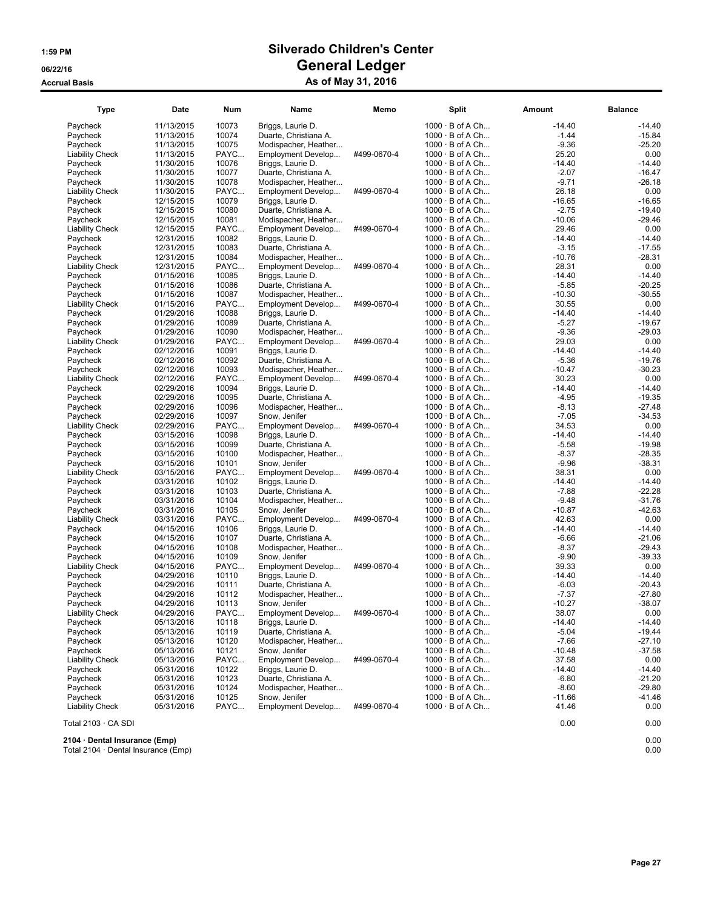| <b>Type</b>            | Date                     | <b>Num</b>     | Name                                       | Memo        | <b>Split</b>                                     | <b>Amount</b>      | <b>Balance</b>       |
|------------------------|--------------------------|----------------|--------------------------------------------|-------------|--------------------------------------------------|--------------------|----------------------|
| Paycheck               | 11/13/2015               | 10073          | Briggs, Laurie D.                          |             | $1000 \cdot B$ of A Ch                           | $-14.40$           | $-14.40$             |
| Paycheck               | 11/13/2015               | 10074          | Duarte, Christiana A.                      |             | $1000 \cdot B$ of A Ch                           | $-1.44$            | $-15.84$             |
| Paycheck               | 11/13/2015               | 10075          | Modispacher, Heather                       |             | $1000 \cdot B$ of A Ch                           | $-9.36$            | $-25.20$             |
| <b>Liability Check</b> | 11/13/2015               | PAYC           | Employment Develop                         | #499-0670-4 | $1000 \cdot B$ of A Ch                           | 25.20              | 0.00                 |
| Paycheck               | 11/30/2015               | 10076          | Briggs, Laurie D.                          |             | $1000 \cdot B$ of A Ch                           | $-14.40$           | $-14.40$             |
| Paycheck               | 11/30/2015               | 10077          | Duarte, Christiana A.                      |             | $1000 \cdot B$ of A Ch                           | $-2.07$            | -16.47               |
| Paycheck               | 11/30/2015               | 10078          | Modispacher, Heather                       |             | 1000 · B of A Ch                                 | $-9.71$            | $-26.18$             |
| <b>Liability Check</b> | 11/30/2015               | PAYC           | Employment Develop                         | #499-0670-4 | $1000 \cdot B$ of A Ch                           | 26.18              | 0.00                 |
| Paycheck               | 12/15/2015               | 10079          | Briggs, Laurie D.                          |             | $1000 \cdot B$ of A Ch                           | $-16.65$           | $-16.65$             |
| Paycheck               | 12/15/2015               | 10080          | Duarte, Christiana A.                      |             | $1000 \cdot B$ of A Ch                           | $-2.75$            | $-19.40$             |
| Paycheck               | 12/15/2015               | 10081          | Modispacher, Heather                       |             | $1000 \cdot B$ of A Ch                           | $-10.06$           | $-29.46$             |
| <b>Liability Check</b> | 12/15/2015               | PAYC           | Employment Develop                         | #499-0670-4 | 1000 · B of A Ch                                 | 29.46              | 0.00                 |
| Paycheck               | 12/31/2015               | 10082          | Briggs, Laurie D.                          |             | $1000 \cdot B$ of A Ch                           | $-14.40$           | $-14.40$             |
| Paycheck               | 12/31/2015               | 10083          | Duarte, Christiana A.                      |             | $1000 \cdot B$ of A Ch                           | $-3.15$            | $-17.55$             |
| Paycheck               | 12/31/2015               | 10084          | Modispacher, Heather                       |             | $1000 \cdot B$ of A Ch                           | $-10.76$           | $-28.31$             |
| <b>Liability Check</b> | 12/31/2015               | PAYC           | Employment Develop                         | #499-0670-4 | $1000 \cdot B$ of A Ch                           | 28.31              | 0.00                 |
| Paycheck               | 01/15/2016               | 10085          | Briggs, Laurie D.                          |             | 1000 · B of A Ch                                 | $-14.40$           | $-14.40$             |
| Paycheck               | 01/15/2016               | 10086          | Duarte, Christiana A.                      |             | $1000 \cdot B$ of A Ch                           | $-5.85$            | $-20.25$             |
| Paycheck               | 01/15/2016               | 10087          | Modispacher, Heather                       |             | $1000 \cdot B$ of A Ch                           | $-10.30$           | $-30.55$             |
| <b>Liability Check</b> | 01/15/2016               | PAYC           | Employment Develop                         | #499-0670-4 | $1000 \cdot B$ of A Ch                           | 30.55              | 0.00                 |
| Paycheck               | 01/29/2016               | 10088          | Briggs, Laurie D.                          |             | $1000 \cdot B$ of A Ch                           | $-14.40$           | $-14.40$             |
| Paycheck               | 01/29/2016               | 10089          | Duarte, Christiana A.                      |             | $1000 \cdot B$ of A Ch                           | $-5.27$            | $-19.67$             |
| Paycheck               | 01/29/2016               | 10090          | Modispacher, Heather                       |             | $1000 \cdot B$ of A Ch                           | $-9.36$            | $-29.03$             |
| <b>Liability Check</b> | 01/29/2016               | PAYC           | Employment Develop                         | #499-0670-4 | $1000 \cdot B$ of A Ch                           | 29.03              | 0.00                 |
| Paycheck               | 02/12/2016               | 10091          | Briggs, Laurie D.                          |             | $1000 \cdot B$ of A Ch                           | $-14.40$           | $-14.40$             |
| Paycheck               | 02/12/2016               | 10092          | Duarte, Christiana A.                      |             | $1000 \cdot B$ of A Ch                           | $-5.36$            | $-19.76$             |
| Paycheck               | 02/12/2016               | 10093          | Modispacher, Heather                       |             | $1000 \cdot B$ of A Ch                           | $-10.47$           | $-30.23$             |
| <b>Liability Check</b> | 02/12/2016               | PAYC           | Employment Develop                         | #499-0670-4 | $1000 \cdot B$ of A Ch                           | 30.23              | 0.00                 |
| Paycheck               | 02/29/2016               | 10094          | Briggs, Laurie D.                          |             | $1000 \cdot B$ of A Ch<br>$1000 \cdot B$ of A Ch | $-14.40$           | $-14.40$             |
| Paycheck               | 02/29/2016               | 10095          | Duarte, Christiana A.                      |             |                                                  | $-4.95$            | $-19.35$             |
| Paycheck               | 02/29/2016               | 10096<br>10097 | Modispacher, Heather                       |             | $1000 \cdot B$ of A Ch<br>$1000 \cdot B$ of A Ch | $-8.13$<br>$-7.05$ | $-27.48$<br>$-34.53$ |
| Paycheck               | 02/29/2016               | PAYC           | Snow, Jenifer                              | #499-0670-4 | $1000 \cdot B$ of A Ch                           | 34.53              | 0.00                 |
| <b>Liability Check</b> | 02/29/2016               |                | Employment Develop                         |             |                                                  | $-14.40$           | $-14.40$             |
| Paycheck<br>Paycheck   | 03/15/2016<br>03/15/2016 | 10098<br>10099 | Briggs, Laurie D.<br>Duarte, Christiana A. |             | $1000 \cdot B$ of A Ch<br>$1000 \cdot B$ of A Ch | $-5.58$            | $-19.98$             |
| Paycheck               | 03/15/2016               | 10100          | Modispacher, Heather                       |             | $1000 \cdot B$ of A Ch                           | $-8.37$            | $-28.35$             |
| Paycheck               | 03/15/2016               | 10101          | Snow, Jenifer                              |             | $1000 \cdot B$ of A Ch                           | $-9.96$            | $-38.31$             |
| <b>Liability Check</b> | 03/15/2016               | PAYC           | Employment Develop                         | #499-0670-4 | $1000 \cdot B$ of A Ch                           | 38.31              | 0.00                 |
| Paycheck               | 03/31/2016               | 10102          | Briggs, Laurie D.                          |             | $1000 \cdot B$ of A Ch                           | $-14.40$           | $-14.40$             |
| Paycheck               | 03/31/2016               | 10103          | Duarte, Christiana A.                      |             | $1000 \cdot B$ of A Ch                           | $-7.88$            | $-22.28$             |
| Paycheck               | 03/31/2016               | 10104          | Modispacher, Heather                       |             | $1000 \cdot B$ of A Ch                           | $-9.48$            | $-31.76$             |
| Paycheck               | 03/31/2016               | 10105          | Snow, Jenifer                              |             | 1000 · B of A Ch                                 | $-10.87$           | $-42.63$             |
| <b>Liability Check</b> | 03/31/2016               | PAYC           | Employment Develop                         | #499-0670-4 | $1000 \cdot B$ of A Ch                           | 42.63              | 0.00                 |
| Paycheck               | 04/15/2016               | 10106          | Briggs, Laurie D.                          |             | $1000 \cdot B$ of A Ch                           | $-14.40$           | $-14.40$             |
| Paycheck               | 04/15/2016               | 10107          | Duarte, Christiana A.                      |             | $1000 \cdot B$ of A Ch                           | $-6.66$            | $-21.06$             |
| Paycheck               | 04/15/2016               | 10108          | Modispacher, Heather                       |             | $1000 \cdot B$ of A Ch                           | $-8.37$            | $-29.43$             |
| Paycheck               | 04/15/2016               | 10109          | Snow, Jenifer                              |             | $1000 \cdot B$ of A Ch                           | $-9.90$            | $-39.33$             |
| <b>Liability Check</b> | 04/15/2016               | PAYC           | Employment Develop                         | #499-0670-4 | $1000 \cdot B$ of A Ch                           | 39.33              | 0.00                 |
| Paycheck               | 04/29/2016               | 10110          | Briggs, Laurie D.                          |             | $1000 \cdot B$ of A Ch                           | $-14.40$           | $-14.40$             |
| Paycheck               | 04/29/2016               | 10111          | Duarte, Christiana A.                      |             | $1000 \cdot B$ of A Ch                           | $-6.03$            | $-20.43$             |
| Paycheck               | 04/29/2016               | 10112          | Modispacher, Heather                       |             | $1000 \cdot B$ of A Ch                           | $-7.37$            | $-27.80$             |
| Paycheck               | 04/29/2016               | 10113          | Snow, Jenifer                              |             | $1000 \cdot B$ of A Ch                           | $-10.27$           | -38.07               |
| <b>Liability Check</b> | 04/29/2016               | PAYC           | Employment Develop                         | #499-0670-4 | $1000 \cdot B$ of A Ch                           | 38.07              | 0.00                 |
| Paycheck               | 05/13/2016               | 10118          | Briggs, Laurie D.                          |             | $1000 \cdot B$ of A Ch                           | $-14.40$           | $-14.40$             |
| Paycheck               | 05/13/2016               | 10119          | Duarte, Christiana A.                      |             | $1000 \cdot B$ of A Ch                           | $-5.04$            | $-19.44$             |
| Paycheck               | 05/13/2016               | 10120          | Modispacher, Heather                       |             | $1000 \cdot B$ of A Ch                           | $-7.66$            | $-27.10$             |
| Paycheck               | 05/13/2016               | 10121          | Snow, Jenifer                              |             | $1000 \cdot B$ of A Ch                           | $-10.48$           | $-37.58$             |
| <b>Liability Check</b> | 05/13/2016               | PAYC           | Employment Develop                         | #499-0670-4 | $1000 \cdot B$ of A Ch                           | 37.58              | 0.00                 |
| Paycheck               | 05/31/2016               | 10122          | Briggs, Laurie D.                          |             | $1000 \cdot B$ of A Ch                           | $-14.40$           | $-14.40$             |
| Paycheck               | 05/31/2016               | 10123          | Duarte, Christiana A.                      |             | $1000 \cdot B$ of A Ch                           | $-6.80$            | $-21.20$             |
| Paycheck               | 05/31/2016               | 10124          | Modispacher, Heather                       |             | $1000 \cdot B$ of A Ch                           | $-8.60$            | $-29.80$             |
| Paycheck               | 05/31/2016               | 10125          | Snow, Jenifer                              |             | $1000 \cdot B$ of A Ch                           | $-11.66$           | -41.46               |
| <b>Liability Check</b> | 05/31/2016               | PAYC           | Employment Develop                         | #499-0670-4 | $1000 \cdot B$ of A Ch                           | 41.46              | 0.00                 |
|                        |                          |                |                                            |             |                                                  |                    |                      |
| Total 2103 · CA SDI    |                          |                |                                            |             |                                                  | 0.00               | 0.00                 |

2104 · Dental Insurance (Emp) 0.00

Total 2104 · Dental Insurance (Emp) 0.00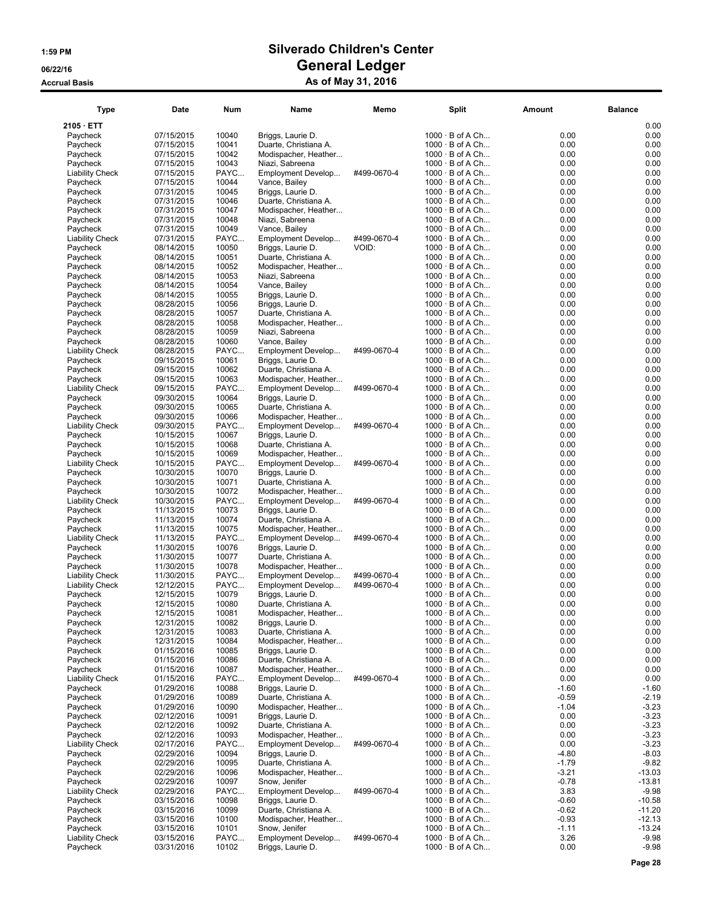# Type Date Num Name Memo Split Amount Balance

| 2105 · ETT                         |                          |                |                                               |             |                                                  |                    | 0.00                |
|------------------------------------|--------------------------|----------------|-----------------------------------------------|-------------|--------------------------------------------------|--------------------|---------------------|
| Paycheck                           | 07/15/2015               | 10040          | Briggs, Laurie D.                             |             | $1000 \cdot B$ of A Ch                           | 0.00               | 0.00                |
| Paycheck                           | 07/15/2015               | 10041<br>10042 | Duarte, Christiana A.                         |             | $1000 \cdot B$ of A Ch<br>$1000 \cdot B$ of A Ch | 0.00<br>0.00       | 0.00<br>0.00        |
| Paycheck<br>Paycheck               | 07/15/2015<br>07/15/2015 | 10043          | Modispacher, Heather<br>Niazi, Sabreena       |             | $1000 \cdot B$ of A Ch                           | 0.00               | 0.00                |
| <b>Liability Check</b>             | 07/15/2015               | PAYC           | Employment Develop                            | #499-0670-4 | $1000 \cdot B$ of A Ch                           | 0.00               | 0.00                |
| Paycheck                           | 07/15/2015               | 10044          | Vance, Bailey                                 |             | $1000 \cdot B$ of A Ch                           | 0.00               | 0.00                |
| Paycheck                           | 07/31/2015               | 10045          | Briggs, Laurie D.                             |             | $1000 \cdot B$ of A Ch                           | 0.00               | 0.00                |
| Paycheck                           | 07/31/2015               | 10046          | Duarte, Christiana A.                         |             | $1000 \cdot B$ of A Ch                           | 0.00               | 0.00                |
| Paycheck<br>Paycheck               | 07/31/2015<br>07/31/2015 | 10047<br>10048 | Modispacher, Heather<br>Niazi, Sabreena       |             | $1000 \cdot B$ of A Ch<br>$1000 \cdot B$ of A Ch | 0.00<br>0.00       | 0.00<br>0.00        |
| Paycheck                           | 07/31/2015               | 10049          | Vance, Bailey                                 |             | $1000 \cdot B$ of A Ch                           | 0.00               | 0.00                |
| <b>Liability Check</b>             | 07/31/2015               | PAYC           | Employment Develop                            | #499-0670-4 | $1000 \cdot B$ of A Ch                           | 0.00               | 0.00                |
| Paycheck                           | 08/14/2015               | 10050          | Briggs, Laurie D.                             | VOID:       | $1000 \cdot B$ of A Ch                           | 0.00               | 0.00                |
| Paycheck                           | 08/14/2015               | 10051          | Duarte, Christiana A.                         |             | $1000 \cdot B$ of A Ch                           | 0.00               | 0.00                |
| Paycheck                           | 08/14/2015               | 10052<br>10053 | Modispacher, Heather<br>Niazi, Sabreena       |             | $1000 \cdot B$ of A Ch<br>$1000 \cdot B$ of A Ch | 0.00<br>0.00       | 0.00<br>0.00        |
| Paycheck<br>Paycheck               | 08/14/2015<br>08/14/2015 | 10054          | Vance, Bailey                                 |             | $1000 \cdot B$ of A Ch                           | 0.00               | 0.00                |
| Paycheck                           | 08/14/2015               | 10055          | Briggs, Laurie D.                             |             | $1000 \cdot B$ of A Ch                           | 0.00               | 0.00                |
| Paycheck                           | 08/28/2015               | 10056          | Briggs, Laurie D.                             |             | $1000 \cdot B$ of A Ch                           | 0.00               | 0.00                |
| Paycheck                           | 08/28/2015               | 10057          | Duarte, Christiana A.                         |             | $1000 \cdot B$ of A Ch                           | 0.00               | 0.00                |
| Paycheck                           | 08/28/2015               | 10058          | Modispacher, Heather                          |             | $1000 \cdot B$ of A Ch                           | 0.00               | 0.00                |
| Paycheck<br>Paycheck               | 08/28/2015<br>08/28/2015 | 10059<br>10060 | Niazi, Sabreena<br>Vance, Bailey              |             | $1000 \cdot B$ of A Ch<br>$1000 \cdot B$ of A Ch | 0.00<br>0.00       | 0.00<br>0.00        |
| <b>Liability Check</b>             | 08/28/2015               | PAYC           | Employment Develop                            | #499-0670-4 | $1000 \cdot B$ of A Ch                           | 0.00               | 0.00                |
| Paycheck                           | 09/15/2015               | 10061          | Briggs, Laurie D.                             |             | $1000 \cdot B$ of A Ch                           | 0.00               | 0.00                |
| Paycheck                           | 09/15/2015               | 10062          | Duarte, Christiana A.                         |             | $1000 \cdot B$ of A Ch                           | 0.00               | 0.00                |
| Paycheck                           | 09/15/2015               | 10063          | Modispacher, Heather                          |             | $1000 \cdot B$ of A Ch                           | 0.00               | 0.00                |
| <b>Liability Check</b>             | 09/15/2015               | PAYC           | Employment Develop                            | #499-0670-4 | $1000 \cdot B$ of A Ch                           | 0.00               | 0.00                |
| Paycheck<br>Paycheck               | 09/30/2015<br>09/30/2015 | 10064<br>10065 | Briggs, Laurie D.<br>Duarte, Christiana A.    |             | $1000 \cdot B$ of A Ch<br>$1000 \cdot B$ of A Ch | 0.00<br>0.00       | 0.00<br>0.00        |
| Paycheck                           | 09/30/2015               | 10066          | Modispacher, Heather                          |             | $1000 \cdot B$ of A Ch                           | 0.00               | 0.00                |
| <b>Liability Check</b>             | 09/30/2015               | PAYC           | Employment Develop                            | #499-0670-4 | $1000 \cdot B$ of A Ch                           | 0.00               | 0.00                |
| Paycheck                           | 10/15/2015               | 10067          | Briggs, Laurie D.                             |             | $1000 \cdot B$ of A Ch                           | 0.00               | 0.00                |
| Paycheck                           | 10/15/2015               | 10068          | Duarte, Christiana A.                         |             | $1000 \cdot B$ of A Ch                           | 0.00               | 0.00                |
| Paycheck                           | 10/15/2015               | 10069          | Modispacher, Heather                          |             | $1000 \cdot B$ of A Ch                           | 0.00               | 0.00                |
| <b>Liability Check</b><br>Paycheck | 10/15/2015<br>10/30/2015 | PAYC<br>10070  | Employment Develop<br>Briggs, Laurie D.       | #499-0670-4 | $1000 \cdot B$ of A Ch<br>$1000 \cdot B$ of A Ch | 0.00<br>0.00       | 0.00<br>0.00        |
| Paycheck                           | 10/30/2015               | 10071          | Duarte, Christiana A.                         |             | $1000 \cdot B$ of A Ch                           | 0.00               | 0.00                |
| Paycheck                           | 10/30/2015               | 10072          | Modispacher, Heather                          |             | $1000 \cdot B$ of A Ch                           | 0.00               | 0.00                |
| <b>Liability Check</b>             | 10/30/2015               | PAYC           | Employment Develop                            | #499-0670-4 | $1000 \cdot B$ of A Ch                           | 0.00               | 0.00                |
| Paycheck                           | 11/13/2015               | 10073          | Briggs, Laurie D.                             |             | $1000 \cdot B$ of A Ch                           | 0.00               | 0.00                |
| Paycheck<br>Paycheck               | 11/13/2015<br>11/13/2015 | 10074<br>10075 | Duarte, Christiana A.<br>Modispacher, Heather |             | $1000 \cdot B$ of A Ch<br>$1000 \cdot B$ of A Ch | 0.00<br>0.00       | 0.00<br>0.00        |
| <b>Liability Check</b>             | 11/13/2015               | PAYC           | Employment Develop                            | #499-0670-4 | $1000 \cdot B$ of A Ch                           | 0.00               | 0.00                |
| Paycheck                           | 11/30/2015               | 10076          | Briggs, Laurie D.                             |             | $1000 \cdot B$ of A Ch                           | 0.00               | 0.00                |
| Paycheck                           | 11/30/2015               | 10077          | Duarte, Christiana A.                         |             | $1000 \cdot B$ of A Ch                           | 0.00               | 0.00                |
| Paycheck                           | 11/30/2015               | 10078          | Modispacher, Heather                          |             | $1000 \cdot B$ of A Ch                           | 0.00               | 0.00                |
| <b>Liability Check</b>             | 11/30/2015               | PAYC           | Employment Develop                            | #499-0670-4 | $1000 \cdot B$ of A Ch                           | 0.00               | 0.00<br>0.00        |
| <b>Liability Check</b><br>Paycheck | 12/12/2015<br>12/15/2015 | PAYC<br>10079  | Employment Develop<br>Briggs, Laurie D.       | #499-0670-4 | $1000 \cdot B$ of A Ch<br>$1000 \cdot B$ of A Ch | 0.00<br>0.00       | 0.00                |
| Paycheck                           | 12/15/2015               | 10080          | Duarte, Christiana A.                         |             | $1000 \cdot B$ of A Ch                           | 0.00               | 0.00                |
| Paycheck                           | 12/15/2015               | 10081          | Modispacher, Heather                          |             | $1000 \cdot B$ of A Ch                           | 0.00               | 0.00                |
| Paycheck                           | 12/31/2015               | 10082          | Briggs, Laurie D.                             |             | $1000 \cdot B$ of A Ch                           | 0.00               | 0.00                |
| Paycheck                           | 12/31/2015               | 10083          | Duarte, Christiana A.                         |             | $1000 \cdot B$ of A Ch                           | 0.00               | $0.00\,$            |
| Paycheck<br>Paycheck               | 12/31/2015<br>01/15/2016 | 10084<br>10085 | Modispacher, Heather<br>Briggs, Laurie D.     |             | $1000 \cdot B$ of A Ch<br>$1000 \cdot B$ of A Ch | 0.00<br>0.00       | 0.00<br>0.00        |
| Paycheck                           | 01/15/2016               | 10086          | Duarte, Christiana A.                         |             | $1000 \cdot B$ of A Ch                           | 0.00               | 0.00                |
| Paycheck                           | 01/15/2016               | 10087          | Modispacher, Heather                          |             | $1000 \cdot B$ of A Ch                           | 0.00               | 0.00                |
| <b>Liability Check</b>             | 01/15/2016               | PAYC           | Employment Develop                            | #499-0670-4 | $1000 \cdot B$ of A Ch                           | 0.00               | 0.00                |
| Paycheck                           | 01/29/2016               | 10088          | Briggs, Laurie D.                             |             | $1000 \cdot B$ of A Ch                           | $-1.60$            | $-1.60$             |
| Paycheck                           | 01/29/2016               | 10089          | Duarte, Christiana A.                         |             | $1000 \cdot B$ of A Ch                           | $-0.59$            | $-2.19$             |
| Paycheck<br>Paycheck               | 01/29/2016<br>02/12/2016 | 10090<br>10091 | Modispacher, Heather<br>Briggs, Laurie D.     |             | $1000 \cdot B$ of A Ch<br>$1000 \cdot B$ of A Ch | $-1.04$<br>0.00    | $-3.23$<br>$-3.23$  |
| Paycheck                           | 02/12/2016               | 10092          | Duarte, Christiana A.                         |             | $1000 \cdot B$ of A Ch                           | 0.00               | $-3.23$             |
| Paycheck                           | 02/12/2016               | 10093          | Modispacher, Heather                          |             | $1000 \cdot B$ of A Ch                           | 0.00               | $-3.23$             |
| <b>Liability Check</b>             | 02/17/2016               | PAYC           | Employment Develop                            | #499-0670-4 | $1000 \cdot B$ of A Ch                           | 0.00               | $-3.23$             |
| Paycheck                           | 02/29/2016               | 10094          | Briggs, Laurie D.                             |             | $1000 \cdot B$ of A Ch                           | $-4.80$            | $-8.03$             |
| Paycheck<br>Paycheck               | 02/29/2016<br>02/29/2016 | 10095<br>10096 | Duarte, Christiana A.<br>Modispacher, Heather |             | $1000 \cdot B$ of A Ch<br>$1000 \cdot B$ of A Ch | $-1.79$<br>$-3.21$ | $-9.82$<br>$-13.03$ |
| Paycheck                           | 02/29/2016               | 10097          | Snow, Jenifer                                 |             | $1000 \cdot B$ of A Ch                           | $-0.78$            | $-13.81$            |
| <b>Liability Check</b>             | 02/29/2016               | PAYC           | Employment Develop                            | #499-0670-4 | $1000 \cdot B$ of A Ch                           | 3.83               | $-9.98$             |
| Paycheck                           | 03/15/2016               | 10098          | Briggs, Laurie D.                             |             | $1000 \cdot B$ of A Ch                           | $-0.60$            | $-10.58$            |
| Paycheck                           | 03/15/2016               | 10099          | Duarte, Christiana A.                         |             | $1000 \cdot B$ of A Ch                           | $-0.62$            | $-11.20$            |
| Paycheck                           | 03/15/2016               | 10100          | Modispacher, Heather                          |             | $1000 \cdot B$ of A Ch                           | $-0.93$            | $-12.13$            |
| Paycheck<br><b>Liability Check</b> | 03/15/2016<br>03/15/2016 | 10101<br>PAYC  | Snow, Jenifer<br>Employment Develop           | #499-0670-4 | $1000 \cdot B$ of A Ch<br>$1000 \cdot B$ of A Ch | $-1.11$<br>3.26    | $-13.24$<br>$-9.98$ |
| Paycheck                           | 03/31/2016               | 10102          | Briggs, Laurie D.                             |             | $1000 \cdot B$ of A Ch                           | 0.00               | $-9.98$             |
|                                    |                          |                |                                               |             |                                                  |                    |                     |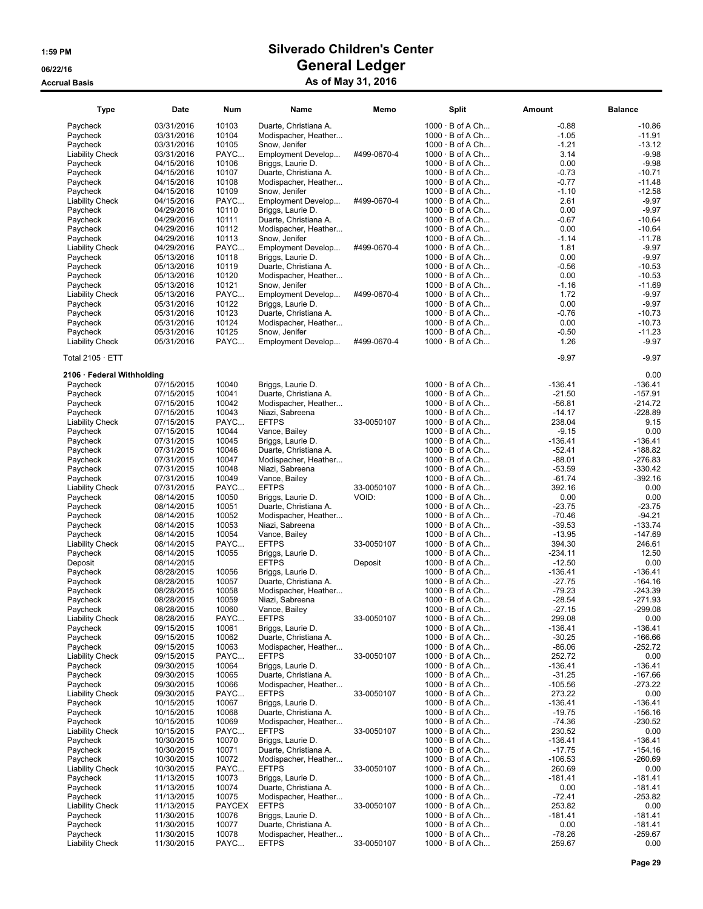| <b>Type</b>                        | Date                     | Num                    | Name                                 | Memo        | <b>Split</b>                                     | Amount              | <b>Balance</b>         |
|------------------------------------|--------------------------|------------------------|--------------------------------------|-------------|--------------------------------------------------|---------------------|------------------------|
| Paycheck                           | 03/31/2016               | 10103                  | Duarte, Christiana A.                |             | $1000 \cdot B$ of A Ch                           | $-0.88$             | $-10.86$               |
| Paycheck                           | 03/31/2016               | 10104                  | Modispacher, Heather                 |             | $1000 \cdot B$ of A Ch                           | $-1.05$             | $-11.91$               |
| Paycheck                           | 03/31/2016               | 10105                  | Snow, Jenifer                        |             | $1000 \cdot B$ of A Ch                           | $-1.21$             | $-13.12$               |
| <b>Liability Check</b>             | 03/31/2016               | PAYC                   | Employment Develop                   | #499-0670-4 | $1000 \cdot B$ of A Ch                           | 3.14                | $-9.98$                |
| Paycheck                           | 04/15/2016               | 10106                  | Briggs, Laurie D.                    |             | $1000 \cdot B$ of A Ch                           | 0.00                | $-9.98$                |
| Paycheck                           | 04/15/2016               | 10107                  | Duarte, Christiana A.                |             | $1000 \cdot B$ of A Ch                           | $-0.73$             | $-10.71$               |
| Paycheck                           | 04/15/2016               | 10108                  | Modispacher, Heather                 |             | $1000 \cdot B$ of A Ch                           | $-0.77$             | $-11.48$               |
| Paycheck                           | 04/15/2016               | 10109                  | Snow, Jenifer                        |             | $1000 \cdot B$ of A Ch                           | $-1.10$             | $-12.58$               |
| <b>Liability Check</b>             | 04/15/2016               | PAYC                   | Employment Develop                   | #499-0670-4 | 1000 · B of A Ch                                 | 2.61                | $-9.97$                |
| Paycheck                           | 04/29/2016               | 10110                  | Briggs, Laurie D.                    |             | $1000 \cdot B$ of A Ch                           | 0.00                | $-9.97$                |
| Paycheck                           | 04/29/2016               | 10111                  | Duarte, Christiana A.                |             | $1000 \cdot B$ of A Ch                           | $-0.67$             | $-10.64$               |
| Paycheck                           | 04/29/2016               | 10112                  | Modispacher, Heather                 |             | $1000 \cdot B$ of A Ch                           | 0.00                | $-10.64$               |
| Paycheck<br><b>Liability Check</b> | 04/29/2016<br>04/29/2016 | 10113<br>PAYC          | Snow, Jenifer<br>Employment Develop  | #499-0670-4 | $1000 \cdot B$ of A Ch<br>$1000 \cdot B$ of A Ch | $-1.14$<br>1.81     | $-11.78$<br>$-9.97$    |
| Paycheck                           | 05/13/2016               | 10118                  | Briggs, Laurie D.                    |             | $1000 \cdot B$ of A Ch                           | 0.00                | $-9.97$                |
| Paycheck                           | 05/13/2016               | 10119                  | Duarte, Christiana A.                |             | $1000 \cdot B$ of A Ch                           | -0.56               | $-10.53$               |
| Paycheck                           | 05/13/2016               | 10120                  | Modispacher, Heather                 |             | $1000 \cdot B$ of A Ch                           | 0.00                | $-10.53$               |
| Paycheck                           | 05/13/2016               | 10121                  | Snow, Jenifer                        |             | $1000 \cdot B$ of A Ch                           | $-1.16$             | $-11.69$               |
| <b>Liability Check</b>             | 05/13/2016               | PAYC                   | Employment Develop                   | #499-0670-4 | $1000 \cdot B$ of A Ch                           | 1.72                | $-9.97$                |
| Paycheck                           | 05/31/2016               | 10122                  | Briggs, Laurie D.                    |             | $1000 \cdot B$ of A Ch                           | 0.00                | $-9.97$                |
| Paycheck                           | 05/31/2016               | 10123                  | Duarte, Christiana A.                |             | $1000 \cdot B$ of A Ch                           | $-0.76$             | $-10.73$               |
| Paycheck                           | 05/31/2016               | 10124                  | Modispacher, Heather                 |             | $1000 \cdot B$ of A Ch                           | 0.00                | $-10.73$               |
| Paycheck                           | 05/31/2016               | 10125                  | Snow, Jenifer                        |             | $1000 \cdot B$ of A Ch                           | $-0.50$             | $-11.23$               |
| <b>Liability Check</b>             | 05/31/2016               | PAYC                   | Employment Develop                   | #499-0670-4 | $1000 \cdot B$ of A Ch                           | 1.26                | $-9.97$                |
| Total $2105 \cdot ETT$             |                          |                        |                                      |             |                                                  | $-9.97$             | $-9.97$                |
| 2106 · Federal Withholding         |                          |                        |                                      |             |                                                  |                     | 0.00                   |
| Paycheck                           | 07/15/2015               | 10040                  | Briggs, Laurie D.                    |             | $1000 \cdot B$ of A Ch                           | $-136.41$           | $-136.41$              |
| Paycheck                           | 07/15/2015               | 10041                  | Duarte, Christiana A.                |             | $1000 \cdot B$ of A Ch                           | $-21.50$            | $-157.91$              |
| Paycheck                           | 07/15/2015               | 10042                  | Modispacher, Heather                 |             | $1000 \cdot B$ of A Ch                           | $-56.81$            | $-214.72$              |
| Paycheck                           | 07/15/2015               | 10043                  | Niazi, Sabreena                      |             | $1000 \cdot B$ of A Ch                           | $-14.17$            | $-228.89$              |
| <b>Liability Check</b>             | 07/15/2015               | PAYC                   | <b>EFTPS</b>                         | 33-0050107  | $1000 \cdot B$ of A Ch                           | 238.04              | 9.15                   |
| Paycheck                           | 07/15/2015               | 10044                  | Vance, Bailey                        |             | $1000 \cdot B$ of A Ch                           | -9.15               | 0.00                   |
| Paycheck                           | 07/31/2015               | 10045                  | Briggs, Laurie D.                    |             | $1000 \cdot B$ of A Ch                           | $-136.41$           | $-136.41$              |
| Paycheck                           | 07/31/2015               | 10046                  | Duarte, Christiana A.                |             | $1000 \cdot B$ of A Ch                           | $-52.41$            | $-188.82$              |
| Paycheck                           | 07/31/2015               | 10047                  | Modispacher, Heather                 |             | $1000 \cdot B$ of A Ch                           | $-88.01$            | $-276.83$              |
| Paycheck                           | 07/31/2015               | 10048                  | Niazi, Sabreena                      |             | $1000 \cdot B$ of A Ch                           | $-53.59$            | $-330.42$              |
| Paycheck                           | 07/31/2015<br>07/31/2015 | 10049<br>PAYC          | Vance, Bailey<br><b>EFTPS</b>        | 33-0050107  | $1000 \cdot B$ of A Ch<br>$1000 \cdot B$ of A Ch | $-61.74$<br>392.16  | $-392.16$<br>0.00      |
| <b>Liability Check</b><br>Paycheck | 08/14/2015               | 10050                  | Briggs, Laurie D.                    | VOID:       | 1000 · B of A Ch                                 | 0.00                | 0.00                   |
| Paycheck                           | 08/14/2015               | 10051                  | Duarte, Christiana A.                |             | $1000 \cdot B$ of A Ch                           | $-23.75$            | $-23.75$               |
| Paycheck                           | 08/14/2015               | 10052                  | Modispacher, Heather                 |             | $1000 \cdot B$ of A Ch                           | $-70.46$            | $-94.21$               |
| Paycheck                           | 08/14/2015               | 10053                  | Niazi, Sabreena                      |             | $1000 \cdot B$ of A Ch                           | $-39.53$            | $-133.74$              |
| Paycheck                           | 08/14/2015               | 10054                  | Vance, Bailey                        |             | $1000 \cdot B$ of A Ch                           | $-13.95$            | $-147.69$              |
| <b>Liability Check</b>             | 08/14/2015               | PAYC                   | <b>EFTPS</b>                         | 33-0050107  | $1000 \cdot B$ of A Ch                           | 394.30              | 246.61                 |
| Paycheck                           | 08/14/2015               | 10055                  | Briggs, Laurie D.                    |             | $1000 \cdot B$ of A Ch                           | $-234.11$           | 12.50                  |
| Deposit                            | 08/14/2015               |                        | <b>EFTPS</b>                         | Deposit     | $1000 \cdot B$ of A Ch                           | $-12.50$            | 0.00                   |
| Paycheck                           | 08/28/2015               | 10056                  | Briggs, Laurie D.                    |             | $1000 \cdot B$ of A Ch                           | $-136.41$           | $-136.41$              |
| Paycheck                           | 08/28/2015               | 10057                  | Duarte, Christiana A.                |             | $1000 \cdot B$ of A Ch                           | $-27.75$            | $-164.16$              |
| Paycheck                           | 08/28/2015               | 10058                  | Modispacher, Heather                 |             | $1000 \cdot B$ of A Ch                           | $-79.23$            | $-243.39$              |
| Paycheck                           | 08/28/2015               | 10059                  | Niazi, Sabreena                      |             | $1000 \cdot B$ of A Ch                           | $-28.54$            | $-271.93$              |
| Paycheck                           | 08/28/2015               | 10060                  | Vance, Bailey                        |             | $1000 \cdot B$ of A Ch                           | $-27.15$            | $-299.08$              |
| <b>Liability Check</b>             | 08/28/2015               | PAYC                   | <b>EFTPS</b>                         | 33-0050107  | $1000 \cdot B$ of A Ch                           | 299.08              | 0.00                   |
| Paycheck                           | 09/15/2015               | 10061                  | Briggs, Laurie D.                    |             | $1000 \cdot B$ of A Ch                           | $-136.41$           | $-136.41$              |
| Paycheck                           | 09/15/2015               | 10062                  | Duarte, Christiana A.                |             | $1000 \cdot B$ of A Ch                           | $-30.25$            | $-166.66$<br>$-252.72$ |
| Paycheck<br><b>Liability Check</b> | 09/15/2015<br>09/15/2015 | 10063<br>PAYC          | Modispacher, Heather<br><b>EFTPS</b> | 33-0050107  | $1000 \cdot B$ of A Ch<br>$1000 \cdot B$ of A Ch | $-86.06$<br>252.72  | 0.00                   |
| Paycheck                           | 09/30/2015               | 10064                  | Briggs, Laurie D.                    |             | $1000 \cdot B$ of A Ch                           | $-136.41$           | $-136.41$              |
| Paycheck                           | 09/30/2015               | 10065                  | Duarte, Christiana A.                |             | 1000 · B of A Ch                                 | $-31.25$            | $-167.66$              |
| Paycheck                           | 09/30/2015               | 10066                  | Modispacher, Heather                 |             | $1000 \cdot B$ of A Ch                           | $-105.56$           | $-273.22$              |
| <b>Liability Check</b>             | 09/30/2015               | PAYC                   | <b>EFTPS</b>                         | 33-0050107  | $1000 \cdot B$ of A Ch                           | 273.22              | 0.00                   |
| Paycheck                           | 10/15/2015               | 10067                  | Briggs, Laurie D.                    |             | $1000 \cdot B$ of A Ch                           | $-136.41$           | $-136.41$              |
| Paycheck                           | 10/15/2015               | 10068                  | Duarte, Christiana A.                |             | $1000 \cdot B$ of A Ch                           | $-19.75$            | $-156.16$              |
| Paycheck                           | 10/15/2015               | 10069                  | Modispacher, Heather                 |             | $1000 \cdot B$ of A Ch                           | $-74.36$            | $-230.52$              |
| <b>Liability Check</b>             | 10/15/2015               | PAYC                   | <b>EFTPS</b>                         | 33-0050107  | $1000 \cdot B$ of A Ch                           | 230.52              | 0.00                   |
| Paycheck                           | 10/30/2015               | 10070                  | Briggs, Laurie D.                    |             | $1000 \cdot B$ of A Ch                           | $-136.41$           | $-136.41$              |
| Paycheck                           | 10/30/2015               | 10071                  | Duarte, Christiana A.                |             | $1000 \cdot B$ of A Ch                           | $-17.75$            | $-154.16$              |
| Paycheck                           | 10/30/2015               | 10072                  | Modispacher, Heather                 |             | $1000 \cdot B$ of A Ch                           | $-106.53$           | $-260.69$              |
| <b>Liability Check</b>             | 10/30/2015               | PAYC                   | <b>EFTPS</b>                         | 33-0050107  | $1000 \cdot B$ of A Ch                           | 260.69              | 0.00                   |
| Paycheck                           | 11/13/2015               | 10073                  | Briggs, Laurie D.                    |             | $1000 \cdot B$ of A Ch                           | $-181.41$           | $-181.41$              |
| Paycheck                           | 11/13/2015               | 10074                  | Duarte, Christiana A.                |             | $1000 \cdot B$ of A Ch                           | 0.00                | $-181.41$              |
| Paycheck                           | 11/13/2015               | 10075                  | Modispacher, Heather                 |             | $1000 \cdot B$ of A Ch                           | $-72.41$            | $-253.82$              |
| <b>Liability Check</b><br>Paycheck | 11/13/2015<br>11/30/2015 | <b>PAYCEX</b><br>10076 | <b>EFTPS</b><br>Briggs, Laurie D.    | 33-0050107  | $1000 \cdot B$ of A Ch<br>$1000 \cdot B$ of A Ch | 253.82<br>$-181.41$ | 0.00<br>$-181.41$      |
| Paycheck                           | 11/30/2015               | 10077                  | Duarte, Christiana A.                |             | $1000 \cdot B$ of A Ch                           | 0.00                | $-181.41$              |
| Paycheck                           | 11/30/2015               | 10078                  | Modispacher, Heather                 |             | $1000 \cdot B$ of A Ch                           | $-78.26$            | $-259.67$              |
| <b>Liability Check</b>             | 11/30/2015               | PAYC                   | <b>EFTPS</b>                         | 33-0050107  | $1000 \cdot B$ of A Ch                           | 259.67              | 0.00                   |
|                                    |                          |                        |                                      |             |                                                  |                     |                        |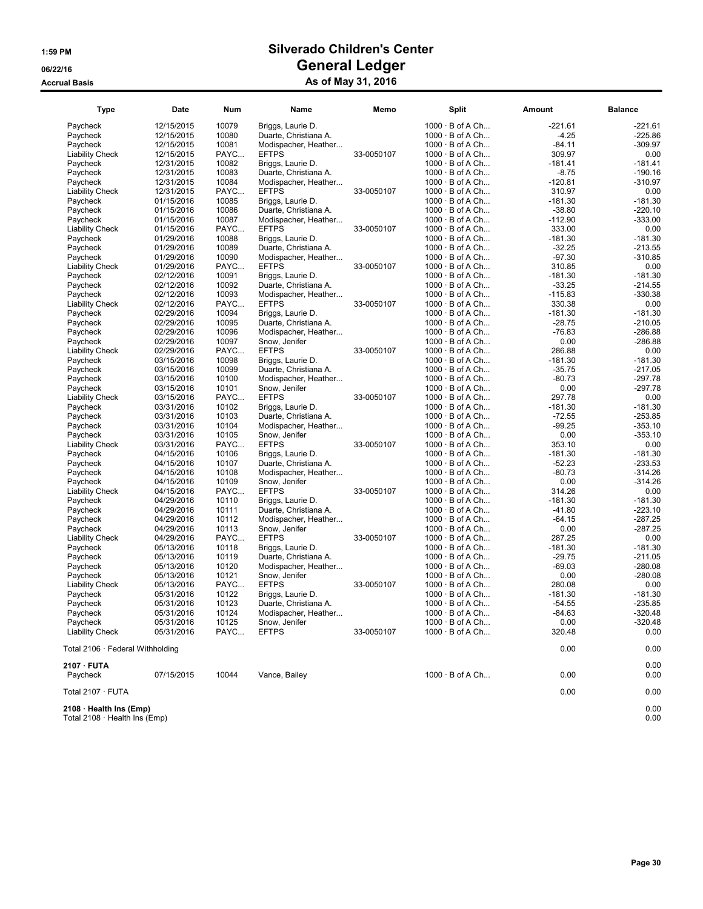| <b>Type</b>                      | Date       | <b>Num</b> | Name                  | Memo       | <b>Split</b>           | Amount    | <b>Balance</b> |
|----------------------------------|------------|------------|-----------------------|------------|------------------------|-----------|----------------|
| Paycheck                         | 12/15/2015 | 10079      | Briggs, Laurie D.     |            | $1000 \cdot B$ of A Ch | $-221.61$ | -221.61        |
| Paycheck                         | 12/15/2015 | 10080      | Duarte, Christiana A. |            | $1000 \cdot B$ of A Ch | $-4.25$   | $-225.86$      |
| Paycheck                         | 12/15/2015 | 10081      | Modispacher, Heather  |            | $1000 \cdot B$ of A Ch | $-84.11$  | $-309.97$      |
| <b>Liability Check</b>           | 12/15/2015 | PAYC       | <b>EFTPS</b>          | 33-0050107 | $1000 \cdot B$ of A Ch | 309.97    | 0.00           |
| Paycheck                         | 12/31/2015 | 10082      | Briggs, Laurie D.     |            | $1000 \cdot B$ of A Ch | $-181.41$ | $-181.41$      |
| Paycheck                         | 12/31/2015 | 10083      | Duarte, Christiana A. |            | $1000 \cdot B$ of A Ch | $-8.75$   | $-190.16$      |
| Paycheck                         | 12/31/2015 | 10084      | Modispacher, Heather  |            | $1000 \cdot B$ of A Ch | $-120.81$ | $-310.97$      |
| <b>Liability Check</b>           | 12/31/2015 | PAYC       | <b>EFTPS</b>          | 33-0050107 | $1000 \cdot B$ of A Ch | 310.97    | 0.00           |
| Paycheck                         | 01/15/2016 | 10085      | Briggs, Laurie D.     |            | $1000 \cdot B$ of A Ch | $-181.30$ | $-181.30$      |
| Paycheck                         | 01/15/2016 | 10086      | Duarte, Christiana A. |            | $1000 \cdot B$ of A Ch | $-38.80$  | $-220.10$      |
| Paycheck                         | 01/15/2016 | 10087      | Modispacher, Heather  |            | $1000 \cdot B$ of A Ch | $-112.90$ | $-333.00$      |
| <b>Liability Check</b>           | 01/15/2016 | PAYC       | <b>EFTPS</b>          | 33-0050107 | $1000 \cdot B$ of A Ch | 333.00    | 0.00           |
| Paycheck                         | 01/29/2016 | 10088      | Briggs, Laurie D.     |            | 1000 · B of A Ch       | $-181.30$ | $-181.30$      |
| Paycheck                         | 01/29/2016 | 10089      | Duarte, Christiana A. |            | $1000 \cdot B$ of A Ch | $-32.25$  | $-213.55$      |
| Paycheck                         | 01/29/2016 | 10090      | Modispacher, Heather  |            | $1000 \cdot B$ of A Ch | $-97.30$  | $-310.85$      |
| <b>Liability Check</b>           | 01/29/2016 | PAYC       | <b>EFTPS</b>          | 33-0050107 | 1000 · B of A Ch       | 310.85    | 0.00           |
| Paycheck                         | 02/12/2016 | 10091      | Briggs, Laurie D.     |            | $1000 \cdot B$ of A Ch | $-181.30$ | $-181.30$      |
| Paycheck                         | 02/12/2016 | 10092      | Duarte, Christiana A. |            | $1000 \cdot B$ of A Ch | $-33.25$  | $-214.55$      |
| Paycheck                         | 02/12/2016 | 10093      | Modispacher, Heather  |            | $1000 \cdot B$ of A Ch | $-115.83$ | $-330.38$      |
| <b>Liability Check</b>           | 02/12/2016 | PAYC       | <b>EFTPS</b>          | 33-0050107 | $1000 \cdot B$ of A Ch | 330.38    | 0.00           |
| Paycheck                         | 02/29/2016 | 10094      | Briggs, Laurie D.     |            | $1000 \cdot B$ of A Ch | $-181.30$ | $-181.30$      |
| Paycheck                         | 02/29/2016 | 10095      | Duarte, Christiana A. |            | $1000 \cdot B$ of A Ch | $-28.75$  | $-210.05$      |
| Paycheck                         | 02/29/2016 | 10096      | Modispacher, Heather  |            | $1000 \cdot B$ of A Ch | $-76.83$  | $-286.88$      |
| Paycheck                         | 02/29/2016 | 10097      | Snow, Jenifer         |            | $1000 \cdot B$ of A Ch | 0.00      | $-286.88$      |
| <b>Liability Check</b>           | 02/29/2016 | PAYC       | <b>EFTPS</b>          | 33-0050107 | $1000 \cdot B$ of A Ch | 286.88    | 0.00           |
| Paycheck                         | 03/15/2016 | 10098      | Briggs, Laurie D.     |            | $1000 \cdot B$ of A Ch | $-181.30$ | $-181.30$      |
| Paycheck                         | 03/15/2016 | 10099      | Duarte, Christiana A. |            | $1000 \cdot B$ of A Ch | $-35.75$  | $-217.05$      |
| Paycheck                         | 03/15/2016 | 10100      | Modispacher, Heather  |            | $1000 \cdot B$ of A Ch | $-80.73$  | $-297.78$      |
| Paycheck                         | 03/15/2016 | 10101      | Snow. Jenifer         |            | $1000 \cdot B$ of A Ch | 0.00      | $-297.78$      |
| <b>Liability Check</b>           | 03/15/2016 | PAYC       | <b>EFTPS</b>          | 33-0050107 | $1000 \cdot B$ of A Ch | 297.78    | 0.00           |
| Paycheck                         | 03/31/2016 | 10102      | Briggs, Laurie D.     |            | $1000 \cdot B$ of A Ch | $-181.30$ | $-181.30$      |
| Paycheck                         | 03/31/2016 | 10103      | Duarte, Christiana A. |            | $1000 \cdot B$ of A Ch | $-72.55$  | $-253.85$      |
| Paycheck                         | 03/31/2016 | 10104      | Modispacher, Heather  |            | $1000 \cdot B$ of A Ch | $-99.25$  | $-353.10$      |
| Paycheck                         | 03/31/2016 | 10105      | Snow, Jenifer         |            | $1000 \cdot B$ of A Ch | 0.00      | $-353.10$      |
| <b>Liability Check</b>           | 03/31/2016 | PAYC       | <b>EFTPS</b>          | 33-0050107 | $1000 \cdot B$ of A Ch | 353.10    | 0.00           |
| Paycheck                         | 04/15/2016 | 10106      | Briggs, Laurie D.     |            | $1000 \cdot B$ of A Ch | $-181.30$ | $-181.30$      |
| Paycheck                         | 04/15/2016 | 10107      | Duarte, Christiana A. |            | $1000 \cdot B$ of A Ch | $-52.23$  | $-233.53$      |
| Paycheck                         | 04/15/2016 | 10108      | Modispacher, Heather  |            | 1000 · B of A Ch       | $-80.73$  | $-314.26$      |
| Paycheck                         | 04/15/2016 | 10109      | Snow, Jenifer         |            | $1000 \cdot B$ of A Ch | 0.00      | $-314.26$      |
| <b>Liability Check</b>           | 04/15/2016 | PAYC       | <b>EFTPS</b>          | 33-0050107 | $1000 \cdot B$ of A Ch | 314.26    | 0.00           |
| Paycheck                         | 04/29/2016 | 10110      | Briggs, Laurie D.     |            | 1000 · B of A Ch       | $-181.30$ | $-181.30$      |
| Paycheck                         | 04/29/2016 | 10111      | Duarte, Christiana A. |            | $1000 \cdot B$ of A Ch | $-41.80$  | $-223.10$      |
| Paycheck                         | 04/29/2016 | 10112      | Modispacher, Heather  |            | $1000 \cdot B$ of A Ch | $-64.15$  | -287.25        |
| Paycheck                         | 04/29/2016 | 10113      | Snow, Jenifer         |            | $1000 \cdot B$ of A Ch | 0.00      | $-287.25$      |
| <b>Liability Check</b>           | 04/29/2016 | PAYC       | <b>EFTPS</b>          | 33-0050107 | $1000 \cdot B$ of A Ch | 287.25    | 0.00           |
| Paycheck                         | 05/13/2016 | 10118      | Briggs, Laurie D.     |            | $1000 \cdot B$ of A Ch | $-181.30$ | $-181.30$      |
| Paycheck                         | 05/13/2016 | 10119      | Duarte, Christiana A. |            | $1000 \cdot B$ of A Ch | $-29.75$  | $-211.05$      |
| Paycheck                         | 05/13/2016 | 10120      | Modispacher, Heather  |            | $1000 \cdot B$ of A Ch | $-69.03$  | $-280.08$      |
| Paycheck                         | 05/13/2016 | 10121      | Snow, Jenifer         |            | $1000 \cdot B$ of A Ch | 0.00      | $-280.08$      |
| <b>Liability Check</b>           | 05/13/2016 | PAYC       | <b>EFTPS</b>          | 33-0050107 | $1000 \cdot B$ of A Ch | 280.08    | 0.00           |
| Paycheck                         | 05/31/2016 | 10122      | Briggs, Laurie D.     |            | $1000 \cdot B$ of A Ch | $-181.30$ | $-181.30$      |
| Paycheck                         | 05/31/2016 | 10123      | Duarte, Christiana A. |            | $1000 \cdot B$ of A Ch | $-54.55$  | $-235.85$      |
| Paycheck                         | 05/31/2016 | 10124      | Modispacher, Heather  |            | $1000 \cdot B$ of A Ch | $-84.63$  | -320.48        |
| Paycheck                         | 05/31/2016 | 10125      | Snow, Jenifer         |            | $1000 \cdot B$ of A Ch | 0.00      | $-320.48$      |
| <b>Liability Check</b>           | 05/31/2016 | PAYC       | <b>EFTPS</b>          | 33-0050107 | $1000 \cdot B$ of A Ch | 320.48    | 0.00           |
| Total 2106 · Federal Withholding |            |            |                       |            |                        | 0.00      | 0.00           |
| 2107 · FUTA                      |            |            |                       |            |                        |           | 0.00           |
| Paycheck                         | 07/15/2015 | 10044      | Vance, Bailey         |            | $1000 \cdot B$ of A Ch | 0.00      | 0.00           |
| Total 2107 · FUTA                |            |            |                       |            |                        | 0.00      | 0.00           |
| 2108 · Health Ins (Emp)          |            |            |                       |            |                        |           | 0.00           |

Total 2108 · Health Ins (Emp) 0.00

Page 30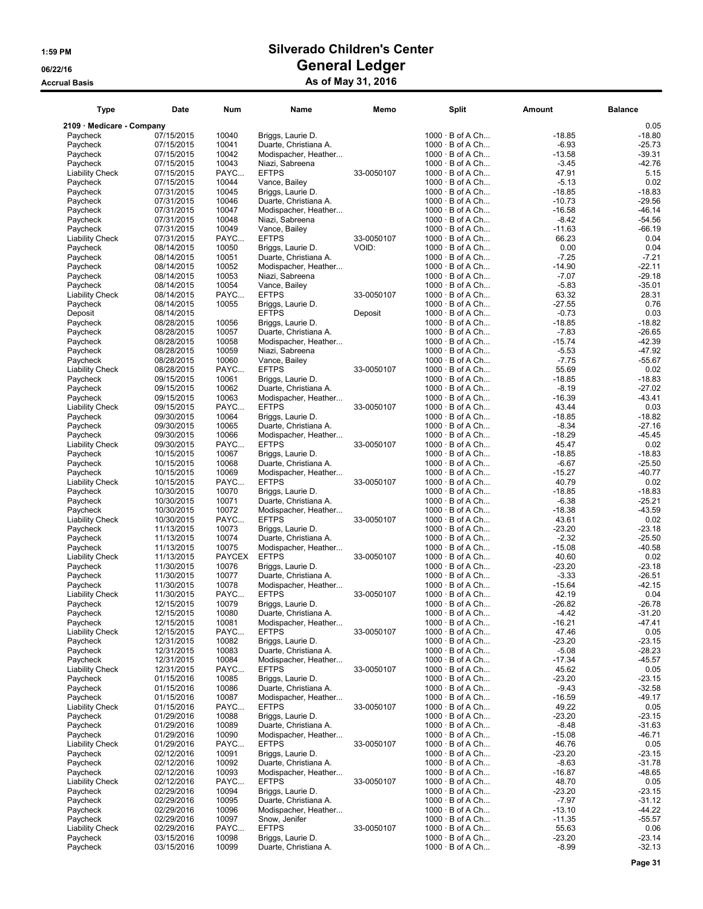| Type                               | Date                     | Num            | Name                                          | Memo       | <b>Split</b>                                     | Amount              | <b>Balance</b>       |
|------------------------------------|--------------------------|----------------|-----------------------------------------------|------------|--------------------------------------------------|---------------------|----------------------|
| 2109 · Medicare - Company          |                          |                |                                               |            |                                                  |                     | 0.05                 |
| Paycheck                           | 07/15/2015               | 10040          | Briggs, Laurie D.                             |            | $1000 \cdot B$ of A Ch                           | $-18.85$            | $-18.80$             |
| Paycheck                           | 07/15/2015               | 10041          | Duarte, Christiana A.                         |            | $1000 \cdot B$ of A Ch                           | $-6.93$             | $-25.73$             |
| Paycheck                           | 07/15/2015               | 10042          | Modispacher, Heather                          |            | $1000 \cdot B$ of A Ch                           | $-13.58$            | -39.31               |
| Paycheck                           | 07/15/2015               | 10043          | Niazi, Sabreena                               |            | $1000 \cdot B$ of A Ch                           | $-3.45$             | $-42.76$             |
| <b>Liability Check</b><br>Paycheck | 07/15/2015               | PAYC<br>10044  | <b>EFTPS</b>                                  | 33-0050107 | $1000 \cdot B$ of A Ch                           | 47.91<br>$-5.13$    | 5.15<br>0.02         |
| Paycheck                           | 07/15/2015<br>07/31/2015 | 10045          | Vance, Bailey<br>Briggs, Laurie D.            |            | $1000 \cdot B$ of A Ch<br>$1000 \cdot B$ of A Ch | $-18.85$            | $-18.83$             |
| Paycheck                           | 07/31/2015               | 10046          | Duarte, Christiana A.                         |            | $1000 \cdot B$ of A Ch                           | $-10.73$            | $-29.56$             |
| Paycheck                           | 07/31/2015               | 10047          | Modispacher, Heather                          |            | $1000 \cdot B$ of A Ch                           | $-16.58$            | $-46.14$             |
| Paycheck                           | 07/31/2015               | 10048          | Niazi, Sabreena                               |            | $1000 \cdot B$ of A Ch                           | $-8.42$             | $-54.56$             |
| Paycheck                           | 07/31/2015               | 10049          | Vance, Bailey                                 |            | $1000 \cdot B$ of A Ch                           | $-11.63$            | $-66.19$             |
| <b>Liability Check</b>             | 07/31/2015               | PAYC           | <b>EFTPS</b>                                  | 33-0050107 | 1000 · B of A Ch                                 | 66.23               | 0.04                 |
| Paycheck                           | 08/14/2015               | 10050          | Briggs, Laurie D.                             | VOID:      | $1000 \cdot B$ of A Ch                           | 0.00                | 0.04                 |
| Paycheck                           | 08/14/2015               | 10051<br>10052 | Duarte, Christiana A.                         |            | $1000 \cdot B$ of A Ch                           | $-7.25$<br>$-14.90$ | $-7.21$<br>$-22.11$  |
| Paycheck<br>Paycheck               | 08/14/2015<br>08/14/2015 | 10053          | Modispacher, Heather<br>Niazi, Sabreena       |            | $1000 \cdot B$ of A Ch<br>$1000 \cdot B$ of A Ch | $-7.07$             | $-29.18$             |
| Paycheck                           | 08/14/2015               | 10054          | Vance, Bailey                                 |            | $1000 \cdot B$ of A Ch                           | $-5.83$             | $-35.01$             |
| <b>Liability Check</b>             | 08/14/2015               | PAYC           | <b>EFTPS</b>                                  | 33-0050107 | $1000 \cdot B$ of A Ch                           | 63.32               | 28.31                |
| Paycheck                           | 08/14/2015               | 10055          | Briggs, Laurie D.                             |            | $1000 \cdot B$ of A Ch                           | $-27.55$            | 0.76                 |
| Deposit                            | 08/14/2015               |                | <b>EFTPS</b>                                  | Deposit    | $1000 \cdot B$ of A Ch                           | $-0.73$             | 0.03                 |
| Paycheck                           | 08/28/2015               | 10056          | Briggs, Laurie D.                             |            | $1000 \cdot B$ of A Ch                           | $-18.85$            | $-18.82$             |
| Paycheck                           | 08/28/2015               | 10057          | Duarte, Christiana A.                         |            | $1000 \cdot B$ of A Ch                           | $-7.83$             | $-26.65$             |
| Paycheck                           | 08/28/2015               | 10058          | Modispacher, Heather                          |            | $1000 \cdot B$ of A Ch                           | $-15.74$            | $-42.39$             |
| Paycheck                           | 08/28/2015               | 10059          | Niazi, Sabreena                               |            | $1000 \cdot B$ of A Ch<br>$1000 \cdot B$ of A Ch | $-5.53$             | $-47.92$             |
| Paycheck<br><b>Liability Check</b> | 08/28/2015<br>08/28/2015 | 10060<br>PAYC  | Vance, Bailey<br><b>EFTPS</b>                 | 33-0050107 | $1000 \cdot B$ of A Ch                           | $-7.75$<br>55.69    | $-55.67$<br>0.02     |
| Paycheck                           | 09/15/2015               | 10061          | Briggs, Laurie D.                             |            | $1000 \cdot B$ of A Ch                           | $-18.85$            | $-18.83$             |
| Paycheck                           | 09/15/2015               | 10062          | Duarte, Christiana A.                         |            | $1000 \cdot B$ of A Ch                           | $-8.19$             | $-27.02$             |
| Paycheck                           | 09/15/2015               | 10063          | Modispacher, Heather                          |            | $1000 \cdot B$ of A Ch                           | $-16.39$            | $-43.41$             |
| <b>Liability Check</b>             | 09/15/2015               | PAYC           | <b>EFTPS</b>                                  | 33-0050107 | 1000 · B of A Ch                                 | 43.44               | 0.03                 |
| Paycheck                           | 09/30/2015               | 10064          | Briggs, Laurie D.                             |            | $1000 \cdot B$ of A Ch                           | $-18.85$            | $-18.82$             |
| Paycheck                           | 09/30/2015               | 10065          | Duarte, Christiana A.                         |            | $1000 \cdot B$ of A Ch                           | $-8.34$             | $-27.16$             |
| Paycheck                           | 09/30/2015               | 10066          | Modispacher, Heather                          |            | $1000 \cdot B$ of A Ch                           | $-18.29$            | $-45.45$             |
| <b>Liability Check</b>             | 09/30/2015               | PAYC           | <b>EFTPS</b>                                  | 33-0050107 | $1000 \cdot B$ of A Ch                           | 45.47               | 0.02                 |
| Paycheck<br>Paycheck               | 10/15/2015<br>10/15/2015 | 10067<br>10068 | Briggs, Laurie D.<br>Duarte, Christiana A.    |            | $1000 \cdot B$ of A Ch<br>$1000 \cdot B$ of A Ch | $-18.85$<br>$-6.67$ | $-18.83$<br>$-25.50$ |
| Paycheck                           | 10/15/2015               | 10069          | Modispacher, Heather                          |            | 1000 · B of A Ch                                 | $-15.27$            | $-40.77$             |
| <b>Liability Check</b>             | 10/15/2015               | PAYC           | <b>EFTPS</b>                                  | 33-0050107 | $1000 \cdot B$ of A Ch                           | 40.79               | 0.02                 |
| Paycheck                           | 10/30/2015               | 10070          | Briggs, Laurie D.                             |            | $1000 \cdot B$ of A Ch                           | $-18.85$            | $-18.83$             |
| Paycheck                           | 10/30/2015               | 10071          | Duarte, Christiana A.                         |            | $1000 \cdot B$ of A Ch                           | $-6.38$             | $-25.21$             |
| Paycheck                           | 10/30/2015               | 10072          | Modispacher, Heather                          |            | $1000 \cdot B$ of A Ch                           | $-18.38$            | $-43.59$             |
| <b>Liability Check</b>             | 10/30/2015               | PAYC           | <b>EFTPS</b>                                  | 33-0050107 | $1000 \cdot B$ of A Ch                           | 43.61               | 0.02                 |
| Paycheck                           | 11/13/2015               | 10073          | Briggs, Laurie D.                             |            | $1000 \cdot B$ of A Ch                           | -23.20              | $-23.18$             |
| Paycheck<br>Paycheck               | 11/13/2015<br>11/13/2015 | 10074<br>10075 | Duarte, Christiana A.<br>Modispacher, Heather |            | $1000 \cdot B$ of A Ch<br>$1000 \cdot B$ of A Ch | $-2.32$<br>$-15.08$ | $-25.50$<br>-40.58   |
| <b>Liability Check</b>             | 11/13/2015               | <b>PAYCEX</b>  | <b>EFTPS</b>                                  | 33-0050107 | $1000 \cdot B$ of A Ch                           | 40.60               | 0.02                 |
| Paycheck                           | 11/30/2015               | 10076          | Briggs, Laurie D.                             |            | $1000 \cdot B$ of A Ch                           | -23.20              | $-23.18$             |
| Paycheck                           | 11/30/2015               | 10077          | Duarte, Christiana A.                         |            | $1000 \cdot B$ of A Ch                           | $-3.33$             | $-26.51$             |
| Paycheck                           | 11/30/2015               | 10078          | Modispacher, Heather                          |            | $1000 \cdot B$ of A Ch                           | $-15.64$            | -42.15               |
| <b>Liability Check</b>             | 11/30/2015               | PAYC           | <b>EFTPS</b>                                  | 33-0050107 | $1000 \cdot B$ of A Ch                           | 42.19               | 0.04                 |
| Paycheck                           | 12/15/2015               | 10079          | Briggs, Laurie D.                             |            | $1000 \cdot B$ of A Ch                           | $-26.82$            | $-26.78$             |
| Paycheck                           | 12/15/2015               | 10080          | Duarte, Christiana A.                         |            | $1000 \cdot B$ of A Ch                           | $-4.42$             | $-31.20$             |
| Paycheck                           | 12/15/2015               | 10081          | Modispacher, Heather<br><b>EFTPS</b>          |            | $1000 \cdot B$ of A Ch                           | -16.21              | $-47.41$<br>0.05     |
| <b>Liability Check</b><br>Paycheck | 12/15/2015<br>12/31/2015 | PAYC<br>10082  | Briggs, Laurie D.                             | 33-0050107 | $1000 \cdot B$ of A Ch<br>$1000 \cdot B$ of A Ch | 47.46<br>$-23.20$   | $-23.15$             |
| Paycheck                           | 12/31/2015               | 10083          | Duarte, Christiana A.                         |            | $1000 \cdot B$ of A Ch                           | $-5.08$             | $-28.23$             |
| Paycheck                           | 12/31/2015               | 10084          | Modispacher, Heather                          |            | $1000 \cdot B$ of A Ch                           | $-17.34$            | $-45.57$             |
| <b>Liability Check</b>             | 12/31/2015               | PAYC           | <b>EFTPS</b>                                  | 33-0050107 | $1000 \cdot B$ of A Ch                           | 45.62               | 0.05                 |
| Pavcheck                           | 01/15/2016               | 10085          | Briggs, Laurie D.                             |            | $1000 \cdot B$ of A Ch                           | $-23.20$            | $-23.15$             |
| Paycheck                           | 01/15/2016               | 10086          | Duarte, Christiana A.                         |            | $1000 \cdot B$ of A Ch                           | $-9.43$             | $-32.58$             |
| Paycheck                           | 01/15/2016               | 10087          | Modispacher, Heather                          |            | $1000 \cdot B$ of A Ch                           | $-16.59$            | $-49.17$             |
| <b>Liability Check</b>             | 01/15/2016               | PAYC           | <b>EFTPS</b>                                  | 33-0050107 | 1000 · B of A Ch<br>$1000 \cdot B$ of A Ch       | 49.22               | 0.05                 |
| Paycheck<br>Paycheck               | 01/29/2016<br>01/29/2016 | 10088<br>10089 | Briggs, Laurie D.<br>Duarte, Christiana A.    |            | $1000 \cdot B$ of A Ch                           | -23.20<br>$-8.48$   | $-23.15$<br>$-31.63$ |
| Paycheck                           | 01/29/2016               | 10090          | Modispacher, Heather                          |            | $1000 \cdot B$ of A Ch                           | $-15.08$            | $-46.71$             |
| <b>Liability Check</b>             | 01/29/2016               | PAYC           | <b>EFTPS</b>                                  | 33-0050107 | $1000 \cdot B$ of A Ch                           | 46.76               | 0.05                 |
| Paycheck                           | 02/12/2016               | 10091          | Briggs, Laurie D.                             |            | $1000 \cdot B$ of A Ch                           | $-23.20$            | $-23.15$             |
| Paycheck                           | 02/12/2016               | 10092          | Duarte, Christiana A.                         |            | $1000 \cdot B$ of A Ch                           | $-8.63$             | $-31.78$             |
| Paycheck                           | 02/12/2016               | 10093          | Modispacher, Heather                          |            | $1000 \cdot B$ of A Ch                           | $-16.87$            | $-48.65$             |
| <b>Liability Check</b>             | 02/12/2016               | PAYC           | <b>EFTPS</b>                                  | 33-0050107 | $1000 \cdot B$ of A Ch                           | 48.70               | 0.05                 |
| Paycheck                           | 02/29/2016               | 10094          | Briggs, Laurie D.                             |            | $1000 \cdot B$ of A Ch                           | -23.20              | $-23.15$             |
| Paycheck<br>Paycheck               | 02/29/2016<br>02/29/2016 | 10095<br>10096 | Duarte, Christiana A.<br>Modispacher, Heather |            | $1000 \cdot B$ of A Ch<br>$1000 \cdot B$ of A Ch | $-7.97$<br>$-13.10$ | $-31.12$<br>$-44.22$ |
| Paycheck                           | 02/29/2016               | 10097          | Snow, Jenifer                                 |            | $1000 \cdot B$ of A Ch                           | $-11.35$            | $-55.57$             |
| <b>Liability Check</b>             | 02/29/2016               | PAYC           | <b>EFTPS</b>                                  | 33-0050107 | $1000 \cdot B$ of A Ch                           | 55.63               | 0.06                 |
| Paycheck                           | 03/15/2016               | 10098          | Briggs, Laurie D.                             |            | $1000 \cdot B$ of A Ch                           | $-23.20$            | $-23.14$             |
| Paycheck                           | 03/15/2016               | 10099          | Duarte, Christiana A.                         |            | $1000 \cdot B$ of A Ch                           | $-8.99$             | $-32.13$             |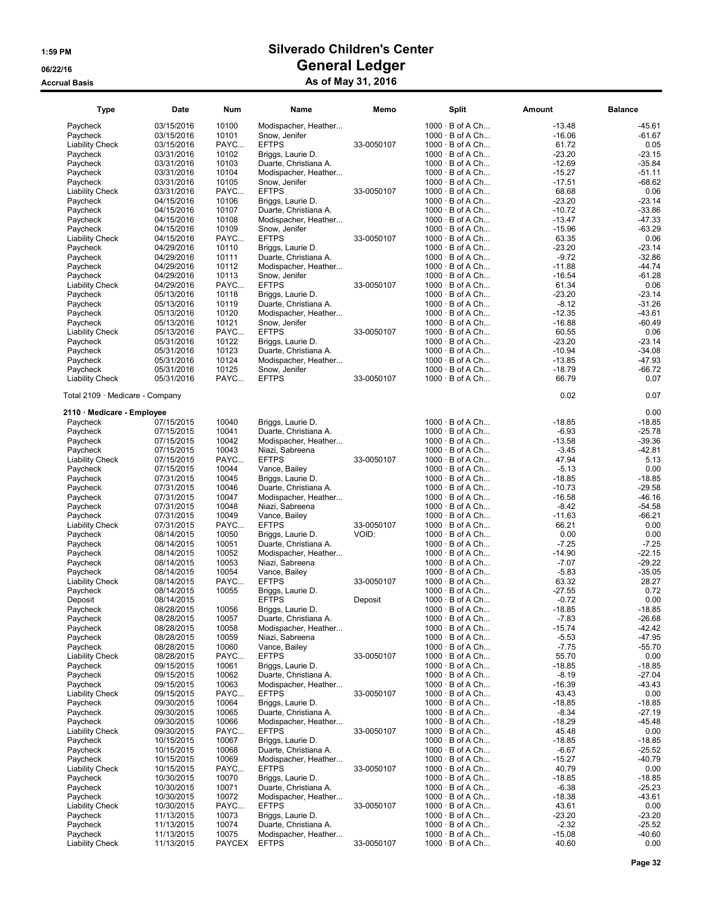| <b>Type</b>                     | Date       | <b>Num</b> | Name                  | Memo       | <b>Split</b>           | Amount   | <b>Balance</b> |
|---------------------------------|------------|------------|-----------------------|------------|------------------------|----------|----------------|
| Paycheck                        | 03/15/2016 | 10100      | Modispacher, Heather  |            | $1000 \cdot B$ of A Ch | $-13.48$ | $-45.61$       |
| Paycheck                        | 03/15/2016 | 10101      | Snow, Jenifer         |            | $1000 \cdot B$ of A Ch | $-16.06$ | $-61.67$       |
| <b>Liability Check</b>          | 03/15/2016 | PAYC       | <b>EFTPS</b>          | 33-0050107 | $1000 \cdot B$ of A Ch | 61.72    | 0.05           |
| Paycheck                        | 03/31/2016 | 10102      | Briggs, Laurie D.     |            | $1000 \cdot B$ of A Ch | $-23.20$ | $-23.15$       |
| Paycheck                        | 03/31/2016 | 10103      | Duarte, Christiana A. |            | $1000 \cdot B$ of A Ch | $-12.69$ | $-35.84$       |
| Paycheck                        | 03/31/2016 | 10104      | Modispacher, Heather  |            | $1000 \cdot B$ of A Ch | $-15.27$ | $-51.11$       |
| Paycheck                        | 03/31/2016 | 10105      | Snow, Jenifer         |            | $1000 \cdot B$ of A Ch | $-17.51$ | $-68.62$       |
| <b>Liability Check</b>          | 03/31/2016 | PAYC       | <b>EFTPS</b>          | 33-0050107 | $1000 \cdot B$ of A Ch | 68.68    | 0.06           |
| Paycheck                        | 04/15/2016 | 10106      | Briggs, Laurie D.     |            | $1000 \cdot B$ of A Ch | $-23.20$ | $-23.14$       |
| Paycheck                        | 04/15/2016 | 10107      | Duarte, Christiana A. |            | $1000 \cdot B$ of A Ch | $-10.72$ | $-33.86$       |
| Paycheck                        | 04/15/2016 | 10108      | Modispacher, Heather  |            | $1000 \cdot B$ of A Ch | $-13.47$ | -47.33         |
| Paycheck                        | 04/15/2016 | 10109      | Snow, Jenifer         |            | $1000 \cdot B$ of A Ch | $-15.96$ | $-63.29$       |
| <b>Liability Check</b>          | 04/15/2016 | PAYC       | <b>EFTPS</b>          | 33-0050107 | 1000 · B of A Ch       | 63.35    | 0.06           |
| Paycheck                        | 04/29/2016 | 10110      | Briggs, Laurie D.     |            | $1000 \cdot B$ of A Ch | $-23.20$ | $-23.14$       |
| Paycheck                        | 04/29/2016 | 10111      | Duarte, Christiana A. |            | $1000 \cdot B$ of A Ch | $-9.72$  | $-32.86$       |
| Paycheck                        | 04/29/2016 | 10112      | Modispacher, Heather  |            | $1000 \cdot B$ of A Ch | $-11.88$ | $-44.74$       |
| Paycheck                        | 04/29/2016 | 10113      | Snow, Jenifer         |            | 1000 · B of A Ch       | $-16.54$ | $-61.28$       |
| <b>Liability Check</b>          | 04/29/2016 | PAYC       | <b>EFTPS</b>          | 33-0050107 | $1000 \cdot B$ of A Ch | 61.34    | 0.06           |
| Paycheck                        | 05/13/2016 | 10118      | Briggs, Laurie D.     |            | $1000 \cdot B$ of A Ch | $-23.20$ | $-23.14$       |
| Paycheck                        | 05/13/2016 | 10119      | Duarte, Christiana A. |            | 1000 · B of A Ch       | $-8.12$  | $-31.26$       |
| Paycheck                        | 05/13/2016 | 10120      | Modispacher, Heather  |            | $1000 \cdot B$ of A Ch | $-12.35$ | $-43.61$       |
| Paycheck                        | 05/13/2016 | 10121      | Snow, Jenifer         |            | $1000 \cdot B$ of A Ch | $-16.88$ | -60.49         |
| <b>Liability Check</b>          | 05/13/2016 | PAYC       | <b>EFTPS</b>          | 33-0050107 | $1000 \cdot B$ of A Ch | 60.55    | 0.06           |
| Paycheck                        | 05/31/2016 | 10122      | Briggs, Laurie D.     |            | $1000 \cdot B$ of A Ch | $-23.20$ | $-23.14$       |
| Paycheck                        | 05/31/2016 | 10123      | Duarte, Christiana A. |            | $1000 \cdot B$ of A Ch | $-10.94$ | $-34.08$       |
| Paycheck                        | 05/31/2016 | 10124      | Modispacher, Heather  |            | $1000 \cdot B$ of A Ch | $-13.85$ | $-47.93$       |
| Paycheck                        | 05/31/2016 | 10125      | Snow, Jenifer         |            | $1000 \cdot B$ of A Ch | $-18.79$ | $-66.72$       |
| <b>Liability Check</b>          | 05/31/2016 | PAYC       | <b>EFTPS</b>          | 33-0050107 | $1000 \cdot B$ of A Ch | 66.79    | 0.07           |
|                                 |            |            |                       |            |                        |          |                |
| Total 2109 · Medicare - Company |            |            |                       |            |                        | 0.02     | 0.07           |
| 2110 · Medicare - Employee      |            |            |                       |            |                        |          | 0.00           |
| Paycheck                        | 07/15/2015 | 10040      | Briggs, Laurie D.     |            | $1000 \cdot B$ of A Ch | $-18.85$ | $-18.85$       |
| Paycheck                        | 07/15/2015 | 10041      | Duarte, Christiana A. |            | $1000 \cdot B$ of A Ch | $-6.93$  | $-25.78$       |
| Paycheck                        | 07/15/2015 | 10042      | Modispacher, Heather  |            | $1000 \cdot B$ of A Ch | $-13.58$ | $-39.36$       |
| Paycheck                        | 07/15/2015 | 10043      | Niazi, Sabreena       |            | $1000 \cdot B$ of A Ch | $-3.45$  | -42.81         |
| <b>Liability Check</b>          | 07/15/2015 | PAYC       | <b>EFTPS</b>          | 33-0050107 | $1000 \cdot B$ of A Ch | 47.94    | 5.13           |
| Paycheck                        | 07/15/2015 | 10044      | Vance, Bailey         |            | $1000 \cdot B$ of A Ch | $-5.13$  | 0.00           |
| Paycheck                        | 07/31/2015 | 10045      | Briggs, Laurie D.     |            | $1000 \cdot B$ of A Ch | $-18.85$ | $-18.85$       |
| Paycheck                        | 07/31/2015 | 10046      | Duarte, Christiana A. |            | $1000 \cdot B$ of A Ch | $-10.73$ | $-29.58$       |
| Paycheck                        | 07/31/2015 | 10047      | Modispacher, Heather  |            | $1000 \cdot B$ of A Ch | $-16.58$ | $-46.16$       |
| Paycheck                        | 07/31/2015 | 10048      | Niazi, Sabreena       |            | $1000 \cdot B$ of A Ch | $-8.42$  | $-54.58$       |
| Paycheck                        | 07/31/2015 | 10049      | Vance, Bailey         |            | $1000 \cdot B$ of A Ch | $-11.63$ | -66.21         |
| <b>Liability Check</b>          | 07/31/2015 | PAYC       | <b>EFTPS</b>          | 33-0050107 | $1000 \cdot B$ of A Ch | 66.21    | 0.00           |
| Paycheck                        | 08/14/2015 | 10050      | Briggs, Laurie D.     | VOID:      | $1000 \cdot B$ of A Ch | 0.00     | 0.00           |
| Paycheck                        | 08/14/2015 | 10051      | Duarte, Christiana A. |            | $1000 \cdot B$ of A Ch | $-7.25$  | $-7.25$        |
| Paycheck                        | 08/14/2015 | 10052      | Modispacher, Heather  |            | $1000 \cdot B$ of A Ch | $-14.90$ | $-22.15$       |
| Paycheck                        | 08/14/2015 | 10053      | Niazi, Sabreena       |            | $1000 \cdot B$ of A Ch | $-7.07$  | $-29.22$       |
| Paycheck                        | 08/14/2015 | 10054      | Vance, Bailey         |            | $1000 \cdot B$ of A Ch | $-5.83$  | -35.05         |
| <b>Liability Check</b>          | 08/14/2015 | PAYC       | <b>EFTPS</b>          | 33-0050107 | $1000 \cdot B$ of A Ch | 63.32    | 28.27          |
| Paycheck                        | 08/14/2015 | 10055      | Briggs, Laurie D.     |            | $1000 \cdot B$ of A Ch | $-27.55$ | 0.72           |
| Deposit                         | 08/14/2015 |            | <b>EFTPS</b>          | Deposit    | $1000 \cdot B$ of A Ch | $-0.72$  | 0.00           |
| Paycheck                        | 08/28/2015 | 10056      | Briggs, Laurie D.     |            | $1000 \cdot B$ of A Ch | $-18.85$ | $-18.85$       |
| Paycheck                        | 08/28/2015 | 10057      | Duarte, Christiana A. |            | $1000 \cdot B$ of A Ch | $-7.83$  | -26.68         |
| Paycheck                        | 08/28/2015 | 10058      | Modispacher, Heather  |            | $1000 \cdot B$ of A Ch | $-15.74$ | $-42.42$       |
| Paycheck                        | 08/28/2015 | 10059      | Niazi, Sabreena       |            | $1000 \cdot B$ of A Ch | $-5.53$  | $-47.95$       |
| Paycheck                        | 08/28/2015 | 10060      | Vance, Bailey         |            | $1000 \cdot B$ of A Ch | $-7.75$  | -55.70         |
| <b>Liability Check</b>          | 08/28/2015 | PAYC       | <b>EFTPS</b>          | 33-0050107 | $1000 \cdot B$ of A Ch | 55.70    | 0.00           |
| Paycheck                        | 09/15/2015 | 10061      | Briggs, Laurie D.     |            | $1000 \cdot B$ of A Ch | $-18.85$ | $-18.85$       |
| Paycheck                        | 09/15/2015 | 10062      | Duarte, Christiana A. |            | $1000 \cdot B$ of A Ch | $-8.19$  | $-27.04$       |
| Paycheck                        | 09/15/2015 | 10063      | Modispacher, Heather  |            | $1000 \cdot B$ of A Ch | $-16.39$ | $-43.43$       |
| <b>Liability Check</b>          | 09/15/2015 | PAYC       | <b>EFTPS</b>          | 33-0050107 | $1000 \cdot B$ of A Ch | 43.43    | 0.00           |
| Paycheck                        | 09/30/2015 | 10064      | Briggs, Laurie D.     |            | $1000 \cdot B$ of A Ch | $-18.85$ | $-18.85$       |
| Paycheck                        | 09/30/2015 | 10065      | Duarte, Christiana A. |            | $1000 \cdot B$ of A Ch | $-8.34$  | $-27.19$       |
| Paycheck                        | 09/30/2015 | 10066      | Modispacher, Heather  |            | $1000 \cdot B$ of A Ch | $-18.29$ | $-45.48$       |
| <b>Liability Check</b>          | 09/30/2015 | PAYC       | <b>EFTPS</b>          | 33-0050107 | $1000 \cdot B$ of A Ch | 45.48    | 0.00           |
| Paycheck                        | 10/15/2015 | 10067      | Briggs, Laurie D.     |            | $1000 \cdot B$ of A Ch | $-18.85$ | $-18.85$       |
| Paycheck                        | 10/15/2015 | 10068      | Duarte, Christiana A. |            | $1000 \cdot B$ of A Ch | $-6.67$  | -25.52         |
| Paycheck                        | 10/15/2015 | 10069      | Modispacher, Heather  |            | $1000 \cdot B$ of A Ch | $-15.27$ | $-40.79$       |
| <b>Liability Check</b>          | 10/15/2015 | PAYC       | <b>EFTPS</b>          | 33-0050107 | $1000 \cdot B$ of A Ch | 40.79    | 0.00           |
| Paycheck                        | 10/30/2015 | 10070      | Briggs, Laurie D.     |            | $1000 \cdot B$ of A Ch | $-18.85$ | $-18.85$       |
| Paycheck                        | 10/30/2015 | 10071      | Duarte, Christiana A. |            | $1000 \cdot B$ of A Ch | $-6.38$  | $-25.23$       |
| Paycheck                        | 10/30/2015 | 10072      | Modispacher, Heather  |            | $1000 \cdot B$ of A Ch | $-18.38$ | $-43.61$       |
| <b>Liability Check</b>          | 10/30/2015 | PAYC       | <b>EFTPS</b>          | 33-0050107 | $1000 \cdot B$ of A Ch | 43.61    | 0.00           |
| Paycheck                        | 11/13/2015 | 10073      | Briggs, Laurie D.     |            | $1000 \cdot B$ of A Ch | $-23.20$ | $-23.20$       |
| Paycheck                        | 11/13/2015 | 10074      | Duarte, Christiana A. |            | $1000 \cdot B$ of A Ch | $-2.32$  | $-25.52$       |
| Paycheck                        | 11/13/2015 | 10075      | Modispacher, Heather  |            | $1000 \cdot B$ of A Ch | $-15.08$ | $-40.60$       |
| <b>Liability Check</b>          | 11/13/2015 | PAYCEX     | <b>EFTPS</b>          | 33-0050107 | $1000 \cdot B$ of A Ch | 40.60    | 0.00           |
|                                 |            |            |                       |            |                        |          |                |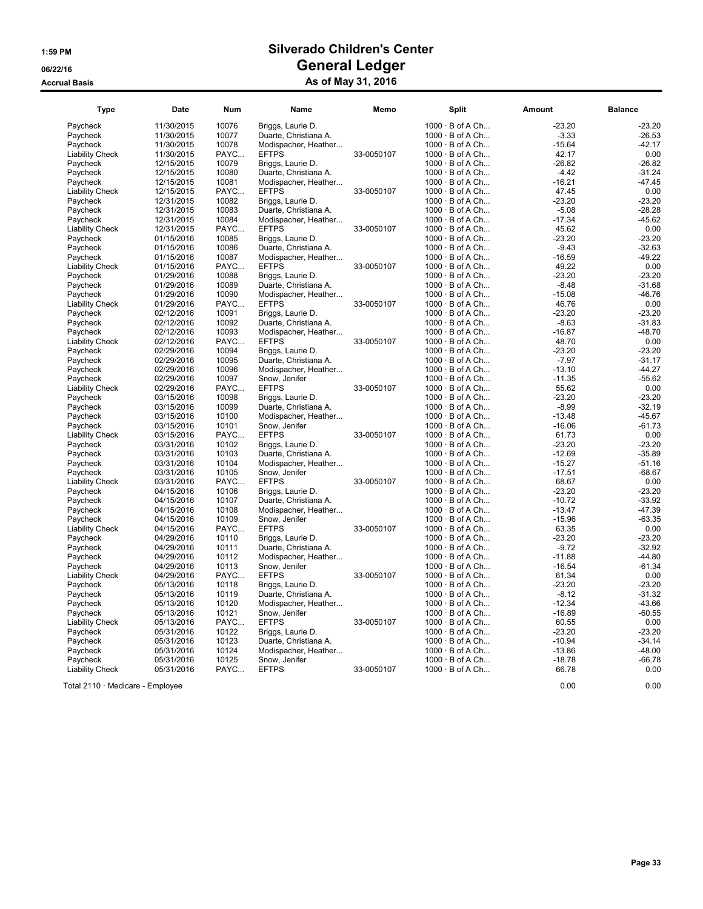| <b>Type</b>            | Date       | <b>Num</b> | Name                  | Memo       | <b>Split</b>           | Amount   | <b>Balance</b> |
|------------------------|------------|------------|-----------------------|------------|------------------------|----------|----------------|
| Paycheck               | 11/30/2015 | 10076      | Briggs, Laurie D.     |            | $1000 \cdot B$ of A Ch | $-23.20$ | $-23.20$       |
| Paycheck               | 11/30/2015 | 10077      | Duarte, Christiana A. |            | $1000 \cdot B$ of A Ch | $-3.33$  | $-26.53$       |
| Paycheck               | 11/30/2015 | 10078      | Modispacher, Heather  |            | 1000 · B of A Ch       | $-15.64$ | $-42.17$       |
| <b>Liability Check</b> | 11/30/2015 | PAYC       | <b>EFTPS</b>          | 33-0050107 | 1000 · B of A Ch       | 42.17    | 0.00           |
| Paycheck               | 12/15/2015 | 10079      | Briggs, Laurie D.     |            | $1000 \cdot B$ of A Ch | $-26.82$ | $-26.82$       |
| Paycheck               | 12/15/2015 | 10080      | Duarte, Christiana A. |            | $1000 \cdot B$ of A Ch | $-4.42$  | $-31.24$       |
| Paycheck               | 12/15/2015 | 10081      | Modispacher, Heather  |            | $1000 \cdot B$ of A Ch | $-16.21$ | $-47.45$       |
| <b>Liability Check</b> | 12/15/2015 | PAYC       | <b>EFTPS</b>          | 33-0050107 | $1000 \cdot B$ of A Ch | 47.45    | 0.00           |
| Pavcheck               | 12/31/2015 | 10082      | Briggs, Laurie D.     |            | 1000 · B of A Ch       | $-23.20$ | $-23.20$       |
| Paycheck               | 12/31/2015 | 10083      | Duarte, Christiana A. |            | $1000 \cdot B$ of A Ch | $-5.08$  | $-28.28$       |
| Paycheck               | 12/31/2015 | 10084      | Modispacher, Heather  |            | $1000 \cdot B$ of A Ch | $-17.34$ | $-45.62$       |
| <b>Liability Check</b> | 12/31/2015 | PAYC       | <b>EFTPS</b>          | 33-0050107 | 1000 · B of A Ch       | 45.62    | 0.00           |
| Paycheck               | 01/15/2016 | 10085      | Briggs, Laurie D.     |            | $1000 \cdot B$ of A Ch | $-23.20$ | $-23.20$       |
| Paycheck               | 01/15/2016 | 10086      | Duarte, Christiana A. |            | 1000 · B of A Ch       | $-9.43$  | $-32.63$       |
| Paycheck               | 01/15/2016 | 10087      | Modispacher, Heather  |            | $1000 \cdot B$ of A Ch | $-16.59$ | $-49.22$       |
| <b>Liability Check</b> | 01/15/2016 | PAYC       | <b>EFTPS</b>          | 33-0050107 | $1000 \cdot B$ of A Ch | 49.22    | 0.00           |
| Paycheck               | 01/29/2016 | 10088      | Briggs, Laurie D.     |            | $1000 \cdot B$ of A Ch | $-23.20$ | $-23.20$       |
| Paycheck               | 01/29/2016 | 10089      | Duarte, Christiana A. |            | $1000 \cdot B$ of A Ch | $-8.48$  | $-31.68$       |
| Paycheck               | 01/29/2016 | 10090      | Modispacher, Heather  |            | $1000 \cdot B$ of A Ch | $-15.08$ | $-46.76$       |
| <b>Liability Check</b> | 01/29/2016 | PAYC       | <b>EFTPS</b>          | 33-0050107 | $1000 \cdot B$ of A Ch | 46.76    | 0.00           |
| Paycheck               | 02/12/2016 | 10091      | Briggs, Laurie D.     |            | 1000 · B of A Ch       | $-23.20$ | $-23.20$       |
| Paycheck               | 02/12/2016 | 10092      | Duarte, Christiana A. |            | $1000 \cdot B$ of A Ch | $-8.63$  | $-31.83$       |
| Paycheck               | 02/12/2016 | 10093      | Modispacher, Heather  |            | 1000 · B of A Ch       | $-16.87$ | $-48.70$       |
| <b>Liability Check</b> | 02/12/2016 | PAYC       | <b>EFTPS</b>          | 33-0050107 | $1000 \cdot B$ of A Ch | 48.70    | 0.00           |
| Paycheck               | 02/29/2016 | 10094      | Briggs, Laurie D.     |            | $1000 \cdot B$ of A Ch | $-23.20$ | $-23.20$       |
| Paycheck               | 02/29/2016 | 10095      | Duarte, Christiana A. |            | $1000 \cdot B$ of A Ch | $-7.97$  | $-31.17$       |
| Paycheck               | 02/29/2016 | 10096      | Modispacher, Heather  |            | $1000 \cdot B$ of A Ch | $-13.10$ | $-44.27$       |
| Pavcheck               | 02/29/2016 | 10097      | Snow. Jenifer         |            | $1000 \cdot B$ of A Ch | $-11.35$ | $-55.62$       |
| <b>Liability Check</b> | 02/29/2016 | PAYC       | <b>EFTPS</b>          | 33-0050107 | $1000 \cdot B$ of A Ch | 55.62    | 0.00           |
| Paycheck               | 03/15/2016 | 10098      | Briggs, Laurie D.     |            | 1000 · B of A Ch       | $-23.20$ | $-23.20$       |
| Paycheck               | 03/15/2016 | 10099      | Duarte, Christiana A. |            | $1000 \cdot B$ of A Ch | $-8.99$  | $-32.19$       |
| Paycheck               | 03/15/2016 | 10100      | Modispacher, Heather  |            | 1000 · B of A Ch       | $-13.48$ | $-45.67$       |
| Paycheck               | 03/15/2016 | 10101      | Snow, Jenifer         |            | $1000 \cdot B$ of A Ch | $-16.06$ | $-61.73$       |
| <b>Liability Check</b> | 03/15/2016 | PAYC       | <b>EFTPS</b>          | 33-0050107 | $1000 \cdot B$ of A Ch | 61.73    | 0.00           |
| Paycheck               | 03/31/2016 | 10102      | Briggs, Laurie D.     |            | $1000 \cdot B$ of A Ch | $-23.20$ | $-23.20$       |
| Paycheck               | 03/31/2016 | 10103      | Duarte, Christiana A. |            | $1000 \cdot B$ of A Ch | $-12.69$ | $-35.89$       |
| Paycheck               | 03/31/2016 | 10104      | Modispacher, Heather  |            | $1000 \cdot B$ of A Ch | $-15.27$ | $-51.16$       |
| Paycheck               | 03/31/2016 | 10105      | Snow, Jenifer         |            | $1000 \cdot B$ of A Ch | $-17.51$ | $-68.67$       |
| <b>Liability Check</b> | 03/31/2016 | PAYC       | <b>EFTPS</b>          | 33-0050107 | $1000 \cdot B$ of A Ch | 68.67    | 0.00           |
| Paycheck               | 04/15/2016 | 10106      | Briggs, Laurie D.     |            | 1000 · B of A Ch       | $-23.20$ | $-23.20$       |
| Paycheck               | 04/15/2016 | 10107      | Duarte, Christiana A. |            | $1000 \cdot B$ of A Ch | $-10.72$ | $-33.92$       |
| Paycheck               | 04/15/2016 | 10108      | Modispacher, Heather  |            | $1000 \cdot B$ of A Ch | $-13.47$ | $-47.39$       |
| Paycheck               | 04/15/2016 | 10109      | Snow, Jenifer         |            | $1000 \cdot B$ of A Ch | $-15.96$ | $-63.35$       |
| <b>Liability Check</b> | 04/15/2016 | PAYC       | <b>EFTPS</b>          | 33-0050107 | $1000 \cdot B$ of A Ch | 63.35    | 0.00           |
| Paycheck               | 04/29/2016 | 10110      | Briggs, Laurie D.     |            | $1000 \cdot B$ of A Ch | $-23.20$ | $-23.20$       |
| Pavcheck               | 04/29/2016 | 10111      | Duarte, Christiana A. |            | $1000 \cdot B$ of A Ch | $-9.72$  | $-32.92$       |
| Paycheck               | 04/29/2016 | 10112      | Modispacher, Heather  |            | $1000 \cdot B$ of A Ch | $-11.88$ | $-44.80$       |
| Paycheck               | 04/29/2016 | 10113      | Snow, Jenifer         |            | $1000 \cdot B$ of A Ch | $-16.54$ | $-61.34$       |
| <b>Liability Check</b> | 04/29/2016 | PAYC       | <b>EFTPS</b>          | 33-0050107 | $1000 \cdot B$ of A Ch | 61.34    | 0.00           |
| Paycheck               | 05/13/2016 | 10118      | Briggs, Laurie D.     |            | 1000 · B of A Ch       | $-23.20$ | $-23.20$       |
| Paycheck               | 05/13/2016 | 10119      | Duarte, Christiana A. |            | 1000 · B of A Ch       | $-8.12$  | $-31.32$       |
| Paycheck               | 05/13/2016 | 10120      | Modispacher, Heather  |            | $1000 \cdot B$ of A Ch | $-12.34$ | $-43.66$       |
| Paycheck               | 05/13/2016 | 10121      | Snow, Jenifer         |            | $1000 \cdot B$ of A Ch | $-16.89$ | $-60.55$       |
| <b>Liability Check</b> | 05/13/2016 | PAYC       | <b>EFTPS</b>          | 33-0050107 | $1000 \cdot B$ of A Ch | 60.55    | 0.00           |
| Pavcheck               | 05/31/2016 | 10122      | Briggs, Laurie D.     |            | $1000 \cdot B$ of A Ch | $-23.20$ | $-23.20$       |
| Paycheck               | 05/31/2016 | 10123      | Duarte, Christiana A. |            | $1000 \cdot B$ of A Ch | $-10.94$ | $-34.14$       |
| Paycheck               | 05/31/2016 | 10124      | Modispacher, Heather  |            | $1000 \cdot B$ of A Ch | $-13.86$ | $-48.00$       |
| Paycheck               | 05/31/2016 | 10125      | Snow, Jenifer         |            | $1000 \cdot B$ of A Ch | $-18.78$ | $-66.78$       |
| <b>Liability Check</b> | 05/31/2016 | PAYC       | <b>EFTPS</b>          | 33-0050107 | 1000 · B of A Ch       | 66.78    | 0.00           |

Total 2110 · Medicare - Employee 0.00 0.00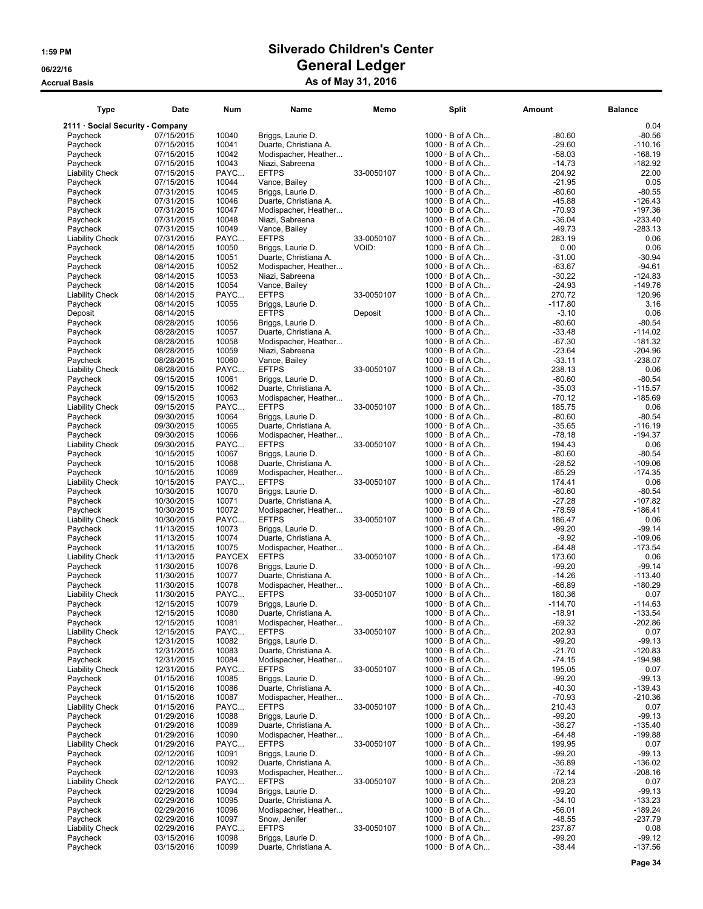| Type                               | Date                     | Num            | Name                                       | Memo       | <b>Split</b>                                     | Amount               | <b>Balance</b>         |
|------------------------------------|--------------------------|----------------|--------------------------------------------|------------|--------------------------------------------------|----------------------|------------------------|
| 2111 · Social Security - Company   |                          |                |                                            |            |                                                  |                      | 0.04                   |
| Paycheck                           | 07/15/2015               | 10040          | Briggs, Laurie D.                          |            | $1000 \cdot B$ of A Ch                           | $-80.60$             | $-80.56$               |
| Paycheck                           | 07/15/2015               | 10041          | Duarte, Christiana A.                      |            | $1000 \cdot B$ of A Ch                           | $-29.60$             | $-110.16$              |
| Paycheck                           | 07/15/2015               | 10042          | Modispacher, Heather                       |            | $1000 \cdot B$ of A Ch                           | $-58.03$             | $-168.19$              |
| Paycheck                           | 07/15/2015               | 10043          | Niazi, Sabreena                            |            | $1000 \cdot B$ of A Ch                           | $-14.73$             | $-182.92$              |
| <b>Liability Check</b>             | 07/15/2015               | PAYC           | <b>EFTPS</b>                               | 33-0050107 | 1000 · B of A Ch                                 | 204.92               | 22.00                  |
| Paycheck                           | 07/15/2015               | 10044          | Vance, Bailey                              |            | $1000 \cdot B$ of A Ch                           | $-21.95$             | 0.05                   |
| Paycheck                           | 07/31/2015               | 10045          | Briggs, Laurie D.                          |            | $1000 \cdot B$ of A Ch                           | $-80.60$             | $-80.55$               |
| Paycheck                           | 07/31/2015               | 10046          | Duarte, Christiana A.                      |            | $1000 \cdot B$ of A Ch                           | $-45.88$             | $-126.43$              |
| Paycheck<br>Paycheck               | 07/31/2015               | 10047<br>10048 | Modispacher, Heather<br>Niazi, Sabreena    |            | $1000 \cdot B$ of A Ch<br>$1000 \cdot B$ of A Ch | $-70.93$<br>$-36.04$ | $-197.36$<br>$-233.40$ |
| Paycheck                           | 07/31/2015<br>07/31/2015 | 10049          | Vance, Bailey                              |            | $1000 \cdot B$ of A Ch                           | $-49.73$             | $-283.13$              |
| Liability Check                    | 07/31/2015               | PAYC           | <b>EFTPS</b>                               | 33-0050107 | $1000 \cdot B$ of A Ch                           | 283.19               | 0.06                   |
| Paycheck                           | 08/14/2015               | 10050          | Briggs, Laurie D.                          | VOID:      | $1000 \cdot B$ of A Ch                           | 0.00                 | 0.06                   |
| Paycheck                           | 08/14/2015               | 10051          | Duarte, Christiana A.                      |            | $1000 \cdot B$ of A Ch                           | $-31.00$             | $-30.94$               |
| Paycheck                           | 08/14/2015               | 10052          | Modispacher, Heather                       |            | $1000 \cdot B$ of A Ch                           | $-63.67$             | $-94.61$               |
| Paycheck                           | 08/14/2015               | 10053          | Niazi, Sabreena                            |            | $1000 \cdot B$ of A Ch                           | $-30.22$             | $-124.83$              |
| Paycheck                           | 08/14/2015               | 10054          | Vance, Bailey                              |            | $1000 \cdot B$ of A Ch                           | $-24.93$             | $-149.76$              |
| <b>Liability Check</b>             | 08/14/2015               | PAYC           | <b>EFTPS</b>                               | 33-0050107 | $1000 \cdot B$ of A Ch                           | 270.72               | 120.96                 |
| Paycheck                           | 08/14/2015               | 10055          | Briggs, Laurie D.                          |            | $1000 \cdot B$ of A Ch                           | $-117.80$            | 3.16                   |
| Deposit                            | 08/14/2015               |                | <b>EFTPS</b>                               | Deposit    | $1000 \cdot B$ of A Ch                           | $-3.10$              | 0.06                   |
| Paycheck                           | 08/28/2015               | 10056          | Briggs, Laurie D.                          |            | $1000 \cdot B$ of A Ch                           | $-80.60$             | $-80.54$               |
| Paycheck                           | 08/28/2015               | 10057          | Duarte, Christiana A.                      |            | $1000 \cdot B$ of A Ch                           | $-33.48$             | $-114.02$              |
| Paycheck                           | 08/28/2015               | 10058          | Modispacher, Heather                       |            | $1000 \cdot B$ of A Ch                           | $-67.30$             | $-181.32$              |
| Paycheck                           | 08/28/2015               | 10059          | Niazi, Sabreena                            |            | $1000 \cdot B$ of A Ch                           | $-23.64$             | $-204.96$              |
| Paycheck                           | 08/28/2015               | 10060          | Vance, Bailey                              |            | 1000 · B of A Ch                                 | $-33.11$             | $-238.07$              |
| <b>Liability Check</b><br>Paycheck | 08/28/2015<br>09/15/2015 | PAYC<br>10061  | <b>EFTPS</b><br>Briggs, Laurie D.          | 33-0050107 | $1000 \cdot B$ of A Ch<br>$1000 \cdot B$ of A Ch | 238.13<br>$-80.60$   | 0.06<br>$-80.54$       |
| Paycheck                           | 09/15/2015               | 10062          | Duarte, Christiana A.                      |            | $1000 \cdot B$ of A Ch                           | $-35.03$             | $-115.57$              |
| Paycheck                           | 09/15/2015               | 10063          | Modispacher, Heather                       |            | $1000 \cdot B$ of A Ch                           | $-70.12$             | $-185.69$              |
| <b>Liability Check</b>             | 09/15/2015               | PAYC           | <b>EFTPS</b>                               | 33-0050107 | 1000 · B of A Ch                                 | 185.75               | 0.06                   |
| Paycheck                           | 09/30/2015               | 10064          | Briggs, Laurie D.                          |            | $1000 \cdot B$ of A Ch                           | $-80.60$             | $-80.54$               |
| Paycheck                           | 09/30/2015               | 10065          | Duarte, Christiana A.                      |            | $1000 \cdot B$ of A Ch                           | $-35.65$             | $-116.19$              |
| Paycheck                           | 09/30/2015               | 10066          | Modispacher, Heather                       |            | $1000 \cdot B$ of A Ch                           | $-78.18$             | -194.37                |
| Liability Check                    | 09/30/2015               | PAYC           | <b>EFTPS</b>                               | 33-0050107 | $1000 \cdot B$ of A Ch                           | 194.43               | 0.06                   |
| Paycheck                           | 10/15/2015               | 10067          | Briggs, Laurie D.                          |            | $1000 \cdot B$ of A Ch                           | $-80.60$             | $-80.54$               |
| Paycheck                           | 10/15/2015               | 10068          | Duarte, Christiana A.                      |            | $1000 \cdot B$ of A Ch                           | $-28.52$             | $-109.06$              |
| Paycheck                           | 10/15/2015               | 10069          | Modispacher, Heather                       |            | 1000 · B of A Ch                                 | $-65.29$             | $-174.35$              |
| Liability Check                    | 10/15/2015               | PAYC           | <b>EFTPS</b>                               | 33-0050107 | $1000 \cdot B$ of A Ch                           | 174.41               | 0.06                   |
| Paycheck                           | 10/30/2015               | 10070          | Briggs, Laurie D.                          |            | $1000 \cdot B$ of A Ch                           | $-80.60$             | $-80.54$               |
| Paycheck                           | 10/30/2015               | 10071          | Duarte, Christiana A.                      |            | $1000 \cdot B$ of A Ch                           | $-27.28$             | $-107.82$              |
| Paycheck                           | 10/30/2015<br>10/30/2015 | 10072<br>PAYC  | Modispacher, Heather<br><b>EFTPS</b>       | 33-0050107 | $1000 \cdot B$ of A Ch<br>1000 · B of A Ch       | $-78.59$<br>186.47   | -186.41<br>0.06        |
| Liability Check<br>Paycheck        | 11/13/2015               | 10073          | Briggs, Laurie D.                          |            | $1000 \cdot B$ of A Ch                           | $-99.20$             | -99.14                 |
| Paycheck                           | 11/13/2015               | 10074          | Duarte, Christiana A.                      |            | $1000 \cdot B$ of A Ch                           | $-9.92$              | $-109.06$              |
| Paycheck                           | 11/13/2015               | 10075          | Modispacher, Heather                       |            | $1000 \cdot B$ of A Ch                           | $-64.48$             | $-173.54$              |
| <b>Liability Check</b>             | 11/13/2015               | PAYCEX         | <b>EFTPS</b>                               | 33-0050107 | $1000 \cdot B$ of A Ch                           | 173.60               | 0.06                   |
| Paycheck                           | 11/30/2015               | 10076          | Briggs, Laurie D.                          |            | $1000 \cdot B$ of A Ch                           | $-99.20$             | $-99.14$               |
| Paycheck                           | 11/30/2015               | 10077          | Duarte, Christiana A.                      |            | $1000 \cdot B$ of A Ch                           | $-14.26$             | $-113.40$              |
| Paycheck                           | 11/30/2015               | 10078          | Modispacher, Heather                       |            | 1000 · B of A Ch                                 | $-66.89$             | $-180.29$              |
| Liability Check                    | 11/30/2015               | PAYC           | <b>EFTPS</b>                               | 33-0050107 | $1000 \cdot B$ of A Ch                           | 180.36               | 0.07                   |
| Paycheck                           | 12/15/2015               | 10079          | Briggs, Laurie D.                          |            | $1000 \cdot B$ of A Ch                           | -114.70              | $-114.63$              |
| Paycheck                           | 12/15/2015               | 10080          | Duarte, Christiana A.                      |            | $1000 \cdot B$ of A Ch                           | $-18.91$             | $-133.54$              |
| Paycheck                           | 12/15/2015               | 10081          | Modispacher, Heather                       |            | $1000 \cdot B$ of A Ch                           | $-69.32$             | $-202.86$              |
| <b>Liability Check</b>             | 12/15/2015               | PAYC           | <b>EFTPS</b>                               | 33-0050107 | $1000 \cdot B$ of A Ch                           | 202.93               | 0.07                   |
| Paycheck<br>Paycheck               | 12/31/2015<br>12/31/2015 | 10082<br>10083 | Briggs, Laurie D.<br>Duarte, Christiana A. |            | $1000 \cdot B$ of A Ch<br>$1000 \cdot B$ of A Ch | $-99.20$<br>$-21.70$ | $-99.13$<br>$-120.83$  |
| Paycheck                           | 12/31/2015               | 10084          | Modispacher, Heather                       |            | $1000 \cdot B$ of A Ch                           | $-74.15$             | $-194.98$              |
| <b>Liability Check</b>             | 12/31/2015               | PAYC           | <b>EFTPS</b>                               | 33-0050107 | $1000 \cdot B$ of A Ch                           | 195.05               | 0.07                   |
| Paycheck                           | 01/15/2016               | 10085          | Briggs, Laurie D.                          |            | $1000 \cdot B$ of A Ch                           | $-99.20$             | $-99.13$               |
| Paycheck                           | 01/15/2016               | 10086          | Duarte, Christiana A.                      |            | $1000 \cdot B$ of A Ch                           | $-40.30$             | $-139.43$              |
| Paycheck                           | 01/15/2016               | 10087          | Modispacher, Heather                       |            | $1000 \cdot B$ of A Ch                           | $-70.93$             | -210.36                |
| Liability Check                    | 01/15/2016               | PAYC           | <b>EFTPS</b>                               | 33-0050107 | $1000 \cdot B$ of A Ch                           | 210.43               | 0.07                   |
| Paycheck                           | 01/29/2016               | 10088          | Briggs, Laurie D.                          |            | $1000 \cdot B$ of A Ch                           | $-99.20$             | $-99.13$               |
| Paycheck                           | 01/29/2016               | 10089          | Duarte, Christiana A.                      |            | $1000 \cdot B$ of A Ch                           | $-36.27$             | $-135.40$              |
| Paycheck                           | 01/29/2016               | 10090          | Modispacher, Heather                       |            | $1000 \cdot B$ of A Ch                           | $-64.48$             | $-199.88$              |
| <b>Liability Check</b>             | 01/29/2016               | PAYC           | <b>EFTPS</b>                               | 33-0050107 | $1000 \cdot B$ of A Ch                           | 199.95               | 0.07                   |
| Paycheck                           | 02/12/2016               | 10091          | Briggs, Laurie D.                          |            | $1000 \cdot B$ of A Ch                           | $-99.20$             | $-99.13$               |
| Paycheck                           | 02/12/2016               | 10092          | Duarte, Christiana A.                      |            | $1000 \cdot B$ of A Ch                           | $-36.89$             | $-136.02$              |
| Paycheck<br>Liability Check        | 02/12/2016<br>02/12/2016 | 10093<br>PAYC  | Modispacher, Heather<br><b>EFTPS</b>       | 33-0050107 | $1000 \cdot B$ of A Ch<br>$1000 \cdot B$ of A Ch | $-72.14$<br>208.23   | $-208.16$<br>0.07      |
| Paycheck                           | 02/29/2016               | 10094          | Briggs, Laurie D.                          |            | $1000 \cdot B$ of A Ch                           | $-99.20$             | $-99.13$               |
| Paycheck                           | 02/29/2016               | 10095          | Duarte, Christiana A.                      |            | $1000 \cdot B$ of A Ch                           | $-34.10$             | $-133.23$              |
| Paycheck                           | 02/29/2016               | 10096          | Modispacher, Heather                       |            | $1000 \cdot B$ of A Ch                           | $-56.01$             | $-189.24$              |
| Paycheck                           | 02/29/2016               | 10097          | Snow, Jenifer                              |            | $1000 \cdot B$ of A Ch                           | $-48.55$             | $-237.79$              |
| <b>Liability Check</b>             | 02/29/2016               | PAYC           | <b>EFTPS</b>                               | 33-0050107 | $1000 \cdot B$ of A Ch                           | 237.87               | 0.08                   |
| Paycheck                           | 03/15/2016               | 10098          | Briggs, Laurie D.                          |            | $1000 \cdot B$ of A Ch                           | $-99.20$             | $-99.12$               |
| Paycheck                           | 03/15/2016               | 10099          | Duarte, Christiana A.                      |            | $1000 \cdot B$ of A Ch                           | $-38.44$             | $-137.56$              |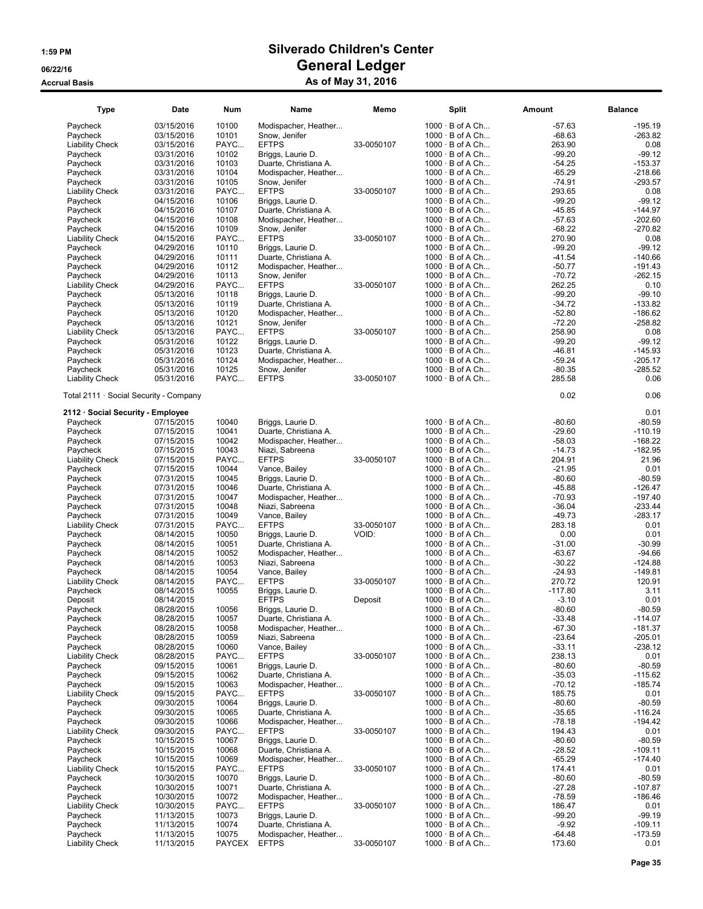| Type                                   | Date                     | Num            | Name                                          | Memo       | <b>Split</b>                                     | Amount               | <b>Balance</b>        |
|----------------------------------------|--------------------------|----------------|-----------------------------------------------|------------|--------------------------------------------------|----------------------|-----------------------|
| Paycheck                               | 03/15/2016               | 10100          | Modispacher, Heather                          |            | $1000 \cdot B$ of A Ch                           | $-57.63$             | $-195.19$             |
| Paycheck                               | 03/15/2016               | 10101          | Snow, Jenifer                                 |            | $1000 \cdot B$ of A Ch                           | $-68.63$             | $-263.82$             |
| <b>Liability Check</b>                 | 03/15/2016               | PAYC           | <b>EFTPS</b>                                  | 33-0050107 | $1000 \cdot B$ of A Ch                           | 263.90               | 0.08                  |
| Paycheck                               | 03/31/2016               | 10102          | Briggs, Laurie D.                             |            | $1000 \cdot B$ of A Ch                           | $-99.20$             | $-99.12$              |
| Paycheck                               | 03/31/2016               | 10103          | Duarte, Christiana A.                         |            | $1000 \cdot B$ of A Ch                           | $-54.25$             | $-153.37$             |
| Paycheck                               | 03/31/2016               | 10104          | Modispacher, Heather                          |            | $1000 \cdot B$ of A Ch                           | $-65.29$             | $-218.66$             |
| Paycheck                               | 03/31/2016               | 10105          | Snow, Jenifer                                 |            | $1000 \cdot B$ of A Ch                           | $-74.91$             | $-293.57$             |
| <b>Liability Check</b>                 | 03/31/2016               | PAYC           | <b>EFTPS</b>                                  | 33-0050107 | $1000 \cdot B$ of A Ch                           | 293.65               | 0.08                  |
| Paycheck                               | 04/15/2016               | 10106          | Briggs, Laurie D.                             |            | $1000 \cdot B$ of A Ch                           | $-99.20$             | $-99.12$              |
| Paycheck                               | 04/15/2016               | 10107          | Duarte, Christiana A.                         |            | $1000 \cdot B$ of A Ch                           | $-45.85$             | $-144.97$             |
| Paycheck                               | 04/15/2016               | 10108          | Modispacher, Heather                          |            | $1000 \cdot B$ of A Ch                           | $-57.63$             | $-202.60$             |
| Paycheck                               | 04/15/2016               | 10109          | Snow, Jenifer                                 |            | $1000 \cdot B$ of A Ch                           | $-68.22$             | $-270.82$             |
| <b>Liability Check</b>                 | 04/15/2016               | PAYC           | <b>EFTPS</b>                                  | 33-0050107 | $1000 \cdot B$ of A Ch                           | 270.90               | 0.08                  |
| Paycheck                               | 04/29/2016<br>04/29/2016 | 10110<br>10111 | Briggs, Laurie D.                             |            | $1000 \cdot B$ of A Ch<br>$1000 \cdot B$ of A Ch | $-99.20$<br>$-41.54$ | $-99.12$<br>$-140.66$ |
| Paycheck<br>Paycheck                   | 04/29/2016               | 10112          | Duarte, Christiana A.<br>Modispacher, Heather |            | $1000 \cdot B$ of A Ch                           | $-50.77$             | -191.43               |
| Paycheck                               | 04/29/2016               | 10113          | Snow, Jenifer                                 |            | $1000 \cdot B$ of A Ch                           | $-70.72$             | $-262.15$             |
| <b>Liability Check</b>                 | 04/29/2016               | PAYC           | <b>EFTPS</b>                                  | 33-0050107 | $1000 \cdot B$ of A Ch                           | 262.25               | 0.10                  |
| Paycheck                               | 05/13/2016               | 10118          | Briggs, Laurie D.                             |            | $1000 \cdot B$ of A Ch                           | $-99.20$             | $-99.10$              |
| Paycheck                               | 05/13/2016               | 10119          | Duarte, Christiana A.                         |            | 1000 · B of A Ch                                 | $-34.72$             | $-133.82$             |
| Paycheck                               | 05/13/2016               | 10120          | Modispacher, Heather                          |            | $1000 \cdot B$ of A Ch                           | $-52.80$             | $-186.62$             |
| Paycheck                               | 05/13/2016               | 10121          | Snow, Jenifer                                 |            | $1000 \cdot B$ of A Ch                           | $-72.20$             | $-258.82$             |
| <b>Liability Check</b>                 | 05/13/2016               | PAYC           | <b>EFTPS</b>                                  | 33-0050107 | $1000 \cdot B$ of A Ch                           | 258.90               | 0.08                  |
| Paycheck                               | 05/31/2016               | 10122          | Briggs, Laurie D.                             |            | $1000 \cdot B$ of A Ch                           | $-99.20$             | $-99.12$              |
| Paycheck                               | 05/31/2016               | 10123          | Duarte, Christiana A.                         |            | $1000 \cdot B$ of A Ch                           | $-46.81$             | $-145.93$             |
| Paycheck                               | 05/31/2016               | 10124          | Modispacher, Heather                          |            | $1000 \cdot B$ of A Ch                           | $-59.24$             | $-205.17$             |
| Paycheck                               | 05/31/2016               | 10125          | Snow, Jenifer                                 |            | $1000 \cdot B$ of A Ch                           | $-80.35$             | $-285.52$             |
| <b>Liability Check</b>                 | 05/31/2016               | PAYC           | <b>EFTPS</b>                                  | 33-0050107 | $1000 \cdot B$ of A Ch                           | 285.58               | 0.06                  |
| Total 2111 · Social Security - Company |                          |                |                                               |            |                                                  | 0.02                 | 0.06                  |
| 2112 · Social Security - Employee      |                          |                |                                               |            |                                                  |                      | 0.01                  |
| Paycheck                               | 07/15/2015               | 10040          | Briggs, Laurie D.                             |            | $1000 \cdot B$ of A Ch                           | $-80.60$             | $-80.59$              |
| Paycheck                               | 07/15/2015               | 10041          | Duarte, Christiana A.                         |            | $1000 \cdot B$ of A Ch                           | $-29.60$             | $-110.19$             |
| Paycheck                               | 07/15/2015               | 10042          | Modispacher, Heather                          |            | $1000 \cdot B$ of A Ch                           | $-58.03$             | $-168.22$             |
| Paycheck                               | 07/15/2015               | 10043          | Niazi, Sabreena                               |            | $1000 \cdot B$ of A Ch                           | $-14.73$             | $-182.95$             |
| <b>Liability Check</b>                 | 07/15/2015               | PAYC           | <b>EFTPS</b>                                  | 33-0050107 | $1000 \cdot B$ of A Ch                           | 204.91               | 21.96                 |
| Paycheck                               | 07/15/2015               | 10044          | Vance, Bailey                                 |            | $1000 \cdot B$ of A Ch                           | $-21.95$             | 0.01                  |
| Paycheck                               | 07/31/2015               | 10045          | Briggs, Laurie D.                             |            | $1000 \cdot B$ of A Ch                           | $-80.60$             | -80.59                |
| Paycheck                               | 07/31/2015               | 10046          | Duarte, Christiana A.                         |            | $1000 \cdot B$ of A Ch                           | $-45.88$             | $-126.47$             |
| Paycheck                               | 07/31/2015               | 10047          | Modispacher, Heather                          |            | $1000 \cdot B$ of A Ch                           | $-70.93$             | $-197.40$             |
| Paycheck                               | 07/31/2015               | 10048          | Niazi, Sabreena                               |            | $1000 \cdot B$ of A Ch                           | $-36.04$             | $-233.44$             |
| Paycheck                               | 07/31/2015<br>07/31/2015 | 10049<br>PAYC  | Vance, Bailey<br><b>EFTPS</b>                 | 33-0050107 | $1000 \cdot B$ of A Ch<br>$1000 \cdot B$ of A Ch | $-49.73$<br>283.18   | $-283.17$<br>0.01     |
| <b>Liability Check</b>                 | 08/14/2015               | 10050          | Briggs, Laurie D.                             | VOID:      | $1000 \cdot B$ of A Ch                           | 0.00                 | 0.01                  |
| Paycheck<br>Paycheck                   | 08/14/2015               | 10051          | Duarte, Christiana A.                         |            | 1000 · B of A Ch                                 | $-31.00$             | $-30.99$              |
| Paycheck                               | 08/14/2015               | 10052          | Modispacher, Heather                          |            | $1000 \cdot B$ of A Ch                           | $-63.67$             | $-94.66$              |
| Paycheck                               | 08/14/2015               | 10053          | Niazi, Sabreena                               |            | $1000 \cdot B$ of A Ch                           | $-30.22$             | $-124.88$             |
| Paycheck                               | 08/14/2015               | 10054          | Vance, Bailey                                 |            | 1000 · B of A Ch                                 | $-24.93$             | $-149.81$             |
| <b>Liability Check</b>                 | 08/14/2015               | PAYC           | <b>EFTPS</b>                                  | 33-0050107 | $1000 \cdot B$ of A Ch                           | 270.72               | 120.91                |
| Paycheck                               | 08/14/2015               | 10055          | Briggs, Laurie D.                             |            | $1000 \cdot B$ of A Ch                           | $-117.80$            | 3.11                  |
| Deposit                                | 08/14/2015               |                | <b>EFTPS</b>                                  | Deposit    | $1000 \cdot B$ of A Ch                           | $-3.10$              | 0.01                  |
| Paycheck                               | 08/28/2015               | 10056          | Briggs, Laurie D.                             |            | $1000 \cdot B$ of A Ch                           | $-80.60$             | $-80.59$              |
| Paycheck                               | 08/28/2015               | 10057          | Duarte, Christiana A.                         |            | $1000 \cdot B$ of A Ch                           | $-33.48$             | $-114.07$             |
| Paycheck                               | 08/28/2015               | 10058          | Modispacher, Heather                          |            | $1000 \cdot B$ of A Ch                           | $-67.30$             | $-181.37$             |
| Paycheck                               | 08/28/2015               | 10059          | Niazi, Sabreena                               |            | $1000 \cdot B$ of A Ch                           | $-23.64$             | $-205.01$             |
| Paycheck                               | 08/28/2015               | 10060          | Vance, Bailey                                 |            | $1000 \cdot B$ of A Ch                           | $-33.11$             | $-238.12$             |
| <b>Liability Check</b>                 | 08/28/2015               | PAYC           | <b>EFTPS</b>                                  | 33-0050107 | $1000 \cdot B$ of A Ch                           | 238.13               | 0.01                  |
| Paycheck                               | 09/15/2015               | 10061          | Briggs, Laurie D.                             |            | $1000 \cdot B$ of A Ch                           | $-80.60$             | $-80.59$              |
| Paycheck                               | 09/15/2015               | 10062          | Duarte, Christiana A.                         |            | $1000 \cdot B$ of A Ch                           | $-35.03$             | $-115.62$             |
| Paycheck                               | 09/15/2015               | 10063          | Modispacher, Heather                          |            | $1000 \cdot B$ of A Ch                           | $-70.12$             | $-185.74$             |
| <b>Liability Check</b>                 | 09/15/2015               | PAYC           | <b>EFTPS</b>                                  | 33-0050107 | $1000 \cdot B$ of A Ch                           | 185.75               | 0.01                  |
| Paycheck                               | 09/30/2015               | 10064          | Briggs, Laurie D.                             |            | $1000 \cdot B$ of A Ch                           | $-80.60$             | $-80.59$              |
| Paycheck                               | 09/30/2015               | 10065          | Duarte, Christiana A.                         |            | $1000 \cdot B$ of A Ch                           | $-35.65$             | $-116.24$             |
| Paycheck                               | 09/30/2015               | 10066          | Modispacher, Heather                          |            | $1000 \cdot B$ of A Ch                           | $-78.18$             | $-194.42$             |
| <b>Liability Check</b>                 | 09/30/2015               | PAYC           | <b>EFTPS</b>                                  | 33-0050107 | $1000 \cdot B$ of A Ch                           | 194.43               | 0.01                  |
| Paycheck                               | 10/15/2015               | 10067          | Briggs, Laurie D.                             |            | $1000 \cdot B$ of A Ch                           | $-80.60$             | $-80.59$              |
| Paycheck                               | 10/15/2015               | 10068          | Duarte, Christiana A.                         |            | $1000 \cdot B$ of A Ch                           | $-28.52$             | $-109.11$             |
| Paycheck                               | 10/15/2015               | 10069          | Modispacher, Heather                          |            | $1000 \cdot B$ of A Ch                           | $-65.29$             | $-174.40$             |
| <b>Liability Check</b>                 | 10/15/2015               | PAYC           | <b>EFTPS</b>                                  | 33-0050107 | $1000 \cdot B$ of A Ch                           | 174.41               | 0.01                  |
| Paycheck                               | 10/30/2015               | 10070<br>10071 | Briggs, Laurie D.                             |            | $1000 \cdot B$ of A Ch                           | $-80.60$             | $-80.59$<br>$-107.87$ |
| Paycheck                               | 10/30/2015               | 10072          | Duarte, Christiana A.                         |            | $1000 \cdot B$ of A Ch                           | $-27.28$<br>$-78.59$ |                       |
| Paycheck<br><b>Liability Check</b>     | 10/30/2015<br>10/30/2015 | PAYC           | Modispacher, Heather<br><b>EFTPS</b>          | 33-0050107 | $1000 \cdot B$ of A Ch<br>$1000 \cdot B$ of A Ch | 186.47               | $-186.46$<br>0.01     |
| Paycheck                               | 11/13/2015               | 10073          | Briggs, Laurie D.                             |            | $1000 \cdot B$ of A Ch                           | $-99.20$             | $-99.19$              |
| Paycheck                               | 11/13/2015               | 10074          | Duarte, Christiana A.                         |            | $1000 \cdot B$ of A Ch                           | $-9.92$              | $-109.11$             |
| Paycheck                               | 11/13/2015               | 10075          | Modispacher, Heather                          |            | $1000 \cdot B$ of A Ch                           | $-64.48$             | $-173.59$             |
| <b>Liability Check</b>                 | 11/13/2015               | PAYCEX         | <b>EFTPS</b>                                  | 33-0050107 | $1000 \cdot B$ of A Ch                           | 173.60               | 0.01                  |
|                                        |                          |                |                                               |            |                                                  |                      |                       |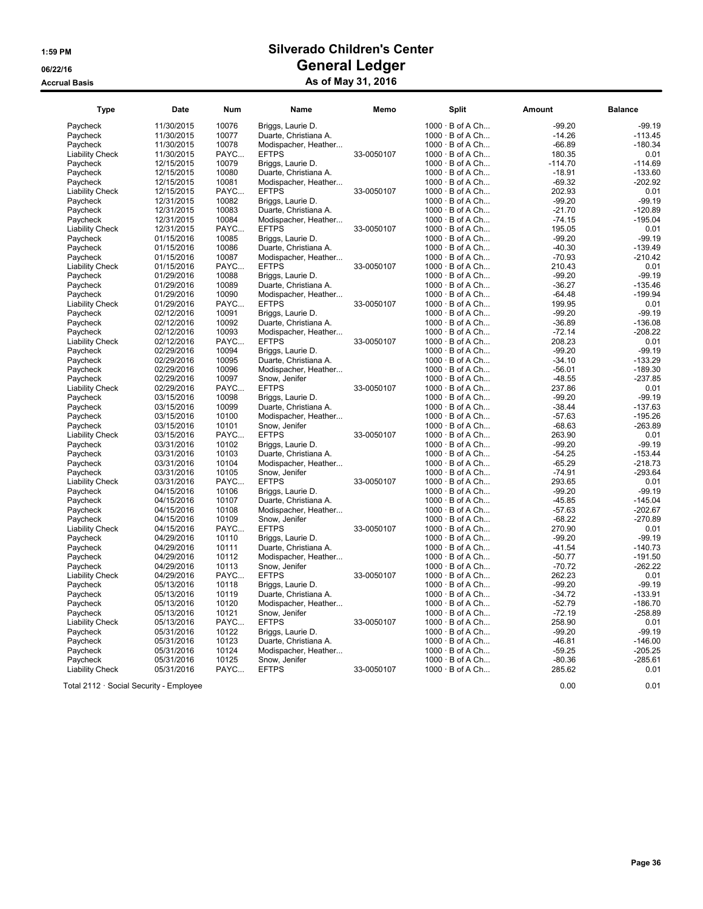| <b>Type</b>            | Date       | <b>Num</b>    | Name                  | Memo       | Split                  | <b>Amount</b> | <b>Balance</b>   |
|------------------------|------------|---------------|-----------------------|------------|------------------------|---------------|------------------|
| Paycheck               | 11/30/2015 | 10076         | Briggs, Laurie D.     |            | $1000 \cdot B$ of A Ch | $-99.20$      | $-99.19$         |
| Paycheck               | 11/30/2015 | 10077         | Duarte, Christiana A. |            | $1000 \cdot B$ of A Ch | $-14.26$      | $-113.45$        |
| Paycheck               | 11/30/2015 | 10078         | Modispacher, Heather  |            | $1000 \cdot B$ of A Ch | $-66.89$      | $-180.34$        |
| <b>Liability Check</b> | 11/30/2015 | PAYC          | <b>EFTPS</b>          | 33-0050107 | $1000 \cdot B$ of A Ch | 180.35        | 0.01             |
| Paycheck               | 12/15/2015 | 10079         | Briggs, Laurie D.     |            | $1000 \cdot B$ of A Ch | $-114.70$     | $-114.69$        |
| Paycheck               | 12/15/2015 | 10080         | Duarte, Christiana A. |            | $1000 \cdot B$ of A Ch | $-18.91$      | $-133.60$        |
| Paycheck               | 12/15/2015 | 10081         | Modispacher, Heather  |            | $1000 \cdot B$ of A Ch | $-69.32$      | $-202.92$        |
| <b>Liability Check</b> | 12/15/2015 | PAYC          | <b>EFTPS</b>          | 33-0050107 | $1000 \cdot B$ of A Ch | 202.93        | 0.01             |
| Paycheck               | 12/31/2015 | 10082         | Briggs, Laurie D.     |            | $1000 \cdot B$ of A Ch | $-99.20$      | $-99.19$         |
| Paycheck               | 12/31/2015 | 10083         | Duarte, Christiana A. |            | $1000 \cdot B$ of A Ch | $-21.70$      | $-120.89$        |
| Paycheck               | 12/31/2015 | 10084         | Modispacher, Heather  |            | $1000 \cdot B$ of A Ch | $-74.15$      | $-195.04$        |
| <b>Liability Check</b> | 12/31/2015 | PAYC          | <b>EFTPS</b>          | 33-0050107 | $1000 \cdot B$ of A Ch | 195.05        | 0.01             |
| Pavcheck               | 01/15/2016 | 10085         | Briggs, Laurie D.     |            | 1000 · B of A Ch       | $-99.20$      | $-99.19$         |
| Paycheck               | 01/15/2016 | 10086         | Duarte, Christiana A. |            | $1000 \cdot B$ of A Ch | $-40.30$      | $-139.49$        |
| Paycheck               | 01/15/2016 | 10087         | Modispacher, Heather  |            | $1000 \cdot B$ of A Ch | $-70.93$      | $-210.42$        |
| <b>Liability Check</b> | 01/15/2016 | PAYC          | <b>EFTPS</b>          | 33-0050107 | $1000 \cdot B$ of A Ch | 210.43        | 0.01             |
| Paycheck               | 01/29/2016 | 10088         | Briggs, Laurie D.     |            | $1000 \cdot B$ of A Ch | $-99.20$      | $-99.19$         |
| Paycheck               | 01/29/2016 | 10089         | Duarte, Christiana A. |            | $1000 \cdot B$ of A Ch | $-36.27$      | $-135.46$        |
| Pavcheck               | 01/29/2016 | 10090         | Modispacher, Heather  |            | $1000 \cdot B$ of A Ch | $-64.48$      | $-199.94$        |
|                        |            |               |                       |            | $1000 \cdot B$ of A Ch | 199.95        |                  |
| <b>Liability Check</b> | 01/29/2016 | PAYC<br>10091 | <b>EFTPS</b>          | 33-0050107 | $1000 \cdot B$ of A Ch | $-99.20$      | 0.01<br>$-99.19$ |
| Paycheck               | 02/12/2016 |               | Briggs, Laurie D.     |            |                        |               |                  |
| Paycheck               | 02/12/2016 | 10092         | Duarte, Christiana A. |            | $1000 \cdot B$ of A Ch | $-36.89$      | $-136.08$        |
| Paycheck               | 02/12/2016 | 10093         | Modispacher, Heather  |            | $1000 \cdot B$ of A Ch | $-72.14$      | $-208.22$        |
| <b>Liability Check</b> | 02/12/2016 | PAYC          | <b>EFTPS</b>          | 33-0050107 | 1000 · B of A Ch       | 208.23        | 0.01             |
| Paycheck               | 02/29/2016 | 10094         | Briggs, Laurie D.     |            | $1000 \cdot B$ of A Ch | $-99.20$      | $-99.19$         |
| Paycheck               | 02/29/2016 | 10095         | Duarte, Christiana A. |            | $1000 \cdot B$ of A Ch | $-34.10$      | $-133.29$        |
| Paycheck               | 02/29/2016 | 10096         | Modispacher, Heather  |            | $1000 \cdot B$ of A Ch | $-56.01$      | $-189.30$        |
| Pavcheck               | 02/29/2016 | 10097         | Snow. Jenifer         |            | $1000 \cdot B$ of A Ch | $-48.55$      | $-237.85$        |
| <b>Liability Check</b> | 02/29/2016 | PAYC          | <b>EFTPS</b>          | 33-0050107 | $1000 \cdot B$ of A Ch | 237.86        | 0.01             |
| Paycheck               | 03/15/2016 | 10098         | Briggs, Laurie D.     |            | 1000 · B of A Ch       | $-99.20$      | $-99.19$         |
| Paycheck               | 03/15/2016 | 10099         | Duarte, Christiana A. |            | $1000 \cdot B$ of A Ch | $-38.44$      | $-137.63$        |
| Paycheck               | 03/15/2016 | 10100         | Modispacher, Heather  |            | $1000 \cdot B$ of A Ch | $-57.63$      | $-195.26$        |
| Paycheck               | 03/15/2016 | 10101         | Snow, Jenifer         |            | $1000 \cdot B$ of A Ch | $-68.63$      | $-263.89$        |
| <b>Liability Check</b> | 03/15/2016 | PAYC          | <b>EFTPS</b>          | 33-0050107 | $1000 \cdot B$ of A Ch | 263.90        | 0.01             |
| Paycheck               | 03/31/2016 | 10102         | Briggs, Laurie D.     |            | $1000 \cdot B$ of A Ch | $-99.20$      | $-99.19$         |
| Paycheck               | 03/31/2016 | 10103         | Duarte, Christiana A. |            | $1000 \cdot B$ of A Ch | $-54.25$      | $-153.44$        |
| Paycheck               | 03/31/2016 | 10104         | Modispacher, Heather  |            | $1000 \cdot B$ of A Ch | $-65.29$      | $-218.73$        |
| Paycheck               | 03/31/2016 | 10105         | Snow, Jenifer         |            | $1000 \cdot B$ of A Ch | $-74.91$      | $-293.64$        |
| <b>Liability Check</b> | 03/31/2016 | PAYC          | <b>EFTPS</b>          | 33-0050107 | $1000 \cdot B$ of A Ch | 293.65        | 0.01             |
| Paycheck               | 04/15/2016 | 10106         | Briggs, Laurie D.     |            | $1000 \cdot B$ of A Ch | $-99.20$      | $-99.19$         |
| Paycheck               | 04/15/2016 | 10107         | Duarte, Christiana A. |            | $1000 \cdot B$ of A Ch | $-45.85$      | $-145.04$        |
| Pavcheck               | 04/15/2016 | 10108         | Modispacher, Heather  |            | $1000 \cdot B$ of A Ch | $-57.63$      | $-202.67$        |
| Paycheck               | 04/15/2016 | 10109         | Snow, Jenifer         |            | $1000 \cdot B$ of A Ch | $-68.22$      | $-270.89$        |
| <b>Liability Check</b> | 04/15/2016 | PAYC          | <b>EFTPS</b>          | 33-0050107 | $1000 \cdot B$ of A Ch | 270.90        | 0.01             |
| Paycheck               | 04/29/2016 | 10110         | Briggs, Laurie D.     |            | $1000 \cdot B$ of A Ch | $-99.20$      | $-99.19$         |
| Paycheck               | 04/29/2016 | 10111         | Duarte, Christiana A. |            | $1000 \cdot B$ of A Ch | $-41.54$      | $-140.73$        |
| Paycheck               | 04/29/2016 | 10112         | Modispacher, Heather  |            | 1000 · B of A Ch       | $-50.77$      | $-191.50$        |
| Paycheck               | 04/29/2016 | 10113         | Snow, Jenifer         |            | $1000 \cdot B$ of A Ch | $-70.72$      | $-262.22$        |
| <b>Liability Check</b> | 04/29/2016 | PAYC          | <b>EFTPS</b>          | 33-0050107 | $1000 \cdot B$ of A Ch | 262.23        | 0.01             |
| Paycheck               | 05/13/2016 | 10118         | Briggs, Laurie D.     |            | $1000 \cdot B$ of A Ch | $-99.20$      | $-99.19$         |
| Paycheck               | 05/13/2016 | 10119         | Duarte, Christiana A. |            | $1000 \cdot B$ of A Ch | $-34.72$      | $-133.91$        |
| Paycheck               | 05/13/2016 | 10120         | Modispacher, Heather  |            | $1000 \cdot B$ of A Ch | $-52.79$      | $-186.70$        |
| Paycheck               | 05/13/2016 | 10121         | Snow, Jenifer         |            | $1000 \cdot B$ of A Ch | $-72.19$      | $-258.89$        |
| <b>Liability Check</b> | 05/13/2016 | PAYC          | <b>EFTPS</b>          | 33-0050107 | $1000 \cdot B$ of A Ch | 258.90        | 0.01             |
| Pavcheck               | 05/31/2016 | 10122         | Briggs, Laurie D.     |            | 1000 · B of A Ch       | $-99.20$      | $-99.19$         |
| Paycheck               | 05/31/2016 | 10123         | Duarte, Christiana A. |            | $1000 \cdot B$ of A Ch | $-46.81$      | $-146.00$        |
| Paycheck               | 05/31/2016 | 10124         | Modispacher, Heather  |            | $1000 \cdot B$ of A Ch | $-59.25$      | $-205.25$        |
| Paycheck               | 05/31/2016 | 10125         | Snow, Jenifer         |            | $1000 \cdot B$ of A Ch | $-80.36$      | $-285.61$        |
| <b>Liability Check</b> | 05/31/2016 | PAYC          | <b>EFTPS</b>          | 33-0050107 | $1000 \cdot B$ of A Ch | 285.62        | 0.01             |
|                        |            |               |                       |            |                        |               |                  |

Total 2112 · Social Security - Employee 0.00 0.01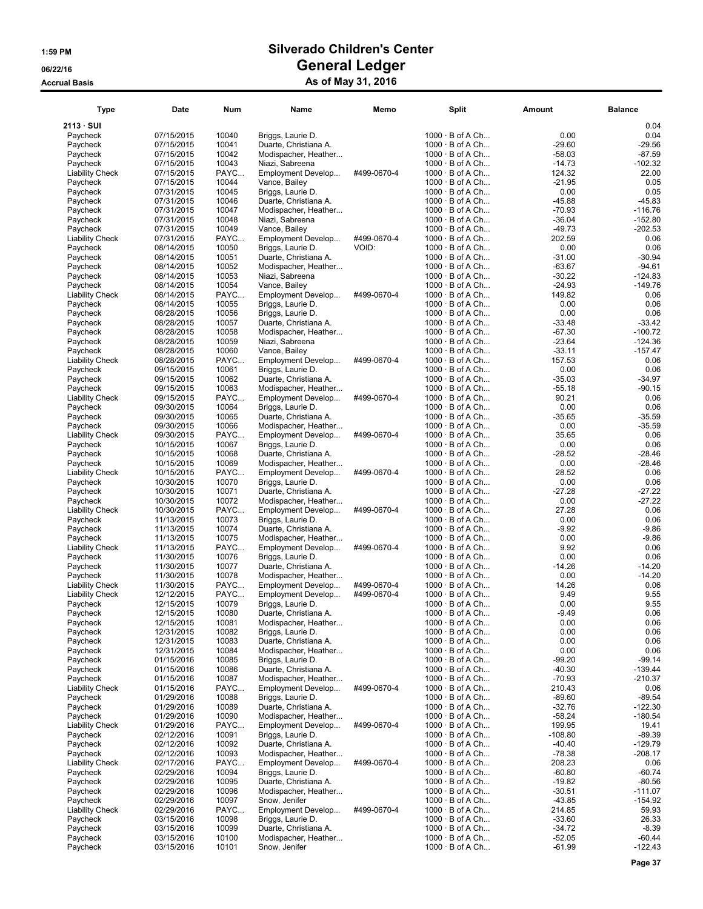| <b>Type</b>                        | Date                     | Num            | Name                                          | Memo        | <b>Split</b>                                     | Amount               | <b>Balance</b>         |
|------------------------------------|--------------------------|----------------|-----------------------------------------------|-------------|--------------------------------------------------|----------------------|------------------------|
| $2113 \cdot SUI$                   |                          |                |                                               |             |                                                  |                      | 0.04                   |
| Paycheck                           | 07/15/2015               | 10040          | Briggs, Laurie D.                             |             | $1000 \cdot B$ of A Ch                           | 0.00                 | 0.04                   |
| Paycheck                           | 07/15/2015               | 10041          | Duarte, Christiana A.                         |             | $1000 \cdot B$ of A Ch                           | $-29.60$             | $-29.56$               |
| Paycheck                           | 07/15/2015               | 10042          | Modispacher, Heather                          |             | $1000 \cdot B$ of A Ch                           | $-58.03$             | $-87.59$               |
| Paycheck                           | 07/15/2015<br>07/15/2015 | 10043<br>PAYC  | Niazi, Sabreena                               | #499-0670-4 | $1000 \cdot B$ of A Ch<br>1000 · B of A Ch       | $-14.73$<br>124.32   | -102.32<br>22.00       |
| <b>Liability Check</b><br>Paycheck | 07/15/2015               | 10044          | Employment Develop<br>Vance, Bailey           |             | $1000 \cdot B$ of A Ch                           | $-21.95$             | 0.05                   |
| Paycheck                           | 07/31/2015               | 10045          | Briggs, Laurie D.                             |             | $1000 \cdot B$ of A Ch                           | 0.00                 | 0.05                   |
| Paycheck                           | 07/31/2015               | 10046          | Duarte, Christiana A.                         |             | $1000 \cdot B$ of A Ch                           | $-45.88$             | $-45.83$               |
| Paycheck                           | 07/31/2015               | 10047          | Modispacher, Heather                          |             | $1000 \cdot B$ of A Ch                           | -70.93               | $-116.76$              |
| Paycheck                           | 07/31/2015               | 10048          | Niazi, Sabreena                               |             | $1000 \cdot B$ of A Ch                           | $-36.04$             | $-152.80$              |
| Paycheck                           | 07/31/2015               | 10049          | Vance, Bailey                                 |             | $1000 \cdot B$ of A Ch                           | $-49.73$             | -202.53                |
| <b>Liability Check</b>             | 07/31/2015               | PAYC           | Employment Develop                            | #499-0670-4 | $1000 \cdot B$ of A Ch                           | 202.59               | 0.06                   |
| Paycheck                           | 08/14/2015               | 10050          | Briggs, Laurie D.                             | VOID:       | $1000 \cdot B$ of A Ch                           | 0.00                 | 0.06<br>$-30.94$       |
| Paycheck<br>Paycheck               | 08/14/2015<br>08/14/2015 | 10051<br>10052 | Duarte, Christiana A.<br>Modispacher, Heather |             | $1000 \cdot B$ of A Ch<br>$1000 \cdot B$ of A Ch | $-31.00$<br>$-63.67$ | $-94.61$               |
| Paycheck                           | 08/14/2015               | 10053          | Niazi, Sabreena                               |             | $1000 \cdot B$ of A Ch                           | $-30.22$             | $-124.83$              |
| Paycheck                           | 08/14/2015               | 10054          | Vance, Bailey                                 |             | $1000 \cdot B$ of A Ch                           | $-24.93$             | $-149.76$              |
| <b>Liability Check</b>             | 08/14/2015               | PAYC           | Employment Develop                            | #499-0670-4 | $1000 \cdot B$ of A Ch                           | 149.82               | 0.06                   |
| Paycheck                           | 08/14/2015               | 10055          | Briggs, Laurie D.                             |             | $1000 \cdot B$ of A Ch                           | 0.00                 | 0.06                   |
| Paycheck                           | 08/28/2015               | 10056          | Briggs, Laurie D.                             |             | $1000 \cdot B$ of A Ch                           | 0.00                 | 0.06                   |
| Paycheck                           | 08/28/2015               | 10057          | Duarte, Christiana A.                         |             | 1000 · B of A Ch                                 | $-33.48$             | $-33.42$               |
| Paycheck                           | 08/28/2015               | 10058          | Modispacher, Heather                          |             | $1000 \cdot B$ of A Ch                           | $-67.30$             | $-100.72$              |
| Paycheck                           | 08/28/2015               | 10059<br>10060 | Niazi, Sabreena                               |             | $1000 \cdot B$ of A Ch<br>1000 · B of A Ch       | $-23.64$<br>$-33.11$ | -124.36<br>$-157.47$   |
| Paycheck<br><b>Liability Check</b> | 08/28/2015<br>08/28/2015 | PAYC           | Vance, Bailey<br>Employment Develop           | #499-0670-4 | $1000 \cdot B$ of A Ch                           | 157.53               | 0.06                   |
| Paycheck                           | 09/15/2015               | 10061          | Briggs, Laurie D.                             |             | $1000 \cdot B$ of A Ch                           | 0.00                 | 0.06                   |
| Paycheck                           | 09/15/2015               | 10062          | Duarte, Christiana A.                         |             | $1000 \cdot B$ of A Ch                           | $-35.03$             | $-34.97$               |
| Paycheck                           | 09/15/2015               | 10063          | Modispacher, Heather                          |             | $1000 \cdot B$ of A Ch                           | $-55.18$             | $-90.15$               |
| <b>Liability Check</b>             | 09/15/2015               | PAYC           | Employment Develop                            | #499-0670-4 | $1000 \cdot B$ of A Ch                           | 90.21                | 0.06                   |
| Paycheck                           | 09/30/2015               | 10064          | Briggs, Laurie D.                             |             | 1000 · B of A Ch                                 | 0.00                 | 0.06                   |
| Paycheck                           | 09/30/2015               | 10065          | Duarte, Christiana A.                         |             | $1000 \cdot B$ of A Ch                           | $-35.65$             | $-35.59$               |
| Paycheck                           | 09/30/2015               | 10066          | Modispacher, Heather                          |             | $1000 \cdot B$ of A Ch                           | 0.00                 | $-35.59$               |
| <b>Liability Check</b>             | 09/30/2015               | PAYC           | Employment Develop                            | #499-0670-4 | $1000 \cdot B$ of A Ch                           | 35.65                | 0.06                   |
| Paycheck<br>Paycheck               | 10/15/2015<br>10/15/2015 | 10067<br>10068 | Briggs, Laurie D.<br>Duarte, Christiana A.    |             | $1000 \cdot B$ of A Ch<br>$1000 \cdot B$ of A Ch | 0.00<br>$-28.52$     | 0.06<br>$-28.46$       |
| Paycheck                           | 10/15/2015               | 10069          | Modispacher, Heather                          |             | $1000 \cdot B$ of A Ch                           | 0.00                 | $-28.46$               |
| <b>Liability Check</b>             | 10/15/2015               | PAYC           | Employment Develop                            | #499-0670-4 | 1000 · B of A Ch                                 | 28.52                | 0.06                   |
| Paycheck                           | 10/30/2015               | 10070          | Briggs, Laurie D.                             |             | $1000 \cdot B$ of A Ch                           | 0.00                 | 0.06                   |
| Paycheck                           | 10/30/2015               | 10071          | Duarte, Christiana A.                         |             | $1000 \cdot B$ of A Ch                           | $-27.28$             | -27.22                 |
| Paycheck                           | 10/30/2015               | 10072          | Modispacher, Heather                          |             | $1000 \cdot B$ of A Ch                           | 0.00                 | $-27.22$               |
| <b>Liability Check</b>             | 10/30/2015               | PAYC           | Employment Develop                            | #499-0670-4 | $1000 \cdot B$ of A Ch                           | 27.28                | 0.06                   |
| Paycheck                           | 11/13/2015               | 10073          | Briggs, Laurie D.                             |             | 1000 · B of A Ch                                 | 0.00                 | 0.06                   |
| Paycheck<br>Paycheck               | 11/13/2015<br>11/13/2015 | 10074<br>10075 | Duarte, Christiana A.<br>Modispacher, Heather |             | $1000 \cdot B$ of A Ch<br>$1000 \cdot B$ of A Ch | $-9.92$<br>0.00      | $-9.86$<br>$-9.86$     |
| <b>Liability Check</b>             | 11/13/2015               | PAYC           | Employment Develop                            | #499-0670-4 | $1000 \cdot B$ of A Ch                           | 9.92                 | 0.06                   |
| Paycheck                           | 11/30/2015               | 10076          | Briggs, Laurie D.                             |             | 1000 · B of A Ch                                 | 0.00                 | 0.06                   |
| Paycheck                           | 11/30/2015               | 10077          | Duarte, Christiana A.                         |             | $1000 \cdot B$ of A Ch                           | $-14.26$             | $-14.20$               |
| Paycheck                           | 11/30/2015               | 10078          | Modispacher, Heather                          |             | $1000 \cdot B$ of A Ch                           | 0.00                 | $-14.20$               |
| <b>Liability Check</b>             | 11/30/2015               | PAYC           | Employment Develop                            | #499-0670-4 | 1000 · B of A Ch                                 | 14.26                | 0.06                   |
| <b>Liability Check</b>             | 12/12/2015               | PAYC           | Employment Develop                            | #499-0670-4 | $1000 \cdot B$ of A Ch                           | 9.49                 | 9.55                   |
| Paycheck                           | 12/15/2015               | 10079          | Briggs, Laurie D.                             |             | $1000 \cdot B$ of A Ch                           | 0.00                 | 9.55                   |
| Paycneck<br>Paycheck               | 12/15/2015<br>12/15/2015 | 10080          | Duarte, Christiana A.                         |             | 1000 · B of A Ch<br>$1000 \cdot B$ of A Ch       | $-9.49$<br>0.00      | 0.06<br>0.06           |
| Paycheck                           | 12/31/2015               | 10081<br>10082 | Modispacher, Heather<br>Briggs, Laurie D.     |             | $1000 \cdot B$ of A Ch                           | 0.00                 | 0.06                   |
| Paycheck                           | 12/31/2015               | 10083          | Duarte, Christiana A.                         |             | $1000 \cdot B$ of A Ch                           | 0.00                 | 0.06                   |
| Paycheck                           | 12/31/2015               | 10084          | Modispacher, Heather                          |             | $1000 \cdot B$ of A Ch                           | 0.00                 | 0.06                   |
| Paycheck                           | 01/15/2016               | 10085          | Briggs, Laurie D.                             |             | $1000 \cdot B$ of A Ch                           | $-99.20$             | $-99.14$               |
| Paycheck                           | 01/15/2016               | 10086          | Duarte, Christiana A.                         |             | $1000 \cdot B$ of A Ch                           | $-40.30$             | $-139.44$              |
| Paycheck                           | 01/15/2016               | 10087          | Modispacher, Heather                          |             | $1000 \cdot B$ of A Ch                           | $-70.93$             | -210.37                |
| <b>Liability Check</b>             | 01/15/2016               | PAYC           | Employment Develop                            | #499-0670-4 | $1000 \cdot B$ of A Ch                           | 210.43               | 0.06                   |
| Paycheck                           | 01/29/2016               | 10088          | Briggs, Laurie D.                             |             | $1000 \cdot B$ of A Ch                           | $-89.60$             | -89.54                 |
| Paycheck<br>Paycheck               | 01/29/2016<br>01/29/2016 | 10089<br>10090 | Duarte, Christiana A.<br>Modispacher, Heather |             | $1000 \cdot B$ of A Ch<br>$1000 \cdot B$ of A Ch | $-32.76$<br>$-58.24$ | $-122.30$<br>$-180.54$ |
| <b>Liability Check</b>             | 01/29/2016               | PAYC           | Employment Develop                            | #499-0670-4 | $1000 \cdot B$ of A Ch                           | 199.95               | 19.41                  |
| Paycheck                           | 02/12/2016               | 10091          | Briggs, Laurie D.                             |             | $1000 \cdot B$ of A Ch                           | $-108.80$            | -89.39                 |
| Paycheck                           | 02/12/2016               | 10092          | Duarte, Christiana A.                         |             | $1000 \cdot B$ of A Ch                           | $-40.40$             | $-129.79$              |
| Paycheck                           | 02/12/2016               | 10093          | Modispacher, Heather                          |             | $1000 \cdot B$ of A Ch                           | $-78.38$             | $-208.17$              |
| <b>Liability Check</b>             | 02/17/2016               | PAYC           | Employment Develop                            | #499-0670-4 | $1000 \cdot B$ of A Ch                           | 208.23               | 0.06                   |
| Paycheck                           | 02/29/2016               | 10094          | Briggs, Laurie D.                             |             | $1000 \cdot B$ of A Ch                           | $-60.80$             | -60.74                 |
| Paycheck                           | 02/29/2016               | 10095          | Duarte, Christiana A.                         |             | $1000 \cdot B$ of A Ch                           | $-19.82$             | $-80.56$               |
| Paycheck                           | 02/29/2016               | 10096          | Modispacher, Heather                          |             | $1000 \cdot B$ of A Ch                           | $-30.51$             | $-111.07$              |
| Paycheck                           | 02/29/2016               | 10097          | Snow, Jenifer                                 |             | $1000 \cdot B$ of A Ch                           | $-43.85$             | $-154.92$              |
| <b>Liability Check</b><br>Paycheck | 02/29/2016<br>03/15/2016 | PAYC<br>10098  | Employment Develop<br>Briggs, Laurie D.       | #499-0670-4 | $1000 \cdot B$ of A Ch<br>$1000 \cdot B$ of A Ch | 214.85<br>$-33.60$   | 59.93<br>26.33         |
| Paycheck                           | 03/15/2016               | 10099          | Duarte, Christiana A.                         |             | $1000 \cdot B$ of A Ch                           | $-34.72$             | $-8.39$                |
| Paycheck                           | 03/15/2016               | 10100          | Modispacher, Heather                          |             | $1000 \cdot B$ of A Ch                           | -52.05               | -60.44                 |
| Paycheck                           | 03/15/2016               | 10101          | Snow, Jenifer                                 |             | $1000 \cdot B$ of A Ch                           | $-61.99$             | $-122.43$              |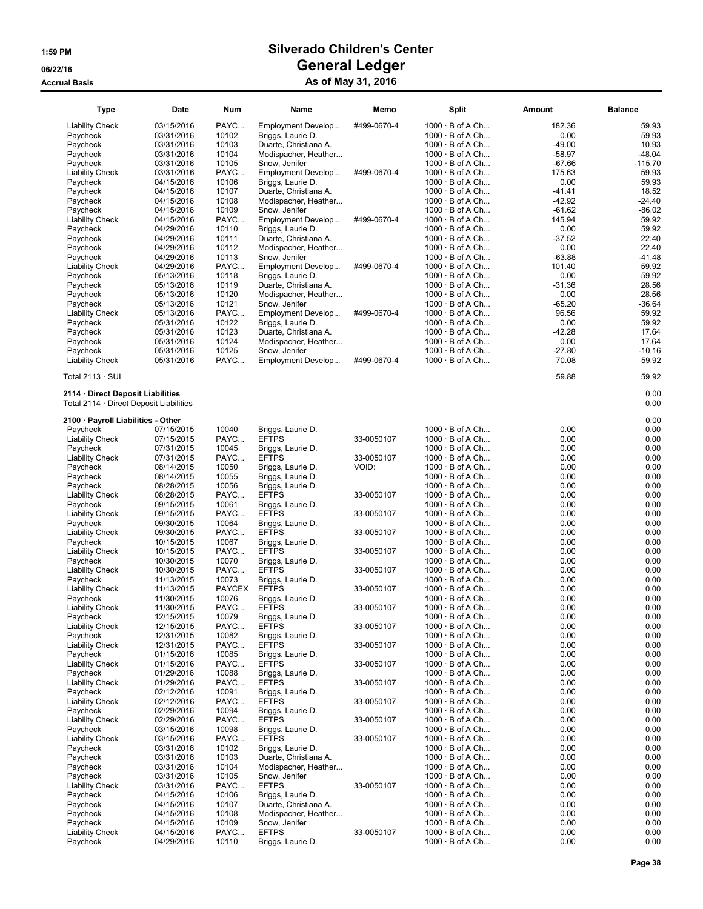| Type                                                                         | Date                     | <b>Num</b>    | Name                                    | Memo        | Split                                            | <b>Amount</b>    | <b>Balance</b> |
|------------------------------------------------------------------------------|--------------------------|---------------|-----------------------------------------|-------------|--------------------------------------------------|------------------|----------------|
| Liability Check                                                              | 03/15/2016               | PAYC          | Employment Develop                      | #499-0670-4 | $1000 \cdot B$ of A Ch                           | 182.36           | 59.93          |
| Paycheck                                                                     | 03/31/2016               | 10102         | Briggs, Laurie D.                       |             | $1000 \cdot B$ of A Ch                           | 0.00             | 59.93          |
| Paycheck                                                                     | 03/31/2016               | 10103         | Duarte, Christiana A.                   |             | $1000 \cdot B$ of A Ch                           | $-49.00$         | 10.93          |
| Paycheck                                                                     | 03/31/2016               | 10104         | Modispacher, Heather                    |             | $1000 \cdot B$ of A Ch                           | $-58.97$         | $-48.04$       |
| Paycheck                                                                     | 03/31/2016               | 10105         | Snow, Jenifer                           |             | $1000 \cdot B$ of A Ch                           | $-67.66$         | $-115.70$      |
| <b>Liability Check</b>                                                       | 03/31/2016               | PAYC          | Employment Develop                      | #499-0670-4 | $1000 \cdot B$ of A Ch                           | 175.63           | 59.93          |
| Paycheck                                                                     | 04/15/2016               | 10106         | Briggs, Laurie D.                       |             | $1000 \cdot B$ of A Ch                           | 0.00             | 59.93          |
| Paycheck                                                                     | 04/15/2016               | 10107         | Duarte, Christiana A.                   |             | $1000 \cdot B$ of A Ch                           | $-41.41$         | 18.52          |
| Paycheck                                                                     | 04/15/2016               | 10108         | Modispacher, Heather                    |             | $1000 \cdot B$ of A Ch                           | $-42.92$         | $-24.40$       |
| Paycheck                                                                     | 04/15/2016               | 10109         | Snow, Jenifer                           |             | $1000 \cdot B$ of A Ch                           | -61.62           | $-86.02$       |
| Liability Check<br>Paycheck                                                  | 04/15/2016               | PAYC<br>10110 | Employment Develop<br>Briggs, Laurie D. | #499-0670-4 | $1000 \cdot B$ of A Ch<br>$1000 \cdot B$ of A Ch | 145.94           | 59.92<br>59.92 |
| Paycheck                                                                     | 04/29/2016<br>04/29/2016 | 10111         | Duarte, Christiana A.                   |             | $1000 \cdot B$ of A Ch                           | 0.00<br>$-37.52$ | 22.40          |
| Paycheck                                                                     | 04/29/2016               | 10112         | Modispacher, Heather                    |             | $1000 \cdot B$ of A Ch                           | 0.00             | 22.40          |
| Paycheck                                                                     | 04/29/2016               | 10113         | Snow, Jenifer                           |             | $1000 \cdot B$ of A Ch                           | $-63.88$         | -41.48         |
| Liability Check                                                              | 04/29/2016               | PAYC          | Employment Develop                      | #499-0670-4 | $1000 \cdot B$ of A Ch                           | 101.40           | 59.92          |
| Paycheck                                                                     | 05/13/2016               | 10118         | Briggs, Laurie D.                       |             | $1000 \cdot B$ of A Ch                           | 0.00             | 59.92          |
| Paycheck                                                                     | 05/13/2016               | 10119         | Duarte, Christiana A.                   |             | $1000 \cdot B$ of A Ch                           | $-31.36$         | 28.56          |
| Paycheck                                                                     | 05/13/2016               | 10120         | Modispacher, Heather                    |             | $1000 \cdot B$ of A Ch                           | 0.00             | 28.56          |
| Paycheck                                                                     | 05/13/2016               | 10121         | Snow, Jenifer                           |             | $1000 \cdot B$ of A Ch                           | -65.20           | $-36.64$       |
| Liability Check                                                              | 05/13/2016               | PAYC          | Employment Develop                      | #499-0670-4 | $1000 \cdot B$ of A Ch                           | 96.56            | 59.92          |
| Paycheck                                                                     | 05/31/2016               | 10122         | Briggs, Laurie D.                       |             | $1000 \cdot B$ of A Ch                           | 0.00             | 59.92          |
| Paycheck                                                                     | 05/31/2016               | 10123         | Duarte, Christiana A.                   |             | $1000 \cdot B$ of A Ch                           | -42.28           | 17.64          |
| Paycheck                                                                     | 05/31/2016               | 10124         | Modispacher, Heather                    |             | $1000 \cdot B$ of A Ch                           | 0.00             | 17.64          |
| Paycheck                                                                     | 05/31/2016               | 10125         | Snow, Jenifer                           |             | $1000 \cdot B$ of A Ch                           | -27.80           | $-10.16$       |
| Liability Check                                                              | 05/31/2016               | PAYC          | Employment Develop                      | #499-0670-4 | $1000 \cdot B$ of A Ch                           | 70.08            | 59.92          |
| Total 2113 · SUI                                                             |                          |               |                                         |             |                                                  | 59.88            | 59.92          |
| 2114 · Direct Deposit Liabilities<br>Total 2114 · Direct Deposit Liabilities |                          |               |                                         |             |                                                  |                  | 0.00<br>0.00   |
| 2100 · Payroll Liabilities - Other                                           |                          |               |                                         |             |                                                  |                  | 0.00           |
| Paycheck                                                                     | 07/15/2015               | 10040         | Briggs, Laurie D.                       |             | $1000 \cdot B$ of A Ch                           | 0.00             | 0.00           |
| <b>Liability Check</b>                                                       | 07/15/2015               | PAYC          | <b>EFTPS</b>                            | 33-0050107  | $1000 \cdot B$ of A Ch                           | 0.00             | 0.00           |
| Paycheck                                                                     | 07/31/2015               | 10045         | Briggs, Laurie D.                       |             | $1000 \cdot B$ of A Ch                           | 0.00             | 0.00           |
| Liability Check                                                              | 07/31/2015               | PAYC          | <b>EFTPS</b>                            | 33-0050107  | $1000 \cdot B$ of A Ch                           | 0.00             | 0.00           |
| Paycheck                                                                     | 08/14/2015               | 10050         | Briggs, Laurie D.                       | VOID:       | $1000 \cdot B$ of A Ch                           | 0.00             | 0.00           |
| Paycheck                                                                     | 08/14/2015               | 10055         | Briggs, Laurie D.                       |             | $1000 \cdot B$ of A Ch                           | 0.00             | 0.00           |
| Paycheck                                                                     | 08/28/2015               | 10056         | Briggs, Laurie D.                       |             | $1000 \cdot B$ of A Ch                           | 0.00             | 0.00           |
| <b>Liability Check</b><br>Paycheck                                           | 08/28/2015<br>09/15/2015 | PAYC<br>10061 | <b>EFTPS</b>                            | 33-0050107  | $1000 \cdot B$ of A Ch<br>$1000 \cdot B$ of A Ch | 0.00<br>0.00     | 0.00<br>0.00   |
| Liability Check                                                              | 09/15/2015               | PAYC          | Briggs, Laurie D.<br><b>EFTPS</b>       | 33-0050107  | $1000 \cdot B$ of A Ch                           | 0.00             | 0.00           |
| Paycheck                                                                     | 09/30/2015               | 10064         | Briggs, Laurie D.                       |             | $1000 \cdot B$ of A Ch                           | 0.00             | 0.00           |
| Liability Check                                                              | 09/30/2015               | PAYC          | <b>EFTPS</b>                            | 33-0050107  | $1000 \cdot B$ of A Ch                           | 0.00             | 0.00           |
| Paycheck                                                                     | 10/15/2015               | 10067         | Briggs, Laurie D.                       |             | $1000 \cdot B$ of A Ch                           | 0.00             | 0.00           |
| <b>Liability Check</b>                                                       | 10/15/2015               | PAYC          | <b>EFTPS</b>                            | 33-0050107  | $1000 \cdot B$ of A Ch                           | 0.00             | 0.00           |
| Paycheck                                                                     | 10/30/2015               | 10070         | Briggs, Laurie D.                       |             | $1000 \cdot B$ of A Ch                           | 0.00             | 0.00           |
| Liability Check                                                              | 10/30/2015               | PAYC          | <b>EFTPS</b>                            | 33-0050107  | $1000 \cdot B$ of A Ch                           | 0.00             | 0.00           |
| Paycheck                                                                     | 11/13/2015               | 10073         | Briggs, Laurie D.                       |             | $1000 \cdot B$ of A Ch                           | 0.00             | 0.00           |
| Liability Check                                                              | 11/13/2015               | <b>PAYCEX</b> | <b>EFTPS</b>                            | 33-0050107  | $1000 \cdot B$ of A Ch                           | 0.00             | 0.00           |
| Paycheck                                                                     | 11/30/2015               | 10076         | Briggs, Laurie D.                       |             | $1000 \cdot B$ of A Ch                           | 0.00             | 0.00           |
| <b>Liability Check</b>                                                       | 11/30/2015               | PAYC          | <b>EFTPS</b>                            | 33-0050107  | 1000 · B of A Ch                                 | 0.00             | 0.00           |
| Paycheck                                                                     | 12/15/2015               | 10079         | Briggs, Laurie D.                       |             | $1000 \cdot B$ of A Ch                           | 0.00             | 0.00           |
| <b>Liability Check</b>                                                       | 12/15/2015               | PAYC          | <b>EFTPS</b>                            | 33-0050107  | $1000 \cdot B$ of A Ch                           | 0.00             | 0.00           |
| Paycheck                                                                     | 12/31/2015               | 10082         | Briggs, Laurie D.<br><b>EFTPS</b>       |             | $1000 \cdot B$ of A Ch<br>$1000 \cdot B$ of A Ch | 0.00<br>0.00     | 0.00<br>0.00   |
| <b>Liability Check</b><br>Paycheck                                           | 12/31/2015<br>01/15/2016 | PAYC<br>10085 | Briggs, Laurie D.                       | 33-0050107  | $1000 \cdot B$ of A Ch                           | 0.00             | 0.00           |
| Liability Check                                                              | 01/15/2016               | PAYC          | <b>EFTPS</b>                            | 33-0050107  | $1000 \cdot B$ of A Ch                           | 0.00             | 0.00           |
| Paycheck                                                                     | 01/29/2016               | 10088         | Briggs, Laurie D.                       |             | $1000 \cdot B$ of A Ch                           | 0.00             | 0.00           |
| Liability Check                                                              | 01/29/2016               | PAYC          | <b>EFTPS</b>                            | 33-0050107  | $1000 \cdot B$ of A Ch                           | 0.00             | 0.00           |
| Paycheck                                                                     | 02/12/2016               | 10091         | Briggs, Laurie D.                       |             | $1000 \cdot B$ of A Ch                           | 0.00             | 0.00           |
| Liability Check                                                              | 02/12/2016               | PAYC          | <b>EFTPS</b>                            | 33-0050107  | $1000 \cdot B$ of A Ch                           | 0.00             | 0.00           |
| Paycheck                                                                     | 02/29/2016               | 10094         | Briggs, Laurie D.                       |             | $1000 \cdot B$ of A Ch                           | 0.00             | 0.00           |
| Liability Check                                                              | 02/29/2016               | PAYC          | <b>EFTPS</b>                            | 33-0050107  | 1000 · B of A Ch                                 | 0.00             | 0.00           |
| Paycheck                                                                     | 03/15/2016               | 10098         | Briggs, Laurie D.                       |             | $1000 \cdot B$ of A Ch                           | 0.00             | 0.00           |
| Liability Check                                                              | 03/15/2016               | PAYC          | <b>EFTPS</b>                            | 33-0050107  | $1000 \cdot B$ of A Ch                           | 0.00             | 0.00           |
| Paycheck                                                                     | 03/31/2016               | 10102         | Briggs, Laurie D.                       |             | $1000 \cdot B$ of A Ch                           | 0.00             | 0.00           |
| Paycheck                                                                     | 03/31/2016               | 10103         | Duarte, Christiana A.                   |             | $1000 \cdot B$ of A Ch                           | 0.00             | 0.00           |
| Paycheck                                                                     | 03/31/2016               | 10104         | Modispacher, Heather                    |             | $1000 \cdot B$ of A Ch                           | 0.00             | 0.00           |
| Paycheck                                                                     | 03/31/2016               | 10105         | Snow, Jenifer                           |             | $1000 \cdot B$ of A Ch                           | 0.00             | 0.00           |
| Liability Check<br>Paycheck                                                  | 03/31/2016               | PAYC<br>10106 | <b>EFTPS</b><br>Briggs, Laurie D.       | 33-0050107  | $1000 \cdot B$ of A Ch<br>$1000 \cdot B$ of A Ch | 0.00<br>0.00     | 0.00<br>0.00   |
| Paycheck                                                                     | 04/15/2016<br>04/15/2016 | 10107         | Duarte, Christiana A.                   |             | $1000 \cdot B$ of A Ch                           | 0.00             | 0.00           |
| Paycheck                                                                     | 04/15/2016               | 10108         | Modispacher, Heather                    |             | $1000 \cdot B$ of A Ch                           | 0.00             | 0.00           |
| Paycheck                                                                     | 04/15/2016               | 10109         | Snow, Jenifer                           |             | 1000 · B of A Ch                                 | 0.00             | 0.00           |
| <b>Liability Check</b>                                                       | 04/15/2016               | PAYC          | <b>EFTPS</b>                            | 33-0050107  | $1000 \cdot B$ of A Ch                           | 0.00             | 0.00           |
| Paycheck                                                                     | 04/29/2016               | 10110         | Briggs, Laurie D.                       |             | $1000 \cdot B$ of A Ch                           | 0.00             | 0.00           |
|                                                                              |                          |               |                                         |             |                                                  |                  |                |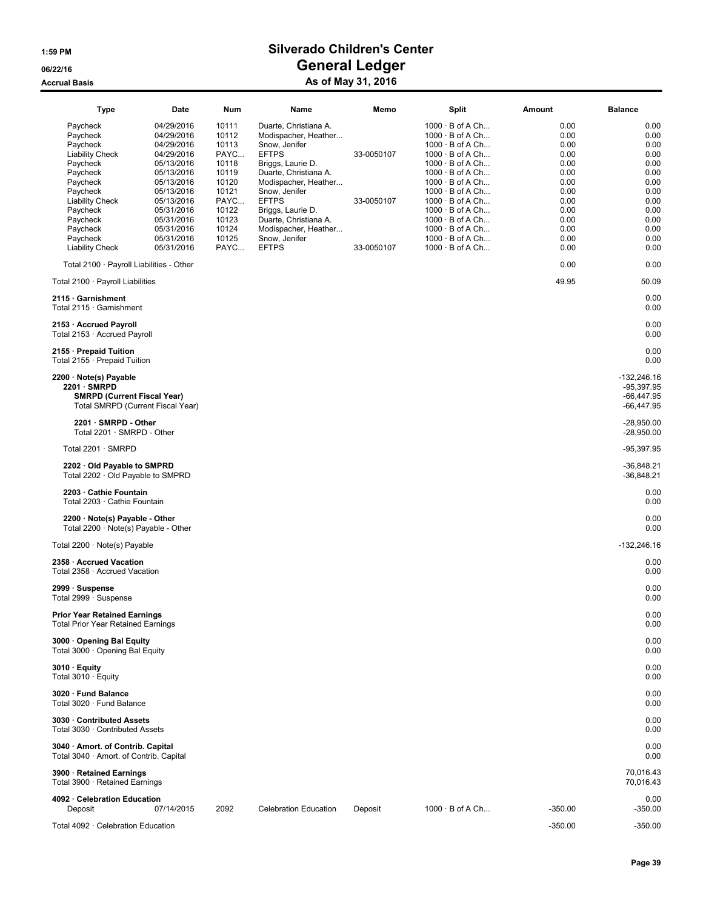| Type                                                                                                                    | Date                                                                                                         | Num                                                                 | Name                                                                                                                                                                  | Memo                     | Split                                                                                                                                                                                                        | Amount                                                       | <b>Balance</b>                                                |
|-------------------------------------------------------------------------------------------------------------------------|--------------------------------------------------------------------------------------------------------------|---------------------------------------------------------------------|-----------------------------------------------------------------------------------------------------------------------------------------------------------------------|--------------------------|--------------------------------------------------------------------------------------------------------------------------------------------------------------------------------------------------------------|--------------------------------------------------------------|---------------------------------------------------------------|
| Paycheck<br>Paycheck<br>Paycheck<br><b>Liability Check</b><br>Paycheck<br>Paycheck<br>Paycheck<br>Paycheck              | 04/29/2016<br>04/29/2016<br>04/29/2016<br>04/29/2016<br>05/13/2016<br>05/13/2016<br>05/13/2016<br>05/13/2016 | 10111<br>10112<br>10113<br>PAYC<br>10118<br>10119<br>10120<br>10121 | Duarte, Christiana A.<br>Modispacher, Heather<br>Snow, Jenifer<br><b>EFTPS</b><br>Briggs, Laurie D.<br>Duarte, Christiana A.<br>Modispacher, Heather<br>Snow, Jenifer | 33-0050107               | $1000 \cdot B$ of A Ch<br>$1000 \cdot B$ of A Ch<br>$1000 \cdot B$ of A Ch<br>$1000 \cdot B$ of A Ch<br>$1000 \cdot B$ of A Ch<br>$1000 \cdot B$ of A Ch<br>$1000 \cdot B$ of A Ch<br>$1000 \cdot B$ of A Ch | 0.00<br>0.00<br>0.00<br>0.00<br>0.00<br>0.00<br>0.00<br>0.00 | 0.00<br>0.00<br>0.00<br>0.00<br>0.00<br>0.00<br>0.00<br>0.00  |
| <b>Liability Check</b><br>Paycheck<br>Paycheck<br>Paycheck<br>Paycheck<br><b>Liability Check</b>                        | 05/13/2016<br>05/31/2016<br>05/31/2016<br>05/31/2016<br>05/31/2016<br>05/31/2016                             | PAYC<br>10122<br>10123<br>10124<br>10125<br>PAYC                    | <b>EFTPS</b><br>Briggs, Laurie D.<br>Duarte, Christiana A.<br>Modispacher, Heather<br>Snow, Jenifer<br><b>EFTPS</b>                                                   | 33-0050107<br>33-0050107 | $1000 \cdot B$ of A Ch<br>$1000 \cdot B$ of A Ch<br>$1000 \cdot B$ of A Ch<br>$1000 \cdot B$ of A Ch<br>$1000 \cdot B$ of A Ch<br>$1000 \cdot B$ of A Ch                                                     | 0.00<br>0.00<br>0.00<br>0.00<br>0.00<br>0.00                 | 0.00<br>0.00<br>0.00<br>0.00<br>0.00<br>0.00                  |
| Total 2100 · Payroll Liabilities - Other                                                                                |                                                                                                              |                                                                     |                                                                                                                                                                       |                          |                                                                                                                                                                                                              | 0.00                                                         | 0.00                                                          |
| Total 2100 · Payroll Liabilities                                                                                        |                                                                                                              |                                                                     |                                                                                                                                                                       |                          |                                                                                                                                                                                                              | 49.95                                                        | 50.09                                                         |
| 2115 · Garnishment<br>Total 2115 · Garnishment                                                                          |                                                                                                              |                                                                     |                                                                                                                                                                       |                          |                                                                                                                                                                                                              |                                                              | 0.00<br>0.00                                                  |
| 2153 · Accrued Payroll<br>Total 2153 · Accrued Payroll                                                                  |                                                                                                              |                                                                     |                                                                                                                                                                       |                          |                                                                                                                                                                                                              |                                                              | 0.00<br>0.00                                                  |
| 2155 · Prepaid Tuition<br>Total 2155 · Prepaid Tuition                                                                  |                                                                                                              |                                                                     |                                                                                                                                                                       |                          |                                                                                                                                                                                                              |                                                              | 0.00<br>0.00                                                  |
| 2200 · Note(s) Payable<br>$2201 \cdot$ SMRPD<br><b>SMRPD (Current Fiscal Year)</b><br>Total SMRPD (Current Fiscal Year) |                                                                                                              |                                                                     |                                                                                                                                                                       |                          |                                                                                                                                                                                                              |                                                              | $-132,246.16$<br>$-95,397.95$<br>$-66,447.95$<br>$-66,447.95$ |
| 2201 · SMRPD - Other<br>Total 2201 · SMRPD - Other                                                                      |                                                                                                              |                                                                     |                                                                                                                                                                       |                          |                                                                                                                                                                                                              |                                                              | $-28,950.00$<br>$-28,950.00$                                  |
| Total 2201 · SMRPD                                                                                                      |                                                                                                              |                                                                     |                                                                                                                                                                       |                          |                                                                                                                                                                                                              |                                                              | $-95,397.95$                                                  |
| 2202 · Old Payable to SMPRD<br>Total 2202 · Old Payable to SMPRD                                                        |                                                                                                              |                                                                     |                                                                                                                                                                       |                          |                                                                                                                                                                                                              |                                                              | $-36,848.21$<br>$-36,848.21$                                  |
| 2203 Cathie Fountain<br>Total 2203 · Cathie Fountain                                                                    |                                                                                                              |                                                                     |                                                                                                                                                                       |                          |                                                                                                                                                                                                              |                                                              | 0.00<br>0.00                                                  |
| 2200 · Note(s) Payable - Other<br>Total 2200 $\cdot$ Note(s) Payable - Other                                            |                                                                                                              |                                                                     |                                                                                                                                                                       |                          |                                                                                                                                                                                                              |                                                              | 0.00<br>0.00                                                  |
| Total $2200 \cdot$ Note(s) Payable                                                                                      |                                                                                                              |                                                                     |                                                                                                                                                                       |                          |                                                                                                                                                                                                              |                                                              | $-132,246.16$                                                 |
| 2358 · Accrued Vacation<br>Total 2358 · Accrued Vacation                                                                |                                                                                                              |                                                                     |                                                                                                                                                                       |                          |                                                                                                                                                                                                              |                                                              | 0.00<br>0.00                                                  |
| 2999 · Suspense<br>Total 2999 · Suspense                                                                                |                                                                                                              |                                                                     |                                                                                                                                                                       |                          |                                                                                                                                                                                                              |                                                              | 0.00<br>0.00                                                  |
| <b>Prior Year Retained Earnings</b><br><b>Total Prior Year Retained Earnings</b>                                        |                                                                                                              |                                                                     |                                                                                                                                                                       |                          |                                                                                                                                                                                                              |                                                              | 0.00<br>0.00                                                  |
| 3000 Opening Bal Equity<br>Total 3000 · Opening Bal Equity                                                              |                                                                                                              |                                                                     |                                                                                                                                                                       |                          |                                                                                                                                                                                                              |                                                              | 0.00<br>0.00                                                  |
| $3010 \cdot$ Equity<br>Total $3010 \cdot$ Equity                                                                        |                                                                                                              |                                                                     |                                                                                                                                                                       |                          |                                                                                                                                                                                                              |                                                              | 0.00<br>0.00                                                  |
| 3020 · Fund Balance<br>Total 3020 · Fund Balance                                                                        |                                                                                                              |                                                                     |                                                                                                                                                                       |                          |                                                                                                                                                                                                              |                                                              | 0.00<br>0.00                                                  |
| 3030 · Contributed Assets<br>Total 3030 · Contributed Assets                                                            |                                                                                                              |                                                                     |                                                                                                                                                                       |                          |                                                                                                                                                                                                              |                                                              | 0.00<br>0.00                                                  |
| 3040 · Amort. of Contrib. Capital<br>Total 3040 · Amort. of Contrib. Capital                                            |                                                                                                              |                                                                     |                                                                                                                                                                       |                          |                                                                                                                                                                                                              |                                                              | 0.00<br>0.00                                                  |
| 3900 · Retained Earnings<br>Total 3900 · Retained Earnings                                                              |                                                                                                              |                                                                     |                                                                                                                                                                       |                          |                                                                                                                                                                                                              |                                                              | 70,016.43<br>70,016.43                                        |
| 4092 · Celebration Education<br>Deposit                                                                                 | 07/14/2015                                                                                                   | 2092                                                                | <b>Celebration Education</b>                                                                                                                                          | Deposit                  | $1000 \cdot B$ of A Ch                                                                                                                                                                                       | $-350.00$                                                    | 0.00<br>$-350.00$                                             |
| Total 4092 · Celebration Education                                                                                      |                                                                                                              |                                                                     |                                                                                                                                                                       |                          |                                                                                                                                                                                                              | $-350.00$                                                    | $-350.00$                                                     |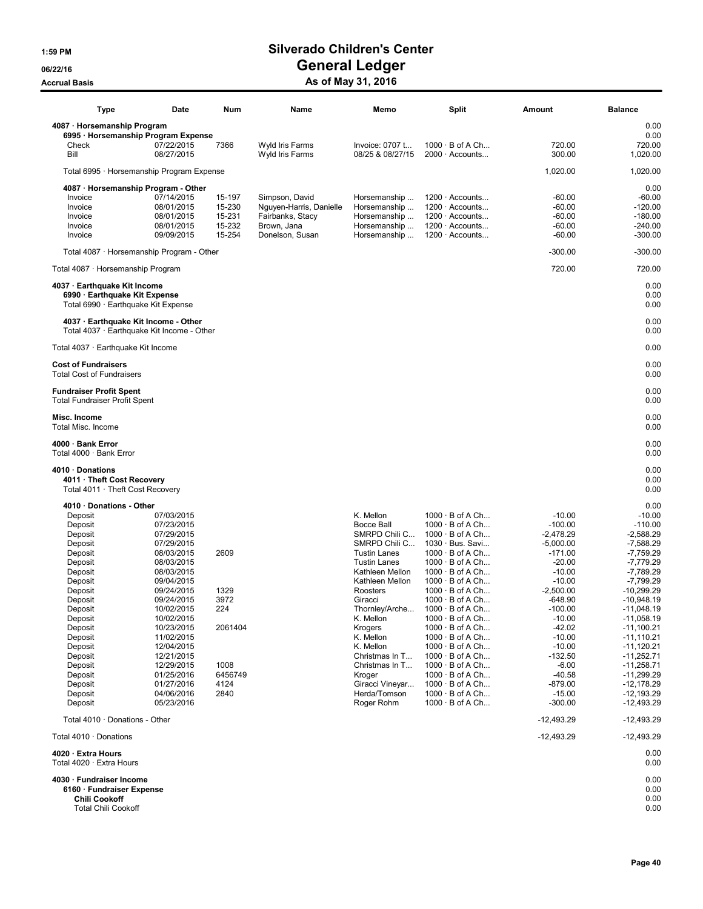| <b>Type</b>                                                                                                                                                                                                                                                     | Date                                                                                                                                                                                                                                                                                               | Num                                                                       | Name                                                                                            | Memo                                                                                                                                                                                                                                                                                                                                           | Split                                                                                                                                                                                                                                                                                                                                                                                                                                                                                                                                                    | Amount                                                                                                                                                                                                                                                                | <b>Balance</b>                                                                                                                                                                                                                                                                                                                  |
|-----------------------------------------------------------------------------------------------------------------------------------------------------------------------------------------------------------------------------------------------------------------|----------------------------------------------------------------------------------------------------------------------------------------------------------------------------------------------------------------------------------------------------------------------------------------------------|---------------------------------------------------------------------------|-------------------------------------------------------------------------------------------------|------------------------------------------------------------------------------------------------------------------------------------------------------------------------------------------------------------------------------------------------------------------------------------------------------------------------------------------------|----------------------------------------------------------------------------------------------------------------------------------------------------------------------------------------------------------------------------------------------------------------------------------------------------------------------------------------------------------------------------------------------------------------------------------------------------------------------------------------------------------------------------------------------------------|-----------------------------------------------------------------------------------------------------------------------------------------------------------------------------------------------------------------------------------------------------------------------|---------------------------------------------------------------------------------------------------------------------------------------------------------------------------------------------------------------------------------------------------------------------------------------------------------------------------------|
| 4087 · Horsemanship Program                                                                                                                                                                                                                                     |                                                                                                                                                                                                                                                                                                    |                                                                           |                                                                                                 |                                                                                                                                                                                                                                                                                                                                                |                                                                                                                                                                                                                                                                                                                                                                                                                                                                                                                                                          |                                                                                                                                                                                                                                                                       | 0.00                                                                                                                                                                                                                                                                                                                            |
| 6995 · Horsemanship Program Expense<br>Check<br>Bill                                                                                                                                                                                                            | 07/22/2015<br>08/27/2015                                                                                                                                                                                                                                                                           | 7366                                                                      | Wyld Iris Farms<br>Wyld Iris Farms                                                              | Invoice: 0707 t<br>08/25 & 08/27/15                                                                                                                                                                                                                                                                                                            | $1000 \cdot B$ of A Ch<br>$2000 \cdot$ Accounts                                                                                                                                                                                                                                                                                                                                                                                                                                                                                                          | 720.00<br>300.00                                                                                                                                                                                                                                                      | 0.00<br>720.00<br>1,020.00                                                                                                                                                                                                                                                                                                      |
| Total 6995 · Horsemanship Program Expense                                                                                                                                                                                                                       |                                                                                                                                                                                                                                                                                                    |                                                                           |                                                                                                 |                                                                                                                                                                                                                                                                                                                                                |                                                                                                                                                                                                                                                                                                                                                                                                                                                                                                                                                          | 1,020.00                                                                                                                                                                                                                                                              | 1,020.00                                                                                                                                                                                                                                                                                                                        |
| 4087 · Horsemanship Program - Other<br>Invoice<br>Invoice<br>Invoice<br>Invoice<br>Invoice                                                                                                                                                                      | 07/14/2015<br>08/01/2015<br>08/01/2015<br>08/01/2015<br>09/09/2015                                                                                                                                                                                                                                 | 15-197<br>15-230<br>15-231<br>15-232<br>15-254                            | Simpson, David<br>Nguyen-Harris, Danielle<br>Fairbanks, Stacy<br>Brown, Jana<br>Donelson, Susan | Horsemanship<br>Horsemanship<br>Horsemanship<br>Horsemanship<br>Horsemanship                                                                                                                                                                                                                                                                   | 1200 · Accounts<br>$1200 \cdot$ Accounts<br>$1200 \cdot$ Accounts<br>$1200 \cdot$ Accounts<br>$1200 \cdot$ Accounts                                                                                                                                                                                                                                                                                                                                                                                                                                      | -60.00<br>$-60.00$<br>$-60.00$<br>$-60.00$<br>$-60.00$                                                                                                                                                                                                                | 0.00<br>$-60.00$<br>$-120.00$<br>$-180.00$<br>$-240.00$<br>$-300.00$                                                                                                                                                                                                                                                            |
| Total 4087 · Horsemanship Program - Other                                                                                                                                                                                                                       |                                                                                                                                                                                                                                                                                                    |                                                                           |                                                                                                 |                                                                                                                                                                                                                                                                                                                                                |                                                                                                                                                                                                                                                                                                                                                                                                                                                                                                                                                          | $-300.00$                                                                                                                                                                                                                                                             | $-300.00$                                                                                                                                                                                                                                                                                                                       |
| Total 4087 · Horsemanship Program                                                                                                                                                                                                                               |                                                                                                                                                                                                                                                                                                    |                                                                           |                                                                                                 |                                                                                                                                                                                                                                                                                                                                                |                                                                                                                                                                                                                                                                                                                                                                                                                                                                                                                                                          | 720.00                                                                                                                                                                                                                                                                | 720.00                                                                                                                                                                                                                                                                                                                          |
| 4037 · Earthquake Kit Income<br>6990 · Earthquake Kit Expense<br>Total 6990 · Earthquake Kit Expense                                                                                                                                                            |                                                                                                                                                                                                                                                                                                    |                                                                           |                                                                                                 |                                                                                                                                                                                                                                                                                                                                                |                                                                                                                                                                                                                                                                                                                                                                                                                                                                                                                                                          |                                                                                                                                                                                                                                                                       | 0.00<br>0.00<br>0.00                                                                                                                                                                                                                                                                                                            |
| 4037 · Earthquake Kit Income - Other<br>Total 4037 · Earthquake Kit Income - Other                                                                                                                                                                              |                                                                                                                                                                                                                                                                                                    |                                                                           |                                                                                                 |                                                                                                                                                                                                                                                                                                                                                |                                                                                                                                                                                                                                                                                                                                                                                                                                                                                                                                                          |                                                                                                                                                                                                                                                                       | 0.00<br>0.00                                                                                                                                                                                                                                                                                                                    |
| Total 4037 · Earthquake Kit Income                                                                                                                                                                                                                              |                                                                                                                                                                                                                                                                                                    |                                                                           |                                                                                                 |                                                                                                                                                                                                                                                                                                                                                |                                                                                                                                                                                                                                                                                                                                                                                                                                                                                                                                                          |                                                                                                                                                                                                                                                                       | 0.00                                                                                                                                                                                                                                                                                                                            |
| <b>Cost of Fundraisers</b><br><b>Total Cost of Fundraisers</b>                                                                                                                                                                                                  |                                                                                                                                                                                                                                                                                                    |                                                                           |                                                                                                 |                                                                                                                                                                                                                                                                                                                                                |                                                                                                                                                                                                                                                                                                                                                                                                                                                                                                                                                          |                                                                                                                                                                                                                                                                       | 0.00<br>0.00                                                                                                                                                                                                                                                                                                                    |
| <b>Fundraiser Profit Spent</b><br><b>Total Fundraiser Profit Spent</b>                                                                                                                                                                                          |                                                                                                                                                                                                                                                                                                    |                                                                           |                                                                                                 |                                                                                                                                                                                                                                                                                                                                                |                                                                                                                                                                                                                                                                                                                                                                                                                                                                                                                                                          |                                                                                                                                                                                                                                                                       | 0.00<br>0.00                                                                                                                                                                                                                                                                                                                    |
| Misc. Income<br>Total Misc. Income                                                                                                                                                                                                                              |                                                                                                                                                                                                                                                                                                    |                                                                           |                                                                                                 |                                                                                                                                                                                                                                                                                                                                                |                                                                                                                                                                                                                                                                                                                                                                                                                                                                                                                                                          |                                                                                                                                                                                                                                                                       | 0.00<br>0.00                                                                                                                                                                                                                                                                                                                    |
| 4000 · Bank Error<br>Total 4000 · Bank Error                                                                                                                                                                                                                    |                                                                                                                                                                                                                                                                                                    |                                                                           |                                                                                                 |                                                                                                                                                                                                                                                                                                                                                |                                                                                                                                                                                                                                                                                                                                                                                                                                                                                                                                                          |                                                                                                                                                                                                                                                                       | 0.00<br>0.00                                                                                                                                                                                                                                                                                                                    |
| 4010 Donations<br>4011 · Theft Cost Recovery<br>Total 4011 · Theft Cost Recovery                                                                                                                                                                                |                                                                                                                                                                                                                                                                                                    |                                                                           |                                                                                                 |                                                                                                                                                                                                                                                                                                                                                |                                                                                                                                                                                                                                                                                                                                                                                                                                                                                                                                                          |                                                                                                                                                                                                                                                                       | 0.00<br>0.00<br>0.00                                                                                                                                                                                                                                                                                                            |
| 4010 · Donations - Other<br>Deposit<br>Deposit<br>Deposit<br>Deposit<br>Deposit<br>Deposit<br>Deposit<br>Deposit<br>Deposit<br>Deposit<br>Deposit<br>Deposit<br>Deposit<br>Deposit<br>Deposit<br>Deposit<br>Deposit<br>Deposit<br>Deposit<br>Deposit<br>Deposit | 07/03/2015<br>07/23/2015<br>07/29/2015<br>07/29/2015<br>08/03/2015<br>08/03/2015<br>08/03/2015<br>09/04/2015<br>09/24/2015<br>09/24/2015<br>10/02/2015<br>10/02/2015<br>10/23/2015<br>11/02/2015<br>12/04/2015<br>12/21/2015<br>12/29/2015<br>01/25/2016<br>01/27/2016<br>04/06/2016<br>05/23/2016 | 2609<br>1329<br>3972<br>224<br>2061404<br>1008<br>6456749<br>4124<br>2840 |                                                                                                 | K. Mellon<br><b>Bocce Ball</b><br>SMRPD Chili C<br>SMRPD Chili C<br><b>Tustin Lanes</b><br><b>Tustin Lanes</b><br>Kathleen Mellon<br>Kathleen Mellon<br>Roosters<br>Giracci<br>Thornley/Arche<br>K. Mellon<br>Krogers<br>K. Mellon<br>K. Mellon<br>Christmas In T<br>Christmas In T<br>Kroger<br>Giracci Vineyar<br>Herda/Tomson<br>Roger Rohm | $1000 \cdot B$ of A Ch<br>$1000 \cdot B$ of A Ch<br>$1000 \cdot B$ of A Ch<br>1030 · Bus. Savi<br>$1000 \cdot B$ of A Ch<br>$1000 \cdot B$ of A Ch<br>$1000 \cdot B$ of A Ch<br>$1000 \cdot B$ of A Ch<br>$1000 \cdot B$ of A Ch<br>$1000 \cdot B$ of A Ch<br>$1000 \cdot B$ of A Ch<br>$1000 \cdot B$ of A Ch<br>$1000 \cdot B$ of A Ch<br>$1000 \cdot B$ of A Ch<br>$1000 \cdot B$ of A Ch<br>$1000 \cdot B$ of A Ch<br>$1000 \cdot B$ of A Ch<br>$1000 \cdot B$ of A Ch<br>$1000 \cdot B$ of A Ch<br>$1000 \cdot B$ of A Ch<br>$1000 \cdot B$ of A Ch | $-10.00$<br>$-100.00$<br>$-2,478.29$<br>$-5.000.00$<br>$-171.00$<br>$-20.00$<br>$-10.00$<br>$-10.00$<br>$-2,500.00$<br>-648.90<br>$-100.00$<br>$-10.00$<br>$-42.02$<br>$-10.00$<br>$-10.00$<br>$-132.50$<br>$-6.00$<br>$-40.58$<br>$-879.00$<br>$-15.00$<br>$-300.00$ | 0.00<br>$-10.00$<br>$-110.00$<br>$-2,588.29$<br>$-7,588.29$<br>-7,759.29<br>-7,779.29<br>$-7,789.29$<br>$-7,799.29$<br>$-10,299.29$<br>$-10,948.19$<br>-11,048.19<br>$-11,058.19$<br>$-11,100.21$<br>$-11,110.21$<br>$-11,120.21$<br>$-11,252.71$<br>$-11,258.71$<br>$-11,299.29$<br>-12,178.29<br>$-12,193.29$<br>$-12,493.29$ |
| Total 4010 · Donations - Other                                                                                                                                                                                                                                  |                                                                                                                                                                                                                                                                                                    |                                                                           |                                                                                                 |                                                                                                                                                                                                                                                                                                                                                |                                                                                                                                                                                                                                                                                                                                                                                                                                                                                                                                                          | $-12,493.29$                                                                                                                                                                                                                                                          | $-12,493.29$                                                                                                                                                                                                                                                                                                                    |
| Total 4010 · Donations                                                                                                                                                                                                                                          |                                                                                                                                                                                                                                                                                                    |                                                                           |                                                                                                 |                                                                                                                                                                                                                                                                                                                                                |                                                                                                                                                                                                                                                                                                                                                                                                                                                                                                                                                          | $-12,493.29$                                                                                                                                                                                                                                                          | $-12,493.29$                                                                                                                                                                                                                                                                                                                    |
| 4020 · Extra Hours<br>Total 4020 · Extra Hours                                                                                                                                                                                                                  |                                                                                                                                                                                                                                                                                                    |                                                                           |                                                                                                 |                                                                                                                                                                                                                                                                                                                                                |                                                                                                                                                                                                                                                                                                                                                                                                                                                                                                                                                          |                                                                                                                                                                                                                                                                       | 0.00<br>0.00                                                                                                                                                                                                                                                                                                                    |
| 4030 · Fundraiser Income<br>6160 · Fundraiser Expense<br><b>Chili Cookoff</b><br><b>Total Chili Cookoff</b>                                                                                                                                                     |                                                                                                                                                                                                                                                                                                    |                                                                           |                                                                                                 |                                                                                                                                                                                                                                                                                                                                                |                                                                                                                                                                                                                                                                                                                                                                                                                                                                                                                                                          |                                                                                                                                                                                                                                                                       | 0.00<br>0.00<br>0.00<br>0.00                                                                                                                                                                                                                                                                                                    |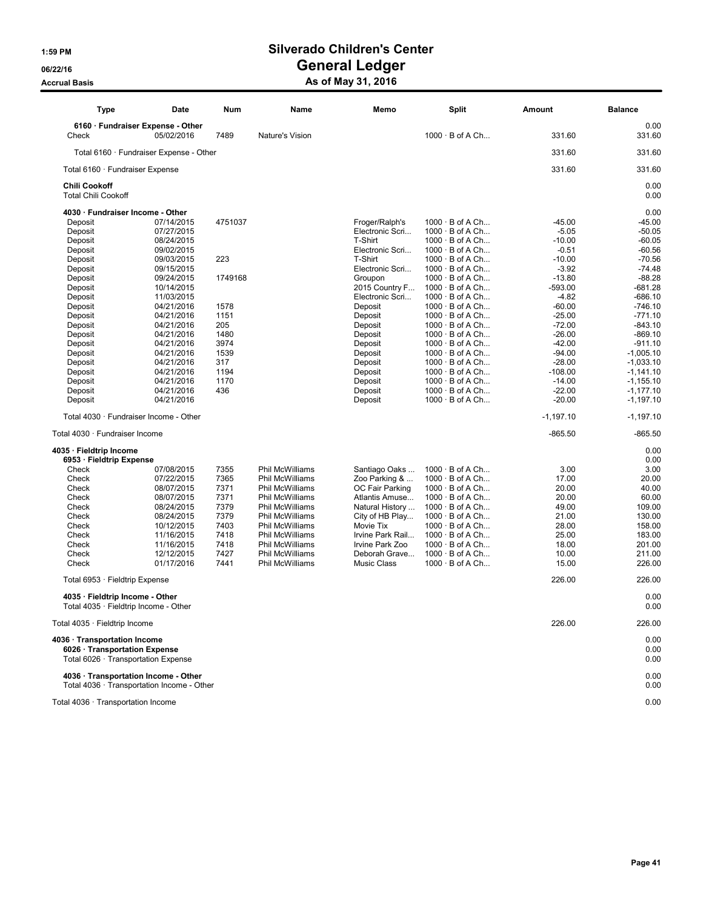| <b>Type</b>                                        | Date                                       | Num     | Name                   | Memo               | <b>Split</b>           | Amount      | <b>Balance</b> |
|----------------------------------------------------|--------------------------------------------|---------|------------------------|--------------------|------------------------|-------------|----------------|
|                                                    | 6160 · Fundraiser Expense - Other          |         |                        |                    |                        |             | 0.00           |
| Check                                              | 05/02/2016                                 | 7489    | Nature's Vision        |                    | $1000 \cdot B$ of A Ch | 331.60      | 331.60         |
|                                                    | Total 6160 · Fundraiser Expense - Other    |         |                        |                    |                        | 331.60      | 331.60         |
| Total 6160 · Fundraiser Expense                    |                                            |         |                        |                    |                        | 331.60      | 331.60         |
| <b>Chili Cookoff</b><br><b>Total Chili Cookoff</b> |                                            |         |                        |                    |                        |             | 0.00<br>0.00   |
| 4030 · Fundraiser Income - Other                   |                                            |         |                        |                    |                        |             | 0.00           |
| Deposit                                            | 07/14/2015                                 | 4751037 |                        | Froger/Ralph's     | $1000 \cdot B$ of A Ch | -45.00      | $-45.00$       |
| Deposit                                            | 07/27/2015                                 |         |                        | Electronic Scri    | $1000 \cdot B$ of A Ch | $-5.05$     | $-50.05$       |
| Deposit                                            | 08/24/2015                                 |         |                        | T-Shirt            | $1000 \cdot B$ of A Ch | $-10.00$    | $-60.05$       |
| Deposit                                            | 09/02/2015                                 |         |                        | Electronic Scri    | $1000 \cdot B$ of A Ch | $-0.51$     | $-60.56$       |
| Deposit                                            | 09/03/2015                                 | 223     |                        | T-Shirt            | $1000 \cdot B$ of A Ch | $-10.00$    | $-70.56$       |
| Deposit                                            | 09/15/2015                                 |         |                        | Electronic Scri    | $1000 \cdot B$ of A Ch | $-3.92$     | $-74.48$       |
|                                                    |                                            |         |                        |                    |                        |             | $-88.28$       |
| Deposit                                            | 09/24/2015                                 | 1749168 |                        | Groupon            | $1000 \cdot B$ of A Ch | $-13.80$    |                |
| Deposit                                            | 10/14/2015                                 |         |                        | 2015 Country F     | $1000 \cdot B$ of A Ch | -593.00     | -681.28        |
| Deposit                                            | 11/03/2015                                 |         |                        | Electronic Scri    | 1000 · B of A Ch       | $-4.82$     | $-686.10$      |
| Deposit                                            | 04/21/2016                                 | 1578    |                        | Deposit            | $1000 \cdot B$ of A Ch | $-60.00$    | $-746.10$      |
| Deposit                                            | 04/21/2016                                 | 1151    |                        | Deposit            | $1000 \cdot B$ of A Ch | $-25.00$    | $-771.10$      |
| Deposit                                            | 04/21/2016                                 | 205     |                        | Deposit            | $1000 \cdot B$ of A Ch | $-72.00$    | $-843.10$      |
| Deposit                                            | 04/21/2016                                 | 1480    |                        | Deposit            | $1000 \cdot B$ of A Ch | $-26.00$    | $-869.10$      |
| Deposit                                            | 04/21/2016                                 | 3974    |                        | Deposit            | $1000 \cdot B$ of A Ch | $-42.00$    | $-911.10$      |
| Deposit                                            | 04/21/2016                                 | 1539    |                        | Deposit            | $1000 \cdot B$ of A Ch | $-94.00$    | $-1,005.10$    |
| Deposit                                            | 04/21/2016                                 | 317     |                        | Deposit            | $1000 \cdot B$ of A Ch | $-28.00$    | $-1,033.10$    |
| Deposit                                            | 04/21/2016                                 | 1194    |                        | Deposit            | $1000 \cdot B$ of A Ch | $-108.00$   | $-1,141.10$    |
| Deposit                                            | 04/21/2016                                 | 1170    |                        | Deposit            | $1000 \cdot B$ of A Ch | $-14.00$    | $-1,155.10$    |
| Deposit                                            | 04/21/2016                                 | 436     |                        | Deposit            | $1000 \cdot B$ of A Ch | $-22.00$    | $-1,177.10$    |
| Deposit                                            | 04/21/2016                                 |         |                        | Deposit            | $1000 \cdot B$ of A Ch | $-20.00$    | $-1,197.10$    |
|                                                    | Total 4030 · Fundraiser Income - Other     |         |                        |                    |                        | $-1,197.10$ | $-1,197.10$    |
| Total 4030 · Fundraiser Income                     |                                            |         |                        |                    |                        | $-865.50$   | $-865.50$      |
| 4035 · Fieldtrip Income                            |                                            |         |                        |                    |                        |             | 0.00           |
| 6953 · Fieldtrip Expense                           |                                            |         |                        |                    |                        |             | 0.00           |
| Check                                              | 07/08/2015                                 | 7355    | <b>Phil McWilliams</b> | Santiago Oaks      | $1000 \cdot B$ of A Ch | 3.00        | 3.00           |
| Check                                              | 07/22/2015                                 | 7365    | Phil McWilliams        | Zoo Parking &      | $1000 \cdot B$ of A Ch | 17.00       | 20.00          |
| Check                                              | 08/07/2015                                 | 7371    | Phil McWilliams        | OC Fair Parking    | $1000 \cdot B$ of A Ch | 20.00       | 40.00          |
| Check                                              | 08/07/2015                                 | 7371    | <b>Phil McWilliams</b> | Atlantis Amuse     | $1000 \cdot B$ of A Ch | 20.00       | 60.00          |
| Check                                              | 08/24/2015                                 | 7379    | Phil McWilliams        | Natural History    | 1000 · B of A Ch       | 49.00       | 109.00         |
| Check                                              | 08/24/2015                                 | 7379    | Phil McWilliams        | City of HB Play    | $1000 \cdot B$ of A Ch | 21.00       | 130.00         |
| Check                                              | 10/12/2015                                 | 7403    | Phil McWilliams        | Movie Tix          | $1000 \cdot B$ of A Ch | 28.00       | 158.00         |
| Check                                              | 11/16/2015                                 | 7418    | Phil McWilliams        | Irvine Park Rail   | $1000 \cdot B$ of A Ch | 25.00       | 183.00         |
| Check                                              | 11/16/2015                                 | 7418    | Phil McWilliams        | Irvine Park Zoo    | $1000 \cdot B$ of A Ch | 18.00       | 201.00         |
| Check                                              | 12/12/2015                                 | 7427    | Phil McWilliams        | Deborah Grave      | $1000 \cdot B$ of A Ch | 10.00       | 211.00         |
| Check                                              | 01/17/2016                                 | 7441    | <b>Phil McWilliams</b> | <b>Music Class</b> | $1000 \cdot B$ of A Ch | 15.00       | 226.00         |
| Total 6953 · Fieldtrip Expense                     |                                            |         |                        |                    |                        | 226.00      | 226.00         |
| 4035 · Fieldtrip Income - Other                    |                                            |         |                        |                    |                        |             | 0.00           |
|                                                    | Total 4035 · Fieldtrip Income - Other      |         |                        |                    |                        |             | 0.00           |
| Total $4035 \cdot$ Fieldtrip Income                |                                            |         |                        |                    |                        | 226.00      | 226.00         |
| 4036 · Transportation Income                       |                                            |         |                        |                    |                        |             | 0.00           |
| 6026 · Transportation Expense                      |                                            |         |                        |                    |                        |             | 0.00           |
|                                                    | Total 6026 · Transportation Expense        |         |                        |                    |                        |             | 0.00           |
|                                                    |                                            |         |                        |                    |                        |             |                |
|                                                    | 4036 · Transportation Income - Other       |         |                        |                    |                        |             | 0.00           |
|                                                    | Total 4036 · Transportation Income - Other |         |                        |                    |                        |             | 0.00           |
|                                                    |                                            |         |                        |                    |                        |             |                |
| Total 4036 · Transportation Income                 |                                            |         |                        |                    |                        |             | 0.00           |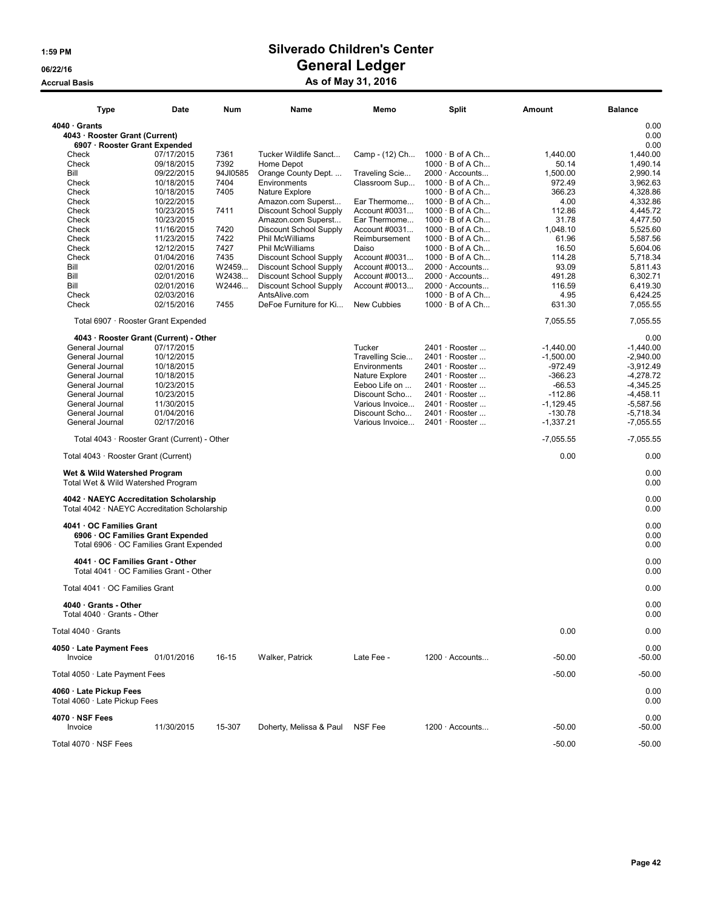# 1:59 PM Silverado Children's Center 06/22/16 OS/22/16 General Ledger

### Accrual Basis **Accrual Basis** As of May 31, 2016

| Type                                                  | Date       | Num       | Name                    | Memo            | Split                  | Amount      | <b>Balance</b> |
|-------------------------------------------------------|------------|-----------|-------------------------|-----------------|------------------------|-------------|----------------|
| $4040 \cdot$ Grants<br>4043 · Rooster Grant (Current) |            |           |                         |                 |                        |             | 0.00<br>0.00   |
| 6907 · Rooster Grant Expended                         |            |           |                         |                 |                        |             | 0.00           |
| Check                                                 | 07/17/2015 | 7361      | Tucker Wildlife Sanct   | Camp - (12) Ch  | $1000 \cdot B$ of A Ch | 1,440.00    | 1,440.00       |
| Check                                                 | 09/18/2015 | 7392      | Home Depot              |                 | $1000 \cdot B$ of A Ch | 50.14       | 1,490.14       |
| Bill                                                  | 09/22/2015 | 94JI0585  | Orange County Dept.     | Traveling Scie  | $2000 \cdot$ Accounts  | 1,500.00    | 2,990.14       |
| Check                                                 | 10/18/2015 | 7404      | Environments            | Classroom Sup   | $1000 \cdot B$ of A Ch | 972.49      | 3,962.63       |
| Check                                                 | 10/18/2015 | 7405      | Nature Explore          |                 | $1000 \cdot B$ of A Ch | 366.23      | 4,328.86       |
| Check                                                 | 10/22/2015 |           | Amazon.com Superst      | Ear Thermome    | $1000 \cdot B$ of A Ch | 4.00        | 4,332.86       |
| Check                                                 | 10/23/2015 | 7411      | Discount School Supply  | Account #0031   | $1000 \cdot B$ of A Ch | 112.86      | 4,445.72       |
| Check                                                 | 10/23/2015 |           | Amazon.com Superst      | Ear Thermome    | $1000 \cdot B$ of A Ch | 31.78       | 4,477.50       |
| Check                                                 | 11/16/2015 | 7420      | Discount School Supply  | Account #0031   | $1000 \cdot B$ of A Ch | 1,048.10    | 5,525.60       |
| Check                                                 | 11/23/2015 | 7422      | Phil McWilliams         | Reimbursement   | $1000 \cdot B$ of A Ch | 61.96       | 5,587.56       |
| Check                                                 | 12/12/2015 | 7427      | Phil McWilliams         | Daiso           | $1000 \cdot B$ of A Ch | 16.50       | 5,604.06       |
| Check                                                 | 01/04/2016 | 7435      | Discount School Supply  | Account #0031   | $1000 \cdot B$ of A Ch | 114.28      | 5,718.34       |
|                                                       |            |           |                         |                 |                        |             |                |
| Bill                                                  | 02/01/2016 | W2459     | Discount School Supply  | Account #0013   | 2000 · Accounts        | 93.09       | 5,811.43       |
| Bill                                                  | 02/01/2016 | W2438     | Discount School Supply  | Account #0013   | $2000 \cdot$ Accounts  | 491.28      | 6,302.71       |
| Bill                                                  | 02/01/2016 | W2446     | Discount School Supply  | Account #0013   | $2000 \cdot$ Accounts  | 116.59      | 6,419.30       |
| Check                                                 | 02/03/2016 |           | AntsAlive.com           |                 | $1000 \cdot B$ of A Ch | 4.95        | 6,424.25       |
| Check                                                 | 02/15/2016 | 7455      | DeFoe Furniture for Ki  | New Cubbies     | $1000 \cdot B$ of A Ch | 631.30      | 7,055.55       |
| Total 6907 · Rooster Grant Expended                   |            |           |                         |                 |                        | 7,055.55    | 7,055.55       |
| 4043 · Rooster Grant (Current) - Other                |            |           |                         |                 |                        |             | 0.00           |
| General Journal                                       | 07/17/2015 |           |                         | Tucker          | 2401 · Rooster         | $-1,440.00$ | $-1,440.00$    |
| General Journal                                       | 10/12/2015 |           |                         | Travelling Scie | 2401 · Rooster         | $-1,500.00$ | $-2,940.00$    |
| General Journal                                       | 10/18/2015 |           |                         | Environments    | 2401 · Rooster         | $-972.49$   | $-3,912.49$    |
| General Journal                                       | 10/18/2015 |           |                         | Nature Explore  | 2401 · Rooster         | $-366.23$   | $-4,278.72$    |
| General Journal                                       | 10/23/2015 |           |                         | Eeboo Life on   | $2401 \cdot$ Rooster   | $-66.53$    | $-4,345.25$    |
| General Journal                                       | 10/23/2015 |           |                         | Discount Scho   | $2401 \cdot$ Rooster   | $-112.86$   | $-4,458.11$    |
| General Journal                                       | 11/30/2015 |           |                         | Various Invoice | 2401 · Rooster         | $-1.129.45$ | $-5,587.56$    |
| General Journal                                       | 01/04/2016 |           |                         | Discount Scho   | 2401 · Rooster         | $-130.78$   | $-5.718.34$    |
| General Journal                                       | 02/17/2016 |           |                         | Various Invoice | 2401 · Rooster         | $-1,337.21$ | $-7,055.55$    |
| Total 4043 · Rooster Grant (Current) - Other          |            |           |                         |                 |                        | $-7,055.55$ | $-7,055.55$    |
| Total 4043 · Rooster Grant (Current)                  |            |           |                         |                 |                        | 0.00        | 0.00           |
| Wet & Wild Watershed Program                          |            |           |                         |                 |                        |             | 0.00           |
| Total Wet & Wild Watershed Program                    |            |           |                         |                 |                        |             | 0.00           |
| 4042 · NAEYC Accreditation Scholarship                |            |           |                         |                 |                        |             | 0.00           |
| Total 4042 · NAEYC Accreditation Scholarship          |            |           |                         |                 |                        |             | 0.00           |
|                                                       |            |           |                         |                 |                        |             |                |
| 4041 OC Families Grant                                |            |           |                         |                 |                        |             | 0.00           |
| 6906 OC Families Grant Expended                       |            |           |                         |                 |                        |             | 0.00           |
| Total 6906 · OC Families Grant Expended               |            |           |                         |                 |                        |             | 0.00           |
|                                                       |            |           |                         |                 |                        |             |                |
| 4041 · OC Families Grant - Other                      |            |           |                         |                 |                        |             | 0.00           |
| Total 4041 · OC Families Grant - Other                |            |           |                         |                 |                        |             | 0.00           |
| Total 4041 · OC Families Grant                        |            |           |                         |                 |                        |             | 0.00           |
|                                                       |            |           |                         |                 |                        |             |                |
| 4040 · Grants - Other                                 |            |           |                         |                 |                        |             | 0.00           |
| Total 4040 · Grants - Other                           |            |           |                         |                 |                        |             | 0.00           |
| Total $4040 \cdot$ Grants                             |            |           |                         |                 |                        | 0.00        | 0.00           |
|                                                       |            |           |                         |                 |                        |             |                |
| 4050 Late Payment Fees                                |            |           |                         |                 |                        |             | 0.00           |
| Invoice                                               | 01/01/2016 | $16 - 15$ | Walker, Patrick         | Late Fee -      | $1200 \cdot$ Accounts  | $-50.00$    | $-50.00$       |
|                                                       |            |           |                         |                 |                        |             |                |
| Total 4050 · Late Payment Fees                        |            |           |                         |                 |                        | $-50.00$    | $-50.00$       |
| 4060 · Late Pickup Fees                               |            |           |                         |                 |                        |             | 0.00           |
| Total 4060 · Late Pickup Fees                         |            |           |                         |                 |                        |             | 0.00           |
|                                                       |            |           |                         |                 |                        |             |                |
| 4070 · NSF Fees                                       |            |           |                         |                 |                        |             | 0.00           |
| Invoice                                               | 11/30/2015 | 15-307    | Doherty, Melissa & Paul | NSF Fee         | 1200 · Accounts        | $-50.00$    | $-50.00$       |
|                                                       |            |           |                         |                 |                        |             |                |
| Total 4070 · NSF Fees                                 |            |           |                         |                 |                        | $-50.00$    | $-50.00$       |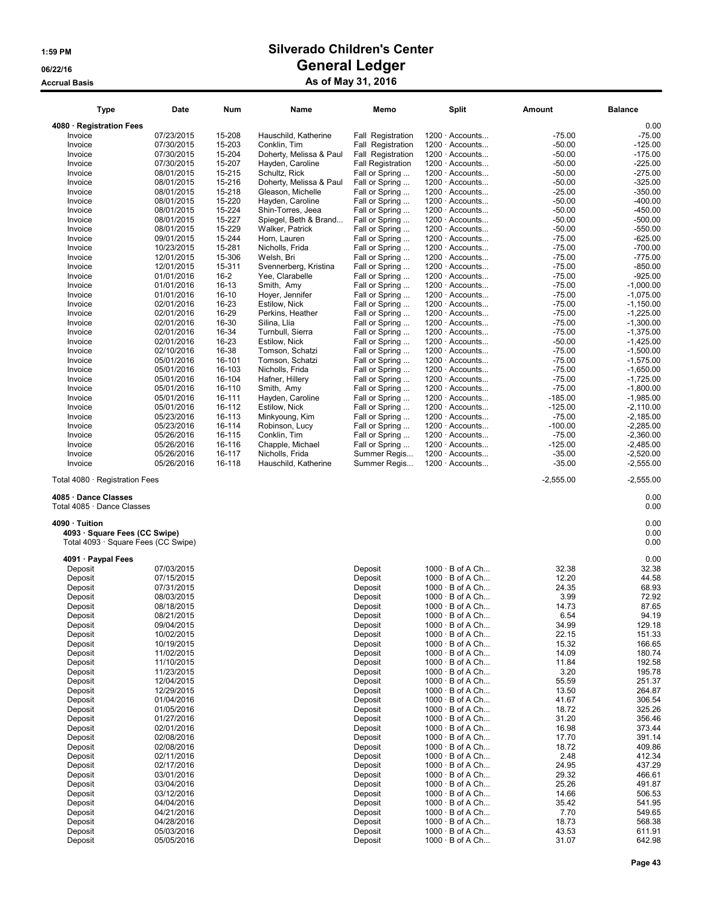| <b>Type</b>                                                          | Date                     | Num              | Name                                     | Memo                             | <b>Split</b>                                     | <b>Amount</b>        | <b>Balance</b>         |
|----------------------------------------------------------------------|--------------------------|------------------|------------------------------------------|----------------------------------|--------------------------------------------------|----------------------|------------------------|
| 4080 · Registration Fees                                             |                          |                  |                                          |                                  |                                                  |                      | 0.00                   |
| Invoice                                                              | 07/23/2015               | 15-208           | Hauschild, Katherine                     | <b>Fall Registration</b>         | $1200 \cdot$ Accounts                            | $-75.00$             | $-75.00$               |
| Invoice                                                              | 07/30/2015               | 15-203           | Conklin, Tim                             | <b>Fall Registration</b>         | 1200 · Accounts                                  | $-50.00$             | $-125.00$              |
| Invoice                                                              | 07/30/2015               | 15-204           | Doherty, Melissa & Paul                  | Fall Registration                | 1200 · Accounts                                  | $-50.00$             | $-175.00$              |
| Invoice                                                              | 07/30/2015               | 15-207           | Hayden, Caroline                         | <b>Fall Registration</b>         | $1200 \cdot$ Accounts                            | $-50.00$             | $-225.00$              |
| Invoice                                                              | 08/01/2015               | 15-215           | Schultz, Rick                            | Fall or Spring                   | 1200 · Accounts                                  | $-50.00$             | $-275.00$              |
| Invoice                                                              | 08/01/2015               | 15-216           | Doherty, Melissa & Paul                  | Fall or Spring                   | 1200 · Accounts                                  | $-50.00$             | $-325.00$              |
| Invoice                                                              | 08/01/2015               | 15-218           | Gleason, Michelle                        | Fall or Spring                   | $1200 \cdot$ Accounts                            | $-25.00$             | $-350.00$              |
| Invoice                                                              | 08/01/2015               | 15-220           | Hayden, Caroline                         | Fall or Spring                   | $1200 \cdot$ Accounts                            | $-50.00$             | $-400.00$              |
| Invoice                                                              | 08/01/2015               | 15-224           | Shin-Torres, Jeea                        | Fall or Spring                   | $1200 \cdot$ Accounts                            | $-50.00$             | $-450.00$              |
| Invoice                                                              | 08/01/2015<br>08/01/2015 | 15-227<br>15-229 | Spiegel, Beth & Brand<br>Walker, Patrick | Fall or Spring                   | $1200 \cdot$ Accounts<br>$1200 \cdot$ Accounts   | $-50.00$<br>$-50.00$ | $-500.00$<br>$-550.00$ |
| Invoice<br>Invoice                                                   | 09/01/2015               | 15-244           | Horn, Lauren                             | Fall or Spring                   | 1200 · Accounts                                  | $-75.00$             | $-625.00$              |
| Invoice                                                              | 10/23/2015               | 15-281           | Nicholls, Frida                          | Fall or Spring<br>Fall or Spring | $1200 \cdot$ Accounts                            | $-75.00$             | $-700.00$              |
| Invoice                                                              | 12/01/2015               | 15-306           | Welsh, Bri                               | Fall or Spring                   | $1200 \cdot$ Accounts                            | $-75.00$             | $-775.00$              |
| Invoice                                                              | 12/01/2015               | 15-311           | Svennerberg, Kristina                    | Fall or Spring                   | 1200 · Accounts                                  | $-75.00$             | $-850.00$              |
| Invoice                                                              | 01/01/2016               | $16 - 2$         | Yee, Clarabelle                          | Fall or Spring                   | 1200 · Accounts                                  | $-75.00$             | $-925.00$              |
| Invoice                                                              | 01/01/2016               | 16-13            | Smith, Amy                               | Fall or Spring                   | $1200 \cdot$ Accounts                            | $-75.00$             | $-1,000.00$            |
| Invoice                                                              | 01/01/2016               | $16-10$          | Hoyer, Jennifer                          | Fall or Spring                   | 1200 · Accounts                                  | $-75.00$             | $-1,075.00$            |
| Invoice                                                              | 02/01/2016               | 16-23            | Estilow, Nick                            | Fall or Spring                   | 1200 · Accounts                                  | $-75.00$             | $-1,150.00$            |
| Invoice                                                              | 02/01/2016               | 16-29            | Perkins, Heather                         | Fall or Spring                   | $1200 \cdot$ Accounts                            | $-75.00$             | $-1,225.00$            |
| Invoice                                                              | 02/01/2016               | 16-30            | Silina, Llia                             | Fall or Spring                   | 1200 · Accounts                                  | $-75.00$             | $-1,300.00$            |
| Invoice                                                              | 02/01/2016               | 16-34            | Turnbull, Sierra                         | Fall or Spring                   | $1200 \cdot$ Accounts                            | $-75.00$             | $-1,375.00$            |
| Invoice                                                              | 02/01/2016               | 16-23            | Estilow, Nick                            | Fall or Spring                   | $1200 \cdot$ Accounts                            | $-50.00$             | $-1,425.00$            |
| Invoice                                                              | 02/10/2016               | 16-38            | Tomson, Schatzi                          | Fall or Spring                   | 1200 · Accounts                                  | $-75.00$             | $-1,500.00$            |
| Invoice                                                              | 05/01/2016               | 16-101           | Tomson, Schatzi                          | Fall or Spring                   | $1200 \cdot$ Accounts                            | $-75.00$             | $-1.575.00$            |
| Invoice                                                              | 05/01/2016               | 16-103           | Nicholls, Frida                          | Fall or Spring                   | $1200 \cdot$ Accounts                            | $-75.00$             | $-1,650.00$            |
| Invoice                                                              | 05/01/2016               | 16-104           | Hafner, Hillery                          | Fall or Spring                   | 1200 · Accounts                                  | $-75.00$             | $-1,725.00$            |
| Invoice                                                              | 05/01/2016               | 16-110           | Smith, Amy                               | Fall or Spring                   | 1200 · Accounts                                  | $-75.00$             | $-1,800.00$            |
| Invoice                                                              | 05/01/2016               | 16-111           | Hayden, Caroline                         | Fall or Spring                   | $1200 \cdot$ Accounts                            | $-185.00$            | $-1,985.00$            |
| Invoice                                                              | 05/01/2016               | 16-112           | Estilow, Nick                            | Fall or Spring                   | 1200 · Accounts                                  | $-125.00$            | $-2,110.00$            |
| Invoice                                                              | 05/23/2016               | 16-113           | Minkyoung, Kim                           | Fall or Spring                   | 1200 · Accounts                                  | $-75.00$             | $-2,185.00$            |
| Invoice                                                              | 05/23/2016               | 16-114           | Robinson, Lucy                           | Fall or Spring                   | $1200 \cdot$ Accounts                            | $-100.00$            | $-2,285.00$            |
| Invoice                                                              | 05/26/2016               | 16-115           | Conklin, Tim                             | Fall or Spring                   | $1200 \cdot$ Accounts                            | $-75.00$             | $-2,360.00$            |
| Invoice                                                              | 05/26/2016               | 16-116           | Chapple, Michael                         | Fall or Spring                   | $1200 \cdot$ Accounts                            | $-125.00$            | $-2,485.00$            |
| Invoice                                                              | 05/26/2016               | 16-117           | Nicholls, Frida                          | Summer Regis                     | $1200 \cdot$ Accounts                            | $-35.00$             | $-2,520.00$            |
| Invoice                                                              | 05/26/2016               | 16-118           | Hauschild, Katherine                     | Summer Regis                     | $1200 \cdot$ Accounts                            | $-35.00$             | $-2,555.00$            |
| Total 4080 · Registration Fees                                       |                          |                  |                                          |                                  |                                                  | $-2,555.00$          | $-2,555.00$            |
| 4085 · Dance Classes<br>Total 4085 · Dance Classes                   |                          |                  |                                          |                                  |                                                  |                      | 0.00<br>0.00           |
| 4090 · Tuition                                                       |                          |                  |                                          |                                  |                                                  |                      | 0.00                   |
| 4093 · Square Fees (CC Swipe)<br>Total 4093 · Square Fees (CC Swipe) |                          |                  |                                          |                                  |                                                  |                      | 0.00<br>0.00           |
|                                                                      |                          |                  |                                          |                                  |                                                  |                      |                        |
| 4091 · Paypal Fees                                                   |                          |                  |                                          |                                  |                                                  |                      | 0.00                   |
| Deposit                                                              | 07/03/2015               |                  |                                          | Deposit                          | $1000 \cdot B$ of A Ch                           | 32.38                | 32.38                  |
| Deposit                                                              | 07/15/2015               |                  |                                          | Deposit                          | $1000 \cdot B$ of A Ch<br>$1000 \cdot B$ of A Ch | 12.20<br>24.35       | 44.58<br>68.93         |
| Deposit<br>Deposit                                                   | 07/31/2015<br>08/03/2015 |                  |                                          | Deposit<br>Deposit               | $1000 \cdot B$ of A Ch                           | 3.99                 | 72.92                  |
| Deposit                                                              | 08/18/2015               |                  |                                          | Deposit                          | $1000 \cdot B$ of A Ch                           | 14.73                | 87.65                  |
| Deposit                                                              | 08/21/2015               |                  |                                          | Deposit                          | $1000 \cdot B$ of A Ch                           | 6.54                 | 94.19                  |
| Deposit                                                              | 09/04/2015               |                  |                                          | Deposit                          | $1000 \cdot B$ of A Ch                           | 34.99                | 129.18                 |
| Deposit                                                              | 10/02/2015               |                  |                                          | Deposit                          | $1000 \cdot B$ of A Ch                           | 22.15                | 151.33                 |
| Deposit                                                              | 10/19/2015               |                  |                                          | Deposit                          | $1000 \cdot B$ of A Ch                           | 15.32                | 166.65                 |
| Deposit                                                              | 11/02/2015               |                  |                                          | Deposit                          | $1000 \cdot B$ of A Ch                           | 14.09                | 180.74                 |
| Deposit                                                              | 11/10/2015               |                  |                                          | Deposit                          | $1000 \cdot B$ of A Ch                           | 11.84                | 192.58                 |
| Deposit                                                              | 11/23/2015               |                  |                                          | Deposit                          | $1000 \cdot B$ of A Ch                           | 3.20                 | 195.78                 |
| Deposit                                                              | 12/04/2015               |                  |                                          | Deposit                          | $1000 \cdot B$ of A Ch                           | 55.59                | 251.37                 |
| Deposit                                                              | 12/29/2015               |                  |                                          | Deposit                          | $1000 \cdot B$ of A Ch                           | 13.50                | 264.87                 |
| Deposit                                                              | 01/04/2016               |                  |                                          | Deposit                          | $1000 \cdot B$ of A Ch                           | 41.67                | 306.54                 |
| Deposit                                                              | 01/05/2016               |                  |                                          | Deposit                          | 1000 · B of A Ch                                 | 18.72                | 325.26                 |
| Deposit                                                              | 01/27/2016               |                  |                                          | Deposit                          | $1000 \cdot B$ of A Ch                           | 31.20                | 356.46                 |
| Deposit                                                              | 02/01/2016               |                  |                                          | Deposit                          | $1000 \cdot B$ of A Ch                           | 16.98                | 373.44                 |
| Deposit                                                              | 02/08/2016               |                  |                                          | Deposit                          | $1000 \cdot B$ of A Ch                           | 17.70                | 391.14                 |
| Deposit                                                              | 02/08/2016               |                  |                                          | Deposit                          | $1000 \cdot B$ of A Ch                           | 18.72                | 409.86<br>412.34       |
| Deposit<br>Deposit                                                   | 02/11/2016<br>02/17/2016 |                  |                                          | Deposit<br>Deposit               | $1000 \cdot B$ of A Ch<br>$1000 \cdot B$ of A Ch | 2.48<br>24.95        | 437.29                 |
| Deposit                                                              | 03/01/2016               |                  |                                          | Deposit                          | $1000 \cdot B$ of A Ch                           | 29.32                | 466.61                 |
| Deposit                                                              | 03/04/2016               |                  |                                          | Deposit                          | $1000 \cdot B$ of A Ch                           | 25.26                | 491.87                 |
| Deposit                                                              | 03/12/2016               |                  |                                          | Deposit                          | $1000 \cdot B$ of A Ch                           | 14.66                | 506.53                 |
| Deposit                                                              | 04/04/2016               |                  |                                          | Deposit                          | $1000 \cdot B$ of A Ch                           | 35.42                | 541.95                 |
| Deposit                                                              | 04/21/2016               |                  |                                          | Deposit                          | $1000 \cdot B$ of A Ch                           | 7.70                 | 549.65                 |
| Deposit                                                              | 04/28/2016               |                  |                                          | Deposit                          | $1000 \cdot B$ of A Ch                           | 18.73                | 568.38                 |
| Deposit                                                              | 05/03/2016               |                  |                                          | Deposit                          | $1000 \cdot B$ of A Ch                           | 43.53                | 611.91                 |
| Deposit                                                              | 05/05/2016               |                  |                                          | Deposit                          | $1000 \cdot B$ of A Ch                           | 31.07                | 642.98                 |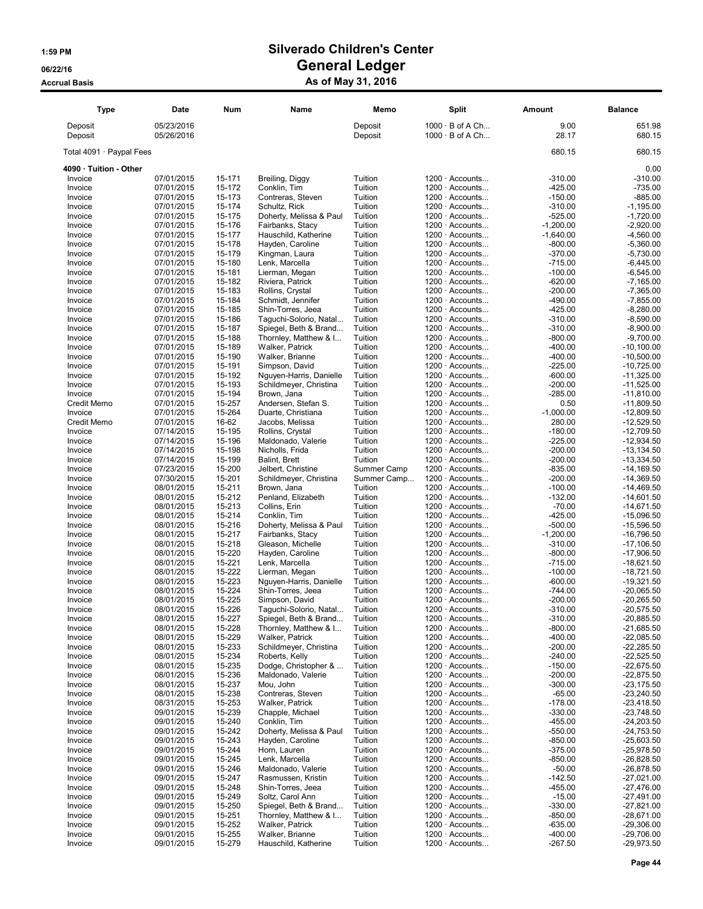| Type                     | Date                     | Num              | Name                                           | Memo               | Split                                            | Amount                 | <b>Balance</b>                |
|--------------------------|--------------------------|------------------|------------------------------------------------|--------------------|--------------------------------------------------|------------------------|-------------------------------|
| Deposit<br>Deposit       | 05/23/2016<br>05/26/2016 |                  |                                                | Deposit<br>Deposit | $1000 \cdot B$ of A Ch<br>$1000 \cdot B$ of A Ch | 9.00<br>28.17          | 651.98<br>680.15              |
| Total 4091 · Paypal Fees |                          |                  |                                                |                    |                                                  | 680.15                 | 680.15                        |
| 4090 · Tuition - Other   |                          |                  |                                                |                    |                                                  |                        | 0.00                          |
| Invoice                  | 07/01/2015               | 15-171           | Breiling, Diggy                                | Tuition            | $1200 \cdot$ Accounts                            | $-310.00$              | $-310.00$                     |
| Invoice                  | 07/01/2015               | 15-172           | Conklin, Tim                                   | Tuition            | $1200 \cdot$ Accounts                            | $-425.00$              | $-735.00$                     |
| Invoice                  | 07/01/2015               | 15-173           | Contreras, Steven                              | Tuition            | $1200 \cdot$ Accounts                            | $-150.00$              | $-885.00$                     |
| Invoice<br>Invoice       | 07/01/2015<br>07/01/2015 | 15-174<br>15-175 | Schultz, Rick<br>Doherty, Melissa & Paul       | Tuition<br>Tuition | $1200 \cdot$ Accounts<br>1200 · Accounts         | $-310.00$<br>$-525.00$ | $-1,195.00$<br>$-1,720.00$    |
| Invoice                  | 07/01/2015               | 15-176           | Fairbanks, Stacy                               | Tuition            | 1200 · Accounts                                  | $-1,200.00$            | $-2,920.00$                   |
| Invoice                  | 07/01/2015               | 15-177           | Hauschild, Katherine                           | Tuition            | $1200 \cdot$ Accounts                            | $-1,640.00$            | $-4,560.00$                   |
| Invoice                  | 07/01/2015               | 15-178           | Hayden, Caroline                               | Tuition            | 1200 · Accounts                                  | $-800.00$              | $-5,360.00$                   |
| Invoice                  | 07/01/2015               | 15-179           | Kingman, Laura                                 | Tuition            | $1200 \cdot$ Accounts                            | $-370.00$              | $-5,730.00$                   |
| Invoice<br>Invoice       | 07/01/2015<br>07/01/2015 | 15-180<br>15-181 | Lenk, Marcella<br>Lierman, Megan               | Tuition<br>Tuition | $1200 \cdot$ Accounts<br>$1200 \cdot$ Accounts   | $-715.00$<br>$-100.00$ | $-6,445.00$<br>$-6,545.00$    |
| Invoice                  | 07/01/2015               | 15-182           | Riviera, Patrick                               | Tuition            | $1200 \cdot$ Accounts                            | $-620.00$              | $-7,165.00$                   |
| Invoice                  | 07/01/2015               | 15-183           | Rollins, Crystal                               | Tuition            | $1200 \cdot$ Accounts                            | $-200.00$              | $-7,365.00$                   |
| Invoice                  | 07/01/2015               | 15-184           | Schmidt, Jennifer                              | Tuition            | $1200 \cdot$ Accounts                            | $-490.00$              | $-7,855.00$                   |
| Invoice                  | 07/01/2015               | 15-185           | Shin-Torres, Jeea                              | Tuition            | 1200 · Accounts                                  | $-425.00$              | $-8,280.00$                   |
| Invoice                  | 07/01/2015               | 15-186<br>15-187 | Taguchi-Solorio, Natal                         | Tuition            | $1200 \cdot$ Accounts                            | $-310.00$              | $-8,590.00$                   |
| Invoice<br>Invoice       | 07/01/2015<br>07/01/2015 | 15-188           | Spiegel, Beth & Brand<br>Thornley, Matthew & I | Tuition<br>Tuition | $1200 \cdot$ Accounts<br>$1200 \cdot$ Accounts   | $-310.00$<br>$-800.00$ | $-8,900.00$<br>$-9.700.00$    |
| Invoice                  | 07/01/2015               | 15-189           | Walker, Patrick                                | Tuition            | $1200 \cdot$ Accounts                            | $-400.00$              | $-10,100.00$                  |
| Invoice                  | 07/01/2015               | 15-190           | Walker, Brianne                                | Tuition            | $1200 \cdot$ Accounts                            | $-400.00$              | $-10,500.00$                  |
| Invoice                  | 07/01/2015               | 15-191           | Simpson, David                                 | Tuition            | $1200 \cdot$ Accounts                            | $-225.00$              | $-10,725.00$                  |
| Invoice                  | 07/01/2015               | 15-192           | Nguyen-Harris, Danielle                        | Tuition            | $1200 \cdot$ Accounts                            | $-600.00$              | $-11,325.00$                  |
| Invoice<br>Invoice       | 07/01/2015<br>07/01/2015 | 15-193<br>15-194 | Schildmeyer, Christina<br>Brown, Jana          | Tuition<br>Tuition | $1200 \cdot$ Accounts<br>1200 · Accounts         | $-200.00$<br>$-285.00$ | $-11,525.00$<br>$-11,810.00$  |
| <b>Credit Memo</b>       | 07/01/2015               | 15-257           | Andersen, Stefan S.                            | Tuition            | $1200 \cdot$ Accounts                            | 0.50                   | $-11,809.50$                  |
| Invoice                  | 07/01/2015               | 15-264           | Duarte, Christiana                             | Tuition            | $1200 \cdot$ Accounts                            | $-1,000.00$            | $-12,809.50$                  |
| Credit Memo              | 07/01/2015               | 16-62            | Jacobs, Melissa                                | Tuition            | 1200 · Accounts                                  | 280.00                 | $-12,529.50$                  |
| Invoice                  | 07/14/2015               | 15-195           | Rollins, Crystal                               | Tuition            | $1200 \cdot$ Accounts                            | $-180.00$              | $-12,709.50$                  |
| Invoice                  | 07/14/2015               | 15-196           | Maldonado, Valerie                             | Tuition            | $1200 \cdot$ Accounts                            | $-225.00$              | $-12,934.50$                  |
| Invoice<br>Invoice       | 07/14/2015<br>07/14/2015 | 15-198<br>15-199 | Nicholls, Frida<br><b>Balint, Brett</b>        | Tuition<br>Tuition | $1200 \cdot$ Accounts<br>$1200 \cdot$ Accounts   | $-200.00$<br>$-200.00$ | $-13, 134.50$<br>$-13,334.50$ |
| Invoice                  | 07/23/2015               | 15-200           | Jelbert, Christine                             | Summer Camp        | 1200 · Accounts                                  | $-835.00$              | $-14,169.50$                  |
| Invoice                  | 07/30/2015               | 15-201           | Schildmeyer, Christina                         | Summer Camp        | 1200 · Accounts                                  | $-200.00$              | $-14,369.50$                  |
| Invoice                  | 08/01/2015               | 15-211           | Brown, Jana                                    | Tuition            | $1200 \cdot$ Accounts                            | $-100.00$              | $-14,469.50$                  |
| Invoice                  | 08/01/2015               | 15-212           | Penland, Elizabeth                             | Tuition            | $1200 \cdot$ Accounts                            | $-132.00$              | $-14,601.50$                  |
| Invoice<br>Invoice       | 08/01/2015<br>08/01/2015 | 15-213<br>15-214 | Collins, Erin<br>Conklin, Tim                  | Tuition<br>Tuition | 1200 · Accounts<br>$1200 \cdot$ Accounts         | $-70.00$<br>$-425.00$  | $-14,671.50$<br>$-15,096.50$  |
| Invoice                  | 08/01/2015               | 15-216           | Doherty, Melissa & Paul                        | Tuition            | 1200 · Accounts                                  | $-500.00$              | $-15,596.50$                  |
| Invoice                  | 08/01/2015               | 15-217           | Fairbanks, Stacy                               | Tuition            | $1200 \cdot$ Accounts                            | $-1,200.00$            | $-16,796.50$                  |
| Invoice                  | 08/01/2015               | 15-218           | Gleason, Michelle                              | Tuition            | 1200 · Accounts                                  | $-310.00$              | $-17,106.50$                  |
| Invoice                  | 08/01/2015               | 15-220           | Hayden, Caroline                               | Tuition            | $1200 \cdot$ Accounts                            | $-800.00$              | $-17,906.50$                  |
| Invoice                  | 08/01/2015               | 15-221           | Lenk, Marcella                                 | Tuition            | $1200 \cdot$ Accounts                            | $-715.00$              | $-18,621.50$                  |
| Invoice<br>Invoice       | 08/01/2015<br>08/01/2015 | 15-222<br>15-223 | Lierman, Megan<br>Nguyen-Harris, Danielle      | Tuition<br>Tuition | $1200 \cdot$ Accounts<br>1200 · Accounts         | $-100.00$<br>$-600.00$ | $-18,721.50$<br>$-19,321.50$  |
| Invoice                  | 08/01/2015               | 15-224           | Shin-Torres, Jeea                              | Tuition            | $1200 \cdot$ Accounts                            | $-744.00$              | $-20,065.50$                  |
| Invoice                  | 08/01/2015               | 15-225           | Simpson, David                                 | Tuition            | 1200 · Accounts                                  | $-200.00$              | $-20,265.50$                  |
| Invoice                  | 08/01/2015               | 15-226           | Taguchi-Solorio, Natal                         | Tuition            | 1200 · Accounts                                  | $-310.00$              | $-20,575.50$                  |
| Invoice                  | 08/01/2015               | 15-227           | Spiegel, Beth & Brand                          | Tuition            | $1200 \cdot$ Accounts                            | $-310.00$              | $-20,885.50$                  |
| Invoice<br>Invoice       | 08/01/2015<br>08/01/2015 | 15-228<br>15-229 | Thornley, Matthew & I<br>Walker, Patrick       | Tuition<br>Tuition | $1200 \cdot$ Accounts<br>$1200 \cdot$ Accounts   | $-800.00$<br>$-400.00$ | $-21,685.50$<br>$-22,085.50$  |
| Invoice                  | 08/01/2015               | 15-233           | Schildmeyer, Christina                         | Tuition            | $1200 \cdot$ Accounts                            | $-200.00$              | $-22,285.50$                  |
| Invoice                  | 08/01/2015               | 15-234           | Roberts, Kelly                                 | Tuition            | 1200 · Accounts                                  | $-240.00$              | $-22,525.50$                  |
| Invoice                  | 08/01/2015               | 15-235           | Dodge, Christopher &                           | Tuition            | $1200 \cdot$ Accounts                            | $-150.00$              | $-22,675.50$                  |
| Invoice                  | 08/01/2015               | 15-236           | Maldonado, Valerie                             | Tuition            | $1200 \cdot$ Accounts                            | $-200.00$              | $-22,875.50$                  |
| Invoice                  | 08/01/2015               | 15-237           | Mou, John                                      | Tuition            | 1200 · Accounts                                  | $-300.00$              | $-23,175.50$                  |
| Invoice<br>Invoice       | 08/01/2015<br>08/31/2015 | 15-238<br>15-253 | Contreras, Steven<br>Walker, Patrick           | Tuition<br>Tuition | $1200 \cdot$ Accounts<br>1200 · Accounts         | $-65.00$<br>$-178.00$  | $-23,240.50$<br>$-23,418.50$  |
| Invoice                  | 09/01/2015               | 15-239           | Chapple, Michael                               | Tuition            | $1200 \cdot$ Accounts                            | $-330.00$              | $-23,748.50$                  |
| Invoice                  | 09/01/2015               | 15-240           | Conklin, Tim                                   | Tuition            | $1200 \cdot$ Accounts                            | $-455.00$              | $-24,203.50$                  |
| Invoice                  | 09/01/2015               | 15-242           | Doherty, Melissa & Paul                        | Tuition            | $1200 \cdot$ Accounts                            | $-550.00$              | $-24,753.50$                  |
| Invoice                  | 09/01/2015               | 15-243           | Hayden, Caroline                               | Tuition            | 1200 · Accounts                                  | $-850.00$              | $-25,603.50$                  |
| Invoice                  | 09/01/2015               | 15-244<br>15-245 | Horn, Lauren<br>Lenk, Marcella                 | Tuition            | 1200 · Accounts                                  | $-375.00$              | $-25,978.50$                  |
| Invoice<br>Invoice       | 09/01/2015<br>09/01/2015 | 15-246           | Maldonado, Valerie                             | Tuition<br>Tuition | $1200 \cdot$ Accounts<br>$1200 \cdot$ Accounts   | $-850.00$<br>$-50.00$  | $-26,828.50$<br>$-26,878.50$  |
| Invoice                  | 09/01/2015               | 15-247           | Rasmussen, Kristin                             | Tuition            | 1200 · Accounts                                  | $-142.50$              | $-27,021.00$                  |
| Invoice                  | 09/01/2015               | 15-248           | Shin-Torres, Jeea                              | Tuition            | $1200 \cdot$ Accounts                            | $-455.00$              | $-27,476.00$                  |
| Invoice                  | 09/01/2015               | 15-249           | Soltz, Carol Ann                               | Tuition            | $1200 \cdot$ Accounts                            | $-15.00$               | $-27,491.00$                  |
| Invoice                  | 09/01/2015               | 15-250           | Spiegel, Beth & Brand                          | Tuition            | $1200 \cdot$ Accounts                            | $-330.00$              | $-27,821.00$                  |
| Invoice                  | 09/01/2015               | 15-251           | Thornley, Matthew & I                          | Tuition            | $1200 \cdot$ Accounts                            | $-850.00$              | $-28,671.00$                  |
| Invoice<br>Invoice       | 09/01/2015<br>09/01/2015 | 15-252<br>15-255 | Walker, Patrick<br>Walker, Brianne             | Tuition<br>Tuition | $1200 \cdot$ Accounts<br>$1200 \cdot$ Accounts   | $-635.00$<br>$-400.00$ | $-29,306.00$<br>$-29,706.00$  |
| Invoice                  | 09/01/2015               | 15-279           | Hauschild, Katherine                           | Tuition            | $1200 \cdot$ Accounts                            | $-267.50$              | -29,973.50                    |
|                          |                          |                  |                                                |                    |                                                  |                        |                               |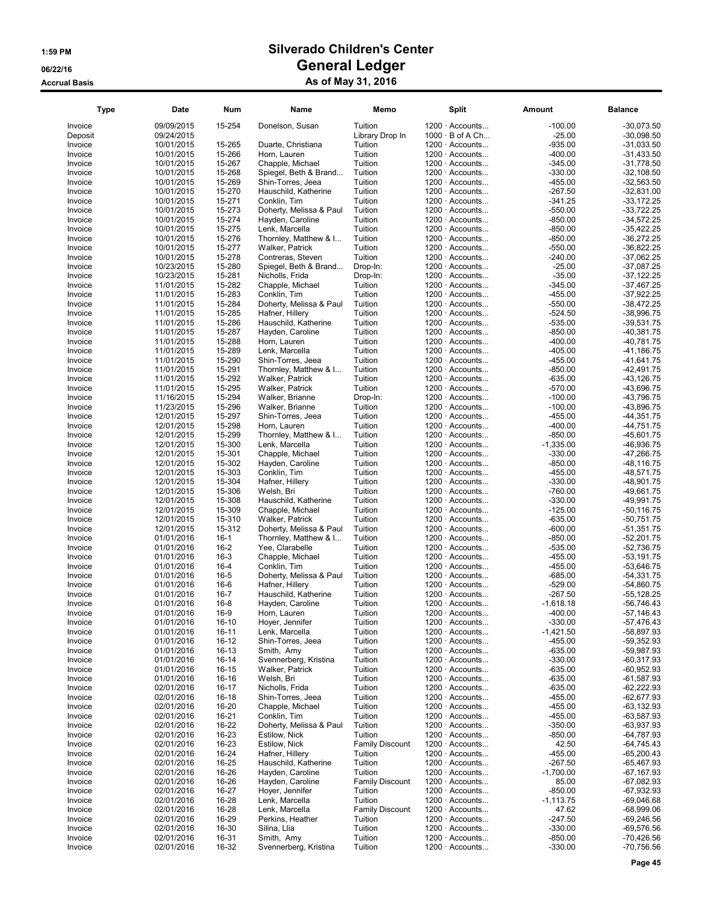| <b>Type</b>        | Date       | Num       | Name                                     | Memo                   | Split                  | Amount      | <b>Balance</b>               |
|--------------------|------------|-----------|------------------------------------------|------------------------|------------------------|-------------|------------------------------|
| Invoice            | 09/09/2015 | 15-254    | Donelson, Susan                          | Tuition                | $1200 \cdot$ Accounts  | $-100.00$   | $-30,073.50$                 |
| Deposit            | 09/24/2015 |           |                                          | Library Drop In        | $1000 \cdot B$ of A Ch | -25.00      | $-30,098.50$                 |
| Invoice            | 10/01/2015 | 15-265    | Duarte, Christiana                       | Tuition                | $1200 \cdot$ Accounts  | $-935.00$   | $-31,033.50$                 |
| Invoice            | 10/01/2015 | 15-266    | Horn, Lauren                             | Tuition                | $1200 \cdot$ Accounts  | $-400.00$   | $-31,433.50$                 |
| Invoice            | 10/01/2015 | 15-267    | Chapple, Michael                         | Tuition                | $1200 \cdot$ Accounts  | $-345.00$   | $-31,778.50$                 |
| Invoice            | 10/01/2015 | 15-268    | Spiegel, Beth & Brand                    | Tuition                | $1200 \cdot$ Accounts  | $-330.00$   | $-32,108.50$                 |
| Invoice            | 10/01/2015 | 15-269    | Shin-Torres, Jeea                        | Tuition                | $1200 \cdot$ Accounts  | $-455.00$   | $-32,563.50$                 |
| Invoice            | 10/01/2015 | 15-270    | Hauschild, Katherine                     | Tuition                | $1200 \cdot$ Accounts  | $-267.50$   | $-32,831.00$                 |
| Invoice            | 10/01/2015 | 15-271    | Conklin, Tim                             | Tuition                | $1200 \cdot$ Accounts  | $-341.25$   | $-33,172.25$                 |
| Invoice            | 10/01/2015 | 15-273    | Doherty, Melissa & Paul                  | Tuition                | $1200 \cdot$ Accounts  | $-550.00$   | $-33,722.25$                 |
| Invoice            | 10/01/2015 | 15-274    | Hayden, Caroline                         | Tuition                | $1200 \cdot$ Accounts  | $-850.00$   | $-34,572.25$                 |
| Invoice            | 10/01/2015 | 15-275    | Lenk, Marcella                           | Tuition                | $1200 \cdot$ Accounts  | $-850.00$   | $-35,422.25$                 |
| Invoice            | 10/01/2015 | 15-276    | Thornley, Matthew & I                    | Tuition                | $1200 \cdot$ Accounts  | $-850.00$   | $-36,272.25$                 |
| Invoice            | 10/01/2015 | 15-277    | Walker, Patrick                          | Tuition                | $1200 \cdot$ Accounts  | $-550.00$   | $-36,822.25$                 |
| Invoice            | 10/01/2015 | 15-278    | Contreras, Steven                        | Tuition                | $1200 \cdot$ Accounts  | $-240.00$   | $-37,062.25$                 |
| Invoice            | 10/23/2015 | 15-280    | Spiegel, Beth & Brand                    | Drop-In:               | $1200 \cdot$ Accounts  | $-25.00$    | $-37,087.25$                 |
| Invoice            | 10/23/2015 | 15-281    | Nicholls, Frida                          | Drop-In:               | $1200 \cdot$ Accounts  | $-35.00$    | $-37,122.25$                 |
| Invoice            | 11/01/2015 | 15-282    | Chapple, Michael                         | Tuition                | $1200 \cdot$ Accounts  | $-345.00$   | $-37,467.25$                 |
| Invoice            | 11/01/2015 | 15-283    | Conklin, Tim                             | Tuition                | $1200 \cdot$ Accounts  | $-455.00$   | $-37,922.25$                 |
| Invoice            | 11/01/2015 | 15-284    | Doherty, Melissa & Paul                  | Tuition                | 1200 · Accounts        | $-550.00$   | $-38,472.25$                 |
| Invoice            | 11/01/2015 | 15-285    | Hafner, Hillery                          | Tuition                | $1200 \cdot$ Accounts  | $-524.50$   | $-38,996.75$                 |
| Invoice            | 11/01/2015 | 15-286    | Hauschild, Katherine                     | Tuition                | $1200 \cdot$ Accounts  | $-535.00$   | $-39,531.75$                 |
| Invoice            | 11/01/2015 | 15-287    | Hayden, Caroline                         | Tuition                | 1200 · Accounts        | $-850.00$   | $-40,381.75$                 |
| Invoice            | 11/01/2015 | 15-288    | Horn, Lauren                             | Tuition                | $1200 \cdot$ Accounts  | $-400.00$   | $-40,781.75$                 |
| Invoice            | 11/01/2015 | 15-289    | Lenk, Marcella                           | Tuition                | $1200 \cdot$ Accounts  | $-405.00$   | $-41,186.75$                 |
| Invoice            | 11/01/2015 | 15-290    | Shin-Torres, Jeea                        | Tuition                | $1200 \cdot$ Accounts  | $-455.00$   | $-41,641.75$                 |
| Invoice            | 11/01/2015 | 15-291    | Thornley, Matthew & I                    | Tuition                | $1200 \cdot$ Accounts  | $-850.00$   | $-42,491.75$                 |
| Invoice            | 11/01/2015 | 15-292    | Walker, Patrick                          | Tuition                | $1200 \cdot$ Accounts  | $-635.00$   | $-43, 126.75$                |
| Invoice            | 11/01/2015 | 15-295    | Walker, Patrick                          | Tuition                | $1200 \cdot$ Accounts  | $-570.00$   | -43,696.75                   |
| Invoice            | 11/16/2015 | 15-294    | Walker, Brianne                          | Drop-In:               | $1200 \cdot$ Accounts  | $-100.00$   | $-43,796.75$                 |
| Invoice            | 11/23/2015 | 15-296    | Walker, Brianne                          | Tuition                | $1200 \cdot$ Accounts  | $-100.00$   | -43,896.75                   |
| Invoice            | 12/01/2015 | 15-297    | Shin-Torres, Jeea                        | Tuition                | $1200 \cdot$ Accounts  | $-455.00$   | $-44,351.75$                 |
| Invoice            | 12/01/2015 | 15-298    | Horn, Lauren                             | Tuition                | $1200 \cdot$ Accounts  | $-400.00$   | $-44,751.75$                 |
| Invoice            | 12/01/2015 | 15-299    | Thornley, Matthew & I                    | Tuition                | $1200 \cdot$ Accounts  | $-850.00$   | $-45,601.75$                 |
| Invoice            | 12/01/2015 | 15-300    | Lenk, Marcella                           | Tuition                | 1200 · Accounts        | $-1,335.00$ | -46,936.75                   |
| Invoice            | 12/01/2015 | 15-301    | Chapple, Michael                         | Tuition                | $1200 \cdot$ Accounts  | $-330.00$   | $-47,266.75$                 |
| Invoice            | 12/01/2015 | 15-302    | Hayden, Caroline                         | Tuition                | $1200 \cdot$ Accounts  | $-850.00$   | $-48, 116.75$                |
| Invoice            | 12/01/2015 | 15-303    | Conklin, Tim                             | Tuition                | 1200 · Accounts        | $-455.00$   | $-48,571.75$                 |
| Invoice            | 12/01/2015 | 15-304    | Hafner, Hillery                          | Tuition                | $1200 \cdot$ Accounts  | $-330.00$   | $-48,901.75$                 |
| Invoice            | 12/01/2015 | 15-306    | Welsh, Bri                               | Tuition                | $1200 \cdot$ Accounts  | $-760.00$   | -49,661.75                   |
|                    | 12/01/2015 | 15-308    | Hauschild, Katherine                     | Tuition                | $1200 \cdot$ Accounts  | $-330.00$   | -49,991.75                   |
| Invoice            | 12/01/2015 | 15-309    |                                          | Tuition                | $1200 \cdot$ Accounts  | $-125.00$   | $-50,116.75$                 |
| Invoice<br>Invoice | 12/01/2015 | 15-310    | Chapple, Michael<br>Walker, Patrick      | Tuition                | $1200 \cdot$ Accounts  | $-635.00$   | $-50,751.75$                 |
|                    | 12/01/2015 | 15-312    |                                          | Tuition                | $1200 \cdot$ Accounts  | $-600.00$   | $-51,351.75$                 |
| Invoice<br>Invoice | 01/01/2016 | $16-1$    | Doherty, Melissa & Paul                  | Tuition                | 1200 · Accounts        | $-850.00$   | $-52,201.75$                 |
| Invoice            | 01/01/2016 | $16 - 2$  | Thornley, Matthew & I<br>Yee. Clarabelle | Tuition                | $1200 \cdot$ Accounts  | $-535.00$   | $-52,736.75$                 |
| Invoice            | 01/01/2016 | $16-3$    | Chapple, Michael                         | Tuition                | $1200 \cdot$ Accounts  | $-455.00$   | $-53,191.75$                 |
| Invoice            | 01/01/2016 | $16 - 4$  | Conklin, Tim                             | Tuition                | 1200 · Accounts        | $-455.00$   | $-53,646.75$                 |
| Invoice            | 01/01/2016 | $16 - 5$  | Doherty, Melissa & Paul                  | Tuition                | $1200 \cdot$ Accounts  | $-685.00$   | $-54,331.75$                 |
|                    | 01/01/2016 | $16-6$    | Hafner, Hillery                          | Tuition                | $1200 \cdot$ Accounts  | $-529.00$   | $-54,860.75$                 |
| Invoice<br>Invoice | 01/01/2016 | $16 - 7$  | Hauschild, Katherine                     | Tuition                | 1200 · Accounts        | $-267.50$   | $-55,128.25$                 |
| Invoice            | 01/01/2016 | $16 - 8$  |                                          | Tuition                | 1200 · Accounts        | $-1,618.18$ | $-56,746.43$                 |
|                    | 01/01/2016 | $16-9$    | Hayden, Caroline<br>Horn, Lauren         |                        | $1200 \cdot$ Accounts  | $-400.00$   | $-57,146.43$                 |
| Invoice            |            |           |                                          | Tuition                |                        |             |                              |
| Invoice            | 01/01/2016 | $16-10$   | Hoyer, Jennifer                          | Tuition                | $1200 \cdot$ Accounts  | $-330.00$   | $-57,476.43$                 |
| Invoice            | 01/01/2016 | 16-11     | Lenk, Marcella                           | Tuition                | $1200 \cdot$ Accounts  | $-1,421.50$ | $-58,897.93$<br>$-59,352.93$ |
| Invoice            | 01/01/2016 | 16-12     | Shin-Torres, Jeea                        | Tuition                | 1200 · Accounts        | $-455.00$   |                              |
| Invoice            | 01/01/2016 | 16-13     | Smith, Amy                               | Tuition                | 1200 · Accounts        | $-635.00$   | $-59,987.93$                 |
| Invoice            | 01/01/2016 | 16-14     | Svennerberg, Kristina                    | Tuition                | $1200 \cdot$ Accounts  | $-330.00$   | $-60,317.93$                 |
| Invoice            | 01/01/2016 | $16 - 15$ | Walker, Patrick                          | Tuition                | $1200 \cdot$ Accounts  | $-635.00$   | $-60,952.93$                 |
| Invoice            | 01/01/2016 | 16-16     | Welsh, Bri                               | Tuition                | 1200 · Accounts        | $-635.00$   | $-61,587.93$                 |
| Invoice            | 02/01/2016 | 16-17     | Nicholls, Frida                          | Tuition                | 1200 · Accounts        | $-635.00$   | $-62,222.93$                 |
| Invoice            | 02/01/2016 | 16-18     | Shin-Torres, Jeea                        | Tuition                | 1200 · Accounts        | $-455.00$   | $-62,677.93$                 |
| Invoice            | 02/01/2016 | 16-20     | Chapple, Michael                         | Tuition                | $1200 \cdot$ Accounts  | $-455.00$   | $-63, 132.93$                |
| Invoice            | 02/01/2016 | 16-21     | Conklin, Tim                             | Tuition                | $1200 \cdot$ Accounts  | $-455.00$   | $-63,587.93$                 |
| Invoice            | 02/01/2016 | 16-22     | Doherty, Melissa & Paul                  | Tuition                | $1200 \cdot$ Accounts  | $-350.00$   | $-63,937.93$                 |
| Invoice            | 02/01/2016 | 16-23     | Estilow, Nick                            | Tuition                | $1200 \cdot$ Accounts  | $-850.00$   | $-64,787.93$                 |
| Invoice            | 02/01/2016 | 16-23     | Estilow, Nick                            | <b>Family Discount</b> | 1200 · Accounts        | 42.50       | $-64,745.43$                 |
| Invoice            | 02/01/2016 | 16-24     | Hafner, Hillery                          | Tuition                | 1200 · Accounts        | $-455.00$   | $-65,200.43$                 |
| Invoice            | 02/01/2016 | 16-25     | Hauschild, Katherine                     | Tuition                | $1200 \cdot$ Accounts  | $-267.50$   | $-65,467.93$                 |
| Invoice            | 02/01/2016 | 16-26     | Hayden, Caroline                         | Tuition                | $1200 \cdot$ Accounts  | $-1,700.00$ | $-67, 167.93$                |
| Invoice            | 02/01/2016 | 16-26     | Hayden, Caroline                         | <b>Family Discount</b> | $1200 \cdot$ Accounts  | 85.00       | $-67,082.93$                 |
| Invoice            | 02/01/2016 | 16-27     | Hoyer, Jennifer                          | Tuition                | $1200 \cdot$ Accounts  | $-850.00$   | $-67,932.93$                 |
| Invoice            | 02/01/2016 | 16-28     | Lenk, Marcella                           | Tuition                | 1200 · Accounts        | $-1,113.75$ | $-69,046.68$                 |
| Invoice            | 02/01/2016 | 16-28     | Lenk, Marcella                           | <b>Family Discount</b> | $1200 \cdot$ Accounts  | 47.62       | $-68,999.06$                 |
| Invoice            | 02/01/2016 | 16-29     | Perkins, Heather                         | Tuition                | $1200 \cdot$ Accounts  | $-247.50$   | $-69,246.56$                 |
| Invoice            | 02/01/2016 | 16-30     | Silina, Llia                             | Tuition                | $1200 \cdot$ Accounts  | $-330.00$   | $-69,576.56$                 |
| Invoice            | 02/01/2016 | 16-31     | Smith, Amy                               | Tuition                | $1200 \cdot$ Accounts  | $-850.00$   | $-70,426.56$                 |
| Invoice            | 02/01/2016 | 16-32     | Svennerberg, Kristina                    | Tuition                | $1200 \cdot$ Accounts  | $-330.00$   | $-70,756.56$                 |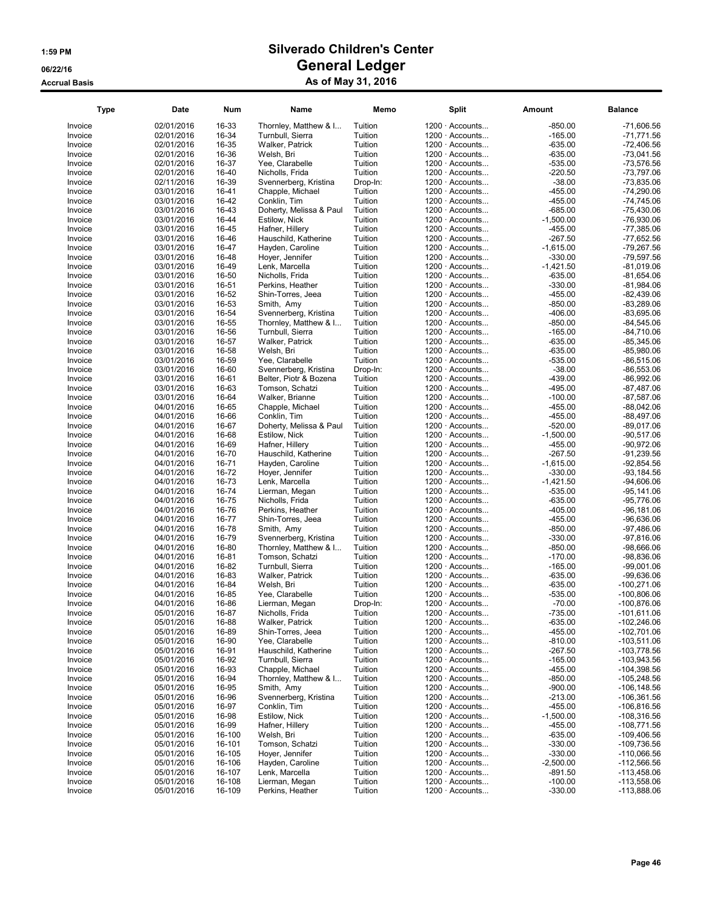| <b>Type</b>        | Date                     | <b>Num</b>     | Name                                     | Memo               | <b>Split</b>                                   | <b>Amount</b>          | <b>Balance</b>                |
|--------------------|--------------------------|----------------|------------------------------------------|--------------------|------------------------------------------------|------------------------|-------------------------------|
| Invoice            | 02/01/2016               | 16-33          | Thornley, Matthew & I                    | Tuition            | 1200 · Accounts                                | $-850.00$              | $-71,606.56$                  |
| Invoice            | 02/01/2016               | 16-34          | Turnbull, Sierra                         | Tuition            | 1200 · Accounts                                | $-165.00$              | $-71,771.56$                  |
| Invoice            | 02/01/2016               | 16-35          | Walker, Patrick                          | Tuition            | $1200 \cdot$ Accounts                          | $-635.00$              | $-72,406.56$                  |
| Invoice            | 02/01/2016               | 16-36          | Welsh, Bri                               | Tuition            | 1200 · Accounts                                | $-635.00$              | $-73,041.56$                  |
| Invoice            | 02/01/2016               | 16-37          | Yee, Clarabelle                          | Tuition            | $1200 \cdot$ Accounts                          | $-535.00$              | $-73,576.56$                  |
| Invoice            | 02/01/2016               | 16-40          | Nicholls, Frida                          | Tuition            | $1200 \cdot$ Accounts                          | $-220.50$              | -73,797.06                    |
| Invoice            | 02/11/2016               | 16-39          | Svennerberg, Kristina                    | Drop-In:           | 1200 · Accounts                                | $-38.00$               | $-73.835.06$                  |
| Invoice            | 03/01/2016               | 16-41          | Chapple, Michael                         | Tuition            | 1200 · Accounts                                | $-455.00$              | $-74,290.06$                  |
| Invoice            | 03/01/2016               | 16-42          | Conklin, Tim                             | Tuition            | $1200 \cdot$ Accounts                          | $-455.00$              | $-74,745.06$                  |
| Invoice            | 03/01/2016               | 16-43          | Doherty, Melissa & Paul                  | Tuition            | 1200 · Accounts                                | $-685.00$              | -75,430.06                    |
| Invoice            | 03/01/2016               | 16-44          | Estilow, Nick                            | Tuition            | $1200 \cdot$ Accounts                          | $-1,500.00$            | $-76,930.06$                  |
| Invoice            | 03/01/2016               | 16-45          | Hafner, Hillery                          | Tuition            | 1200 · Accounts                                | $-455.00$              | $-77,385.06$                  |
| Invoice            | 03/01/2016               | 16-46          | Hauschild, Katherine                     | Tuition            | $1200 \cdot$ Accounts                          | $-267.50$              | $-77,652.56$                  |
| Invoice            | 03/01/2016               | 16-47          | Hayden, Caroline                         | Tuition            | $1200 \cdot$ Accounts                          | $-1,615.00$            | -79,267.56                    |
| Invoice            | 03/01/2016               | 16-48          | Hoyer, Jennifer                          | Tuition            | 1200 · Accounts                                | $-330.00$              | -79,597.56                    |
| Invoice            | 03/01/2016               | 16-49          | Lenk, Marcella                           | Tuition            | $1200 \cdot$ Accounts                          | $-1,421.50$            | $-81,019.06$                  |
| Invoice            | 03/01/2016               | 16-50          | Nicholls, Frida                          | Tuition            | $1200 \cdot$ Accounts                          | $-635.00$              | $-81,654.06$                  |
| Invoice            | 03/01/2016               | 16-51          | Perkins, Heather                         | Tuition            | 1200 · Accounts                                | $-330.00$              | $-81,984.06$                  |
| Invoice            | 03/01/2016               | 16-52          | Shin-Torres, Jeea                        | Tuition            | 1200 · Accounts                                | $-455.00$              | $-82,439.06$                  |
| Invoice            | 03/01/2016               | 16-53          | Smith, Amy                               | Tuition            | $1200 \cdot$ Accounts                          | $-850.00$              | $-83,289.06$                  |
| Invoice            | 03/01/2016               | 16-54          | Svennerberg, Kristina                    | Tuition            | 1200 · Accounts                                | $-406.00$              | $-83,695.06$                  |
| Invoice            | 03/01/2016               | 16-55          | Thornley, Matthew & I                    | Tuition            | 1200 · Accounts                                | $-850.00$              | $-84,545.06$                  |
| Invoice            | 03/01/2016               | 16-56          | Turnbull, Sierra                         | Tuition            | $1200 \cdot$ Accounts                          | $-165.00$              | $-84,710.06$                  |
| Invoice            | 03/01/2016               | 16-57          | Walker, Patrick                          | Tuition            | $1200 \cdot$ Accounts                          | $-635.00$              | $-85,345.06$                  |
| Invoice            | 03/01/2016               | 16-58          | Welsh, Bri                               | Tuition            | $1200 \cdot$ Accounts                          | $-635.00$              | $-85,980.06$                  |
| Invoice            | 03/01/2016               | 16-59          | Yee, Clarabelle                          | Tuition            | $1200 \cdot$ Accounts                          | $-535.00$              | $-86,515.06$                  |
| Invoice            | 03/01/2016               | 16-60          | Svennerberg, Kristina                    | Drop-In:           | $1200 \cdot$ Accounts                          | $-38.00$               | $-86,553.06$                  |
| Invoice            | 03/01/2016               | 16-61          | Belter, Piotr & Bozena                   | Tuition            | $1200 \cdot$ Accounts                          | $-439.00$              | $-86,992.06$                  |
| Invoice            | 03/01/2016               | 16-63          | Tomson, Schatzi                          | Tuition            | $1200 \cdot$ Accounts                          | $-495.00$              | $-87,487.06$                  |
| Invoice            | 03/01/2016               | 16-64          | Walker, Brianne                          | Tuition            | 1200 · Accounts                                | $-100.00$              | $-87,587.06$                  |
| Invoice            | 04/01/2016               | 16-65          | Chapple, Michael                         | Tuition            | $1200 \cdot$ Accounts                          | $-455.00$              | $-88,042.06$                  |
| Invoice            | 04/01/2016               | 16-66          | Conklin, Tim                             | Tuition            | 1200 · Accounts                                | $-455.00$              | $-88,497.06$                  |
| Invoice            | 04/01/2016               | 16-67          | Doherty, Melissa & Paul                  | Tuition            | 1200 · Accounts                                | $-520.00$              | $-89,017.06$                  |
| Invoice            | 04/01/2016               | 16-68          | Estilow, Nick                            | Tuition            | $1200 \cdot$ Accounts                          | $-1,500.00$            | $-90,517.06$                  |
| Invoice            | 04/01/2016               | 16-69          | Hafner, Hillery                          | Tuition            | 1200 · Accounts                                | $-455.00$              | $-90,972.06$                  |
| Invoice            | 04/01/2016               | 16-70          | Hauschild, Katherine                     | Tuition            | $1200 \cdot$ Accounts                          | $-267.50$              | $-91,239.56$                  |
| Invoice            | 04/01/2016               | 16-71          | Hayden, Caroline                         | Tuition            | 1200 · Accounts                                | $-1,615.00$            | $-92,854.56$                  |
| Invoice            | 04/01/2016               | 16-72          | Hover, Jennifer                          | Tuition            | $1200 \cdot$ Accounts                          | -330.00                | $-93,184.56$                  |
| Invoice            | 04/01/2016               | 16-73          | Lenk, Marcella                           | Tuition            | $1200 \cdot$ Accounts                          | $-1,421.50$            | $-94,606.06$                  |
| Invoice            | 04/01/2016               | 16-74          | Lierman, Megan                           | Tuition            | 1200 · Accounts                                | $-535.00$              | $-95,141.06$                  |
| Invoice            | 04/01/2016               | 16-75          | Nicholls, Frida                          | Tuition            | $1200 \cdot$ Accounts                          | $-635.00$              | $-95,776.06$                  |
| Invoice<br>Invoice | 04/01/2016               | 16-76<br>16-77 | Perkins, Heather                         | Tuition<br>Tuition | $1200 \cdot$ Accounts<br>$1200 \cdot$ Accounts | $-405.00$<br>$-455.00$ | $-96, 181.06$<br>$-96,636.06$ |
| Invoice            | 04/01/2016<br>04/01/2016 | 16-78          | Shin-Torres, Jeea                        | Tuition            | 1200 · Accounts                                | $-850.00$              | $-97,486.06$                  |
| Invoice            | 04/01/2016               | 16-79          | Smith, Amy<br>Svennerberg, Kristina      | Tuition            | $1200 \cdot$ Accounts                          | $-330.00$              | $-97,816.06$                  |
|                    | 04/01/2016               | 16-80          |                                          | Tuition            | 1200 · Accounts                                | $-850.00$              | $-98,666.06$                  |
| Invoice<br>Invoice | 04/01/2016               | 16-81          | Thornley, Matthew & I<br>Tomson, Schatzi | Tuition            | $1200 \cdot$ Accounts                          | $-170.00$              | $-98,836.06$                  |
| Invoice            | 04/01/2016               | 16-82          | Turnbull, Sierra                         | Tuition            | $1200 \cdot$ Accounts                          | $-165.00$              | $-99,001.06$                  |
| Invoice            | 04/01/2016               | 16-83          | Walker, Patrick                          | Tuition            | $1200 \cdot$ Accounts                          | $-635.00$              | $-99,636.06$                  |
| Invoice            | 04/01/2016               | 16-84          | Welsh, Bri                               | Tuition            | $1200 \cdot$ Accounts                          | $-635.00$              | -100,271.06                   |
| Invoice            | 04/01/2016               | 16-85          | Yee, Clarabelle                          | Tuition            | $1200 \cdot$ Accounts                          | $-535.00$              | -100,806.06                   |
| Invoice            | 04/01/2016               | 16-86          | Lierman, Megan                           | Drop-In:           | $1200 \cdot$ Accounts                          | $-70.00$               | $-100,876.06$                 |
| Invoice            | 05/01/2016               | 16-87          | Nicholls, Frida                          | Tuition            | 1200 · Accounts                                | $-735.00$              | -101,611.06                   |
| Invoice            | 05/01/2016               | 16-88          | Walker, Patrick                          | Tuition            | 1200 · Accounts                                | $-635.00$              | $-102,246.06$                 |
| Invoice            | 05/01/2016               | 16-89          | Shin-Torres, Jeea                        | Tuition            | $1200 \cdot$ Accounts                          | $-455.00$              | $-102,701.06$                 |
| Invoice            | 05/01/2016               | 16-90          | Yee, Clarabelle                          | Tuition            | $1200 \cdot$ Accounts                          | $-810.00$              | $-103,511.06$                 |
| Invoice            | 05/01/2016               | 16-91          | Hauschild, Katherine                     | Tuition            | 1200 · Accounts                                | $-267.50$              | -103,778.56                   |
| Invoice            | 05/01/2016               | 16-92          | Turnbull, Sierra                         | Tuition            | 1200 · Accounts                                | $-165.00$              | -103,943.56                   |
| Invoice            | 05/01/2016               | 16-93          | Chapple, Michael                         | Tuition            | $1200 \cdot$ Accounts                          | $-455.00$              | $-104,398.56$                 |
| Invoice            | 05/01/2016               | 16-94          | Thornley, Matthew & I                    | Tuition            | $1200 \cdot$ Accounts                          | $-850.00$              | -105,248.56                   |
| Invoice            | 05/01/2016               | 16-95          | Smith, Amy                               | Tuition            | 1200 · Accounts                                | $-900.00$              | $-106, 148.56$                |
| Invoice            | 05/01/2016               | 16-96          | Svennerberg, Kristina                    | Tuition            | $1200 \cdot$ Accounts                          | $-213.00$              | -106,361.56                   |
| Invoice            | 05/01/2016               | 16-97          | Conklin, Tim                             | Tuition            | $1200 \cdot$ Accounts                          | $-455.00$              | -106,816.56                   |
| Invoice            | 05/01/2016               | 16-98          | Estilow, Nick                            | Tuition            | $1200 \cdot$ Accounts                          | $-1,500.00$            | -108,316.56                   |
| Invoice            | 05/01/2016               | 16-99          | Hafner, Hillery                          | Tuition            | $1200 \cdot$ Accounts                          | $-455.00$              | $-108,771.56$                 |
| Invoice            | 05/01/2016               | 16-100         | Welsh, Bri                               | Tuition            | $1200 \cdot$ Accounts                          | $-635.00$              | -109,406.56                   |
| Invoice            | 05/01/2016               | 16-101         | Tomson, Schatzi                          | Tuition            | $1200 \cdot$ Accounts                          | $-330.00$              | -109,736.56                   |
| Invoice            | 05/01/2016               | 16-105         | Hoyer, Jennifer                          | Tuition            | 1200 · Accounts                                | $-330.00$              | $-110,066.56$                 |
| Invoice            | 05/01/2016               | 16-106         | Hayden, Caroline                         | Tuition            | $1200 \cdot$ Accounts                          | $-2,500.00$            | $-112,566.56$                 |
| Invoice            | 05/01/2016               | 16-107         | Lenk, Marcella                           | Tuition            | $1200 \cdot$ Accounts                          | $-891.50$              | $-113,458.06$                 |
| Invoice            | 05/01/2016               | 16-108         | Lierman, Megan                           | Tuition            | $1200 \cdot$ Accounts                          | $-100.00$              | -113,558.06                   |
| Invoice            | 05/01/2016               | 16-109         | Perkins, Heather                         | Tuition            | $1200 \cdot$ Accounts                          | $-330.00$              | -113,888.06                   |
|                    |                          |                |                                          |                    |                                                |                        |                               |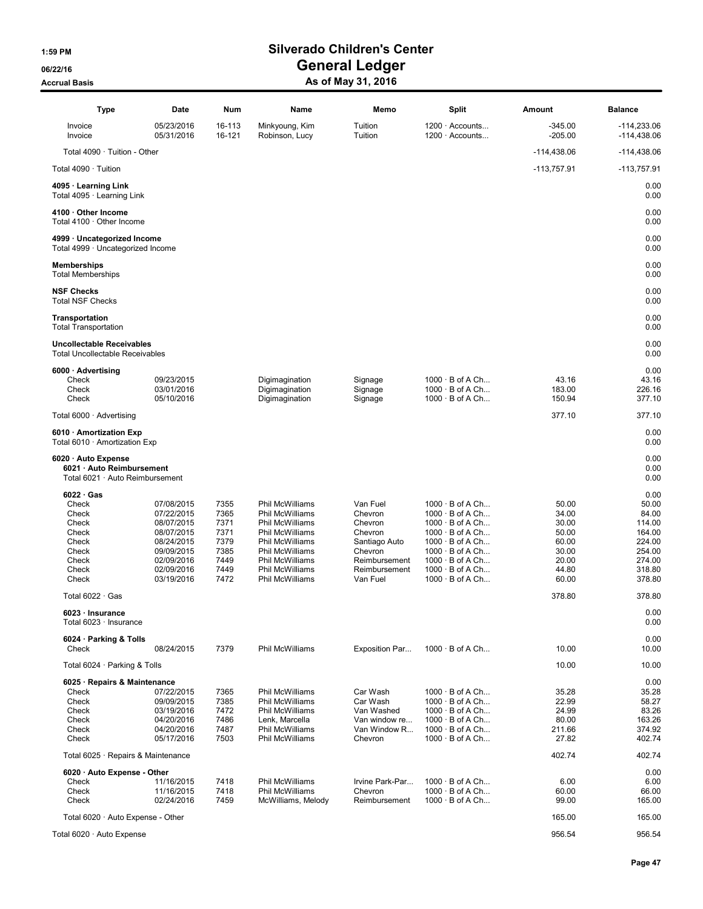| <b>Type</b>                                                                         | <b>Date</b>                            | Num              | Name                                               | Memo                          | <b>Split</b>                                                               | Amount                    | <b>Balance</b>                 |
|-------------------------------------------------------------------------------------|----------------------------------------|------------------|----------------------------------------------------|-------------------------------|----------------------------------------------------------------------------|---------------------------|--------------------------------|
| Invoice<br>Invoice                                                                  | 05/23/2016<br>05/31/2016               | 16-113<br>16-121 | Minkyoung, Kim<br>Robinson, Lucy                   | Tuition<br>Tuition            | $1200 \cdot$ Accounts<br>$1200 \cdot$ Accounts                             | $-345.00$<br>$-205.00$    | $-114,233.06$<br>$-114,438.06$ |
| Total $4090 \cdot$ Tuition - Other                                                  |                                        |                  |                                                    |                               |                                                                            | $-114,438.06$             | $-114,438.06$                  |
| Total 4090 · Tuition                                                                |                                        |                  |                                                    |                               |                                                                            | $-113,757.91$             | $-113,757.91$                  |
| 4095 · Learning Link<br>Total 4095 · Learning Link                                  |                                        |                  |                                                    |                               |                                                                            |                           | 0.00<br>0.00                   |
| 4100 · Other Income<br>Total 4100 · Other Income                                    |                                        |                  |                                                    |                               |                                                                            |                           | 0.00<br>0.00                   |
| 4999 · Uncategorized Income<br>Total 4999 · Uncategorized Income                    |                                        |                  |                                                    |                               |                                                                            |                           | 0.00<br>0.00                   |
| <b>Memberships</b><br><b>Total Memberships</b>                                      |                                        |                  |                                                    |                               |                                                                            |                           | 0.00<br>0.00                   |
| <b>NSF Checks</b><br><b>Total NSF Checks</b>                                        |                                        |                  |                                                    |                               |                                                                            |                           | 0.00<br>0.00                   |
| <b>Transportation</b><br><b>Total Transportation</b>                                |                                        |                  |                                                    |                               |                                                                            |                           | 0.00<br>0.00                   |
| <b>Uncollectable Receivables</b><br><b>Total Uncollectable Receivables</b>          |                                        |                  |                                                    |                               |                                                                            |                           | 0.00<br>0.00                   |
| 6000 · Advertising                                                                  |                                        |                  |                                                    |                               |                                                                            |                           | 0.00                           |
| Check<br>Check<br>Check                                                             | 09/23/2015<br>03/01/2016<br>05/10/2016 |                  | Digimagination<br>Digimagination<br>Digimagination | Signage<br>Signage<br>Signage | $1000 \cdot B$ of A Ch<br>$1000 \cdot B$ of A Ch<br>$1000 \cdot B$ of A Ch | 43.16<br>183.00<br>150.94 | 43.16<br>226.16<br>377.10      |
| Total $6000 \cdot$ Advertising                                                      |                                        |                  |                                                    |                               |                                                                            | 377.10                    | 377.10                         |
| 6010 · Amortization Exp<br>Total 6010 · Amortization Exp                            |                                        |                  |                                                    |                               |                                                                            |                           | 0.00<br>0.00                   |
| 6020 · Auto Expense<br>6021 · Auto Reimbursement<br>Total 6021 · Auto Reimbursement |                                        |                  |                                                    |                               |                                                                            |                           | 0.00<br>0.00<br>0.00           |
| $6022 \cdot Gas$                                                                    |                                        |                  |                                                    |                               |                                                                            |                           | 0.00                           |
| Check<br>Check                                                                      | 07/08/2015<br>07/22/2015               | 7355<br>7365     | Phil McWilliams<br>Phil McWilliams                 | Van Fuel<br>Chevron           | $1000 \cdot B$ of A Ch<br>$1000 \cdot B$ of A Ch                           | 50.00<br>34.00            | 50.00<br>84.00                 |
| Check                                                                               | 08/07/2015                             | 7371             | <b>Phil McWilliams</b>                             | Chevron                       | $1000 \cdot B$ of A Ch                                                     | 30.00                     | 114.00                         |
| Check                                                                               | 08/07/2015                             | 7371             | Phil McWilliams                                    | Chevron                       | $1000 \cdot B$ of A Ch                                                     | 50.00                     | 164.00                         |
| Check                                                                               | 08/24/2015                             | 7379             | Phil McWilliams                                    | Santiago Auto                 | $1000 \cdot B$ of A Ch                                                     | 60.00                     | 224.00                         |
| Check<br>Check                                                                      | 09/09/2015<br>02/09/2016               | 7385<br>7449     | <b>Phil McWilliams</b><br><b>Phil McWilliams</b>   | Chevron<br>Reimbursement      | $1000 \cdot B$ of A Ch<br>$1000 \cdot B$ of A Ch                           | 30.00<br>20.00            | 254.00<br>274.00               |
| Check                                                                               | 02/09/2016                             | 7449             | <b>Phil McWilliams</b>                             | Reimbursement                 | $1000 \cdot B$ of A Ch                                                     | 44.80                     | 318.80                         |
| Check                                                                               | 03/19/2016                             | 7472             | Phil McWilliams                                    | Van Fuel                      | $1000 \cdot B$ of A Ch                                                     | 60.00                     | 378.80                         |
| Total $6022 \cdot$ Gas                                                              |                                        |                  |                                                    |                               |                                                                            | 378.80                    | 378.80                         |
| 6023 · Insurance<br>Total 6023 · Insurance                                          |                                        |                  |                                                    |                               |                                                                            |                           | 0.00<br>0.00                   |
| 6024 · Parking & Tolls<br>Check                                                     | 08/24/2015                             | 7379             | Phil McWilliams                                    | Exposition Par                | $1000 \cdot B$ of A Ch                                                     | 10.00                     | 0.00<br>10.00                  |
| Total 6024 · Parking & Tolls                                                        |                                        |                  |                                                    |                               |                                                                            | 10.00                     | 10.00                          |
| 6025 · Repairs & Maintenance                                                        |                                        |                  |                                                    |                               |                                                                            |                           | 0.00                           |
| Check                                                                               | 07/22/2015                             | 7365             | Phil McWilliams                                    | Car Wash                      | $1000 \cdot B$ of A Ch                                                     | 35.28                     | 35.28                          |
| Check<br>Check                                                                      | 09/09/2015<br>03/19/2016               | 7385<br>7472     | Phil McWilliams<br>Phil McWilliams                 | Car Wash<br>Van Washed        | $1000 \cdot B$ of A Ch<br>$1000 \cdot B$ of A Ch                           | 22.99<br>24.99            | 58.27<br>83.26                 |
| Check                                                                               | 04/20/2016                             | 7486             | Lenk, Marcella                                     | Van window re                 | $1000 \cdot B$ of A Ch                                                     | 80.00                     | 163.26                         |
| Check                                                                               | 04/20/2016                             | 7487             | Phil McWilliams                                    | Van Window R                  | $1000 \cdot B$ of A Ch                                                     | 211.66                    | 374.92                         |
| Check                                                                               | 05/17/2016                             | 7503             | Phil McWilliams                                    | Chevron                       | $1000 \cdot B$ of A Ch                                                     | 27.82                     | 402.74                         |
| Total 6025 · Repairs & Maintenance                                                  |                                        |                  |                                                    |                               |                                                                            | 402.74                    | 402.74                         |
| 6020 · Auto Expense - Other                                                         |                                        |                  |                                                    |                               |                                                                            |                           | 0.00                           |
| Check<br>Check                                                                      | 11/16/2015<br>11/16/2015               | 7418<br>7418     | Phil McWilliams<br>Phil McWilliams                 | Irvine Park-Par<br>Chevron    | $1000 \cdot B$ of A Ch<br>$1000 \cdot B$ of A Ch                           | 6.00<br>60.00             | 6.00<br>66.00                  |
| Check                                                                               | 02/24/2016                             | 7459             | McWilliams, Melody                                 | Reimbursement                 | $1000 \cdot B$ of A Ch                                                     | 99.00                     | 165.00                         |
| Total $6020 \cdot$ Auto Expense - Other                                             |                                        |                  |                                                    |                               |                                                                            | 165.00                    | 165.00                         |
| Total 6020 · Auto Expense                                                           |                                        |                  |                                                    |                               |                                                                            | 956.54                    | 956.54                         |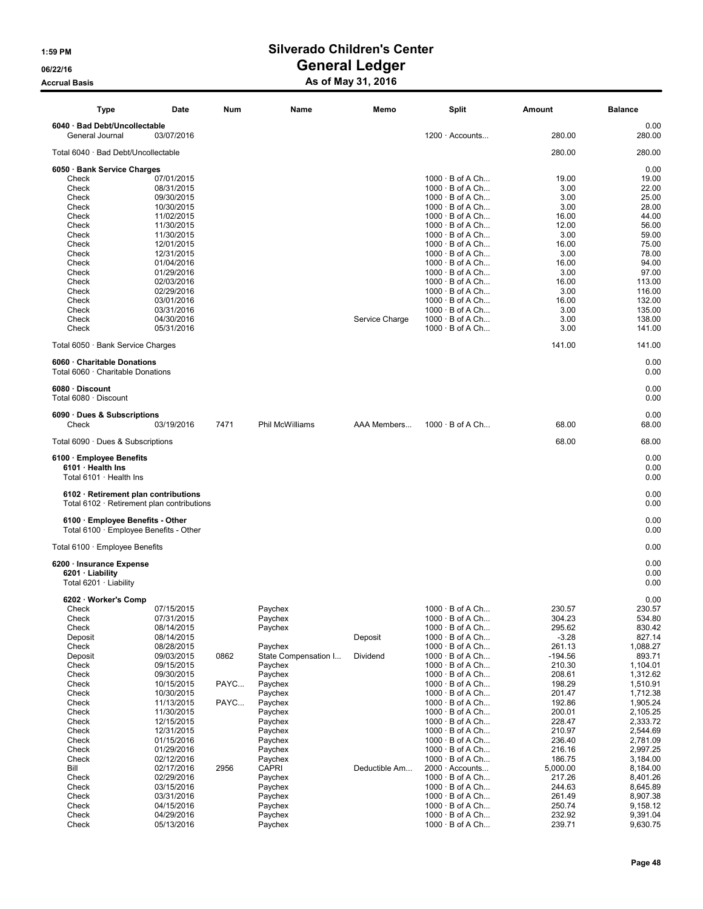### 1:59 PM Silverado Children's Center 06/22/16 OS/22/16 General Ledger

### Accrual Basis **Accrual Basis** As of May 31, 2016

| Type                                                                                     | Date                     | Num  | Name                            | Memo           | Split                                            | Amount              | <b>Balance</b>       |
|------------------------------------------------------------------------------------------|--------------------------|------|---------------------------------|----------------|--------------------------------------------------|---------------------|----------------------|
| 6040 · Bad Debt/Uncollectable<br>General Journal                                         | 03/07/2016               |      |                                 |                | $1200 \cdot$ Accounts                            | 280.00              | 0.00<br>280.00       |
| Total 6040 · Bad Debt/Uncollectable                                                      |                          |      |                                 |                |                                                  | 280.00              | 280.00               |
| 6050 · Bank Service Charges                                                              |                          |      |                                 |                |                                                  |                     | 0.00                 |
| Check                                                                                    | 07/01/2015               |      |                                 |                | $1000 \cdot B$ of A Ch                           | 19.00               | 19.00                |
| Check                                                                                    | 08/31/2015               |      |                                 |                | $1000 \cdot B$ of A Ch                           | 3.00                | 22.00                |
| Check                                                                                    | 09/30/2015               |      |                                 |                | $1000 \cdot B$ of A Ch                           | 3.00                | 25.00                |
| Check<br>Check                                                                           | 10/30/2015<br>11/02/2015 |      |                                 |                | $1000 \cdot B$ of A Ch<br>$1000 \cdot B$ of A Ch | 3.00<br>16.00       | 28.00<br>44.00       |
| Check                                                                                    | 11/30/2015               |      |                                 |                | $1000 \cdot B$ of A Ch                           | 12.00               | 56.00                |
| Check                                                                                    | 11/30/2015               |      |                                 |                | $1000 \cdot B$ of A Ch                           | 3.00                | 59.00                |
| Check                                                                                    | 12/01/2015               |      |                                 |                | $1000 \cdot B$ of A Ch                           | 16.00               | 75.00                |
| Check                                                                                    | 12/31/2015               |      |                                 |                | $1000 \cdot B$ of A Ch                           | 3.00                | 78.00                |
| Check                                                                                    | 01/04/2016               |      |                                 |                | $1000 \cdot B$ of A Ch                           | 16.00               | 94.00                |
| Check<br>Check                                                                           | 01/29/2016<br>02/03/2016 |      |                                 |                | $1000 \cdot B$ of A Ch<br>$1000 \cdot B$ of A Ch | 3.00<br>16.00       | 97.00<br>113.00      |
| Check                                                                                    | 02/29/2016               |      |                                 |                | $1000 \cdot B$ of A Ch                           | 3.00                | 116.00               |
| Check                                                                                    | 03/01/2016               |      |                                 |                | $1000 \cdot B$ of A Ch                           | 16.00               | 132.00               |
| Check                                                                                    | 03/31/2016               |      |                                 |                | $1000 \cdot B$ of A Ch                           | 3.00                | 135.00               |
| Check                                                                                    | 04/30/2016               |      |                                 | Service Charge | $1000 \cdot B$ of A Ch                           | 3.00                | 138.00               |
| Check                                                                                    | 05/31/2016               |      |                                 |                | $1000 \cdot B$ of A Ch                           | 3.00                | 141.00               |
| Total 6050 · Bank Service Charges                                                        |                          |      |                                 |                |                                                  | 141.00              | 141.00               |
| 6060 · Charitable Donations<br>Total 6060 · Charitable Donations                         |                          |      |                                 |                |                                                  |                     | 0.00<br>0.00         |
| 6080 Discount<br>Total 6080 · Discount                                                   |                          |      |                                 |                |                                                  |                     | 0.00<br>0.00         |
| 6090 · Dues & Subscriptions<br>Check                                                     | 03/19/2016               | 7471 | <b>Phil McWilliams</b>          | AAA Members    | $1000 \cdot B$ of A Ch                           | 68.00               | 0.00<br>68.00        |
| Total $6090 \cdot$ Dues & Subscriptions                                                  |                          |      |                                 |                |                                                  | 68.00               | 68.00                |
| 6100 · Employee Benefits<br>6101 · Health Ins<br>Total $6101 \cdot$ Health Ins           |                          |      |                                 |                |                                                  |                     | 0.00<br>0.00<br>0.00 |
| 6102 · Retirement plan contributions<br>Total $6102 \cdot$ Retirement plan contributions |                          |      |                                 |                |                                                  |                     | 0.00<br>0.00         |
| 6100 · Employee Benefits - Other<br>Total $6100 \cdot$ Employee Benefits - Other         |                          |      |                                 |                |                                                  |                     | 0.00<br>0.00         |
| Total 6100 · Employee Benefits                                                           |                          |      |                                 |                |                                                  |                     | 0.00                 |
| 6200 · Insurance Expense<br>6201 · Liability                                             |                          |      |                                 |                |                                                  |                     | 0.00<br>0.00         |
| Total $6201 \cdot$ Liability                                                             |                          |      |                                 |                |                                                  |                     | 0.00                 |
| 6202 · Worker's Comp<br>Check                                                            | 07/15/2015               |      | Paychex                         |                | $1000 \cdot B$ of A Ch                           | 230.57              | 0.00<br>230.57       |
| Check                                                                                    | 07/31/2015               |      | Paychex                         |                | $1000 \cdot B$ of A Ch                           | 304.23              | 534.80               |
| Check                                                                                    | 08/14/2015               |      | Paychex                         |                | $1000 \cdot B$ of A Ch                           | 295.62              | 830.42               |
| Deposit                                                                                  | 08/14/2015               |      |                                 | Deposit        | $1000 \cdot B$ of A Ch                           | $-3.28$             | 827.14               |
| Check                                                                                    | 08/28/2015               |      | Paychex                         |                | $1000 \cdot B$ of A Ch                           | 261.13              | 1,088.27             |
| Deposit<br>Check                                                                         | 09/03/2015<br>09/15/2015 | 0862 | State Compensation I<br>Paychex | Dividend       | $1000 \cdot B$ of A Ch<br>$1000 \cdot B$ of A Ch | $-194.56$<br>210.30 | 893.71<br>1,104.01   |
| Check                                                                                    | 09/30/2015               |      | Paychex                         |                | $1000 \cdot B$ of A Ch                           | 208.61              | 1,312.62             |
| Check                                                                                    | 10/15/2015               | PAYC | Paychex                         |                | $1000 \cdot B$ of A Ch                           | 198.29              | 1,510.91             |
| Check                                                                                    | 10/30/2015               |      | Paychex                         |                | $1000 \cdot B$ of A Ch                           | 201.47              | 1,712.38             |
| Check                                                                                    | 11/13/2015               | PAYC | Paychex                         |                | $1000 \cdot B$ of A Ch                           | 192.86              | 1,905.24             |
| Check                                                                                    | 11/30/2015               |      | Paychex                         |                | $1000 \cdot B$ of A Ch                           | 200.01              | 2,105.25             |
| Check                                                                                    | 12/15/2015               |      | Paychex                         |                | $1000 \cdot B$ of A Ch<br>$1000 \cdot B$ of A Ch | 228.47              | 2,333.72             |
| Check<br>Check                                                                           | 12/31/2015<br>01/15/2016 |      | Paychex<br>Paychex              |                | $1000 \cdot B$ of A Ch                           | 210.97<br>236.40    | 2,544.69<br>2,781.09 |
| Check                                                                                    | 01/29/2016               |      | Paychex                         |                | $1000 \cdot B$ of A Ch                           | 216.16              | 2,997.25             |
| Check                                                                                    | 02/12/2016               |      | Paychex                         |                | $1000 \cdot B$ of A Ch                           | 186.75              | 3,184.00             |
| Bill                                                                                     | 02/17/2016               | 2956 | <b>CAPRI</b>                    | Deductible Am  | 2000 · Accounts                                  | 5,000.00            | 8,184.00             |
| Check                                                                                    | 02/29/2016               |      | Paychex                         |                | $1000 \cdot B$ of A Ch                           | 217.26              | 8,401.26             |
| Check<br>Check                                                                           | 03/15/2016<br>03/31/2016 |      | Paychex<br>Paychex              |                | $1000 \cdot B$ of A Ch<br>$1000 \cdot B$ of A Ch | 244.63<br>261.49    | 8,645.89<br>8,907.38 |
| Check                                                                                    | 04/15/2016               |      | Paychex                         |                | $1000 \cdot B$ of A Ch                           | 250.74              | 9,158.12             |
| Check                                                                                    | 04/29/2016               |      | Paychex                         |                | $1000 \cdot B$ of A Ch                           | 232.92              | 9,391.04             |
| Check                                                                                    | 05/13/2016               |      | Paychex                         |                | $1000 \cdot B$ of A Ch                           | 239.71              | 9,630.75             |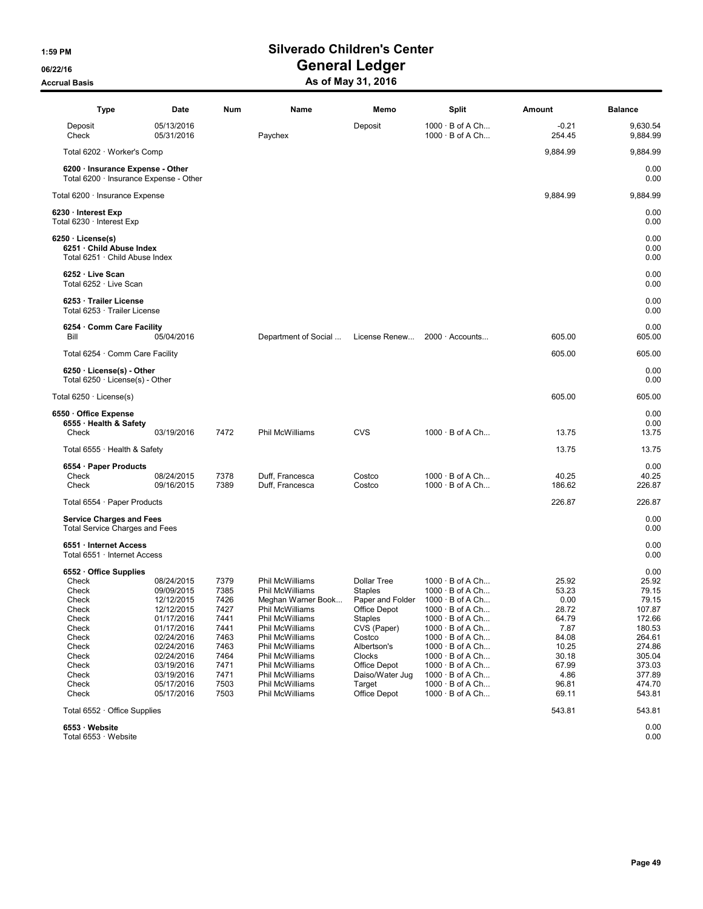| Type                                                                                                                                      | Date                                                                                                                                                                               | Num                                                                                                  | Name                                                                                                                                                                                                                                                          | Memo                                                                                                                                                                                               | Split                                                                                                                                                                                                                                                                                                                                          | Amount                                                                                                         | <b>Balance</b>                                                                                                                      |
|-------------------------------------------------------------------------------------------------------------------------------------------|------------------------------------------------------------------------------------------------------------------------------------------------------------------------------------|------------------------------------------------------------------------------------------------------|---------------------------------------------------------------------------------------------------------------------------------------------------------------------------------------------------------------------------------------------------------------|----------------------------------------------------------------------------------------------------------------------------------------------------------------------------------------------------|------------------------------------------------------------------------------------------------------------------------------------------------------------------------------------------------------------------------------------------------------------------------------------------------------------------------------------------------|----------------------------------------------------------------------------------------------------------------|-------------------------------------------------------------------------------------------------------------------------------------|
| Deposit<br>Check                                                                                                                          | 05/13/2016<br>05/31/2016                                                                                                                                                           |                                                                                                      | Paychex                                                                                                                                                                                                                                                       | Deposit                                                                                                                                                                                            | $1000 \cdot B$ of A Ch<br>$1000 \cdot B$ of A Ch                                                                                                                                                                                                                                                                                               | $-0.21$<br>254.45                                                                                              | 9,630.54<br>9,884.99                                                                                                                |
| Total 6202 · Worker's Comp                                                                                                                |                                                                                                                                                                                    |                                                                                                      |                                                                                                                                                                                                                                                               |                                                                                                                                                                                                    |                                                                                                                                                                                                                                                                                                                                                | 9,884.99                                                                                                       | 9,884.99                                                                                                                            |
| 6200 · Insurance Expense - Other<br>Total 6200 · Insurance Expense - Other                                                                |                                                                                                                                                                                    |                                                                                                      |                                                                                                                                                                                                                                                               |                                                                                                                                                                                                    |                                                                                                                                                                                                                                                                                                                                                |                                                                                                                | 0.00<br>0.00                                                                                                                        |
| Total 6200 · Insurance Expense                                                                                                            |                                                                                                                                                                                    |                                                                                                      |                                                                                                                                                                                                                                                               |                                                                                                                                                                                                    |                                                                                                                                                                                                                                                                                                                                                | 9,884.99                                                                                                       | 9,884.99                                                                                                                            |
| 6230 · Interest Exp<br>Total 6230 · Interest Exp                                                                                          |                                                                                                                                                                                    |                                                                                                      |                                                                                                                                                                                                                                                               |                                                                                                                                                                                                    |                                                                                                                                                                                                                                                                                                                                                |                                                                                                                | 0.00<br>0.00                                                                                                                        |
| $6250 \cdot \text{License(s)}$<br>6251 · Child Abuse Index<br>Total 6251 · Child Abuse Index                                              |                                                                                                                                                                                    |                                                                                                      |                                                                                                                                                                                                                                                               |                                                                                                                                                                                                    |                                                                                                                                                                                                                                                                                                                                                |                                                                                                                | 0.00<br>0.00<br>0.00                                                                                                                |
| 6252 · Live Scan<br>Total 6252 · Live Scan                                                                                                |                                                                                                                                                                                    |                                                                                                      |                                                                                                                                                                                                                                                               |                                                                                                                                                                                                    |                                                                                                                                                                                                                                                                                                                                                |                                                                                                                | 0.00<br>0.00                                                                                                                        |
| 6253 · Trailer License<br>Total 6253 · Trailer License                                                                                    |                                                                                                                                                                                    |                                                                                                      |                                                                                                                                                                                                                                                               |                                                                                                                                                                                                    |                                                                                                                                                                                                                                                                                                                                                |                                                                                                                | 0.00<br>0.00                                                                                                                        |
| 6254 Comm Care Facility<br>Bill                                                                                                           | 05/04/2016                                                                                                                                                                         |                                                                                                      | Department of Social                                                                                                                                                                                                                                          | License Renew                                                                                                                                                                                      | $2000 \cdot$ Accounts                                                                                                                                                                                                                                                                                                                          | 605.00                                                                                                         | 0.00<br>605.00                                                                                                                      |
| Total 6254 · Comm Care Facility                                                                                                           |                                                                                                                                                                                    |                                                                                                      |                                                                                                                                                                                                                                                               |                                                                                                                                                                                                    |                                                                                                                                                                                                                                                                                                                                                | 605.00                                                                                                         | 605.00                                                                                                                              |
| $6250 \cdot$ License(s) - Other<br>Total $6250 \cdot$ License(s) - Other                                                                  |                                                                                                                                                                                    |                                                                                                      |                                                                                                                                                                                                                                                               |                                                                                                                                                                                                    |                                                                                                                                                                                                                                                                                                                                                |                                                                                                                | 0.00<br>0.00                                                                                                                        |
| Total $6250 \cdot$ License(s)                                                                                                             |                                                                                                                                                                                    |                                                                                                      |                                                                                                                                                                                                                                                               |                                                                                                                                                                                                    |                                                                                                                                                                                                                                                                                                                                                | 605.00                                                                                                         | 605.00                                                                                                                              |
| 6550 · Office Expense<br>6555 · Health & Safety<br>Check                                                                                  | 03/19/2016                                                                                                                                                                         | 7472                                                                                                 | Phil McWilliams                                                                                                                                                                                                                                               | <b>CVS</b>                                                                                                                                                                                         | $1000 \cdot B$ of A Ch                                                                                                                                                                                                                                                                                                                         | 13.75                                                                                                          | 0.00<br>0.00<br>13.75                                                                                                               |
| Total $6555 \cdot$ Health & Safety                                                                                                        |                                                                                                                                                                                    |                                                                                                      |                                                                                                                                                                                                                                                               |                                                                                                                                                                                                    |                                                                                                                                                                                                                                                                                                                                                | 13.75                                                                                                          | 13.75                                                                                                                               |
| 6554 · Paper Products<br>Check                                                                                                            | 08/24/2015                                                                                                                                                                         | 7378                                                                                                 | Duff, Francesca                                                                                                                                                                                                                                               | Costco                                                                                                                                                                                             | $1000 \cdot B$ of A Ch                                                                                                                                                                                                                                                                                                                         | 40.25                                                                                                          | 0.00<br>40.25                                                                                                                       |
| Check                                                                                                                                     | 09/16/2015                                                                                                                                                                         | 7389                                                                                                 | Duff, Francesca                                                                                                                                                                                                                                               | Costco                                                                                                                                                                                             | $1000 \cdot B$ of A Ch                                                                                                                                                                                                                                                                                                                         | 186.62                                                                                                         | 226.87                                                                                                                              |
| Total $6554 \cdot$ Paper Products                                                                                                         |                                                                                                                                                                                    |                                                                                                      |                                                                                                                                                                                                                                                               |                                                                                                                                                                                                    |                                                                                                                                                                                                                                                                                                                                                | 226.87                                                                                                         | 226.87                                                                                                                              |
| <b>Service Charges and Fees</b><br><b>Total Service Charges and Fees</b>                                                                  |                                                                                                                                                                                    |                                                                                                      |                                                                                                                                                                                                                                                               |                                                                                                                                                                                                    |                                                                                                                                                                                                                                                                                                                                                |                                                                                                                | 0.00<br>0.00                                                                                                                        |
| 6551 · Internet Access<br>Total 6551 · Internet Access                                                                                    |                                                                                                                                                                                    |                                                                                                      |                                                                                                                                                                                                                                                               |                                                                                                                                                                                                    |                                                                                                                                                                                                                                                                                                                                                |                                                                                                                | 0.00<br>0.00                                                                                                                        |
| 6552 Office Supplies<br>Check<br>Check<br>Check<br>Check<br>Check<br>Check<br>Check<br>Check<br>Check<br>Check<br>Check<br>Check<br>Check | 08/24/2015<br>09/09/2015<br>12/12/2015<br>12/12/2015<br>01/17/2016<br>01/17/2016<br>02/24/2016<br>02/24/2016<br>02/24/2016<br>03/19/2016<br>03/19/2016<br>05/17/2016<br>05/17/2016 | 7379<br>7385<br>7426<br>7427<br>7441<br>7441<br>7463<br>7463<br>7464<br>7471<br>7471<br>7503<br>7503 | Phil McWilliams<br>Phil McWilliams<br>Meghan Warner Book<br><b>Phil McWilliams</b><br>Phil McWilliams<br>Phil McWilliams<br>Phil McWilliams<br>Phil McWilliams<br>Phil McWilliams<br>Phil McWilliams<br>Phil McWilliams<br>Phil McWilliams<br>Phil McWilliams | <b>Dollar Tree</b><br><b>Staples</b><br>Paper and Folder<br>Office Depot<br>Staples<br>CVS (Paper)<br>Costco<br>Albertson's<br>Clocks<br>Office Depot<br>Daiso/Water Juq<br>Target<br>Office Depot | $1000 \cdot B$ of A Ch<br>$1000 \cdot B$ of A Ch<br>$1000 \cdot B$ of A Ch<br>$1000 \cdot B$ of A Ch<br>$1000 \cdot B$ of A Ch<br>$1000 \cdot B$ of A Ch<br>$1000 \cdot B$ of A Ch<br>$1000 \cdot B$ of A Ch<br>$1000 \cdot B$ of A Ch<br>$1000 \cdot B$ of A Ch<br>$1000 \cdot B$ of A Ch<br>$1000 \cdot B$ of A Ch<br>$1000 \cdot B$ of A Ch | 25.92<br>53.23<br>0.00<br>28.72<br>64.79<br>7.87<br>84.08<br>10.25<br>30.18<br>67.99<br>4.86<br>96.81<br>69.11 | 0.00<br>25.92<br>79.15<br>79.15<br>107.87<br>172.66<br>180.53<br>264.61<br>274.86<br>305.04<br>373.03<br>377.89<br>474.70<br>543.81 |
| Total $6552 \cdot$ Office Supplies                                                                                                        |                                                                                                                                                                                    |                                                                                                      |                                                                                                                                                                                                                                                               |                                                                                                                                                                                                    |                                                                                                                                                                                                                                                                                                                                                | 543.81                                                                                                         | 543.81                                                                                                                              |
| 6553 · Website<br>Total 6553 · Website                                                                                                    |                                                                                                                                                                                    |                                                                                                      |                                                                                                                                                                                                                                                               |                                                                                                                                                                                                    |                                                                                                                                                                                                                                                                                                                                                |                                                                                                                | 0.00<br>0.00                                                                                                                        |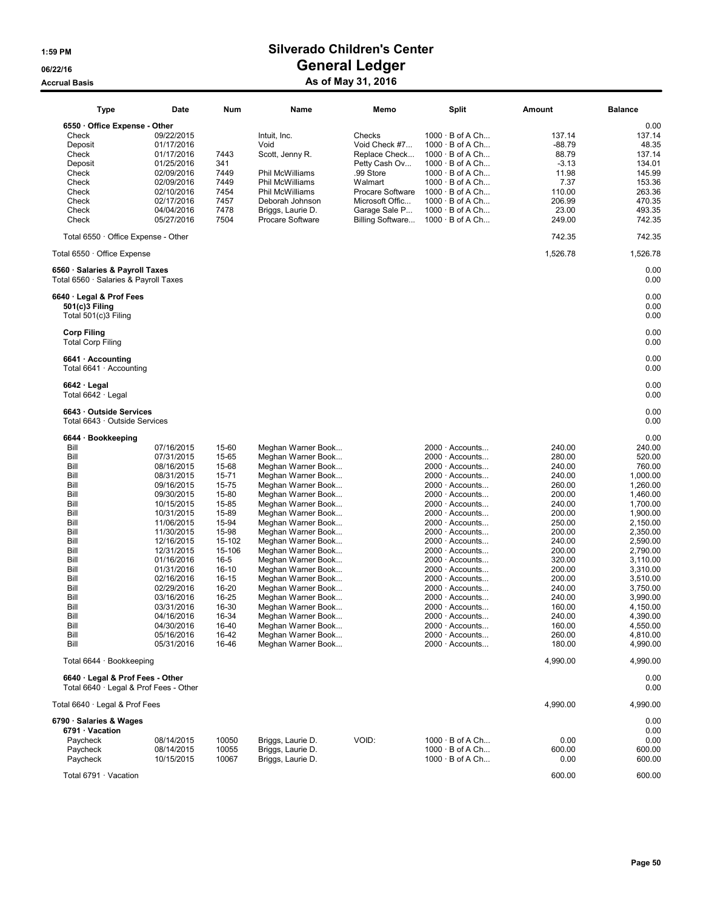| <b>Type</b>                                                                                                                                                                                        | Date                                                                                                                                                                                                                                                                                                             | Num                                                                                                                                                                                                       | Name                                                                                                                                                                                                                                                                                                                                                                                                                                                                                             | Memo                                                                                                                                                          | <b>Split</b>                                                                                                                                                                                                                                                                                                                                                                                                                                                                                                                                                 | Amount                                                                                                                                                                                                                   | <b>Balance</b>                                                                                                                                                                                                                                                         |
|----------------------------------------------------------------------------------------------------------------------------------------------------------------------------------------------------|------------------------------------------------------------------------------------------------------------------------------------------------------------------------------------------------------------------------------------------------------------------------------------------------------------------|-----------------------------------------------------------------------------------------------------------------------------------------------------------------------------------------------------------|--------------------------------------------------------------------------------------------------------------------------------------------------------------------------------------------------------------------------------------------------------------------------------------------------------------------------------------------------------------------------------------------------------------------------------------------------------------------------------------------------|---------------------------------------------------------------------------------------------------------------------------------------------------------------|--------------------------------------------------------------------------------------------------------------------------------------------------------------------------------------------------------------------------------------------------------------------------------------------------------------------------------------------------------------------------------------------------------------------------------------------------------------------------------------------------------------------------------------------------------------|--------------------------------------------------------------------------------------------------------------------------------------------------------------------------------------------------------------------------|------------------------------------------------------------------------------------------------------------------------------------------------------------------------------------------------------------------------------------------------------------------------|
| 6550 Office Expense - Other<br>Check<br>Deposit<br>Check<br>Deposit<br>Check<br>Check<br>Check<br>Check<br>Check<br>Check                                                                          | 09/22/2015<br>01/17/2016<br>01/17/2016<br>01/25/2016<br>02/09/2016<br>02/09/2016<br>02/10/2016<br>02/17/2016<br>04/04/2016<br>05/27/2016                                                                                                                                                                         | 7443<br>341<br>7449<br>7449<br>7454<br>7457<br>7478<br>7504                                                                                                                                               | Intuit. Inc.<br>Void<br>Scott, Jenny R.<br>Phil McWilliams<br>Phil McWilliams<br>Phil McWilliams<br>Deborah Johnson<br>Briggs, Laurie D.<br><b>Procare Software</b>                                                                                                                                                                                                                                                                                                                              | Checks<br>Void Check #7<br>Replace Check<br>Petty Cash Ov<br>.99 Store<br>Walmart<br>Procare Software<br>Microsoft Offic<br>Garage Sale P<br>Billing Software | $1000 \cdot B$ of A Ch<br>$1000 \cdot B$ of A Ch<br>$1000 \cdot B$ of A Ch<br>$1000 \cdot B$ of A Ch<br>$1000 \cdot B$ of A Ch<br>$1000 \cdot B$ of A Ch<br>$1000 \cdot B$ of A Ch<br>$1000 \cdot B$ of A Ch<br>$1000 \cdot B$ of A Ch<br>$1000 \cdot B$ of A Ch                                                                                                                                                                                                                                                                                             | 137.14<br>$-88.79$<br>88.79<br>$-3.13$<br>11.98<br>7.37<br>110.00<br>206.99<br>23.00<br>249.00                                                                                                                           | 0.00<br>137.14<br>48.35<br>137.14<br>134.01<br>145.99<br>153.36<br>263.36<br>470.35<br>493.35<br>742.35                                                                                                                                                                |
| Total 6550 · Office Expense - Other                                                                                                                                                                |                                                                                                                                                                                                                                                                                                                  |                                                                                                                                                                                                           |                                                                                                                                                                                                                                                                                                                                                                                                                                                                                                  |                                                                                                                                                               |                                                                                                                                                                                                                                                                                                                                                                                                                                                                                                                                                              | 742.35                                                                                                                                                                                                                   | 742.35                                                                                                                                                                                                                                                                 |
| Total 6550 · Office Expense                                                                                                                                                                        |                                                                                                                                                                                                                                                                                                                  |                                                                                                                                                                                                           |                                                                                                                                                                                                                                                                                                                                                                                                                                                                                                  |                                                                                                                                                               |                                                                                                                                                                                                                                                                                                                                                                                                                                                                                                                                                              | 1,526.78                                                                                                                                                                                                                 | 1,526.78                                                                                                                                                                                                                                                               |
| 6560 · Salaries & Payroll Taxes<br>Total 6560 · Salaries & Payroll Taxes                                                                                                                           |                                                                                                                                                                                                                                                                                                                  |                                                                                                                                                                                                           |                                                                                                                                                                                                                                                                                                                                                                                                                                                                                                  |                                                                                                                                                               |                                                                                                                                                                                                                                                                                                                                                                                                                                                                                                                                                              |                                                                                                                                                                                                                          | 0.00<br>0.00                                                                                                                                                                                                                                                           |
| 6640 · Legal & Prof Fees<br>501(c)3 Filing<br>Total 501(c)3 Filing                                                                                                                                 |                                                                                                                                                                                                                                                                                                                  |                                                                                                                                                                                                           |                                                                                                                                                                                                                                                                                                                                                                                                                                                                                                  |                                                                                                                                                               |                                                                                                                                                                                                                                                                                                                                                                                                                                                                                                                                                              |                                                                                                                                                                                                                          | 0.00<br>0.00<br>0.00                                                                                                                                                                                                                                                   |
| <b>Corp Filing</b><br><b>Total Corp Filing</b>                                                                                                                                                     |                                                                                                                                                                                                                                                                                                                  |                                                                                                                                                                                                           |                                                                                                                                                                                                                                                                                                                                                                                                                                                                                                  |                                                                                                                                                               |                                                                                                                                                                                                                                                                                                                                                                                                                                                                                                                                                              |                                                                                                                                                                                                                          | 0.00<br>0.00                                                                                                                                                                                                                                                           |
| 6641 · Accounting<br>Total 6641 · Accounting                                                                                                                                                       |                                                                                                                                                                                                                                                                                                                  |                                                                                                                                                                                                           |                                                                                                                                                                                                                                                                                                                                                                                                                                                                                                  |                                                                                                                                                               |                                                                                                                                                                                                                                                                                                                                                                                                                                                                                                                                                              |                                                                                                                                                                                                                          | 0.00<br>0.00                                                                                                                                                                                                                                                           |
| $6642 \cdot$ Legal<br>Total 6642 · Legal                                                                                                                                                           |                                                                                                                                                                                                                                                                                                                  |                                                                                                                                                                                                           |                                                                                                                                                                                                                                                                                                                                                                                                                                                                                                  |                                                                                                                                                               |                                                                                                                                                                                                                                                                                                                                                                                                                                                                                                                                                              |                                                                                                                                                                                                                          | 0.00<br>0.00                                                                                                                                                                                                                                                           |
| 6643 Outside Services<br>Total 6643 · Outside Services                                                                                                                                             |                                                                                                                                                                                                                                                                                                                  |                                                                                                                                                                                                           |                                                                                                                                                                                                                                                                                                                                                                                                                                                                                                  |                                                                                                                                                               |                                                                                                                                                                                                                                                                                                                                                                                                                                                                                                                                                              |                                                                                                                                                                                                                          | 0.00<br>0.00                                                                                                                                                                                                                                                           |
| 6644 · Bookkeeping<br>Bill<br>Bill<br>Bill<br>Bill<br>Bill<br>Bill<br>Bill<br>Bill<br>Bill<br>Bill<br>Bill<br>Bill<br>Bill<br>Bill<br>Bill<br>Bill<br>Bill<br>Bill<br>Bill<br>Bill<br>Bill<br>Bill | 07/16/2015<br>07/31/2015<br>08/16/2015<br>08/31/2015<br>09/16/2015<br>09/30/2015<br>10/15/2015<br>10/31/2015<br>11/06/2015<br>11/30/2015<br>12/16/2015<br>12/31/2015<br>01/16/2016<br>01/31/2016<br>02/16/2016<br>02/29/2016<br>03/16/2016<br>03/31/2016<br>04/16/2016<br>04/30/2016<br>05/16/2016<br>05/31/2016 | 15-60<br>15-65<br>15-68<br>15-71<br>15-75<br>15-80<br>15-85<br>15-89<br>15-94<br>15-98<br>15-102<br>15-106<br>$16 - 5$<br>$16-10$<br>16-15<br>16-20<br>16-25<br>16-30<br>16-34<br>16-40<br>16-42<br>16-46 | Meghan Warner Book<br>Meghan Warner Book<br>Meghan Warner Book<br>Meghan Warner Book<br>Meghan Warner Book<br>Meghan Warner Book<br>Meghan Warner Book<br>Meghan Warner Book<br>Meghan Warner Book<br>Meghan Warner Book<br>Meghan Warner Book<br>Meghan Warner Book<br>Meghan Warner Book<br>Meghan Warner Book<br>Meghan Warner Book<br>Meghan Warner Book<br>Meghan Warner Book<br>Meghan Warner Book<br>Meghan Warner Book<br>Meghan Warner Book<br>Meghan Warner Book<br>Meghan Warner Book |                                                                                                                                                               | $2000 \cdot$ Accounts<br>$2000 \cdot$ Accounts<br>$2000 \cdot$ Accounts<br>$2000 \cdot$ Accounts<br>$2000 \cdot$ Accounts<br>$2000 \cdot$ Accounts<br>$2000 \cdot$ Accounts<br>$2000 \cdot$ Accounts<br>$2000 \cdot$ Accounts<br>$2000 \cdot$ Accounts<br>$2000 \cdot$ Accounts<br>$2000 \cdot$ Accounts<br>$2000 \cdot$ Accounts<br>$2000 \cdot$ Accounts<br>$2000 \cdot$ Accounts<br>$2000 \cdot$ Accounts<br>$2000 \cdot$ Accounts<br>$2000 \cdot$ Accounts<br>$2000 \cdot$ Accounts<br>$2000 \cdot$ Accounts<br>$2000 \cdot$ Accounts<br>2000 · Accounts | 240.00<br>280.00<br>240.00<br>240.00<br>260.00<br>200.00<br>240.00<br>200.00<br>250.00<br>200.00<br>240.00<br>200.00<br>320.00<br>200.00<br>200.00<br>240.00<br>240.00<br>160.00<br>240.00<br>160.00<br>260.00<br>180.00 | 0.00<br>240.00<br>520.00<br>760.00<br>1,000.00<br>1,260.00<br>1,460.00<br>1,700.00<br>1,900.00<br>2,150.00<br>2,350.00<br>2,590.00<br>2,790.00<br>3,110.00<br>3,310.00<br>3,510.00<br>3,750.00<br>3,990.00<br>4,150.00<br>4,390.00<br>4,550.00<br>4,810.00<br>4,990.00 |
| Total 6644 · Bookkeeping                                                                                                                                                                           |                                                                                                                                                                                                                                                                                                                  |                                                                                                                                                                                                           |                                                                                                                                                                                                                                                                                                                                                                                                                                                                                                  |                                                                                                                                                               |                                                                                                                                                                                                                                                                                                                                                                                                                                                                                                                                                              | 4,990.00                                                                                                                                                                                                                 | 4,990.00                                                                                                                                                                                                                                                               |
| 6640 · Legal & Prof Fees - Other<br>Total $6640 \cdot$ Legal & Prof Fees - Other                                                                                                                   |                                                                                                                                                                                                                                                                                                                  |                                                                                                                                                                                                           |                                                                                                                                                                                                                                                                                                                                                                                                                                                                                                  |                                                                                                                                                               |                                                                                                                                                                                                                                                                                                                                                                                                                                                                                                                                                              |                                                                                                                                                                                                                          | 0.00<br>0.00                                                                                                                                                                                                                                                           |
| Total 6640 · Legal & Prof Fees                                                                                                                                                                     |                                                                                                                                                                                                                                                                                                                  |                                                                                                                                                                                                           |                                                                                                                                                                                                                                                                                                                                                                                                                                                                                                  |                                                                                                                                                               |                                                                                                                                                                                                                                                                                                                                                                                                                                                                                                                                                              | 4,990.00                                                                                                                                                                                                                 | 4,990.00                                                                                                                                                                                                                                                               |
| 6790 · Salaries & Wages<br>6791 · Vacation<br>Paycheck<br>Paycheck<br>Paycheck                                                                                                                     | 08/14/2015<br>08/14/2015<br>10/15/2015                                                                                                                                                                                                                                                                           | 10050<br>10055<br>10067                                                                                                                                                                                   | Briggs, Laurie D.<br>Briggs, Laurie D.<br>Briggs, Laurie D.                                                                                                                                                                                                                                                                                                                                                                                                                                      | VOID:                                                                                                                                                         | $1000 \cdot B$ of A Ch<br>$1000 \cdot B$ of A Ch<br>$1000 \cdot B$ of A Ch                                                                                                                                                                                                                                                                                                                                                                                                                                                                                   | 0.00<br>600.00<br>0.00                                                                                                                                                                                                   | 0.00<br>0.00<br>0.00<br>600.00<br>600.00                                                                                                                                                                                                                               |
| Total 6791 · Vacation                                                                                                                                                                              |                                                                                                                                                                                                                                                                                                                  |                                                                                                                                                                                                           |                                                                                                                                                                                                                                                                                                                                                                                                                                                                                                  |                                                                                                                                                               |                                                                                                                                                                                                                                                                                                                                                                                                                                                                                                                                                              | 600.00                                                                                                                                                                                                                   | 600.00                                                                                                                                                                                                                                                                 |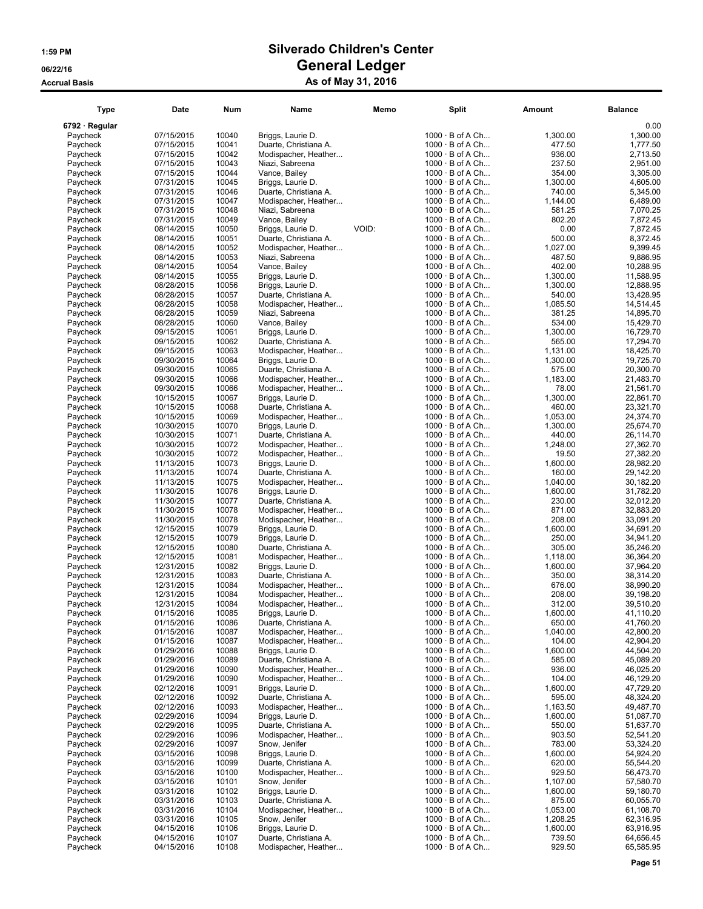### 1:59 PM Silverado Children's Center 06/22/16 Ceneral Ledger Accrual Basis **As of May 31, 2016**

### Type Date Num Name Memo Split Amount Balance 6792 · Regular 0.00 Paycheck 07/15/2015 10040 Briggs, Laurie D. 1000 · B of A Ch... 1,300.<br>Paycheck 07/15/2015 10041 Duarte, Christiana A. 1000 · B of A Ch... 477. Paycheck 07/15/2015 10041 Duarte, Christiana A. 1000 · B of A Ch... 477.50 1,777.50 Paycheck 07/15/2015 10042 Modispacher, Heather... 1000 · B of A Ch... 936.<br>Paycheck 07/15/2015 10043 Niazi, Sabreena 1000 · B of A Ch... 237 Paycheck 07/15/2015 10043 Niazi, Sabreena 1000 · B of A Ch... 237.50 2,951.00 Paycheck 07/15/2015 10044 Vance, Bailey 1000 · B of A Ch... 354.<br>Paycheck 07/31/2015 10045 Briggs, Laurie D. 1000 · B of A Ch... 1,300 Paycheck 07/31/2015 10045 Briggs, Laurie D. 1,300 · B of A Ch... 1,300<br>Paycheck 07/31/2015 10046 Duarte, Christiana A. 1000 · B of A Ch... 1,300<br>Paycheck 07/31/2015 10046 Duarte, Christiana A. 1000 · B of A Ch... 1740 Paycheck 07/31/2015 10046 Duarte, Christiana A. 1000 · B of A Ch... 740.<br>Paycheck 07/31/2015 10047 Modispacher, Heather... 1000 · B of A Ch... 1.144 Paycheck 07/31/2015 10047 Modispacher, Heather...<br>Paycheck 07/31/2015 10048 Niazi, Sabreena 07/31/2015 10048 Niazi, Sabreena 1000 · B of A Ch... 581<br>10731/2015 10049 Vance, Bailey 1000 · B of A Ch... 582 Paycheck 07/31/2015 10049 Vance, Bailey 100D: 1000 · B of A Ch... 802<br>1000 · B of A Ch... 80214/2015 10050 Briggs, Laurie D. 1000: 1000 · B of A Ch... 60 Paycheck 08/14/2015 10050 Briggs, Laurie D. VOID: 1000 · B of A Ch... 0.00 0.00 1<br>Paycheck 08/14/2015 10051 Duarte, Christiana A. 1000 · B of A Ch... 500 Paycheck 08/14/2015 10051 Duarte, Christiana A. 1000 · B of A Ch... 500.<br>Paycheck 08/14/2015 10052 Modispacher, Heather... 1000 · B of A Ch... 1,027 Paycheck 08/14/2015 10052 Modispacher, Heather... 1000 · B of A Ch... 1,027<br>1000 · B of A Ch... 1005/14/2015 10053 Niazi, Sabreena 1,000 · B of A Ch... 1487 Paycheck 108/14/2015 10053 Niazi, Sabreena 1000 · B of A Ch... 487.<br>1000 · B of A Ch... 1005/4/2015 10054 Vance, Bailey 1000 · B of A Ch... 402. Paycheck 08/14/2015 10054 Vance, Bailey 1000 · B of A Ch... 402.<br>1000 · B of A Ch... 10055 Briggs, Laurie D. 1000 · B of A Ch... 1,300. Paycheck 08/14/2015 10055 Briggs, Laurie D. 1000 · B of A Ch... 1,300<br>Paycheck 08/28/2015 10056 Briggs, Laurie D. 1,300 1000 · B of A Ch... 1,300 Paycheck 08/28/2015 10056 Briggs, Laurie D. 1000 · B of A Ch... 1,300<br>Paycheck 08/28/2015 10057 Duarte, Christiana A. 1000 · B of A Ch... 540 Paycheck 08/28/2015 10057 Duarte, Christiana A. 1000 · B of A Ch... 540.00 13,428.95 Paycheck 08/28/2015 10058 Modispacher, Heather... 1000 · B of A Ch... 1085.<br>1000 · B of A Ch... 1005/28/2015 10059 Niazi, Sabreena 1000 · B of A Ch... 1000 · B of A Ch... Paycheck 08/28/2015 10059 Niazi, Sabreena 1000 · B of A Ch... 381.25 14,895.70 Paycheck 08/28/2015 10060 Vance, Bailey 1000 · B of A Ch... 534.00 15,429.70 Paycheck 09/15/2015 10061 Riggs, Laurie D. 1000 · B of A Ch... 1,300<br>Paycheck 09/15/2015 10061 Briggs, Laurie D. 1,300<br>Paycheck 09/15/2015 10062 Duarte, Christiana A. 1000 · B of A Ch... 565 Paycheck Object 2015 1000 · B of A Ch...<br>
Modispacher, Heather... 565.000 · B of A Ch... Paycheck 09/15/2015 10063 Modispacher, Heather... 1000 · B of A Ch... 1,131.<br>Paycheck 09/30/2015 10064 Briggs, Laurie D. 1000 · B of A Ch... 1,300. 09/30/2015 10064 Briggs, Laurie D. 1000 · B of A Ch...<br>09/30/2015 10065 Duarte, Christiana A. 1000 · B of A Ch... Paycheck 09/30/2015 10065 Duarte, Christiana A. 1000 · B of A Ch... 575<br>Paycheck 09/30/2015 10066 Modispacher, Heather... 1000 · B of A Ch... 1,183 Paycheck 09/30/2015 10066 Modispacher, Heather... 1000 · B of A Ch... 1000 · B of A Ch... 1000 · B of A Ch... 1,183. Paycheck 09/30/2015 10066 Modispacher, Heather... 1000 · B of A Ch... 78.<br>Paycheck 10/15/2015 10067 Briggs, Laurie D. 1000 · B of A Ch... 1.300 · 1000 · B of A Ch... Paycheck 10/15/2015 10067 Briggs, Laurie D. 1000 · B of A Ch... 1,300.00 22,861.70 Paycheck 10/15/2015 10068 Duarte, Christiana A. 1000 · B of A Ch... 460.00 23,321.70 Paycheck 10/15/2015 10069 Modispacher, Heather... 1000 · B of A Ch... 1,053<br>
Paycheck 10/30/2015 10070 Briggs, Laurie D. 1000 · B of A Ch... 1,300 10/30/2015 10070 Briggs, Laurie D. 1000 · B of A Ch... 1,300<br>10/30/2015 10071 Duarte, Christiana A. 1000 · B of A Ch... 1440 Paycheck 10/30/2015 10071 Duarte, Christiana A. 1000 · B of A Ch... 440.<br>Paycheck 10/30/2015 10072 Modispacher, Heather... 1000 · B of A Ch... 1,248 Paycheck 10/30/2015 10072 Modispacher, Heather... 1000 · B of A Ch... 1,248.<br>11.248. 10/30/2015 10072 Modispacher, Heather... 1000 · B of A Ch... 19. 10/30/2015 10072 Modispacher, Heather... 1000 · B of A Ch... 19.<br>11/13/2015 10073 Briggs, Laurie D. 1000 · B of A Ch... 1,600. Paycheck 11/13/2015 10073 Briggs, Laurie D. 1000 · B of A Ch... 1,600<br>Paycheck 11/13/2015 10074 Duarte, Christiana A. 1000 · B of A Ch... 160 Paycheck 11/13/2015 10074 Duarte, Christiana A. 1000 · B of A Ch... 160.<br>Paycheck 11/13/2015 10075 Modispacher, Heather... 1000 · B of A Ch... 1.040 Paycheck 11/13/2015 10075 Modispacher, Heather... 1000 · B of A Ch... 1,040<br>Paycheck 11/30/2015 10076 Briggs, Laurie D. 1,600 · B of A Ch... 1,600 Paycheck 11/30/2015 10076 Briggs, Laurie D. 1,600 · B of A Ch... 1,600<br>Paycheck 11/30/2015 10076 Briggs, Laurie D. 1,600 · B of A Ch... 1,600 · 1,600 · 1,600 Paycheck 11/30/2015 10077 Duarte, Christiana A. 1000 · B of A Ch... 230.<br>Paycheck 11/30/2015 10078 Modispacher, Heather... 1000 · B of A Ch... 871 11/30/2015 10078 Modispacher, Heather... 1000 · B of A Ch... 871<br>11/30/2015 10078 Modispacher, Heather... 1000 · B of A Ch... 208 Paycheck 11/30/2015 10078 Modispacher, Heather... 1000 · B of A Ch... 208.<br>Paycheck 12/15/2015 10079 Briggs Laurie D. 1000 · B of A Ch... 1600 Paycheck 12/15/2015 10079 Briggs, Laurie D. 1000 · B of A Ch...<br>12/15/2015 10079 Briggs, Laurie D. 1000 · B of A Ch... Paycheck 12/15/2015 10079 Briggs, Laurie D. 1000 · B of A Ch... 250.00 34,941.20 Paycheck 12/15/2015 10080 Duarte, Christiana A. 1000 · B of A Ch... 305.00 35,246.20 Paycheck 12/15/2015 10081 Modispacher, Heather... 1000 · B of A Ch... 1,118<br>Paycheck 12/31/2015 10082 Briggs, Laurie D. 1000 · B of A Ch... 1,600 Paycheck 12/31/2015 10082 Briggs, Laurie D. 1000 · B of A Ch... 1,600<br>Paycheck 12/31/2015 10083 Duarte, Christiana A. 1000 · B of A Ch... 1,600 · B of A Ch... Paycheck 12/31/2015 10083 Duarte, Christiana A. 1000 · B of A Ch... 350.<br>12/31/2015 10084 Modispacher, Heather... 1000 · B of A Ch... 676 Paycheck 12/31/2015 10084 Modispacher, Heather... 1000 · B of A Ch... 676.<br>Paycheck 12/31/2015 10084 Modispacher, Heather... 1000 · B of A Ch... 208 Paycheck 12/31/2015 10084 Modispacher, Heather... 1000 · B of A Ch... 208<br>Paycheck 12/31/2015 10084 Modispacher, Heather... 1000 · B of A Ch... 312 Paycheck 12/31/2015 10084 Modispacher, Heather... 1000 · B of A Ch... 312<br>Paycheck 01/15/2016 10085 Briggs, Laurie D. 1000 · B of A Ch... 1,600 Paycheck 01/15/2016 10085 Briggs, Laurie D. 1000 · B of A Ch...<br>Paycheck 01/15/2016 10086 Duarte, Christiana A. 1000 · B of A Ch... Paycheck 01/15/2016 10086 Duarte, Christiana A. 1000 · B of A Ch... 650.<br>Paycheck 01/15/2016 10087 Modispacher, Heather... 1000 · B of A Ch... 1,040 Paycheck 01/15/2016 10087 Modispacher, Heather... 1000 · B of A Ch... 1,040<br>Paycheck 01/15/2016 10087 Modispacher, Heather... 1000 · B of A Ch... 104 Paycheck 01/15/2016 10087 Modispacher, Heather... 1000 · B of A Ch... 104<br>Paycheck 01/29/2016 10088 Briggs, Laurie D. 1000 · B of A Ch... 1,600  $1000 \cdot B$  of A Ch... Paycheck 01/29/2016 10089 Duarte, Christiana A. 1000 · B of A Ch... 585<br>Paycheck 01/29/2016 10090 Modispacher, Heather... 1000 · B of A Ch... 936 01/29/2016 10090 Modispacher, Heather... 1000 · B of A Ch...<br>01/29/2016 10090 Modispacher, Heather... 1000 · B of A Ch... Paycheck 01/29/2016 10090 Modispacher, Heather... 1000 · B of A Ch... 104<br>Paycheck 02/12/2016 10091 Briggs, Laurie D. 1000 · B of A Ch... 1,600 Paycheck 02/12/2016 10091 Briggs, Laurie D. 1000 · B of A Ch... 1,600<br>Paycheck 02/12/2016 10092 Duarte, Christiana A. 1000 · B of A Ch... 595 Paycheck 02/12/2016 10092 Duarte, Christiana A. 1000 · B of A Ch... 595.00 48,324.20 Paycheck 02/12/2016 10093 Modispacher, Heather... 1000 · B of A Ch... 1,163.<br>1000 · B of A Ch... 1009/20/2016 10094 Briggs, Laurie D. 1000 · B of A Ch... 1,600 Paycheck 02/29/2016 10094 Briggs, Laurie D. 1000 · B of A Ch... 1,600.00 51,087.70 Paycheck 02/29/2016 10095 Duarte, Christiana A. 1000 · B of A Ch... 550.<br>Paycheck 02/29/2016 10096 Modispacher, Heather... 1000 · B of A Ch... 500 903 02/29/2016 10096 Modispacher, Heather...<br>02/29/2016 10097 Snow, Jenifer Paycheck 02/29/2016 10097 Snow, Jenifer 1000 · B of A Ch... 783.00 53,324.20 Paycheck 03/15/2016 10098 Briggs, Laurie D. 1000 · B of A Ch... 1,600<br>Paycheck 03/15/2016 10099 Duarte, Christiana A. 1000 · B of A Ch... 620 03/15/2016 10099 Duarte, Christiana A. 1000 · B of A Ch...<br>03/15/2016 10100 Modispacher, Heather... 1000 · B of A Ch...

| I ype         | Date       | Num   | Name                  | Memo  | Split                  | Amount   | Balance   |
|---------------|------------|-------|-----------------------|-------|------------------------|----------|-----------|
| 792 · Regular |            |       |                       |       |                        |          | 0.00      |
|               |            | 10040 |                       |       | $1000 \cdot B$ of A Ch |          | 1,300.00  |
| Paycheck      | 07/15/2015 |       | Briggs, Laurie D.     |       |                        | 1,300.00 |           |
| Paycheck      | 07/15/2015 | 10041 | Duarte, Christiana A. |       | $1000 \cdot B$ of A Ch | 477.50   | 1,777.50  |
| Paycheck      | 07/15/2015 | 10042 | Modispacher, Heather  |       | $1000 \cdot B$ of A Ch | 936.00   | 2,713.50  |
| Paycheck      | 07/15/2015 | 10043 | Niazi, Sabreena       |       | $1000 \cdot B$ of A Ch | 237.50   | 2,951.00  |
| Paycheck      | 07/15/2015 | 10044 | Vance, Bailey         |       | $1000 \cdot B$ of A Ch | 354.00   | 3.305.00  |
| Paycheck      | 07/31/2015 | 10045 | Briggs, Laurie D.     |       | $1000 \cdot B$ of A Ch | 1,300.00 | 4,605.00  |
| Paycheck      | 07/31/2015 | 10046 | Duarte, Christiana A. |       | $1000 \cdot B$ of A Ch | 740.00   | 5,345.00  |
| Paycheck      | 07/31/2015 | 10047 | Modispacher, Heather  |       | $1000 \cdot B$ of A Ch | 1,144.00 | 6,489.00  |
| Paycheck      | 07/31/2015 | 10048 | Niazi, Sabreena       |       | 1000 · B of A Ch       | 581.25   | 7,070.25  |
| Paycheck      | 07/31/2015 | 10049 | Vance, Bailey         |       | $1000 \cdot B$ of A Ch | 802.20   | 7,872.45  |
| Paycheck      | 08/14/2015 | 10050 | Briggs, Laurie D.     | VOID: | 1000 · B of A Ch       | 0.00     | 7.872.45  |
| Paycheck      | 08/14/2015 | 10051 | Duarte, Christiana A. |       | $1000 \cdot B$ of A Ch | 500.00   | 8,372.45  |
| Paycheck      | 08/14/2015 | 10052 | Modispacher, Heather  |       | $1000 \cdot B$ of A Ch | 1,027.00 | 9,399.45  |
| Paycheck      | 08/14/2015 | 10053 | Niazi, Sabreena       |       | $1000 \cdot B$ of A Ch | 487.50   | 9,886.95  |
|               |            |       |                       |       |                        |          |           |
| Paycheck      | 08/14/2015 | 10054 | Vance, Bailey         |       | $1000 \cdot B$ of A Ch | 402.00   | 10,288.95 |
| Paycheck      | 08/14/2015 | 10055 | Briggs, Laurie D.     |       | $1000 \cdot B$ of A Ch | 1,300.00 | 11,588.95 |
| Paycheck      | 08/28/2015 | 10056 | Briggs, Laurie D.     |       | $1000 \cdot B$ of A Ch | 1,300.00 | 12,888.95 |
| Paycheck      | 08/28/2015 | 10057 | Duarte, Christiana A. |       | 1000 · B of A Ch       | 540.00   | 13,428.95 |
| Paycheck      | 08/28/2015 | 10058 | Modispacher, Heather  |       | $1000 \cdot B$ of A Ch | 1,085.50 | 14,514.45 |
| Paycheck      | 08/28/2015 | 10059 | Niazi, Sabreena       |       | $1000 \cdot B$ of A Ch | 381.25   | 14,895.70 |
| Paycheck      | 08/28/2015 | 10060 | Vance, Bailey         |       | 1000 · B of A Ch       | 534.00   | 15,429.70 |
| Paycheck      | 09/15/2015 | 10061 | Briggs, Laurie D.     |       | $1000 \cdot B$ of A Ch | 1,300.00 | 16,729.70 |
| Paycheck      | 09/15/2015 | 10062 | Duarte, Christiana A. |       | $1000 \cdot B$ of A Ch | 565.00   | 17,294.70 |
| Paycheck      | 09/15/2015 | 10063 | Modispacher, Heather  |       | $1000 \cdot B$ of A Ch | 1,131.00 | 18,425.70 |
|               |            | 10064 | Briggs, Laurie D.     |       | $1000 \cdot B$ of A Ch | 1,300.00 | 19,725.70 |
| Paycheck      | 09/30/2015 |       |                       |       |                        |          |           |
| Paycheck      | 09/30/2015 | 10065 | Duarte, Christiana A. |       | $1000 \cdot B$ of A Ch | 575.00   | 20,300.70 |
| Paycheck      | 09/30/2015 | 10066 | Modispacher, Heather  |       | $1000 \cdot B$ of A Ch | 1,183.00 | 21,483.70 |
| Paycheck      | 09/30/2015 | 10066 | Modispacher, Heather  |       | $1000 \cdot B$ of A Ch | 78.00    | 21,561.70 |
| Paycheck      | 10/15/2015 | 10067 | Briggs, Laurie D.     |       | $1000 \cdot B$ of A Ch | 1,300.00 | 22,861.70 |
| Paycheck      | 10/15/2015 | 10068 | Duarte, Christiana A. |       | $1000 \cdot B$ of A Ch | 460.00   | 23,321.70 |
| Paycheck      | 10/15/2015 | 10069 | Modispacher, Heather  |       | $1000 \cdot B$ of A Ch | 1,053.00 | 24,374.70 |
| Paycheck      | 10/30/2015 | 10070 | Briggs, Laurie D.     |       | $1000 \cdot B$ of A Ch | 1,300.00 | 25,674.70 |
| Paycheck      | 10/30/2015 | 10071 | Duarte, Christiana A. |       | $1000 \cdot B$ of A Ch | 440.00   | 26,114.70 |
| Paycheck      | 10/30/2015 | 10072 | Modispacher, Heather  |       | $1000 \cdot B$ of A Ch | 1,248.00 | 27,362.70 |
| Paycheck      | 10/30/2015 | 10072 | Modispacher, Heather  |       | $1000 \cdot B$ of A Ch | 19.50    | 27,382.20 |
|               |            |       |                       |       |                        |          |           |
| Paycheck      | 11/13/2015 | 10073 | Briggs, Laurie D.     |       | $1000 \cdot B$ of A Ch | 1,600.00 | 28,982.20 |
| Paycheck      | 11/13/2015 | 10074 | Duarte, Christiana A. |       | $1000 \cdot B$ of A Ch | 160.00   | 29,142.20 |
| Paycheck      | 11/13/2015 | 10075 | Modispacher, Heather  |       | $1000 \cdot B$ of A Ch | 1,040.00 | 30,182.20 |
| Paycheck      | 11/30/2015 | 10076 | Briggs, Laurie D.     |       | $1000 \cdot B$ of A Ch | 1,600.00 | 31,782.20 |
| Paycheck      | 11/30/2015 | 10077 | Duarte, Christiana A. |       | $1000 \cdot B$ of A Ch | 230.00   | 32,012.20 |
| Paycheck      | 11/30/2015 | 10078 | Modispacher, Heather  |       | $1000 \cdot B$ of A Ch | 871.00   | 32,883.20 |
| Paycheck      | 11/30/2015 | 10078 | Modispacher, Heather  |       | $1000 \cdot B$ of A Ch | 208.00   | 33,091.20 |
| Paycheck      | 12/15/2015 | 10079 | Briggs, Laurie D.     |       | $1000 \cdot B$ of A Ch | 1,600.00 | 34,691.20 |
| Paycheck      | 12/15/2015 | 10079 | Briggs, Laurie D.     |       | $1000 \cdot B$ of A Ch | 250.00   | 34,941.20 |
| Paycheck      | 12/15/2015 | 10080 | Duarte, Christiana A. |       | $1000 \cdot B$ of A Ch | 305.00   | 35,246.20 |
| Paycheck      | 12/15/2015 | 10081 | Modispacher, Heather  |       | 1000 · B of A Ch       | 1,118.00 | 36,364.20 |
| Paycheck      | 12/31/2015 | 10082 | Briggs, Laurie D.     |       | $1000 \cdot B$ of A Ch | 1,600.00 | 37,964.20 |
| Paycheck      | 12/31/2015 | 10083 | Duarte, Christiana A. |       | $1000 \cdot B$ of A Ch | 350.00   | 38,314.20 |
| Paycheck      |            |       | Modispacher, Heather  |       | $1000 \cdot B$ of A Ch |          | 38,990.20 |
|               | 12/31/2015 | 10084 |                       |       |                        | 676.00   |           |
| Paycheck      | 12/31/2015 | 10084 | Modispacher, Heather  |       | $1000 \cdot B$ of A Ch | 208.00   | 39,198.20 |
| Paycheck      | 12/31/2015 | 10084 | Modispacher, Heather  |       | $1000 \cdot B$ of A Ch | 312.00   | 39,510.20 |
| Paycheck      | 01/15/2016 | 10085 | Briggs, Laurie D.     |       | $1000 \cdot B$ of A Ch | 1,600.00 | 41,110.20 |
| Paycheck      | 01/15/2016 | 10086 | Duarte, Christiana A. |       | $1000 \cdot B$ of A Ch | 650.00   | 41,760.20 |
| Paycheck      | 01/15/2016 | 10087 | Modispacher, Heather  |       | $1000 \cdot B$ of A Ch | 1,040.00 | 42,800.20 |
| Paycheck      | 01/15/2016 | 10087 | Modispacher, Heather  |       | $1000 \cdot B$ of A Ch | 104.00   | 42,904.20 |
| Paycheck      | 01/29/2016 | 10088 | Briggs, Laurie D.     |       | $1000 \cdot B$ of A Ch | 1,600.00 | 44,504.20 |
| Paycheck      | 01/29/2016 | 10089 | Duarte, Christiana A. |       | $1000 \cdot B$ of A Ch | 585.00   | 45,089.20 |
| Paycheck      | 01/29/2016 | 10090 | Modispacher, Heather  |       | $1000 \cdot B$ of A Ch | 936.00   | 46,025.20 |
| Paycheck      | 01/29/2016 | 10090 | Modispacher, Heather  |       | $1000 \cdot B$ of A Ch | 104.00   | 46,129.20 |
| Paycheck      | 02/12/2016 | 10091 | Briggs, Laurie D.     |       | $1000 \cdot B$ of A Ch | 1,600.00 | 47,729.20 |
| Paycheck      | 02/12/2016 | 10092 | Duarte, Christiana A. |       | $1000 \cdot B$ of A Ch | 595.00   | 48,324.20 |
|               | 02/12/2016 |       | Modispacher, Heather  |       | $1000 \cdot B$ of A Ch |          |           |
| Paycheck      |            | 10093 |                       |       |                        | 1,163.50 | 49,487.70 |
| Paycheck      | 02/29/2016 | 10094 | Briggs, Laurie D.     |       | $1000 \cdot B$ of A Ch | 1,600.00 | 51,087.70 |
| Paycheck      | 02/29/2016 | 10095 | Duarte, Christiana A. |       | $1000 \cdot B$ of A Ch | 550.00   | 51,637.70 |
| Paycheck      | 02/29/2016 | 10096 | Modispacher, Heather  |       | $1000 \cdot B$ of A Ch | 903.50   | 52,541.20 |
| Paycheck      | 02/29/2016 | 10097 | Snow, Jenifer         |       | $1000 \cdot B$ of A Ch | 783.00   | 53,324.20 |
| Paycheck      | 03/15/2016 | 10098 | Briggs, Laurie D.     |       | $1000 \cdot B$ of A Ch | 1,600.00 | 54,924.20 |
| Paycheck      | 03/15/2016 | 10099 | Duarte, Christiana A. |       | $1000 \cdot B$ of A Ch | 620.00   | 55,544.20 |
| Paycheck      | 03/15/2016 | 10100 | Modispacher, Heather  |       | $1000 \cdot B$ of A Ch | 929.50   | 56,473.70 |
| Paycheck      | 03/15/2016 | 10101 | Snow, Jenifer         |       | $1000 \cdot B$ of A Ch | 1,107.00 | 57,580.70 |
| Paycheck      | 03/31/2016 | 10102 | Briggs, Laurie D.     |       | $1000 \cdot B$ of A Ch | 1,600.00 | 59,180.70 |
| Paycheck      | 03/31/2016 | 10103 | Duarte, Christiana A. |       | $1000 \cdot B$ of A Ch | 875.00   | 60,055.70 |
| Paycheck      | 03/31/2016 | 10104 | Modispacher, Heather  |       | $1000 \cdot B$ of A Ch | 1,053.00 | 61,108.70 |
| Paycheck      | 03/31/2016 | 10105 | Snow, Jenifer         |       | $1000 \cdot B$ of A Ch | 1,208.25 | 62,316.95 |
|               | 04/15/2016 | 10106 | Briggs, Laurie D.     |       | $1000 \cdot B$ of A Ch | 1,600.00 |           |
| Paycheck      |            |       |                       |       |                        |          | 63,916.95 |
| Paycheck      | 04/15/2016 | 10107 | Duarte, Christiana A. |       | $1000 \cdot B$ of A Ch | 739.50   | 64,656.45 |
| Paycheck      | 04/15/2016 | 10108 | Modispacher, Heather  |       | $1000 \cdot B$ of A Ch | 929.50   | 65,585.95 |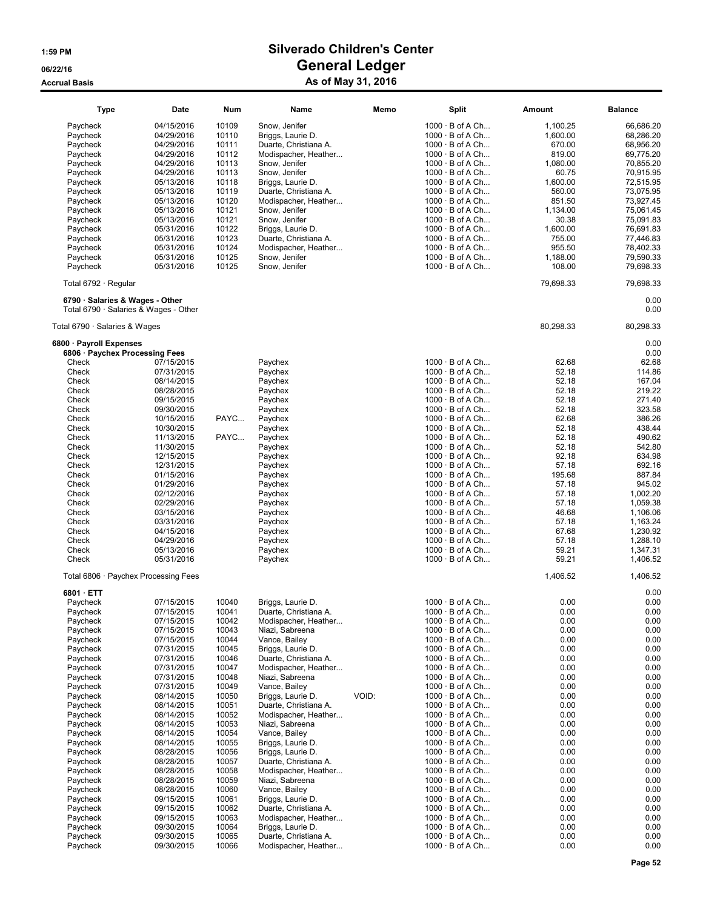| <b>Type</b>                                                              | Date       | Num   | Name                                    | Memo  | Split                  | Amount       | <b>Balance</b> |
|--------------------------------------------------------------------------|------------|-------|-----------------------------------------|-------|------------------------|--------------|----------------|
| Paycheck                                                                 | 04/15/2016 | 10109 | Snow, Jenifer                           |       | $1000 \cdot B$ of A Ch | 1,100.25     | 66,686.20      |
| Paycheck                                                                 | 04/29/2016 | 10110 | Briggs, Laurie D.                       |       | $1000 \cdot B$ of A Ch | 1,600.00     | 68,286.20      |
| Paycheck                                                                 | 04/29/2016 | 10111 | Duarte, Christiana A.                   |       | $1000 \cdot B$ of A Ch | 670.00       | 68,956.20      |
| Paycheck                                                                 | 04/29/2016 | 10112 | Modispacher, Heather                    |       | $1000 \cdot B$ of A Ch | 819.00       | 69,775.20      |
|                                                                          |            | 10113 | Snow, Jenifer                           |       | 1000 · B of A Ch       | 1,080.00     |                |
| Paycheck                                                                 | 04/29/2016 |       |                                         |       |                        |              | 70,855.20      |
| Paycheck                                                                 | 04/29/2016 | 10113 | Snow, Jenifer                           |       | $1000 \cdot B$ of A Ch | 60.75        | 70,915.95      |
| Paycheck                                                                 | 05/13/2016 | 10118 | Briggs, Laurie D.                       |       | $1000 \cdot B$ of A Ch | 1,600.00     | 72,515.95      |
| Paycheck                                                                 | 05/13/2016 | 10119 | Duarte, Christiana A.                   |       | $1000 \cdot B$ of A Ch | 560.00       | 73,075.95      |
| Paycheck                                                                 | 05/13/2016 | 10120 | Modispacher, Heather                    |       | $1000 \cdot B$ of A Ch | 851.50       | 73,927.45      |
| Paycheck                                                                 | 05/13/2016 | 10121 | Snow, Jenifer                           |       | $1000 \cdot B$ of A Ch | 1,134.00     | 75,061.45      |
| Paycheck                                                                 | 05/13/2016 | 10121 | Snow, Jenifer                           |       | $1000 \cdot B$ of A Ch | 30.38        | 75,091.83      |
| Paycheck                                                                 | 05/31/2016 | 10122 | Briggs, Laurie D.                       |       | $1000 \cdot B$ of A Ch | 1,600.00     | 76,691.83      |
| Paycheck                                                                 | 05/31/2016 | 10123 | Duarte, Christiana A.                   |       | $1000 \cdot B$ of A Ch | 755.00       | 77,446.83      |
| Paycheck                                                                 | 05/31/2016 | 10124 | Modispacher, Heather                    |       | $1000 \cdot B$ of A Ch | 955.50       | 78,402.33      |
| Paycheck                                                                 | 05/31/2016 | 10125 | Snow, Jenifer                           |       | $1000 \cdot B$ of A Ch | 1,188.00     | 79,590.33      |
| Paycheck                                                                 | 05/31/2016 | 10125 | Snow, Jenifer                           |       | $1000 \cdot B$ of A Ch | 108.00       | 79,698.33      |
| Total 6792 · Regular                                                     |            |       |                                         |       |                        | 79,698.33    | 79,698.33      |
| 6790 · Salaries & Wages - Other<br>Total 6790 · Salaries & Wages - Other |            |       |                                         |       |                        |              | 0.00<br>0.00   |
| Total 6790 · Salaries & Wages                                            |            |       |                                         |       |                        | 80,298.33    | 80,298.33      |
| 6800 · Payroll Expenses                                                  |            |       |                                         |       |                        |              | 0.00           |
| 6806 · Paychex Processing Fees                                           |            |       |                                         |       |                        |              | 0.00           |
| Check                                                                    | 07/15/2015 |       | Paychex                                 |       | $1000 \cdot B$ of A Ch | 62.68        | 62.68          |
| Check                                                                    | 07/31/2015 |       | Paychex                                 |       | $1000 \cdot B$ of A Ch | 52.18        | 114.86         |
| Check                                                                    | 08/14/2015 |       | Paychex                                 |       | $1000 \cdot B$ of A Ch | 52.18        | 167.04         |
| Check                                                                    | 08/28/2015 |       | Paychex                                 |       | $1000 \cdot B$ of A Ch | 52.18        | 219.22         |
| Check                                                                    | 09/15/2015 |       | Paychex                                 |       | $1000 \cdot B$ of A Ch | 52.18        | 271.40         |
| Check                                                                    | 09/30/2015 |       | Paychex                                 |       | $1000 \cdot B$ of A Ch | 52.18        | 323.58         |
| Check                                                                    | 10/15/2015 | PAYC  | Paychex                                 |       | $1000 \cdot B$ of A Ch | 62.68        | 386.26         |
| Check                                                                    | 10/30/2015 |       | Paychex                                 |       | $1000 \cdot B$ of A Ch | 52.18        | 438.44         |
| Check                                                                    | 11/13/2015 | PAYC  | Paychex                                 |       | $1000 \cdot B$ of A Ch | 52.18        | 490.62         |
| Check                                                                    | 11/30/2015 |       | Paychex                                 |       | $1000 \cdot B$ of A Ch | 52.18        | 542.80         |
| Check                                                                    | 12/15/2015 |       | Paychex                                 |       | $1000 \cdot B$ of A Ch | 92.18        | 634.98         |
| Check                                                                    | 12/31/2015 |       | Paychex                                 |       | $1000 \cdot B$ of A Ch | 57.18        | 692.16         |
| Check                                                                    | 01/15/2016 |       | Paychex                                 |       | $1000 \cdot B$ of A Ch | 195.68       | 887.84         |
| Check                                                                    | 01/29/2016 |       | Paychex                                 |       | $1000 \cdot B$ of A Ch | 57.18        | 945.02         |
| Check                                                                    | 02/12/2016 |       | Paychex                                 |       | $1000 \cdot B$ of A Ch | 57.18        | 1,002.20       |
| Check                                                                    | 02/29/2016 |       | Paychex                                 |       | $1000 \cdot B$ of A Ch | 57.18        | 1,059.38       |
| Check                                                                    | 03/15/2016 |       | Paychex                                 |       | $1000 \cdot B$ of A Ch | 46.68        | 1,106.06       |
| Check                                                                    |            |       |                                         |       | $1000 \cdot B$ of A Ch | 57.18        |                |
|                                                                          | 03/31/2016 |       | Paychex                                 |       |                        |              | 1,163.24       |
| Check                                                                    | 04/15/2016 |       | Paychex                                 |       | $1000 \cdot B$ of A Ch | 67.68        | 1,230.92       |
| Check                                                                    | 04/29/2016 |       | Paychex                                 |       | $1000 \cdot B$ of A Ch | 57.18        | 1,288.10       |
| Check                                                                    | 05/13/2016 |       | Paychex                                 |       | $1000 \cdot B$ of A Ch | 59.21        | 1,347.31       |
| Check                                                                    | 05/31/2016 |       | Paychex                                 |       | $1000 \cdot B$ of A Ch | 59.21        | 1,406.52       |
| Total 6806 · Paychex Processing Fees                                     |            |       |                                         |       |                        | 1,406.52     | 1,406.52       |
| $6801 \cdot ETT$<br>Paycheck                                             | 07/15/2015 | 10040 | Briggs, Laurie D.                       |       | $1000 \cdot B$ of A Ch | 0.00         | 0.00<br>0.00   |
|                                                                          | 07/15/2015 | 10041 | Duarte, Christiana A.                   |       | $1000 \cdot B$ of A Ch | 0.00         | 0.00           |
| Paycheck<br>Paycheck                                                     |            |       |                                         |       | $1000 \cdot B$ of A Ch |              |                |
|                                                                          | 07/15/2015 | 10042 | Modispacher, Heather<br>Niazi, Sabreena |       | $1000 \cdot B$ of A Ch | 0.00<br>0.00 | 0.00           |
| Paycheck                                                                 | 07/15/2015 | 10043 |                                         |       |                        |              | 0.00           |
| Paycheck                                                                 | 07/15/2015 | 10044 | Vance, Bailey                           |       | $1000 \cdot B$ of A Ch | 0.00         | 0.00           |
| Paycheck                                                                 | 07/31/2015 | 10045 | Briggs, Laurie D.                       |       | $1000 \cdot B$ of A Ch | 0.00         | 0.00           |
| Paycheck                                                                 | 07/31/2015 | 10046 | Duarte, Christiana A.                   |       | $1000 \cdot B$ of A Ch | 0.00         | 0.00           |
| Paycheck                                                                 | 07/31/2015 | 10047 | Modispacher, Heather                    |       | $1000 \cdot B$ of A Ch | 0.00         | 0.00           |
| Paycheck                                                                 | 07/31/2015 | 10048 | Niazi, Sabreena                         |       | $1000 \cdot B$ of A Ch | 0.00         | 0.00           |
| Paycheck                                                                 | 07/31/2015 | 10049 | Vance, Bailey                           |       | $1000 \cdot B$ of A Ch | 0.00         | 0.00           |
| Paycheck                                                                 | 08/14/2015 | 10050 | Briggs, Laurie D.                       | VOID: | $1000 \cdot B$ of A Ch | 0.00         | 0.00           |
| Paycheck                                                                 | 08/14/2015 | 10051 | Duarte, Christiana A.                   |       | $1000 \cdot B$ of A Ch | 0.00         | 0.00           |
| Paycheck                                                                 | 08/14/2015 | 10052 | Modispacher, Heather                    |       | $1000 \cdot B$ of A Ch | 0.00         | 0.00           |
| Paycheck                                                                 | 08/14/2015 | 10053 | Niazi, Sabreena                         |       | $1000 \cdot B$ of A Ch | 0.00         | 0.00           |
| Paycheck                                                                 | 08/14/2015 | 10054 | Vance, Bailey                           |       | $1000 \cdot B$ of A Ch | 0.00         | 0.00           |
| Paycheck                                                                 | 08/14/2015 | 10055 | Briggs, Laurie D.                       |       | $1000 \cdot B$ of A Ch | 0.00         | 0.00           |
| Paycheck                                                                 | 08/28/2015 | 10056 | Briggs, Laurie D.                       |       | $1000 \cdot B$ of A Ch | 0.00         | 0.00           |
| Paycheck                                                                 | 08/28/2015 | 10057 | Duarte, Christiana A.                   |       | $1000 \cdot B$ of A Ch | 0.00         | 0.00           |
| Paycheck                                                                 | 08/28/2015 | 10058 | Modispacher, Heather                    |       | $1000 \cdot B$ of A Ch | 0.00         | 0.00           |
| Paycheck                                                                 | 08/28/2015 | 10059 | Niazi, Sabreena                         |       | $1000 \cdot B$ of A Ch | 0.00         | 0.00           |
|                                                                          |            |       |                                         |       |                        | 0.00         |                |
| Paycheck                                                                 | 08/28/2015 | 10060 | Vance, Bailey                           |       | $1000 \cdot B$ of A Ch |              | 0.00           |
| Paycheck                                                                 | 09/15/2015 | 10061 | Briggs, Laurie D.                       |       | $1000 \cdot B$ of A Ch | 0.00         | 0.00           |
| Paycheck                                                                 | 09/15/2015 | 10062 | Duarte, Christiana A.                   |       | $1000 \cdot B$ of A Ch | 0.00         | 0.00           |
| Paycheck                                                                 | 09/15/2015 | 10063 | Modispacher, Heather                    |       | $1000 \cdot B$ of A Ch | 0.00         | 0.00           |
| Paycheck                                                                 | 09/30/2015 | 10064 | Briggs, Laurie D.                       |       | $1000 \cdot B$ of A Ch | 0.00         | 0.00           |
| Paycheck                                                                 | 09/30/2015 | 10065 | Duarte, Christiana A.                   |       | $1000 \cdot B$ of A Ch | 0.00         | 0.00           |
| Paycheck                                                                 | 09/30/2015 | 10066 | Modispacher, Heather                    |       | $1000 \cdot B$ of A Ch | 0.00         | 0.00           |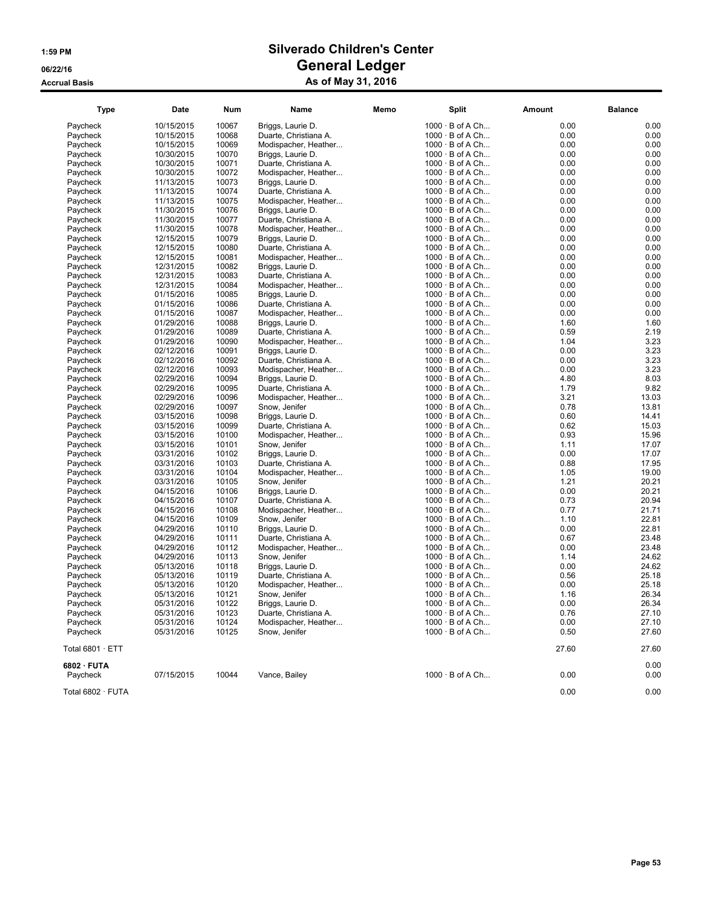| <b>Type</b>       | <b>Date</b> | <b>Num</b> | Name                  | Memo | <b>Split</b>           | Amount | <b>Balance</b> |
|-------------------|-------------|------------|-----------------------|------|------------------------|--------|----------------|
| Paycheck          | 10/15/2015  | 10067      | Briggs, Laurie D.     |      | 1000 · B of A Ch       | 0.00   | 0.00           |
| Paycheck          | 10/15/2015  | 10068      | Duarte, Christiana A. |      | $1000 \cdot B$ of A Ch | 0.00   | 0.00           |
| Paycheck          | 10/15/2015  | 10069      | Modispacher, Heather  |      | $1000 \cdot B$ of A Ch | 0.00   | 0.00           |
| Paycheck          | 10/30/2015  | 10070      | Briggs, Laurie D.     |      | 1000 · B of A Ch       | 0.00   | 0.00           |
| Paycheck          | 10/30/2015  | 10071      | Duarte, Christiana A. |      | $1000 \cdot B$ of A Ch | 0.00   | 0.00           |
| Paycheck          | 10/30/2015  | 10072      | Modispacher, Heather  |      | $1000 \cdot B$ of A Ch | 0.00   | 0.00           |
| Paycheck          | 11/13/2015  | 10073      | Briggs, Laurie D.     |      | $1000 \cdot B$ of A Ch | 0.00   | 0.00           |
| Paycheck          | 11/13/2015  | 10074      | Duarte, Christiana A. |      | 1000 · B of A Ch       | 0.00   | 0.00           |
| Paycheck          | 11/13/2015  | 10075      | Modispacher, Heather  |      | 1000 · B of A Ch       | 0.00   | 0.00           |
| Paycheck          | 11/30/2015  | 10076      | Briggs, Laurie D.     |      | $1000 \cdot B$ of A Ch | 0.00   | 0.00           |
| Paycheck          | 11/30/2015  | 10077      | Duarte, Christiana A. |      | $1000 \cdot B$ of A Ch | 0.00   | 0.00           |
| Paycheck          | 11/30/2015  | 10078      | Modispacher, Heather  |      | $1000 \cdot B$ of A Ch | 0.00   | 0.00           |
| Paycheck          | 12/15/2015  | 10079      | Briggs, Laurie D.     |      | $1000 \cdot B$ of A Ch | 0.00   | 0.00           |
| Paycheck          | 12/15/2015  | 10080      | Duarte, Christiana A. |      | $1000 \cdot B$ of A Ch | 0.00   | 0.00           |
| Paycheck          | 12/15/2015  | 10081      | Modispacher, Heather  |      | $1000 \cdot B$ of A Ch | 0.00   | 0.00           |
| Paycheck          | 12/31/2015  | 10082      | Briggs, Laurie D.     |      | $1000 \cdot B$ of A Ch | 0.00   | 0.00           |
| Paycheck          | 12/31/2015  | 10083      | Duarte, Christiana A. |      | $1000 \cdot B$ of A Ch | 0.00   | 0.00           |
| Paycheck          | 12/31/2015  | 10084      | Modispacher, Heather  |      | $1000 \cdot B$ of A Ch | 0.00   | 0.00           |
| Paycheck          | 01/15/2016  | 10085      | Briggs, Laurie D.     |      | 1000 · B of A Ch       | 0.00   | 0.00           |
| Paycheck          | 01/15/2016  | 10086      | Duarte, Christiana A. |      | 1000 · B of A Ch       | 0.00   | 0.00           |
| Paycheck          | 01/15/2016  | 10087      | Modispacher, Heather  |      | $1000 \cdot B$ of A Ch | 0.00   | 0.00           |
| Paycheck          | 01/29/2016  | 10088      | Briggs, Laurie D.     |      | $1000 \cdot B$ of A Ch | 1.60   | 1.60           |
| Paycheck          | 01/29/2016  | 10089      | Duarte, Christiana A. |      | $1000 \cdot B$ of A Ch | 0.59   | 2.19           |
| Paycheck          | 01/29/2016  | 10090      | Modispacher, Heather  |      | $1000 \cdot B$ of A Ch | 1.04   | 3.23           |
| Paycheck          | 02/12/2016  | 10091      | Briggs, Laurie D.     |      | $1000 \cdot B$ of A Ch | 0.00   | 3.23           |
| Paycheck          | 02/12/2016  | 10092      | Duarte, Christiana A. |      | 1000 · B of A Ch       | 0.00   | 3.23           |
| Paycheck          | 02/12/2016  | 10093      | Modispacher, Heather  |      | 1000 · B of A Ch       | 0.00   | 3.23           |
| Paycheck          | 02/29/2016  | 10094      | Briggs, Laurie D.     |      | $1000 \cdot B$ of A Ch | 4.80   | 8.03           |
| Pavcheck          | 02/29/2016  | 10095      | Duarte, Christiana A. |      | $1000 \cdot B$ of A Ch | 1.79   | 9.82           |
| Paycheck          | 02/29/2016  | 10096      | Modispacher, Heather  |      | $1000 \cdot B$ of A Ch | 3.21   | 13.03          |
| Paycheck          | 02/29/2016  | 10097      | Snow, Jenifer         |      | $1000 \cdot B$ of A Ch | 0.78   | 13.81          |
| Paycheck          | 03/15/2016  | 10098      | Briggs, Laurie D.     |      | 1000 · B of A Ch       | 0.60   | 14.41          |
| Paycheck          | 03/15/2016  | 10099      | Duarte, Christiana A. |      | $1000 \cdot B$ of A Ch | 0.62   | 15.03          |
| Paycheck          | 03/15/2016  | 10100      | Modispacher, Heather  |      | $1000 \cdot B$ of A Ch | 0.93   | 15.96          |
| Paycheck          | 03/15/2016  | 10101      | Snow, Jenifer         |      | $1000 \cdot B$ of A Ch | 1.11   | 17.07          |
| Paycheck          | 03/31/2016  | 10102      | Briggs, Laurie D.     |      | $1000 \cdot B$ of A Ch | 0.00   | 17.07          |
| Paycheck          | 03/31/2016  | 10103      | Duarte, Christiana A. |      | 1000 · B of A Ch       | 0.88   | 17.95          |
| Paycheck          | 03/31/2016  | 10104      | Modispacher, Heather  |      | $1000 \cdot B$ of A Ch | 1.05   | 19.00          |
| Paycheck          | 03/31/2016  | 10105      | Snow, Jenifer         |      | $1000 \cdot B$ of A Ch | 1.21   | 20.21          |
| Paycheck          | 04/15/2016  | 10106      | Briggs, Laurie D.     |      | $1000 \cdot B$ of A Ch | 0.00   | 20.21          |
| Paycheck          | 04/15/2016  | 10107      | Duarte, Christiana A. |      | $1000 \cdot B$ of A Ch | 0.73   | 20.94          |
| Paycheck          | 04/15/2016  | 10108      | Modispacher, Heather  |      | $1000 \cdot B$ of A Ch | 0.77   | 21.71          |
| Paycheck          | 04/15/2016  | 10109      | Snow, Jenifer         |      | $1000 \cdot B$ of A Ch | 1.10   | 22.81          |
| Paycheck          | 04/29/2016  | 10110      | Briggs, Laurie D.     |      | $1000 \cdot B$ of A Ch | 0.00   | 22.81          |
| Paycheck          | 04/29/2016  | 10111      | Duarte, Christiana A. |      | $1000 \cdot B$ of A Ch | 0.67   | 23.48          |
| Paycheck          | 04/29/2016  | 10112      | Modispacher, Heather  |      | 1000 · B of A Ch       | 0.00   | 23.48          |
| Paycheck          | 04/29/2016  | 10113      | Snow, Jenifer         |      | $1000 \cdot B$ of A Ch | 1.14   | 24.62          |
| Paycheck          | 05/13/2016  | 10118      | Briggs, Laurie D.     |      | $1000 \cdot B$ of A Ch | 0.00   | 24.62          |
| Paycheck          | 05/13/2016  | 10119      | Duarte, Christiana A. |      | $1000 \cdot B$ of A Ch | 0.56   | 25.18          |
| Paycheck          | 05/13/2016  | 10120      | Modispacher, Heather  |      | $1000 \cdot B$ of A Ch | 0.00   | 25.18          |
| Paycheck          | 05/13/2016  | 10121      | Snow, Jenifer         |      | $1000 \cdot B$ of A Ch | 1.16   | 26.34          |
| Paycheck          | 05/31/2016  | 10122      | Briggs, Laurie D.     |      | $1000 \cdot B$ of A Ch | 0.00   | 26.34          |
| Paycheck          | 05/31/2016  | 10123      | Duarte, Christiana A. |      | $1000 \cdot B$ of A Ch | 0.76   | 27.10          |
| Paycheck          | 05/31/2016  | 10124      | Modispacher, Heather  |      | $1000 \cdot B$ of A Ch | 0.00   | 27.10          |
| Paycheck          | 05/31/2016  | 10125      | Snow, Jenifer         |      | 1000 · B of A Ch       | 0.50   | 27.60          |
| Total 6801 · ETT  |             |            |                       |      |                        | 27.60  | 27.60          |
| 6802 · FUTA       |             |            |                       |      |                        |        | 0.00           |
| Paycheck          | 07/15/2015  | 10044      | Vance, Bailey         |      | $1000 \cdot B$ of A Ch | 0.00   | 0.00           |
|                   |             |            |                       |      |                        |        |                |
| Total 6802 · FUTA |             |            |                       |      |                        | 0.00   | 0.00           |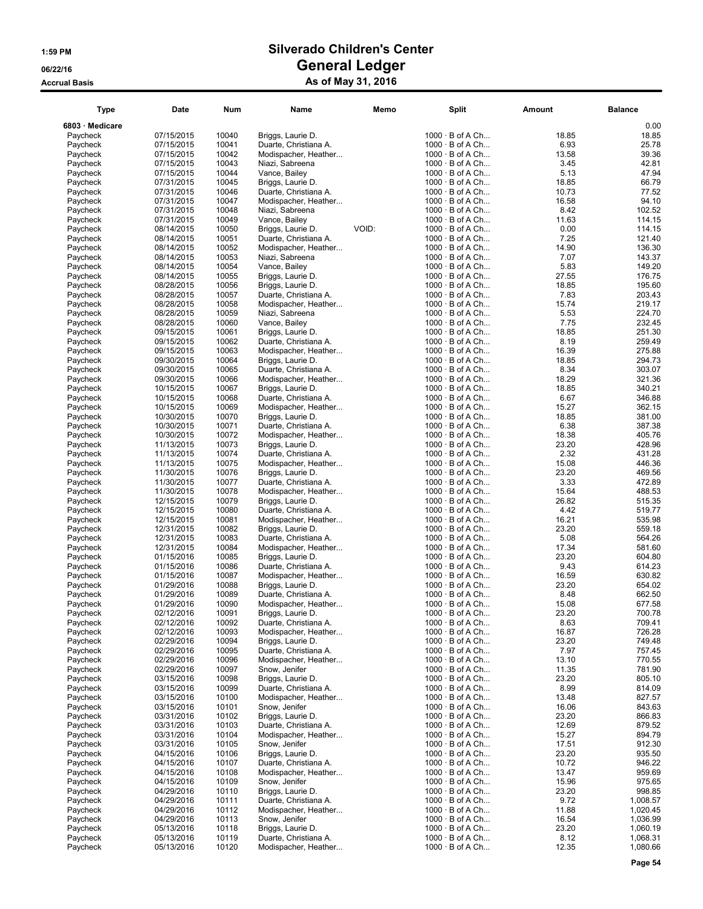### 1:59 PM Silverado Children's Center 06/22/16 Ceneral Ledger Accrual Basis **As of May 31, 2016**

### Type Date Num Name Memo Split Amount Balance 6803 · Medicare 0.00 Paycheck 07/15/2015 10040 Briggs, Laurie D. 10040 · 10040 · 10040 · Briggs, Laurie D. 100<br>Paycheck 07/15/2015 · 10041 · Duarte, Christiana A. 18.85 18.85 19.86 07/15/2015 10041 Duarte, Christiana A. 10<br>07/15/2015 10042 Modispacher, Heather... 6.93.79.79 Paycheck 07/15/2015 10042 Modispacher, Heather... 1000 · B of A Ch... 13.58 39.36 39.36<br>1000 · B of A Ch... 13.58 39.36 39.36 39.36 10043 Niazi, Sabreena 1000 · B of A Ch... 345 3.45 Paycheck 07/15/2015 10043 Niazi, Sabreena 1000 · B of A Ch... 3.45 42.81 Paycheck 07/15/2015 10044 Vance, Bailey 1000 · B of A Ch... 5.13 47.94 Paycheck 07/31/2015 10045 Briggs, Laurie D. 10046 · 10046 · Briggs, Laurie D. 10046 · Paycheck 10 Paycheck 07/31/2015 10046 Duarte, Christiana A. 1000 · B of A Ch... 10.73 10.73 77.52<br>Paycheck 07/31/2015 10047 Modispacher, Heather... 1000 · B of A Ch... 16.58 94.10 Paycheck 07/31/2015 10048 Niazi, Sabreena 1000 · B of A Ch... 8.42 102.52 Paycheck 07/31/2015 10049 Vance, Bailey 1000 · B of A Ch... 11.63 114.15 Paycheck 08/14/2015 10050 Briggs, Laurie D. VOID: 10<br>Paycheck 08/14/2015 10051 Duarte, Christiana A. 10 Paycheck 08/14/2015 10051 Duarte, Christiana A. 1000 · B of A Ch... 7.25 121.40 Paycheck 08/14/2015 10052 Modispacher, Heather... 10<br>
Paycheck 08/14/2015 10053 Niazi, Sabreena 10 Paycheck 08/14/2015 10053 Niazi, Sabreena 1000 · B of A Ch... 7.07 143.37 Paycheck 08/14/2015 10054 Vance, Bailey 1000 · B of A Ch... 5.83 149.20 Paycheck 08/14/2015 10055 Briggs, Laurie D. 1000 · 1000 · 1000 · 1000 · 1000 · 1000 · 1000 · 1000 · 1000 · 10<br>Paycheck 08/28/2015 10056 Briggs, Laurie D. 1000 · 10 Paycheck 08/28/2015 10056 Briggs, Laurie D. 1000 · B of A Ch... 18.85 195.60 Paycheck 08/28/2015 10057 Duarte, Christiana A. 10<br>
Paycheck 08/28/2015 10058 Modispacher, Heather... 10<br>
Paycheck 08/28/2015 10059 Niazi. Sabreena 10 Paycheck 08/28/2015 10058 Modispacher, Heather... 1000 · B of A Ch... 15.74 219.17 Paycheck 08/28/2015 10059 Niazi, Sabreena 1000 · B of A Ch... 5.53 224.70 Paycheck 08/28/2015 10060 Vance, Bailey 1000 · B of A Ch... 7.75 232.45 Paycheck 09/15/2015 10061 Briggs, Laurie D. 100<br>Paycheck 09/15/2015 10062 Duarte, Christiana A. 10 Duarte, Christiana A. Paycheck 09/15/2015 10063 Modispacher, Heather... 10<br>Paycheck 09/30/2015 10064 Briggs, Laurie D. 10 09/30/2015 10064 Briggs, Laurie D.<br>09/30/2015 10065 Duarte, Christiana A. 10 Paycheck 09/30/2015 10065 Duarte, Christiana A. 1000 · B of A Ch... 8.34 303.07 09/30/2015 10066 Modispacher, Heather... 10<br>10/15/2015 10067 Briggs, Laurie D. Paycheck 10/15/2015 10067 Briggs, Laurie D. 1000 · B of A Ch... 18.85 340.21 Paycheck 10/15/2015 10068 Duarte, Christiana A. 10<br>
Paycheck 10/15/2015 10068 Duarte, Christiana A. 10<br>
Paycheck 10/15/2015 10069 Modispacher, Heather... 10 Paycheck 10/15/2015 10069 Modispacher, Heather... 10<br>Paycheck 10/30/2015 10070 Briggs, Laurie D. 10 Briggs, Laurie D. Paycheck 10/30/2015 10071 Duarte, Christiana A. 10<br>Paycheck 10/30/2015 10072 Modispacher, Heather... 6.387.38 Paycheck 10/30/2015 10072 Modispacher, Heather... Paycheck 11/13/2015 10073 Briggs, Laurie D. 1000 · 1000 · 1000 · 1000 · Briggs, Laurie D. 100 · 10074 · Briggs, L 11/13/2015 10074 Duarte, Christiana A. 10<br>11/13/2015 10075 Modispacher, Heather... 2.32 Paycheck 11/13/2015 10075 Modispacher, Heather... 10<br>Paycheck 11/30/2015 10076 Briggs, Laurie D. Paycheck 11/30/2015 10076 Briggs, Laurie D. 1000 · B of A Ch... 23.20 469.56 Paycheck 11/30/2015 10077 Duarte, Christiana A. 100<br>Paycheck 11/30/2015 10078 Modispacher, Heather... 3.33 10 Paycheck 11/30/2015 10078 Modispacher, Heather... 10<br>Paycheck 12/15/2015 10079 Briggs, Laurie D. 10 Paycheck 12/15/2015 10079 Briggs, Laurie D. 1000 · B of A Ch... 26.82 515.35 Paycheck 12/15/2015 10080 Duarte, Christiana A. 10<br>Paycheck 12/15/2015 10081 Modispacher, Heather... 4.42 12/15/2015 10081 Modispacher, Heather... 10<br>12/31/2015 10082 Briggs, Laurie D. 10

| 6803 · Medicare      |                          |                |                                               |       |                                                  |                | 0.00                 |
|----------------------|--------------------------|----------------|-----------------------------------------------|-------|--------------------------------------------------|----------------|----------------------|
| Paycheck             | 07/15/2015               | 10040          | Briggs, Laurie D.                             |       | $1000 \cdot B$ of A Ch                           | 18.85          | 18.85                |
| Paycheck             | 07/15/2015               | 10041          | Duarte, Christiana A.                         |       | $1000 \cdot B$ of A Ch                           | 6.93           | 25.78                |
| Paycheck             | 07/15/2015               | 10042          | Modispacher, Heather                          |       | $1000 \cdot B$ of A Ch                           | 13.58          | 39.36                |
| Paycheck<br>Paycheck | 07/15/2015<br>07/15/2015 | 10043<br>10044 | Niazi, Sabreena<br>Vance, Bailey              |       | $1000 \cdot B$ of A Ch<br>$1000 \cdot B$ of A Ch | 3.45<br>5.13   | 42.81<br>47.94       |
| Paycheck             | 07/31/2015               | 10045          | Briggs, Laurie D.                             |       | $1000 \cdot B$ of A Ch                           | 18.85          | 66.79                |
| Paycheck             | 07/31/2015               | 10046          | Duarte, Christiana A.                         |       | $1000 \cdot B$ of A Ch                           | 10.73          | 77.52                |
| Paycheck             | 07/31/2015               | 10047          | Modispacher, Heather                          |       | 1000 · B of A Ch                                 | 16.58          | 94.10                |
| Paycheck             | 07/31/2015               | 10048          | Niazi, Sabreena                               |       | $1000 \cdot B$ of A Ch                           | 8.42           | 102.52               |
| Paycheck             | 07/31/2015               | 10049          | Vance, Bailey                                 |       | $1000 \cdot B$ of A Ch                           | 11.63          | 114.15               |
| Paycheck             | 08/14/2015               | 10050          | Briggs, Laurie D.                             | VOID: | 1000 · B of A Ch                                 | 0.00           | 114.15               |
| Paycheck             | 08/14/2015               | 10051          | Duarte, Christiana A.                         |       | $1000 \cdot B$ of A Ch                           | 7.25           | 121.40               |
| Paycheck<br>Paycheck | 08/14/2015<br>08/14/2015 | 10052<br>10053 | Modispacher, Heather<br>Niazi, Sabreena       |       | $1000 \cdot B$ of A Ch<br>$1000 \cdot B$ of A Ch | 14.90<br>7.07  | 136.30<br>143.37     |
| Paycheck             | 08/14/2015               | 10054          | Vance, Bailey                                 |       | 1000 · B of A Ch                                 | 5.83           | 149.20               |
| Paycheck             | 08/14/2015               | 10055          | Briggs, Laurie D.                             |       | $1000 \cdot B$ of A Ch                           | 27.55          | 176.75               |
| Paycheck             | 08/28/2015               | 10056          | Briggs, Laurie D.                             |       | $1000 \cdot B$ of A Ch                           | 18.85          | 195.60               |
| Paycheck             | 08/28/2015               | 10057          | Duarte, Christiana A.                         |       | $1000 \cdot B$ of A Ch                           | 7.83           | 203.43               |
| Paycheck             | 08/28/2015               | 10058          | Modispacher, Heather                          |       | $1000 \cdot B$ of A Ch                           | 15.74          | 219.17               |
| Paycheck             | 08/28/2015               | 10059          | Niazi, Sabreena                               |       | $1000 \cdot B$ of A Ch                           | 5.53           | 224.70               |
| Paycheck             | 08/28/2015               | 10060          | Vance, Bailey                                 |       | $1000 \cdot B$ of A Ch                           | 7.75           | 232.45               |
| Paycheck<br>Paycheck | 09/15/2015<br>09/15/2015 | 10061<br>10062 | Briggs, Laurie D.<br>Duarte, Christiana A.    |       | $1000 \cdot B$ of A Ch<br>$1000 \cdot B$ of A Ch | 18.85<br>8.19  | 251.30<br>259.49     |
| Paycheck             | 09/15/2015               | 10063          | Modispacher, Heather                          |       | $1000 \cdot B$ of A Ch                           | 16.39          | 275.88               |
| Paycheck             | 09/30/2015               | 10064          | Briggs, Laurie D.                             |       | $1000 \cdot B$ of A Ch                           | 18.85          | 294.73               |
| Paycheck             | 09/30/2015               | 10065          | Duarte, Christiana A.                         |       | $1000 \cdot B$ of A Ch                           | 8.34           | 303.07               |
| Paycheck             | 09/30/2015               | 10066          | Modispacher, Heather                          |       | $1000 \cdot B$ of A Ch                           | 18.29          | 321.36               |
| Paycheck             | 10/15/2015               | 10067          | Briggs, Laurie D.                             |       | $1000 \cdot B$ of A Ch                           | 18.85          | 340.21               |
| Paycheck             | 10/15/2015               | 10068          | Duarte, Christiana A.                         |       | $1000 \cdot B$ of A Ch                           | 6.67           | 346.88               |
| Paycheck             | 10/15/2015               | 10069          | Modispacher, Heather                          |       | $1000 \cdot B$ of A Ch                           | 15.27          | 362.15               |
| Paycheck             | 10/30/2015               | 10070          | Briggs, Laurie D.                             |       | $1000 \cdot B$ of A Ch                           | 18.85          | 381.00               |
| Paycheck<br>Paycheck | 10/30/2015<br>10/30/2015 | 10071<br>10072 | Duarte, Christiana A.<br>Modispacher, Heather |       | $1000 \cdot B$ of A Ch<br>$1000 \cdot B$ of A Ch | 6.38<br>18.38  | 387.38<br>405.76     |
| Paycheck             | 11/13/2015               | 10073          | Briggs, Laurie D.                             |       | $1000 \cdot B$ of A Ch                           | 23.20          | 428.96               |
| Paycheck             | 11/13/2015               | 10074          | Duarte, Christiana A.                         |       | $1000 \cdot B$ of A Ch                           | 2.32           | 431.28               |
| Paycheck             | 11/13/2015               | 10075          | Modispacher, Heather                          |       | $1000 \cdot B$ of A Ch                           | 15.08          | 446.36               |
| Paycheck             | 11/30/2015               | 10076          | Briggs, Laurie D.                             |       | $1000 \cdot B$ of A Ch                           | 23.20          | 469.56               |
| Paycheck             | 11/30/2015               | 10077          | Duarte, Christiana A.                         |       | $1000 \cdot B$ of A Ch                           | 3.33           | 472.89               |
| Paycheck             | 11/30/2015               | 10078          | Modispacher, Heather                          |       | $1000 \cdot B$ of A Ch                           | 15.64          | 488.53               |
| Paycheck             | 12/15/2015               | 10079          | Briggs, Laurie D.                             |       | $1000 \cdot B$ of A Ch                           | 26.82          | 515.35               |
| Paycheck<br>Paycheck | 12/15/2015<br>12/15/2015 | 10080<br>10081 | Duarte, Christiana A.<br>Modispacher, Heather |       | $1000 \cdot B$ of A Ch<br>$1000 \cdot B$ of A Ch | 4.42<br>16.21  | 519.77<br>535.98     |
| Paycheck             | 12/31/2015               | 10082          | Briggs, Laurie D.                             |       | $1000 \cdot B$ of A Ch                           | 23.20          | 559.18               |
| Paycheck             | 12/31/2015               | 10083          | Duarte, Christiana A.                         |       | $1000 \cdot B$ of A Ch                           | 5.08           | 564.26               |
| Paycheck             | 12/31/2015               | 10084          | Modispacher, Heather                          |       | $1000 \cdot B$ of A Ch                           | 17.34          | 581.60               |
| Paycheck             | 01/15/2016               | 10085          | Briggs, Laurie D.                             |       | $1000 \cdot B$ of A Ch                           | 23.20          | 604.80               |
| Paycheck             | 01/15/2016               | 10086          | Duarte, Christiana A.                         |       | $1000 \cdot B$ of A Ch                           | 9.43           | 614.23               |
| Paycheck             | 01/15/2016               | 10087          | Modispacher, Heather                          |       | $1000 \cdot B$ of A Ch                           | 16.59          | 630.82               |
| Paycheck<br>Paycheck | 01/29/2016<br>01/29/2016 | 10088<br>10089 | Briggs, Laurie D.<br>Duarte, Christiana A.    |       | $1000 \cdot B$ of A Ch<br>1000 · B of A Ch       | 23.20<br>8.48  | 654.02<br>662.50     |
| Paycheck             | 01/29/2016               | 10090          | Modispacher, Heather                          |       | $1000 \cdot B$ of A Ch                           | 15.08          | 677.58               |
| Paycheck             | 02/12/2016               | 10091          | Briggs, Laurie D.                             |       | $1000 \cdot B$ of A Ch                           | 23.20          | 700.78               |
| Paycheck             | 02/12/2016               | 10092          | Duarte, Christiana A.                         |       | $1000 \cdot B$ of A Ch                           | 8.63           | 709.41               |
| Paycheck             | 02/12/2016               | 10093          | Modispacher, Heather.                         |       | $1000 \cdot B$ of A Ch.                          | 16.87          | 726.28               |
| Paycheck             | 02/29/2016               | 10094          | Briggs, Laurie D.                             |       | $1000 \cdot B$ of A Ch                           | 23.20          | 749.48               |
| Paycheck             | 02/29/2016               | 10095          | Duarte, Christiana A.                         |       | $1000 \cdot B$ of A Ch                           | 7.97           | 757.45               |
| Paycheck             | 02/29/2016               | 10096          | Modispacher, Heather                          |       | $1000 \cdot B$ of A Ch                           | 13.10          | 770.55               |
| Paycheck<br>Paycheck | 02/29/2016<br>03/15/2016 | 10097<br>10098 | Snow, Jenifer<br>Briggs, Laurie D.            |       | $1000 \cdot B$ of A Ch<br>$1000 \cdot B$ of A Ch | 11.35<br>23.20 | 781.90<br>805.10     |
| Paycheck             | 03/15/2016               | 10099          | Duarte, Christiana A.                         |       | $1000 \cdot B$ of A Ch                           | 8.99           | 814.09               |
| Paycheck             | 03/15/2016               | 10100          | Modispacher, Heather                          |       | $1000 \cdot B$ of A Ch                           | 13.48          | 827.57               |
| Paycheck             | 03/15/2016               | 10101          | Snow, Jenifer                                 |       | $1000 \cdot B$ of A Ch                           | 16.06          | 843.63               |
| Paycheck             | 03/31/2016               | 10102          | Briggs, Laurie D.                             |       | $1000 \cdot B$ of A Ch                           | 23.20          | 866.83               |
| Paycheck             | 03/31/2016               | 10103          | Duarte, Christiana A.                         |       | $1000 \cdot B$ of A Ch                           | 12.69          | 879.52               |
| Paycheck             | 03/31/2016               | 10104          | Modispacher, Heather                          |       | $1000 \cdot B$ of A Ch                           | 15.27          | 894.79               |
| Paycheck<br>Paycheck | 03/31/2016               | 10105<br>10106 | Snow, Jenifer<br>Briggs, Laurie D.            |       | $1000 \cdot B$ of A Ch<br>$1000 \cdot B$ of A Ch | 17.51<br>23.20 | 912.30<br>935.50     |
| Paycheck             | 04/15/2016<br>04/15/2016 | 10107          | Duarte, Christiana A.                         |       | $1000 \cdot B$ of A Ch                           | 10.72          | 946.22               |
| Paycheck             | 04/15/2016               | 10108          | Modispacher, Heather                          |       | $1000 \cdot B$ of A Ch                           | 13.47          | 959.69               |
| Paycheck             | 04/15/2016               | 10109          | Snow, Jenifer                                 |       | $1000 \cdot B$ of A Ch                           | 15.96          | 975.65               |
| Paycheck             | 04/29/2016               | 10110          | Briggs, Laurie D.                             |       | $1000 \cdot B$ of A Ch                           | 23.20          | 998.85               |
| Paycheck             | 04/29/2016               | 10111          | Duarte, Christiana A.                         |       | $1000 \cdot B$ of A Ch                           | 9.72           | 1,008.57             |
| Paycheck             | 04/29/2016               | 10112          | Modispacher, Heather                          |       | $1000 \cdot B$ of A Ch                           | 11.88          | 1,020.45             |
| Paycheck             | 04/29/2016               | 10113          | Snow, Jenifer                                 |       | $1000 \cdot B$ of A Ch                           | 16.54          | 1,036.99             |
| Paycheck<br>Paycheck | 05/13/2016<br>05/13/2016 | 10118<br>10119 | Briggs, Laurie D.<br>Duarte, Christiana A.    |       | $1000 \cdot B$ of A Ch<br>$1000 \cdot B$ of A Ch | 23.20<br>8.12  | 1,060.19<br>1,068.31 |
| Paycheck             | 05/13/2016               | 10120          | Modispacher, Heather                          |       | $1000 \cdot B$ of A Ch                           | 12.35          | 1,080.66             |
|                      |                          |                |                                               |       |                                                  |                |                      |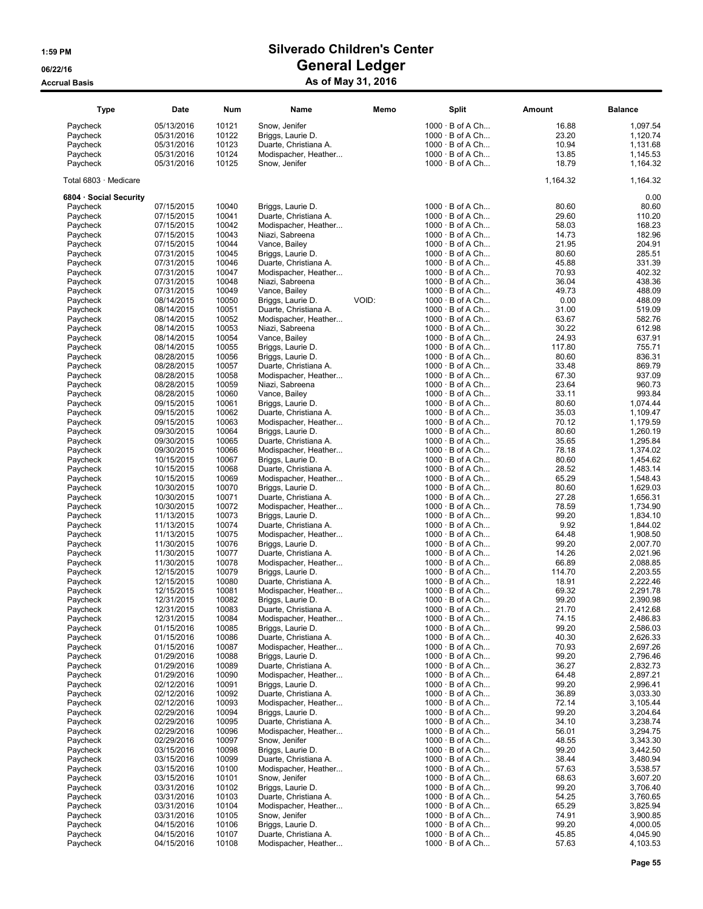| <b>Type</b>            | Date                     | <b>Num</b>     | Name                                       | Memo  | <b>Split</b>           |                                                  | Amount         | <b>Balance</b>       |
|------------------------|--------------------------|----------------|--------------------------------------------|-------|------------------------|--------------------------------------------------|----------------|----------------------|
| Paycheck               | 05/13/2016               | 10121          | Snow, Jenifer                              |       |                        | $1000 \cdot B$ of A Ch                           | 16.88          | 1,097.54             |
| Paycheck               | 05/31/2016               | 10122          | Briggs, Laurie D.                          |       |                        | $1000 \cdot B$ of A Ch                           | 23.20          | 1,120.74             |
| Paycheck               | 05/31/2016               | 10123          | Duarte, Christiana A.                      |       |                        | $1000 \cdot B$ of A Ch                           | 10.94          | 1,131.68             |
| Paycheck               | 05/31/2016               | 10124          | Modispacher, Heather                       |       |                        | $1000 \cdot B$ of A Ch                           | 13.85          | 1,145.53             |
| Paycheck               | 05/31/2016               | 10125          | Snow, Jenifer                              |       |                        | $1000 \cdot B$ of A Ch                           | 18.79          | 1,164.32             |
| Total 6803 · Medicare  |                          |                |                                            |       |                        |                                                  | 1,164.32       | 1,164.32             |
| 6804 · Social Security |                          |                |                                            |       |                        |                                                  |                | 0.00                 |
| Paycheck               | 07/15/2015               | 10040          | Briggs, Laurie D.                          |       |                        | $1000 \cdot B$ of A Ch                           | 80.60          | 80.60                |
| Paycheck               | 07/15/2015               | 10041          | Duarte, Christiana A.                      |       |                        | $1000 \cdot B$ of A Ch                           | 29.60          | 110.20               |
| Paycheck               | 07/15/2015               | 10042          | Modispacher, Heather                       |       |                        | $1000 \cdot B$ of A Ch                           | 58.03          | 168.23               |
| Paycheck               | 07/15/2015               | 10043<br>10044 | Niazi, Sabreena                            |       |                        | $1000 \cdot B$ of A Ch                           | 14.73<br>21.95 | 182.96               |
| Paycheck<br>Paycheck   | 07/15/2015<br>07/31/2015 | 10045          | Vance, Bailey<br>Briggs, Laurie D.         |       |                        | $1000 \cdot B$ of A Ch<br>$1000 \cdot B$ of A Ch | 80.60          | 204.91<br>285.51     |
| Paycheck               | 07/31/2015               | 10046          | Duarte, Christiana A.                      |       |                        | $1000 \cdot B$ of A Ch                           | 45.88          | 331.39               |
| Paycheck               | 07/31/2015               | 10047          | Modispacher, Heather                       |       |                        | $1000 \cdot B$ of A Ch                           | 70.93          | 402.32               |
| Paycheck               | 07/31/2015               | 10048          | Niazi, Sabreena                            |       | $1000 \cdot B$ of A Ch |                                                  | 36.04          | 438.36               |
| Paycheck               | 07/31/2015               | 10049          | Vance, Bailey                              |       |                        | $1000 \cdot B$ of A Ch                           | 49.73          | 488.09               |
| Paycheck               | 08/14/2015               | 10050          | Briggs, Laurie D.                          | VOID: |                        | $1000 \cdot B$ of A Ch                           | 0.00           | 488.09               |
| Paycheck               | 08/14/2015               | 10051          | Duarte, Christiana A.                      |       | $1000 \cdot B$ of A Ch |                                                  | 31.00          | 519.09               |
| Paycheck               | 08/14/2015               | 10052          | Modispacher, Heather                       |       |                        | $1000 \cdot B$ of A Ch                           | 63.67          | 582.76               |
| Paycheck               | 08/14/2015               | 10053          | Niazi, Sabreena                            |       |                        | $1000 \cdot B$ of A Ch                           | 30.22          | 612.98               |
| Paycheck               | 08/14/2015               | 10054          | Vance, Bailey                              |       |                        | $1000 \cdot B$ of A Ch                           | 24.93          | 637.91               |
| Paycheck               | 08/14/2015               | 10055          | Briggs, Laurie D.                          |       |                        | $1000 \cdot B$ of A Ch                           | 117.80         | 755.71               |
| Paycheck               | 08/28/2015               | 10056          | Briggs, Laurie D.                          |       |                        | $1000 \cdot B$ of A Ch                           | 80.60          | 836.31               |
| Paycheck               | 08/28/2015               | 10057          | Duarte, Christiana A.                      |       |                        | $1000 \cdot B$ of A Ch                           | 33.48          | 869.79               |
| Paycheck               | 08/28/2015               | 10058          | Modispacher, Heather                       |       |                        | $1000 \cdot B$ of A Ch                           | 67.30          | 937.09               |
| Paycheck               | 08/28/2015               | 10059          | Niazi, Sabreena                            |       |                        | $1000 \cdot B$ of A Ch                           | 23.64          | 960.73               |
| Paycheck               | 08/28/2015               | 10060          | Vance, Bailey                              |       |                        | $1000 \cdot B$ of A Ch                           | 33.11          | 993.84               |
| Paycheck               | 09/15/2015               | 10061          | Briggs, Laurie D.                          |       |                        | $1000 \cdot B$ of A Ch                           | 80.60          | 1,074.44             |
| Paycheck               | 09/15/2015               | 10062          | Duarte, Christiana A.                      |       | $1000 \cdot B$ of A Ch |                                                  | 35.03          | 1.109.47             |
| Paycheck               | 09/15/2015               | 10063          | Modispacher, Heather                       |       |                        | $1000 \cdot B$ of A Ch                           | 70.12          | 1,179.59             |
| Paycheck               | 09/30/2015               | 10064          | Briggs, Laurie D.                          |       |                        | $1000 \cdot B$ of A Ch                           | 80.60          | 1,260.19             |
| Paycheck               | 09/30/2015               | 10065          | Duarte, Christiana A.                      |       |                        | $1000 \cdot B$ of A Ch                           | 35.65          | 1,295.84             |
| Paycheck               | 09/30/2015               | 10066          | Modispacher, Heather                       |       |                        | $1000 \cdot B$ of A Ch                           | 78.18          | 1,374.02             |
| Paycheck               | 10/15/2015               | 10067          | Briggs, Laurie D.                          |       |                        | $1000 \cdot B$ of A Ch                           | 80.60          | 1,454.62             |
| Paycheck               | 10/15/2015               | 10068          | Duarte, Christiana A.                      |       |                        | $1000 \cdot B$ of A Ch                           | 28.52          | 1,483.14             |
| Paycheck               | 10/15/2015               | 10069          | Modispacher, Heather                       |       |                        | $1000 \cdot B$ of A Ch                           | 65.29          | 1,548.43             |
| Paycheck               | 10/30/2015               | 10070          | Briggs, Laurie D.                          |       |                        | $1000 \cdot B$ of A Ch                           | 80.60          | 1,629.03             |
| Paycheck               | 10/30/2015               | 10071          | Duarte, Christiana A.                      |       |                        | $1000 \cdot B$ of A Ch                           | 27.28          | 1,656.31             |
| Paycheck               | 10/30/2015               | 10072          | Modispacher, Heather                       |       |                        | $1000 \cdot B$ of A Ch                           | 78.59          | 1,734.90             |
| Paycheck               | 11/13/2015               | 10073          | Briggs, Laurie D.                          |       | $1000 \cdot B$ of A Ch |                                                  | 99.20          | 1,834.10             |
| Paycheck               | 11/13/2015               | 10074          | Duarte, Christiana A.                      |       |                        | $1000 \cdot B$ of A Ch                           | 9.92           | 1,844.02             |
| Paycheck<br>Paycheck   | 11/13/2015<br>11/30/2015 | 10075<br>10076 | Modispacher, Heather                       |       |                        | $1000 \cdot B$ of A Ch<br>$1000 \cdot B$ of A Ch | 64.48<br>99.20 | 1,908.50             |
| Paycheck               | 11/30/2015               | 10077          | Briggs, Laurie D.<br>Duarte, Christiana A. |       |                        | $1000 \cdot B$ of A Ch                           | 14.26          | 2,007.70<br>2,021.96 |
| Paycheck               | 11/30/2015               | 10078          | Modispacher, Heather                       |       |                        | $1000 \cdot B$ of A Ch                           | 66.89          | 2,088.85             |
| Paycheck               | 12/15/2015               | 10079          | Briggs, Laurie D.                          |       |                        | $1000 \cdot B$ of A Ch                           | 114.70         | 2,203.55             |
| Paycheck               | 12/15/2015               | 10080          | Duarte, Christiana A.                      |       |                        | $1000 \cdot B$ of A Ch                           | 18.91          | 2,222.46             |
| Paycheck               | 12/15/2015               | 10081          | Modispacher, Heather                       |       |                        | $1000 \cdot B$ of A Ch                           | 69.32          | 2,291.78             |
| Paycheck               | 12/31/2015               | 10082          | Briggs, Laurie D.                          |       |                        | $1000 \cdot B$ of A Ch                           | 99.20          | 2,390.98             |
| Paycheck               | 12/31/2015               | 10083          | Duarte, Christiana A.                      |       |                        | $1000 \cdot B$ of A Ch                           | 21.70          | 2,412.68             |
| Paycheck               | 12/31/2015               | 10084          | Modispacher, Heather                       |       |                        | $1000 \cdot B$ of A Ch                           | 74.15          | 2,486.83             |
| Paycheck               | 01/15/2016               | 10085          | Briggs, Laurie D.                          |       |                        | $1000 \cdot B$ of A Ch                           | 99.20          | 2,586.03             |
| Paycheck               | 01/15/2016               | 10086          | Duarte, Christiana A.                      |       |                        | $1000 \cdot B$ of A Ch                           | 40.30          | 2,626.33             |
| Paycheck               | 01/15/2016               | 10087          | Modispacher, Heather                       |       | $1000 \cdot B$ of A Ch |                                                  | 70.93          | 2,697.26             |
| Paycheck               | 01/29/2016               | 10088          | Briggs, Laurie D.                          |       |                        | $1000 \cdot B$ of A Ch                           | 99.20          | 2,796.46             |
| Paycheck               | 01/29/2016               | 10089          | Duarte, Christiana A.                      |       |                        | $1000 \cdot B$ of A Ch                           | 36.27          | 2,832.73             |
| Paycheck               | 01/29/2016               | 10090          | Modispacher, Heather                       |       |                        | $1000 \cdot B$ of A Ch                           | 64.48          | 2,897.21             |
| Paycheck               | 02/12/2016               | 10091          | Briggs, Laurie D.                          |       |                        | $1000 \cdot B$ of A Ch                           | 99.20          | 2,996.41             |
| Paycheck               | 02/12/2016               | 10092          | Duarte, Christiana A.                      |       |                        | $1000 \cdot B$ of A Ch                           | 36.89          | 3,033.30             |
| Paycheck               | 02/12/2016               | 10093          | Modispacher, Heather                       |       |                        | $1000 \cdot B$ of A Ch                           | 72.14          | 3,105.44             |
| Paycheck               | 02/29/2016               | 10094          | Briggs, Laurie D.                          |       |                        | $1000 \cdot B$ of A Ch                           | 99.20          | 3,204.64             |
| Paycheck               | 02/29/2016               | 10095          | Duarte, Christiana A.                      |       |                        | $1000 \cdot B$ of A Ch                           | 34.10          | 3,238.74             |
| Paycheck               | 02/29/2016               | 10096          | Modispacher, Heather                       |       |                        | $1000 \cdot B$ of A Ch                           | 56.01          | 3,294.75             |
| Paycheck               | 02/29/2016               | 10097          | Snow, Jenifer                              |       |                        | $1000 \cdot B$ of A Ch                           | 48.55          | 3,343.30             |
| Paycheck               | 03/15/2016               | 10098          | Briggs, Laurie D.                          |       |                        | $1000 \cdot B$ of A Ch                           | 99.20          | 3,442.50             |
| Paycheck               | 03/15/2016               | 10099          | Duarte, Christiana A.                      |       |                        | $1000 \cdot B$ of A Ch                           | 38.44          | 3,480.94             |
| Paycheck               | 03/15/2016               | 10100          | Modispacher, Heather                       |       |                        | $1000 \cdot B$ of A Ch                           | 57.63          | 3,538.57             |
| Paycheck               | 03/15/2016               | 10101          | Snow, Jenifer                              |       |                        | $1000 \cdot B$ of A Ch                           | 68.63          | 3,607.20             |
| Paycheck               | 03/31/2016               | 10102          | Briggs, Laurie D.                          |       |                        | $1000 \cdot B$ of A Ch                           | 99.20          | 3,706.40             |
| Paycheck               | 03/31/2016               | 10103          | Duarte, Christiana A.                      |       |                        | $1000 \cdot B$ of A Ch                           | 54.25          | 3,760.65             |
| Paycheck               | 03/31/2016               | 10104          | Modispacher, Heather                       |       |                        | $1000 \cdot B$ of A Ch                           | 65.29          | 3,825.94             |
| Paycheck               | 03/31/2016               | 10105          | Snow, Jenifer                              |       |                        | $1000 \cdot B$ of A Ch                           | 74.91          | 3,900.85             |
| Paycheck               | 04/15/2016               | 10106          | Briggs, Laurie D.                          |       |                        | $1000 \cdot B$ of A Ch                           | 99.20          | 4,000.05             |
| Paycheck               | 04/15/2016               | 10107<br>10108 | Duarte, Christiana A.                      |       |                        | $1000 \cdot B$ of A Ch                           | 45.85<br>57.63 | 4,045.90             |
| Paycheck               | 04/15/2016               |                | Modispacher, Heather                       |       |                        | $1000 \cdot B$ of A Ch                           |                | 4,103.53             |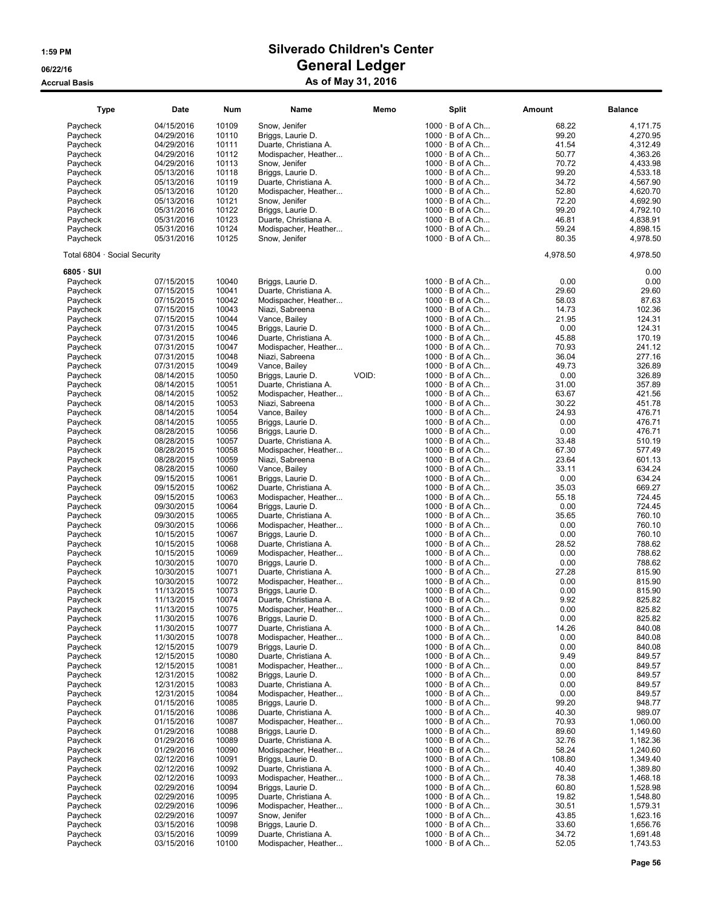| <b>Type</b>                  | <b>Date</b> | Num   | Name                  | Memo  | <b>Split</b>           | <b>Amount</b> | <b>Balance</b> |
|------------------------------|-------------|-------|-----------------------|-------|------------------------|---------------|----------------|
| Paycheck                     | 04/15/2016  | 10109 | Snow, Jenifer         |       | $1000 \cdot B$ of A Ch | 68.22         | 4,171.75       |
| Paycheck                     | 04/29/2016  | 10110 | Briggs, Laurie D.     |       | $1000 \cdot B$ of A Ch | 99.20         | 4.270.95       |
| Paycheck                     | 04/29/2016  | 10111 | Duarte, Christiana A. |       | $1000 \cdot B$ of A Ch | 41.54         | 4,312.49       |
| Paycheck                     | 04/29/2016  | 10112 | Modispacher, Heather  |       | $1000 \cdot B$ of A Ch | 50.77         | 4,363.26       |
| Paycheck                     | 04/29/2016  | 10113 | Snow, Jenifer         |       | $1000 \cdot B$ of A Ch | 70.72         | 4,433.98       |
| Paycheck                     | 05/13/2016  | 10118 | Briggs, Laurie D.     |       | $1000 \cdot B$ of A Ch | 99.20         | 4,533.18       |
| Paycheck                     | 05/13/2016  | 10119 | Duarte, Christiana A. |       | $1000 \cdot B$ of A Ch | 34.72         | 4,567.90       |
| Paycheck                     | 05/13/2016  | 10120 | Modispacher, Heather  |       | $1000 \cdot B$ of A Ch | 52.80         | 4,620.70       |
| Paycheck                     | 05/13/2016  | 10121 | Snow, Jenifer         |       | $1000 \cdot B$ of A Ch | 72.20         | 4,692.90       |
| Paycheck                     | 05/31/2016  | 10122 | Briggs, Laurie D.     |       | $1000 \cdot B$ of A Ch | 99.20         | 4,792.10       |
| Paycheck                     | 05/31/2016  | 10123 | Duarte, Christiana A. |       | $1000 \cdot B$ of A Ch | 46.81         | 4,838.91       |
| Paycheck                     | 05/31/2016  | 10124 | Modispacher, Heather  |       | $1000 \cdot B$ of A Ch | 59.24         | 4,898.15       |
| Paycheck                     | 05/31/2016  | 10125 | Snow, Jenifer         |       | $1000 \cdot B$ of A Ch | 80.35         | 4,978.50       |
| Total 6804 · Social Security |             |       |                       |       |                        | 4,978.50      | 4,978.50       |
| 6805 · SUI                   |             |       |                       |       |                        |               | 0.00           |
| Paycheck                     | 07/15/2015  | 10040 | Briggs, Laurie D.     |       | $1000 \cdot B$ of A Ch | 0.00          | 0.00           |
| Paycheck                     | 07/15/2015  | 10041 | Duarte, Christiana A. |       | $1000 \cdot B$ of A Ch | 29.60         | 29.60          |
| Paycheck                     | 07/15/2015  | 10042 | Modispacher, Heather  |       | $1000 \cdot B$ of A Ch | 58.03         | 87.63          |
| Paycheck                     | 07/15/2015  | 10043 | Niazi, Sabreena       |       | $1000 \cdot B$ of A Ch | 14.73         | 102.36         |
| Paycheck                     | 07/15/2015  | 10044 | Vance, Bailey         |       | $1000 \cdot B$ of A Ch | 21.95         | 124.31         |
| Paycheck                     | 07/31/2015  | 10045 | Briggs, Laurie D.     |       | $1000 \cdot B$ of A Ch | 0.00          | 124.31         |
| Paycheck                     | 07/31/2015  | 10046 | Duarte, Christiana A. |       | 1000 · B of A Ch       | 45.88         | 170.19         |
| Paycheck                     | 07/31/2015  | 10047 | Modispacher, Heather  |       | $1000 \cdot B$ of A Ch | 70.93         | 241.12         |
| Paycheck                     | 07/31/2015  | 10048 | Niazi, Sabreena       |       | $1000 \cdot B$ of A Ch | 36.04         | 277.16         |
| Paycheck                     | 07/31/2015  | 10049 | Vance, Bailey         |       | $1000 \cdot B$ of A Ch | 49.73         | 326.89         |
| Paycheck                     | 08/14/2015  | 10050 | Briggs, Laurie D.     | VOID: | $1000 \cdot B$ of A Ch | 0.00          | 326.89         |
| Paycheck                     | 08/14/2015  | 10051 | Duarte, Christiana A. |       | $1000 \cdot B$ of A Ch | 31.00         | 357.89         |
| Paycheck                     | 08/14/2015  | 10052 | Modispacher, Heather  |       | $1000 \cdot B$ of A Ch | 63.67         | 421.56         |
| Paycheck                     | 08/14/2015  | 10053 | Niazi, Sabreena       |       | $1000 \cdot B$ of A Ch | 30.22         | 451.78         |
| Paycheck                     | 08/14/2015  | 10054 | Vance, Bailey         |       | $1000 \cdot B$ of A Ch | 24.93         | 476.71         |
| Paycheck                     | 08/14/2015  | 10055 | Briggs, Laurie D.     |       | $1000 \cdot B$ of A Ch | 0.00          | 476.71         |
| Paycheck                     | 08/28/2015  | 10056 | Briggs, Laurie D.     |       | $1000 \cdot B$ of A Ch | 0.00          | 476.71         |
| Paycheck                     | 08/28/2015  | 10057 | Duarte, Christiana A. |       | $1000 \cdot B$ of A Ch | 33.48         | 510.19         |
| Paycheck                     | 08/28/2015  | 10058 | Modispacher, Heather  |       | $1000 \cdot B$ of A Ch | 67.30         | 577.49         |
| Paycheck                     | 08/28/2015  | 10059 | Niazi, Sabreena       |       | $1000 \cdot B$ of A Ch | 23.64         | 601.13         |
| Paycheck                     | 08/28/2015  | 10060 | Vance, Bailey         |       | $1000 \cdot B$ of A Ch | 33.11         | 634.24         |
| Paycheck                     | 09/15/2015  | 10061 | Briggs, Laurie D.     |       | $1000 \cdot B$ of A Ch | 0.00          | 634.24         |
| Paycheck                     | 09/15/2015  | 10062 | Duarte, Christiana A. |       | $1000 \cdot B$ of A Ch | 35.03         | 669.27         |
| Paycheck                     | 09/15/2015  | 10063 | Modispacher, Heather  |       | $1000 \cdot B$ of A Ch | 55.18         | 724.45         |
| Paycheck                     | 09/30/2015  | 10064 | Briggs, Laurie D.     |       | $1000 \cdot B$ of A Ch | 0.00          | 724.45         |
|                              | 09/30/2015  | 10065 |                       |       | $1000 \cdot B$ of A Ch | 35.65         | 760.10         |
| Paycheck                     |             | 10066 | Duarte, Christiana A. |       |                        | 0.00          |                |
| Paycheck                     | 09/30/2015  |       | Modispacher, Heather  |       | $1000 \cdot B$ of A Ch |               | 760.10         |
| Paycheck                     | 10/15/2015  | 10067 | Briggs, Laurie D.     |       | $1000 \cdot B$ of A Ch | 0.00          | 760.10         |
| Paycheck                     | 10/15/2015  | 10068 | Duarte, Christiana A. |       | $1000 \cdot B$ of A Ch | 28.52         | 788.62         |
| Paycheck                     | 10/15/2015  | 10069 | Modispacher, Heather  |       | $1000 \cdot B$ of A Ch | 0.00          | 788.62         |
| Paycheck                     | 10/30/2015  | 10070 | Briggs, Laurie D.     |       | $1000 \cdot B$ of A Ch | 0.00          | 788.62         |
| Paycheck                     | 10/30/2015  | 10071 | Duarte, Christiana A. |       | $1000 \cdot B$ of A Ch | 27.28         | 815.90         |
| Paycheck                     | 10/30/2015  | 10072 | Modispacher, Heather  |       | $1000 \cdot B$ of A Ch | 0.00          | 815.90         |
| Paycheck                     | 11/13/2015  | 10073 | Briggs, Laurie D.     |       | $1000 \cdot B$ of A Ch | 0.00          | 815.90         |
| Paycheck                     | 11/13/2015  | 10074 | Duarte, Christiana A. |       | $1000 \cdot B$ of A Ch | 9.92          | 825.82         |
| Paycheck                     | 11/13/2015  | 10075 | Modispacher, Heather  |       | $1000 \cdot B$ of A Ch | 0.00          | 825.82         |
| Paycheck                     | 11/30/2015  | 10076 | Briggs, Laurie D.     |       | $1000 \cdot B$ of A Ch | 0.00          | 825.82         |
| Paycheck                     | 11/30/2015  | 10077 | Duarte, Christiana A. |       | $1000 \cdot B$ of A Ch | 14.26         | 840.08         |
| Paycheck                     | 11/30/2015  | 10078 | Modispacher, Heather  |       | $1000 \cdot B$ of A Ch | 0.00          | 840.08         |
| Paycheck                     | 12/15/2015  | 10079 | Briggs, Laurie D.     |       | $1000 \cdot B$ of A Ch | 0.00          | 840.08         |
| Paycheck                     | 12/15/2015  | 10080 | Duarte, Christiana A. |       | $1000 \cdot B$ of A Ch | 9.49          | 849.57         |
| Paycheck                     | 12/15/2015  | 10081 | Modispacher, Heather  |       | $1000 \cdot B$ of A Ch | 0.00          | 849.57         |
| Paycheck                     | 12/31/2015  | 10082 | Briggs, Laurie D.     |       | $1000 \cdot B$ of A Ch | 0.00          | 849.57         |
| Paycheck                     | 12/31/2015  | 10083 | Duarte, Christiana A. |       | $1000 \cdot B$ of A Ch | 0.00          | 849.57         |
| Paycheck                     | 12/31/2015  | 10084 | Modispacher, Heather  |       | $1000 \cdot B$ of A Ch | 0.00          | 849.57         |
| Paycheck                     | 01/15/2016  | 10085 | Briggs, Laurie D.     |       | $1000 \cdot B$ of A Ch | 99.20         | 948.77         |
| Paycheck                     | 01/15/2016  | 10086 | Duarte, Christiana A. |       | $1000 \cdot B$ of A Ch | 40.30         | 989.07         |
| Paycheck                     | 01/15/2016  | 10087 | Modispacher, Heather  |       | $1000 \cdot B$ of A Ch | 70.93         | 1,060.00       |
| Paycheck                     | 01/29/2016  | 10088 | Briggs, Laurie D.     |       | $1000 \cdot B$ of A Ch | 89.60         | 1,149.60       |
| Paycheck                     | 01/29/2016  | 10089 | Duarte, Christiana A. |       | $1000 \cdot B$ of A Ch | 32.76         | 1,182.36       |
| Paycheck                     | 01/29/2016  | 10090 | Modispacher, Heather  |       | $1000 \cdot B$ of A Ch | 58.24         | 1,240.60       |
| Paycheck                     | 02/12/2016  | 10091 | Briggs, Laurie D.     |       | $1000 \cdot B$ of A Ch | 108.80        | 1,349.40       |
| Paycheck                     | 02/12/2016  | 10092 | Duarte, Christiana A. |       | $1000 \cdot B$ of A Ch | 40.40         | 1,389.80       |
| Paycheck                     | 02/12/2016  | 10093 | Modispacher, Heather  |       | $1000 \cdot B$ of A Ch | 78.38         | 1,468.18       |
|                              |             | 10094 |                       |       |                        | 60.80         |                |
| Paycheck                     | 02/29/2016  |       | Briggs, Laurie D.     |       | $1000 \cdot B$ of A Ch |               | 1,528.98       |
| Paycheck                     | 02/29/2016  | 10095 | Duarte, Christiana A. |       | $1000 \cdot B$ of A Ch | 19.82         | 1,548.80       |
| Paycheck                     | 02/29/2016  | 10096 | Modispacher, Heather  |       | $1000 \cdot B$ of A Ch | 30.51         | 1,579.31       |
| Paycheck                     | 02/29/2016  | 10097 | Snow, Jenifer         |       | $1000 \cdot B$ of A Ch | 43.85         | 1,623.16       |
| Paycheck                     | 03/15/2016  | 10098 | Briggs, Laurie D.     |       | $1000 \cdot B$ of A Ch | 33.60         | 1,656.76       |
| Paycheck                     | 03/15/2016  | 10099 | Duarte, Christiana A. |       | $1000 \cdot B$ of A Ch | 34.72         | 1,691.48       |
| Paycheck                     | 03/15/2016  | 10100 | Modispacher, Heather  |       | $1000 \cdot B$ of A Ch | 52.05         | 1,743.53       |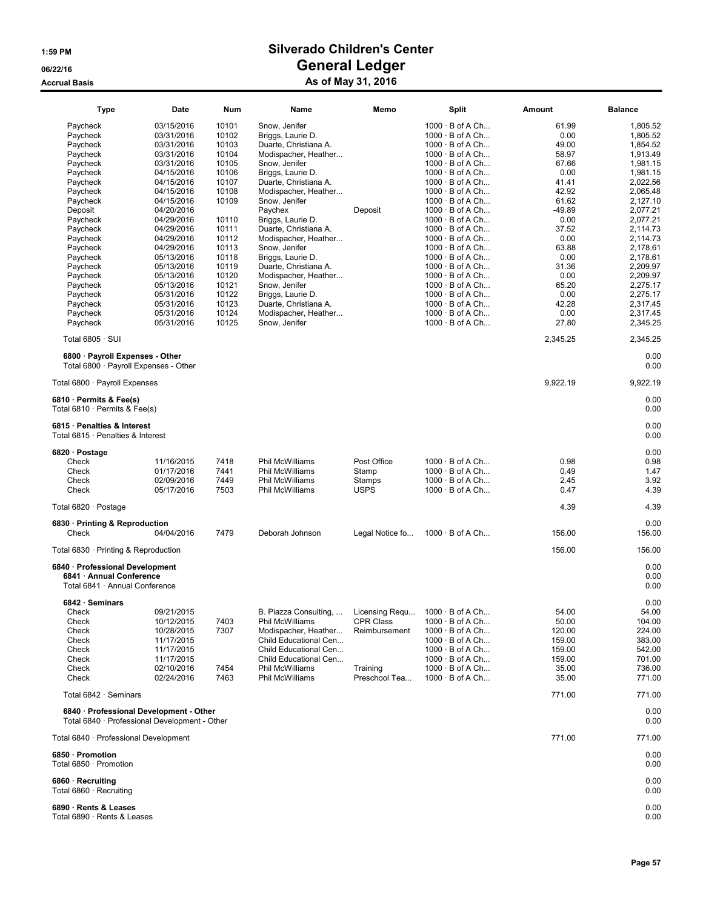| <b>Type</b>                                                                                                                                                                                                         | Date                                                                                                                                                                                                                                                                   | Num                                                                                                                                                            | Name                                                                                                                                                                                                                                                                                                                                                                                 | Memo                                                                      | Split                                                                                                                                                                                                                                                                                                                                                                                                                                                                                                      | Amount                                                                                                                                                            | <b>Balance</b>                                                                                                                                                                                                                   |
|---------------------------------------------------------------------------------------------------------------------------------------------------------------------------------------------------------------------|------------------------------------------------------------------------------------------------------------------------------------------------------------------------------------------------------------------------------------------------------------------------|----------------------------------------------------------------------------------------------------------------------------------------------------------------|--------------------------------------------------------------------------------------------------------------------------------------------------------------------------------------------------------------------------------------------------------------------------------------------------------------------------------------------------------------------------------------|---------------------------------------------------------------------------|------------------------------------------------------------------------------------------------------------------------------------------------------------------------------------------------------------------------------------------------------------------------------------------------------------------------------------------------------------------------------------------------------------------------------------------------------------------------------------------------------------|-------------------------------------------------------------------------------------------------------------------------------------------------------------------|----------------------------------------------------------------------------------------------------------------------------------------------------------------------------------------------------------------------------------|
| Paycheck<br>Paycheck<br>Paycheck<br>Paycheck<br>Paycheck<br>Paycheck<br>Paycheck<br>Paycheck<br>Paycheck<br>Deposit<br>Paycheck<br>Paycheck<br>Paycheck<br>Paycheck<br>Paycheck<br>Paycheck<br>Paycheck<br>Paycheck | 03/15/2016<br>03/31/2016<br>03/31/2016<br>03/31/2016<br>03/31/2016<br>04/15/2016<br>04/15/2016<br>04/15/2016<br>04/15/2016<br>04/20/2016<br>04/29/2016<br>04/29/2016<br>04/29/2016<br>04/29/2016<br>05/13/2016<br>05/13/2016<br>05/13/2016<br>05/13/2016<br>05/31/2016 | 10101<br>10102<br>10103<br>10104<br>10105<br>10106<br>10107<br>10108<br>10109<br>10110<br>10111<br>10112<br>10113<br>10118<br>10119<br>10120<br>10121<br>10122 | Snow, Jenifer<br>Briggs, Laurie D.<br>Duarte, Christiana A.<br>Modispacher, Heather<br>Snow, Jenifer<br>Briggs, Laurie D.<br>Duarte, Christiana A.<br>Modispacher, Heather<br>Snow, Jenifer<br>Paychex<br>Briggs, Laurie D.<br>Duarte, Christiana A.<br>Modispacher, Heather<br>Snow, Jenifer<br>Briggs, Laurie D.<br>Duarte, Christiana A.<br>Modispacher, Heather<br>Snow, Jenifer | Deposit                                                                   | $1000 \cdot B$ of A Ch<br>$1000 \cdot B$ of A Ch<br>$1000 \cdot B$ of A Ch<br>$1000 \cdot B$ of A Ch<br>$1000 \cdot B$ of A Ch<br>$1000 \cdot B$ of A Ch<br>$1000 \cdot B$ of A Ch<br>$1000 \cdot B$ of A Ch<br>$1000 \cdot B$ of A Ch<br>$1000 \cdot B$ of A Ch<br>$1000 \cdot B$ of A Ch<br>$1000 \cdot B$ of A Ch<br>$1000 \cdot B$ of A Ch<br>$1000 \cdot B$ of A Ch<br>$1000 \cdot B$ of A Ch<br>$1000 \cdot B$ of A Ch<br>$1000 \cdot B$ of A Ch<br>$1000 \cdot B$ of A Ch<br>$1000 \cdot B$ of A Ch | 61.99<br>0.00<br>49.00<br>58.97<br>67.66<br>0.00<br>41.41<br>42.92<br>61.62<br>-49.89<br>0.00<br>37.52<br>0.00<br>63.88<br>0.00<br>31.36<br>0.00<br>65.20<br>0.00 | 1,805.52<br>1,805.52<br>1,854.52<br>1,913.49<br>1,981.15<br>1.981.15<br>2,022.56<br>2,065.48<br>2,127.10<br>2,077.21<br>2,077.21<br>2,114.73<br>2,114.73<br>2,178.61<br>2.178.61<br>2,209.97<br>2,209.97<br>2,275.17<br>2,275.17 |
| Paycheck<br>Paycheck<br>Paycheck                                                                                                                                                                                    | 05/31/2016<br>05/31/2016                                                                                                                                                                                                                                               | 10123<br>10124                                                                                                                                                 | Briggs, Laurie D.<br>Duarte, Christiana A.<br>Modispacher, Heather                                                                                                                                                                                                                                                                                                                   |                                                                           | $1000 \cdot B$ of A Ch<br>$1000 \cdot B$ of A Ch                                                                                                                                                                                                                                                                                                                                                                                                                                                           | 42.28<br>0.00                                                                                                                                                     | 2,317.45<br>2,317.45                                                                                                                                                                                                             |
| Paycheck<br>Total $6805 \cdot$ SUI                                                                                                                                                                                  | 05/31/2016                                                                                                                                                                                                                                                             | 10125                                                                                                                                                          | Snow, Jenifer                                                                                                                                                                                                                                                                                                                                                                        |                                                                           | $1000 \cdot B$ of A Ch                                                                                                                                                                                                                                                                                                                                                                                                                                                                                     | 27.80<br>2,345.25                                                                                                                                                 | 2,345.25<br>2,345.25                                                                                                                                                                                                             |
| 6800 · Payroll Expenses - Other<br>Total 6800 · Payroll Expenses - Other                                                                                                                                            |                                                                                                                                                                                                                                                                        |                                                                                                                                                                |                                                                                                                                                                                                                                                                                                                                                                                      |                                                                           |                                                                                                                                                                                                                                                                                                                                                                                                                                                                                                            |                                                                                                                                                                   | 0.00<br>0.00                                                                                                                                                                                                                     |
| Total 6800 · Payroll Expenses                                                                                                                                                                                       |                                                                                                                                                                                                                                                                        |                                                                                                                                                                |                                                                                                                                                                                                                                                                                                                                                                                      |                                                                           |                                                                                                                                                                                                                                                                                                                                                                                                                                                                                                            | 9,922.19                                                                                                                                                          | 9,922.19                                                                                                                                                                                                                         |
| 6810 · Permits & Fee(s)<br>Total $6810 \cdot$ Permits & Fee(s)                                                                                                                                                      |                                                                                                                                                                                                                                                                        |                                                                                                                                                                |                                                                                                                                                                                                                                                                                                                                                                                      |                                                                           |                                                                                                                                                                                                                                                                                                                                                                                                                                                                                                            |                                                                                                                                                                   | 0.00<br>0.00                                                                                                                                                                                                                     |
| 6815 · Penalties & Interest<br>Total 6815 · Penalties & Interest                                                                                                                                                    |                                                                                                                                                                                                                                                                        |                                                                                                                                                                |                                                                                                                                                                                                                                                                                                                                                                                      |                                                                           |                                                                                                                                                                                                                                                                                                                                                                                                                                                                                                            |                                                                                                                                                                   | 0.00<br>0.00                                                                                                                                                                                                                     |
| 6820 · Postage<br>Check<br>Check<br>Check<br>Check                                                                                                                                                                  | 11/16/2015<br>01/17/2016<br>02/09/2016<br>05/17/2016                                                                                                                                                                                                                   | 7418<br>7441<br>7449<br>7503                                                                                                                                   | Phil McWilliams<br>Phil McWilliams<br>Phil McWilliams<br>Phil McWilliams                                                                                                                                                                                                                                                                                                             | Post Office<br>Stamp<br>Stamps<br><b>USPS</b>                             | $1000 \cdot B$ of A Ch<br>$1000 \cdot B$ of A Ch<br>$1000 \cdot B$ of A Ch<br>$1000 \cdot B$ of A Ch                                                                                                                                                                                                                                                                                                                                                                                                       | 0.98<br>0.49<br>2.45<br>0.47                                                                                                                                      | 0.00<br>0.98<br>1.47<br>3.92<br>4.39                                                                                                                                                                                             |
| Total 6820 · Postage                                                                                                                                                                                                |                                                                                                                                                                                                                                                                        |                                                                                                                                                                |                                                                                                                                                                                                                                                                                                                                                                                      |                                                                           |                                                                                                                                                                                                                                                                                                                                                                                                                                                                                                            | 4.39                                                                                                                                                              | 4.39                                                                                                                                                                                                                             |
| 6830 · Printing & Reproduction<br>Check                                                                                                                                                                             | 04/04/2016                                                                                                                                                                                                                                                             | 7479                                                                                                                                                           | Deborah Johnson                                                                                                                                                                                                                                                                                                                                                                      | Legal Notice fo                                                           | $1000 \cdot B$ of A Ch                                                                                                                                                                                                                                                                                                                                                                                                                                                                                     | 156.00                                                                                                                                                            | 0.00<br>156.00                                                                                                                                                                                                                   |
| Total 6830 · Printing & Reproduction                                                                                                                                                                                |                                                                                                                                                                                                                                                                        |                                                                                                                                                                |                                                                                                                                                                                                                                                                                                                                                                                      |                                                                           |                                                                                                                                                                                                                                                                                                                                                                                                                                                                                                            | 156.00                                                                                                                                                            | 156.00                                                                                                                                                                                                                           |
| 6840 · Professional Development<br>6841 · Annual Conference<br>Total 6841 · Annual Conference                                                                                                                       |                                                                                                                                                                                                                                                                        |                                                                                                                                                                |                                                                                                                                                                                                                                                                                                                                                                                      |                                                                           |                                                                                                                                                                                                                                                                                                                                                                                                                                                                                                            |                                                                                                                                                                   | 0.00<br>0.00<br>0.00                                                                                                                                                                                                             |
| 6842 · Seminars<br>Check<br>Check<br>Check<br>Check<br>Check<br>Check<br>Check<br>Check                                                                                                                             | 09/21/2015<br>10/12/2015<br>10/28/2015<br>11/17/2015<br>11/17/2015<br>11/17/2015<br>02/10/2016<br>02/24/2016                                                                                                                                                           | 7403<br>7307<br>7454<br>7463                                                                                                                                   | B. Piazza Consulting,<br>Phil McWilliams<br>Modispacher, Heather<br>Child Educational Cen<br>Child Educational Cen<br>Child Educational Cen<br>Phil McWilliams<br><b>Phil McWilliams</b>                                                                                                                                                                                             | Licensing Requ<br>CPR Class<br>Reimbursement<br>Training<br>Preschool Tea | $1000 \cdot B$ of A Ch.<br>$1000 \cdot B$ of A Ch<br>$1000 \cdot B$ of A Ch<br>$1000 \cdot B$ of A Ch<br>$1000 \cdot B$ of A Ch<br>$1000 \cdot B$ of A Ch<br>$1000 \cdot B$ of A Ch<br>$1000 \cdot B$ of A Ch                                                                                                                                                                                                                                                                                              | 54.00<br>50.00<br>120.00<br>159.00<br>159.00<br>159.00<br>35.00<br>35.00                                                                                          | 0.00<br>54.00<br>104.00<br>224.00<br>383.00<br>542.00<br>701.00<br>736.00<br>771.00                                                                                                                                              |
| Total 6842 · Seminars                                                                                                                                                                                               |                                                                                                                                                                                                                                                                        |                                                                                                                                                                |                                                                                                                                                                                                                                                                                                                                                                                      |                                                                           |                                                                                                                                                                                                                                                                                                                                                                                                                                                                                                            | 771.00                                                                                                                                                            | 771.00                                                                                                                                                                                                                           |
| 6840 · Professional Development - Other<br>Total 6840 · Professional Development - Other                                                                                                                            |                                                                                                                                                                                                                                                                        |                                                                                                                                                                |                                                                                                                                                                                                                                                                                                                                                                                      |                                                                           |                                                                                                                                                                                                                                                                                                                                                                                                                                                                                                            |                                                                                                                                                                   | 0.00<br>0.00                                                                                                                                                                                                                     |
| Total 6840 · Professional Development                                                                                                                                                                               |                                                                                                                                                                                                                                                                        |                                                                                                                                                                |                                                                                                                                                                                                                                                                                                                                                                                      |                                                                           |                                                                                                                                                                                                                                                                                                                                                                                                                                                                                                            | 771.00                                                                                                                                                            | 771.00                                                                                                                                                                                                                           |
| 6850 · Promotion<br>Total 6850 · Promotion                                                                                                                                                                          |                                                                                                                                                                                                                                                                        |                                                                                                                                                                |                                                                                                                                                                                                                                                                                                                                                                                      |                                                                           |                                                                                                                                                                                                                                                                                                                                                                                                                                                                                                            |                                                                                                                                                                   | 0.00<br>0.00                                                                                                                                                                                                                     |
| 6860 · Recruiting<br>Total 6860 · Recruiting                                                                                                                                                                        |                                                                                                                                                                                                                                                                        |                                                                                                                                                                |                                                                                                                                                                                                                                                                                                                                                                                      |                                                                           |                                                                                                                                                                                                                                                                                                                                                                                                                                                                                                            |                                                                                                                                                                   | 0.00<br>0.00                                                                                                                                                                                                                     |
| 6890 · Rents & Leases<br>Total 6890 · Rents & Leases                                                                                                                                                                |                                                                                                                                                                                                                                                                        |                                                                                                                                                                |                                                                                                                                                                                                                                                                                                                                                                                      |                                                                           |                                                                                                                                                                                                                                                                                                                                                                                                                                                                                                            |                                                                                                                                                                   | 0.00<br>0.00                                                                                                                                                                                                                     |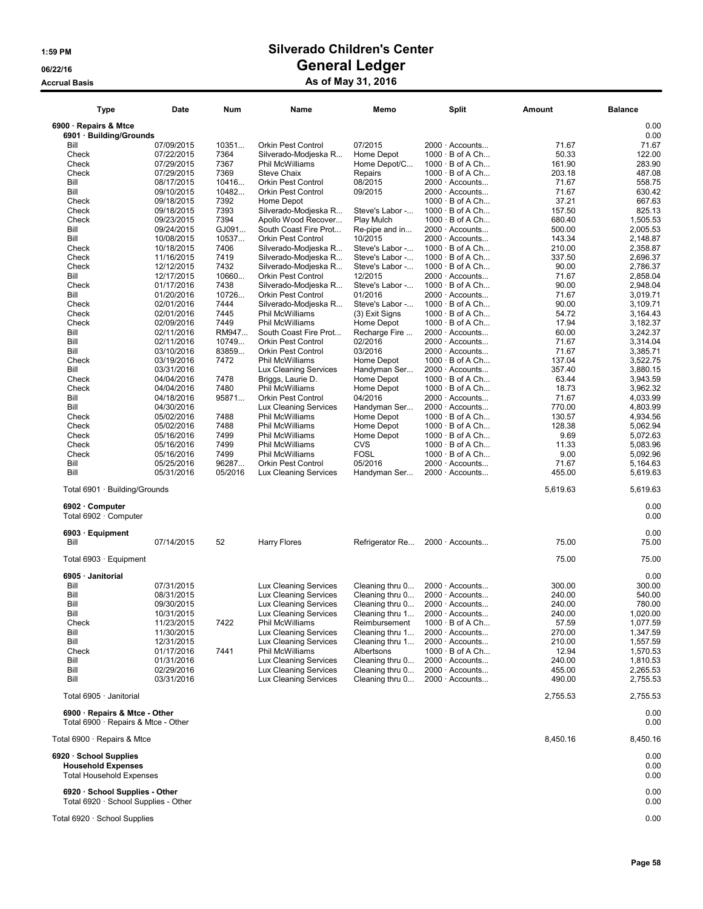| <b>Type</b>                                                                            | Date                     | Num     | Name                         | Memo            | Split                                    | Amount   | <b>Balance</b>       |
|----------------------------------------------------------------------------------------|--------------------------|---------|------------------------------|-----------------|------------------------------------------|----------|----------------------|
| 6900 · Repairs & Mtce<br>6901 · Building/Grounds                                       |                          |         |                              |                 |                                          |          | 0.00<br>0.00         |
|                                                                                        |                          |         |                              |                 |                                          |          |                      |
| Bill                                                                                   | 07/09/2015               | 10351   | <b>Orkin Pest Control</b>    | 07/2015         | 2000 · Accounts                          | 71.67    | 71.67                |
| Check                                                                                  | 07/22/2015               | 7364    | Silverado-Modieska R         | Home Depot      | $1000 \cdot B$ of A Ch                   | 50.33    | 122.00               |
| Check                                                                                  | 07/29/2015               | 7367    | <b>Phil McWilliams</b>       | Home Depot/C    | $1000 \cdot B$ of A Ch                   | 161.90   | 283.90               |
| Check                                                                                  | 07/29/2015               | 7369    | Steve Chaix                  | Repairs         | $1000 \cdot B$ of A Ch                   | 203.18   | 487.08               |
| Bill                                                                                   | 08/17/2015               | 10416   | <b>Orkin Pest Control</b>    | 08/2015         | 2000 · Accounts                          | 71.67    | 558.75               |
| Bill                                                                                   | 09/10/2015               | 10482   | <b>Orkin Pest Control</b>    | 09/2015         | 2000 · Accounts                          | 71.67    | 630.42               |
| Check                                                                                  | 09/18/2015               | 7392    | Home Depot                   |                 | $1000 \cdot B$ of A Ch                   | 37.21    | 667.63               |
| Check                                                                                  | 09/18/2015               | 7393    | Silverado-Modjeska R         | Steve's Labor - | $1000 \cdot B$ of A Ch                   | 157.50   | 825.13               |
| Check                                                                                  | 09/23/2015               | 7394    | Apollo Wood Recover          | Play Mulch      | $1000 \cdot B$ of A Ch                   | 680.40   | 1,505.53             |
| Bill                                                                                   | 09/24/2015               | GJ091   | South Coast Fire Prot        | Re-pipe and in  | 2000 · Accounts                          | 500.00   | 2,005.53             |
| Bill                                                                                   | 10/08/2015               | 10537   | <b>Orkin Pest Control</b>    | 10/2015         | $2000 \cdot$ Accounts                    | 143.34   | 2,148.87             |
| Check                                                                                  | 10/18/2015               | 7406    | Silverado-Modjeska R         | Steve's Labor - | $1000 \cdot B$ of A Ch                   | 210.00   | 2,358.87             |
| Check                                                                                  | 11/16/2015               | 7419    | Silverado-Modjeska R         | Steve's Labor - | $1000 \cdot B$ of A Ch                   | 337.50   | 2,696.37             |
| Check                                                                                  | 12/12/2015               | 7432    | Silverado-Modjeska R         | Steve's Labor - | $1000 \cdot B$ of A Ch                   | 90.00    | 2,786.37             |
| Bill                                                                                   | 12/17/2015               | 10660   | <b>Orkin Pest Control</b>    | 12/2015         | 2000 · Accounts                          | 71.67    | 2,858.04             |
| Check                                                                                  | 01/17/2016               | 7438    | Silverado-Modjeska R         | Steve's Labor - | $1000 \cdot B$ of A Ch                   | 90.00    | 2,948.04             |
| Bill                                                                                   | 01/20/2016               | 10726   | Orkin Pest Control           | 01/2016         | $2000 \cdot$ Accounts                    | 71.67    | 3,019.71             |
| Check                                                                                  | 02/01/2016               | 7444    | Silverado-Modjeska R         | Steve's Labor - | $1000 \cdot B$ of A Ch                   | 90.00    | 3,109.71             |
| Check                                                                                  | 02/01/2016               | 7445    | Phil McWilliams              | (3) Exit Signs  | $1000 \cdot B$ of A Ch                   | 54.72    | 3,164.43             |
| Check                                                                                  | 02/09/2016               | 7449    | Phil McWilliams              | Home Depot      | $1000 \cdot B$ of A Ch                   | 17.94    | 3,182.37             |
| Bill                                                                                   | 02/11/2016               | RM947   | South Coast Fire Prot        | Recharge Fire   | $2000 \cdot$ Accounts                    | 60.00    | 3,242.37             |
| Bill                                                                                   | 02/11/2016               | 10749   | <b>Orkin Pest Control</b>    | 02/2016         | 2000 · Accounts                          | 71.67    | 3.314.04             |
| Bill                                                                                   | 03/10/2016               | 83859   | <b>Orkin Pest Control</b>    | 03/2016         | 2000 · Accounts                          | 71.67    | 3,385.71             |
| Check                                                                                  | 03/19/2016               | 7472    | Phil McWilliams              | Home Depot      | $1000 \cdot B$ of A Ch                   | 137.04   | 3,522.75             |
| Bill                                                                                   |                          |         |                              |                 | 2000 · Accounts                          | 357.40   |                      |
|                                                                                        | 03/31/2016<br>04/04/2016 |         | Lux Cleaning Services        | Handyman Ser    |                                          |          | 3,880.15             |
| Check                                                                                  |                          | 7478    | Briggs, Laurie D.            | Home Depot      | $1000 \cdot B$ of A Ch                   | 63.44    | 3,943.59             |
| Check                                                                                  | 04/04/2016               | 7480    | Phil McWilliams              | Home Depot      | $1000 \cdot B$ of A Ch                   | 18.73    | 3,962.32             |
| Bill                                                                                   | 04/18/2016               | 95871   | Orkin Pest Control           | 04/2016         | 2000 · Accounts                          | 71.67    | 4,033.99             |
| Bill                                                                                   | 04/30/2016               |         | Lux Cleaning Services        | Handyman Ser    | $2000 \cdot$ Accounts                    | 770.00   | 4,803.99             |
| Check                                                                                  | 05/02/2016               | 7488    | Phil McWilliams              | Home Depot      | $1000 \cdot B$ of A Ch                   | 130.57   | 4,934.56             |
| Check                                                                                  | 05/02/2016               | 7488    | <b>Phil McWilliams</b>       | Home Depot      | $1000 \cdot B$ of A Ch                   | 128.38   | 5,062.94             |
| Check                                                                                  | 05/16/2016               | 7499    | Phil McWilliams              | Home Depot      | $1000 \cdot B$ of A Ch                   | 9.69     | 5,072.63             |
| Check                                                                                  | 05/16/2016               | 7499    | <b>Phil McWilliams</b>       | <b>CVS</b>      | $1000 \cdot B$ of A Ch                   | 11.33    | 5,083.96             |
| Check                                                                                  | 05/16/2016               | 7499    | Phil McWilliams              | <b>FOSL</b>     | $1000 \cdot B$ of A Ch                   | 9.00     | 5,092.96             |
| Bill                                                                                   | 05/25/2016               | 96287   | Orkin Pest Control           | 05/2016         | 2000 · Accounts                          | 71.67    | 5,164.63             |
| Bill                                                                                   | 05/31/2016               | 05/2016 | Lux Cleaning Services        | Handyman Ser    | $2000 \cdot$ Accounts                    | 455.00   | 5,619.63             |
| Total 6901 · Building/Grounds                                                          |                          |         |                              |                 |                                          | 5,619.63 | 5,619.63             |
| 6902 · Computer<br>Total 6902 · Computer                                               |                          |         |                              |                 |                                          |          | 0.00<br>0.00         |
| 6903 · Equipment                                                                       |                          |         |                              |                 |                                          |          | 0.00                 |
| Bill                                                                                   | 07/14/2015               | 52      | <b>Harry Flores</b>          | Refrigerator Re | 2000 · Accounts                          | 75.00    | 75.00                |
|                                                                                        |                          |         |                              |                 |                                          |          |                      |
| Total 6903 · Equipment                                                                 |                          |         |                              |                 |                                          | 75.00    | 75.00                |
| 6905 · Janitorial                                                                      |                          |         |                              |                 |                                          |          | 0.00                 |
| Bill                                                                                   | 07/31/2015               |         | <b>Lux Cleaning Services</b> | Cleaning thru 0 | $2000 \cdot$ Accounts                    | 300.00   | 300.00               |
| Bill                                                                                   | 08/31/2015               |         | Lux Cleaning Services        | Cleaning thru 0 | 2000 · Accounts                          | 240.00   | 540.00               |
| Bill                                                                                   | 09/30/2015               |         | Lux Cleaning Services        | Cleaning thru 0 | 2000 · Accounts                          | 240.00   | 780.00               |
| Bill                                                                                   | 10/31/2015               |         | Lux Cleaning Services        | Cleaning thru 1 | $2000 \cdot$ Accounts                    | 240.00   | 1,020.00             |
| Check                                                                                  | 11/23/2015               | 7422    | Phil McWilliams              | Reimbursement   | $1000 \cdot B$ of A Ch                   | 57.59    | 1,077.59             |
| Bill                                                                                   | 11/30/2015               |         | Lux Cleaning Services        | Cleaning thru 1 | $2000 \cdot$ Accounts                    | 270.00   | 1,347.59             |
| Bill                                                                                   | 12/31/2015               |         | Lux Cleaning Services        | Cleaning thru 1 | $2000 \cdot$ Accounts                    | 210.00   | 1,557.59             |
| Check                                                                                  | 01/17/2016               | 7441    | <b>Phil McWilliams</b>       | Albertsons      | $1000 \cdot B$ of A Ch                   | 12.94    | 1,570.53             |
| Bill                                                                                   | 01/31/2016               |         | Lux Cleaning Services        |                 | 2000 · Accounts                          | 240.00   | 1,810.53             |
|                                                                                        | 02/29/2016               |         | <b>Lux Cleaning Services</b> | Cleaning thru 0 |                                          |          |                      |
| Bill<br>Bill                                                                           |                          |         |                              | Cleaning thru 0 | 2000 · Accounts<br>$2000 \cdot$ Accounts | 455.00   | 2,265.53<br>2,755.53 |
|                                                                                        | 03/31/2016               |         | <b>Lux Cleaning Services</b> | Cleaning thru 0 |                                          | 490.00   |                      |
| Total 6905 · Janitorial                                                                |                          |         |                              |                 |                                          | 2,755.53 | 2,755.53             |
| 6900 · Repairs & Mtce - Other<br>Total 6900 · Repairs & Mtce - Other                   |                          |         |                              |                 |                                          |          | 0.00<br>0.00         |
| Total 6900 · Repairs & Mtce                                                            |                          |         |                              |                 |                                          | 8,450.16 | 8,450.16             |
| 6920 · School Supplies<br><b>Household Expenses</b><br><b>Total Household Expenses</b> |                          |         |                              |                 |                                          |          | 0.00<br>0.00<br>0.00 |
| 6920 · School Supplies - Other<br>Total 6920 · School Supplies - Other                 |                          |         |                              |                 |                                          |          | 0.00<br>0.00         |
| Total 6920 · School Supplies                                                           |                          |         |                              |                 |                                          |          | 0.00                 |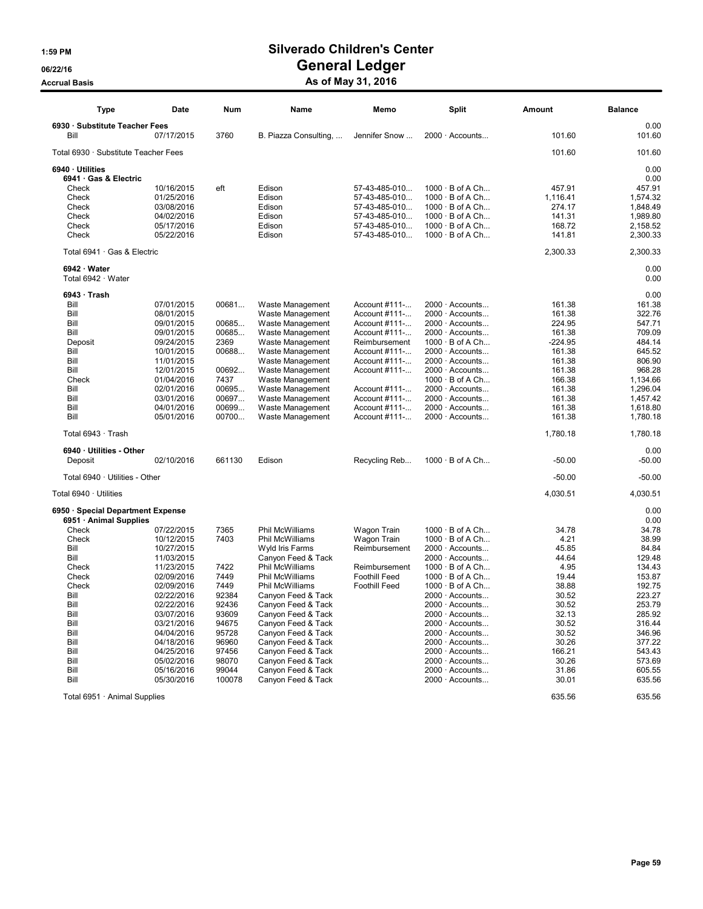# 1:59 PM Silverado Children's Center 06/22/16 OS/22/16 General Ledger

Accrual Basis **Accrual Basis** As of May 31, 2016

| <b>Type</b>                          | <b>Date</b> | <b>Num</b> | Name                  | Memo                 | <b>Split</b>           | Amount    | <b>Balance</b> |
|--------------------------------------|-------------|------------|-----------------------|----------------------|------------------------|-----------|----------------|
| 6930 · Substitute Teacher Fees       |             |            |                       |                      |                        |           | 0.00           |
| Bill                                 | 07/17/2015  | 3760       | B. Piazza Consulting, | Jennifer Snow        | 2000 · Accounts        | 101.60    | 101.60         |
| Total 6930 · Substitute Teacher Fees |             |            |                       |                      |                        | 101.60    | 101.60         |
| 6940 · Utilities                     |             |            |                       |                      |                        |           | 0.00           |
| 6941 · Gas & Electric                |             |            |                       |                      |                        |           | 0.00           |
| Check                                | 10/16/2015  | eft        | Edison                | 57-43-485-010        | $1000 \cdot B$ of A Ch | 457.91    | 457.91         |
| Check                                | 01/25/2016  |            | Edison                | 57-43-485-010        | $1000 \cdot B$ of A Ch | 1,116.41  | 1,574.32       |
| Check                                | 03/08/2016  |            | Edison                | 57-43-485-010        | 1000 · B of A Ch       | 274.17    | 1,848.49       |
| Check                                | 04/02/2016  |            | Edison                | 57-43-485-010        | $1000 \cdot B$ of A Ch | 141.31    | 1,989.80       |
| Check                                | 05/17/2016  |            | Edison                | 57-43-485-010        | $1000 \cdot B$ of A Ch | 168.72    | 2,158.52       |
| Check                                | 05/22/2016  |            | Edison                | 57-43-485-010        | $1000 \cdot B$ of A Ch | 141.81    | 2,300.33       |
| Total 6941 · Gas & Electric          |             |            |                       |                      |                        | 2,300.33  | 2,300.33       |
| 6942 · Water                         |             |            |                       |                      |                        |           | 0.00           |
| Total 6942 · Water                   |             |            |                       |                      |                        |           | 0.00           |
| $6943 \cdot$ Trash                   |             |            |                       |                      |                        |           | 0.00           |
| Bill                                 | 07/01/2015  | 00681      | Waste Management      | Account #111-        | $2000 \cdot$ Accounts  | 161.38    | 161.38         |
| Bill                                 | 08/01/2015  |            | Waste Management      | Account #111-        | 2000 · Accounts        | 161.38    | 322.76         |
| Bill                                 | 09/01/2015  | 00685      | Waste Management      | Account #111-        | $2000 \cdot$ Accounts  | 224.95    | 547.71         |
| Bill                                 | 09/01/2015  | 00685      | Waste Management      | Account #111-        | $2000 \cdot$ Accounts  | 161.38    | 709.09         |
| Deposit                              | 09/24/2015  | 2369       | Waste Management      | Reimbursement        | $1000 \cdot B$ of A Ch | $-224.95$ | 484.14         |
| Bill                                 | 10/01/2015  | 00688      | Waste Management      | Account #111-        | 2000 · Accounts        | 161.38    | 645.52         |
| Bill                                 | 11/01/2015  |            | Waste Management      | Account #111-        | $2000 \cdot$ Accounts  | 161.38    | 806.90         |
| Bill                                 | 12/01/2015  | 00692      | Waste Management      | Account #111-        | 2000 · Accounts        | 161.38    | 968.28         |
| Check                                | 01/04/2016  | 7437       | Waste Management      |                      | $1000 \cdot B$ of A Ch | 166.38    | 1,134.66       |
| Bill                                 | 02/01/2016  | 00695      | Waste Management      | Account #111-        | $2000 \cdot$ Accounts  | 161.38    | 1,296.04       |
| Bill                                 | 03/01/2016  | 00697      | Waste Management      | Account #111-        | $2000 \cdot$ Accounts  | 161.38    | 1,457.42       |
| Bill                                 | 04/01/2016  | 00699      | Waste Management      | Account #111-        | 2000 · Accounts        | 161.38    | 1,618.80       |
| Bill                                 | 05/01/2016  | 00700      | Waste Management      | Account #111-        | 2000 · Accounts        | 161.38    | 1,780.18       |
| Total 6943 · Trash                   |             |            |                       |                      |                        | 1,780.18  | 1,780.18       |
| 6940 · Utilities - Other             |             |            |                       |                      |                        |           | 0.00           |
| Deposit                              | 02/10/2016  | 661130     | Edison                | Recycling Reb        | $1000 \cdot B$ of A Ch | $-50.00$  | $-50.00$       |
| Total 6940 · Utilities - Other       |             |            |                       |                      |                        | $-50.00$  | $-50.00$       |
| Total 6940 · Utilities               |             |            |                       |                      |                        | 4,030.51  | 4,030.51       |
| 6950 · Special Department Expense    |             |            |                       |                      |                        |           | 0.00           |
| 6951 · Animal Supplies               |             |            |                       |                      |                        |           | 0.00           |
| Check                                | 07/22/2015  | 7365       | Phil McWilliams       | Wagon Train          | $1000 \cdot B$ of A Ch | 34.78     | 34.78          |
| Check                                | 10/12/2015  | 7403       | Phil McWilliams       | Wagon Train          | $1000 \cdot B$ of A Ch | 4.21      | 38.99          |
| Bill                                 | 10/27/2015  |            | Wyld Iris Farms       | Reimbursement        | $2000 \cdot$ Accounts  | 45.85     | 84.84          |
| Bill                                 | 11/03/2015  |            | Canyon Feed & Tack    |                      | $2000 \cdot$ Accounts  | 44.64     | 129.48         |
| Check                                | 11/23/2015  | 7422       | Phil McWilliams       | Reimbursement        | $1000 \cdot B$ of A Ch | 4.95      | 134.43         |
| Check                                | 02/09/2016  | 7449       | Phil McWilliams       | <b>Foothill Feed</b> | $1000 \cdot B$ of A Ch | 19.44     | 153.87         |
| Check                                | 02/09/2016  | 7449       | Phil McWilliams       | <b>Foothill Feed</b> | $1000 \cdot B$ of A Ch | 38.88     | 192.75         |
| Bill                                 | 02/22/2016  | 92384      | Canyon Feed & Tack    |                      | $2000 \cdot$ Accounts  | 30.52     | 223.27         |
| Bill                                 | 02/22/2016  | 92436      | Canyon Feed & Tack    |                      | $2000 \cdot$ Accounts  | 30.52     | 253.79         |
| Bill                                 | 03/07/2016  | 93609      | Canyon Feed & Tack    |                      | $2000 \cdot$ Accounts  | 32.13     | 285.92         |
| Bill                                 | 03/21/2016  | 94675      | Canyon Feed & Tack    |                      | $2000 \cdot$ Accounts  | 30.52     | 316.44         |
| Bill                                 | 04/04/2016  | 95728      | Canyon Feed & Tack    |                      | 2000 · Accounts        | 30.52     | 346.96         |
| Bill                                 | 04/18/2016  | 96960      | Canyon Feed & Tack    |                      | $2000 \cdot$ Accounts  | 30.26     | 377.22         |
| Bill                                 | 04/25/2016  | 97456      | Canyon Feed & Tack    |                      | $2000 \cdot$ Accounts  | 166.21    | 543.43         |
| Bill                                 | 05/02/2016  | 98070      | Canyon Feed & Tack    |                      | $2000 \cdot$ Accounts  | 30.26     | 573.69         |
| Bill                                 | 05/16/2016  | 99044      | Canyon Feed & Tack    |                      | $2000 \cdot$ Accounts  | 31.86     | 605.55         |
| Bill                                 | 05/30/2016  | 100078     | Canyon Feed & Tack    |                      | $2000 \cdot$ Accounts  | 30.01     | 635.56         |

Total 6951 · Animal Supplies 635.56 635.56 635.56 635.56 635.56 635.56 635.56 635.56 635.56 635.56 635.56 635.56 635.56 635.56 635.56 635.56 635.56 635.56 635.56 635.56 635.56 635.56 635.56 635.56 635.56 635.56 635.56 635.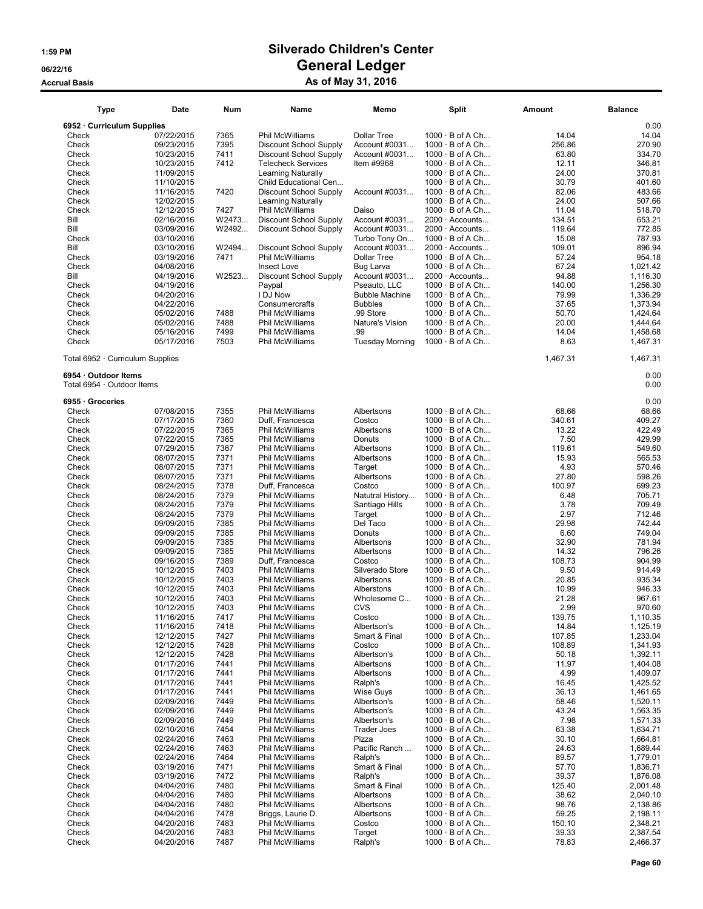| Type                                               | Date       | Num   | Name                          | Memo                   | <b>Split</b>           | Amount   | <b>Balance</b> |
|----------------------------------------------------|------------|-------|-------------------------------|------------------------|------------------------|----------|----------------|
| 6952 Curriculum Supplies                           |            |       |                               |                        |                        |          | 0.00           |
| Check                                              | 07/22/2015 | 7365  | Phil McWilliams               | <b>Dollar Tree</b>     | $1000 \cdot B$ of A Ch | 14.04    | 14.04          |
| Check                                              | 09/23/2015 | 7395  | Discount School Supply        | Account #0031          | $1000 \cdot B$ of A Ch | 256.86   | 270.90         |
| Check                                              | 10/23/2015 | 7411  | Discount School Supply        | Account #0031          | 1000 · B of A Ch       | 63.80    | 334.70         |
| Check                                              | 10/23/2015 | 7412  | <b>Telecheck Services</b>     | Item #9968             | $1000 \cdot B$ of A Ch | 12.11    | 346.81         |
|                                                    |            |       |                               |                        |                        |          |                |
| Check                                              | 11/09/2015 |       | <b>Learning Naturally</b>     |                        | $1000 \cdot B$ of A Ch | 24.00    | 370.81         |
| Check                                              | 11/10/2015 |       | Child Educational Cen         |                        | $1000 \cdot B$ of A Ch | 30.79    | 401.60         |
| Check                                              | 11/16/2015 | 7420  | Discount School Supply        | Account #0031          | $1000 \cdot B$ of A Ch | 82.06    | 483.66         |
| Check                                              | 12/02/2015 |       | <b>Learning Naturally</b>     |                        | $1000 \cdot B$ of A Ch | 24.00    | 507.66         |
| Check                                              | 12/12/2015 | 7427  | Phil McWilliams               | Daiso                  | $1000 \cdot B$ of A Ch | 11.04    | 518.70         |
| Bill                                               | 02/16/2016 | W2473 | <b>Discount School Supply</b> | Account #0031          | 2000 · Accounts        | 134.51   | 653.21         |
| Bill                                               | 03/09/2016 | W2492 | <b>Discount School Supply</b> | Account #0031          | 2000 · Accounts        | 119.64   | 772.85         |
| Check                                              | 03/10/2016 |       |                               | Turbo Tony On          | 1000 · B of A Ch       | 15.08    | 787.93         |
|                                                    |            |       |                               |                        |                        |          |                |
| Bill                                               | 03/10/2016 | W2494 | Discount School Supply        | Account #0031          | $2000 \cdot$ Accounts  | 109.01   | 896.94         |
| Check                                              | 03/19/2016 | 7471  | <b>Phil McWilliams</b>        | <b>Dollar Tree</b>     | $1000 \cdot B$ of A Ch | 57.24    | 954.18         |
| Check                                              | 04/08/2016 |       | Insect Love                   | Bug Larva              | $1000 \cdot B$ of A Ch | 67.24    | 1,021.42       |
| Bill                                               | 04/19/2016 | W2523 | Discount School Supply        | Account #0031          | $2000 \cdot$ Accounts  | 94.88    | 1,116.30       |
| Check                                              | 04/19/2016 |       | Paypal                        | Pseauto, LLC           | $1000 \cdot B$ of A Ch | 140.00   | 1,256.30       |
| Check                                              | 04/20/2016 |       | I DJ Now                      | <b>Bubble Machine</b>  | $1000 \cdot B$ of A Ch | 79.99    | 1,336.29       |
| Check                                              | 04/22/2016 |       | Consumercrafts                | <b>Bubbles</b>         | $1000 \cdot B$ of A Ch | 37.65    | 1,373.94       |
|                                                    |            |       |                               |                        |                        |          |                |
| Check                                              | 05/02/2016 | 7488  | Phil McWilliams               | .99 Store              | $1000 \cdot B$ of A Ch | 50.70    | 1,424.64       |
| Check                                              | 05/02/2016 | 7488  | Phil McWilliams               | Nature's Vision        | $1000 \cdot B$ of A Ch | 20.00    | 1,444.64       |
| Check                                              | 05/16/2016 | 7499  | Phil McWilliams               | .99                    | $1000 \cdot B$ of A Ch | 14.04    | 1,458.68       |
| Check                                              | 05/17/2016 | 7503  | Phil McWilliams               | <b>Tuesday Morning</b> | $1000 \cdot B$ of A Ch | 8.63     | 1,467.31       |
| Total 6952 · Curriculum Supplies                   |            |       |                               |                        |                        | 1,467.31 | 1,467.31       |
| 6954 · Outdoor Items<br>Total 6954 · Outdoor Items |            |       |                               |                        |                        |          | 0.00<br>0.00   |
| 6955 · Groceries                                   |            |       |                               |                        |                        |          | 0.00           |
| Check                                              | 07/08/2015 | 7355  | Phil McWilliams               | Albertsons             | $1000 \cdot B$ of A Ch | 68.66    | 68.66          |
| Check                                              | 07/17/2015 | 7360  | Duff, Francesca               | Costco                 | $1000 \cdot B$ of A Ch | 340.61   | 409.27         |
| Check                                              | 07/22/2015 | 7365  | Phil McWilliams               | Albertsons             | $1000 \cdot B$ of A Ch | 13.22    | 422.49         |
| Check                                              | 07/22/2015 | 7365  | Phil McWilliams               | Donuts                 | $1000 \cdot B$ of A Ch | 7.50     | 429.99         |
|                                                    |            |       |                               |                        |                        |          |                |
| Check                                              | 07/29/2015 | 7367  | Phil McWilliams               | Albertsons             | $1000 \cdot B$ of A Ch | 119.61   | 549.60         |
| Check                                              | 08/07/2015 | 7371  | Phil McWilliams               | Albertsons             | $1000 \cdot B$ of A Ch | 15.93    | 565.53         |
| Check                                              | 08/07/2015 | 7371  | Phil McWilliams               | Target                 | $1000 \cdot B$ of A Ch | 4.93     | 570.46         |
| Check                                              | 08/07/2015 | 7371  | Phil McWilliams               | Albertsons             | $1000 \cdot B$ of A Ch | 27.80    | 598.26         |
| Check                                              | 08/24/2015 | 7378  | Duff, Francesca               | Costco                 | $1000 \cdot B$ of A Ch | 100.97   | 699.23         |
| Check                                              | 08/24/2015 | 7379  | Phil McWilliams               | Natutral History       | $1000 \cdot B$ of A Ch | 6.48     | 705.71         |
| Check                                              | 08/24/2015 | 7379  | Phil McWilliams               | Santiago Hills         | $1000 \cdot B$ of A Ch | 3.78     | 709.49         |
| Check                                              | 08/24/2015 | 7379  |                               |                        | $1000 \cdot B$ of A Ch | 2.97     | 712.46         |
|                                                    |            |       | Phil McWilliams               | Target                 |                        |          |                |
| Check                                              | 09/09/2015 | 7385  | Phil McWilliams               | Del Taco               | $1000 \cdot B$ of A Ch | 29.98    | 742.44         |
| Check                                              | 09/09/2015 | 7385  | Phil McWilliams               | Donuts                 | 1000 · B of A Ch       | 6.60     | 749.04         |
| Check                                              | 09/09/2015 | 7385  | Phil McWilliams               | Albertsons             | $1000 \cdot B$ of A Ch | 32.90    | 781.94         |
| Check                                              | 09/09/2015 | 7385  | Phil McWilliams               | Albertsons             | $1000 \cdot B$ of A Ch | 14.32    | 796.26         |
| Check                                              | 09/16/2015 | 7389  | Duff, Francesca               | Costco                 | $1000 \cdot B$ of A Ch | 108.73   | 904.99         |
| Check                                              | 10/12/2015 | 7403  | Phil McWilliams               | Silverado Store        | $1000 \cdot B$ of A Ch | 9.50     | 914.49         |
| Check                                              | 10/12/2015 | 7403  | Phil McWilliams               | Albertsons             | $1000 \cdot B$ of A Ch | 20.85    | 935.34         |
|                                                    |            |       |                               |                        | $1000 \cdot B$ of A Ch |          |                |
| Check                                              | 10/12/2015 | 7403  | Phil McWilliams               | Alberstons             |                        | 10.99    | 946.33         |
| Check                                              | 10/12/2015 | 7403  | Phil McWilliams               | Wholesome C            | $1000 \cdot B$ of A Ch | 21.28    | 967.61         |
| Check                                              | 10/12/2015 | 7403  | Phil McWilliams               | CVS                    | $1000 \cdot B$ of A Ch | 2.99     | 970.60         |
| Check                                              | 11/16/2015 | 7417  | Phil McWilliams               | Costco                 | 1000 · B of A Ch       | 139.75   | 1,110.35       |
| Check                                              | 11/16/2015 | 7418  | Phil McWilliams               | Albertson's            | $1000 \cdot B$ of A Ch | 14.84    | 1,125.19       |
| Check                                              | 12/12/2015 | 7427  | Phil McWilliams               | Smart & Final          | $1000 \cdot B$ of A Ch | 107.85   | 1,233.04       |
| Check                                              | 12/12/2015 | 7428  | Phil McWilliams               | Costco                 | $1000 \cdot B$ of A Ch | 108.89   | 1,341.93       |
| Check                                              | 12/12/2015 | 7428  | Phil McWilliams               | Albertson's            | $1000 \cdot B$ of A Ch | 50.18    | 1,392.11       |
|                                                    |            |       |                               | Albertsons             |                        |          |                |
| Check                                              | 01/17/2016 | 7441  | Phil McWilliams               |                        | $1000 \cdot B$ of A Ch | 11.97    | 1,404.08       |
| Check                                              | 01/17/2016 | 7441  | Phil McWilliams               | Albertsons             | $1000 \cdot B$ of A Ch | 4.99     | 1,409.07       |
| Check                                              | 01/17/2016 | 7441  | Phil McWilliams               | Ralph's                | $1000 \cdot B$ of A Ch | 16.45    | 1,425.52       |
| Check                                              | 01/17/2016 | 7441  | Phil McWilliams               | Wise Guys              | $1000 \cdot B$ of A Ch | 36.13    | 1,461.65       |
| Check                                              | 02/09/2016 | 7449  | Phil McWilliams               | Albertson's            | $1000 \cdot B$ of A Ch | 58.46    | 1,520.11       |
| Check                                              | 02/09/2016 | 7449  | Phil McWilliams               | Albertson's            | $1000 \cdot B$ of A Ch | 43.24    | 1,563.35       |
| Check                                              | 02/09/2016 | 7449  | Phil McWilliams               | Albertson's            | $1000 \cdot B$ of A Ch | 7.98     | 1,571.33       |
| Check                                              | 02/10/2016 | 7454  | Phil McWilliams               | <b>Trader Joes</b>     | $1000 \cdot B$ of A Ch | 63.38    | 1,634.71       |
|                                                    | 02/24/2016 |       |                               |                        |                        |          |                |
| Check                                              |            | 7463  | Phil McWilliams               | Pizza                  | $1000 \cdot B$ of A Ch | 30.10    | 1,664.81       |
| Check                                              | 02/24/2016 | 7463  | Phil McWilliams               | Pacific Ranch          | $1000 \cdot B$ of A Ch | 24.63    | 1,689.44       |
| Check                                              | 02/24/2016 | 7464  | Phil McWilliams               | Ralph's                | $1000 \cdot B$ of A Ch | 89.57    | 1,779.01       |
| Check                                              | 03/19/2016 | 7471  | Phil McWilliams               | Smart & Final          | $1000 \cdot B$ of A Ch | 57.70    | 1,836.71       |
| Check                                              | 03/19/2016 | 7472  | Phil McWilliams               | Ralph's                | $1000 \cdot B$ of A Ch | 39.37    | 1,876.08       |
| Check                                              | 04/04/2016 | 7480  | Phil McWilliams               | Smart & Final          | $1000 \cdot B$ of A Ch | 125.40   | 2,001.48       |
| Check                                              | 04/04/2016 | 7480  | Phil McWilliams               | Albertsons             | $1000 \cdot B$ of A Ch | 38.62    | 2,040.10       |
| Check                                              | 04/04/2016 | 7480  | Phil McWilliams               | Albertsons             | $1000 \cdot B$ of A Ch | 98.76    | 2,138.86       |
|                                                    |            |       |                               |                        |                        |          |                |
| Check                                              | 04/04/2016 | 7478  | Briggs, Laurie D.             | Albertsons             | $1000 \cdot B$ of A Ch | 59.25    | 2,198.11       |
| Check                                              | 04/20/2016 | 7483  | Phil McWilliams               | Costco                 | $1000 \cdot B$ of A Ch | 150.10   | 2,348.21       |
| Check                                              | 04/20/2016 | 7483  | Phil McWilliams               | Target                 | $1000 \cdot B$ of A Ch | 39.33    | 2,387.54       |
| Check                                              | 04/20/2016 | 7487  | Phil McWilliams               | Ralph's                | $1000 \cdot B$ of A Ch | 78.83    | 2,466.37       |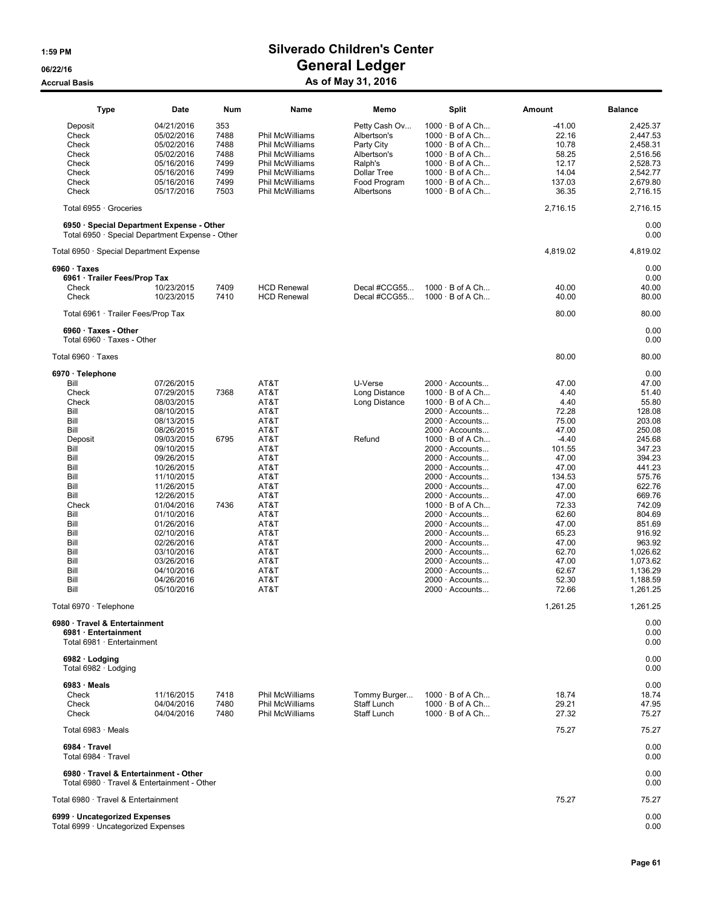| <b>Type</b>                                                                                  | Date                     | Num          | Name                                      | Memo                               | Split                                            | Amount            | <b>Balance</b>       |
|----------------------------------------------------------------------------------------------|--------------------------|--------------|-------------------------------------------|------------------------------------|--------------------------------------------------|-------------------|----------------------|
| Deposit<br>Check                                                                             | 04/21/2016<br>05/02/2016 | 353<br>7488  | <b>Phil McWilliams</b>                    | Petty Cash Ov<br>Albertson's       | $1000 \cdot B$ of A Ch<br>$1000 \cdot B$ of A Ch | $-41.00$<br>22.16 | 2,425.37<br>2.447.53 |
| Check                                                                                        | 05/02/2016               | 7488         | Phil McWilliams                           | Party City                         | $1000 \cdot B$ of A Ch                           | 10.78             | 2,458.31             |
| Check                                                                                        | 05/02/2016               | 7488         | Phil McWilliams                           | Albertson's                        | $1000 \cdot B$ of A Ch                           | 58.25             | 2,516.56             |
| Check                                                                                        | 05/16/2016               | 7499         | Phil McWilliams                           | Ralph's                            | $1000 \cdot B$ of A Ch                           | 12.17             | 2,528.73             |
| Check<br>Check                                                                               | 05/16/2016<br>05/16/2016 | 7499<br>7499 | <b>Phil McWilliams</b><br>Phil McWilliams | <b>Dollar Tree</b><br>Food Program | $1000 \cdot B$ of A Ch<br>$1000 \cdot B$ of A Ch | 14.04<br>137.03   | 2.542.77<br>2,679.80 |
| Check                                                                                        | 05/17/2016               | 7503         | Phil McWilliams                           | Albertsons                         | $1000 \cdot B$ of A Ch                           | 36.35             | 2,716.15             |
| Total 6955 · Groceries                                                                       |                          |              |                                           |                                    |                                                  | 2,716.15          | 2,716.15             |
| 6950 · Special Department Expense - Other<br>Total 6950 · Special Department Expense - Other |                          |              |                                           |                                    |                                                  |                   | 0.00<br>0.00         |
| Total 6950 · Special Department Expense                                                      |                          |              |                                           |                                    |                                                  | 4,819.02          | 4,819.02             |
| $6960 \cdot$ Taxes<br>6961 · Trailer Fees/Prop Tax                                           |                          |              |                                           |                                    |                                                  |                   | 0.00<br>0.00         |
| Check                                                                                        | 10/23/2015               | 7409         | <b>HCD Renewal</b>                        | Decal #CCG55                       | $1000 \cdot B$ of A Ch                           | 40.00             | 40.00                |
| Check                                                                                        | 10/23/2015               | 7410         | <b>HCD Renewal</b>                        | Decal #CCG55                       | $1000 \cdot B$ of A Ch                           | 40.00             | 80.00                |
| Total 6961 · Trailer Fees/Prop Tax                                                           |                          |              |                                           |                                    |                                                  | 80.00             | 80.00                |
| $6960 \cdot$ Taxes - Other<br>Total 6960 · Taxes - Other                                     |                          |              |                                           |                                    |                                                  |                   | 0.00<br>0.00         |
| Total 6960 · Taxes                                                                           |                          |              |                                           |                                    |                                                  | 80.00             | 80.00                |
| 6970 · Telephone                                                                             |                          |              |                                           |                                    |                                                  |                   | 0.00                 |
| Bill                                                                                         | 07/26/2015               |              | AT&T                                      | U-Verse                            | $2000 \cdot$ Accounts                            | 47.00             | 47.00                |
| Check<br>Check                                                                               | 07/29/2015<br>08/03/2015 | 7368         | AT&T<br>AT&T                              | Long Distance<br>Long Distance     | $1000 \cdot B$ of A Ch<br>$1000 \cdot B$ of A Ch | 4.40<br>4.40      | 51.40<br>55.80       |
| Bill                                                                                         | 08/10/2015               |              | AT&T                                      |                                    | $2000 \cdot$ Accounts                            | 72.28             | 128.08               |
| Bill                                                                                         | 08/13/2015               |              | AT&T                                      |                                    | $2000 \cdot$ Accounts                            | 75.00             | 203.08               |
| Bill                                                                                         | 08/26/2015               |              | AT&T                                      |                                    | $2000 \cdot$ Accounts                            | 47.00             | 250.08               |
| Deposit                                                                                      | 09/03/2015               | 6795         | AT&T                                      | Refund                             | $1000 \cdot B$ of A Ch                           | $-4.40$           | 245.68               |
| Bill                                                                                         | 09/10/2015               |              | AT&T                                      |                                    | $2000 \cdot$ Accounts                            | 101.55            | 347.23               |
| Bill                                                                                         | 09/26/2015               |              | AT&T                                      |                                    | $2000 \cdot$ Accounts                            | 47.00             | 394.23               |
| Bill<br>Bill                                                                                 | 10/26/2015<br>11/10/2015 |              | AT&T<br>AT&T                              |                                    | $2000 \cdot$ Accounts<br>$2000 \cdot$ Accounts   | 47.00<br>134.53   | 441.23<br>575.76     |
| Bill                                                                                         | 11/26/2015               |              | AT&T                                      |                                    | $2000 \cdot$ Accounts                            | 47.00             | 622.76               |
| Bill                                                                                         | 12/26/2015               |              | AT&T                                      |                                    | $2000 \cdot$ Accounts                            | 47.00             | 669.76               |
| Check                                                                                        | 01/04/2016               | 7436         | AT&T                                      |                                    | $1000 \cdot B$ of A Ch                           | 72.33             | 742.09               |
| Bill                                                                                         | 01/10/2016               |              | AT&T                                      |                                    | $2000 \cdot$ Accounts                            | 62.60             | 804.69               |
| Bill                                                                                         | 01/26/2016               |              | AT&T                                      |                                    | $2000 \cdot$ Accounts                            | 47.00             | 851.69               |
| Bill                                                                                         | 02/10/2016               |              | AT&T                                      |                                    | $2000 \cdot$ Accounts                            | 65.23             | 916.92               |
| Bill                                                                                         | 02/26/2016               |              | AT&T                                      |                                    | $2000 \cdot$ Accounts                            | 47.00             | 963.92               |
| Bill                                                                                         | 03/10/2016               |              | AT&T                                      |                                    | $2000 \cdot$ Accounts                            | 62.70             | 1,026.62             |
| Bill<br>Bill                                                                                 | 03/26/2016<br>04/10/2016 |              | AT&T<br>AT&T                              |                                    | $2000 \cdot$ Accounts<br>$2000 \cdot$ Accounts   | 47.00<br>62.67    | 1,073.62<br>1,136.29 |
| Bill                                                                                         | 04/26/2016               |              | AT&T                                      |                                    | $2000 \cdot$ Accounts                            | 52.30             | 1,188.59             |
| Bill                                                                                         | 05/10/2016               |              | AT&T                                      |                                    | $2000 \cdot$ Accounts                            | 72.66             | 1,261.25             |
| Total 6970 · Telephone                                                                       |                          |              |                                           |                                    |                                                  | 1,261.25          | 1,261.25             |
| 6980 · Travel & Entertainment<br>6981 · Entertainment<br>Total 6981 · Entertainment          |                          |              |                                           |                                    |                                                  |                   | 0.00<br>0.00<br>0.00 |
| 6982 · Lodging<br>Total 6982 · Lodging                                                       |                          |              |                                           |                                    |                                                  |                   | 0.00<br>0.00         |
| $6983 \cdot$ Meals                                                                           |                          |              |                                           |                                    |                                                  |                   | 0.00                 |
| Check                                                                                        | 11/16/2015               | 7418         | Phil McWilliams                           | Tommy Burger                       | $1000 \cdot B$ of A Ch                           | 18.74             | 18.74                |
| Check                                                                                        | 04/04/2016               | 7480         | Phil McWilliams                           | Staff Lunch                        | $1000 \cdot B$ of A Ch                           | 29.21             | 47.95                |
| Check                                                                                        | 04/04/2016               | 7480         | <b>Phil McWilliams</b>                    | Staff Lunch                        | $1000 \cdot B$ of A Ch                           | 27.32             | 75.27                |
| Total 6983 · Meals                                                                           |                          |              |                                           |                                    |                                                  | 75.27             | 75.27                |
| 6984 · Travel<br>Total 6984 · Travel                                                         |                          |              |                                           |                                    |                                                  |                   | 0.00<br>0.00         |
| 6980 · Travel & Entertainment - Other<br>Total 6980 · Travel & Entertainment - Other         |                          |              |                                           |                                    |                                                  |                   | 0.00<br>0.00         |
| Total 6980 · Travel & Entertainment                                                          |                          |              |                                           |                                    |                                                  | 75.27             | 75.27                |
| 6999 · Uncategorized Expenses<br>Total 6999 · Uncategorized Expenses                         |                          |              |                                           |                                    |                                                  |                   | 0.00<br>0.00         |